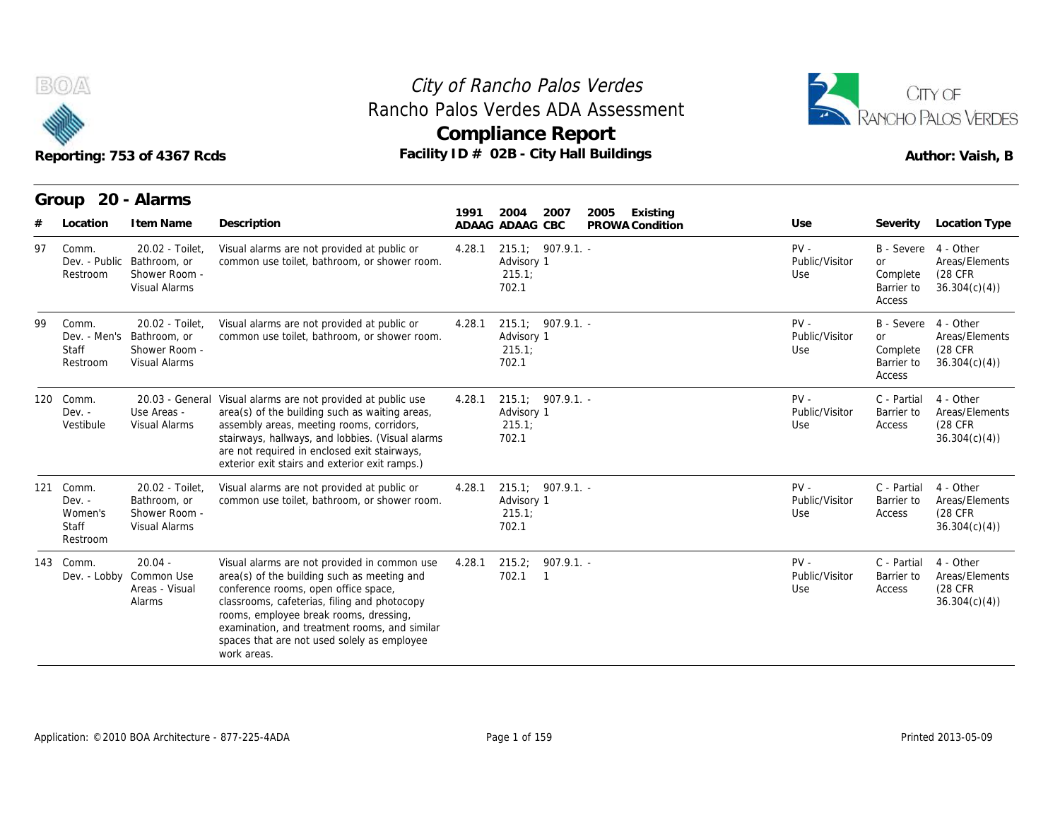

## Reporting: 753 of 4367 Rcds **Facility ID # 02B - City Hall Buildings** Reporting: 753 of 4367 Rcds Author: Vaish, B **Compliance Report** Rancho Palos Verdes ADA Assessment



| Group |                                                          | Reporting: 753 of 4367 Rcds<br>20 - Alarms                               |                                                                                                                                                                                                                                                                                                                                              |        | <b>Compliance Report</b><br>Facility ID # 02B - City Hall Buildings | Rancho Palos Verdes ADA Assessment  |                                 | RANCHO PALOS VERDES<br>Author: Vaish, B                     |                                                         |  |
|-------|----------------------------------------------------------|--------------------------------------------------------------------------|----------------------------------------------------------------------------------------------------------------------------------------------------------------------------------------------------------------------------------------------------------------------------------------------------------------------------------------------|--------|---------------------------------------------------------------------|-------------------------------------|---------------------------------|-------------------------------------------------------------|---------------------------------------------------------|--|
| #     | Location                                                 | I tem Name                                                               | Description                                                                                                                                                                                                                                                                                                                                  | 1991   | 2004<br>2007<br>ADAAG ADAAG CBC                                     | 2005<br>Existing<br>PROWA Condition | Use                             | Severity                                                    | <b>Location Type</b>                                    |  |
| 97    | Comm.<br>Dev. - Public<br>Restroom                       | 20.02 - Toilet,<br>Bathroom, or<br>Shower Room -<br>Visual Alarms        | Visual alarms are not provided at public or<br>common use toilet, bathroom, or shower room.                                                                                                                                                                                                                                                  | 4.28.1 | 215.1; 907.9.1.<br>Advisory 1<br>215.1;<br>702.1                    |                                     | $PV -$<br>Public/Visitor<br>Use | B - Severe<br><b>or</b><br>Complete<br>Barrier to<br>Access | 4 - Other<br>Areas/Elements<br>(28 CFR)<br>36.304(c)(4) |  |
| 99    | Comm.<br>Dev. - Men's<br>Staff<br>Restroom               | 20.02 - Toilet.<br>Bathroom, or<br>Shower Room -<br>Visual Alarms        | Visual alarms are not provided at public or<br>common use toilet, bathroom, or shower room.                                                                                                                                                                                                                                                  | 4.28.1 | 215.1; 907.9.1.<br>Advisory 1<br>215.1;<br>702.1                    |                                     | $PV -$<br>Public/Visitor<br>Use | B - Severe<br><b>or</b><br>Complete<br>Barrier to<br>Access | 4 - Other<br>Areas/Elements<br>(28 CFR<br>36.304(c)(4)  |  |
| 120   | Comm.<br>$Dev. -$<br>Vestibule                           | Use Areas -<br><b>Visual Alarms</b>                                      | 20.03 - General Visual alarms are not provided at public use<br>area(s) of the building such as waiting areas,<br>assembly areas, meeting rooms, corridors,<br>stairways, hallways, and lobbies. (Visual alarms<br>are not required in enclosed exit stairways,<br>exterior exit stairs and exterior exit ramps.)                            | 4.28.1 | 215.1; 907.9.1. -<br>Advisory 1<br>215.1<br>702.1                   |                                     | PV -<br>Public/Visitor<br>Use   | C - Partial<br>Barrier to<br>Access                         | 4 - Other<br>Areas/Elements<br>(28 CFR<br>36.304(c)(4)  |  |
| 121   | Comm.<br>$Dev. -$<br>Women's<br><b>Staff</b><br>Restroom | 20.02 - Toilet.<br>Bathroom, or<br>Shower Room -<br><b>Visual Alarms</b> | Visual alarms are not provided at public or<br>common use toilet, bathroom, or shower room.                                                                                                                                                                                                                                                  | 4.28.1 | 215.1; 907.9.1. -<br>Advisory 1<br>215.1;<br>702.1                  |                                     | $PV -$<br>Public/Visitor<br>Use | C - Partial<br>Barrier to<br>Access                         | 4 - Other<br>Areas/Elements<br>(28 CFR<br>36.304(c)(4)  |  |
|       | 143 Comm.<br>Dev. - Lobby                                | $20.04 -$<br>Common Use<br>Areas - Visual<br>Alarms                      | Visual alarms are not provided in common use<br>area(s) of the building such as meeting and<br>conference rooms, open office space,<br>classrooms, cafeterias, filing and photocopy<br>rooms, employee break rooms, dressing,<br>examination, and treatment rooms, and similar<br>spaces that are not used solely as employee<br>work areas. | 4.28.1 | 907.9.1. -<br>215.2;<br>702.1<br>$\overline{1}$                     |                                     | $PV -$<br>Public/Visitor<br>Use | C - Partial<br>Barrier to<br>Access                         | 4 - Other<br>Areas/Elements<br>(28 CFR<br>36.304(c)(4)  |  |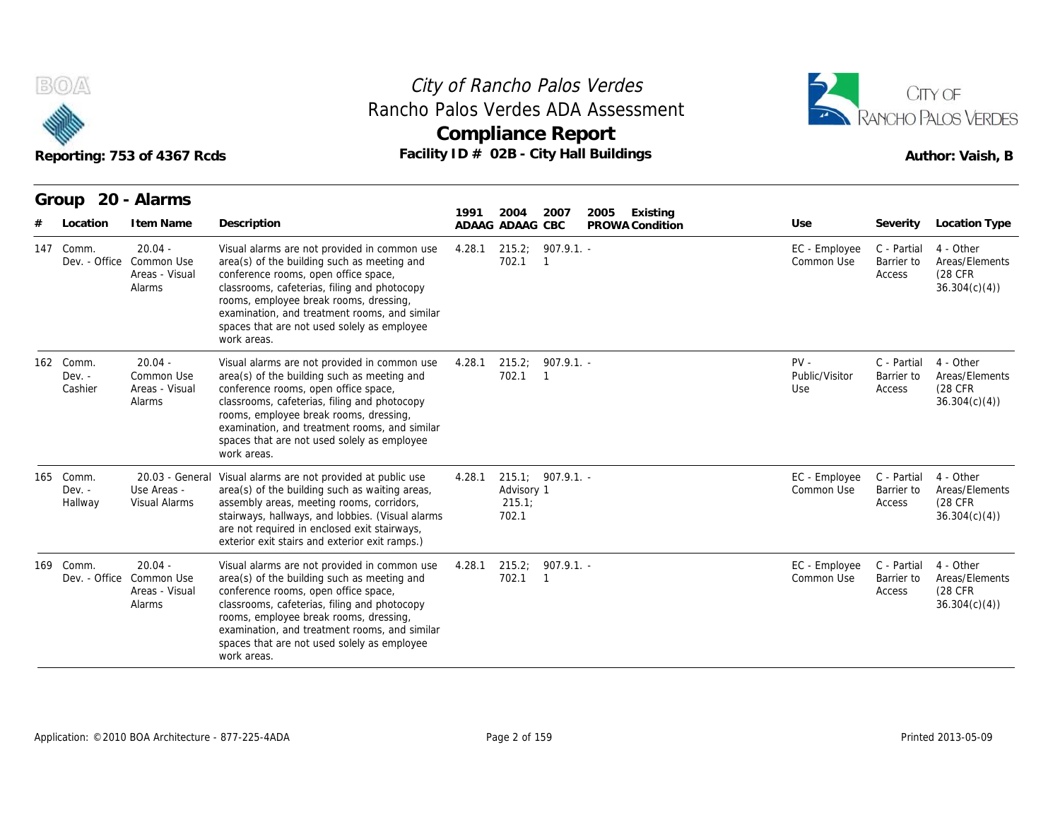



|                                     | Reporting: 753 of 4367 Rcds |                                                                   |                                                                                                                                                                                                                                                                                                                                              |        |                              | <b>Compliance Report</b>       | Rancho Palos Verdes ADA Assessment<br>Facility ID # 02B - City Hall Buildings | RANCHO PALOS VERDES<br>Author: Vaish, B |                                     |                                                        |
|-------------------------------------|-----------------------------|-------------------------------------------------------------------|----------------------------------------------------------------------------------------------------------------------------------------------------------------------------------------------------------------------------------------------------------------------------------------------------------------------------------------------|--------|------------------------------|--------------------------------|-------------------------------------------------------------------------------|-----------------------------------------|-------------------------------------|--------------------------------------------------------|
|                                     | Location                    | Group 20 - Alarms<br>I tem Name                                   | Description                                                                                                                                                                                                                                                                                                                                  | 1991   | 2004<br>ADAAG ADAAG CBC      | 2007                           | 2005<br>Existing<br>PROWA Condition                                           | Use                                     | Severity                            | <b>Location Type</b>                                   |
| 147 Comm.                           |                             | $20.04 -$<br>Dev. - Office Common Use<br>Areas - Visual<br>Alarms | Visual alarms are not provided in common use<br>area(s) of the building such as meeting and<br>conference rooms, open office space<br>classrooms, cafeterias, filing and photocopy<br>rooms, employee break rooms, dressing,<br>examination, and treatment rooms, and similar<br>spaces that are not used solely as employee<br>work areas.  | 4.28.1 | 215.2;<br>702.1              | $907.9.1 -$<br>$\overline{1}$  |                                                                               | EC - Employee<br>Common Use             | C - Partial<br>Barrier to<br>Access | 4 - Other<br>Areas/Elements<br>(28 CFR<br>36.304(c)(4) |
| 162 Comm.<br>$Dev. -$<br>Cashier    |                             | $20.04 -$<br>Common Use<br>Areas - Visual<br>Alarms               | Visual alarms are not provided in common use<br>area(s) of the building such as meeting and<br>conference rooms, open office space,<br>classrooms, cafeterias, filing and photocopy<br>rooms, employee break rooms, dressing,<br>examination, and treatment rooms, and similar<br>spaces that are not used solely as employee<br>work areas. | 4.28.1 | 215.2:<br>702.1              | $907.9.1. -$<br>$\overline{1}$ |                                                                               | $PV -$<br>Public/Visitor<br>Use         | C - Partial<br>Barrier to<br>Access | 4 - Other<br>Areas/Elements<br>(28 CFR<br>36.304(c)(4) |
| Comm.<br>165<br>$Dev. -$<br>Hallway |                             | Use Areas -<br>Visual Alarms                                      | 20.03 - General Visual alarms are not provided at public use<br>area(s) of the building such as waiting areas,<br>assembly areas, meeting rooms, corridors,<br>stairways, hallways, and lobbies. (Visual alarms<br>are not required in enclosed exit stairways,<br>exterior exit stairs and exterior exit ramps.)                            | 4.28.1 | Advisory 1<br>215.1<br>702.1 | 215.1; 907.9.1. -              |                                                                               | EC - Employee<br>Common Use             | C - Partial<br>Barrier to<br>Access | 4 - Other<br>Areas/Elements<br>(28 CFR<br>36.304(c)(4) |
| 169 Comm.                           | Dev. - Office               | $20.04 -$<br>Common Use<br>Areas - Visual<br>Alarms               | Visual alarms are not provided in common use<br>area(s) of the building such as meeting and<br>conference rooms, open office space,<br>classrooms, cafeterias, filing and photocopy<br>rooms, employee break rooms, dressing,<br>examination, and treatment rooms, and similar<br>spaces that are not used solely as employee<br>work areas. | 4.28.1 | 215.2;<br>702.1              | $907.9.1 -$<br>$\overline{1}$  |                                                                               | EC - Employee<br>Common Use             | C - Partial<br>Barrier to<br>Access | 4 - Other<br>Areas/Elements<br>(28 CFR<br>36.304(c)(4) |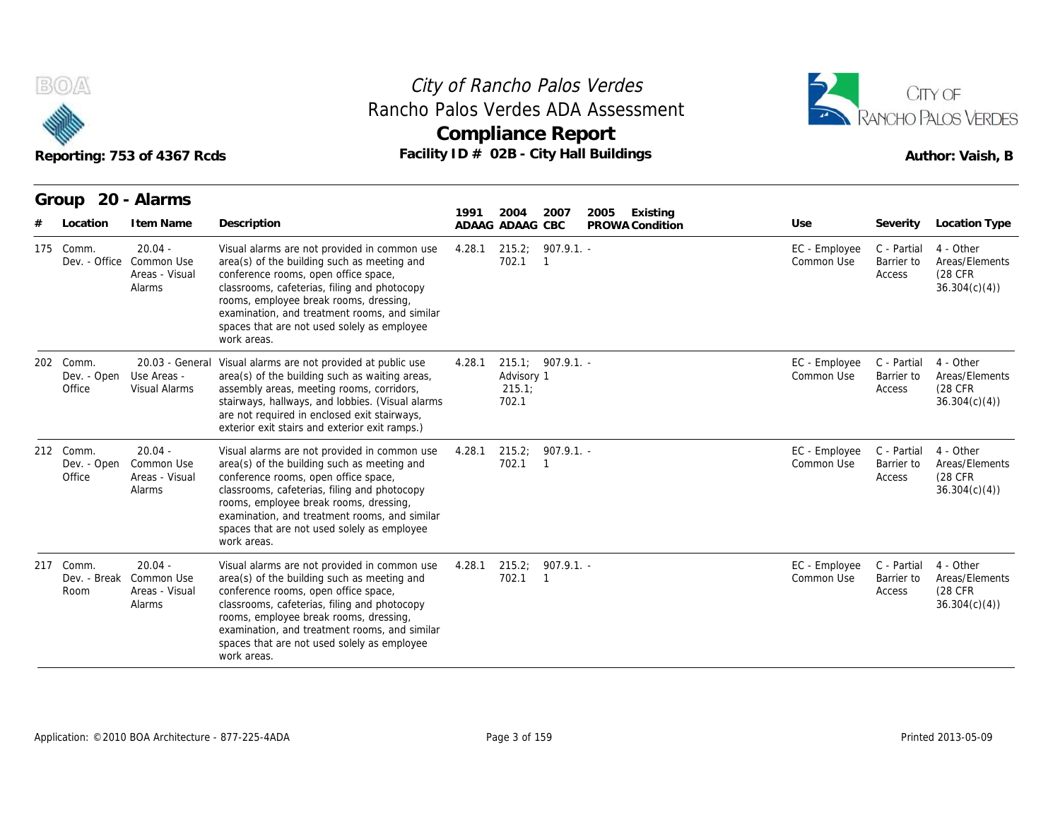



|                                    | Reporting: 753 of 4367 Rcds                                       |                                                                                                                                                                                                                                                                                                                                              | <b>Compliance Report</b> |                               |                                       | Rancho Palos Verdes ADA Assessment<br>Facility ID # 02B - City Hall Buildings |                             | RANCHO PALOS VERDES<br>Author: Vaish, B |                                                         |  |
|------------------------------------|-------------------------------------------------------------------|----------------------------------------------------------------------------------------------------------------------------------------------------------------------------------------------------------------------------------------------------------------------------------------------------------------------------------------------|--------------------------|-------------------------------|---------------------------------------|-------------------------------------------------------------------------------|-----------------------------|-----------------------------------------|---------------------------------------------------------|--|
| Group 20 - Alarms<br>Location      | I tem Name                                                        | Description                                                                                                                                                                                                                                                                                                                                  | 1991<br>ADAAG ADAAG CBC  | 2004                          | 2007                                  | 2005<br>Existing<br>PROWA Condition                                           | Use                         | Severity                                | Location Type                                           |  |
| 175 Comm.                          | $20.04 -$<br>Dev. - Office Common Use<br>Areas - Visual<br>Alarms | Visual alarms are not provided in common use<br>area(s) of the building such as meeting and<br>conference rooms, open office space,<br>classrooms, cafeterias, filing and photocopy<br>rooms, employee break rooms, dressing,<br>examination, and treatment rooms, and similar<br>spaces that are not used solely as employee<br>work areas. | 4.28.1                   | 215.2;<br>702.1               | $907.9.1. -$<br>$\overline{1}$        |                                                                               | EC - Employee<br>Common Use | C - Partial<br>Barrier to<br>Access     | 4 - Other<br>Areas/Elements<br>(28 CFR)<br>36.304(c)(4) |  |
| 202 Comm.<br>Dev. - Open<br>Office | 20.03 - General<br>Use Areas -<br>Visual Alarms                   | Visual alarms are not provided at public use<br>area(s) of the building such as waiting areas,<br>assembly areas, meeting rooms, corridors,<br>stairways, hallways, and lobbies. (Visual alarms<br>are not required in enclosed exit stairways,<br>exterior exit stairs and exterior exit ramps.)                                            | 4.28.1                   | Advisory 1<br>215.1;<br>702.1 | 215.1; 907.9.1.                       |                                                                               | EC - Employee<br>Common Use | C - Partial<br>Barrier to<br>Access     | 4 - Other<br>Areas/Elements<br>(28 CFR<br>36.304(c)(4)  |  |
| 212 Comm.<br>Dev. - Open<br>Office | $20.04 -$<br>Common Use<br>Areas - Visual<br>Alarms               | Visual alarms are not provided in common use<br>area(s) of the building such as meeting and<br>conference rooms, open office space,<br>classrooms, cafeterias, filing and photocopy<br>rooms, employee break rooms, dressing,<br>examination, and treatment rooms, and similar<br>spaces that are not used solely as employee<br>work areas. | 4.28.1                   | 702.1                         | $215.2; 907.9.1. -$<br>$\overline{1}$ |                                                                               | EC - Employee<br>Common Use | C - Partial<br>Barrier to<br>Access     | 4 - Other<br>Areas/Elements<br>(28 CFR<br>36.304(c)(4)  |  |
| 217 Comm.<br>Room                  | $20.04 -$<br>Dev. - Break Common Use<br>Areas - Visual<br>Alarms  | Visual alarms are not provided in common use<br>area(s) of the building such as meeting and<br>conference rooms, open office space,<br>classrooms, cafeterias, filing and photocopy<br>rooms, employee break rooms, dressing,<br>examination, and treatment rooms, and similar<br>spaces that are not used solely as employee<br>work areas. | 4.28.1                   | 702.1                         | $215.2; 907.9.1. -$<br>$\overline{1}$ |                                                                               | EC - Employee<br>Common Use | C - Partial<br>Barrier to<br>Access     | 4 - Other<br>Areas/Elements<br>(28 CFR<br>36.304(c)(4)  |  |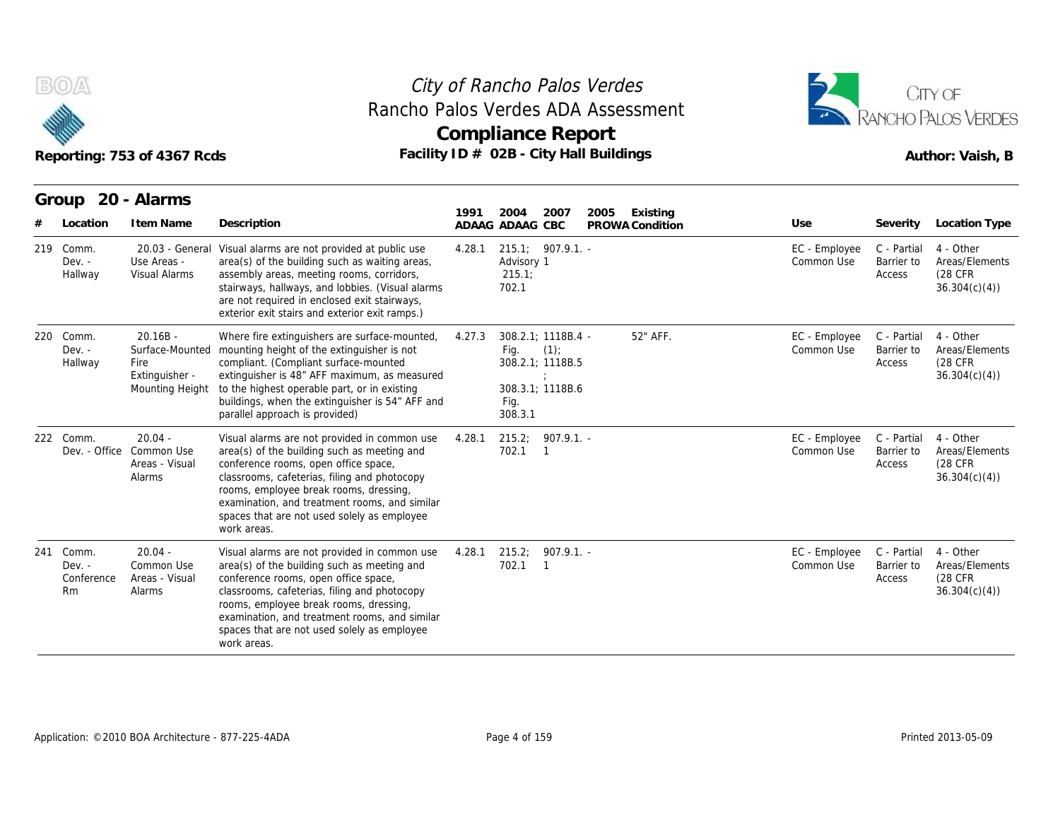



|                                              | Reporting: 753 of 4367 Rcds                             |                                                                                                                                                                                                                                                                                                                                              |        | <b>Compliance Report</b><br>Facility ID # 02B - City Hall Buildings                          | Rancho Palos Verdes ADA Assessment  |                             | RANCHO PALOS VERDES<br>Author: Vaish, B |                                                         |  |
|----------------------------------------------|---------------------------------------------------------|----------------------------------------------------------------------------------------------------------------------------------------------------------------------------------------------------------------------------------------------------------------------------------------------------------------------------------------------|--------|----------------------------------------------------------------------------------------------|-------------------------------------|-----------------------------|-----------------------------------------|---------------------------------------------------------|--|
| Location                                     | Group 20 - Alarms<br>I tem Name                         | Description                                                                                                                                                                                                                                                                                                                                  | 1991   | 2004<br>2007<br>ADAAG ADAAG CBC                                                              | Existing<br>2005<br>PROWA Condition | Use                         | Severity                                | <b>Location Type</b>                                    |  |
| 219<br>Comm.<br>$Dev. -$<br>Hallway          | 20.03 - General<br>Use Areas -<br><b>Visual Alarms</b>  | Visual alarms are not provided at public use<br>area(s) of the building such as waiting areas,<br>assembly areas, meeting rooms, corridors,<br>stairways, hallways, and lobbies. (Visual alarms<br>are not required in enclosed exit stairways,<br>exterior exit stairs and exterior exit ramps.)                                            | 4.28.1 | 215.1:907.9.1.<br>Advisory 1<br>215.1<br>702.1                                               |                                     | EC - Employee<br>Common Use | C - Partial<br>Barrier to<br>Access     | 4 - Other<br>Areas/Elements<br>(28 CFR<br>36.304(c)(4)  |  |
| 220<br>Comm.<br>$Dev. -$<br>Hallway          | $20.16B -$<br>Fire<br>Extinguisher -<br>Mounting Height | Where fire extinguishers are surface-mounted,<br>Surface-Mounted mounting height of the extinguisher is not<br>compliant. (Compliant surface-mounted<br>extinguisher is 48" AFF maximum, as measured<br>to the highest operable part, or in existing<br>buildings, when the extinguisher is 54" AFF and<br>parallel approach is provided)    | 4.27.3 | 308.2.1; 1118B.4 -<br>(1)<br>Fig.<br>308.2.1; 1118B.5<br>308.3.1; 1118B.6<br>Fig.<br>308.3.1 | 52" AFF.                            | EC - Employee<br>Common Use | C - Partial<br>Barrier to<br>Access     | 4 - Other<br>Areas/Elements<br>(28 CFR)<br>36.304(c)(4) |  |
| 222 Comm.<br>Dev. - Office                   | $20.04 -$<br>Common Use<br>Areas - Visual<br>Alarms     | Visual alarms are not provided in common use<br>area(s) of the building such as meeting and<br>conference rooms, open office space,<br>classrooms, cafeterias, filing and photocopy<br>rooms, employee break rooms, dressing,<br>examination, and treatment rooms, and similar<br>spaces that are not used solely as employee<br>work areas. | 4.28.1 | 215.2;<br>907.9.1.<br>702.1<br>- 1                                                           |                                     | EC - Employee<br>Common Use | C - Partial<br>Barrier to<br>Access     | 4 - Other<br>Areas/Elements<br>(28 CFR)<br>36.304(c)(4) |  |
| 241<br>Comm.<br>$Dev. -$<br>Conference<br>Rm | $20.04 -$<br>Common Use<br>Areas - Visual<br>Alarms     | Visual alarms are not provided in common use<br>area(s) of the building such as meeting and<br>conference rooms, open office space,<br>classrooms, cafeterias, filing and photocopy<br>rooms, employee break rooms, dressing,<br>examination, and treatment rooms, and similar<br>spaces that are not used solely as employee<br>work areas. | 4.28.1 | 907.9.1.<br>215.2;<br>702.1<br>$\overline{1}$                                                |                                     | EC - Employee<br>Common Use | C - Partial<br>Barrier to<br>Access     | 4 - Other<br>Areas/Elements<br>(28 CFR<br>36.304(c)(4)  |  |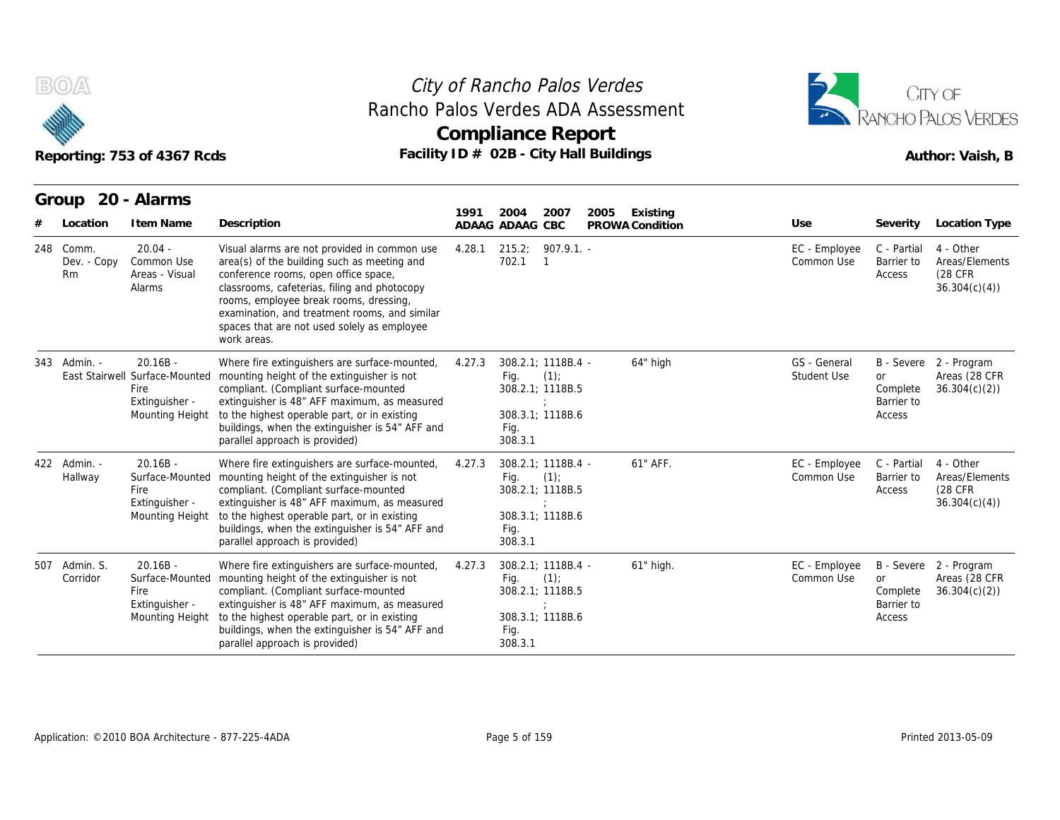

## Reporting: 753 of 4367 Rcds **Facility ID # 02B - City Hall Buildings** Reporting: 753 of 4367 Rcds Author: Vaish, B **Compliance Report** Rancho Palos Verdes ADA Assessment



| Rancho Palos Verdes ADA Assessment<br>Reporting: 753 of 4367 Rcds |                                                                                           |                                                                                                                                                                                                                                                                                                                                              | City of Rancho Palos Verdes<br><b>Compliance Report</b><br>Facility ID # 02B - City Hall Buildings |                         |                                                                          |      |                             |                             | CITY OF<br>RANCHO PALOS VERDES<br>Author: Vaish, B |                                                         |  |
|-------------------------------------------------------------------|-------------------------------------------------------------------------------------------|----------------------------------------------------------------------------------------------------------------------------------------------------------------------------------------------------------------------------------------------------------------------------------------------------------------------------------------------|----------------------------------------------------------------------------------------------------|-------------------------|--------------------------------------------------------------------------|------|-----------------------------|-----------------------------|----------------------------------------------------|---------------------------------------------------------|--|
| Group<br>Location                                                 | 20 - Alarms<br>I tem Name                                                                 | Description                                                                                                                                                                                                                                                                                                                                  | 1991<br>ADAAG ADAAG CBC                                                                            | 2004                    | 2007                                                                     | 2005 | Existing<br>PROWA Condition | Use                         | Severity                                           | Location Type                                           |  |
| 248 Comm.<br>Dev. - Copy<br><b>Rm</b>                             | $20.04 -$<br>Common Use<br>Areas - Visual<br>Alarms                                       | Visual alarms are not provided in common use<br>area(s) of the building such as meeting and<br>conference rooms, open office space,<br>classrooms, cafeterias, filing and photocopy<br>rooms, employee break rooms, dressing,<br>examination, and treatment rooms, and similar<br>spaces that are not used solely as employee<br>work areas. | 4.28.1                                                                                             | 215.2;<br>702.1         | $907.9.1 -$<br>$\mathbf{1}$                                              |      |                             | EC - Employee<br>Common Use | C - Partial<br>Barrier to<br>Access                | 4 - Other<br>Areas/Elements<br>(28 CFR)<br>36.304(c)(4) |  |
| 343 Admin. -                                                      | $20.16B -$<br>East Stairwell Surface-Mounted<br>Fire<br>Extinguisher -<br>Mounting Height | Where fire extinguishers are surface-mounted,<br>mounting height of the extinguisher is not<br>compliant. (Compliant surface-mounted<br>extinguisher is 48" AFF maximum, as measured<br>to the highest operable part, or in existing<br>buildings, when the extinguisher is 54" AFF and<br>parallel approach is provided)                    | 4.27.3                                                                                             | Fig.<br>Fig.<br>308.3.1 | 308.2.1; 1118B.4 -<br>(1)<br>308.2.1; 1118B.5<br>308.3.1; 1118B.6        |      | 64" high                    | GS - General<br>Student Use | <b>or</b><br>Complete<br>Barrier to<br>Access      | B - Severe 2 - Program<br>Areas (28 CFR<br>36.304(c)(2) |  |
| 422 Admin. -<br>Hallway                                           | $20.16B -$<br>Surface-Mounted<br>Fire<br>Extinguisher -<br>Mounting Height                | Where fire extinguishers are surface-mounted,<br>mounting height of the extinguisher is not<br>compliant. (Compliant surface-mounted<br>extinguisher is 48" AFF maximum, as measured<br>to the highest operable part, or in existing<br>buildings, when the extinguisher is 54" AFF and<br>parallel approach is provided)                    | 4.27.3                                                                                             | Fig.<br>Fig.<br>308.3.1 | 308.2.1; 1118B.4 -<br>(1)<br>308.2.1; 1118B.5<br>-11<br>308.3.1: 1118B.6 |      | 61" AFF.                    | EC - Employee<br>Common Use | C - Partial<br>Barrier to<br>Access                | 4 - Other<br>Areas/Elements<br>(28 CFR<br>36.304(c)(4)  |  |
| 507 Admin, S.<br>Corridor                                         | $20.16B -$<br>Surface-Mounted<br>Fire<br>Extinguisher -<br>Mounting Height                | Where fire extinguishers are surface-mounted,<br>mounting height of the extinguisher is not<br>compliant. (Compliant surface-mounted<br>extinguisher is 48" AFF maximum, as measured<br>to the highest operable part, or in existing<br>buildings, when the extinguisher is 54" AFF and<br>parallel approach is provided)                    | 4.27.3                                                                                             | Fig.<br>Fig.<br>308.3.1 | 308.2.1; 1118B.4 -<br>(1)<br>308.2.1; 1118B.5<br>308.3.1; 1118B.6        |      | 61" high.                   | EC - Employee<br>Common Use | <b>or</b><br>Complete<br>Barrier to<br>Access      | B - Severe 2 - Program<br>Areas (28 CFR<br>36.304(c)(2) |  |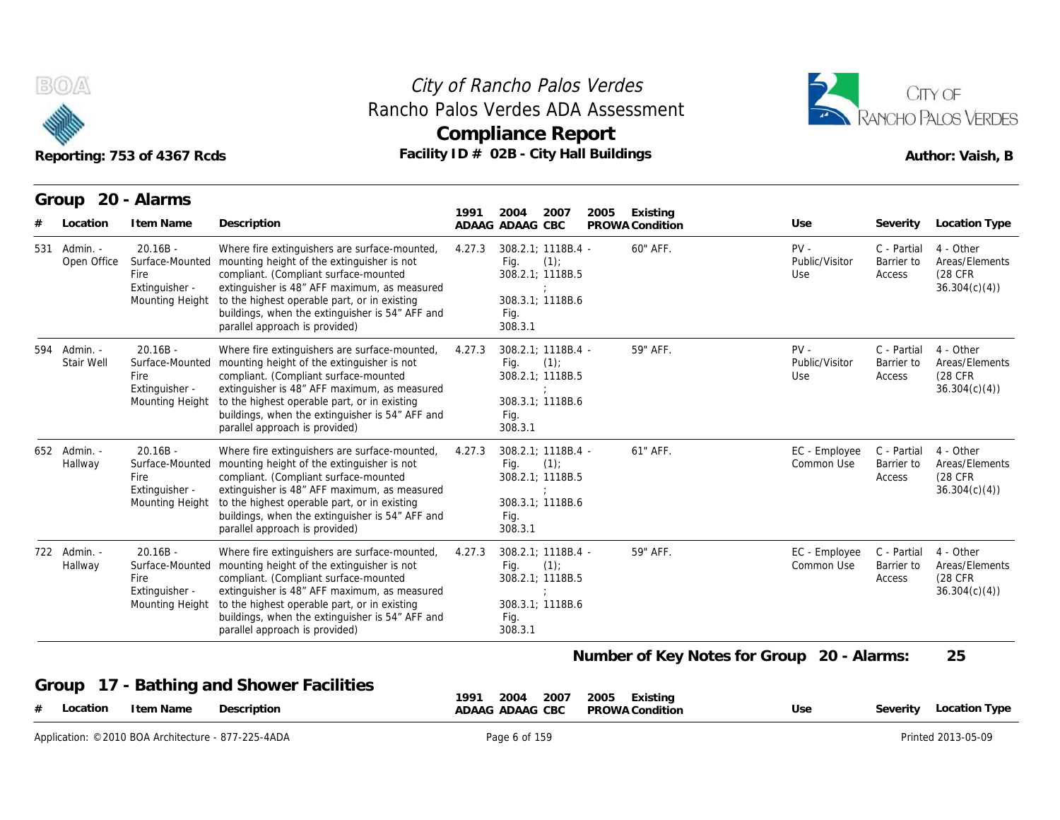



| B(O/A)                      | Reporting: 753 of 4367 Rcds                                                |                                                                                                                                                                                                                                                                                                                                           |        | City of Rancho Palos Verdes<br>Rancho Palos Verdes ADA Assessment<br><b>Compliance Report</b><br>Facility ID # 02B - City Hall Buildings |      |                             |                                            | CITY OF<br>ANCHO PALOS VERDES<br>Author: Vaish, B |                                                         |  |
|-----------------------------|----------------------------------------------------------------------------|-------------------------------------------------------------------------------------------------------------------------------------------------------------------------------------------------------------------------------------------------------------------------------------------------------------------------------------------|--------|------------------------------------------------------------------------------------------------------------------------------------------|------|-----------------------------|--------------------------------------------|---------------------------------------------------|---------------------------------------------------------|--|
| Location                    | Group 20 - Alarms<br>I tem Name                                            | Description                                                                                                                                                                                                                                                                                                                               | 1991   | 2007<br>2004<br>ADAAG ADAAG CBC                                                                                                          | 2005 | Existing<br>PROWA Condition | Use                                        | Severity                                          | Location Type                                           |  |
| 531 Admin. -<br>Open Office | $20.16B -$<br>Surface-Mounted<br>Fire<br>Extinguisher -<br>Mounting Height | Where fire extinguishers are surface-mounted,<br>mounting height of the extinguisher is not<br>compliant. (Compliant surface-mounted<br>extinguisher is 48" AFF maximum, as measured<br>to the highest operable part, or in existing<br>buildings, when the extinguisher is 54" AFF and<br>parallel approach is provided)                 | 4.27.3 | 308.2.1; 1118B.4 -<br>Fig.<br>(1)<br>308.2.1; 1118B.5<br>308.3.1; 1118B.6<br>Fig.<br>308.3.1                                             |      | 60" AFF.                    | $PV -$<br>Public/Visitor<br>Use            | C - Partial<br>Barrier to<br>Access               | 4 - Other<br>Areas/Elements<br>(28 CFR)<br>36.304(c)(4) |  |
| 594 Admin. -<br>Stair Well  | $20.16B -$<br>Fire<br>Extinguisher -<br>Mounting Height                    | Where fire extinguishers are surface-mounted,<br>Surface-Mounted mounting height of the extinguisher is not<br>compliant. (Compliant surface-mounted<br>extinguisher is 48" AFF maximum, as measured<br>to the highest operable part, or in existing<br>buildings, when the extinguisher is 54" AFF and<br>parallel approach is provided) | 4.27.3 | 308.2.1: 1118B.4 -<br>(1)<br>Fig.<br>308.2.1; 1118B.5<br>308.3.1; 1118B.6<br>Fig.<br>308.3.1                                             |      | 59" AFF.                    | $PV -$<br>Public/Visitor<br>Use            | C - Partial<br>Barrier to<br>Access               | 4 - Other<br>Areas/Elements<br>(28 CFR)<br>36.304(c)(4) |  |
| 652 Admin. -<br>Hallway     | $20.16B -$<br>Fire<br>Extinguisher -<br>Mounting Height                    | Where fire extinguishers are surface-mounted,<br>Surface-Mounted mounting height of the extinguisher is not<br>compliant. (Compliant surface-mounted<br>extinguisher is 48" AFF maximum, as measured<br>to the highest operable part, or in existing<br>buildings, when the extinguisher is 54" AFF and<br>parallel approach is provided) | 4.27.3 | 308.2.1; 1118B.4 -<br>(1)<br>Fig.<br>308.2.1; 1118B.5<br>308.3.1; 1118B.6<br>Fig.<br>308.3.1                                             |      | 61" AFF.                    | EC - Employee<br>Common Use                | C - Partial<br>Barrier to<br>Access               | 4 - Other<br>Areas/Elements<br>(28 CFR)<br>36.304(c)(4) |  |
| 722 Admin. -<br>Hallway     | $20.16B -$<br>Surface-Mounted<br>Fire<br>Extinguisher -<br>Mounting Height | Where fire extinguishers are surface-mounted,<br>mounting height of the extinguisher is not<br>compliant. (Compliant surface-mounted<br>extinguisher is 48" AFF maximum, as measured<br>to the highest operable part, or in existing<br>buildings, when the extinguisher is 54" AFF and<br>parallel approach is provided)                 | 4.27.3 | 308.2.1: 1118B.4 -<br>Fig.<br>(1)<br>308.2.1; 1118B.5<br>308.3.1; 1118B.6<br>Fig.<br>308.3.1                                             |      | 59" AFF.                    | EC - Employee<br>Common Use                | C - Partial<br>Barrier to<br>Access               | 4 - Other<br>Areas/Elements<br>(28 CFR<br>36.304(c)(4)  |  |
|                             |                                                                            |                                                                                                                                                                                                                                                                                                                                           |        |                                                                                                                                          |      |                             | Number of Key Notes for Group 20 - Alarms: |                                                   | 25                                                      |  |
| Group<br>Location           | I tem Name                                                                 | 17 - Bathing and Shower Facilities<br>Description                                                                                                                                                                                                                                                                                         | 1991   | 2004<br>2007<br>ADAAG ADAAG CBC                                                                                                          | 2005 | Existing<br>PROWA Condition | Use                                        | Severity                                          | <b>Location Type</b>                                    |  |
|                             | Application: ©2010 BOA Architecture - 877-225-4ADA                         |                                                                                                                                                                                                                                                                                                                                           |        | Page 6 of 159                                                                                                                            |      |                             |                                            |                                                   | Printed 2013-05-09                                      |  |

#### **Group 17 - Bathing and Shower Facilities**

| ______<br>Description<br>I tem Name<br>Location<br>$\overline{ }$ | 1991<br>2007<br>2004<br>2005<br>Existing<br>ADAAG ADAAG CBC<br>PROWA Condition | Use | Location Type<br>Severity |
|-------------------------------------------------------------------|--------------------------------------------------------------------------------|-----|---------------------------|
| ©2010 BOA Architecture - 877-225-4ADA<br>Application:             | Page                                                                           |     | Printed 2013-05-09        |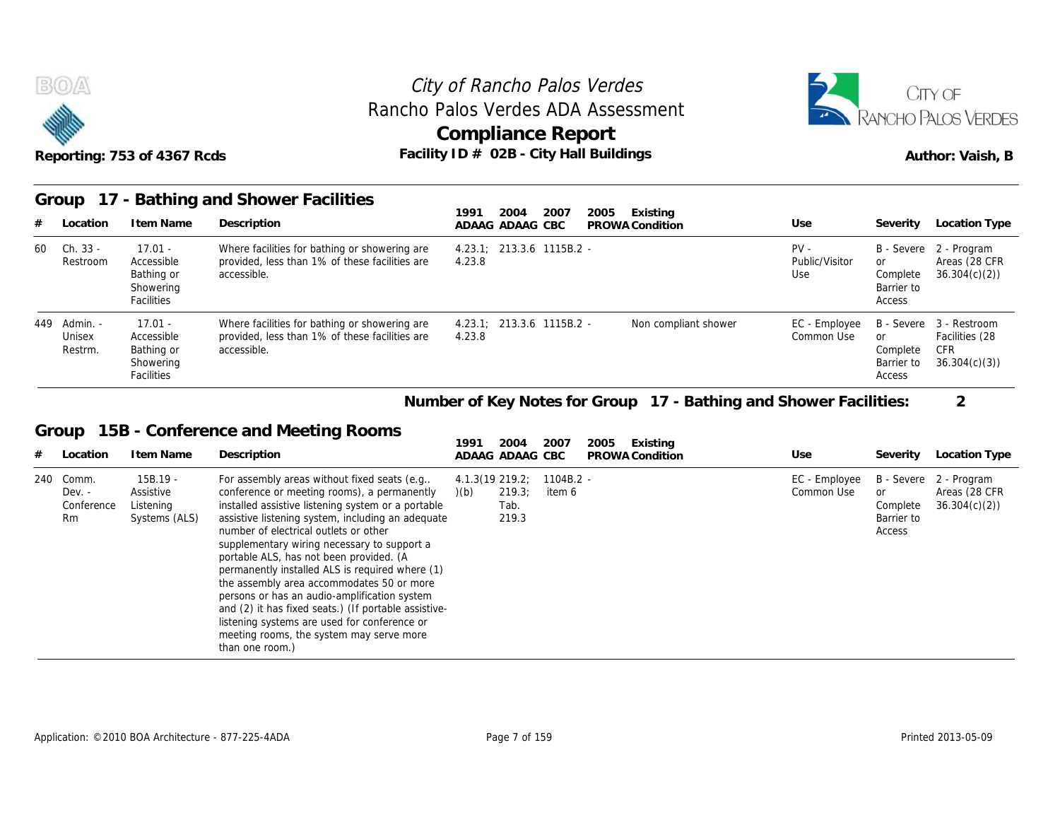



#### **Group 17 - Bathing and Shower Facilities**

|    | BOA                               | Reporting: 753 of 4367 Rcds                                      |                                                                                                                | City of Rancho Palos Verdes<br>Rancho Palos Verdes ADA Assessment<br>Compliance Report<br>Facility ID # 02B - City Hall Buildings |                                 | CITY OF<br><b>ANCHO PALOS VERDES</b><br>Author: Vaish, B |                                                              |  |
|----|-----------------------------------|------------------------------------------------------------------|----------------------------------------------------------------------------------------------------------------|-----------------------------------------------------------------------------------------------------------------------------------|---------------------------------|----------------------------------------------------------|--------------------------------------------------------------|--|
|    | Group                             |                                                                  | 17 - Bathing and Shower Facilities                                                                             | 2005<br>1991<br>2004<br>2007<br>Existing                                                                                          |                                 |                                                          |                                                              |  |
|    | Location                          | I tem Name                                                       | Description                                                                                                    | ADAAG ADAAG CBC<br>PROWA Condition                                                                                                | Use                             | Severity                                                 | Location Type                                                |  |
| 60 | Ch. 33 -<br>Restroom              | $17.01 -$<br>Accessible<br>Bathing or<br>Showering<br>Facilities | Where facilities for bathing or showering are<br>provided, less than 1% of these facilities are<br>accessible. | $4.23.1$ ; 213.3.6 1115B.2 -<br>4.23.8                                                                                            | $PV -$<br>Public/Visitor<br>Use | or<br>Complete<br>Barrier to<br>Access                   | B - Severe 2 - Program<br>Areas (28 CFR<br>36.304(c)(2)      |  |
|    | 449 Admin. -<br>Unisex<br>Restrm. | $17.01 -$<br>Accessible<br>Bathing or<br>Showering<br>Facilities | Where facilities for bathing or showering are<br>provided, less than 1% of these facilities are<br>accessible. | 213.3.6 1115B.2 -<br>Non compliant shower<br>4.23.1<br>4.23.8                                                                     | EC - Employee<br>Common Use     | B - Severe<br>or<br>Complete<br>Barrier to<br>Access     | 3 - Restroom<br>Facilities (28<br><b>CFR</b><br>36.304(c)(3) |  |
|    |                                   |                                                                  |                                                                                                                | Number of Key Notes for Group 17 - Bathing and Shower Facilities:                                                                 |                                 |                                                          | $\overline{2}$                                               |  |
|    | Group                             |                                                                  | 15B - Conference and Meeting Rooms                                                                             |                                                                                                                                   |                                 |                                                          |                                                              |  |
| #  | Location                          | I tem Name                                                       | Description                                                                                                    | 2004<br>1991<br>2007<br>2005<br>Existing<br>ADAAG ADAAG CBC<br>PROWA Condition                                                    | Use                             | Severity                                                 | Location Type                                                |  |
|    | 240 Comm.<br>$D \rho V -$         | $15B.19 -$<br>Assistive                                          | For assembly areas without fixed seats (e.g.,<br>conference or meeting rooms) a nermanently                    | 4.1.3(19 219.2; 1104B.2 -<br>$1(h)$ 219.3 item 6                                                                                  | EC - Employee<br>Common Use     | $\alpha$                                                 | B - Severe 2 - Program<br>Areas (28 CFR)                     |  |

#### **Group 15B - Conference and Meeting Rooms**

| 449   | - Admin.<br>Unisex<br>Restrm.                | $17.01 -$<br>Accessible<br>Bathing or<br>Showering<br>Facilities | Where facilities for bathing or showering are<br>provided, less than 1% of these facilities are<br>accessible.                                                                                                                                                                                                                                                                                                                                                                                                                                                                                                                                                  | 4.23.1:<br>4.23.8         |                         | 213.3.6 1115B.2 -     |      | Non compliant shower                                              | EC - Employee<br>Common Use | B - Severe<br>or<br>Complete<br>Barrier to<br>Access | 3 - Restroom<br>Facilities (28<br><b>CFR</b><br>36.304(c)(3) |
|-------|----------------------------------------------|------------------------------------------------------------------|-----------------------------------------------------------------------------------------------------------------------------------------------------------------------------------------------------------------------------------------------------------------------------------------------------------------------------------------------------------------------------------------------------------------------------------------------------------------------------------------------------------------------------------------------------------------------------------------------------------------------------------------------------------------|---------------------------|-------------------------|-----------------------|------|-------------------------------------------------------------------|-----------------------------|------------------------------------------------------|--------------------------------------------------------------|
|       |                                              |                                                                  |                                                                                                                                                                                                                                                                                                                                                                                                                                                                                                                                                                                                                                                                 |                           |                         |                       |      | Number of Key Notes for Group 17 - Bathing and Shower Facilities: |                             |                                                      | $\overline{2}$                                               |
| Group |                                              |                                                                  | 15B - Conference and Meeting Rooms                                                                                                                                                                                                                                                                                                                                                                                                                                                                                                                                                                                                                              |                           |                         |                       |      |                                                                   |                             |                                                      |                                                              |
| #     | Location                                     | I tem Name                                                       | Description                                                                                                                                                                                                                                                                                                                                                                                                                                                                                                                                                                                                                                                     | 1991                      | 2004<br>ADAAG ADAAG CBC | 2007                  | 2005 | Existing<br>PROWA Condition                                       | Use                         | Severity                                             | Location Type                                                |
| 240   | Comm.<br>$Dev. -$<br>Conference<br><b>Rm</b> | $15B.19 -$<br>Assistive<br>Listening<br>Systems (ALS)            | For assembly areas without fixed seats (e.g<br>conference or meeting rooms), a permanently<br>installed assistive listening system or a portable<br>assistive listening system, including an adequate<br>number of electrical outlets or other<br>supplementary wiring necessary to support a<br>portable ALS, has not been provided. (A<br>permanently installed ALS is required where (1)<br>the assembly area accommodates 50 or more<br>persons or has an audio-amplification system<br>and (2) it has fixed seats.) (If portable assistive-<br>listening systems are used for conference or<br>meeting rooms, the system may serve more<br>than one room.) | $4.1.3(19\ 219.2)$<br>(b) | 219.3;<br>Tab.<br>219.3 | $1104B.2 -$<br>item 6 |      |                                                                   | EC - Employee<br>Common Use | B - Severe<br>or<br>Complete<br>Barrier to<br>Access | 2 - Program<br>Areas (28 CFR<br>36.304(c)(2)                 |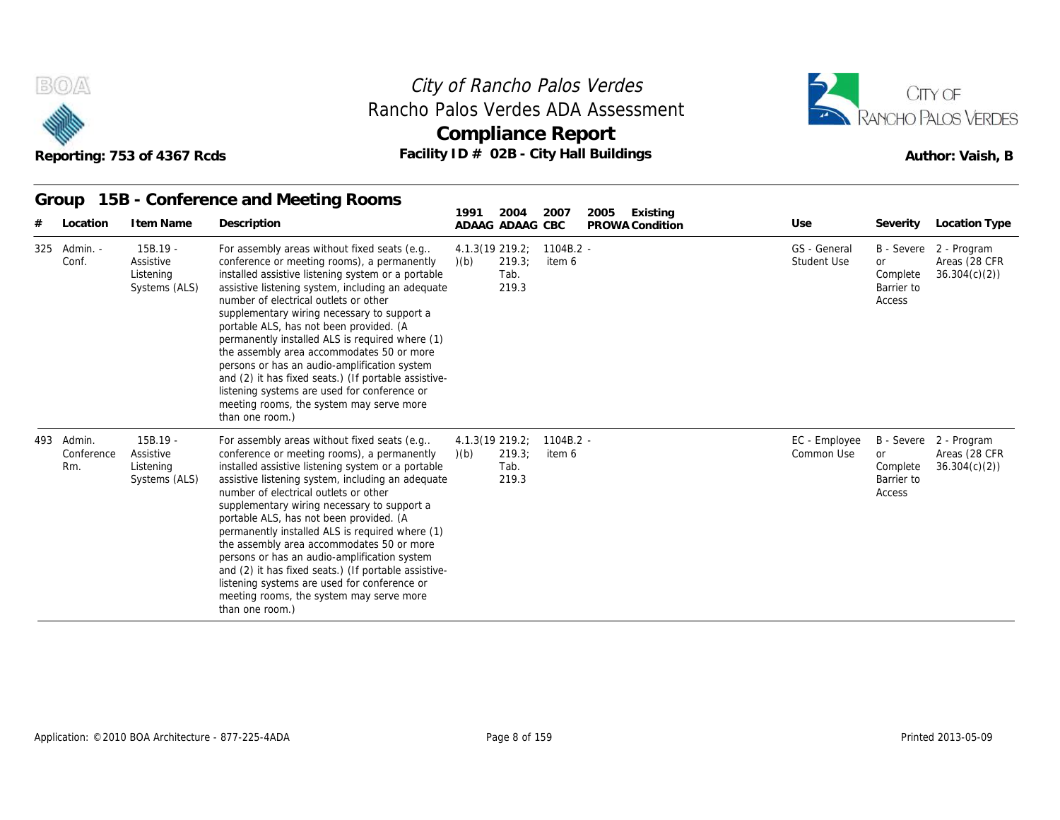



#### **Group 15B - Conference and Meeting Rooms**

|                   |            | Reporting: 753 of 4367 Rcds                         |                                                                                                                                                                                                                                                                                                                                                                                                                                                                                                                                                                                                                                                                   | City of Rancho Palos Verdes<br>Compliance Report<br>Facility ID # 02B - City Hall Buildings |                       | Rancho Palos Verdes ADA Assessment |                             | CITY OF<br>RANCHO PALOS VERDES<br>Author: Vaish, B |                                                         |  |
|-------------------|------------|-----------------------------------------------------|-------------------------------------------------------------------------------------------------------------------------------------------------------------------------------------------------------------------------------------------------------------------------------------------------------------------------------------------------------------------------------------------------------------------------------------------------------------------------------------------------------------------------------------------------------------------------------------------------------------------------------------------------------------------|---------------------------------------------------------------------------------------------|-----------------------|------------------------------------|-----------------------------|----------------------------------------------------|---------------------------------------------------------|--|
| Group             |            |                                                     | 15B - Conference and Meeting Rooms                                                                                                                                                                                                                                                                                                                                                                                                                                                                                                                                                                                                                                | 2004<br>1991                                                                                | 2007                  | 2005<br>Existing                   |                             |                                                    |                                                         |  |
|                   | Location   | I tem Name                                          | Description                                                                                                                                                                                                                                                                                                                                                                                                                                                                                                                                                                                                                                                       | ADAAG ADAAG CBC                                                                             |                       | PROWA Condition                    | Use                         | Severity                                           | <b>Location Type</b>                                    |  |
| 325<br>Conf.      | Admin. -   | 15B.19 -<br>Assistive<br>Listening<br>Systems (ALS) | For assembly areas without fixed seats (e.g.,<br>conference or meeting rooms), a permanently<br>installed assistive listening system or a portable<br>assistive listening system, including an adequate<br>number of electrical outlets or other<br>supplementary wiring necessary to support a<br>portable ALS, has not been provided. (A<br>permanently installed ALS is required where (1)<br>the assembly area accommodates 50 or more<br>persons or has an audio-amplification system<br>and (2) it has fixed seats.) (If portable assistive-<br>listening systems are used for conference or<br>meeting rooms, the system may serve more<br>than one room.) | 4.1.3(19 219.2;<br>219.3;<br>(b)<br>Tab.<br>219.3                                           | $1104B.2 -$<br>item 6 |                                    | GS - General<br>Student Use | <b>or</b><br>Complete<br>Barrier to<br>Access      | B - Severe 2 - Program<br>Areas (28 CFR<br>36.304(c)(2) |  |
| 493 Admin.<br>Rm. | Conference | 15B.19 -<br>Assistive<br>Listening<br>Systems (ALS) | For assembly areas without fixed seats (e.g.,<br>conference or meeting rooms), a permanently<br>installed assistive listening system or a portable<br>assistive listening system, including an adequate<br>number of electrical outlets or other<br>supplementary wiring necessary to support a<br>portable ALS, has not been provided. (A<br>permanently installed ALS is required where (1)<br>the assembly area accommodates 50 or more<br>persons or has an audio-amplification system<br>and (2) it has fixed seats.) (If portable assistive-<br>listening systems are used for conference or<br>meeting rooms, the system may serve more<br>than one room.) | 4.1.3(19 219.2;<br>219.3;<br>(b)<br>Tab.<br>219.3                                           | $1104B.2 -$<br>item 6 |                                    | EC - Employee<br>Common Use | <b>or</b><br>Complete<br>Barrier to<br>Access      | B - Severe 2 - Program<br>Areas (28 CFR<br>36.304(c)(2) |  |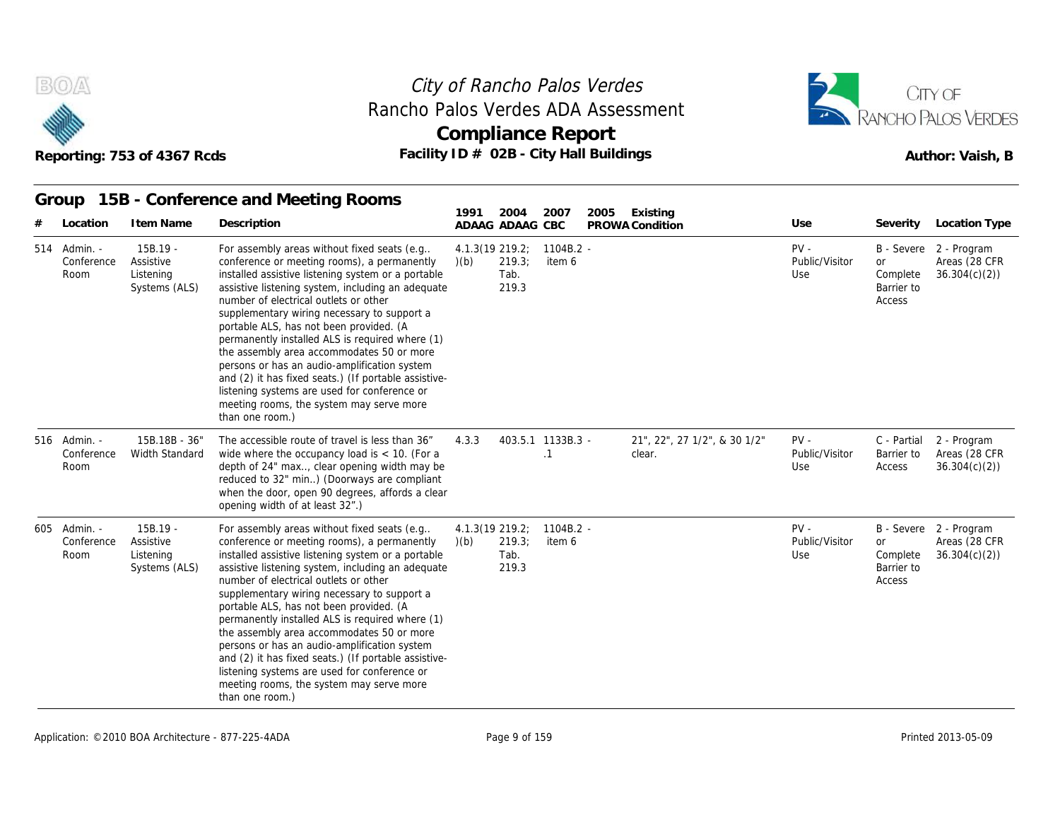



#### **Group 15B - Conference and Meeting Rooms**

|   |                                    | Reporting: 753 of 4367 Rcds                           | Facility ID # 02B - City Hall Buildings                                                                                                                                                                                                                                                                                                                                                                                                                                                                                                                                                                                                                         |       | <b>Compliance Report</b>                   | Author: Vaish, B               |                                        |                                 |                                        |                                                         |
|---|------------------------------------|-------------------------------------------------------|-----------------------------------------------------------------------------------------------------------------------------------------------------------------------------------------------------------------------------------------------------------------------------------------------------------------------------------------------------------------------------------------------------------------------------------------------------------------------------------------------------------------------------------------------------------------------------------------------------------------------------------------------------------------|-------|--------------------------------------------|--------------------------------|----------------------------------------|---------------------------------|----------------------------------------|---------------------------------------------------------|
| # | Group<br>Location                  | I tem Name                                            | 15B - Conference and Meeting Rooms<br>Description                                                                                                                                                                                                                                                                                                                                                                                                                                                                                                                                                                                                               | 1991  | 2004<br>ADAAG ADAAG CBC                    | 2007                           | Existing<br>2005<br>PROWA Condition    | Use                             | Severity                               | Location Type                                           |
|   | 514 Admin. -<br>Conference<br>Room | $15B.19 -$<br>Assistive<br>Listening<br>Systems (ALS) | For assembly areas without fixed seats (e.g<br>conference or meeting rooms), a permanently<br>installed assistive listening system or a portable<br>assistive listening system, including an adequate<br>number of electrical outlets or other<br>supplementary wiring necessary to support a<br>portable ALS, has not been provided. (A<br>permanently installed ALS is required where (1)<br>the assembly area accommodates 50 or more<br>persons or has an audio-amplification system<br>and (2) it has fixed seats.) (If portable assistive-<br>listening systems are used for conference or<br>meeting rooms, the system may serve more<br>than one room.) | (b)   | 4.1.3(19 219.2;<br>219.3;<br>Tab.<br>219.3 | $1104B.2 -$<br>item 6          |                                        | $PV -$<br>Public/Visitor<br>Use | or<br>Complete<br>Barrier to<br>Access | B - Severe 2 - Program<br>Areas (28 CFR<br>36.304(c)(2) |
|   | 516 Admin. -<br>Conference<br>Room | 15B.18B - 36"<br>Width Standard                       | The accessible route of travel is less than 36"<br>wide where the occupancy load is $<$ 10. (For a<br>depth of 24" max, clear opening width may be<br>reduced to 32" min) (Doorways are compliant<br>when the door, open 90 degrees, affords a clear<br>opening width of at least 32".)                                                                                                                                                                                                                                                                                                                                                                         | 4.3.3 |                                            | 403.5.1 1133B.3 -<br>$\cdot$ 1 | 21", 22", 27 1/2", & 30 1/2"<br>clear. | $PV -$<br>Public/Visitor<br>Use | C - Partial<br>Barrier to<br>Access    | 2 - Program<br>Areas (28 CFR<br>36.304(c)(2)            |
|   | 605 Admin. -<br>Conference<br>Room | $15B.19 -$<br>Assistive<br>Listening<br>Systems (ALS) | For assembly areas without fixed seats (e.g<br>conference or meeting rooms), a permanently<br>installed assistive listening system or a portable<br>assistive listening system, including an adequate<br>number of electrical outlets or other<br>supplementary wiring necessary to support a<br>portable ALS, has not been provided. (A<br>permanently installed ALS is required where (1)<br>the assembly area accommodates 50 or more<br>persons or has an audio-amplification system<br>and (2) it has fixed seats.) (If portable assistive-<br>listening systems are used for conference or<br>meeting rooms, the system may serve more<br>than one room.) | (b)   | 4.1.3(19 219.2;<br>219.3;<br>Tab.<br>219.3 | $1104B.2 -$<br>item 6          |                                        | $PV -$<br>Public/Visitor<br>Use | or<br>Complete<br>Barrier to<br>Access | B - Severe 2 - Program<br>Areas (28 CFR<br>36.304(c)(2) |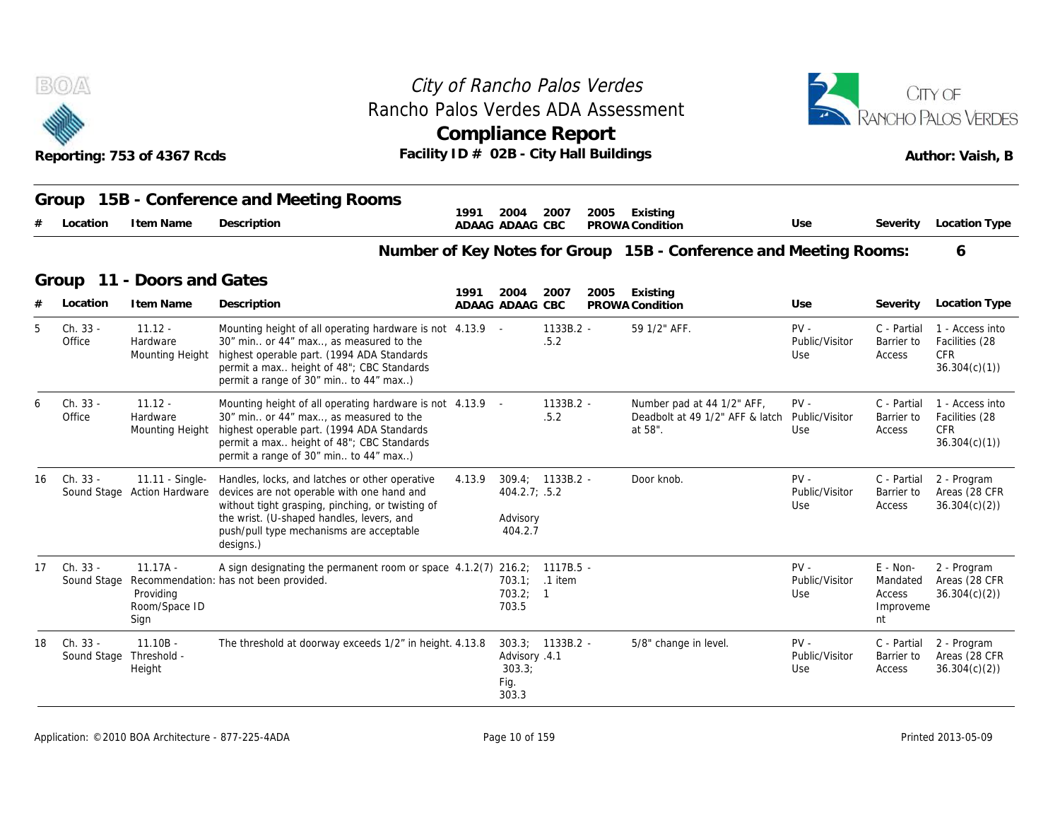

## City of Rancho Palos Verdes Rancho Palos Verdes ADA Assessment



| 400                         | Compliance Report                          | <b>E EN IVANUTULALUS VEKUE</b> J |
|-----------------------------|--------------------------------------------|----------------------------------|
| Reporting: 753 of 4367 Rcds | Facility ID $\#$ 02B - City Hall Buildings | Author: Vaish, B                 |
|                             |                                            |                                  |

|    |                         | Reporting: 753 of 4367 Rcds                      | Rancho Palos Verdes ADA Assessment<br>Facility ID # 02B - City Hall Buildings                                                                                                                                                                          |        |                                          | <b>Compliance Report</b> |      |                                                                                         | RANCHO PALOS VERDES<br>Author: Vaish, B |                                                     |                                                                 |
|----|-------------------------|--------------------------------------------------|--------------------------------------------------------------------------------------------------------------------------------------------------------------------------------------------------------------------------------------------------------|--------|------------------------------------------|--------------------------|------|-----------------------------------------------------------------------------------------|-----------------------------------------|-----------------------------------------------------|-----------------------------------------------------------------|
|    | Group<br>Location       | I tem Name                                       | 15B - Conference and Meeting Rooms<br>Description                                                                                                                                                                                                      | 1991   | 2004<br>ADAAG ADAAG CBC                  | 2007                     | 2005 | Existing<br>PROWA Condition                                                             | Use                                     | Severity                                            | Location Type                                                   |
|    |                         |                                                  |                                                                                                                                                                                                                                                        |        |                                          |                          |      | Number of Key Notes for Group 15B - Conference and Meeting Rooms:                       |                                         |                                                     | 6                                                               |
|    | Group                   | 11 - Doors and Gates                             |                                                                                                                                                                                                                                                        | 1991   | 2004                                     | 2007                     | 2005 | Existing                                                                                |                                         |                                                     |                                                                 |
|    | Location                | I tem Name                                       | Description                                                                                                                                                                                                                                            |        | ADAAG ADAAG CBC                          |                          |      | PROWA Condition                                                                         | Use                                     | Severity                                            | Location Type                                                   |
| 5  | Ch. 33 -<br>Office      | $11.12 -$<br>Hardware<br>Mounting Height         | Mounting height of all operating hardware is not 4.13.9 -<br>30" min or 44" max, as measured to the<br>highest operable part. (1994 ADA Standards)<br>permit a max height of 48"; CBC Standards<br>permit a range of 30" min to 44" max)               |        |                                          | $1133B.2 -$<br>.5.2      |      | 59 1/2" AFF.                                                                            | $PV -$<br>Public/Visitor<br>Use         | C - Partial<br>Barrier to<br>Access                 | 1 - Access into<br>Facilities (28<br><b>CFR</b><br>36.304(c)(1) |
|    | Ch. 33 -<br>Office      | $11.12 -$<br>Hardware<br>Mounting Height         | Mounting height of all operating hardware is not 4.13.9 -<br>30" min or 44" max, as measured to the<br>highest operable part. (1994 ADA Standards)<br>permit a max height of 48"; CBC Standards<br>permit a range of 30" min to 44" max)               |        |                                          | $1133B.2 -$<br>.5.2      |      | Number pad at 44 1/2" AFF,<br>Deadbolt at 49 1/2" AFF & latch Public/Visitor<br>at 58". | $PV -$<br>Use                           | C - Partial<br>Barrier to<br>Access                 | 1 - Access into<br>Facilities (28<br><b>CFR</b><br>36.304(c)(1) |
| 16 | Ch. 33 -                | 11.11 - Single-<br>Sound Stage Action Hardware   | Handles, locks, and latches or other operative<br>devices are not operable with one hand and<br>without tight grasping, pinching, or twisting of<br>the wrist. (U-shaped handles, levers, and<br>push/pull type mechanisms are acceptable<br>designs.) | 4.13.9 | 404.2.7; .5.2<br>Advisory<br>404.2.7     | 309.4; 1133B.2 -         |      | Door knob.                                                                              | $PV -$<br>Public/Visitor<br>Use         | C - Partial<br>Barrier to<br>Access                 | 2 - Program<br>Areas (28 CFR<br>36.304(c)(2)                    |
| 17 | Ch. 33 -<br>Sound Stage | $11.17A -$<br>Providing<br>Room/Space ID<br>Sign | A sign designating the permanent room or space $4.1.2(7)$ 216.2; 1117B.5 -<br>Recommendation: has not been provided.                                                                                                                                   |        | 703.1; .1 item<br>703.2; 1<br>703.5      |                          |      |                                                                                         | $PV -$<br>Public/Visitor<br>Use         | $E - Non-$<br>Mandated<br>Access<br>Improveme<br>nt | 2 - Program<br>Areas (28 CFR<br>36.304(c)(2)                    |
| 18 | Ch. 33 -                | $11.10B -$<br>Sound Stage Threshold -<br>Height  | The threshold at doorway exceeds 1/2" in height. 4.13.8                                                                                                                                                                                                |        | Advisory .4.1<br>303.3;<br>Fig.<br>303.3 | $303.3$ ; $1133B.2$ -    |      | 5/8" change in level.                                                                   | $PV -$<br>Public/Visitor<br>Use         | C - Partial<br>Barrier to<br>Access                 | 2 - Program<br>Areas (28 CFR<br>36.304(c)(2)                    |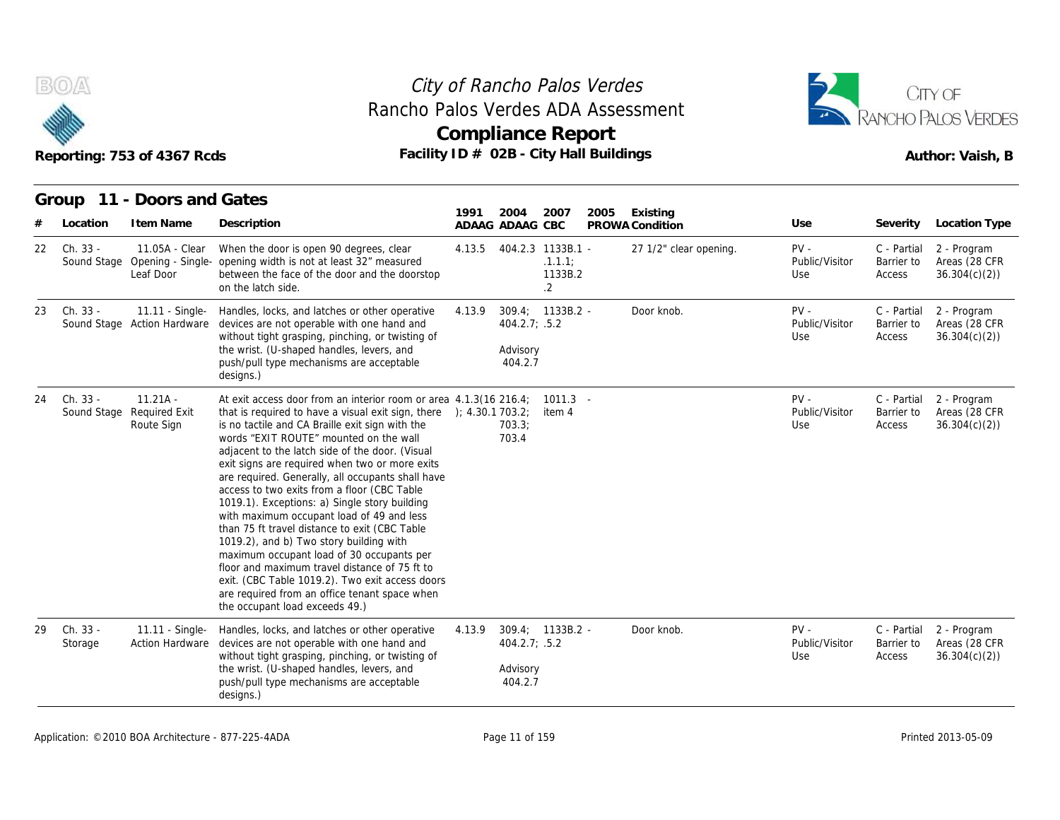



|     |                         | Reporting: 753 of 4367 Rcds                      | Facility ID # 02B - City Hall Buildings                                                                                                                                                                                                                                                                                                                                                                                                                                                                                                                                                                                                                                                                                                                                                                                                                                                  |        | <b>Compliance Report</b>             |                                                        |      |                             | Author: Vaish, B                |                                     |                                              |  |
|-----|-------------------------|--------------------------------------------------|------------------------------------------------------------------------------------------------------------------------------------------------------------------------------------------------------------------------------------------------------------------------------------------------------------------------------------------------------------------------------------------------------------------------------------------------------------------------------------------------------------------------------------------------------------------------------------------------------------------------------------------------------------------------------------------------------------------------------------------------------------------------------------------------------------------------------------------------------------------------------------------|--------|--------------------------------------|--------------------------------------------------------|------|-----------------------------|---------------------------------|-------------------------------------|----------------------------------------------|--|
|     | Location                | Group 11 - Doors and Gates<br>I tem Name         | Description                                                                                                                                                                                                                                                                                                                                                                                                                                                                                                                                                                                                                                                                                                                                                                                                                                                                              | 1991   | 2004<br>ADAAG ADAAG CBC              | 2007                                                   | 2005 | Existing<br>PROWA Condition | Use                             | Severity                            | Location Type                                |  |
| 22  | Ch. 33 -<br>Sound Stage | 11.05A - Clear<br>Leaf Door                      | When the door is open 90 degrees, clear<br>Opening - Single- opening width is not at least 32" measured<br>between the face of the door and the doorstop<br>on the latch side.                                                                                                                                                                                                                                                                                                                                                                                                                                                                                                                                                                                                                                                                                                           | 4.13.5 |                                      | 404.2.3 1133B.1 -<br>.1.1.1:<br>1133B.2<br>$2^{\circ}$ |      | 27 1/2" clear opening.      | $PV -$<br>Public/Visitor<br>Use | C - Partial<br>Barrier to<br>Access | 2 - Program<br>Areas (28 CFR<br>36.304(c)(2) |  |
| 23. | Ch. 33 -                | 11.11 - Single-<br>Sound Stage Action Hardware   | Handles, locks, and latches or other operative<br>devices are not operable with one hand and<br>without tight grasping, pinching, or twisting of<br>the wrist. (U-shaped handles, levers, and<br>push/pull type mechanisms are acceptable<br>designs.)                                                                                                                                                                                                                                                                                                                                                                                                                                                                                                                                                                                                                                   | 4.13.9 | 404.2.7; .5.2<br>Advisory<br>404.2.7 | 309.4; 1133B.2 -                                       |      | Door knob.                  | $PV -$<br>Public/Visitor<br>Use | C - Partial<br>Barrier to<br>Access | 2 - Program<br>Areas (28 CFR<br>36.304(c)(2) |  |
| 24  | Ch. 33 -<br>Sound Stage | $11.21A -$<br><b>Required Exit</b><br>Route Sign | At exit access door from an interior room or area 4.1.3(16 216.4;<br>that is required to have a visual exit sign, there $\rightarrow$ (4.30.1 703.2;<br>is no tactile and CA Braille exit sign with the<br>words "EXIT ROUTE" mounted on the wall<br>adjacent to the latch side of the door. (Visual<br>exit signs are required when two or more exits<br>are required. Generally, all occupants shall have<br>access to two exits from a floor (CBC Table<br>1019.1). Exceptions: a) Single story building<br>with maximum occupant load of 49 and less<br>than 75 ft travel distance to exit (CBC Table<br>1019.2), and b) Two story building with<br>maximum occupant load of 30 occupants per<br>floor and maximum travel distance of 75 ft to<br>exit. (CBC Table 1019.2). Two exit access doors<br>are required from an office tenant space when<br>the occupant load exceeds 49.) |        | 703.3;<br>703.4                      | $1011.3 -$<br>item 4                                   |      |                             | $PV -$<br>Public/Visitor<br>Use | C - Partial<br>Barrier to<br>Access | 2 - Program<br>Areas (28 CFR<br>36.304(c)(2) |  |
| 29  | Ch. 33 -<br>Storage     | 11.11 - Single-<br><b>Action Hardware</b>        | Handles, locks, and latches or other operative<br>devices are not operable with one hand and<br>without tight grasping, pinching, or twisting of<br>the wrist. (U-shaped handles, levers, and<br>push/pull type mechanisms are acceptable<br>designs.)                                                                                                                                                                                                                                                                                                                                                                                                                                                                                                                                                                                                                                   | 4.13.9 | 404.2.7; .5.2<br>Advisory<br>404.2.7 | 309.4; 1133B.2 -                                       |      | Door knob.                  | $PV -$<br>Public/Visitor<br>Use | C - Partial<br>Barrier to<br>Access | 2 - Program<br>Areas (28 CFR<br>36.304(c)(2) |  |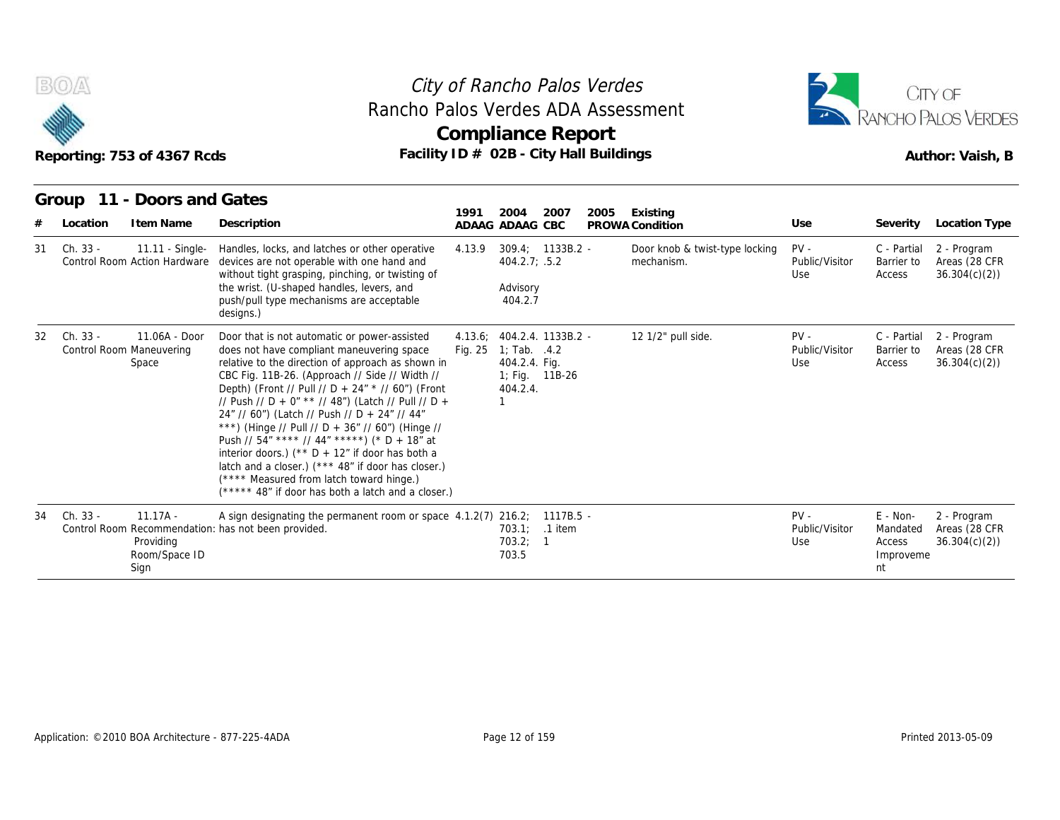



| B(0)           | Reporting: 753 of 4367 Rcds                        | City of Rancho Palos Verdes<br>Rancho Palos Verdes ADA Assessment<br>Compliance Report<br>Facility ID # 02B - City Hall Buildings                                                                                                                                                                                                                                                                                                                                                                                                                                                                                                                                             | CITY OF<br><b>RANCHO PALOS VERDES</b><br>Author: Vaish, B |                                                               |                            |                                              |                                 |                                                   |                                              |
|----------------|----------------------------------------------------|-------------------------------------------------------------------------------------------------------------------------------------------------------------------------------------------------------------------------------------------------------------------------------------------------------------------------------------------------------------------------------------------------------------------------------------------------------------------------------------------------------------------------------------------------------------------------------------------------------------------------------------------------------------------------------|-----------------------------------------------------------|---------------------------------------------------------------|----------------------------|----------------------------------------------|---------------------------------|---------------------------------------------------|----------------------------------------------|
| Location       | Group 11 - Doors and Gates<br>I tem Name           | Description                                                                                                                                                                                                                                                                                                                                                                                                                                                                                                                                                                                                                                                                   | 1991<br>ADAAG ADAAG CBC                                   | 2004                                                          | 2007<br>2005               | Existing<br>PROWA Condition                  | Use                             | Severity                                          | <b>Location Type</b>                         |
| Ch. 33 -<br>31 | 11.11 - Single-<br>Control Room Action Hardware    | Handles, locks, and latches or other operative<br>devices are not operable with one hand and<br>without tight grasping, pinching, or twisting of<br>the wrist. (U-shaped handles, levers, and<br>push/pull type mechanisms are acceptable<br>designs.)                                                                                                                                                                                                                                                                                                                                                                                                                        | 4.13.9                                                    | 404.2.7; .5.2<br>Advisory<br>404.2.7                          | $309.4: 1133B.2 -$         | Door knob & twist-type locking<br>mechanism. | $PV -$<br>Public/Visitor<br>Use | C - Partial<br>Barrier to<br>Access               | 2 - Program<br>Areas (28 CFR<br>36.304(c)(2) |
| Ch. 33 -<br>32 | 11.06A - Door<br>Control Room Maneuvering<br>Space | Door that is not automatic or power-assisted<br>does not have compliant maneuvering space<br>relative to the direction of approach as shown in<br>CBC Fig. 11B-26. (Approach // Side // Width //<br>Depth) (Front // Pull // D + 24" * // 60") (Front<br>// Push // D + 0" ** // 48") (Latch // Pull // D +<br>24" // 60") (Latch // Push // D + 24" // 44"<br>***) (Hinge // Pull // D + 36" // 60") (Hinge //<br>Push // 54" **** // 44" *****) (* D + 18" at<br>interior doors.) (** $D + 12$ " if door has both a<br>latch and a closer.) (*** 48" if door has closer.)<br>(**** Measured from latch toward hinge.)<br>(***** 48" if door has both a latch and a closer.) | Fig. 25                                                   | 1; Tab. $.4.2$<br>404.2.4. Fig.<br>1; Fig. 11B-26<br>404.2.4. | 4.13.6; 404.2.4. 1133B.2 - | 12 1/2" pull side.                           | $PV -$<br>Public/Visitor<br>Use | C - Partial<br>Barrier to<br>Access               | 2 - Program<br>Areas (28 CFR<br>36.304(c)(2) |
| Ch. 33 -<br>34 | $11.17A -$<br>Providing<br>Room/Space ID<br>Sign   | A sign designating the permanent room or space 4.1.2(7) 216.2; 1117B.5 -<br>Control Room Recommendation: has not been provided.                                                                                                                                                                                                                                                                                                                                                                                                                                                                                                                                               |                                                           | 703.1:<br>703.2; 1<br>703.5                                   | .1 item                    |                                              | $PV -$<br>Public/Visitor<br>Use | E - Non-<br>Mandated<br>Access<br>Improveme<br>nt | 2 - Program<br>Areas (28 CFR<br>36.304(c)(2) |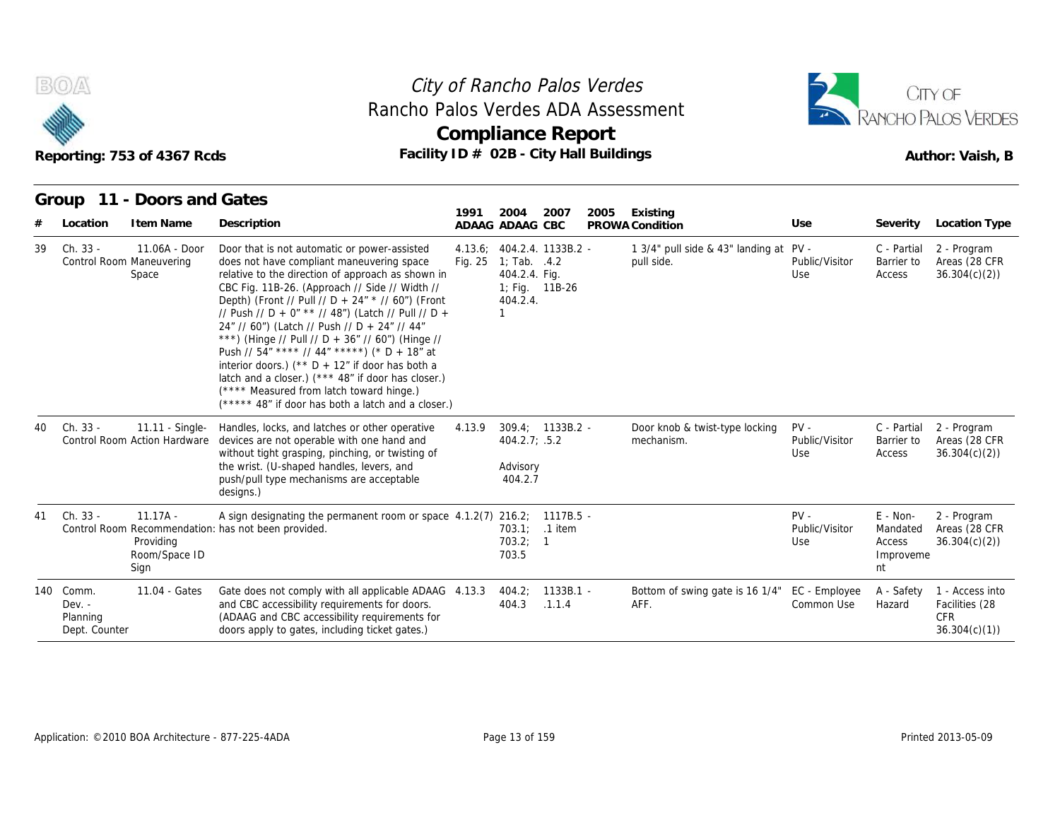



|    | Reporting: 753 of 4367 Rcds<br>11 - Doors and Gates<br>Group |                                                  |                                                                                                                                                                                                                                                                                                                                                                                                                                                                                                                                                                                                                                                                               | City of Rancho Palos Verdes<br>Rancho Palos Verdes ADA Assessment<br><b>Compliance Report</b><br>Facility ID # 02B - City Hall Buildings |                                                                                                           |                       |      |                                                       |                                 |                                                     |                                                                 |  |  |
|----|--------------------------------------------------------------|--------------------------------------------------|-------------------------------------------------------------------------------------------------------------------------------------------------------------------------------------------------------------------------------------------------------------------------------------------------------------------------------------------------------------------------------------------------------------------------------------------------------------------------------------------------------------------------------------------------------------------------------------------------------------------------------------------------------------------------------|------------------------------------------------------------------------------------------------------------------------------------------|-----------------------------------------------------------------------------------------------------------|-----------------------|------|-------------------------------------------------------|---------------------------------|-----------------------------------------------------|-----------------------------------------------------------------|--|--|
|    | Location                                                     | I tem Name                                       | Description                                                                                                                                                                                                                                                                                                                                                                                                                                                                                                                                                                                                                                                                   | 1991                                                                                                                                     | 2004<br>ADAAG ADAAG CBC                                                                                   | 2007                  | 2005 | Existing<br>PROWA Condition                           | Use                             | Severity                                            | Location Type                                                   |  |  |
| 39 | Ch. 33 -<br>Control Room Maneuvering                         | 11.06A - Door<br>Space                           | Door that is not automatic or power-assisted<br>does not have compliant maneuvering space<br>relative to the direction of approach as shown in<br>CBC Fig. 11B-26. (Approach // Side // Width //<br>Depth) (Front // Pull // D + 24" * // 60") (Front<br>// Push // D + 0" ** // 48") (Latch // Pull // D +<br>24" // 60") (Latch // Push // D + 24" // 44"<br>***) (Hinge // Pull // D + 36" // 60") (Hinge //<br>Push // 54" **** // 44" *****) (* D + 18" at<br>interior doors.) (** $D + 12$ " if door has both a<br>latch and a closer.) (*** 48" if door has closer.)<br>(**** Measured from latch toward hinge.)<br>(***** 48" if door has both a latch and a closer.) | Fig. 25                                                                                                                                  | 4.13.6; 404.2.4. 1133B.2 -<br>1; Tab. .4.2<br>404.2.4. Fig.<br>1; Fig. 11B-26<br>404.2.4.<br>$\mathbf{1}$ |                       |      | 1 3/4" pull side & 43" landing at PV -<br>pull side.  | Public/Visitor<br>Use           | C - Partial<br>Barrier to<br>Access                 | 2 - Program<br>Areas (28 CFR<br>36.304(c)(2)                    |  |  |
| 40 | Ch. 33 -                                                     | 11.11 - Single-<br>Control Room Action Hardware  | Handles, locks, and latches or other operative<br>devices are not operable with one hand and<br>without tight grasping, pinching, or twisting of<br>the wrist. (U-shaped handles, levers, and<br>push/pull type mechanisms are acceptable<br>designs.)                                                                                                                                                                                                                                                                                                                                                                                                                        | 4.13.9                                                                                                                                   | $309.4: 1133B.2 -$<br>404.2.7; .5.2<br>Advisory<br>404.2.7                                                |                       |      | Door knob & twist-type locking<br>mechanism.          | $PV -$<br>Public/Visitor<br>Use | C - Partial<br>Barrier to<br>Access                 | 2 - Program<br>Areas (28 CFR<br>36.304(c)(2)                    |  |  |
| 41 | Ch. 33 -                                                     | $11.17A -$<br>Providing<br>Room/Space ID<br>Sign | A sign designating the permanent room or space 4.1.2(7) 216.2; 1117B.5 -<br>Control Room Recommendation: has not been provided.                                                                                                                                                                                                                                                                                                                                                                                                                                                                                                                                               |                                                                                                                                          | 703.1; .1 item<br>703.2; 1<br>703.5                                                                       |                       |      |                                                       | $PV -$<br>Public/Visitor<br>Use | $E - Non-$<br>Mandated<br>Access<br>Improveme<br>nt | 2 - Program<br>Areas (28 CFR<br>36.304(c)(2)                    |  |  |
|    | 140 Comm.<br>$Dev. -$<br>Planning<br>Dept. Counter           | 11.04 - Gates                                    | Gate does not comply with all applicable ADAAG 4.13.3<br>and CBC accessibility requirements for doors.<br>(ADAAG and CBC accessibility requirements for<br>doors apply to gates, including ticket gates.)                                                                                                                                                                                                                                                                                                                                                                                                                                                                     |                                                                                                                                          | 404.2;<br>404.3                                                                                           | $1133B.1 -$<br>.1.1.4 |      | Bottom of swing gate is 16 1/4" EC - Employee<br>AFF. | Common Use                      | A - Safety<br>Hazard                                | 1 - Access into<br>Facilities (28<br><b>CFR</b><br>36.304(c)(1) |  |  |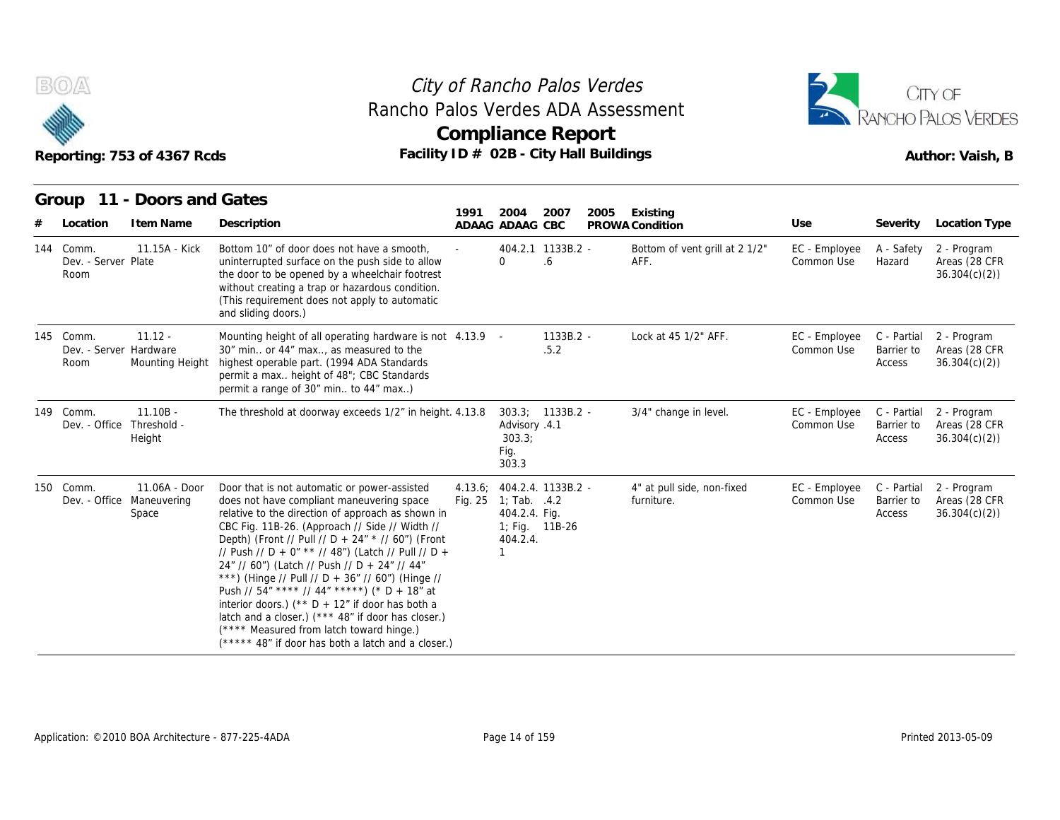

## Reporting: 753 of 4367 Rcds **Facility ID # 02B - City Hall Buildings** Reporting: 753 of 4367 Rcds Author: Vaish, B **Compliance Report** Rancho Palos Verdes ADA Assessment



|     | Reporting: 753 of 4367 Rcds<br>Group 11 - Doors and Gates |                                       | City of Rancho Palos Verdes                                                                                                                                                                                                                                                                                                                                                                                                                                                                                                                                                                                                                                                   | Rancho Palos Verdes ADA Assessment<br><b>Compliance Report</b><br>Facility ID # 02B - City Hall Buildings |                                                   |                                      |      |                                          |                             |                                     |                                              |  |
|-----|-----------------------------------------------------------|---------------------------------------|-------------------------------------------------------------------------------------------------------------------------------------------------------------------------------------------------------------------------------------------------------------------------------------------------------------------------------------------------------------------------------------------------------------------------------------------------------------------------------------------------------------------------------------------------------------------------------------------------------------------------------------------------------------------------------|-----------------------------------------------------------------------------------------------------------|---------------------------------------------------|--------------------------------------|------|------------------------------------------|-----------------------------|-------------------------------------|----------------------------------------------|--|
| #   | Location                                                  | I tem Name                            | Description                                                                                                                                                                                                                                                                                                                                                                                                                                                                                                                                                                                                                                                                   | 1991                                                                                                      | 2004<br>ADAAG ADAAG CBC                           | 2007                                 | 2005 | Existing<br>PROWA Condition              | Use                         | Severity                            | <b>Location Type</b>                         |  |
| 144 | Comm.<br>Dev. - Server Plate<br>Room                      | 11.15A - Kick                         | Bottom 10" of door does not have a smooth,<br>uninterrupted surface on the push side to allow<br>the door to be opened by a wheelchair footrest<br>without creating a trap or hazardous condition.<br>(This requirement does not apply to automatic<br>and sliding doors.)                                                                                                                                                                                                                                                                                                                                                                                                    |                                                                                                           | $\Omega$                                          | 404.2.1 1133B.2 -<br>.6              |      | Bottom of vent grill at 2 1/2"<br>AFF.   | EC - Employee<br>Common Use | A - Safety<br>Hazard                | 2 - Program<br>Areas (28 CFR<br>36.304(c)(2) |  |
|     | 145 Comm.<br>Dev. - Server Hardware<br>Room               | $11.12 -$<br>Mounting Height          | Mounting height of all operating hardware is not 4.13.9 -<br>30" min or 44" max, as measured to the<br>highest operable part. (1994 ADA Standards<br>permit a max height of 48"; CBC Standards<br>permit a range of 30" min to 44" max)                                                                                                                                                                                                                                                                                                                                                                                                                                       |                                                                                                           |                                                   | $1133B.2 -$<br>.5.2                  |      | Lock at 45 1/2" AFF.                     | EC - Employee<br>Common Use | C - Partial<br>Barrier to<br>Access | 2 - Program<br>Areas (28 CFR<br>36.304(c)(2) |  |
|     | 149 Comm.<br>Dev. - Office                                | $11.10B -$<br>Threshold -<br>Height   | The threshold at doorway exceeds 1/2" in height. 4.13.8                                                                                                                                                                                                                                                                                                                                                                                                                                                                                                                                                                                                                       |                                                                                                           | Advisory .4.1<br>303.3;<br>Fig.<br>303.3          | 303.3; 1133B.2 -                     |      | 3/4" change in level.                    | EC - Employee<br>Common Use | C - Partial<br>Barrier to<br>Access | 2 - Program<br>Areas (28 CFR<br>36.304(c)(2) |  |
|     | 150 Comm.<br>Dev. - Office                                | 11.06A - Door<br>Maneuvering<br>Space | Door that is not automatic or power-assisted<br>does not have compliant maneuvering space<br>relative to the direction of approach as shown in<br>CBC Fig. 11B-26. (Approach // Side // Width //<br>Depth) (Front // Pull // D + 24" * // 60") (Front<br>// Push // D + 0" ** // 48") (Latch // Pull // D +<br>24" // 60") (Latch // Push // D + 24" // 44"<br>***) (Hinge // Pull // D + 36" // 60") (Hinge //<br>Push // 54" **** // 44" *****) (* D + 18" at<br>interior doors.) (** $D + 12$ " if door has both a<br>latch and a closer.) (*** 48" if door has closer.)<br>(**** Measured from latch toward hinge.)<br>(***** 48" if door has both a latch and a closer.) | 4.13.6:                                                                                                   | Fig. 25 1; Tab. .4.2<br>404.2.4. Fig.<br>404.2.4. | 404.2.4. 1133B.2 -<br>1; Fig. 11B-26 |      | 4" at pull side, non-fixed<br>furniture. | EC - Employee<br>Common Use | C - Partial<br>Barrier to<br>Access | 2 - Program<br>Areas (28 CFR<br>36.304(c)(2) |  |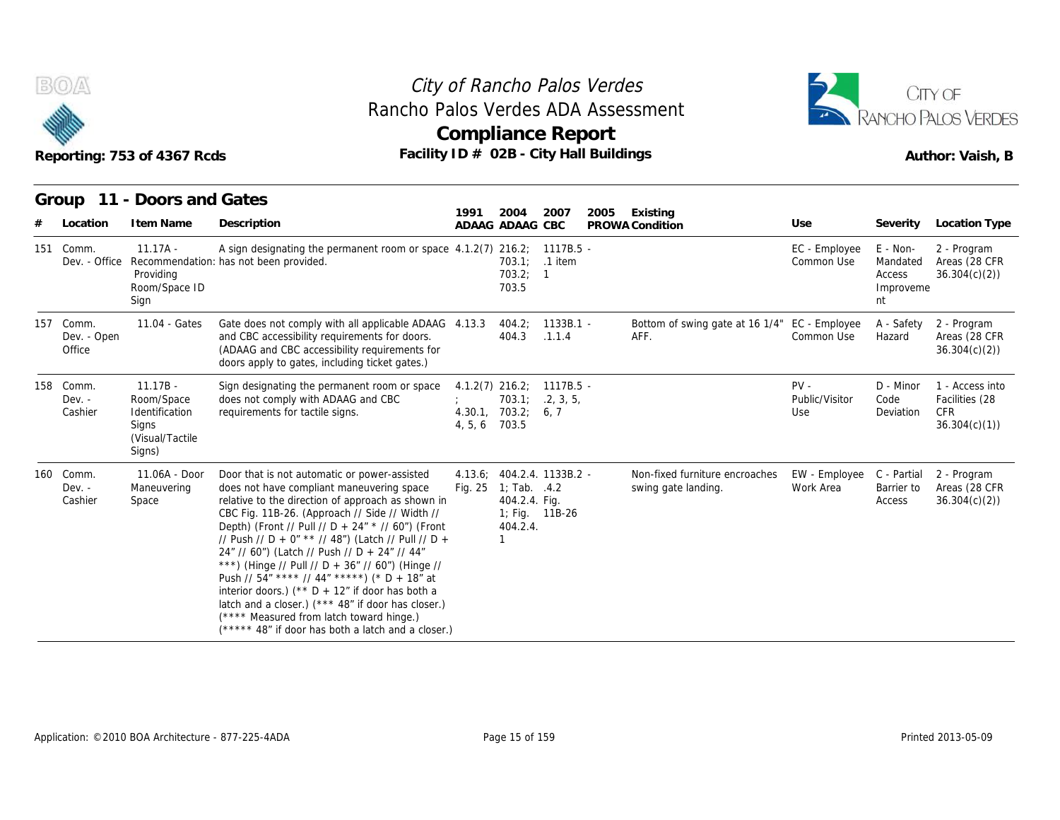

## Reporting: 753 of 4367 Rcds **Facility ID # 02B - City Hall Buildings** Reporting: 753 of 4367 Rcds Author: Vaish, B **Compliance Report** Rancho Palos Verdes ADA Assessment



| Reporting: 753 of 4367 Rcds<br>11 - Doors and Gates<br>Group |                                                                                  | City of Rancho Palos Verdes<br>Rancho Palos Verdes ADA Assessment<br><b>Compliance Report</b><br>Facility ID # 02B - City Hall Buildings                                                                                                                                                                                                                                                                                                                                                                                                                                                                                                                                           |                         | CITY OF<br><b>ANCHO PALOS VERDES</b><br>Author: Vaish, B |                                              |      |                                                       |                                 |                                                   |                                                                 |
|--------------------------------------------------------------|----------------------------------------------------------------------------------|------------------------------------------------------------------------------------------------------------------------------------------------------------------------------------------------------------------------------------------------------------------------------------------------------------------------------------------------------------------------------------------------------------------------------------------------------------------------------------------------------------------------------------------------------------------------------------------------------------------------------------------------------------------------------------|-------------------------|----------------------------------------------------------|----------------------------------------------|------|-------------------------------------------------------|---------------------------------|---------------------------------------------------|-----------------------------------------------------------------|
| Location                                                     | I tem Name                                                                       | Description                                                                                                                                                                                                                                                                                                                                                                                                                                                                                                                                                                                                                                                                        | 1991                    | 2004<br>ADAAG ADAAG CBC                                  | 2007                                         | 2005 | Existing<br>PROWA Condition                           | Use                             |                                                   | Severity Location Type                                          |
| 151 Comm.<br>Dev. - Office                                   | $11.17A -$<br>Providing<br>Room/Space ID<br>Sign                                 | A sign designating the permanent room or space 4.1.2(7) 216.2; 1117B.5 -<br>Recommendation: has not been provided.                                                                                                                                                                                                                                                                                                                                                                                                                                                                                                                                                                 |                         | 703.2;<br>703.5                                          | 703.1; .1 item<br>$\overline{1}$             |      |                                                       | EC - Employee<br>Common Use     | E - Non-<br>Mandated<br>Access<br>Improveme<br>nt | 2 - Program<br>Areas (28 CFR<br>36.304(c)(2)                    |
| 157 Comm.<br>Dev. - Open<br>Office                           | 11.04 - Gates                                                                    | Gate does not comply with all applicable ADAAG 4.13.3<br>and CBC accessibility requirements for doors.<br>(ADAAG and CBC accessibility requirements for<br>doors apply to gates, including ticket gates.)                                                                                                                                                                                                                                                                                                                                                                                                                                                                          |                         | 404.2:<br>404.3                                          | $1133B.1 -$<br>.1.1.4                        |      | Bottom of swing gate at 16 1/4" EC - Employee<br>AFF. | Common Use                      | A - Safety<br>Hazard                              | 2 - Program<br>Areas (28 CFR<br>36.304(c)(2)                    |
| 158 Comm.<br>$Dev. -$<br>Cashier                             | $11.17B -$<br>Room/Space<br>Identification<br>Signs<br>(Visual/Tactile<br>Signs) | Sign designating the permanent room or space<br>does not comply with ADAAG and CBC<br>requirements for tactile signs.                                                                                                                                                                                                                                                                                                                                                                                                                                                                                                                                                              | 4.30.1<br>4, 5, 6 703.5 | $4.1.2(7)$ 216.2;<br>703.2; 6, 7                         | 1117B.5 -<br>703.1; 2, 3, 5,                 |      |                                                       | $PV -$<br>Public/Visitor<br>Use | D - Minor<br>Code<br>Deviation                    | 1 - Access into<br>Facilities (28<br><b>CFR</b><br>36.304(c)(1) |
| 160 Comm.<br>$Dev. -$<br>Cashier                             | 11.06A - Door<br>Maneuvering<br>Space                                            | Door that is not automatic or power-assisted<br>does not have compliant maneuvering space<br>relative to the direction of approach as shown in<br>CBC Fig. 11B-26. (Approach // Side // Width //<br>Depth) (Front // Pull // D + 24" * // 60") (Front<br>// Push // D + 0" ** // 48") (Latch // Pull // D +<br>24" // 60") (Latch // Push // D + 24" // 44"<br>***) (Hinge // Pull // D + 36" // 60") (Hinge //<br>Push // $54''$ **** // $44''$ *****) (* D + 18" at<br>interior doors.) ( $*$ D + 12" if door has both a<br>latch and a closer.) (*** 48" if door has closer.)<br>(**** Measured from latch toward hinge.)<br>(***** 48" if door has both a latch and a closer.) | Fig. 25                 | 1; Tab. .4.2<br>404.2.4. Fig.<br>404.2.4.<br>1           | 4.13.6; 404.2.4. 1133B.2 -<br>1; Fig. 11B-26 |      | Non-fixed furniture encroaches<br>swing gate landing. | EW - Employee<br>Work Area      | C - Partial<br>Barrier to<br>Access               | 2 - Program<br>Areas (28 CFR<br>36.304(c)(2)                    |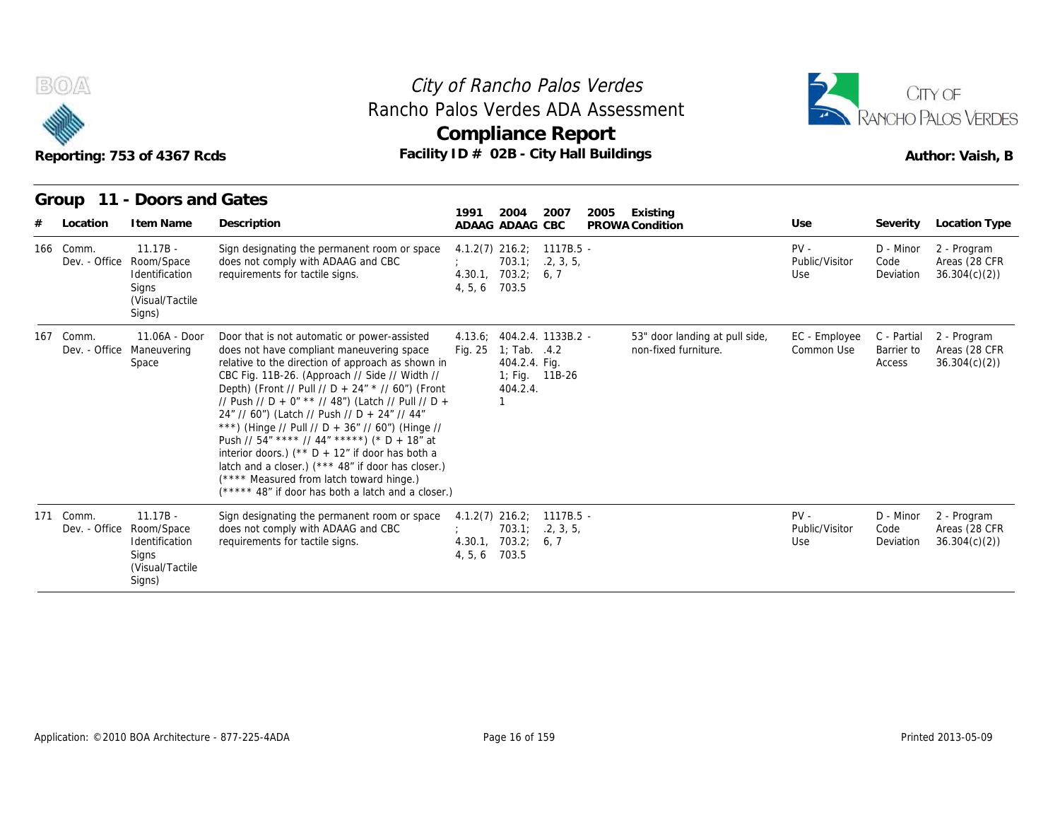



| B(0)                       | Reporting: 753 of 4367 Rcds                                                      | City of Rancho Palos Verdes<br>Rancho Palos Verdes ADA Assessment<br>Compliance Report<br>Facility ID # 02B - City Hall Buildings                                                                                                                                                                                                                                                                                                                                                                                                                                                                                                                                             |                              | CITY OF<br>RANCHO PALOS VERDES<br>Author: Vaish, B                              |                                |      |                                                        |                                 |                                     |                                              |
|----------------------------|----------------------------------------------------------------------------------|-------------------------------------------------------------------------------------------------------------------------------------------------------------------------------------------------------------------------------------------------------------------------------------------------------------------------------------------------------------------------------------------------------------------------------------------------------------------------------------------------------------------------------------------------------------------------------------------------------------------------------------------------------------------------------|------------------------------|---------------------------------------------------------------------------------|--------------------------------|------|--------------------------------------------------------|---------------------------------|-------------------------------------|----------------------------------------------|
| Group<br>11<br>Location    | - Doors and Gates<br>I tem Name                                                  | Description                                                                                                                                                                                                                                                                                                                                                                                                                                                                                                                                                                                                                                                                   | 1991                         | 2004<br>ADAAG ADAAG CBC                                                         | 2007                           | 2005 | Existing<br>PROWA Condition                            | Use                             | Severity                            | Location Type                                |
| 166 Comm.<br>Dev. - Office | $11.17B -$<br>Room/Space<br>Identification<br>Signs<br>(Visual/Tactile<br>Signs) | Sign designating the permanent room or space<br>does not comply with ADAAG and CBC<br>requirements for tactile signs.                                                                                                                                                                                                                                                                                                                                                                                                                                                                                                                                                         | 4.30.1<br>4, 5, 6            | $4.1.2(7)$ 216.2;<br>703.1;<br>703.2;<br>703.5                                  | 1117B.5 -<br>.2, 3, 5,<br>6, 7 |      |                                                        | $PV -$<br>Public/Visitor<br>Use | D - Minor<br>Code<br>Deviation      | 2 - Program<br>Areas (28 CFR<br>36.304(c)(2) |
| 167 Comm.<br>Dev. - Office | 11.06A - Door<br>Maneuvering<br>Space                                            | Door that is not automatic or power-assisted<br>does not have compliant maneuvering space<br>relative to the direction of approach as shown in<br>CBC Fig. 11B-26. (Approach // Side // Width //<br>Depth) (Front // Pull // D + 24" * // 60") (Front<br>// Push // D + 0" ** // 48") (Latch // Pull // D +<br>24" // 60") (Latch // Push // D + 24" // 44"<br>***) (Hinge // Pull // D + 36" // 60") (Hinge //<br>Push // 54" **** // 44" *****) (* D + 18" at<br>interior doors.) (** $D + 12$ " if door has both a<br>latch and a closer.) (*** 48" if door has closer.)<br>(**** Measured from latch toward hinge.)<br>(***** 48" if door has both a latch and a closer.) |                              | 4.13.6; 404.2.4. 1133B.2 -<br>Fig. 25 1; Tab. .4.2<br>404.2.4. Fig.<br>404.2.4. | 1; Fig. 11B-26                 |      | 53" door landing at pull side,<br>non-fixed furniture. | EC - Employee<br>Common Use     | C - Partial<br>Barrier to<br>Access | 2 - Program<br>Areas (28 CFR<br>36.304(c)(2) |
| 171 Comm.<br>Dev. - Office | $11.17B -$<br>Room/Space<br>Identification<br>Signs                              | Sign designating the permanent room or space<br>does not comply with ADAAG and CBC<br>requirements for tactile signs.                                                                                                                                                                                                                                                                                                                                                                                                                                                                                                                                                         | $4.1.2(7)$ 216.2;<br>4, 5, 6 | 703.1;<br>4.30.1, 703.2;<br>703.5                                               | 1117B.5 -<br>.2, 3, 5,<br>6, 7 |      |                                                        | $PV -$<br>Public/Visitor<br>Use | D - Minor<br>Code<br>Deviation      | 2 - Program<br>Areas (28 CFR<br>36.304(c)(2) |

(Visual/Tactile Signs)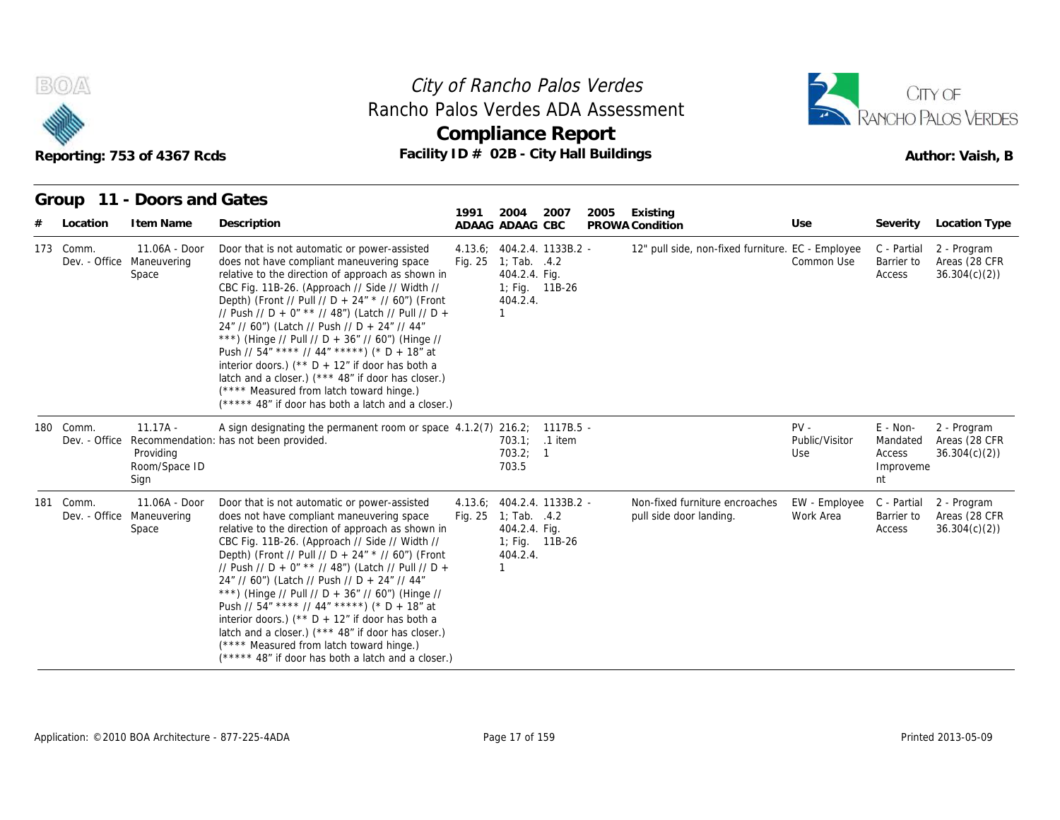



|           | B(0)/4<br>Reporting: 753 of 4367 Rcds<br>Group 11 - Doors and Gates |                                                     | City of Rancho Palos Verdes<br>Rancho Palos Verdes ADA Assessment<br>Compliance Report<br>Facility ID # 02B - City Hall Buildings                                                                                                                                                                                                                                                                                                                                                                                                                                                                                                                                                  |      | CITY OF<br>RANCHO PALOS VERDES<br>Author: Vaish, B                                               |                |      |                                                           |                                 |                                                     |                                              |
|-----------|---------------------------------------------------------------------|-----------------------------------------------------|------------------------------------------------------------------------------------------------------------------------------------------------------------------------------------------------------------------------------------------------------------------------------------------------------------------------------------------------------------------------------------------------------------------------------------------------------------------------------------------------------------------------------------------------------------------------------------------------------------------------------------------------------------------------------------|------|--------------------------------------------------------------------------------------------------|----------------|------|-----------------------------------------------------------|---------------------------------|-----------------------------------------------------|----------------------------------------------|
|           | Location                                                            | I tem Name                                          | Description                                                                                                                                                                                                                                                                                                                                                                                                                                                                                                                                                                                                                                                                        | 1991 | 2004<br>ADAAG ADAAG CBC                                                                          | 2007           | 2005 | Existing<br>PROWA Condition                               | Use                             | Severity                                            | Location Type                                |
| 173 Comm. |                                                                     | 11.06A - Door<br>Dev. - Office Maneuvering<br>Space | Door that is not automatic or power-assisted<br>does not have compliant maneuvering space<br>relative to the direction of approach as shown in<br>CBC Fig. 11B-26. (Approach // Side // Width //<br>Depth) (Front // Pull // D + 24" * // 60") (Front<br>// Push // D + 0" ** // 48") (Latch // Pull // D +<br>24" // 60") (Latch // Push // D + 24" // 44"<br>***) (Hinge // Pull // D + 36" // 60") (Hinge //<br>Push // 54" **** // 44" *****) (* D + 18" at<br>interior doors.) (** $D + 12$ " if door has both a<br>latch and a closer.) (*** 48" if door has closer.)<br>(**** Measured from latch toward hinge.)<br>$(****$ 48" if door has both a latch and a closer.)     |      | 4.13.6; 404.2.4. 1133B.2 -<br>Fig. $25 \quad 1$ ; Tab. $.4.2$<br>404.2.4. Fig.<br>404.2.4.<br>-1 | 1; Fig. 11B-26 |      | 12" pull side, non-fixed furniture. EC - Employee         | Common Use                      | C - Partial<br>Barrier to<br>Access                 | 2 - Program<br>Areas (28 CFR<br>36.304(c)(2) |
| 180 Comm. |                                                                     | $11.17A -$<br>Providina<br>Room/Space ID<br>Sign    | A sign designating the permanent room or space 4.1.2(7) 216.2; 1117B.5 -<br>Dev. - Office Recommendation: has not been provided.                                                                                                                                                                                                                                                                                                                                                                                                                                                                                                                                                   |      | 703.2; 1<br>703.5                                                                                | 703.1; .1 item |      |                                                           | $PV -$<br>Public/Visitor<br>Use | $E - Non-$<br>Mandated<br>Access<br>Improveme<br>nt | 2 - Program<br>Areas (28 CFR<br>36.304(c)(2) |
| 181 Comm. | Dev. - Office                                                       | 11.06A - Door<br>Maneuvering<br>Space               | Door that is not automatic or power-assisted<br>does not have compliant maneuvering space<br>relative to the direction of approach as shown in<br>CBC Fig. 11B-26. (Approach // Side // Width //<br>Depth) (Front // Pull // D + 24" * // 60") (Front<br>// Push // D + 0" ** // 48") (Latch // Pull // D +<br>24" // 60") (Latch // Push // D + 24" // 44"<br>***) (Hinge // Pull // D + 36" // 60") (Hinge //<br>Push // $54''$ **** // $44''$ *****) (* D + 18" at<br>interior doors.) ( $*$ D + 12" if door has both a<br>latch and a closer.) (*** 48" if door has closer.)<br>(**** Measured from latch toward hinge.)<br>(***** 48" if door has both a latch and a closer.) |      | 4.13.6; 404.2.4. 1133B.2 -<br>Fig. 25 1; Tab. .4.2<br>404.2.4. Fig.<br>404.2.4.<br>$\mathbf{1}$  | 1; Fig. 11B-26 |      | Non-fixed furniture encroaches<br>pull side door landing. | EW - Employee<br>Work Area      | C - Partial<br>Barrier to<br>Access                 | 2 - Program<br>Areas (28 CFR<br>36.304(c)(2) |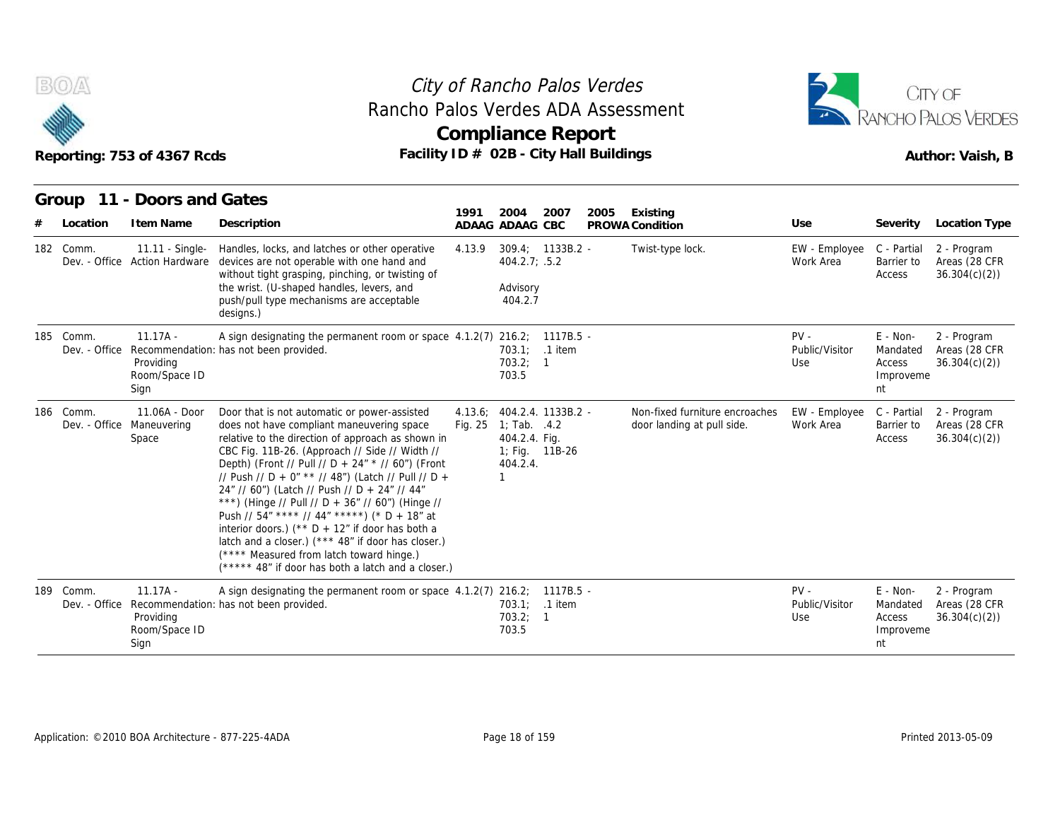



|       |                            | Reporting: 753 of 4367 Rcds                      | Rancho Palos Verdes ADA Assessment<br>Facility ID # 02B - City Hall Buildings                                                                                                                                                                                                                                                                                                                                                                                                                                                                                                                                                                                                 |                    | <b>Compliance Report</b>                                                                              |                    | City of Rancho Palos Verdes |                                                              |                                 |                                                     | CITY OF<br><b>ANCHO PALOS VERDES</b><br>Author: Vaish, B |
|-------|----------------------------|--------------------------------------------------|-------------------------------------------------------------------------------------------------------------------------------------------------------------------------------------------------------------------------------------------------------------------------------------------------------------------------------------------------------------------------------------------------------------------------------------------------------------------------------------------------------------------------------------------------------------------------------------------------------------------------------------------------------------------------------|--------------------|-------------------------------------------------------------------------------------------------------|--------------------|-----------------------------|--------------------------------------------------------------|---------------------------------|-----------------------------------------------------|----------------------------------------------------------|
| Group | Location                   | 11 - Doors and Gates<br>I tem Name               | Description                                                                                                                                                                                                                                                                                                                                                                                                                                                                                                                                                                                                                                                                   | 1991               | 2004<br>ADAAG ADAAG CBC                                                                               | 2007               | 2005                        | Existing<br>PROWA Condition                                  | Use                             | Severity                                            | Location Type                                            |
|       | 182 Comm.<br>Dev. - Office | 11.11 - Single-<br><b>Action Hardware</b>        | Handles, locks, and latches or other operative<br>devices are not operable with one hand and<br>without tight grasping, pinching, or twisting of<br>the wrist. (U-shaped handles, levers, and<br>push/pull type mechanisms are acceptable<br>designs.)                                                                                                                                                                                                                                                                                                                                                                                                                        | 4.13.9             | 404.2.7; .5.2<br>Advisory<br>404.2.7                                                                  | $309.4: 1133B.2 -$ |                             | Twist-type lock.                                             | EW - Employee<br>Work Area      | C - Partial<br>Barrier to<br>Access                 | 2 - Program<br>Areas (28 CFR<br>36.304(c)(2)             |
|       | 185 Comm.<br>Dev. - Office | $11.17A -$<br>Providing<br>Room/Space ID<br>Sign | A sign designating the permanent room or space 4.1.2(7) 216.2; 1117B.5 -<br>Recommendation: has not been provided.                                                                                                                                                                                                                                                                                                                                                                                                                                                                                                                                                            |                    | 703.2; 1<br>703.5                                                                                     | 703.1; .1 item     |                             |                                                              | $PV -$<br>Public/Visitor<br>Use | $E - Non-$<br>Mandated<br>Access<br>Improveme<br>nt | 2 - Program<br>Areas (28 CFR<br>36.304(c)(2)             |
|       | 186 Comm.<br>Dev. - Office | 11.06A - Door<br>Maneuvering<br>Space            | Door that is not automatic or power-assisted<br>does not have compliant maneuvering space<br>relative to the direction of approach as shown in<br>CBC Fig. 11B-26. (Approach // Side // Width //<br>Depth) (Front // Pull // D + 24" * // 60") (Front<br>// Push // D + 0" ** // 48") (Latch // Pull // D +<br>24" // 60") (Latch // Push // D + 24" // 44"<br>***) (Hinge // Pull // D + 36" // 60") (Hinge //<br>Push // 54" **** // 44" *****) (* D + 18" at<br>interior doors.) (** $D + 12$ " if door has both a<br>latch and a closer.) (*** 48" if door has closer.)<br>(**** Measured from latch toward hinge.)<br>(***** 48" if door has both a latch and a closer.) | 4.13.6;<br>Fig. 25 | 404.2.4. 1133B.2 -<br>1; Tab. $.4.2$<br>404.2.4. Fig.<br>1; Fig. $11B-26$<br>404.2.4.<br>$\mathbf{1}$ |                    |                             | Non-fixed furniture encroaches<br>door landing at pull side. | EW - Employee<br>Work Area      | C - Partial<br>Barrier to<br>Access                 | 2 - Program<br>Areas (28 CFR<br>36.304(c)(2)             |
|       | 189 Comm.<br>Dev. - Office | $11.17A -$<br>Providing<br>Room/Space ID<br>Sign | A sign designating the permanent room or space 4.1.2(7) 216.2; 1117B.5 -<br>Recommendation: has not been provided.                                                                                                                                                                                                                                                                                                                                                                                                                                                                                                                                                            |                    | 703.1; .1 item<br>703.2; 1<br>703.5                                                                   |                    |                             |                                                              | $PV -$<br>Public/Visitor<br>Use | $E - Non-$<br>Mandated<br>Access<br>Improveme<br>nt | 2 - Program<br>Areas (28 CFR<br>36.304(c)(2)             |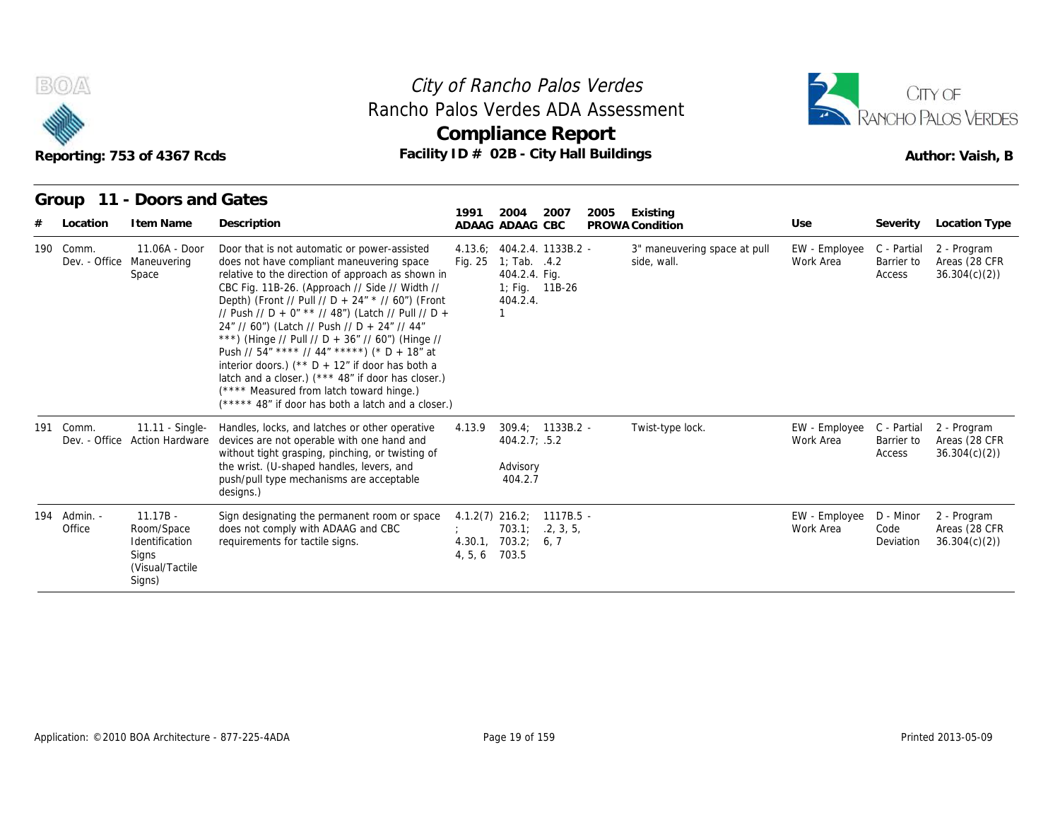



| Reporting: 753 of 4367 Rcds<br>11 - Doors and Gates<br>Group |                                                                                  |                                                                                                                                                                                                                                                                                                                                                                                                                                                                                                                                                                                                                                                                                    |         | City of Rancho Palos Verdes<br>Rancho Palos Verdes ADA Assessment<br>Compliance Report<br>Facility ID # 02B - City Hall Buildings |      |                                             |                            | CITY OF<br>RANCHO PALOS VERDES<br>Author: Vaish, B |                                              |
|--------------------------------------------------------------|----------------------------------------------------------------------------------|------------------------------------------------------------------------------------------------------------------------------------------------------------------------------------------------------------------------------------------------------------------------------------------------------------------------------------------------------------------------------------------------------------------------------------------------------------------------------------------------------------------------------------------------------------------------------------------------------------------------------------------------------------------------------------|---------|-----------------------------------------------------------------------------------------------------------------------------------|------|---------------------------------------------|----------------------------|----------------------------------------------------|----------------------------------------------|
| Location                                                     | I tem Name                                                                       | Description                                                                                                                                                                                                                                                                                                                                                                                                                                                                                                                                                                                                                                                                        | 1991    | 2004<br>2007<br>ADAAG ADAAG CBC                                                                                                   | 2005 | Existing<br>PROWA Condition                 | Use                        |                                                    | Severity Location Type                       |
| 190 Comm.                                                    | 11.06A - Door<br>Dev. - Office Maneuvering<br>Space                              | Door that is not automatic or power-assisted<br>does not have compliant maneuvering space<br>relative to the direction of approach as shown in<br>CBC Fig. 11B-26. (Approach // Side // Width //<br>Depth) (Front // Pull // D + 24" * // 60") (Front<br>// Push // D + 0" ** // 48") (Latch // Pull // D +<br>24" // 60") (Latch // Push // D + 24" // 44"<br>***) (Hinge // Pull // D + 36" // 60") (Hinge //<br>Push // $54''$ **** // $44''$ *****) (* D + 18" at<br>interior doors.) ( $*$ D + 12" if door has both a<br>latch and a closer.) (*** 48" if door has closer.)<br>(**** Measured from latch toward hinge.)<br>(***** 48" if door has both a latch and a closer.) | Fig. 25 | 4.13.6; 404.2.4. 1133B.2 -<br>1; Tab. .4.2<br>404.2.4. Fig.<br>1; Fig. 11B-26<br>404.2.4.<br>1                                    |      | 3" maneuvering space at pull<br>side, wall. | EW - Employee<br>Work Area | C - Partial<br>Barrier to<br>Access                | 2 - Program<br>Areas (28 CFR<br>36.304(c)(2) |
| 191 Comm.<br>Dev. - Office                                   | 11.11 - Single-<br><b>Action Hardware</b>                                        | Handles, locks, and latches or other operative<br>devices are not operable with one hand and<br>without tight grasping, pinching, or twisting of<br>the wrist. (U-shaped handles, levers, and<br>push/pull type mechanisms are acceptable<br>designs.)                                                                                                                                                                                                                                                                                                                                                                                                                             | 4.13.9  | $309.4; 1133B.2 -$<br>404.2.7; .5.2<br>Advisory<br>404.2.7                                                                        |      | Twist-type lock.                            | EW - Employee<br>Work Area | C - Partial<br>Barrier to<br>Access                | 2 - Program<br>Areas (28 CFR<br>36.304(c)(2) |
| 194 Admin. -<br>Office                                       | $11.17B -$<br>Room/Space<br>Identification<br>Signs<br>(Visual/Tactile<br>Signs) | Sign designating the permanent room or space<br>does not comply with ADAAG and CBC<br>requirements for tactile signs.                                                                                                                                                                                                                                                                                                                                                                                                                                                                                                                                                              | 4, 5, 6 | $4.1.2(7)$ 216.2;<br>$1117B.5 -$<br>.2, 3, 5,<br>703.1:<br>4.30.1, 703.2;<br>6,7<br>703.5                                         |      |                                             | EW - Employee<br>Work Area | D - Minor<br>Code<br>Deviation                     | 2 - Program<br>Areas (28 CFR<br>36.304(c)(2) |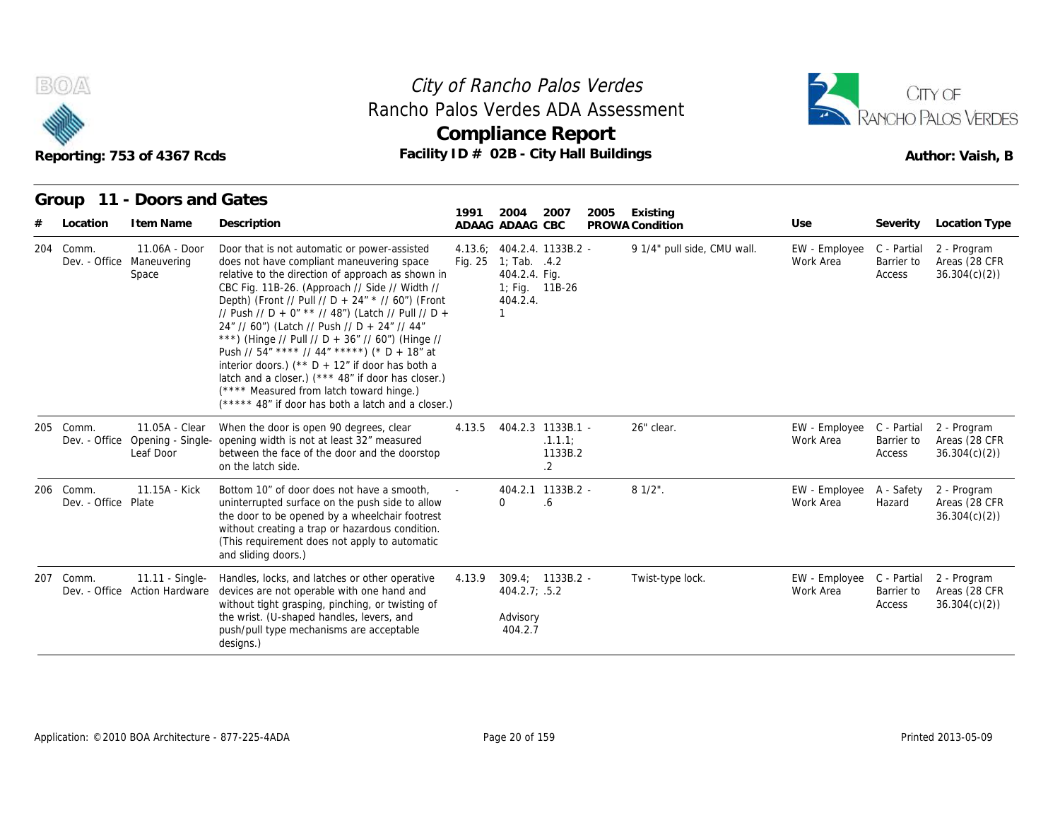



|                                  | Reporting: 753 of 4367 Rcds                                    | City of Rancho Palos Verdes<br>Rancho Palos Verdes ADA Assessment<br><b>Compliance Report</b><br>Facility ID # 02B - City Hall Buildings                                                                                                                                                                                                                                                                                                                                                                                                                                                                                                                                      |        | CITY OF<br>RANCHO PALOS VERDES<br>Author: Vaish, B                                                                |                                                     |      |                             |                            |                                     |                                              |
|----------------------------------|----------------------------------------------------------------|-------------------------------------------------------------------------------------------------------------------------------------------------------------------------------------------------------------------------------------------------------------------------------------------------------------------------------------------------------------------------------------------------------------------------------------------------------------------------------------------------------------------------------------------------------------------------------------------------------------------------------------------------------------------------------|--------|-------------------------------------------------------------------------------------------------------------------|-----------------------------------------------------|------|-----------------------------|----------------------------|-------------------------------------|----------------------------------------------|
| Group<br>Location                | 11 - Doors and Gates<br>I tem Name                             | Description                                                                                                                                                                                                                                                                                                                                                                                                                                                                                                                                                                                                                                                                   | 1991   | 2004<br>ADAAG ADAAG CBC                                                                                           | 2007                                                | 2005 | Existing<br>PROWA Condition | Use                        | Severity                            | Location Type                                |
| 204 Comm.                        | $11.06A - Door$<br>Dev. - Office Maneuvering<br>Space          | Door that is not automatic or power-assisted<br>does not have compliant maneuvering space<br>relative to the direction of approach as shown in<br>CBC Fig. 11B-26. (Approach // Side // Width //<br>Depth) (Front // Pull // D + 24" * // 60") (Front<br>// Push // D + 0" ** // 48") (Latch // Pull // D +<br>24" // 60") (Latch // Push // D + 24" // 44"<br>***) (Hinge // Pull // D + 36" // 60") (Hinge //<br>Push // 54" **** // 44" *****) (* D + 18" at<br>interior doors.) (** $D + 12$ " if door has both a<br>latch and a closer.) (*** 48" if door has closer.)<br>(**** Measured from latch toward hinge.)<br>(***** 48" if door has both a latch and a closer.) |        | 4.13.6: 404.2.4. 1133B.2 -<br>Fig. 25 1; Tab. .4.2<br>404.2.4. Fig.<br>1; Fig. 11B-26<br>404.2.4.<br>$\mathbf{1}$ |                                                     |      | 9 1/4" pull side, CMU wall. | EW - Employee<br>Work Area | C - Partial<br>Barrier to<br>Access | 2 - Program<br>Areas (28 CFR<br>36.304(c)(2) |
| 205 Comm.                        | 11.05A - Clear<br>Dev. - Office Opening - Single-<br>Leaf Door | When the door is open 90 degrees, clear<br>opening width is not at least 32" measured<br>between the face of the door and the doorstop<br>on the latch side.                                                                                                                                                                                                                                                                                                                                                                                                                                                                                                                  | 4.13.5 |                                                                                                                   | 404.2.3 1133B.1 -<br>.1.1.1<br>1133B.2<br>$\cdot$ 2 |      | 26" clear.                  | EW - Employee<br>Work Area | C - Partial<br>Barrier to<br>Access | 2 - Program<br>Areas (28 CFR<br>36.304(c)(2) |
| 206 Comm.<br>Dev. - Office Plate | 11.15A - Kick                                                  | Bottom 10" of door does not have a smooth,<br>uninterrupted surface on the push side to allow<br>the door to be opened by a wheelchair footrest<br>without creating a trap or hazardous condition.<br>(This requirement does not apply to automatic<br>and sliding doors.)                                                                                                                                                                                                                                                                                                                                                                                                    |        | $\Omega$                                                                                                          | 404.2.1 1133B.2 -<br>.6                             |      | $81/2$ ".                   | EW - Employee<br>Work Area | A - Safety<br>Hazard                | 2 - Program<br>Areas (28 CFR<br>36.304(c)(2) |
| 207 Comm.                        | 11.11 - Single-<br>Dev. - Office Action Hardware               | Handles, locks, and latches or other operative<br>devices are not operable with one hand and<br>without tight grasping, pinching, or twisting of<br>the wrist. (U-shaped handles, levers, and<br>push/pull type mechanisms are acceptable<br>designs.)                                                                                                                                                                                                                                                                                                                                                                                                                        | 4.13.9 | 309.4; 1133B.2 -<br>404.2.7; .5.2<br>Advisory<br>404.2.7                                                          |                                                     |      | Twist-type lock.            | EW - Employee<br>Work Area | C - Partial<br>Barrier to<br>Access | 2 - Program<br>Areas (28 CFR<br>36.304(c)(2) |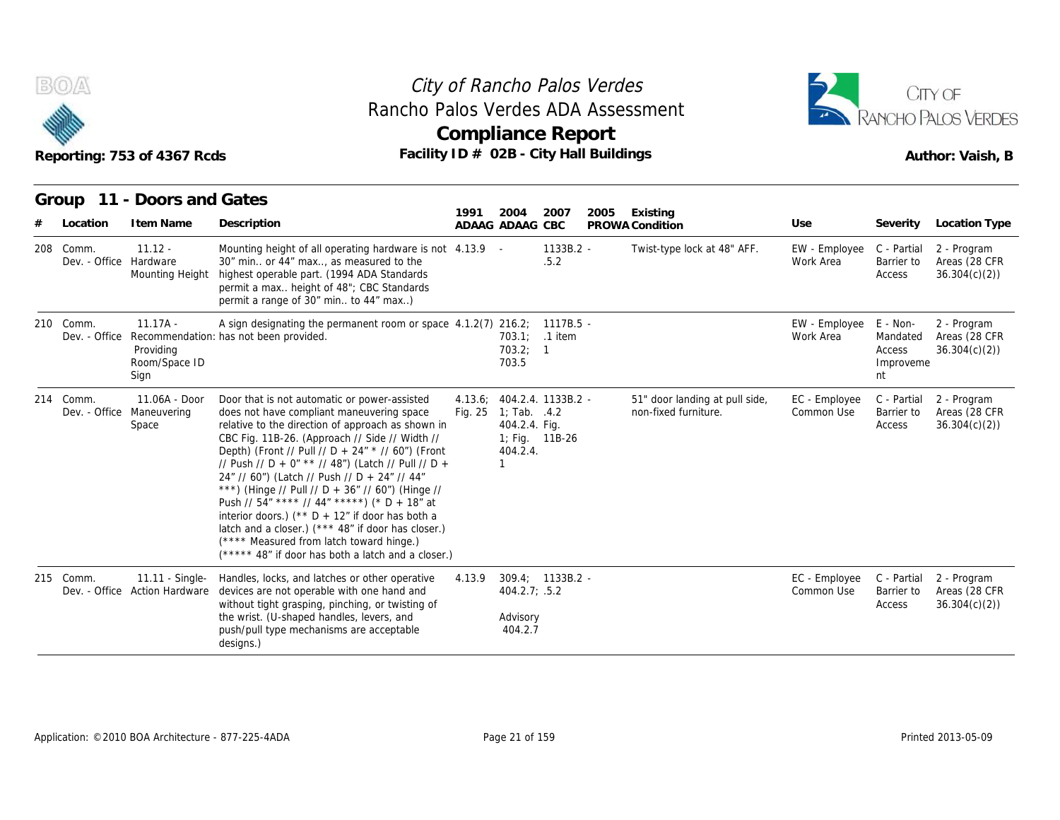



| B(0)                                | Reporting: 753 of 4367 Rcds                      | City of Rancho Palos Verdes<br>Rancho Palos Verdes ADA Assessment<br><b>Compliance Report</b><br>Facility ID # 02B - City Hall Buildings                                                                                                                                                                                                                                                                                                                                                                                                                                                                                                                                      |                    | CITY OF<br>RANCHO PALOS VERDES<br>Author: Vaish, B                                                   |                      |      |                                                        |                             |                                                   |                                              |
|-------------------------------------|--------------------------------------------------|-------------------------------------------------------------------------------------------------------------------------------------------------------------------------------------------------------------------------------------------------------------------------------------------------------------------------------------------------------------------------------------------------------------------------------------------------------------------------------------------------------------------------------------------------------------------------------------------------------------------------------------------------------------------------------|--------------------|------------------------------------------------------------------------------------------------------|----------------------|------|--------------------------------------------------------|-----------------------------|---------------------------------------------------|----------------------------------------------|
| Group<br>Location                   | 11 - Doors and Gates<br>I tem Name               | Description                                                                                                                                                                                                                                                                                                                                                                                                                                                                                                                                                                                                                                                                   | 1991               | 2004<br>ADAAG ADAAG CBC                                                                              | 2007                 | 2005 | Existing<br>PROWA Condition                            | Use                         | Severity                                          | Location Type                                |
| 208 Comm.<br>Dev. - Office Hardware | $11.12 -$<br>Mounting Height                     | Mounting height of all operating hardware is not 4.13.9 -<br>30" min or 44" max, as measured to the<br>highest operable part. (1994 ADA Standards<br>permit a max height of 48"; CBC Standards<br>permit a range of 30" min to 44" max)                                                                                                                                                                                                                                                                                                                                                                                                                                       |                    |                                                                                                      | $1133B.2 -$<br>.5.2  |      | Twist-type lock at 48" AFF.                            | EW - Employee<br>Work Area  | C - Partial<br>Barrier to<br>Access               | 2 - Program<br>Areas (28 CFR<br>36.304(c)(2) |
| 210 Comm.<br>Dev. - Office          | $11.17A -$<br>Providing<br>Room/Space ID<br>Sign | A sign designating the permanent room or space $4.1.2(7)$ 216.2;<br>Recommendation: has not been provided.                                                                                                                                                                                                                                                                                                                                                                                                                                                                                                                                                                    |                    | 703.1:<br>703.2; 1<br>703.5                                                                          | 1117B.5 -<br>.1 item |      |                                                        | EW - Employee<br>Work Area  | E - Non-<br>Mandated<br>Access<br>Improveme<br>nt | 2 - Program<br>Areas (28 CFR<br>36.304(c)(2) |
| 214 Comm.<br>Dev. - Office          | 11.06A - Door<br>Maneuvering<br>Space            | Door that is not automatic or power-assisted<br>does not have compliant maneuvering space<br>relative to the direction of approach as shown in<br>CBC Fig. 11B-26. (Approach // Side // Width //<br>Depth) (Front // Pull // D + 24" * // 60") (Front<br>// Push // D + 0" ** // 48") (Latch // Pull // D +<br>24" // 60") (Latch // Push // D + 24" // 44"<br>***) (Hinge // Pull // D + 36" // 60") (Hinge //<br>Push // 54" **** // 44" *****) (* D + 18" at<br>interior doors.) (** $D + 12$ " if door has both a<br>latch and a closer.) (*** 48" if door has closer.)<br>(**** Measured from latch toward hinge.)<br>(***** 48" if door has both a latch and a closer.) | 4.13.6:<br>Fig. 25 | 404.2.4. 1133B.2 -<br>1; Tab. $4.2$<br>404.2.4. Fig.<br>1; Fig. 11B-26<br>404.2.4.<br>$\overline{1}$ |                      |      | 51" door landing at pull side,<br>non-fixed furniture. | EC - Employee<br>Common Use | C - Partial<br>Barrier to<br>Access               | 2 - Program<br>Areas (28 CFR<br>36.304(c)(2) |
| 215 Comm.                           | 11.11 - Single-<br>Dev. - Office Action Hardware | Handles, locks, and latches or other operative<br>devices are not operable with one hand and<br>without tight grasping, pinching, or twisting of<br>the wrist. (U-shaped handles, levers, and<br>push/pull type mechanisms are acceptable<br>designs.)                                                                                                                                                                                                                                                                                                                                                                                                                        | 4.13.9             | 309.4; 1133B.2 -<br>404.2.7; .5.2<br>Advisory<br>404.2.7                                             |                      |      |                                                        | EC - Employee<br>Common Use | C - Partial<br>Barrier to<br>Access               | 2 - Program<br>Areas (28 CFR<br>36.304(c)(2) |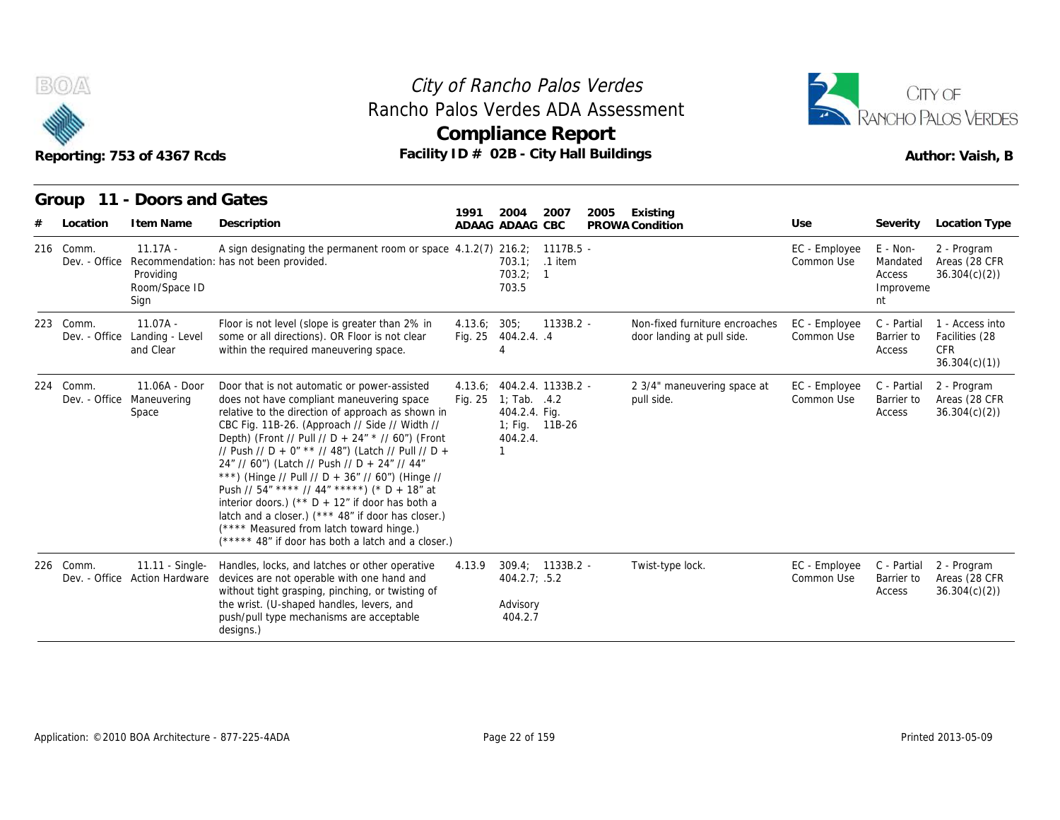

## Reporting: 753 of 4367 Rcds **Facility ID # 02B - City Hall Buildings** Reporting: 753 of 4367 Rcds Author: Vaish, B **Compliance Report** Rancho Palos Verdes ADA Assessment



|           |               | Reporting: 753 of 4367 Rcds                              | Rancho Palos Verdes ADA Assessment<br>Facility ID # 02B - City Hall Buildings                                                                                                                                                                                                                                                                                                                                                                                                                                                                                                                                                                                                         |              | City of Rancho Palos Verdes<br>Compliance Report                                       |                  |      |                                                              |                             |                                                   | CITY OF<br>ANCHO PALOS VERDES<br>Author: Vaish, B               |
|-----------|---------------|----------------------------------------------------------|---------------------------------------------------------------------------------------------------------------------------------------------------------------------------------------------------------------------------------------------------------------------------------------------------------------------------------------------------------------------------------------------------------------------------------------------------------------------------------------------------------------------------------------------------------------------------------------------------------------------------------------------------------------------------------------|--------------|----------------------------------------------------------------------------------------|------------------|------|--------------------------------------------------------------|-----------------------------|---------------------------------------------------|-----------------------------------------------------------------|
| Group     | Location      | 11 - Doors and Gates<br>I tem Name                       | Description                                                                                                                                                                                                                                                                                                                                                                                                                                                                                                                                                                                                                                                                           | 1991         | 2004<br>ADAAG ADAAG CBC                                                                | 2007             | 2005 | Existing<br>PROWA Condition                                  | Use                         | Severity                                          | Location Type                                                   |
| 216 Comm. | Dev. - Office | $11.17A -$<br>Providing<br>Room/Space ID<br>Sign         | A sign designating the permanent room or space $4.1.2(7)$ 216.2; 1178.5 -<br>Recommendation: has not been provided.                                                                                                                                                                                                                                                                                                                                                                                                                                                                                                                                                                   |              | 703.2; 1<br>703.5                                                                      | 703.1; .1 item   |      |                                                              | EC - Employee<br>Common Use | E - Non-<br>Mandated<br>Access<br>Improveme<br>nt | 2 - Program<br>Areas (28 CFR<br>36.304(c)(2)                    |
| 223 Comm. |               | $11.07A -$<br>Dev. - Office Landing - Level<br>and Clear | Floor is not level (slope is greater than 2% in<br>some or all directions). OR Floor is not clear<br>within the required maneuvering space.                                                                                                                                                                                                                                                                                                                                                                                                                                                                                                                                           | 4.13.6; 305; | Fig. 25 404.2.4. .4<br>4                                                               | 1133B.2 -        |      | Non-fixed furniture encroaches<br>door landing at pull side. | EC - Employee<br>Common Use | C - Partial<br>Barrier to<br>Access               | 1 - Access into<br>Facilities (28<br><b>CFR</b><br>36.304(c)(1) |
| 224 Comm. |               | $11.06A - Door$<br>Dev. - Office Maneuvering<br>Space    | Door that is not automatic or power-assisted<br>does not have compliant maneuvering space<br>relative to the direction of approach as shown in<br>CBC Fig. 11B-26. (Approach // Side // Width //<br>Depth) (Front // Pull // D + 24" * // 60") (Front<br>// Push // D + 0" ** // 48") (Latch // Pull // D +<br>24" // 60") (Latch // Push // D + 24" // 44"<br>***) (Hinge // Pull // D + 36" // 60") (Hinge //<br>Push // $54''$ **** // $44''$ *****) (* D + $18''$ at<br>interior doors.) ( $*$ D + 12" if door has both a<br>latch and a closer.) (*** 48" if door has closer.)<br>(**** Measured from latch toward hinge.)<br>(***** 48" if door has both a latch and a closer.) |              | $4.13.6: 404.2.4. 1133B.2 -$<br>Fig. 25 1; Tab. .4.2<br>404.2.4. Fig.<br>404.2.4.<br>1 | 1; Fig. 11B-26   |      | 2 3/4" maneuvering space at<br>pull side.                    | EC - Employee<br>Common Use | C - Partial<br>Barrier to<br>Access               | 2 - Program<br>Areas (28 CFR<br>36.304(c)(2)                    |
| 226 Comm. |               | 11.11 - Single-<br>Dev. - Office Action Hardware         | Handles, locks, and latches or other operative<br>devices are not operable with one hand and<br>without tight grasping, pinching, or twisting of<br>the wrist. (U-shaped handles, levers, and<br>push/pull type mechanisms are acceptable<br>designs.)                                                                                                                                                                                                                                                                                                                                                                                                                                | 4.13.9       | 404.2.7; .5.2<br>Advisory<br>404.2.7                                                   | 309.4; 1133B.2 - |      | Twist-type lock.                                             | EC - Employee<br>Common Use | C - Partial<br>Barrier to<br>Access               | 2 - Program<br>Areas (28 CFR<br>36.304(c)(2)                    |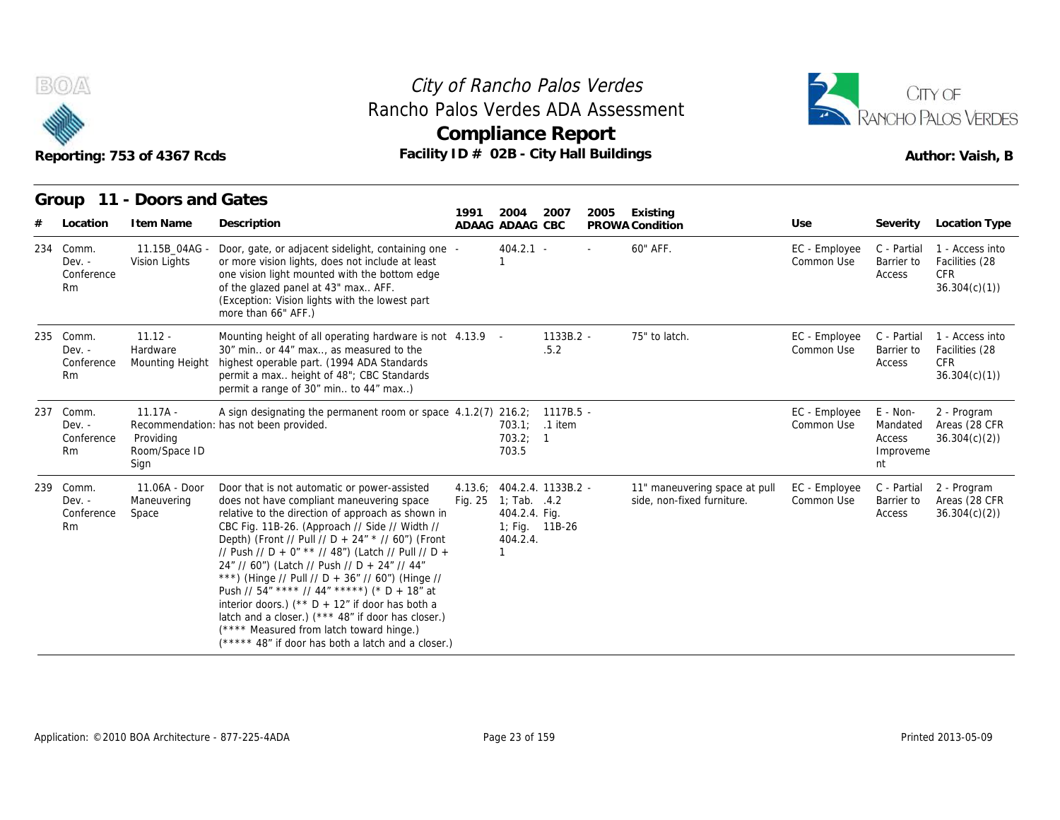

## Reporting: 753 of 4367 Rcds **Facility ID # 02B - City Hall Buildings** Reporting: 753 of 4367 Rcds Author: Vaish, B **Compliance Report** Rancho Palos Verdes ADA Assessment



|     |                                              | Reporting: 753 of 4367 Rcds                      |                                                                                                                                                                                                                                                                                                                                                                                                                                                                                                                                                                                                                                                                               | Rancho Palos Verdes ADA Assessment<br><b>Compliance Report</b><br>Facility ID # 02B - City Hall Buildings |                                                                                 |                             |      |                                                             |                             |                                                   |                                                                 |  |  |  |
|-----|----------------------------------------------|--------------------------------------------------|-------------------------------------------------------------------------------------------------------------------------------------------------------------------------------------------------------------------------------------------------------------------------------------------------------------------------------------------------------------------------------------------------------------------------------------------------------------------------------------------------------------------------------------------------------------------------------------------------------------------------------------------------------------------------------|-----------------------------------------------------------------------------------------------------------|---------------------------------------------------------------------------------|-----------------------------|------|-------------------------------------------------------------|-----------------------------|---------------------------------------------------|-----------------------------------------------------------------|--|--|--|
| #   | Location                                     | Group 11 - Doors and Gates<br>I tem Name         | Description                                                                                                                                                                                                                                                                                                                                                                                                                                                                                                                                                                                                                                                                   | 1991                                                                                                      | 2004<br>ADAAG ADAAG CBC                                                         | 2007                        | 2005 | Existing<br>PROWA Condition                                 | Use                         | Severity                                          | <b>Location Type</b>                                            |  |  |  |
| 234 | Comm.<br>$Dev. -$<br>Conference<br><b>Rm</b> | 11.15B 04AG -<br>Vision Lights                   | Door, gate, or adjacent sidelight, containing one -<br>or more vision lights, does not include at least<br>one vision light mounted with the bottom edge<br>of the glazed panel at 43" max AFF.<br>(Exception: Vision lights with the lowest part<br>more than 66" AFF.)                                                                                                                                                                                                                                                                                                                                                                                                      |                                                                                                           | $404.2.1 -$                                                                     |                             |      | 60" AFF.                                                    | EC - Employee<br>Common Use | C - Partial<br>Barrier to<br>Access               | 1 - Access into<br>Facilities (28<br><b>CFR</b><br>36.304(c)(1) |  |  |  |
|     | 235 Comm.<br>$Dev. -$<br>Conference<br>Rm    | $11.12 -$<br>Hardware<br>Mounting Height         | Mounting height of all operating hardware is not 4.13.9 -<br>30" min or 44" max, as measured to the<br>highest operable part. (1994 ADA Standards<br>permit a max height of 48"; CBC Standards<br>permit a range of 30" min to 44" max)                                                                                                                                                                                                                                                                                                                                                                                                                                       |                                                                                                           |                                                                                 | 1133B.2 -<br>.5.2           |      | 75" to latch.                                               | EC - Employee<br>Common Use | C - Partial<br>Barrier to<br>Access               | 1 - Access into<br>Facilities (28<br>CFR<br>36.304(c)(1)        |  |  |  |
| 237 | Comm.<br>Dev. -<br>Conference<br>Rm          | $11.17A -$<br>Providing<br>Room/Space ID<br>Sign | A sign designating the permanent room or space 4.1.2(7) 216.2;<br>Recommendation: has not been provided.                                                                                                                                                                                                                                                                                                                                                                                                                                                                                                                                                                      |                                                                                                           | 703.2; 1<br>703.5                                                               | 1117B.5 -<br>703.1; .1 item |      |                                                             | EC - Employee<br>Common Use | E - Non-<br>Mandated<br>Access<br>Improveme<br>nt | 2 - Program<br>Areas (28 CFR<br>36.304(c)(2)                    |  |  |  |
| 239 | Comm.<br>$Dev. -$<br>Conference<br>Rm        | 11.06A - Door<br>Maneuvering<br>Space            | Door that is not automatic or power-assisted<br>does not have compliant maneuvering space<br>relative to the direction of approach as shown in<br>CBC Fig. 11B-26. (Approach // Side // Width //<br>Depth) (Front // Pull // D + 24" * // 60") (Front<br>// Push // D + 0" ** // 48") (Latch // Pull // D +<br>24" // 60") (Latch // Push // D + 24" // 44"<br>***) (Hinge // Pull // D + 36" // 60") (Hinge //<br>Push // 54" **** // 44" *****) (* D + 18" at<br>interior doors.) (** $D + 12$ " if door has both a<br>latch and a closer.) (*** 48" if door has closer.)<br>(**** Measured from latch toward hinge.)<br>(***** 48" if door has both a latch and a closer.) |                                                                                                           | 4.13.6; 404.2.4. 1133B.2 -<br>Fig. 25 1; Tab. .4.2<br>404.2.4. Fig.<br>404.2.4. | 1; Fig. 11B-26              |      | 11" maneuvering space at pull<br>side, non-fixed furniture. | EC - Employee<br>Common Use | C - Partial<br>Barrier to<br>Access               | 2 - Program<br>Areas (28 CFR<br>36.304(c)(2)                    |  |  |  |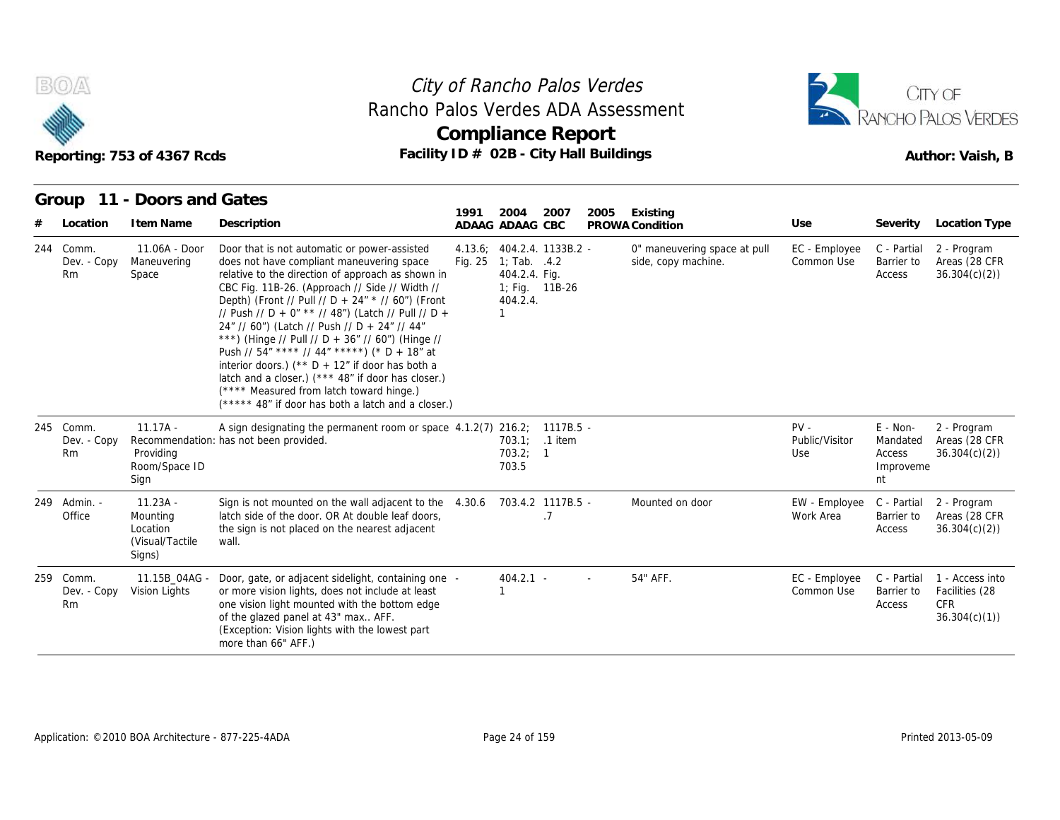



|                                | Reporting: 753 of 4367 Rcds                                      | Rancho Palos Verdes ADA Assessment<br>Facility ID # 02B - City Hall Buildings                                                                                                                                                                                                                                                                                                                                                                                                                                                                                                                                                                                                 | City of Rancho Palos Verdes<br><b>Compliance Report</b> |                                                                                                 | CITY OF<br>RANCHO PALOS VERDES<br>Author: Vaish, B |      |                                                     |                                 |                                                     |                                                                 |
|--------------------------------|------------------------------------------------------------------|-------------------------------------------------------------------------------------------------------------------------------------------------------------------------------------------------------------------------------------------------------------------------------------------------------------------------------------------------------------------------------------------------------------------------------------------------------------------------------------------------------------------------------------------------------------------------------------------------------------------------------------------------------------------------------|---------------------------------------------------------|-------------------------------------------------------------------------------------------------|----------------------------------------------------|------|-----------------------------------------------------|---------------------------------|-----------------------------------------------------|-----------------------------------------------------------------|
| Group<br>Location              | 11 - Doors and Gates<br>I tem Name                               | Description                                                                                                                                                                                                                                                                                                                                                                                                                                                                                                                                                                                                                                                                   | 1991                                                    | 2004<br>ADAAG ADAAG CBC                                                                         | 2007                                               | 2005 | Existing<br>PROWA Condition                         | Use                             | Severity                                            | Location Type                                                   |
| 244 Comm.<br>Dev. - Copy<br>Rm | 11.06A - Door<br>Maneuvering<br>Space                            | Door that is not automatic or power-assisted<br>does not have compliant maneuvering space<br>relative to the direction of approach as shown in<br>CBC Fig. 11B-26. (Approach // Side // Width //<br>Depth) (Front // Pull // D + 24" * // 60") (Front<br>// Push // D + 0" ** // 48") (Latch // Pull // D +<br>24" // 60") (Latch // Push // D + 24" // 44"<br>***) (Hinge // Pull // D + 36" // 60") (Hinge //<br>Push // 54" **** // 44" *****) (* D + 18" at<br>interior doors.) (** $D + 12$ " if door has both a<br>latch and a closer.) (*** 48" if door has closer.)<br>(**** Measured from latch toward hinge.)<br>(***** 48" if door has both a latch and a closer.) |                                                         | 4.13.6; 404.2.4. 1133B.2 -<br>Fig. 25 1; Tab. .4.2<br>404.2.4. Fig.<br>404.2.4.<br>$\mathbf{1}$ | 1; Fig. 11B-26                                     |      | 0" maneuvering space at pull<br>side, copy machine. | EC - Employee<br>Common Use     | C - Partial<br>Barrier to<br>Access                 | 2 - Program<br>Areas (28 CFR<br>36.304(c)(2)                    |
| 245 Comm.<br>Dev. - Copy<br>Rm | $11.17A -$<br>Providing<br>Room/Space ID<br>Sign                 | A sign designating the permanent room or space 4.1.2(7) 216.2; 1117B.5 -<br>Recommendation: has not been provided.                                                                                                                                                                                                                                                                                                                                                                                                                                                                                                                                                            |                                                         | 703.1; .1 item<br>703.2; 1<br>703.5                                                             |                                                    |      |                                                     | $PV -$<br>Public/Visitor<br>Use | $E - Non-$<br>Mandated<br>Access<br>Improveme<br>nt | 2 - Program<br>Areas (28 CFR<br>36.304(c)(2)                    |
| 249 Admin. -<br>Office         | $11.23A -$<br>Mounting<br>Location<br>(Visual/Tactile)<br>Signs) | Sign is not mounted on the wall adjacent to the<br>latch side of the door. OR At double leaf doors,<br>the sign is not placed on the nearest adjacent<br>wall.                                                                                                                                                                                                                                                                                                                                                                                                                                                                                                                | 4.30.6                                                  |                                                                                                 | 703.4.2 1117B.5 -<br>.7                            |      | Mounted on door                                     | EW - Employee<br>Work Area      | C - Partial<br>Barrier to<br>Access                 | 2 - Program<br>Areas (28 CFR<br>36.304(c)(2)                    |
| 259 Comm.<br>Dev. - Copy<br>Rm | 11.15B 04AG -<br>Vision Lights                                   | Door, gate, or adjacent sidelight, containing one -<br>or more vision lights, does not include at least<br>one vision light mounted with the bottom edge<br>of the glazed panel at 43" max AFF.<br>(Exception: Vision lights with the lowest part<br>more than 66" AFF.)                                                                                                                                                                                                                                                                                                                                                                                                      |                                                         | $404.2.1 -$<br>1                                                                                |                                                    |      | 54" AFF.                                            | EC - Employee<br>Common Use     | C - Partial<br>Barrier to<br>Access                 | 1 - Access into<br>Facilities (28<br><b>CFR</b><br>36.304(c)(1) |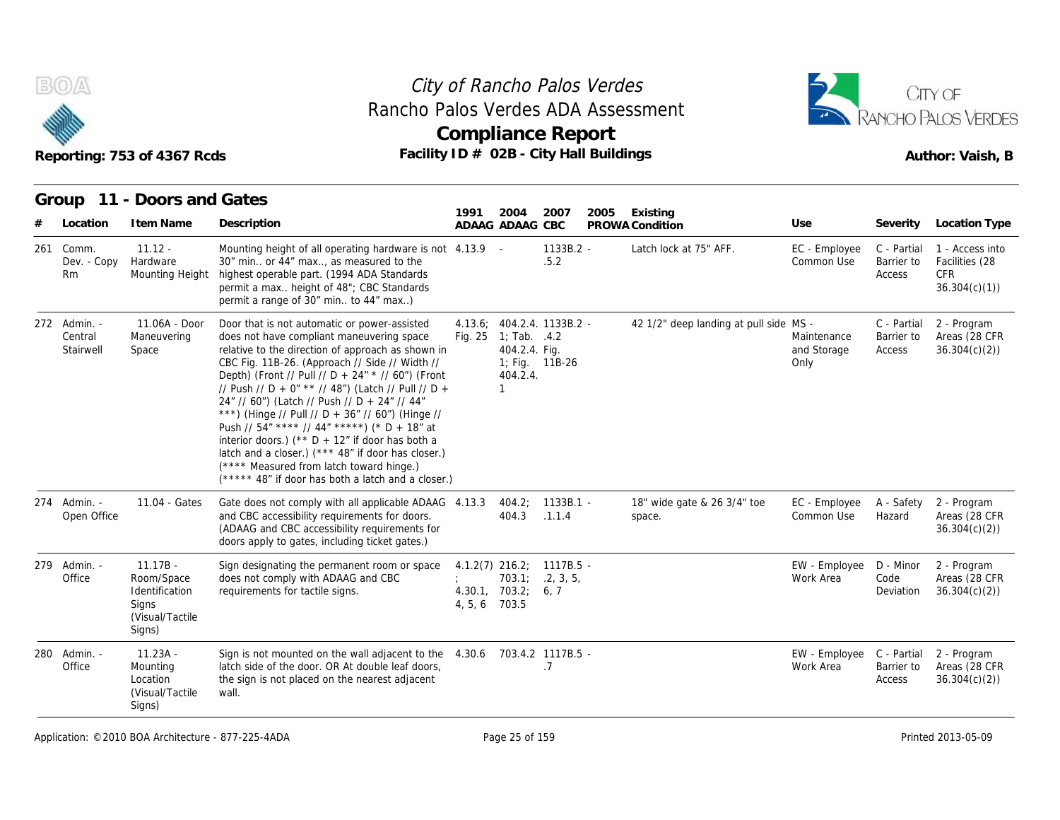



|     |                                      | Reporting: 753 of 4367 Rcds                                                      | Facility ID # 02B - City Hall Buildings                                                                                                                                                                                                                                                                                                                                                                                                                                                                                                                                                                                                                                       | <b>Compliance Report</b> |                                             |                                              |      |                                        |                                        |                                     | Author: Vaish, B                                                |
|-----|--------------------------------------|----------------------------------------------------------------------------------|-------------------------------------------------------------------------------------------------------------------------------------------------------------------------------------------------------------------------------------------------------------------------------------------------------------------------------------------------------------------------------------------------------------------------------------------------------------------------------------------------------------------------------------------------------------------------------------------------------------------------------------------------------------------------------|--------------------------|---------------------------------------------|----------------------------------------------|------|----------------------------------------|----------------------------------------|-------------------------------------|-----------------------------------------------------------------|
|     | Group                                | 11 - Doors and Gates                                                             |                                                                                                                                                                                                                                                                                                                                                                                                                                                                                                                                                                                                                                                                               | 1991                     | 2004                                        | 2007                                         | 2005 | Existing                               |                                        |                                     |                                                                 |
|     | Location                             | I tem Name                                                                       | Description                                                                                                                                                                                                                                                                                                                                                                                                                                                                                                                                                                                                                                                                   |                          | ADAAG ADAAG CBC                             |                                              |      | PROWA Condition                        | Use                                    | Severity                            | Location Type                                                   |
| 261 | Comm.<br>Dev. - Copy<br>Rm           | $11.12 -$<br>Hardware<br>Mounting Height                                         | Mounting height of all operating hardware is not 4.13.9 -<br>30" min or 44" max, as measured to the<br>highest operable part. (1994 ADA Standards<br>permit a max height of 48"; CBC Standards<br>permit a range of 30" min to 44" max)                                                                                                                                                                                                                                                                                                                                                                                                                                       |                          |                                             | $1133B.2 -$<br>.5.2                          |      | Latch lock at 75" AFF.                 | EC - Employee<br>Common Use            | C - Partial<br>Barrier to<br>Access | 1 - Access into<br>Facilities (28<br><b>CFR</b><br>36.304(c)(1) |
|     | 272 Admin. -<br>Central<br>Stairwell | 11.06A - Door<br>Maneuvering<br>Space                                            | Door that is not automatic or power-assisted<br>does not have compliant maneuvering space<br>relative to the direction of approach as shown in<br>CBC Fig. 11B-26. (Approach // Side // Width //<br>Depth) (Front // Pull // D + 24" * // 60") (Front<br>// Push // D + 0" ** // 48") (Latch // Pull // D +<br>24" // 60") (Latch // Push // D + 24" // 44"<br>***) (Hinge // Pull // D + 36" // 60") (Hinge //<br>Push // 54" **** // 44" *****) (* D + 18" at<br>interior doors.) (** $D + 12$ " if door has both a<br>latch and a closer.) (*** 48" if door has closer.)<br>(**** Measured from latch toward hinge.)<br>(***** 48" if door has both a latch and a closer.) | Fig. 25                  | 1; Tab. $.4.2$<br>404.2.4. Fig.<br>404.2.4. | 4.13.6; 404.2.4. 1133B.2 -<br>1; Fig. 11B-26 |      | 42 1/2" deep landing at pull side MS - | Maintenance<br>and Storage<br>Only     | C - Partial<br>Barrier to<br>Access | 2 - Program<br>Areas (28 CFR<br>36.304(c)(2)                    |
|     | 274 Admin. -<br>Open Office          | 11.04 - Gates                                                                    | Gate does not comply with all applicable ADAAG 4.13.3<br>and CBC accessibility requirements for doors.<br>(ADAAG and CBC accessibility requirements for<br>doors apply to gates, including ticket gates.)                                                                                                                                                                                                                                                                                                                                                                                                                                                                     |                          | 404.2;<br>404.3                             | $1133B.1 -$<br>.1.1.4                        |      | 18" wide gate & 26 3/4" toe<br>space.  | EC - Employee<br>Common Use            | A - Safety<br>Hazard                | 2 - Program<br>Areas (28 CFR<br>36.304(c)(2)                    |
|     | 279 Admin. -<br>Office               | $11.17B -$<br>Room/Space<br>Identification<br>Signs<br>(Visual/Tactile<br>Signs) | Sign designating the permanent room or space<br>does not comply with ADAAG and CBC<br>requirements for tactile signs.                                                                                                                                                                                                                                                                                                                                                                                                                                                                                                                                                         | 4, 5, 6 703.5            | $4.1.2(7)$ 216.2;<br>4.30.1, $703.2; 6, 7$  | 1117B.5 -<br>703.1; 2, 3, 5,                 |      |                                        | EW - Employee<br>Work Area             | D - Minor<br>Code<br>Deviation      | 2 - Program<br>Areas (28 CFR<br>36.304(c)(2)                    |
| 280 | Admin.<br>Office                     | $11.23A -$<br>Mounting<br>Location<br>(Visual/Tactile)<br>Signs)                 | Sign is not mounted on the wall adjacent to the 4.30.6 703.4.2 1117B.5 -<br>latch side of the door. OR At double leaf doors,<br>the sign is not placed on the nearest adjacent<br>wall.                                                                                                                                                                                                                                                                                                                                                                                                                                                                                       |                          |                                             | .7                                           |      |                                        | EW - Employee C - Partial<br>Work Area | Barrier to<br>Access                | 2 - Program<br>Areas (28 CFR<br>36.304(c)(2)                    |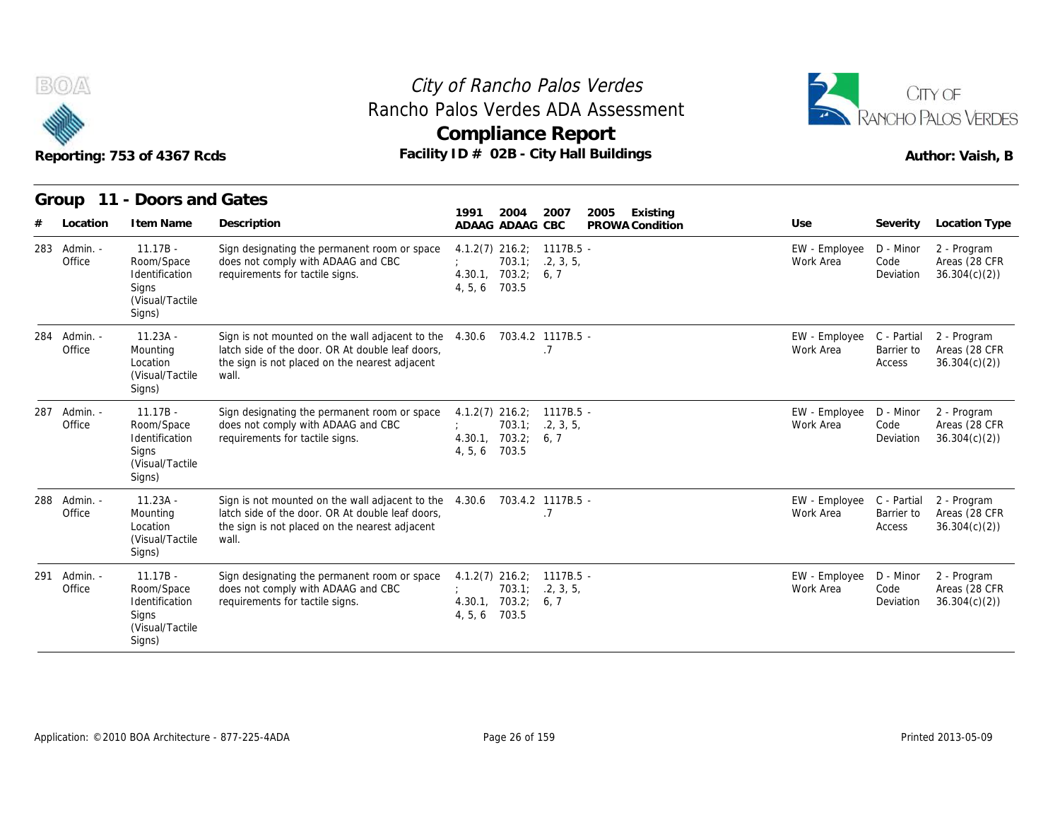

#### Reporting: 753 of 4367 Rcds **Facility ID # 02B - City Hall Buildings** Reporting: 753 of 4367 Rcds Author: Vaish, B City of Rancho Palos Verdes **Compliance Report** Rancho Palos Verdes ADA Assessment



|                        | Reporting: 753 of 4367 Rcds                                                       |                                                                                                                                                                | Rancho Palos Verdes ADA Assessment<br><b>Compliance Report</b><br>Facility ID # 02B - City Hall Buildings |                                     |                            |                                     | CITY OF<br><b>ANCHO PALOS VERDES</b><br>Author: Vaish, B |
|------------------------|-----------------------------------------------------------------------------------|----------------------------------------------------------------------------------------------------------------------------------------------------------------|-----------------------------------------------------------------------------------------------------------|-------------------------------------|----------------------------|-------------------------------------|----------------------------------------------------------|
| Group                  | 11 - Doors and Gates                                                              |                                                                                                                                                                | 2007                                                                                                      |                                     |                            |                                     |                                                          |
| Location               | I tem Name                                                                        | Description                                                                                                                                                    | 1991<br>2004<br>ADAAG ADAAG CBC                                                                           | 2005<br>Existing<br>PROWA Condition | Use                        | Severity                            | Location Type                                            |
| 283 Admin. -<br>Office | $11.17B -$<br>Room/Space<br>Identification<br>Signs<br>(Visual/Tactile<br>Signs)  | Sign designating the permanent room or space<br>does not comply with ADAAG and CBC<br>requirements for tactile signs.                                          | $4.1.2(7)$ 216.2; 1117B.5 -<br>703.1:<br>.2, 3, 5,<br>4.30.1, 703.2;<br>6, 7<br>703.5<br>4, 5, 6          |                                     | EW - Employee<br>Work Area | D - Minor<br>Code<br>Deviation      | 2 - Program<br>Areas (28 CFR<br>36.304(c)(2)             |
| 284 Admin. -<br>Office | $11.23A -$<br>Mounting<br>Location<br>(Visual/Tactile<br>Signs)                   | Sign is not mounted on the wall adjacent to the<br>latch side of the door. OR At double leaf doors,<br>the sign is not placed on the nearest adjacent<br>wall. | 4.30.6<br>703.4.2 1117B.5 -<br>.7                                                                         |                                     | EW - Employee<br>Work Area | C - Partial<br>Barrier to<br>Access | 2 - Program<br>Areas (28 CFR<br>36.304(c)(2)             |
| 287 Admin. -<br>Office | $11.17B -$<br>Room/Space<br>Identification<br>Signs<br>(Visual/Tactile)<br>Signs) | Sign designating the permanent room or space<br>does not comply with ADAAG and CBC<br>requirements for tactile signs.                                          | $4.1.2(7)$ 216.2; 1117B.5 -<br>.2, 3, 5,<br>703.1;<br>4.30.1, 703.2;<br>6, 7<br>4, 5, 6<br>703.5          |                                     | EW - Employee<br>Work Area | D - Minor<br>Code<br>Deviation      | 2 - Program<br>Areas (28 CFR<br>36.304(c)(2)             |
| 288 Admin. -<br>Office | $11.23A -$<br>Mounting<br>Location<br>(Visual/Tactile<br>Signs)                   | Sign is not mounted on the wall adjacent to the<br>latch side of the door. OR At double leaf doors,<br>the sign is not placed on the nearest adjacent<br>wall. | 703.4.2 1117B.5 -<br>4.30.6<br>.7                                                                         |                                     | EW - Employee<br>Work Area | C - Partial<br>Barrier to<br>Access | 2 - Program<br>Areas (28 CFR<br>36.304(c)(2)             |
| 291 Admin. -<br>Office | $11.17B -$<br>Room/Space<br>Identification<br>Signs<br>(Visual/Tactile<br>Signs)  | Sign designating the permanent room or space<br>does not comply with ADAAG and CBC<br>requirements for tactile signs.                                          | $4.1.2(7)$ 216.2;<br>$1117B.5 -$<br>.2, 3, 5,<br>703.1;<br>703.2;<br>6, 7<br>4.30.1,<br>703.5<br>4, 5, 6  |                                     | EW - Employee<br>Work Area | D - Minor<br>Code<br>Deviation      | 2 - Program<br>Areas (28 CFR<br>36.304(c)(2)             |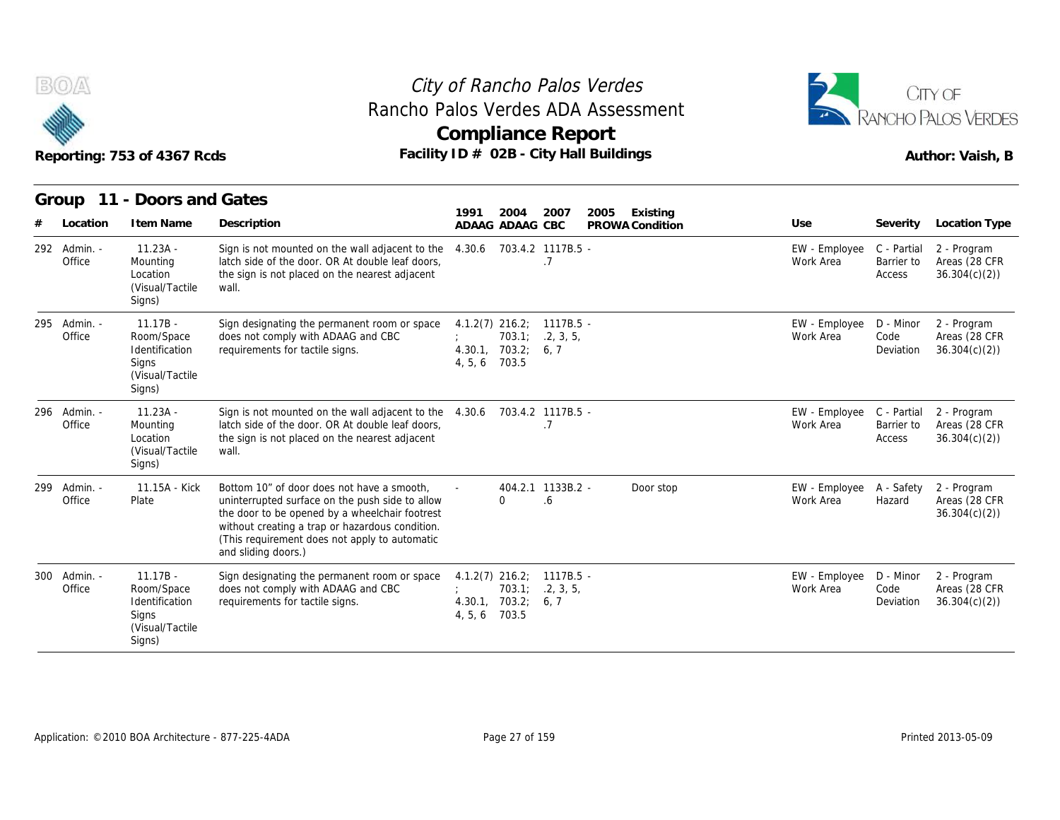

#### Reporting: 753 of 4367 Rcds **Facility ID # 02B - City Hall Buildings** Reporting: 753 of 4367 Rcds Author: Vaish, B City of Rancho Palos Verdes **Compliance Report** Rancho Palos Verdes ADA Assessment



|                        | Reporting: 753 of 4367 Rcds                                                       |                                                                                                                                                                                                                                                                            | City of Rancho Palos Verdes<br><b>Compliance Report</b><br>Facility ID # 02B - City Hall Buildings |                                | Rancho Palos Verdes ADA Assessment |                            |                                     | CITY OF<br>ANCHO PALOS VERDES<br>Author: Vaish, B |
|------------------------|-----------------------------------------------------------------------------------|----------------------------------------------------------------------------------------------------------------------------------------------------------------------------------------------------------------------------------------------------------------------------|----------------------------------------------------------------------------------------------------|--------------------------------|------------------------------------|----------------------------|-------------------------------------|---------------------------------------------------|
|                        | Group 11 - Doors and Gates                                                        |                                                                                                                                                                                                                                                                            | 1991<br>2004                                                                                       | 2007                           | 2005<br>Existing                   |                            |                                     |                                                   |
| Location               | I tem Name                                                                        | Description                                                                                                                                                                                                                                                                | ADAAG ADAAG CBC                                                                                    |                                | PROWA Condition                    | Use                        | Severity                            | <b>Location Type</b>                              |
| 292 Admin. -<br>Office | $11.23A -$<br>Mounting<br>Location<br>(Visual/Tactile<br>Signs)                   | Sign is not mounted on the wall adjacent to the<br>latch side of the door. OR At double leaf doors,<br>the sign is not placed on the nearest adjacent<br>wall.                                                                                                             | 4.30.6                                                                                             | 703.4.2 1117B.5 -<br>.7        |                                    | EW - Employee<br>Work Area | C - Partial<br>Barrier to<br>Access | 2 - Program<br>Areas (28 CFR<br>36.304(c)(2)      |
| 295 Admin. -<br>Office | $11.17B -$<br>Room/Space<br>Identification<br>Signs<br>(Visual/Tactile<br>Signs)  | Sign designating the permanent room or space<br>does not comply with ADAAG and CBC<br>requirements for tactile signs.                                                                                                                                                      | $4.1.2(7)$ 216.2;<br>703.1:<br>4.30.1, 703.2;<br>4, 5, 6 703.5                                     | 1117B.5 -<br>.2, 3, 5,<br>6, 7 |                                    | EW - Employee<br>Work Area | D - Minor<br>Code<br>Deviation      | 2 - Program<br>Areas (28 CFR<br>36.304(c)(2)      |
| 296 Admin. -<br>Office | $11.23A -$<br>Mounting<br>Location<br>(Visual/Tactile<br>Signs)                   | Sign is not mounted on the wall adjacent to the<br>latch side of the door. OR At double leaf doors,<br>the sign is not placed on the nearest adjacent<br>wall.                                                                                                             | 4.30.6                                                                                             | 703.4.2 1117B.5 -<br>.7        |                                    | EW - Employee<br>Work Area | C - Partial<br>Barrier to<br>Access | 2 - Program<br>Areas (28 CFR<br>36.304(c)(2)      |
| 299 Admin. -<br>Office | 11.15A - Kick<br>Plate                                                            | Bottom 10" of door does not have a smooth.<br>uninterrupted surface on the push side to allow<br>the door to be opened by a wheelchair footrest<br>without creating a trap or hazardous condition.<br>(This requirement does not apply to automatic<br>and sliding doors.) | $\Omega$                                                                                           | 404.2.1 1133B.2 -<br>6.6       | Door stop                          | EW - Employee<br>Work Area | A - Safety<br>Hazard                | 2 - Program<br>Areas (28 CFR<br>36.304(c)(2)      |
| 300 Admin. -<br>Office | $11.17B -$<br>Room/Space<br>Identification<br>Signs<br>(Visual/Tactile)<br>Signs) | Sign designating the permanent room or space<br>does not comply with ADAAG and CBC<br>requirements for tactile signs.                                                                                                                                                      | $4.1.2(7)$ 216.2;<br>703.1<br>4.30.1, 703.2;<br>703.5<br>4, 5, 6                                   | 1117B.5 -<br>.2, 3, 5<br>6, 7  |                                    | EW - Employee<br>Work Area | D - Minor<br>Code<br>Deviation      | 2 - Program<br>Areas (28 CFR<br>36.304(c)(2)      |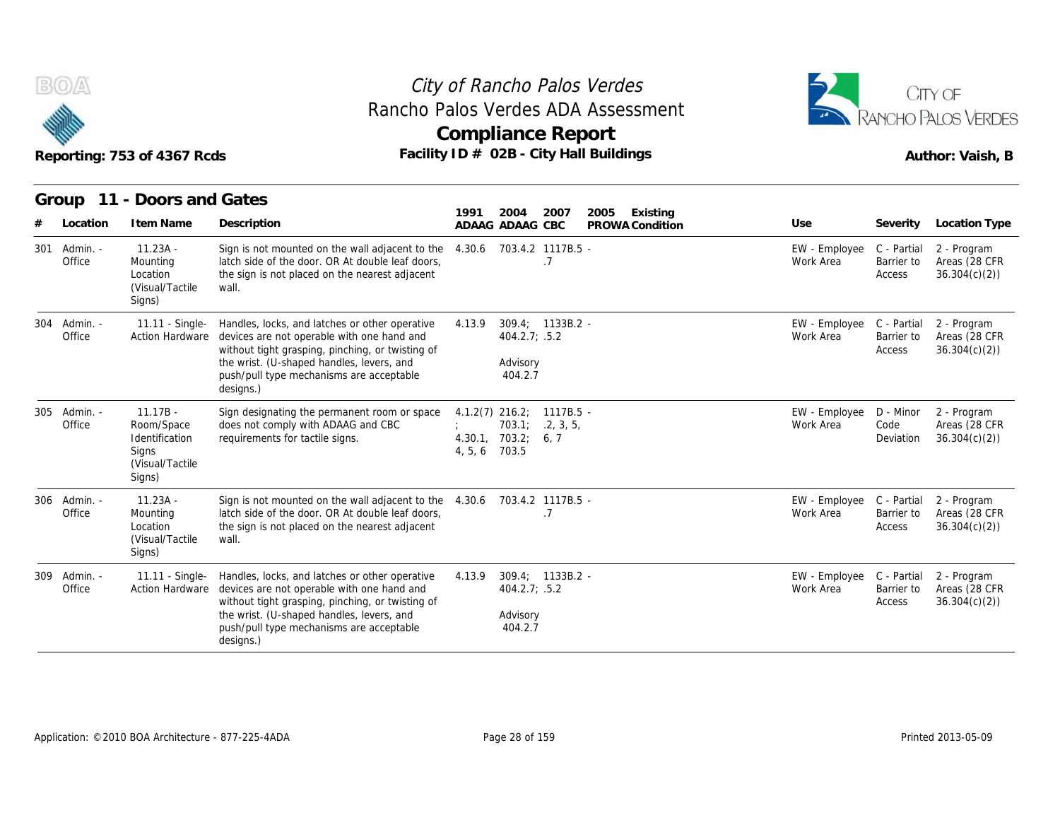



|                           | Reporting: 753 of 4367 Rcds                                                      |                                                                                                                                                                                                                                                        | Rancho Palos Verdes ADA Assessment<br><b>Compliance Report</b><br>Facility ID # 02B - City Hall Buildings |                                     |                                        |                                     | <b>RANCHO PALOS VERDES</b><br>Author: Vaish, B |
|---------------------------|----------------------------------------------------------------------------------|--------------------------------------------------------------------------------------------------------------------------------------------------------------------------------------------------------------------------------------------------------|-----------------------------------------------------------------------------------------------------------|-------------------------------------|----------------------------------------|-------------------------------------|------------------------------------------------|
| Location                  | Group 11 - Doors and Gates<br>I tem Name                                         | Description                                                                                                                                                                                                                                            | 2004<br>2007<br>1991<br>ADAAG ADAAG CBC                                                                   | Existing<br>2005<br>PROWA Condition | Use                                    | Severity                            | <b>Location Type</b>                           |
| 301<br>Admin. -<br>Office | $11.23A -$<br>Mounting<br>Location<br>(Visual/Tactile<br>Signs)                  | Sign is not mounted on the wall adjacent to the<br>latch side of the door. OR At double leaf doors,<br>the sign is not placed on the nearest adjacent<br>wall.                                                                                         | 703.4.2 1117B.5 -<br>4.30.6<br>.7                                                                         |                                     | EW - Employee<br>Work Area             | C - Partial<br>Barrier to<br>Access | 2 - Program<br>Areas (28 CFR<br>36.304(c)(2)   |
| Admin. -<br>304<br>Office | 11.11 - Single-<br><b>Action Hardware</b>                                        | Handles, locks, and latches or other operative<br>devices are not operable with one hand and<br>without tight grasping, pinching, or twisting of<br>the wrist. (U-shaped handles, levers, and<br>push/pull type mechanisms are acceptable<br>designs.) | $309.4: 1133B.2 -$<br>4.13.9<br>404.2.7; .5.2<br>Advisory<br>404.2.7                                      |                                     | EW - Employee<br>Work Area             | C - Partial<br>Barrier to<br>Access | 2 - Program<br>Areas (28 CFR<br>36.304(c)(2)   |
| 305 Admin. -<br>Office    | $11.17B -$<br>Room/Space<br>Identification<br>Signs<br>(Visual/Tactile<br>Signs) | Sign designating the permanent room or space<br>does not comply with ADAAG and CBC<br>requirements for tactile signs.                                                                                                                                  | $4.1.2(7)$ 216.2; 1117B.5 -<br>703.1;<br>.2, 3, 5,<br>4.30.1, 703.2; 6, 7<br>703.5<br>4, 5, 6             |                                     | EW - Employee<br>Work Area             | D - Minor<br>Code<br>Deviation      | 2 - Program<br>Areas (28 CFR<br>36.304(c)(2)   |
| Admin. -<br>306<br>Office | $11.23A -$<br>Mounting<br>Location<br>(Visual/Tactile)<br>Signs)                 | Sign is not mounted on the wall adjacent to the 4.30.6<br>latch side of the door. OR At double leaf doors,<br>the sign is not placed on the nearest adjacent<br>wall.                                                                                  | 703.4.2 1117B.5 -<br>.7                                                                                   |                                     | EW - Employee<br>Work Area             | C - Partial<br>Barrier to<br>Access | 2 - Program<br>Areas (28 CFR<br>36.304(c)(2)   |
| 309<br>Admin. -<br>Office | 11.11 - Single-<br>Action Hardware                                               | Handles, locks, and latches or other operative<br>devices are not operable with one hand and<br>without tight grasping, pinching, or twisting of<br>the wrist. (U-shaped handles, levers, and<br>push/pull type mechanisms are acceptable<br>designs.) | $309.4: 1133B.2 -$<br>4.13.9<br>404.2.7; .5.2<br>Advisory<br>404.2.7                                      |                                     | EW - Employee C - Partial<br>Work Area | Barrier to<br>Access                | 2 - Program<br>Areas (28 CFR<br>36.304(c)(2)   |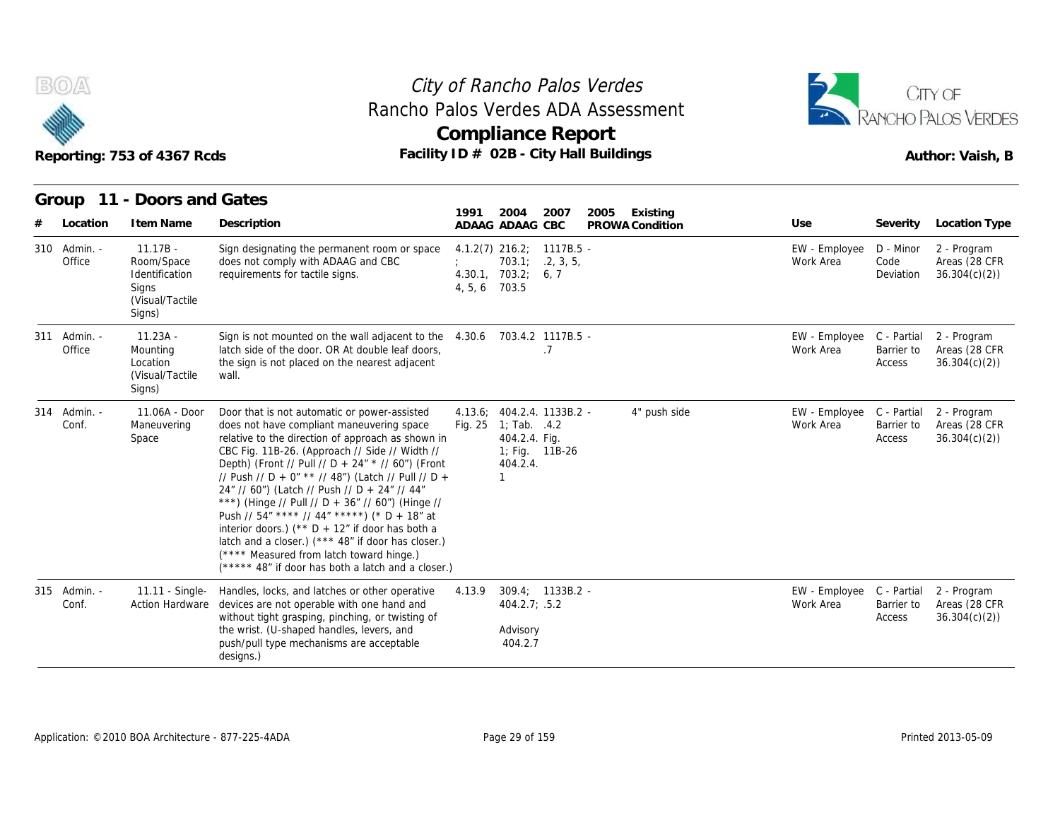

#### Reporting: 753 of 4367 Rcds **Facility ID # 02B - City Hall Buildings** Reporting: 753 of 4367 Rcds Author: Vaish, B City of Rancho Palos Verdes **Compliance Report** Rancho Palos Verdes ADA Assessment



|                        | Reporting: 753 of 4367 Rcds                                                      |                                                                                                                                                                                                                                                                                                                                                                                                                                                                                                                                                                                                                                                                               | Rancho Palos Verdes ADA Assessment<br><b>Compliance Report</b><br>Facility ID # 02B - City Hall Buildings         |              |                 |                            |                                     | RANCHO PALOS VERDES<br>Author: Vaish, B      |
|------------------------|----------------------------------------------------------------------------------|-------------------------------------------------------------------------------------------------------------------------------------------------------------------------------------------------------------------------------------------------------------------------------------------------------------------------------------------------------------------------------------------------------------------------------------------------------------------------------------------------------------------------------------------------------------------------------------------------------------------------------------------------------------------------------|-------------------------------------------------------------------------------------------------------------------|--------------|-----------------|----------------------------|-------------------------------------|----------------------------------------------|
| Group                  | 11 - Doors and Gates                                                             |                                                                                                                                                                                                                                                                                                                                                                                                                                                                                                                                                                                                                                                                               | 2004<br>1991                                                                                                      | 2007<br>2005 | Existing        |                            |                                     |                                              |
| Location               | I tem Name                                                                       | Description                                                                                                                                                                                                                                                                                                                                                                                                                                                                                                                                                                                                                                                                   | ADAAG ADAAG CBC                                                                                                   |              | PROWA Condition | Use                        | Severity                            | Location Type                                |
| 310 Admin. -<br>Office | $11.17B -$<br>Room/Space<br>Identification<br>Signs<br>(Visual/Tactile<br>Signs) | Sign designating the permanent room or space<br>does not comply with ADAAG and CBC<br>requirements for tactile signs.                                                                                                                                                                                                                                                                                                                                                                                                                                                                                                                                                         | $4.1.2(7)$ 216.2; 1117B.5 -<br>703.1; 2, 3, 5,<br>4.30.1, 703.2; 6, 7<br>4, 5, 6 703.5                            |              |                 | EW - Employee<br>Work Area | D - Minor<br>Code<br>Deviation      | 2 - Program<br>Areas (28 CFR<br>36.304(c)(2) |
| 311 Admin. -<br>Office | $11.23A -$<br>Mounting<br>Location<br>(Visual/Tactile)<br>Signs)                 | Sign is not mounted on the wall adjacent to the 4.30.6 703.4.2 1117B.5 -<br>latch side of the door. OR At double leaf doors,<br>the sign is not placed on the nearest adjacent<br>wall.                                                                                                                                                                                                                                                                                                                                                                                                                                                                                       | .7                                                                                                                |              |                 | EW - Employee<br>Work Area | C - Partial<br>Barrier to<br>Access | 2 - Program<br>Areas (28 CFR<br>36.304(c)(2) |
| 314 Admin. -<br>Conf.  | 11.06A - Door<br>Maneuvering<br>Space                                            | Door that is not automatic or power-assisted<br>does not have compliant maneuvering space<br>relative to the direction of approach as shown in<br>CBC Fig. 11B-26. (Approach // Side // Width //<br>Depth) (Front // Pull // D + 24" * // 60") (Front<br>// Push // D + 0" ** // 48") (Latch // Pull // D +<br>24" // 60") (Latch // Push // D + 24" // 44"<br>***) (Hinge // Pull // D + 36" // 60") (Hinge //<br>Push // 54" **** // 44" *****) (* D + 18" at<br>interior doors.) (** $D + 12$ " if door has both a<br>latch and a closer.) (*** 48" if door has closer.)<br>(**** Measured from latch toward hinge.)<br>(***** 48" if door has both a latch and a closer.) | 4.13.6; 404.2.4. 1133B.2 -<br>Fig. 25 1; Tab. .4.2<br>404.2.4. Fig.<br>1; Fig. 11B-26<br>404.2.4.<br>$\mathbf{1}$ |              | 4" push side    | EW - Employee<br>Work Area | C - Partial<br>Barrier to<br>Access | 2 - Program<br>Areas (28 CFR<br>36.304(c)(2) |
| 315 Admin. -<br>Conf.  | 11.11 - Single-<br><b>Action Hardware</b>                                        | Handles, locks, and latches or other operative<br>devices are not operable with one hand and<br>without tight grasping, pinching, or twisting of<br>the wrist. (U-shaped handles, levers, and<br>push/pull type mechanisms are acceptable<br>designs.)                                                                                                                                                                                                                                                                                                                                                                                                                        | $309.4: 1133B.2 -$<br>4.13.9<br>404.2.7; .5.2<br>Advisory<br>404.2.7                                              |              |                 | EW - Employee<br>Work Area | C - Partial<br>Barrier to<br>Access | 2 - Program<br>Areas (28 CFR<br>36.304(c)(2) |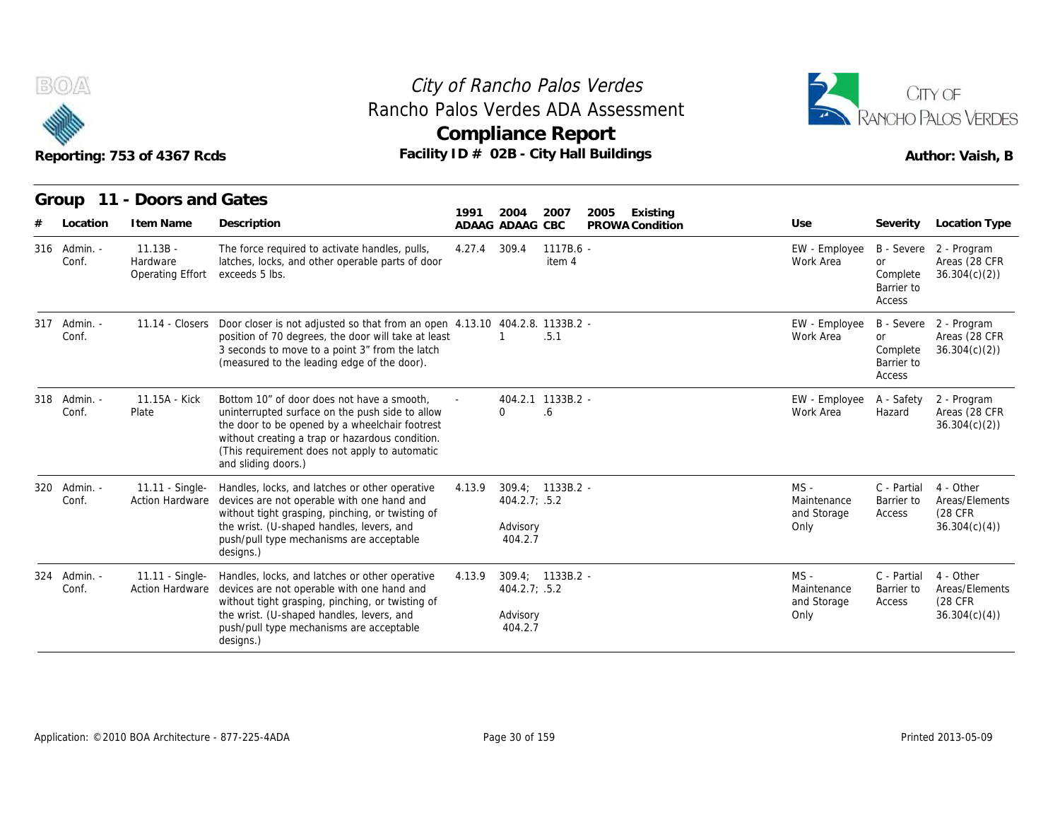



|                       | Reporting: 753 of 4367 Rcds                |                                                                                                                                                                                                                                                                            |        | <b>Compliance Report</b>                                 |                       | City of Rancho Palos Verdes<br>Rancho Palos Verdes ADA Assessment<br>Facility ID # 02B - City Hall Buildings |                                              |                                               | CITY OF<br>ANCHO PALOS VERDES<br>Author: Vaish, B       |
|-----------------------|--------------------------------------------|----------------------------------------------------------------------------------------------------------------------------------------------------------------------------------------------------------------------------------------------------------------------------|--------|----------------------------------------------------------|-----------------------|--------------------------------------------------------------------------------------------------------------|----------------------------------------------|-----------------------------------------------|---------------------------------------------------------|
|                       | Group 11 - Doors and Gates                 |                                                                                                                                                                                                                                                                            |        |                                                          |                       |                                                                                                              |                                              |                                               |                                                         |
| Location              | I tem Name                                 | Description                                                                                                                                                                                                                                                                | 1991   | 2004<br>ADAAG ADAAG CBC                                  | 2007                  | Existing<br>2005<br>PROWA Condition                                                                          | Use                                          |                                               | Severity Location Type                                  |
| 316 Admin. -<br>Conf. | $11.13B -$<br>Hardware<br>Operating Effort | The force required to activate handles, pulls,<br>latches, locks, and other operable parts of door<br>exceeds 5 lbs.                                                                                                                                                       | 4.27.4 | 309.4                                                    | $1117B.6 -$<br>item 4 |                                                                                                              | EW - Employee<br>Work Area                   | <b>or</b><br>Complete<br>Barrier to<br>Access | B - Severe 2 - Program<br>Areas (28 CFR<br>36.304(c)(2) |
| 317 Admin. -<br>Conf. | 11.14 - Closers                            | Door closer is not adjusted so that from an open 4.13.10 404.2.8. 1133B.2 -<br>position of 70 degrees, the door will take at least<br>3 seconds to move to a point 3" from the latch<br>(measured to the leading edge of the door).                                        |        |                                                          | .5.1                  |                                                                                                              | EW - Employee<br>Work Area                   | or<br>Complete<br>Barrier to<br>Access        | B - Severe 2 - Program<br>Areas (28 CFR<br>36.304(c)(2) |
| 318 Admin. -<br>Conf. | 11.15A - Kick<br>Plate                     | Bottom 10" of door does not have a smooth.<br>uninterrupted surface on the push side to allow<br>the door to be opened by a wheelchair footrest<br>without creating a trap or hazardous condition.<br>(This requirement does not apply to automatic<br>and sliding doors.) |        | 404.2.1 1133B.2 -<br>0                                   | 6.6                   |                                                                                                              | EW - Employee<br>Work Area                   | A - Safety<br>Hazard                          | 2 - Program<br>Areas (28 CFR<br>36.304(c)(2)            |
| 320 Admin. -<br>Conf. | 11.11 - Single-                            | Handles, locks, and latches or other operative<br>Action Hardware devices are not operable with one hand and<br>without tight grasping, pinching, or twisting of<br>the wrist. (U-shaped handles, levers, and<br>push/pull type mechanisms are acceptable<br>designs.)     | 4.13.9 | 309.4; 1133B.2 -<br>404.2.7; .5.2<br>Advisory<br>404.2.7 |                       |                                                                                                              | $MS -$<br>Maintenance<br>and Storage<br>Only | C - Partial<br>Barrier to<br>Access           | 4 - Other<br>Areas/Elements<br>(28 CFR<br>36.304(c)(4)  |
| 324 Admin. -<br>Conf. | 11.11 - Single-<br><b>Action Hardware</b>  | Handles, locks, and latches or other operative<br>devices are not operable with one hand and<br>without tight grasping, pinching, or twisting of<br>the wrist. (U-shaped handles, levers, and<br>push/pull type mechanisms are acceptable<br>designs.)                     | 4.13.9 | 309.4; 1133B.2 -<br>404.2.7; .5.2<br>Advisory<br>404.2.7 |                       |                                                                                                              | $MS -$<br>Maintenance<br>and Storage<br>Only | C - Partial<br>Barrier to<br>Access           | 4 - Other<br>Areas/Elements<br>(28 CFR<br>36.304(c)(4)  |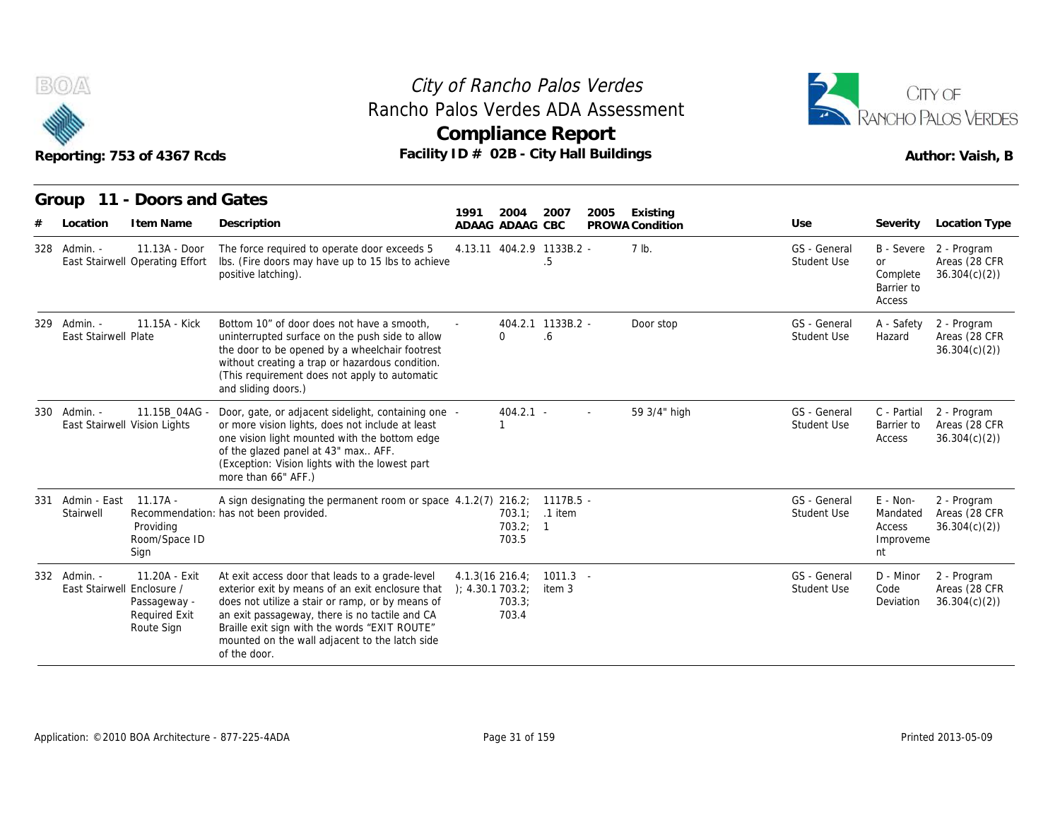

#### Reporting: 753 of 4367 Rcds **Facility ID # 02B - City Hall Buildings** Reporting: 753 of 4367 Rcds Author: Vaish, B City of Rancho Palos Verdes **Compliance Report** Rancho Palos Verdes ADA Assessment



|     |                                              | Reporting: 753 of 4367 Rcds                                         | Rancho Palos Verdes ADA Assessment<br>Facility ID # 02B - City Hall Buildings                                                                                                                                                                                                                                                |                                       |                   | <b>Compliance Report</b>        |      |                 |                             |                                                   | CITY OF<br>RANCHO PALOS VERDES<br>Author: Vaish, B      |
|-----|----------------------------------------------|---------------------------------------------------------------------|------------------------------------------------------------------------------------------------------------------------------------------------------------------------------------------------------------------------------------------------------------------------------------------------------------------------------|---------------------------------------|-------------------|---------------------------------|------|-----------------|-----------------------------|---------------------------------------------------|---------------------------------------------------------|
|     | Group                                        | 11 - Doors and Gates                                                |                                                                                                                                                                                                                                                                                                                              | 1991                                  | 2004              | 2007                            | 2005 | Existing        |                             |                                                   |                                                         |
| #   | Location                                     | I tem Name                                                          | Description                                                                                                                                                                                                                                                                                                                  |                                       | ADAAG ADAAG CBC   |                                 |      | PROWA Condition | Use                         |                                                   | Severity Location Type                                  |
|     | 328 Admin. -                                 | 11.13A - Door<br>East Stairwell Operating Effort                    | The force required to operate door exceeds 5<br>Ibs. (Fire doors may have up to 15 lbs to achieve<br>positive latching).                                                                                                                                                                                                     |                                       |                   | 4.13.11 404.2.9 1133B.2 -<br>.5 |      | 7 lb.           | GS - General<br>Student Use | <b>or</b><br>Complete<br>Barrier to<br>Access     | B - Severe 2 - Program<br>Areas (28 CFR<br>36.304(c)(2) |
|     | 329 Admin. -<br>East Stairwell Plate         | 11.15A - Kick                                                       | Bottom 10" of door does not have a smooth.<br>uninterrupted surface on the push side to allow<br>the door to be opened by a wheelchair footrest<br>without creating a trap or hazardous condition.<br>(This requirement does not apply to automatic<br>and sliding doors.)                                                   |                                       | 0                 | 404.2.1 1133B.2 -<br>.6         |      | Door stop       | GS - General<br>Student Use | A - Safety<br>Hazard                              | 2 - Program<br>Areas (28 CFR<br>36.304(c)(2)            |
|     | 330 Admin. -<br>East Stairwell Vision Lights | 11.15B 04AG -                                                       | Door, gate, or adjacent sidelight, containing one -<br>or more vision lights, does not include at least<br>one vision light mounted with the bottom edge<br>of the glazed panel at 43" max AFF.<br>(Exception: Vision lights with the lowest part<br>more than 66" AFF.)                                                     |                                       | $404.2.1 -$<br>1  |                                 |      | 59 3/4" high    | GS - General<br>Student Use | C - Partial<br>Barrier to<br>Access               | 2 - Program<br>Areas (28 CFR<br>36.304(c)(2)            |
| 331 | Admin - East 11.17A -<br>Stairwell           | Providing<br>Room/Space ID<br>Sign                                  | A sign designating the permanent room or space 4.1.2(7) 216.2; 1117B.5 -<br>Recommendation: has not been provided.                                                                                                                                                                                                           |                                       | 703.2; 1<br>703.5 | 703.1; .1 item                  |      |                 | GS - General<br>Student Use | E - Non-<br>Mandated<br>Access<br>Improveme<br>nt | 2 - Program<br>Areas (28 CFR<br>36.304(c)(2)            |
|     | 332 Admin. -<br>East Stairwell Enclosure /   | 11.20A - Exit<br>Passageway -<br><b>Required Exit</b><br>Route Sign | At exit access door that leads to a grade-level<br>exterior exit by means of an exit enclosure that<br>does not utilize a stair or ramp, or by means of<br>an exit passageway, there is no tactile and CA<br>Braille exit sign with the words "EXIT ROUTE"<br>mounted on the wall adjacent to the latch side<br>of the door. | $4.1.3(16\ 216.4)$<br>); 4.30.1703.2; | 703.3;<br>703.4   | $1011.3 -$<br>item 3            |      |                 | GS - General<br>Student Use | D - Minor<br>Code<br>Deviation                    | 2 - Program<br>Areas (28 CFR<br>36.304(c)(2)            |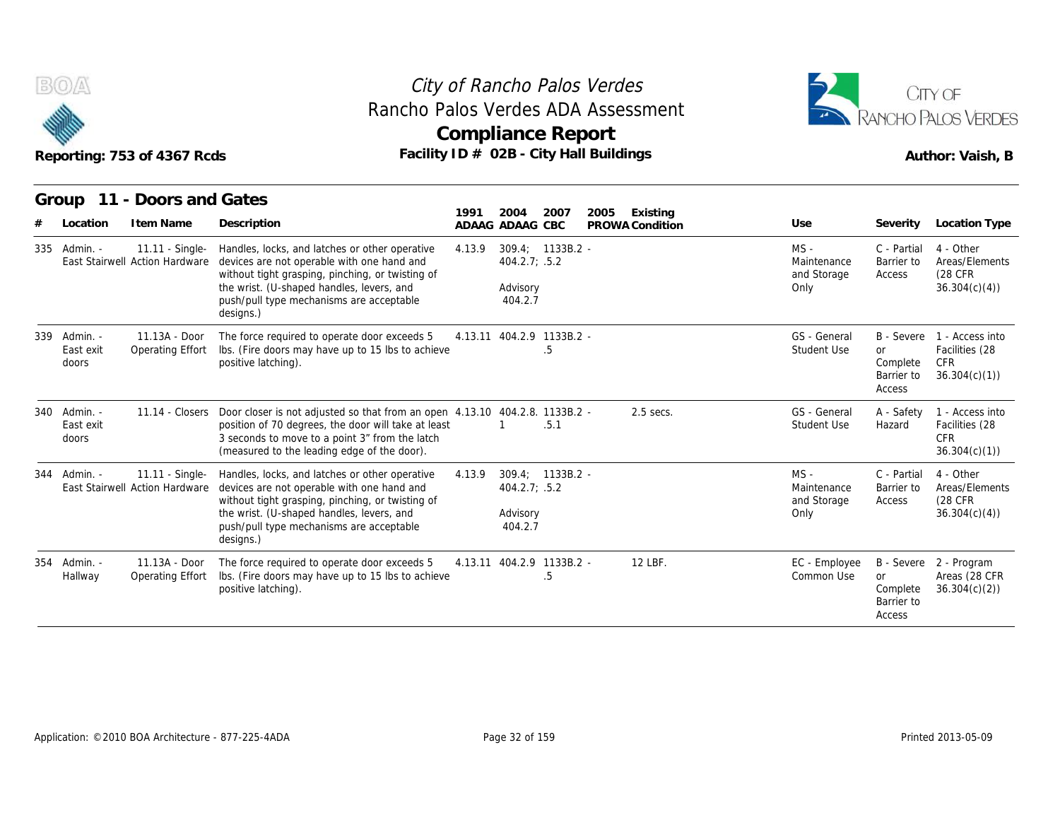



|                                    | Reporting: 753 of 4367 Rcds                       | Rancho Palos Verdes ADA Assessment                                                                                                                                                                                                                     |        | City of Rancho Palos Verdes<br><b>Compliance Report</b><br>Facility ID # 02B - City Hall Buildings |      |                             |                                              |                                               | CITY OF<br>RANCHO PALOS VERDES<br>Author: Vaish, B                         |
|------------------------------------|---------------------------------------------------|--------------------------------------------------------------------------------------------------------------------------------------------------------------------------------------------------------------------------------------------------------|--------|----------------------------------------------------------------------------------------------------|------|-----------------------------|----------------------------------------------|-----------------------------------------------|----------------------------------------------------------------------------|
| Location                           | Group 11 - Doors and Gates<br>I tem Name          | Description                                                                                                                                                                                                                                            | 1991   | 2004<br>2007<br>ADAAG ADAAG CBC                                                                    | 2005 | Existing<br>PROWA Condition | Use                                          | Severity                                      | Location Type                                                              |
| 335 Admin. -                       | 11.11 - Single-<br>East Stairwell Action Hardware | Handles, locks, and latches or other operative<br>devices are not operable with one hand and<br>without tight grasping, pinching, or twisting of<br>the wrist. (U-shaped handles, levers, and<br>push/pull type mechanisms are acceptable<br>designs.) | 4.13.9 | 309.4: 1133B.2 -<br>404.2.7; .5.2<br>Advisory<br>404.2.7                                           |      |                             | $MS -$<br>Maintenance<br>and Storage<br>Only | C - Partial<br>Barrier to<br>Access           | 4 - Other<br>Areas/Elements<br>(28 CFR<br>36.304(c)(4)                     |
| 339 Admin. -<br>East exit<br>doors | 11.13A - Door<br>Operating Effort                 | The force required to operate door exceeds 5<br>Ibs. (Fire doors may have up to 15 lbs to achieve<br>positive latching).                                                                                                                               |        | 4.13.11 404.2.9 1133B.2 -<br>.5                                                                    |      |                             | GS - General<br>Student Use                  | <b>or</b><br>Complete<br>Barrier to<br>Access | B - Severe 1 - Access into<br>Facilities (28<br><b>CFR</b><br>36.304(c)(1) |
| 340 Admin. -<br>East exit<br>doors |                                                   | 11.14 - Closers Door closer is not adjusted so that from an open 4.13.10 404.2.8. 1133B.2 -<br>position of 70 degrees, the door will take at least<br>3 seconds to move to a point 3" from the latch<br>(measured to the leading edge of the door).    |        | .5.1                                                                                               |      | $2.5$ secs.                 | GS - General<br><b>Student Use</b>           | A - Safety<br>Hazard                          | 1 - Access into<br>Facilities (28<br><b>CFR</b><br>36.304(c)(1)            |
| 344 Admin. -                       | 11.11 - Single-<br>East Stairwell Action Hardware | Handles, locks, and latches or other operative<br>devices are not operable with one hand and<br>without tight grasping, pinching, or twisting of<br>the wrist. (U-shaped handles, levers, and<br>push/pull type mechanisms are acceptable<br>designs.) | 4.13.9 | 309.4: 1133B.2 -<br>404.2.7; .5.2<br>Advisory<br>404.2.7                                           |      |                             | $MS -$<br>Maintenance<br>and Storage<br>Only | C - Partial<br>Barrier to<br>Access           | 4 - Other<br>Areas/Elements<br>(28 CFR)<br>36.304(c)(4)                    |
| 354 Admin. -<br>Hallway            | 11.13A - Door<br>Operating Effort                 | The force required to operate door exceeds 5<br>Ibs. (Fire doors may have up to 15 lbs to achieve<br>positive latching).                                                                                                                               |        | 4.13.11 404.2.9 1133B.2 -<br>.5                                                                    |      | 12 LBF.                     | EC - Employee<br>Common Use                  | <b>or</b><br>Complete<br>Barrier to<br>Access | B - Severe 2 - Program<br>Areas (28 CFR<br>36.304(c)(2)                    |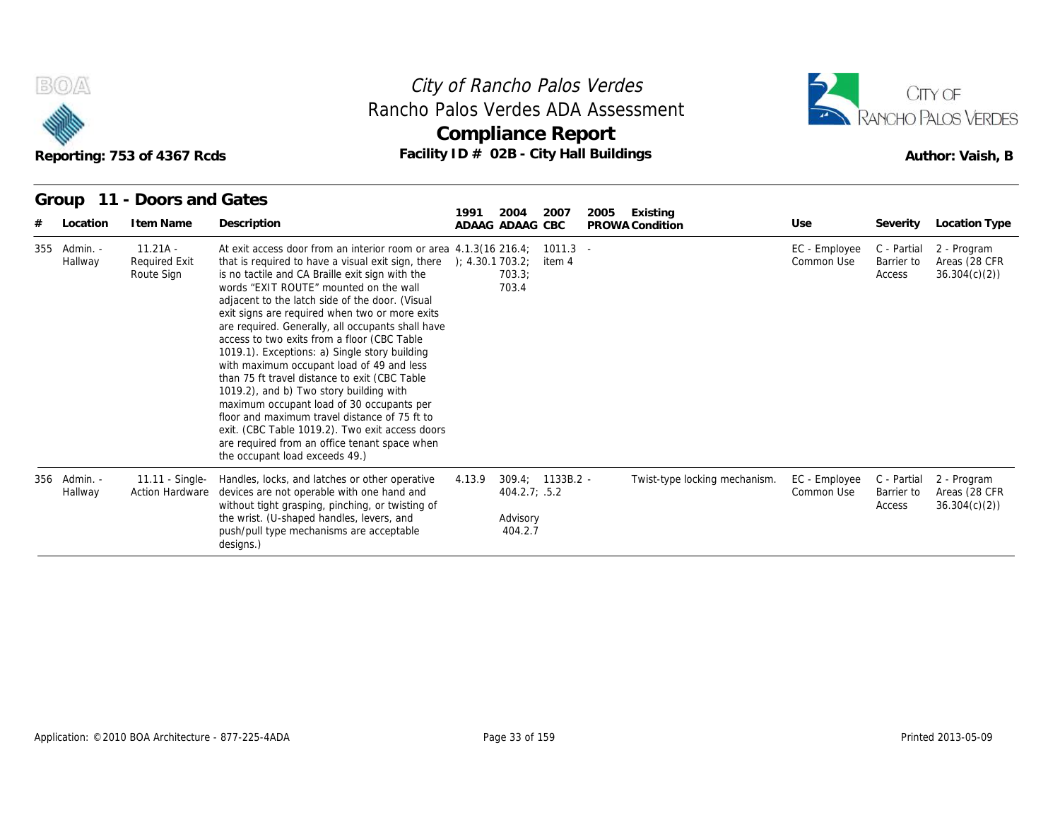

#### Reporting: 753 of 4367 Rcds **Facility ID # 02B - City Hall Buildings** Reporting: 753 of 4367 Rcds Author: Vaish, B City of Rancho Palos Verdes **Compliance Report** Rancho Palos Verdes ADA Assessment



| B(0)/4                  | Reporting: 753 of 4367 Rcds                      |                                                                                                                                                                                                                                                                                                                                                                                                                                                                                                                                                                                                                                                                                                                                                                                                                                                                                          | City of Rancho Palos Verdes<br>Rancho Palos Verdes ADA Assessment<br>Compliance Report<br>Facility ID # 02B - City Hall Buildings |                                     |                             |                                     | CITY OF<br>RANCHO PALOS VERDES<br>Author: Vaish, B |
|-------------------------|--------------------------------------------------|------------------------------------------------------------------------------------------------------------------------------------------------------------------------------------------------------------------------------------------------------------------------------------------------------------------------------------------------------------------------------------------------------------------------------------------------------------------------------------------------------------------------------------------------------------------------------------------------------------------------------------------------------------------------------------------------------------------------------------------------------------------------------------------------------------------------------------------------------------------------------------------|-----------------------------------------------------------------------------------------------------------------------------------|-------------------------------------|-----------------------------|-------------------------------------|----------------------------------------------------|
| Group<br>Location       | 11 - Doors and Gates<br>I tem Name               | Description                                                                                                                                                                                                                                                                                                                                                                                                                                                                                                                                                                                                                                                                                                                                                                                                                                                                              | 1991<br>2004<br>2007<br>ADAAG ADAAG CBC                                                                                           | 2005<br>Existing<br>PROWA Condition | Use                         | Severity                            | <b>Location Type</b>                               |
| 355 Admin. -<br>Hallway | $11.21A -$<br><b>Required Exit</b><br>Route Sign | At exit access door from an interior room or area 4.1.3(16 216.4;<br>that is required to have a visual exit sign, there $\rightarrow$ (4.30.1 703.2)<br>is no tactile and CA Braille exit sign with the<br>words "EXIT ROUTE" mounted on the wall<br>adjacent to the latch side of the door. (Visual<br>exit signs are required when two or more exits<br>are required. Generally, all occupants shall have<br>access to two exits from a floor (CBC Table<br>1019.1). Exceptions: a) Single story building<br>with maximum occupant load of 49 and less<br>than 75 ft travel distance to exit (CBC Table<br>1019.2), and b) Two story building with<br>maximum occupant load of 30 occupants per<br>floor and maximum travel distance of 75 ft to<br>exit. (CBC Table 1019.2). Two exit access doors<br>are required from an office tenant space when<br>the occupant load exceeds 49.) | $1011.3 -$<br>item 4<br>703.3;<br>703.4                                                                                           |                                     | EC - Employee<br>Common Use | C - Partial<br>Barrier to<br>Access | 2 - Program<br>Areas (28 CFR<br>36.304(c)(2)       |
| 356 Admin. -<br>Hallway | 11.11 - Single-<br><b>Action Hardware</b>        | Handles, locks, and latches or other operative<br>devices are not operable with one hand and<br>without tight grasping, pinching, or twisting of<br>the wrist. (U-shaped handles, levers, and<br>push/pull type mechanisms are acceptable<br>designs.)                                                                                                                                                                                                                                                                                                                                                                                                                                                                                                                                                                                                                                   | 309.4; 1133B.2 -<br>4.13.9<br>404.2.7; .5.2<br>Advisory<br>404.2.7                                                                | Twist-type locking mechanism.       | EC - Employee<br>Common Use | C - Partial<br>Barrier to<br>Access | 2 - Program<br>Areas (28 CFR<br>36.304(c)(2)       |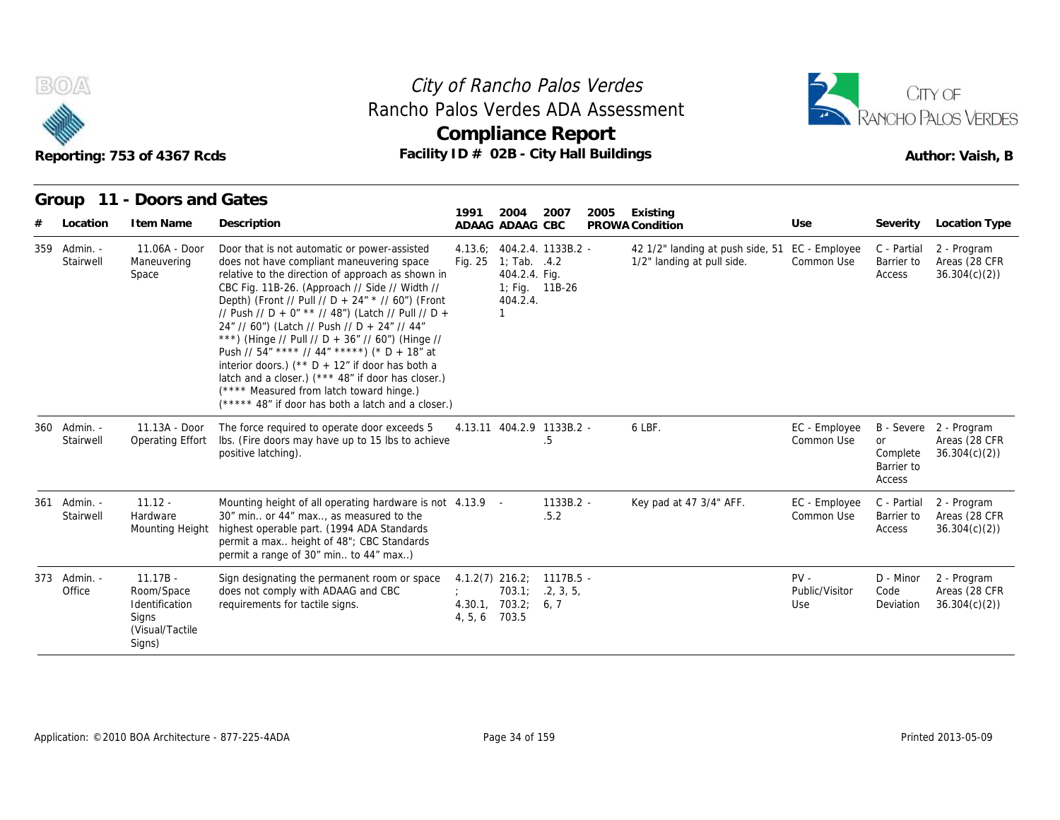



| B(0)/4                    | Reporting: 753 of 4367 Rcds                                                       |                                                                                                                                                                                                                                                                                                                                                                                                                                                                                                                                                                                                                                                                              | City of Rancho Palos Verdes<br>Rancho Palos Verdes ADA Assessment<br><b>Compliance Report</b><br>Facility ID # 02B - City Hall Buildings |                                                                                     |                                          |      |                                                                |                                 |                                        | CITY OF<br>RANCHO PALOS VERDES<br>Author: Vaish, B      |  |  |
|---------------------------|-----------------------------------------------------------------------------------|------------------------------------------------------------------------------------------------------------------------------------------------------------------------------------------------------------------------------------------------------------------------------------------------------------------------------------------------------------------------------------------------------------------------------------------------------------------------------------------------------------------------------------------------------------------------------------------------------------------------------------------------------------------------------|------------------------------------------------------------------------------------------------------------------------------------------|-------------------------------------------------------------------------------------|------------------------------------------|------|----------------------------------------------------------------|---------------------------------|----------------------------------------|---------------------------------------------------------|--|--|
| Group<br>Location         | 11 - Doors and Gates<br>I tem Name                                                | Description                                                                                                                                                                                                                                                                                                                                                                                                                                                                                                                                                                                                                                                                  | 1991                                                                                                                                     | 2004<br>ADAAG ADAAG CBC                                                             | 2007                                     | 2005 | Existing<br>PROWA Condition                                    | Use                             | Severity                               | <b>Location Type</b>                                    |  |  |
| 359 Admin. -<br>Stairwell | $11.06A - Door$<br>Maneuvering<br>Space                                           | Door that is not automatic or power-assisted<br>does not have compliant maneuvering space<br>relative to the direction of approach as shown in<br>CBC Fig. 11B-26. (Approach // Side // Width //<br>Depth) (Front // Pull // D + 24" * // 60") (Front<br>// Push // D + 0" ** // 48") (Latch // Pull // D +<br>24" // 60") (Latch // Push // D + 24" // 44"<br>***) (Hinge // Pull // D + 36" // 60") (Hinge //<br>Push // 54" **** // 44" *****) (* D + 18" at<br>interior doors.) ( $*$ D + 12" if door has both a<br>latch and a closer.) (*** 48" if door has closer.)<br>(**** Measured from latch toward hinge.)<br>(***** 48" if door has both a latch and a closer.) |                                                                                                                                          | Fig. $25 \quad 1$ ; Tab. $.4.2$<br>404.2.4. Fig.<br>1; Fig. 11B-26<br>404.2.4.<br>1 | 4.13.6; 404.2.4. 1133B.2 -               |      | 42 1/2" landing at push side, 51<br>1/2" landing at pull side. | EC - Employee<br>Common Use     | C - Partial<br>Barrier to<br>Access    | 2 - Program<br>Areas (28 CFR<br>36.304(c)(2)            |  |  |
| 360 Admin. -<br>Stairwell | $11.13A - Door$<br><b>Operating Effort</b>                                        | The force required to operate door exceeds 5<br>Ibs. (Fire doors may have up to 15 lbs to achieve<br>positive latching).                                                                                                                                                                                                                                                                                                                                                                                                                                                                                                                                                     |                                                                                                                                          |                                                                                     | 4.13.11 404.2.9 1133B.2 -<br>.5          |      | 6 LBF.                                                         | EC - Employee<br>Common Use     | or<br>Complete<br>Barrier to<br>Access | B - Severe 2 - Program<br>Areas (28 CFR<br>36.304(c)(2) |  |  |
| 361 Admin. -<br>Stairwell | $11.12 -$<br>Hardware<br>Mounting Height                                          | Mounting height of all operating hardware is not 4.13.9 -<br>30" min or 44" max, as measured to the<br>highest operable part. (1994 ADA Standards<br>permit a max height of 48"; CBC Standards<br>permit a range of 30" min to 44" max)                                                                                                                                                                                                                                                                                                                                                                                                                                      |                                                                                                                                          |                                                                                     | 1133B.2 -<br>.5.2                        |      | Key pad at 47 3/4" AFF.                                        | EC - Employee<br>Common Use     | C - Partial<br>Barrier to<br>Access    | 2 - Program<br>Areas (28 CFR<br>36.304(c)(2)            |  |  |
| 373 Admin. -<br>Office    | $11.17B -$<br>Room/Space<br>Identification<br>Signs<br>(Visual/Tactile)<br>Signs) | Sign designating the permanent room or space<br>does not comply with ADAAG and CBC<br>requirements for tactile signs.                                                                                                                                                                                                                                                                                                                                                                                                                                                                                                                                                        | 4, 5, 6                                                                                                                                  | 703.1:<br>4.30.1, 703.2; 6, 7<br>703.5                                              | $4.1.2(7)$ 216.2; 1117B.5 -<br>.2, 3, 5, |      |                                                                | $PV -$<br>Public/Visitor<br>Use | D - Minor<br>Code<br>Deviation         | 2 - Program<br>Areas (28 CFR<br>36.304(c)(2)            |  |  |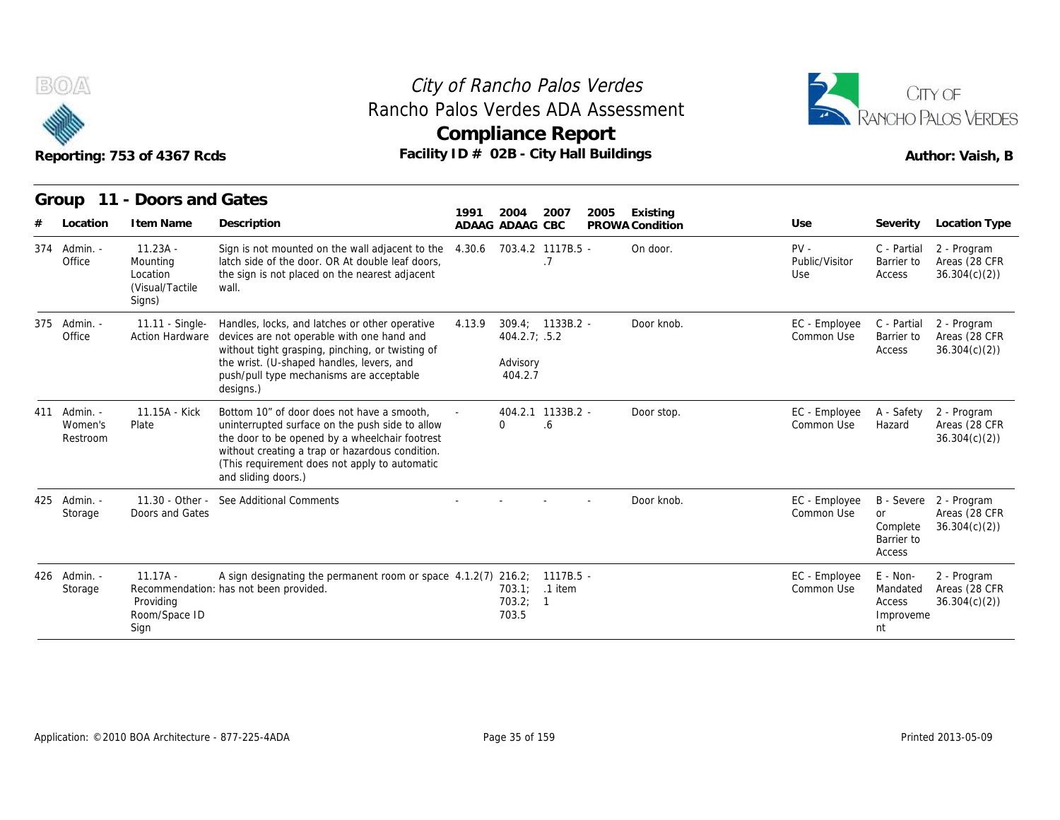



|     |                                 | Reporting: 753 of 4367 Rcds                                      |                                                                                                                                                                                                                                                                            | Rancho Palos Verdes ADA Assessment<br><b>Compliance Report</b><br>Facility ID # 02B - City Hall Buildings |                                                          |           |      |                             |                                 | CITY OF<br>RANCHO PALOS VERDES<br>Author: Vaish, B |                                                         |
|-----|---------------------------------|------------------------------------------------------------------|----------------------------------------------------------------------------------------------------------------------------------------------------------------------------------------------------------------------------------------------------------------------------|-----------------------------------------------------------------------------------------------------------|----------------------------------------------------------|-----------|------|-----------------------------|---------------------------------|----------------------------------------------------|---------------------------------------------------------|
|     | Group                           | 11 - Doors and Gates                                             |                                                                                                                                                                                                                                                                            | 1991                                                                                                      | 2004                                                     | 2007      | 2005 |                             |                                 |                                                    |                                                         |
|     | Location                        | I tem Name                                                       | Description                                                                                                                                                                                                                                                                |                                                                                                           | ADAAG ADAAG CBC                                          |           |      | Existing<br>PROWA Condition | Use                             | Severity                                           | Location Type                                           |
|     | 374 Admin. -<br>Office          | $11.23A -$<br>Mounting<br>Location<br>(Visual/Tactile)<br>Signs) | Sign is not mounted on the wall adjacent to the<br>latch side of the door. OR At double leaf doors,<br>the sign is not placed on the nearest adjacent<br>wall.                                                                                                             | 4.30.6                                                                                                    | 703.4.2 1117B.5 -                                        | .7        |      | On door.                    | $PV -$<br>Public/Visitor<br>Use | C - Partial<br>Barrier to<br>Access                | 2 - Program<br>Areas (28 CFR<br>36.304(c)(2)            |
| 375 | Admin. -<br>Office              | 11.11 - Single-                                                  | Handles, locks, and latches or other operative<br>Action Hardware devices are not operable with one hand and<br>without tight grasping, pinching, or twisting of<br>the wrist. (U-shaped handles, levers, and<br>push/pull type mechanisms are acceptable<br>designs.)     | 4.13.9                                                                                                    | 309.4; 1133B.2 -<br>404.2.7; .5.2<br>Advisory<br>404.2.7 |           |      | Door knob.                  | EC - Employee<br>Common Use     | C - Partial<br>Barrier to<br>Access                | 2 - Program<br>Areas (28 CFR<br>36.304(c)(2)            |
| 411 | Admin. -<br>Women's<br>Restroom | 11.15A - Kick<br>Plate                                           | Bottom 10" of door does not have a smooth.<br>uninterrupted surface on the push side to allow<br>the door to be opened by a wheelchair footrest<br>without creating a trap or hazardous condition.<br>(This requirement does not apply to automatic<br>and sliding doors.) |                                                                                                           | 404.2.1 1133B.2 -<br>$\Omega$                            | .6        |      | Door stop.                  | EC - Employee<br>Common Use     | A - Safety<br>Hazard                               | 2 - Program<br>Areas (28 CFR<br>36.304(c)(2)            |
|     | 425 Admin. -<br>Storage         | 11.30 - Other -<br>Doors and Gates                               | See Additional Comments                                                                                                                                                                                                                                                    |                                                                                                           |                                                          |           |      | Door knob.                  | EC - Employee<br>Common Use     | or<br>Complete<br>Barrier to<br>Access             | B - Severe 2 - Program<br>Areas (28 CFR<br>36.304(c)(2) |
|     | 426 Admin. -<br>Storage         | $11.17A -$<br>Providing<br>Room/Space ID<br>Sign                 | A sign designating the permanent room or space 4.1.2(7) 216.2;<br>Recommendation: has not been provided.                                                                                                                                                                   |                                                                                                           | 703.1; .1 item<br>703.2; 1<br>703.5                      | 1117B.5 - |      |                             | EC - Employee<br>Common Use     | E - Non-<br>Mandated<br>Access<br>Improveme<br>nt  | 2 - Program<br>Areas (28 CFR<br>36.304(c)(2)            |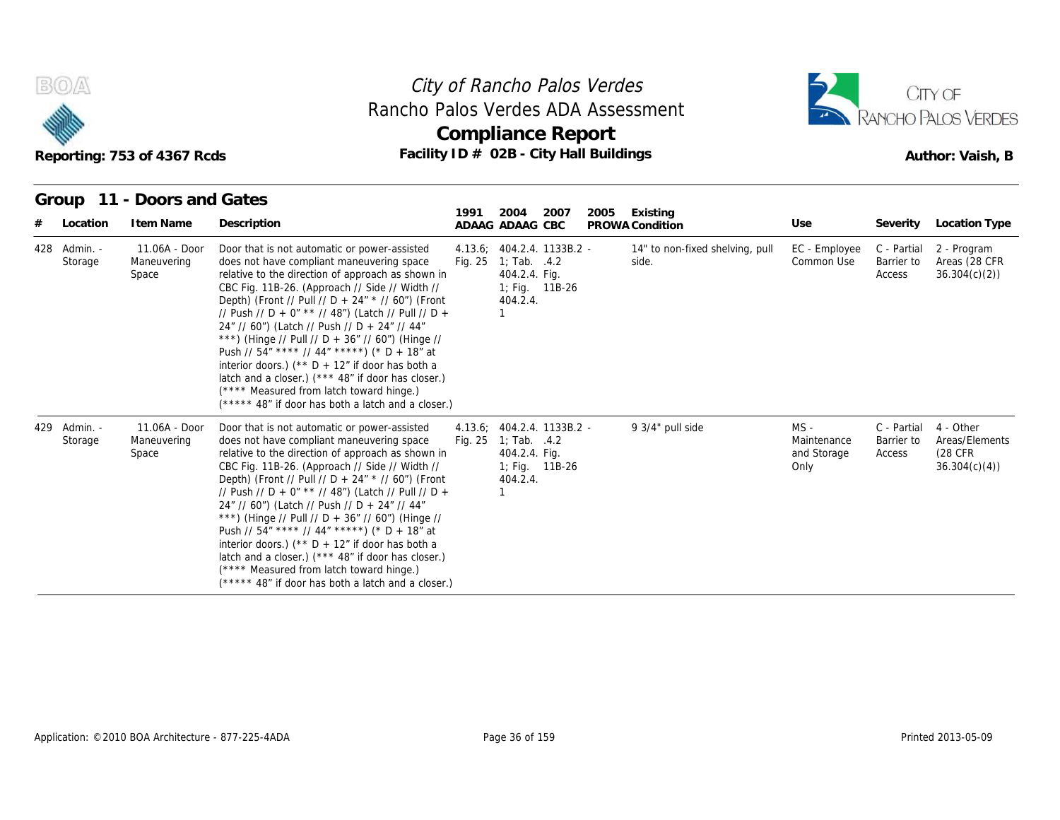



| Reporting: 753 of 4367 Rcds |                         |                                       |                                                                                                                                                                                                                                                                                                                                                                                                                                                                                                                                                                                                                                                                              | City of Rancho Palos Verdes<br>Rancho Palos Verdes ADA Assessment<br><b>Compliance Report</b><br>Facility ID # 02B - City Hall Buildings |                                                                                                                     |      |      |                                          |                                              |                                     | CITY OF<br>RANCHO PALOS VERDES<br>Author: Vaish, B      |
|-----------------------------|-------------------------|---------------------------------------|------------------------------------------------------------------------------------------------------------------------------------------------------------------------------------------------------------------------------------------------------------------------------------------------------------------------------------------------------------------------------------------------------------------------------------------------------------------------------------------------------------------------------------------------------------------------------------------------------------------------------------------------------------------------------|------------------------------------------------------------------------------------------------------------------------------------------|---------------------------------------------------------------------------------------------------------------------|------|------|------------------------------------------|----------------------------------------------|-------------------------------------|---------------------------------------------------------|
|                             | Group                   | 11 - Doors and Gates                  |                                                                                                                                                                                                                                                                                                                                                                                                                                                                                                                                                                                                                                                                              | 1991                                                                                                                                     | 2004                                                                                                                | 2007 | 2005 | Existing                                 |                                              |                                     |                                                         |
|                             | Location                | I tem Name                            | Description                                                                                                                                                                                                                                                                                                                                                                                                                                                                                                                                                                                                                                                                  |                                                                                                                                          | ADAAG ADAAG CBC                                                                                                     |      |      | PROWA Condition                          | Use                                          | Severity                            | Location Type                                           |
|                             | 428 Admin. -<br>Storage | 11.06A - Door<br>Maneuvering<br>Space | Door that is not automatic or power-assisted<br>does not have compliant maneuvering space<br>relative to the direction of approach as shown in<br>CBC Fig. 11B-26. (Approach // Side // Width //<br>Depth) (Front // Pull // D + 24" * // 60") (Front<br>// Push // D + 0" ** // 48") (Latch // Pull // D +<br>24" // 60") (Latch // Push // D + 24" // 44"<br>***) (Hinge // Pull // D + 36" // 60") (Hinge //<br>Push // 54" **** // 44" *****) (* D + 18" at<br>interior doors.) ( $*$ D + 12" if door has both a<br>latch and a closer.) (*** 48" if door has closer.)<br>(**** Measured from latch toward hinge.)<br>(***** 48" if door has both a latch and a closer.) |                                                                                                                                          | 4.13.6; 404.2.4. 1133B.2 -<br>Fig. $25 \quad 1$ ; Tab. $.4.2$<br>404.2.4. Fig.<br>1; Fig. $11B-26$<br>404.2.4.<br>1 |      |      | 14" to non-fixed shelving, pull<br>side. | EC - Employee<br>Common Use                  | C - Partial<br>Barrier to<br>Access | 2 - Program<br>Areas (28 CFR<br>36.304(c)(2)            |
|                             | 429 Admin. -<br>Storage | 11.06A - Door<br>Maneuvering<br>Space | Door that is not automatic or power-assisted<br>does not have compliant maneuvering space<br>relative to the direction of approach as shown in<br>CBC Fig. 11B-26. (Approach // Side // Width //<br>Depth) (Front // Pull // D + 24" * // 60") (Front<br>// Push // D + 0" ** // 48") (Latch // Pull // D +<br>24" // 60") (Latch // Push // D + 24" // 44"<br>***) (Hinge // Pull // D + 36" // 60") (Hinge //<br>Push // 54" **** // 44" *****) (* D + 18" at<br>interior doors.) ( $*$ D + 12" if door has both a<br>latch and a closer.) (*** 48" if door has closer.)<br>(**** Measured from latch toward hinge.)<br>(***** 48" if door has both a latch and a closer.) | Fig. 25                                                                                                                                  | 4.13.6; 404.2.4. 1133B.2 -<br>1; Tab. $.4.2$<br>404.2.4. Fig.<br>1; Fig. 11B-26<br>404.2.4.                         |      |      | 9 3/4" pull side                         | $MS -$<br>Maintenance<br>and Storage<br>Only | C - Partial<br>Barrier to<br>Access | 4 - Other<br>Areas/Elements<br>(28 CFR)<br>36.304(c)(4) |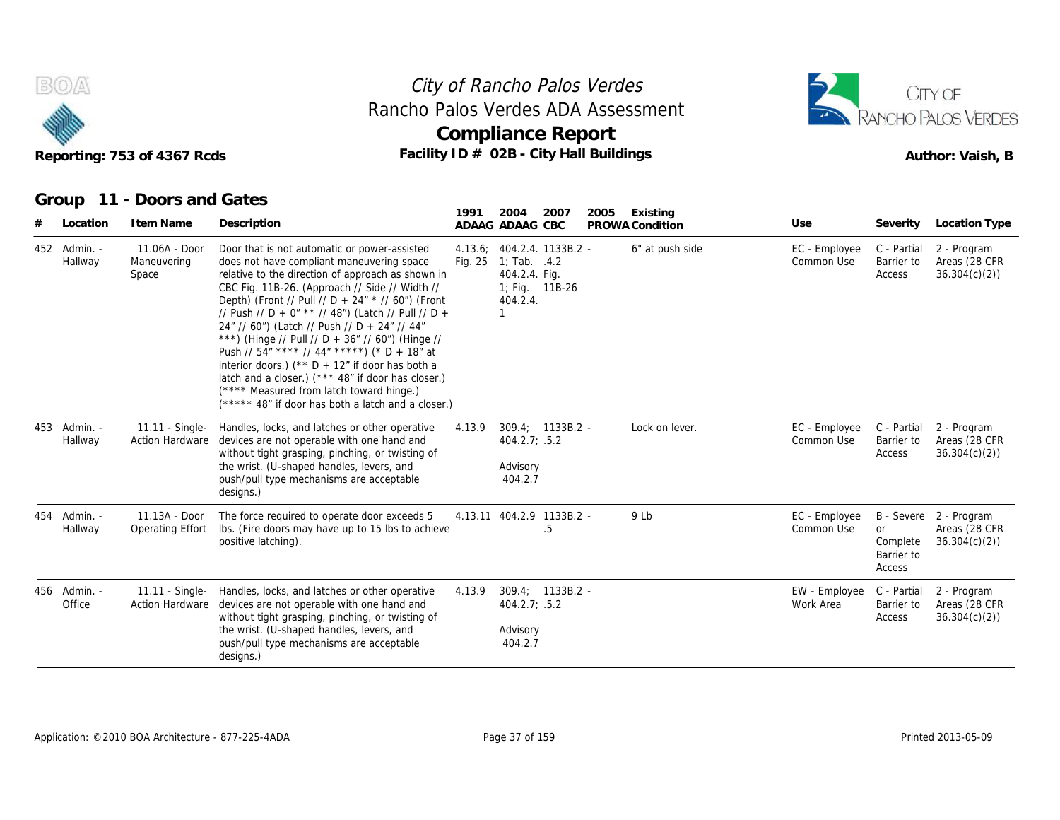



#### **Group 11 - Doors and Gates**

| B(0)                    | Reporting: 753 of 4367 Rcds               | Rancho Palos Verdes ADA Assessment<br>Facility ID # 02B - City Hall Buildings                                                                                                                                                                                                                                                                                                                                                                                                                                                                                                                                                                                                 |         | City of Rancho Palos Verdes<br><b>Compliance Report</b>                                 |                    |      |                             |                             |                                               | CITY OF<br>RANCHO PALOS VERDES<br>Author: Vaish, B      |
|-------------------------|-------------------------------------------|-------------------------------------------------------------------------------------------------------------------------------------------------------------------------------------------------------------------------------------------------------------------------------------------------------------------------------------------------------------------------------------------------------------------------------------------------------------------------------------------------------------------------------------------------------------------------------------------------------------------------------------------------------------------------------|---------|-----------------------------------------------------------------------------------------|--------------------|------|-----------------------------|-----------------------------|-----------------------------------------------|---------------------------------------------------------|
| Group                   | 11 - Doors and Gates                      |                                                                                                                                                                                                                                                                                                                                                                                                                                                                                                                                                                                                                                                                               | 1991    | 2004                                                                                    | 2007               | 2005 |                             |                             |                                               |                                                         |
| Location                | I tem Name                                | Description                                                                                                                                                                                                                                                                                                                                                                                                                                                                                                                                                                                                                                                                   |         | ADAAG ADAAG CBC                                                                         |                    |      | Existing<br>PROWA Condition | Use                         | Severity                                      | Location Type                                           |
| 452 Admin. -<br>Hallway | 11.06A - Door<br>Maneuvering<br>Space     | Door that is not automatic or power-assisted<br>does not have compliant maneuvering space<br>relative to the direction of approach as shown in<br>CBC Fig. 11B-26. (Approach // Side // Width //<br>Depth) (Front // Pull // D + 24" * // 60") (Front<br>// Push // D + 0" ** // 48") (Latch // Pull // D +<br>24" // 60") (Latch // Push // D + 24" // 44"<br>***) (Hinge // Pull // D + 36" // 60") (Hinge //<br>Push // 54" **** // 44" *****) (* D + 18" at<br>interior doors.) ( $*$ D + 12" if door has both a<br>latch and a closer.) (*** 48" if door has closer.)<br>(**** Measured from latch toward hinge.)<br>$(****$ 48" if door has both a latch and a closer.) | Fig. 25 | 4.13.6; 404.2.4. 1133B.2 -<br>1; Tab. .4.2<br>404.2.4. Fig.<br>404.2.4.<br>$\mathbf{1}$ | 1; Fig. 11B-26     |      | 6" at push side             | EC - Employee<br>Common Use | C - Partial<br>Barrier to<br>Access           | 2 - Program<br>Areas (28 CFR<br>36.304(c)(2)            |
| 453 Admin. -<br>Hallway | 11.11 - Single-<br><b>Action Hardware</b> | Handles, locks, and latches or other operative<br>devices are not operable with one hand and<br>without tight grasping, pinching, or twisting of<br>the wrist. (U-shaped handles, levers, and<br>push/pull type mechanisms are acceptable<br>designs.)                                                                                                                                                                                                                                                                                                                                                                                                                        | 4.13.9  | $404.2.7$ ; .5.2<br>Advisory<br>404.2.7                                                 | $309.4: 1133B.2 -$ |      | Lock on lever.              | EC - Employee<br>Common Use | C - Partial<br>Barrier to<br>Access           | 2 - Program<br>Areas (28 CFR<br>36.304(c)(2)            |
| 454 Admin. -<br>Hallway | 11.13A - Door<br>Operating Effort         | The force required to operate door exceeds 5<br>Ibs. (Fire doors may have up to 15 lbs to achieve<br>positive latching).                                                                                                                                                                                                                                                                                                                                                                                                                                                                                                                                                      |         | 4.13.11 404.2.9 1133B.2 -                                                               | .5                 |      | 9 Lb                        | EC - Employee<br>Common Use | <b>or</b><br>Complete<br>Barrier to<br>Access | B - Severe 2 - Program<br>Areas (28 CFR<br>36.304(c)(2) |
| 456 Admin. -<br>Office  | <b>Action Hardware</b>                    | 11.11 - Single- Handles, locks, and latches or other operative<br>devices are not operable with one hand and<br>without tight grasping, pinching, or twisting of<br>the wrist. (U-shaped handles, levers, and<br>push/pull type mechanisms are acceptable<br>designs.)                                                                                                                                                                                                                                                                                                                                                                                                        | 4.13.9  | 404.2.7; .5.2<br>Advisory<br>404.2.7                                                    | $309.4; 1133B.2 -$ |      |                             | EW - Employee<br>Work Area  | C - Partial<br>Barrier to<br>Access           | 2 - Program<br>Areas (28 CFR<br>36.304(c)(2)            |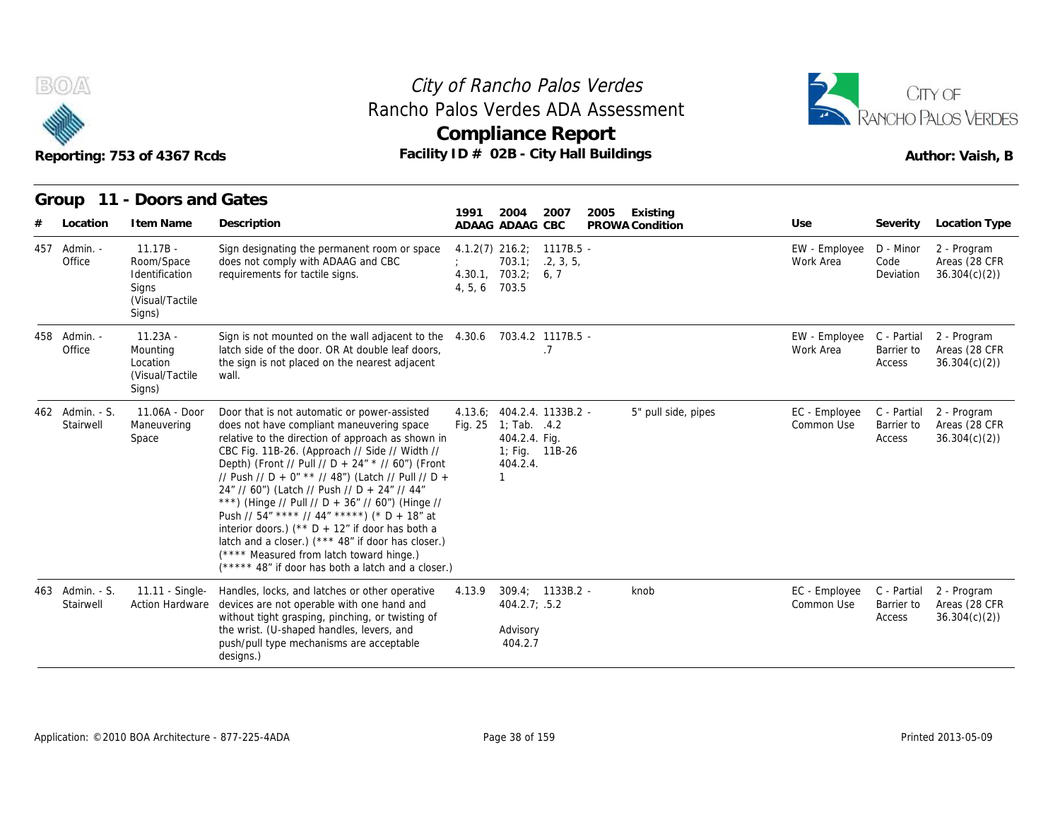



|                              | Reporting: 753 of 4367 Rcds                                                      |                                                                                                                                                                                                                                                                                                                                                                                                                                                                                                                                                                                                                                                                              | Rancho Palos Verdes ADA Assessment<br><b>Compliance Report</b><br>Facility ID # 02B - City Hall Buildings                 |                                     |                             |                                     | RANCHO PALOS VERDES<br>Author: Vaish, B      |
|------------------------------|----------------------------------------------------------------------------------|------------------------------------------------------------------------------------------------------------------------------------------------------------------------------------------------------------------------------------------------------------------------------------------------------------------------------------------------------------------------------------------------------------------------------------------------------------------------------------------------------------------------------------------------------------------------------------------------------------------------------------------------------------------------------|---------------------------------------------------------------------------------------------------------------------------|-------------------------------------|-----------------------------|-------------------------------------|----------------------------------------------|
|                              | Group 11 - Doors and Gates                                                       |                                                                                                                                                                                                                                                                                                                                                                                                                                                                                                                                                                                                                                                                              |                                                                                                                           |                                     |                             |                                     |                                              |
| Location                     | I tem Name                                                                       | Description                                                                                                                                                                                                                                                                                                                                                                                                                                                                                                                                                                                                                                                                  | 1991<br>2004<br>2007<br>ADAAG ADAAG CBC                                                                                   | 2005<br>Existing<br>PROWA Condition | Use                         |                                     | Severity Location Type                       |
| 457 Admin. -<br>Office       | $11.17B -$<br>Room/Space<br>Identification<br>Signs<br>(Visual/Tactile<br>Signs) | Sign designating the permanent room or space<br>does not comply with ADAAG and CBC<br>requirements for tactile signs.                                                                                                                                                                                                                                                                                                                                                                                                                                                                                                                                                        | $4.1.2(7)$ 216.2; 1117B.5 -<br>703.1; 2, 3, 5,<br>4.30.1, 703.2; 6.7<br>4, 5, 6<br>703.5                                  |                                     | EW - Employee<br>Work Area  | D - Minor<br>Code<br>Deviation      | 2 - Program<br>Areas (28 CFR<br>36.304(c)(2) |
| 458 Admin. -<br>Office       | $11.23A -$<br>Mounting<br>Location<br>(Visual/Tactile)<br>Signs)                 | Sign is not mounted on the wall adjacent to the 4.30.6 703.4.2 1117B.5 -<br>latch side of the door. OR At double leaf doors,<br>the sign is not placed on the nearest adjacent<br>wall.                                                                                                                                                                                                                                                                                                                                                                                                                                                                                      | .7                                                                                                                        |                                     | EW - Employee<br>Work Area  | C - Partial<br>Barrier to<br>Access | 2 - Program<br>Areas (28 CFR<br>36.304(c)(2) |
| 462 Admin. - S.<br>Stairwell | 11.06A - Door<br>Maneuvering<br>Space                                            | Door that is not automatic or power-assisted<br>does not have compliant maneuvering space<br>relative to the direction of approach as shown in<br>CBC Fig. 11B-26. (Approach // Side // Width //<br>Depth) (Front // Pull // D + 24" * // 60") (Front<br>// Push // D + 0" ** // 48") (Latch // Pull // D +<br>24" // 60") (Latch // Push // D + 24" // 44"<br>***) (Hinge // Pull // D + 36" // 60") (Hinge //<br>Push // 54" **** // 44" *****) (* D + 18" at<br>interior doors.) ( $*$ D + 12" if door has both a<br>latch and a closer.) (*** 48" if door has closer.)<br>(**** Measured from latch toward hinge.)<br>(***** 48" if door has both a latch and a closer.) | 404.2.4. 1133B.2 -<br>4.13.6:<br>Fig. 25<br>1; Tab. $.4.2$<br>404.2.4. Fig.<br>1; Fig. 11B-26<br>404.2.4.<br>$\mathbf{1}$ | 5" pull side, pipes                 | EC - Employee<br>Common Use | C - Partial<br>Barrier to<br>Access | 2 - Program<br>Areas (28 CFR<br>36.304(c)(2) |
| 463 Admin. - S.<br>Stairwell | 11.11 - Single-<br>Action Hardware                                               | Handles, locks, and latches or other operative<br>devices are not operable with one hand and<br>without tight grasping, pinching, or twisting of<br>the wrist. (U-shaped handles, levers, and<br>push/pull type mechanisms are acceptable<br>designs.)                                                                                                                                                                                                                                                                                                                                                                                                                       | $309.4; 1133B.2 -$<br>4.13.9<br>404.2.7; .5.2<br>Advisory<br>404.2.7                                                      | knob                                | EC - Employee<br>Common Use | C - Partial<br>Barrier to<br>Access | 2 - Program<br>Areas (28 CFR<br>36.304(c)(2) |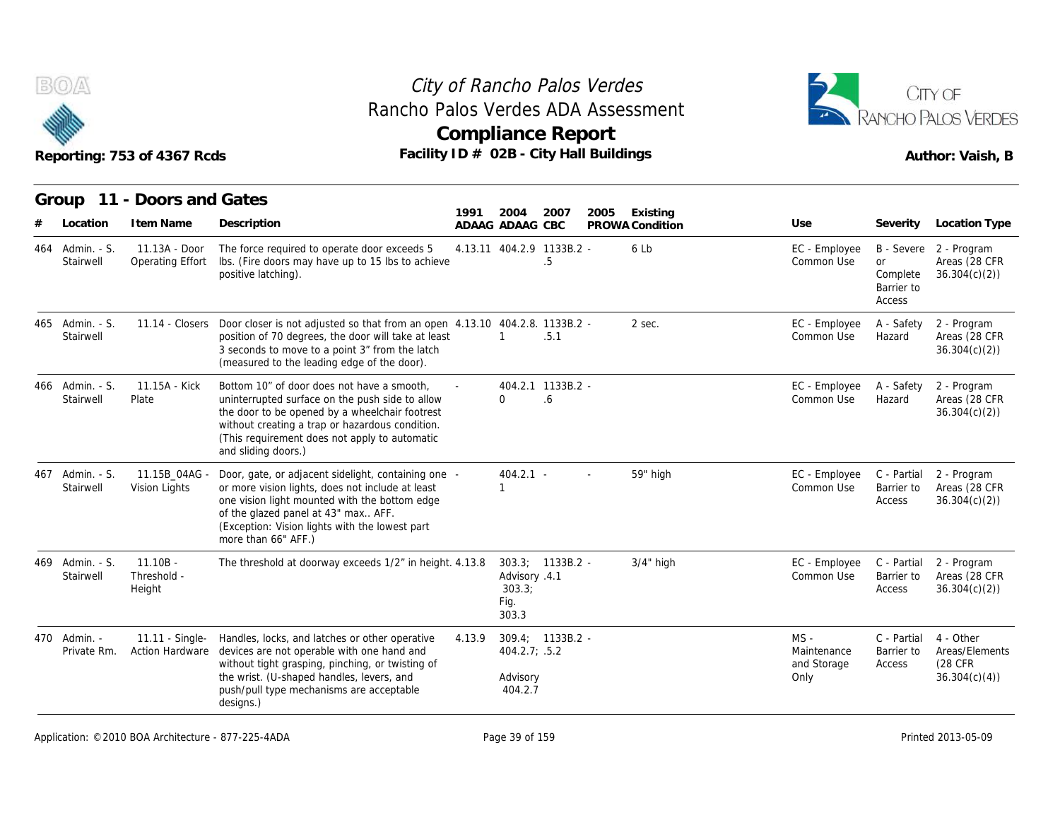



|                              | Reporting: 753 of 4367 Rcds               | Rancho Palos Verdes ADA Assessment<br>Facility ID # 02B - City Hall Buildings                                                                                                                                                                                              |        |                                          | <b>Compliance Report</b>        |      |                 |                                              |                                               | ANCHO PALOS VERDES<br>Author: Vaish, B                  |
|------------------------------|-------------------------------------------|----------------------------------------------------------------------------------------------------------------------------------------------------------------------------------------------------------------------------------------------------------------------------|--------|------------------------------------------|---------------------------------|------|-----------------|----------------------------------------------|-----------------------------------------------|---------------------------------------------------------|
| Group                        | 11 - Doors and Gates                      |                                                                                                                                                                                                                                                                            | 1991   | 2004                                     | 2007                            | 2005 | Existing        |                                              |                                               |                                                         |
| Location                     | I tem Name                                | Description                                                                                                                                                                                                                                                                |        | ADAAG ADAAG CBC                          |                                 |      | PROWA Condition | Use                                          | Severity                                      | Location Type                                           |
| 464 Admin. - S.<br>Stairwell | 11.13A - Door<br>Operating Effort         | The force required to operate door exceeds 5<br>Ibs. (Fire doors may have up to 15 lbs to achieve<br>positive latching).                                                                                                                                                   |        |                                          | 4.13.11 404.2.9 1133B.2 -<br>.5 |      | 6 Lb            | EC - Employee<br>Common Use                  | <b>or</b><br>Complete<br>Barrier to<br>Access | B - Severe 2 - Program<br>Areas (28 CFR<br>36.304(c)(2) |
| 465 Admin. - S.<br>Stairwell | $11.14 - Closers$                         | Door closer is not adjusted so that from an open 4.13.10 404.2.8. 1133B.2 -<br>position of 70 degrees, the door will take at least<br>3 seconds to move to a point 3" from the latch<br>(measured to the leading edge of the door).                                        |        |                                          | .5.1                            |      | 2 sec.          | EC - Employee<br>Common Use                  | A - Safety<br>Hazard                          | 2 - Program<br>Areas (28 CFR<br>36.304(c)(2)            |
| 466 Admin. - S.<br>Stairwell | 11.15A - Kick<br>Plate                    | Bottom 10" of door does not have a smooth.<br>uninterrupted surface on the push side to allow<br>the door to be opened by a wheelchair footrest<br>without creating a trap or hazardous condition.<br>(This requirement does not apply to automatic<br>and sliding doors.) |        | $\Omega$                                 | 404.2.1 1133B.2 -<br>6.6        |      |                 | EC - Employee<br>Common Use                  | A - Safety<br>Hazard                          | 2 - Program<br>Areas (28 CFR<br>36.304(c)(2)            |
| 467 Admin. - S.<br>Stairwell | 11.15B 04AG -<br>Vision Lights            | Door, gate, or adjacent sidelight, containing one -<br>or more vision lights, does not include at least<br>one vision light mounted with the bottom edge<br>of the glazed panel at 43" max AFF.<br>(Exception: Vision lights with the lowest part<br>more than 66" AFF.)   |        | $404.2.1 -$<br>1                         |                                 |      | 59" high        | EC - Employee<br>Common Use                  | C - Partial<br>Barrier to<br>Access           | 2 - Program<br>Areas (28 CFR<br>36.304(c)(2)            |
| 469 Admin. - S.<br>Stairwell | $11.10B -$<br>Threshold -<br>Height       | The threshold at doorway exceeds 1/2" in height. 4.13.8                                                                                                                                                                                                                    |        | Advisory .4.1<br>303.3;<br>Fig.<br>303.3 | $303.3; 1133B.2 -$              |      | $3/4$ " high    | EC - Employee<br>Common Use                  | C - Partial<br>Barrier to<br>Access           | 2 - Program<br>Areas (28 CFR<br>36.304(c)(2)            |
| 470 Admin. -<br>Private Rm.  | 11.11 - Single-<br><b>Action Hardware</b> | Handles, locks, and latches or other operative<br>devices are not operable with one hand and<br>without tight grasping, pinching, or twisting of<br>the wrist. (U-shaped handles, levers, and<br>push/pull type mechanisms are acceptable<br>designs.)                     | 4.13.9 | 404.2.7; .5.2<br>Advisory<br>404.2.7     | $309.4; 1133B.2 -$              |      |                 | $MS -$<br>Maintenance<br>and Storage<br>Only | C - Partial<br>Barrier to<br>Access           | 4 - Other<br>Areas/Elements<br>(28 CFR)<br>36.304(c)(4) |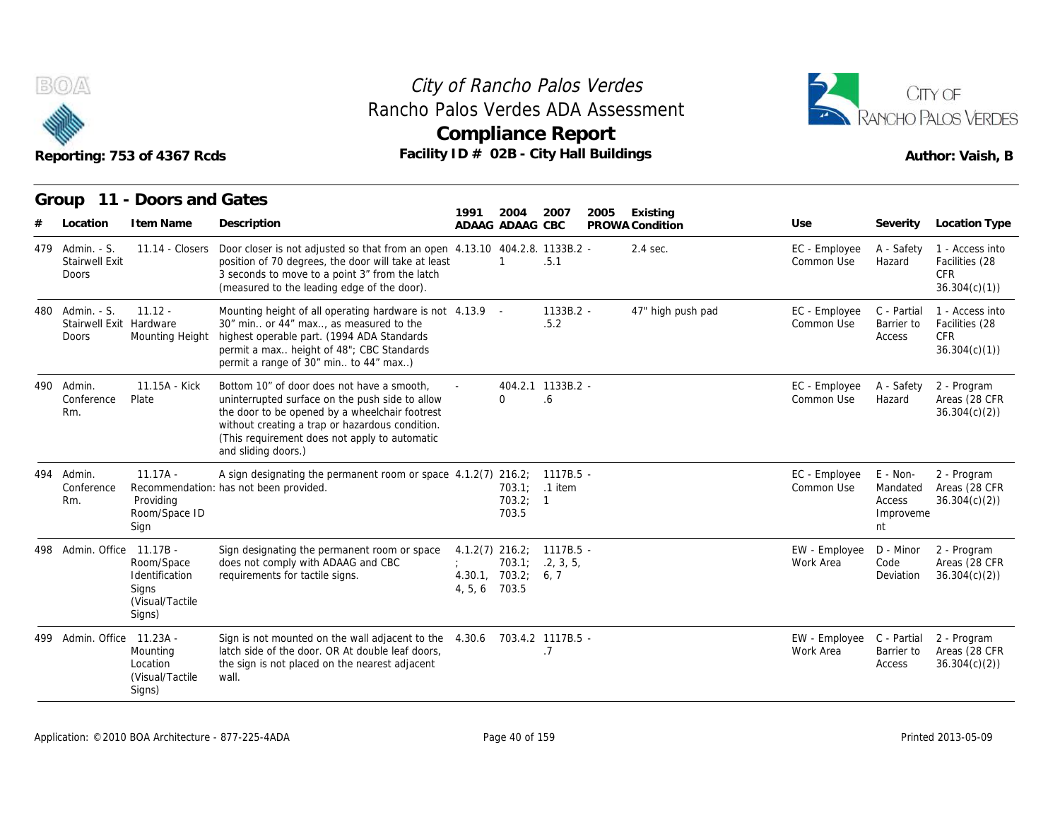



|       |                                                          | Reporting: 753 of 4367 Rcds                                                      | Facility ID # 02B - City Hall Buildings                                                                                                                                                                                                                                    |               |                               |                                        |      |                             |                             |                                                   | Author: Vaish, B                                                |
|-------|----------------------------------------------------------|----------------------------------------------------------------------------------|----------------------------------------------------------------------------------------------------------------------------------------------------------------------------------------------------------------------------------------------------------------------------|---------------|-------------------------------|----------------------------------------|------|-----------------------------|-----------------------------|---------------------------------------------------|-----------------------------------------------------------------|
|       | Location                                                 | Group 11 - Doors and Gates<br>I tem Name                                         | Description                                                                                                                                                                                                                                                                | 1991          | 2004<br>ADAAG ADAAG CBC       | 2007                                   | 2005 | Existing<br>PROWA Condition | Use                         | Severity                                          | Location Type                                                   |
|       | 479 Admin. - S.<br><b>Stairwell Exit</b><br><b>Doors</b> | $11.14 - Closes$                                                                 | Door closer is not adjusted so that from an open 4.13.10 404.2.8. 1133B.2 -<br>position of 70 degrees, the door will take at least<br>3 seconds to move to a point 3" from the latch<br>(measured to the leading edge of the door).                                        |               |                               | .5.1                                   |      | $2.4$ sec.                  | EC - Employee<br>Common Use | A - Safety<br>Hazard                              | 1 - Access into<br>Facilities (28<br><b>CFR</b><br>36.304(c)(1) |
| 480 - | Admin. - S.<br>Stairwell Exit Hardware<br>Doors          | $11.12 -$<br>Mounting Height                                                     | Mounting height of all operating hardware is not 4.13.9 -<br>30" min or 44" max, as measured to the<br>highest operable part. (1994 ADA Standards<br>permit a max height of 48"; CBC Standards<br>permit a range of 30" min to 44" max)                                    |               |                               | 1133B.2 -<br>.5.2                      |      | 47" high push pad           | EC - Employee<br>Common Use | C - Partial<br>Barrier to<br>Access               | 1 - Access into<br>Facilities (28<br><b>CFR</b><br>36.304(c)(1) |
| 490   | Admin.<br>Conference<br>Rm.                              | 11.15A - Kick<br>Plate                                                           | Bottom 10" of door does not have a smooth,<br>uninterrupted surface on the push side to allow<br>the door to be opened by a wheelchair footrest<br>without creating a trap or hazardous condition.<br>(This requirement does not apply to automatic<br>and sliding doors.) |               | $\Omega$                      | 404.2.1 1133B.2 -<br>.6                |      |                             | EC - Employee<br>Common Use | A - Safety<br>Hazard                              | 2 - Program<br>Areas (28 CFR<br>36.304(c)(2)                    |
|       | 494 Admin.<br>Conference<br>Rm.                          | $11.17A -$<br>Providing<br>Room/Space ID<br>Sign                                 | A sign designating the permanent room or space 4.1.2(7) 216.2; 1117B.5 -<br>Recommendation: has not been provided.                                                                                                                                                         |               | 703.2; 1<br>703.5             | 703.1: .1 item                         |      |                             | EC - Employee<br>Common Use | E - Non-<br>Mandated<br>Access<br>Improveme<br>nt | 2 - Program<br>Areas (28 CFR<br>36.304(c)(2)                    |
|       | 498 Admin, Office                                        | $11.17B -$<br>Room/Space<br>Identification<br>Signs<br>(Visual/Tactile<br>Signs) | Sign designating the permanent room or space<br>does not comply with ADAAG and CBC<br>requirements for tactile signs.                                                                                                                                                      | 4, 5, 6 703.5 | 703.1;<br>4.30.1, 703.2; 6, 7 | 4.1.2(7) 216.2; 1117B.5 -<br>.2, 3, 5, |      |                             | EW - Employee<br>Work Area  | D - Minor<br>Code<br>Deviation                    | 2 - Program<br>Areas (28 CFR<br>36.304(c)(2)                    |
|       | 499 Admin, Office                                        | 11.23A -<br>Mounting<br>Location<br>(Visual/Tactile)<br>Signs)                   | Sign is not mounted on the wall adjacent to the 4.30.6 703.4.2 1117B.5 -<br>latch side of the door. OR At double leaf doors,<br>the sign is not placed on the nearest adjacent<br>wall.                                                                                    |               |                               | .7                                     |      |                             | EW - Employee<br>Work Area  | C - Partial<br>Barrier to<br>Access               | 2 - Program<br>Areas (28 CFR<br>36.304(c)(2)                    |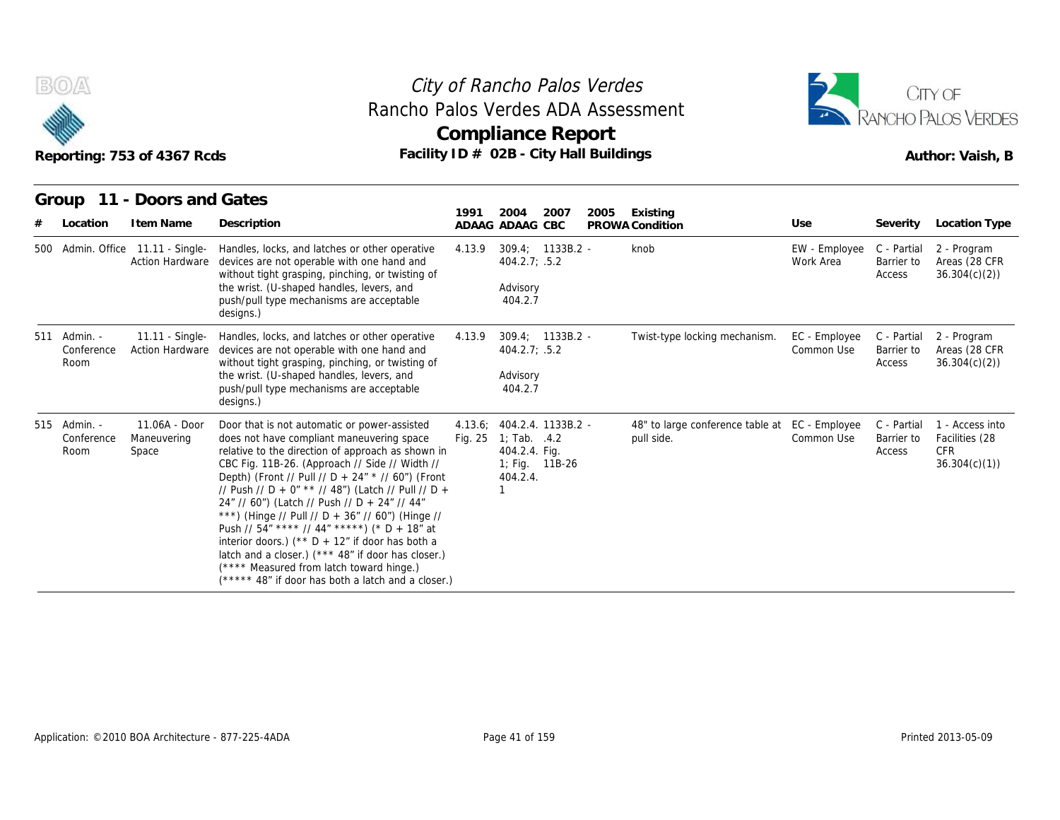



|   | B(0)                               | Reporting: 753 of 4367 Rcds                                 | Rancho Palos Verdes ADA Assessment                                                                                                                                                                                                                                                                                                                                                                                                                                                                                                                                                                                                                                               |        | City of Rancho Palos Verdes<br><b>Compliance Report</b><br>Facility ID # 02B - City Hall Buildings |      |                                                              |                             |                                     | CITY OF<br><b>RANCHO PALOS VERDES</b><br>Author: Vaish, B       |
|---|------------------------------------|-------------------------------------------------------------|----------------------------------------------------------------------------------------------------------------------------------------------------------------------------------------------------------------------------------------------------------------------------------------------------------------------------------------------------------------------------------------------------------------------------------------------------------------------------------------------------------------------------------------------------------------------------------------------------------------------------------------------------------------------------------|--------|----------------------------------------------------------------------------------------------------|------|--------------------------------------------------------------|-----------------------------|-------------------------------------|-----------------------------------------------------------------|
| # | Location                           | Group 11 - Doors and Gates<br>I tem Name                    | Description                                                                                                                                                                                                                                                                                                                                                                                                                                                                                                                                                                                                                                                                      | 1991   | 2004<br>2007<br>ADAAG ADAAG CBC                                                                    | 2005 | Existing<br>PROWA Condition                                  | Use                         | Severity                            | Location Type                                                   |
|   |                                    | 500 Admin. Office 11.11 - Single-<br><b>Action Hardware</b> | Handles, locks, and latches or other operative<br>devices are not operable with one hand and<br>without tight grasping, pinching, or twisting of<br>the wrist. (U-shaped handles, levers, and<br>push/pull type mechanisms are acceptable<br>designs.)                                                                                                                                                                                                                                                                                                                                                                                                                           | 4.13.9 | 309.4; 1133B.2 -<br>404.2.7: .5.2<br>Advisory<br>404.2.7                                           |      | knob                                                         | EW - Employee<br>Work Area  | C - Partial<br>Barrier to<br>Access | 2 - Program<br>Areas (28 CFR<br>36.304(c)(2)                    |
|   | 511 Admin. -<br>Conference<br>Room | 11.11 - Single-<br><b>Action Hardware</b>                   | Handles, locks, and latches or other operative<br>devices are not operable with one hand and<br>without tight grasping, pinching, or twisting of<br>the wrist. (U-shaped handles, levers, and<br>push/pull type mechanisms are acceptable<br>designs.)                                                                                                                                                                                                                                                                                                                                                                                                                           | 4.13.9 | $309.4; 1133B.2 -$<br>404.2.7; .5.2<br>Advisory<br>404.2.7                                         |      | Twist-type locking mechanism.                                | EC - Employee<br>Common Use | C - Partial<br>Barrier to<br>Access | 2 - Program<br>Areas (28 CFR<br>36.304(c)(2)                    |
|   | 515 Admin. -<br>Conference<br>Room | 11.06A - Door<br>Maneuvering<br>Space                       | Door that is not automatic or power-assisted<br>does not have compliant maneuvering space<br>relative to the direction of approach as shown in<br>CBC Fig. 11B-26. (Approach // Side // Width //<br>Depth) (Front // Pull // D + 24" * // 60") (Front<br>// Push // D + 0" ** // 48") (Latch // Pull // D +<br>24" // 60") (Latch // Push // D + 24" // 44"<br>***) (Hinge // Pull // D + 36" // 60") (Hinge //<br>Push // 54" **** // 44" *****) (* D + 18" at<br>interior doors.) ( $*$ $+$ D + 12" if door has both a<br>latch and a closer.) (*** 48" if door has closer.)<br>(**** Measured from latch toward hinge.)<br>(***** 48" if door has both a latch and a closer.) |        | 4.13.6; 404.2.4. 1133B.2 -<br>Fig. 25 1; Tab. .4.2<br>404.2.4. Fig.<br>1; Fig. 11B-26<br>404.2.4.  |      | 48" to large conference table at EC - Employee<br>pull side. | Common Use                  | C - Partial<br>Barrier to<br>Access | 1 - Access into<br>Facilities (28<br><b>CFR</b><br>36.304(c)(1) |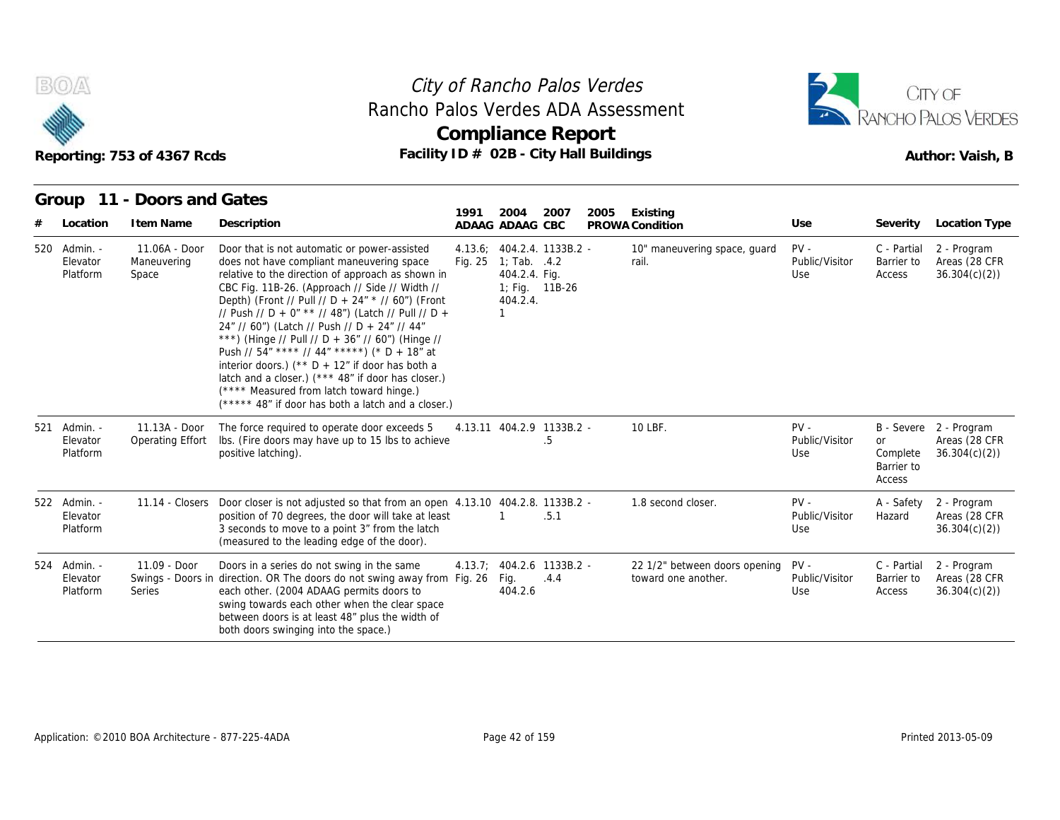



#### **Group 11 - Doors and Gates**

|   |                                      | Reporting: 753 of 4367 Rcds           | Rancho Palos Verdes ADA Assessment<br>Facility ID # 02B - City Hall Buildings                                                                                                                                                                                                                                                                                                                                                                                                                                                                                                                                                                                                      |         | Compliance Report                                                                      |                |      |                                                      |                                 |                                               | <b>RANCHO PALOS VERDES</b><br>Author: Vaish, B          |
|---|--------------------------------------|---------------------------------------|------------------------------------------------------------------------------------------------------------------------------------------------------------------------------------------------------------------------------------------------------------------------------------------------------------------------------------------------------------------------------------------------------------------------------------------------------------------------------------------------------------------------------------------------------------------------------------------------------------------------------------------------------------------------------------|---------|----------------------------------------------------------------------------------------|----------------|------|------------------------------------------------------|---------------------------------|-----------------------------------------------|---------------------------------------------------------|
|   | Group                                | 11 - Doors and Gates                  |                                                                                                                                                                                                                                                                                                                                                                                                                                                                                                                                                                                                                                                                                    | 1991    | 2004                                                                                   | 2007           | 2005 | Existing                                             |                                 |                                               |                                                         |
| # | Location                             | I tem Name                            | Description                                                                                                                                                                                                                                                                                                                                                                                                                                                                                                                                                                                                                                                                        |         | ADAAG ADAAG CBC                                                                        |                |      | PROWA Condition                                      | Use                             |                                               | Severity Location Type                                  |
|   | 520 Admin. -<br>Elevator<br>Platform | 11.06A - Door<br>Maneuvering<br>Space | Door that is not automatic or power-assisted<br>does not have compliant maneuvering space<br>relative to the direction of approach as shown in<br>CBC Fig. 11B-26. (Approach // Side // Width //<br>Depth) (Front // Pull // D + 24" * // 60") (Front<br>// Push // D + 0" ** // 48") (Latch // Pull // D +<br>24" // 60") (Latch // Push // D + 24" // 44"<br>***) (Hinge // Pull // D + 36" // 60") (Hinge //<br>Push // $54''$ **** // $44''$ *****) (* D + 18" at<br>interior doors.) ( $*$ D + 12" if door has both a<br>latch and a closer.) (*** 48" if door has closer.)<br>(**** Measured from latch toward hinge.)<br>(***** 48" if door has both a latch and a closer.) | Fig. 25 | 4.13.6; 404.2.4. 1133B.2 -<br>1; Tab. .4.2<br>404.2.4. Fig.<br>404.2.4.<br>$\mathbf 1$ | 1; Fig. 11B-26 |      | 10" maneuvering space, guard<br>rail.                | $PV -$<br>Public/Visitor<br>Use | C - Partial<br>Barrier to<br>Access           | 2 - Program<br>Areas (28 CFR<br>36.304(c)(2)            |
|   | 521 Admin. -<br>Elevator<br>Platform | 11.13A - Door<br>Operating Effort     | The force required to operate door exceeds 5<br>Ibs. (Fire doors may have up to 15 lbs to achieve<br>positive latching).                                                                                                                                                                                                                                                                                                                                                                                                                                                                                                                                                           |         | 4.13.11 404.2.9 1133B.2 -                                                              | $.5\,$         |      | 10 LBF.                                              | $PV -$<br>Public/Visitor<br>Use | <b>or</b><br>Complete<br>Barrier to<br>Access | B - Severe 2 - Program<br>Areas (28 CFR<br>36.304(c)(2) |
|   | 522 Admin. -<br>Elevator<br>Platform | 11.14 - Closers                       | Door closer is not adjusted so that from an open 4.13.10 404.2.8. 1133B.2 -<br>position of 70 degrees, the door will take at least<br>3 seconds to move to a point 3" from the latch<br>(measured to the leading edge of the door).                                                                                                                                                                                                                                                                                                                                                                                                                                                |         |                                                                                        | .5.1           |      | 1.8 second closer.                                   | $PV -$<br>Public/Visitor<br>Use | A - Safety<br>Hazard                          | 2 - Program<br>Areas (28 CFR<br>36.304(c)(2)            |
|   | 524 Admin. -<br>Elevator<br>Platform | 11.09 - Door<br><b>Series</b>         | Doors in a series do not swing in the same<br>Swings - Doors in direction. OR The doors do not swing away from Fig. 26<br>each other. (2004 ADAAG permits doors to<br>swing towards each other when the clear space<br>between doors is at least 48" plus the width of<br>both doors swinging into the space.)                                                                                                                                                                                                                                                                                                                                                                     |         | 4.13.7; 404.2.6 1133B.2 -<br>Fig.<br>404.2.6                                           | .4.4           |      | 22 1/2" between doors opening<br>toward one another. | $PV -$<br>Public/Visitor<br>Use | C - Partial<br>Barrier to<br>Access           | 2 - Program<br>Areas (28 CFR<br>36.304(c)(2)            |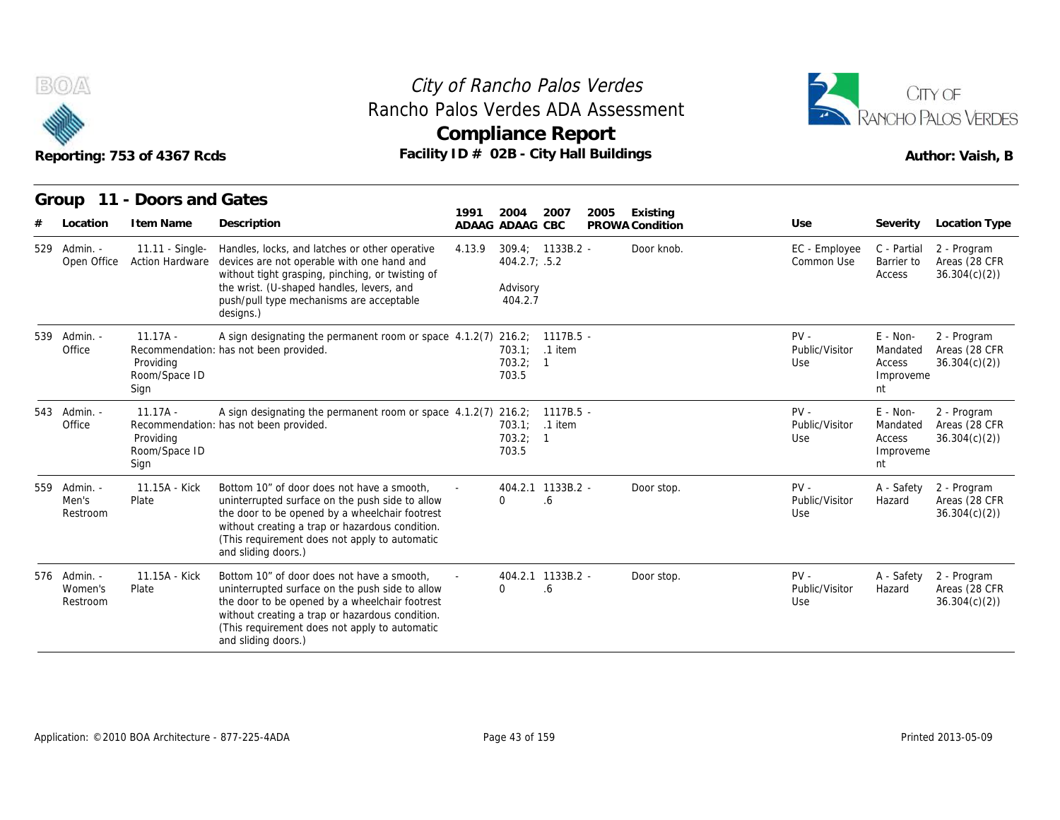



|                                     | Reporting: 753 of 4367 Rcds                      | City of Rancho Palos Verdes<br>Rancho Palos Verdes ADA Assessment<br>Facility ID # 02B - City Hall Buildings                                                                                                                                                               | <b>Compliance Report</b>        |                                                            |         |      |                             |                                 |                                                     | CITY OF<br>ANCHO PALOS VERDES<br>Author: Vaish, B |
|-------------------------------------|--------------------------------------------------|----------------------------------------------------------------------------------------------------------------------------------------------------------------------------------------------------------------------------------------------------------------------------|---------------------------------|------------------------------------------------------------|---------|------|-----------------------------|---------------------------------|-----------------------------------------------------|---------------------------------------------------|
| Group<br>Location                   | 11 - Doors and Gates<br>I tem Name               | Description                                                                                                                                                                                                                                                                | 1991<br>2004<br>ADAAG ADAAG CBC |                                                            | 2007    | 2005 | Existing<br>PROWA Condition | Use                             | Severity                                            | Location Type                                     |
| 529 Admin. -<br>Open Office         | 11.11 - Single-<br><b>Action Hardware</b>        | Handles, locks, and latches or other operative<br>devices are not operable with one hand and<br>without tight grasping, pinching, or twisting of<br>the wrist. (U-shaped handles, levers, and<br>push/pull type mechanisms are acceptable<br>designs.)                     | 4.13.9                          | $309.4: 1133B.2 -$<br>404.2.7; .5.2<br>Advisory<br>404.2.7 |         |      | Door knob.                  | EC - Employee<br>Common Use     | C - Partial<br>Barrier to<br>Access                 | 2 - Program<br>Areas (28 CFR<br>36.304(c)(2)      |
| 539 Admin. -<br>Office              | $11.17A -$<br>Providing<br>Room/Space ID<br>Sign | A sign designating the permanent room or space 4.1.2(7) 216.2; 1117B.5 -<br>Recommendation: has not been provided.                                                                                                                                                         | 703.5                           | 703.1:<br>703.2; 1                                         | .1 item |      |                             | $PV -$<br>Public/Visitor<br>Use | $E - Non-$<br>Mandated<br>Access<br>Improveme<br>nt | 2 - Program<br>Areas (28 CFR<br>36.304(c)(2)      |
| 543 Admin. -<br>Office              | $11.17A -$<br>Providing<br>Room/Space ID<br>Sign | A sign designating the permanent room or space 4.1.2(7) 216.2; 1117B.5 -<br>Recommendation: has not been provided.                                                                                                                                                         | 703.5                           | 703.1; .1 item<br>703.2; 1                                 |         |      |                             | $PV -$<br>Public/Visitor<br>Use | $E - Non-$<br>Mandated<br>Access<br>Improveme<br>nt | 2 - Program<br>Areas (28 CFR<br>36.304(c)(2)      |
| 559 Admin. -<br>Men's<br>Restroom   | 11.15A - Kick<br>Plate                           | Bottom 10" of door does not have a smooth,<br>uninterrupted surface on the push side to allow<br>the door to be opened by a wheelchair footrest<br>without creating a trap or hazardous condition.<br>(This requirement does not apply to automatic<br>and sliding doors.) | $\Omega$                        | 404.2.1 1133B.2 -<br>.6                                    |         |      | Door stop.                  | $PV -$<br>Public/Visitor<br>Use | A - Safety<br>Hazard                                | 2 - Program<br>Areas (28 CFR<br>36.304(c)(2)      |
| 576 Admin. -<br>Women's<br>Restroom | 11.15A - Kick<br>Plate                           | Bottom 10" of door does not have a smooth.<br>uninterrupted surface on the push side to allow<br>the door to be opened by a wheelchair footrest<br>without creating a trap or hazardous condition.<br>(This requirement does not apply to automatic<br>and sliding doors.) | $\Omega$                        | 404.2.1 1133B.2 -<br>.6                                    |         |      | Door stop.                  | $PV -$<br>Public/Visitor<br>Use | A - Safety<br>Hazard                                | 2 - Program<br>Areas (28 CFR<br>36.304(c)(2)      |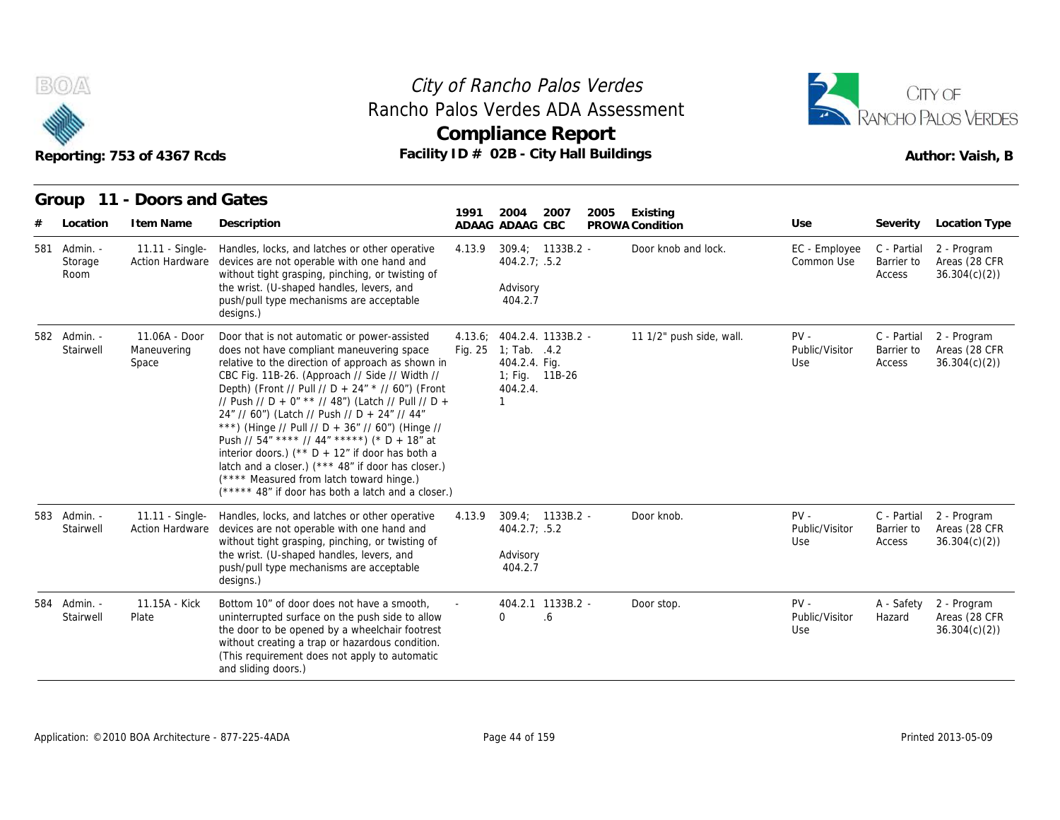



|     |                             | Reporting: 753 of 4367 Rcds               | Facility ID # 02B - City Hall Buildings                                                                                                                                                                                                                                                                                                                                                                                                                                                                                                                                                                                                                                       |         | <b>Compliance Report</b>                                                                  |      |      |                                        |                                 |                                     | Author: Vaish, B                             |
|-----|-----------------------------|-------------------------------------------|-------------------------------------------------------------------------------------------------------------------------------------------------------------------------------------------------------------------------------------------------------------------------------------------------------------------------------------------------------------------------------------------------------------------------------------------------------------------------------------------------------------------------------------------------------------------------------------------------------------------------------------------------------------------------------|---------|-------------------------------------------------------------------------------------------|------|------|----------------------------------------|---------------------------------|-------------------------------------|----------------------------------------------|
|     | Location                    | Group 11 - Doors and Gates<br>I tem Name  | Description                                                                                                                                                                                                                                                                                                                                                                                                                                                                                                                                                                                                                                                                   | 1991    | 2004                                                                                      | 2007 | 2005 | Existing                               | Use                             | Severity                            | Location Type                                |
| 581 | Admin. -<br>Storage<br>Room | 11.11 - Single-<br><b>Action Hardware</b> | Handles, locks, and latches or other operative<br>devices are not operable with one hand and<br>without tight grasping, pinching, or twisting of<br>the wrist. (U-shaped handles, levers, and<br>push/pull type mechanisms are acceptable<br>designs.)                                                                                                                                                                                                                                                                                                                                                                                                                        | 4.13.9  | ADAAG ADAAG CBC<br>309.4; 1133B.2 -<br>404.2.7; .5.2<br>Advisory<br>404.2.7               |      |      | PROWA Condition<br>Door knob and lock. | EC - Employee<br>Common Use     | C - Partial<br>Barrier to<br>Access | 2 - Program<br>Areas (28 CFR<br>36.304(c)(2) |
|     | 582 Admin. -<br>Stairwell   | 11.06A - Door<br>Maneuvering<br>Space     | Door that is not automatic or power-assisted<br>does not have compliant maneuvering space<br>relative to the direction of approach as shown in<br>CBC Fig. 11B-26. (Approach // Side // Width //<br>Depth) (Front // Pull // D + 24" * // 60") (Front<br>// Push // D + 0" ** // 48") (Latch // Pull // D +<br>24" // 60") (Latch // Push // D + 24" // 44"<br>***) (Hinge // Pull // D + 36" // 60") (Hinge //<br>Push // 54" **** // 44" *****) (* D + 18" at<br>interior doors.) (** $D + 12$ " if door has both a<br>latch and a closer.) (*** 48" if door has closer.)<br>(**** Measured from latch toward hinge.)<br>(***** 48" if door has both a latch and a closer.) | Fig. 25 | 4.13.6; 404.2.4. 1133B.2 -<br>1; Tab. .4.2<br>404.2.4. Fig.<br>1; Fig. 11B-26<br>404.2.4. |      |      | 11 1/2" push side, wall.               | $PV -$<br>Public/Visitor<br>Use | C - Partial<br>Barrier to<br>Access | 2 - Program<br>Areas (28 CFR<br>36.304(c)(2) |
|     | 583 Admin. -<br>Stairwell   | 11.11 - Single-<br><b>Action Hardware</b> | Handles, locks, and latches or other operative<br>devices are not operable with one hand and<br>without tight grasping, pinching, or twisting of<br>the wrist. (U-shaped handles, levers, and<br>push/pull type mechanisms are acceptable<br>designs.)                                                                                                                                                                                                                                                                                                                                                                                                                        | 4.13.9  | 309.4; 1133B.2 -<br>404.2.7; .5.2<br>Advisory<br>404.2.7                                  |      |      | Door knob.                             | $PV -$<br>Public/Visitor<br>Use | C - Partial<br>Barrier to<br>Access | 2 - Program<br>Areas (28 CFR<br>36.304(c)(2) |
|     | 584 Admin. -<br>Stairwell   | 11.15A - Kick<br>Plate                    | Bottom 10" of door does not have a smooth,<br>uninterrupted surface on the push side to allow<br>the door to be opened by a wheelchair footrest<br>without creating a trap or hazardous condition.<br>(This requirement does not apply to automatic<br>and sliding doors.)                                                                                                                                                                                                                                                                                                                                                                                                    |         | 404.2.1 1133B.2 -<br>$\Omega$                                                             | .6   |      | Door stop.                             | $PV -$<br>Public/Visitor<br>Use | A - Safety<br>Hazard                | 2 - Program<br>Areas (28 CFR<br>36.304(c)(2) |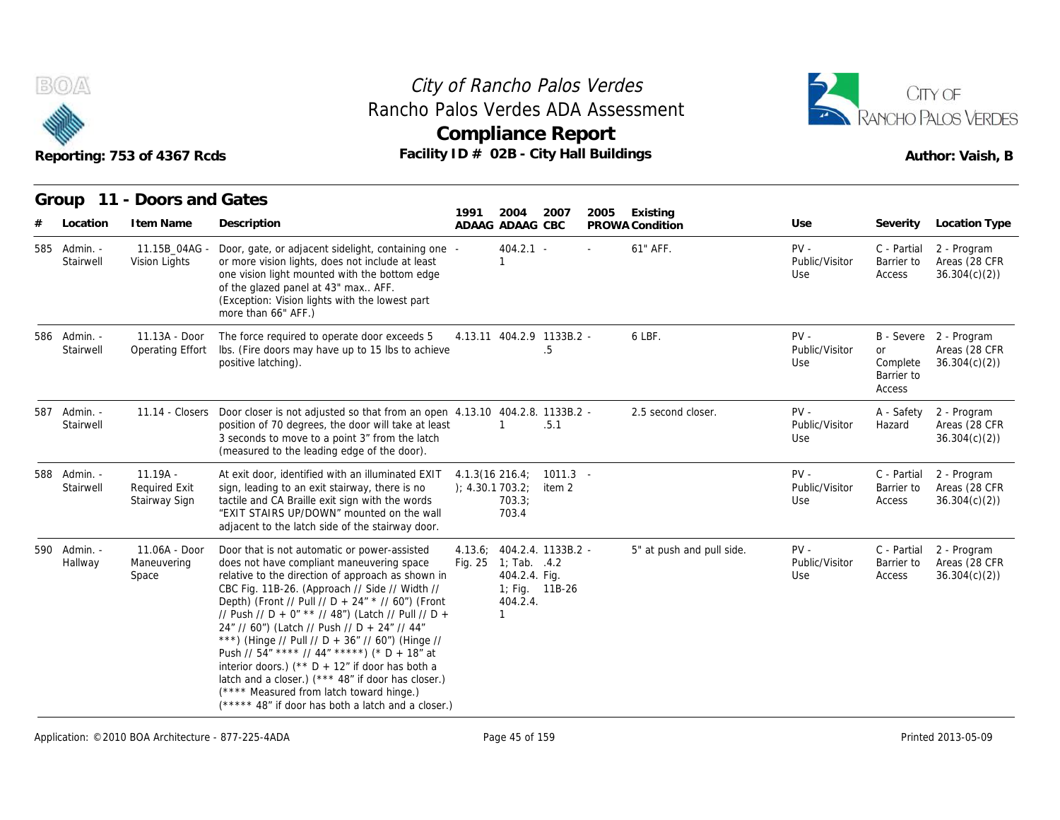



|   |                           | Reporting: 753 of 4367 Rcds                         | Facility ID # 02B - City Hall Buildings                                                                                                                                                                                                                                                                                                                                                                                                                                                                                                                                                                                                                                             |                                       |                                                                              | <b>Compliance Report</b>             |      |                             |                                 |                                               | RANCHO PALOS VERDES<br>Author: Vaish, B                 |
|---|---------------------------|-----------------------------------------------------|-------------------------------------------------------------------------------------------------------------------------------------------------------------------------------------------------------------------------------------------------------------------------------------------------------------------------------------------------------------------------------------------------------------------------------------------------------------------------------------------------------------------------------------------------------------------------------------------------------------------------------------------------------------------------------------|---------------------------------------|------------------------------------------------------------------------------|--------------------------------------|------|-----------------------------|---------------------------------|-----------------------------------------------|---------------------------------------------------------|
| # | Group<br>Location         | 11 - Doors and Gates<br>I tem Name                  | Description                                                                                                                                                                                                                                                                                                                                                                                                                                                                                                                                                                                                                                                                         | 1991                                  | 2004<br>ADAAG ADAAG CBC                                                      | 2007                                 | 2005 | Existing<br>PROWA Condition | Use                             | Severity                                      | Location Type                                           |
|   | 585 Admin. -<br>Stairwell | 11.15B_04AG -<br>Vision Lights                      | Door, gate, or adjacent sidelight, containing one -<br>or more vision lights, does not include at least<br>one vision light mounted with the bottom edge<br>of the glazed panel at 43" max AFF.<br>(Exception: Vision lights with the lowest part<br>more than 66" AFF.)                                                                                                                                                                                                                                                                                                                                                                                                            |                                       | $404.2.1 -$<br>$\mathbf{1}$                                                  |                                      |      | 61" AFF.                    | $PV -$<br>Public/Visitor<br>Use | C - Partial<br>Barrier to<br>Access           | 2 - Program<br>Areas (28 CFR<br>36.304(c)(2)            |
|   | 586 Admin. -<br>Stairwell | 11.13A - Door<br>Operating Effort                   | The force required to operate door exceeds 5<br>Ibs. (Fire doors may have up to 15 lbs to achieve<br>positive latching).                                                                                                                                                                                                                                                                                                                                                                                                                                                                                                                                                            |                                       |                                                                              | 4.13.11 404.2.9 1133B.2 -<br>.5      |      | 6 LBF.                      | $PV -$<br>Public/Visitor<br>Use | <b>or</b><br>Complete<br>Barrier to<br>Access | B - Severe 2 - Program<br>Areas (28 CFR<br>36.304(c)(2) |
|   | 587 Admin. -<br>Stairwell |                                                     | 11.14 - Closers Door closer is not adjusted so that from an open 4.13.10 404.2.8. 1133B.2 -<br>position of 70 degrees, the door will take at least<br>3 seconds to move to a point 3" from the latch<br>(measured to the leading edge of the door).                                                                                                                                                                                                                                                                                                                                                                                                                                 |                                       | 1                                                                            | .5.1                                 |      | 2.5 second closer.          | $PV -$<br>Public/Visitor<br>Use | A - Safety<br>Hazard                          | 2 - Program<br>Areas (28 CFR<br>36.304(c)(2)            |
|   | 588 Admin. -<br>Stairwell | $11.19A -$<br><b>Required Exit</b><br>Stairway Sign | At exit door, identified with an illuminated EXIT<br>sign, leading to an exit stairway, there is no<br>tactile and CA Braille exit sign with the words<br>"EXIT STAIRS UP/DOWN" mounted on the wall<br>adjacent to the latch side of the stairway door.                                                                                                                                                                                                                                                                                                                                                                                                                             | $4.1.3(16\ 216.4)$<br>); 4.30.1703.2; | 703.3;<br>703.4                                                              | $1011.3 -$<br>item 2                 |      |                             | $PV -$<br>Public/Visitor<br>Use | C - Partial<br>Barrier to<br>Access           | 2 - Program<br>Areas (28 CFR<br>36.304(c)(2)            |
|   | 590 Admin. -<br>Hallway   | 11.06A - Door<br>Maneuvering<br>Space               | Door that is not automatic or power-assisted<br>does not have compliant maneuvering space<br>relative to the direction of approach as shown in<br>CBC Fig. 11B-26. (Approach // Side // Width //<br>Depth) (Front // Pull // D + 24" * // 60") (Front<br>// Push // D + 0" ** // 48") (Latch // Pull // D +<br>24" // 60") (Latch // Push // D + 24" // 44"<br>***) (Hinge // Pull // D + 36" // 60") (Hinge //<br>Push // $54"$ **** // $44"$ *****) (* D + $18"$ at<br>interior doors.) (** $D + 12$ " if door has both a<br>latch and a closer.) (*** 48" if door has closer.)<br>(**** Measured from latch toward hinge.)<br>(***** 48" if door has both a latch and a closer.) | 4.13.6;                               | Fig. $25 \quad 1$ ; Tab. $.4.2$<br>404.2.4. Fig.<br>404.2.4.<br>$\mathbf{1}$ | 404.2.4. 1133B.2 -<br>1; Fig. 11B-26 |      | 5" at push and pull side.   | $PV -$<br>Public/Visitor<br>Use | C - Partial<br>Barrier to<br>Access           | 2 - Program<br>Areas (28 CFR<br>36.304(c)(2)            |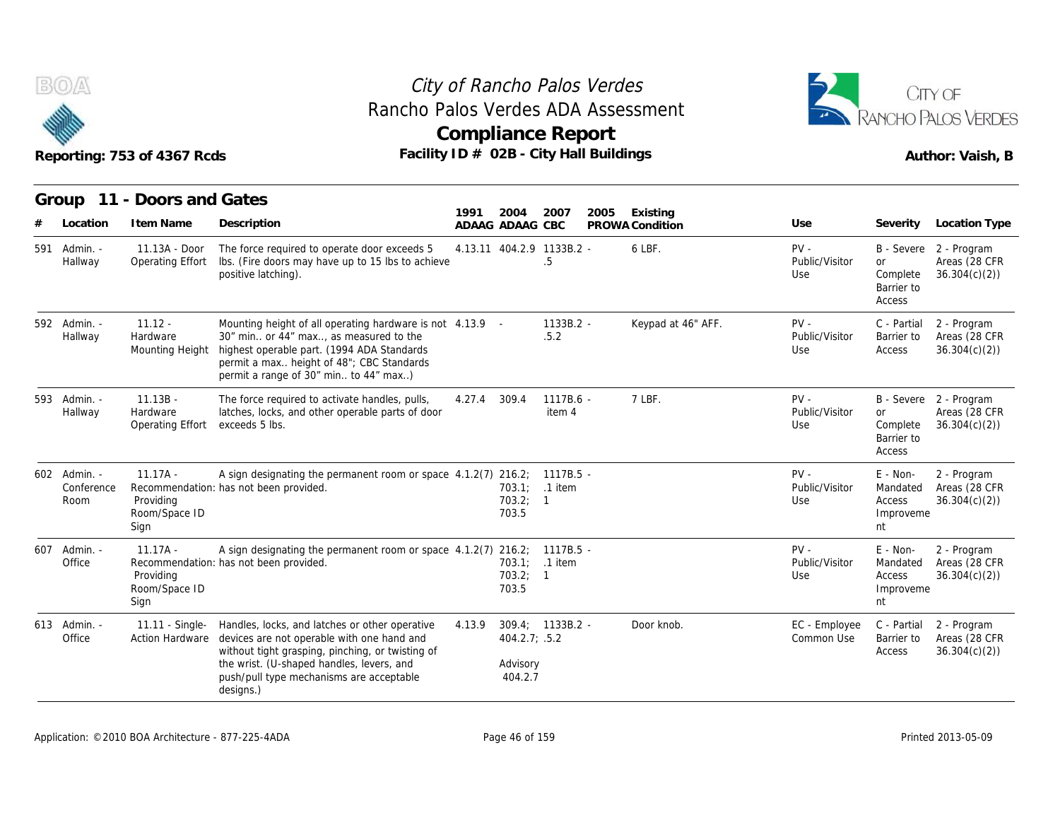



|                                    | Reporting: 753 of 4367 Rcds                      | Facility ID # 02B - City Hall Buildings                                                                                                                                                                                                                |        | <b>Compliance Report</b>             |                       |      |                             |                                 |                                                     | Author: Vaish, B                                        |
|------------------------------------|--------------------------------------------------|--------------------------------------------------------------------------------------------------------------------------------------------------------------------------------------------------------------------------------------------------------|--------|--------------------------------------|-----------------------|------|-----------------------------|---------------------------------|-----------------------------------------------------|---------------------------------------------------------|
| Group<br>Location                  | 11 - Doors and Gates<br>I tem Name               | Description                                                                                                                                                                                                                                            | 1991   | 2004<br>ADAAG ADAAG CBC              | 2007                  | 2005 | Existing<br>PROWA Condition | Use                             | Severity                                            | Location Type                                           |
| 591 Admin. -<br>Hallway            | 11.13A - Door<br>Operating Effort                | The force required to operate door exceeds 5<br>Ibs. (Fire doors may have up to 15 lbs to achieve<br>positive latching).                                                                                                                               |        | 4.13.11 404.2.9 1133B.2 -            | .5                    |      | 6 LBF.                      | $PV -$<br>Public/Visitor<br>Use | <b>or</b><br>Complete<br>Barrier to<br>Access       | B - Severe 2 - Program<br>Areas (28 CFR<br>36.304(c)(2) |
| 592 Admin. -<br>Hallway            | $11.12 -$<br>Hardware<br>Mounting Height         | Mounting height of all operating hardware is not 4.13.9 -<br>30" min or 44" max, as measured to the<br>highest operable part. (1994 ADA Standards<br>permit a max height of 48"; CBC Standards<br>permit a range of 30" min to 44" max)                |        |                                      | $1133B.2 -$<br>.5.2   |      | Keypad at 46" AFF.          | $PV -$<br>Public/Visitor<br>Use | C - Partial<br>Barrier to<br>Access                 | 2 - Program<br>Areas (28 CFR<br>36.304(c)(2)            |
| 593 Admin. -<br>Hallway            | $11.13B -$<br>Hardware<br>Operating Effort       | The force required to activate handles, pulls,<br>latches, locks, and other operable parts of door<br>exceeds 5 lbs.                                                                                                                                   | 4.27.4 | 309.4                                | $1117B.6 -$<br>item 4 |      | 7 LBF.                      | $PV -$<br>Public/Visitor<br>Use | or<br>Complete<br>Barrier to<br>Access              | B - Severe 2 - Program<br>Areas (28 CFR<br>36.304(c)(2) |
| 602 Admin. -<br>Conference<br>Room | $11.17A -$<br>Providing<br>Room/Space ID<br>Sign | A sign designating the permanent room or space 4.1.2(7) 216.2; 1117B.5 -<br>Recommendation: has not been provided.                                                                                                                                     |        | 703.2; 1<br>703.5                    | 703.1: .1 item        |      |                             | $PV -$<br>Public/Visitor<br>Use | E - Non-<br>Mandated<br>Access<br>Improveme<br>nt   | 2 - Program<br>Areas (28 CFR<br>36.304(c)(2)            |
| 607 Admin. -<br>Office             | $11.17A -$<br>Providing<br>Room/Space ID<br>Sign | A sign designating the permanent room or space 4.1.2(7) 216.2; 1117B.5 -<br>Recommendation: has not been provided.                                                                                                                                     |        | 703.2; 1<br>703.5                    | 703.1; .1 item        |      |                             | $PV -$<br>Public/Visitor<br>Use | $E - Non-$<br>Mandated<br>Access<br>Improveme<br>nt | 2 - Program<br>Areas (28 CFR<br>36.304(c)(2)            |
| 613 Admin. -<br>Office             | 11.11 - Single-<br>Action Hardware               | Handles, locks, and latches or other operative<br>devices are not operable with one hand and<br>without tight grasping, pinching, or twisting of<br>the wrist. (U-shaped handles, levers, and<br>push/pull type mechanisms are acceptable<br>designs.) | 4.13.9 | 404.2.7; .5.2<br>Advisory<br>404.2.7 | $309.4: 1133B.2 -$    |      | Door knob.                  | EC - Employee<br>Common Use     | C - Partial<br>Barrier to<br>Access                 | 2 - Program<br>Areas (28 CFR<br>36.304(c)(2)            |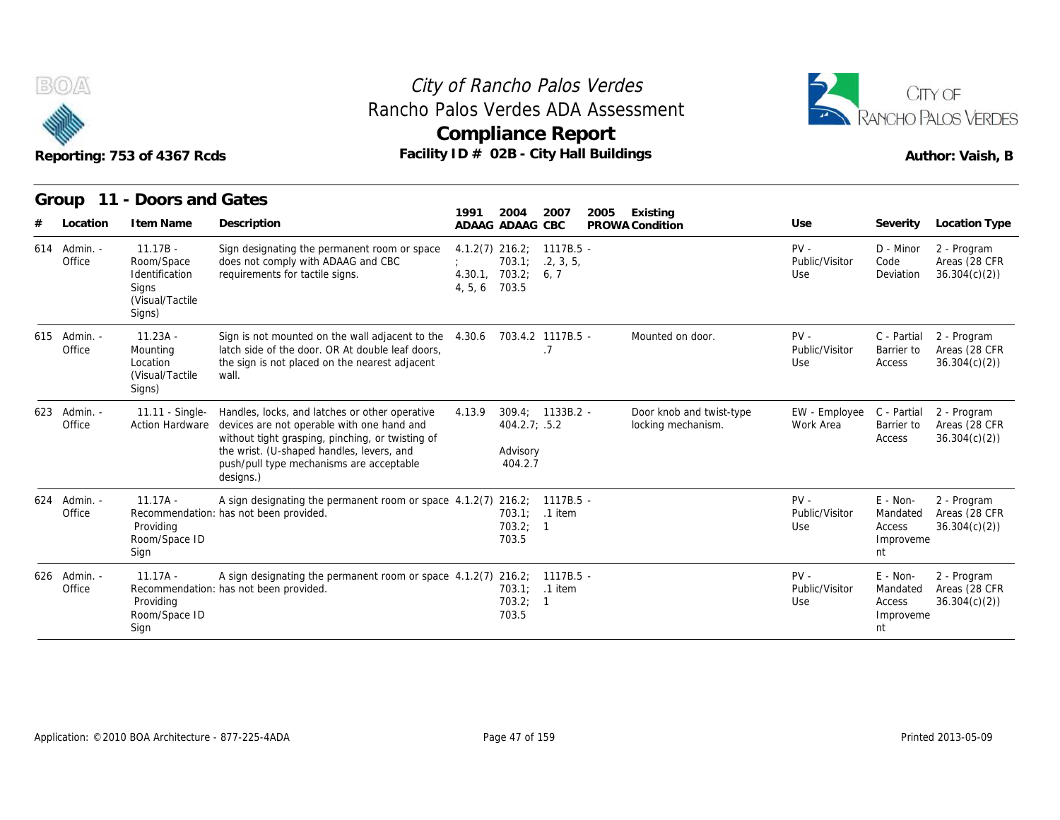



|                        | Reporting: 753 of 4367 Rcds                                                      | Rancho Palos Verdes ADA Assessment<br>Facility ID # 02B - City Hall Buildings                                                                                                                                                                          | Compliance Report                                    |                                                            |                                | City of Rancho Palos Verdes |                                                |                                 |                                                     | CITY OF<br><b>RANCHO PALOS VERDES</b><br>Author: Vaish, B |
|------------------------|----------------------------------------------------------------------------------|--------------------------------------------------------------------------------------------------------------------------------------------------------------------------------------------------------------------------------------------------------|------------------------------------------------------|------------------------------------------------------------|--------------------------------|-----------------------------|------------------------------------------------|---------------------------------|-----------------------------------------------------|-----------------------------------------------------------|
| Group                  | 11 - Doors and Gates                                                             |                                                                                                                                                                                                                                                        |                                                      |                                                            |                                |                             |                                                |                                 |                                                     |                                                           |
| Location               | I tem Name                                                                       | Description                                                                                                                                                                                                                                            | 1991                                                 | 2004<br>ADAAG ADAAG CBC                                    | 2007                           | 2005                        | Existing<br>PROWA Condition                    | Use                             | Severity                                            | <b>Location Type</b>                                      |
| 614 Admin. -<br>Office | $11.17B -$<br>Room/Space<br>Identification<br>Signs<br>(Visual/Tactile<br>Signs) | Sign designating the permanent room or space<br>does not comply with ADAAG and CBC<br>requirements for tactile signs.                                                                                                                                  | $4.1.2(7)$ 216.2;<br>4.30.1, 703.2;<br>4, 5, 6 703.5 | 703.1;                                                     | 1117B.5 -<br>.2, 3, 5,<br>6, 7 |                             |                                                | $PV -$<br>Public/Visitor<br>Use | D - Minor<br>Code<br>Deviation                      | 2 - Program<br>Areas (28 CFR<br>36.304(c)(2)              |
| 615 Admin. -<br>Office | $11.23A -$<br>Mounting<br>Location<br>(Visual/Tactile<br>Signs)                  | Sign is not mounted on the wall adjacent to the<br>latch side of the door. OR At double leaf doors,<br>the sign is not placed on the nearest adjacent<br>wall.                                                                                         | 4.30.6                                               | 703.4.2 1117B.5 -                                          | . 7                            |                             | Mounted on door.                               | $PV -$<br>Public/Visitor<br>Use | C - Partial<br>Barrier to<br>Access                 | 2 - Program<br>Areas (28 CFR<br>36.304(c)(2)              |
| 623 Admin. -<br>Office | 11.11 - Single-<br><b>Action Hardware</b>                                        | Handles, locks, and latches or other operative<br>devices are not operable with one hand and<br>without tight grasping, pinching, or twisting of<br>the wrist. (U-shaped handles, levers, and<br>push/pull type mechanisms are acceptable<br>designs.) | 4.13.9                                               | $309.4: 1133B.2 -$<br>404.2.7; .5.2<br>Advisory<br>404.2.7 |                                |                             | Door knob and twist-type<br>locking mechanism. | EW - Employee<br>Work Area      | C - Partial<br>Barrier to<br>Access                 | 2 - Program<br>Areas (28 CFR<br>36.304(c)(2)              |
| 624 Admin. -<br>Office | $11.17A -$<br>Providing<br>Room/Space ID<br>Sign                                 | A sign designating the permanent room or space 4.1.2(7) 216.2; 1117B.5 -<br>Recommendation: has not been provided.                                                                                                                                     |                                                      | 703.1; .1 item<br>703.2; 1<br>703.5                        |                                |                             |                                                | $PV -$<br>Public/Visitor<br>Use | E - Non-<br>Mandated<br>Access<br>Improveme<br>nt   | 2 - Program<br>Areas (28 CFR<br>36.304(c)(2)              |
| 626 Admin. -<br>Office | $11.17A -$<br>Providing<br>Room/Space ID<br>Sign                                 | A sign designating the permanent room or space 4.1.2(7) 216.2; 1117B.5 -<br>Recommendation: has not been provided.                                                                                                                                     |                                                      | 703.1; .1 item<br>703.2; 1<br>703.5                        |                                |                             |                                                | $PV -$<br>Public/Visitor<br>Use | $E - Non-$<br>Mandated<br>Access<br>Improveme<br>nt | 2 - Program<br>Areas (28 CFR<br>36.304(c)(2)              |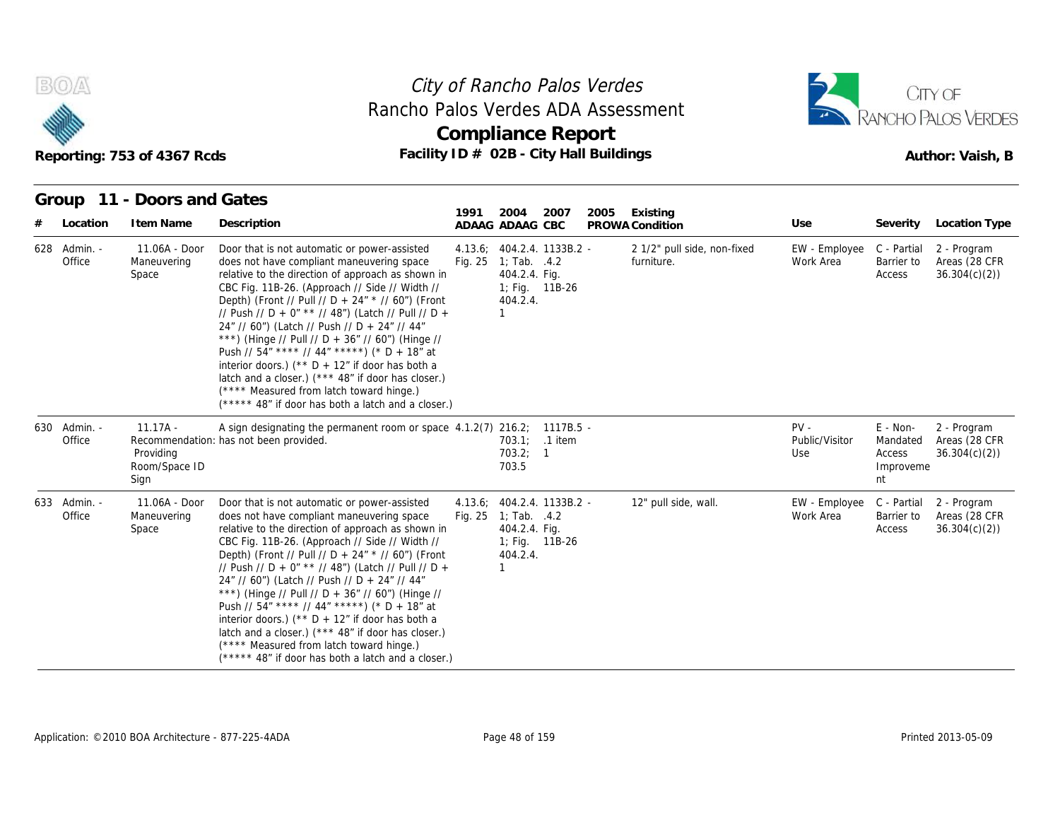



#### **Group 11 - Doors and Gates**

|                        | Reporting: 753 of 4367 Rcds                      | Rancho Palos Verdes ADA Assessment<br>Facility ID # 02B - City Hall Buildings                                                                                                                                                                                                                                                                                                                                                                                                                                                                                                                                                                                                      |      | <b>Compliance Report</b>                                                                                          |      |      |                                           |                                 |                                                     | RANCHO PALOS VERDES<br>Author: Vaish, B       |
|------------------------|--------------------------------------------------|------------------------------------------------------------------------------------------------------------------------------------------------------------------------------------------------------------------------------------------------------------------------------------------------------------------------------------------------------------------------------------------------------------------------------------------------------------------------------------------------------------------------------------------------------------------------------------------------------------------------------------------------------------------------------------|------|-------------------------------------------------------------------------------------------------------------------|------|------|-------------------------------------------|---------------------------------|-----------------------------------------------------|-----------------------------------------------|
|                        | Group 11 - Doors and Gates                       |                                                                                                                                                                                                                                                                                                                                                                                                                                                                                                                                                                                                                                                                                    | 1991 | 2004                                                                                                              | 2007 | 2005 | Existing                                  |                                 |                                                     |                                               |
| Location               | I tem Name                                       | Description                                                                                                                                                                                                                                                                                                                                                                                                                                                                                                                                                                                                                                                                        |      | ADAAG ADAAG CBC                                                                                                   |      |      | PROWA Condition                           | Use                             | Severity                                            | <b>Location Type</b>                          |
| 628 Admin. -<br>Office | 11.06A - Door<br>Maneuvering<br>Space            | Door that is not automatic or power-assisted<br>does not have compliant maneuvering space<br>relative to the direction of approach as shown in<br>CBC Fig. 11B-26. (Approach // Side // Width //<br>Depth) (Front // Pull // D + 24" * // 60") (Front<br>// Push // D + 0" ** // 48") (Latch // Pull // D +<br>24" // 60") (Latch // Push // D + 24" // 44"<br>***) (Hinge // Pull // D + 36" // 60") (Hinge //<br>Push // 54" **** // 44" *****) (* D + 18" at<br>interior doors.) (** $D + 12$ " if door has both a<br>latch and a closer.) (*** 48" if door has closer.)<br>(**** Measured from latch toward hinge.)<br>(***** 48" if door has both a latch and a closer.)      |      | 4.13.6; 404.2.4. 1133B.2 -<br>Fig. $25 \quad 1$ ; Tab. $.4.2$<br>404.2.4. Fig.<br>1; Fig. 11B-26<br>404.2.4.<br>1 |      |      | 2 1/2" pull side, non-fixed<br>furniture. | EW - Employee<br>Work Area      | C - Partial<br>Barrier to<br>Access                 | 2 - Program<br>Areas (28 CFR)<br>36.304(c)(2) |
| 630 Admin. -<br>Office | $11.17A -$<br>Providing<br>Room/Space ID<br>Sign | A sign designating the permanent room or space 4.1.2(7) 216.2; 1117B.5 -<br>Recommendation: has not been provided.                                                                                                                                                                                                                                                                                                                                                                                                                                                                                                                                                                 |      | 703.1; .1 item<br>703.2; 1<br>703.5                                                                               |      |      |                                           | $PV -$<br>Public/Visitor<br>Use | $E - Non-$<br>Mandated<br>Access<br>Improveme<br>nt | 2 - Program<br>Areas (28 CFR<br>36.304(c)(2)  |
| 633 Admin. -<br>Office | 11.06A - Door<br>Maneuvering<br>Space            | Door that is not automatic or power-assisted<br>does not have compliant maneuvering space<br>relative to the direction of approach as shown in<br>CBC Fig. 11B-26. (Approach // Side // Width //<br>Depth) (Front // Pull // D + 24" * // 60") (Front<br>// Push // D + 0" ** // 48") (Latch // Pull // D +<br>24" // 60") (Latch // Push // D + 24" // 44"<br>***) (Hinge // Pull // D + 36" // 60") (Hinge //<br>Push // $54''$ **** // $44''$ *****) (* D + 18" at<br>interior doors.) ( $*$ D + 12" if door has both a<br>latch and a closer.) (*** 48" if door has closer.)<br>(**** Measured from latch toward hinge.)<br>(***** 48" if door has both a latch and a closer.) |      | 4.13.6; 404.2.4. 1133B.2 -<br>Fig. 25 1; Tab. .4.2<br>404.2.4. Fig.<br>1; Fig. 11B-26<br>404.2.4.<br>$\mathbf{1}$ |      |      | 12" pull side, wall.                      | EW - Employee<br>Work Area      | C - Partial<br>Barrier to<br>Access                 | 2 - Program<br>Areas (28 CFR<br>36.304(c)(2)  |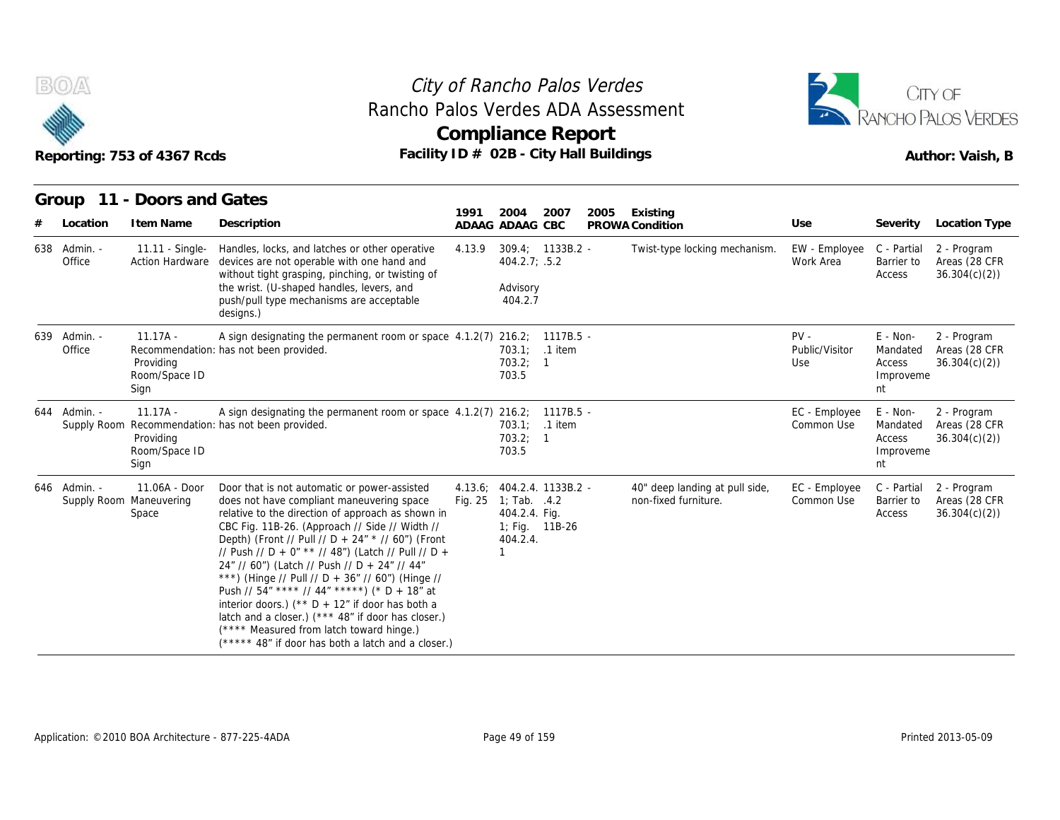



| B(0)/2                 | Reporting: 753 of 4367 Rcds                       | Rancho Palos Verdes ADA Assessment<br>Facility ID # 02B - City Hall Buildings                                                                                                                                                                                                                                                                                                                                                                                                                                                                                                                                                                                                 |                    | <b>Compliance Report</b>                                                                  |                      | City of Rancho Palos Verdes |                                                        |                                 |                                                   | CITY OF<br><b>ANCHO PALOS VERDES</b><br>Author: Vaish, B |
|------------------------|---------------------------------------------------|-------------------------------------------------------------------------------------------------------------------------------------------------------------------------------------------------------------------------------------------------------------------------------------------------------------------------------------------------------------------------------------------------------------------------------------------------------------------------------------------------------------------------------------------------------------------------------------------------------------------------------------------------------------------------------|--------------------|-------------------------------------------------------------------------------------------|----------------------|-----------------------------|--------------------------------------------------------|---------------------------------|---------------------------------------------------|----------------------------------------------------------|
| Location               | Group 11 - Doors and Gates<br>I tem Name          | Description                                                                                                                                                                                                                                                                                                                                                                                                                                                                                                                                                                                                                                                                   | 1991               | 2004<br>ADAAG ADAAG CBC                                                                   | 2007                 | 2005                        | Existing<br>PROWA Condition                            | Use                             | Severity                                          | Location Type                                            |
| 638 Admin. -<br>Office | 11.11 - Single-<br>Action Hardware                | Handles, locks, and latches or other operative<br>devices are not operable with one hand and<br>without tight grasping, pinching, or twisting of<br>the wrist. (U-shaped handles, levers, and<br>push/pull type mechanisms are acceptable<br>designs.)                                                                                                                                                                                                                                                                                                                                                                                                                        | 4.13.9             | 309.4; 1133B.2 -<br>404.2.7; .5.2<br>Advisory<br>404.2.7                                  |                      |                             | Twist-type locking mechanism.                          | EW - Employee<br>Work Area      | C - Partial<br>Barrier to<br>Access               | 2 - Program<br>Areas (28 CFR<br>36.304(c)(2)             |
| 639 Admin. -<br>Office | $11.17A -$<br>Providing<br>Room/Space ID<br>Sign  | A sign designating the permanent room or space $4.1.2(7)$ 216.2;<br>Recommendation: has not been provided.                                                                                                                                                                                                                                                                                                                                                                                                                                                                                                                                                                    |                    | 703.1:<br>703.2; 1<br>703.5                                                               | 1117B.5 -<br>.1 item |                             |                                                        | $PV -$<br>Public/Visitor<br>Use | E - Non-<br>Mandated<br>Access<br>Improveme<br>nt | 2 - Program<br>Areas (28 CFR<br>36.304(c)(2)             |
| 644 Admin. -           | $11.17A -$<br>Providing<br>Room/Space ID<br>Sign  | A sign designating the permanent room or space $4.1.2(7)$ 216.2;<br>Supply Room Recommendation: has not been provided.                                                                                                                                                                                                                                                                                                                                                                                                                                                                                                                                                        |                    | 703.1; .1 item<br>703.2; 1<br>703.5                                                       | $1117B.5 -$          |                             |                                                        | EC - Employee<br>Common Use     | E - Non-<br>Mandated<br>Access<br>Improveme<br>nt | 2 - Program<br>Areas (28 CFR<br>36.304(c)(2)             |
| 646 Admin. -           | 11.06A - Door<br>Supply Room Maneuvering<br>Space | Door that is not automatic or power-assisted<br>does not have compliant maneuvering space<br>relative to the direction of approach as shown in<br>CBC Fig. 11B-26. (Approach // Side // Width //<br>Depth) (Front // Pull // D + 24" * // 60") (Front<br>// Push // D + 0" ** // 48") (Latch // Pull // D +<br>24" // 60") (Latch // Push // D + 24" // 44"<br>***) (Hinge // Pull // D + 36" // 60") (Hinge //<br>Push // 54" **** // 44" *****) (* D + 18" at<br>interior doors.) (** $D + 12$ " if door has both a<br>latch and a closer.) (*** 48" if door has closer.)<br>(**** Measured from latch toward hinge.)<br>(***** 48" if door has both a latch and a closer.) | 4.13.6;<br>Fig. 25 | 404.2.4. 1133B.2 -<br>1; Tab. $.4.2$<br>404.2.4. Fig.<br>1; Fig. 11B-26<br>404.2.4.<br>-1 |                      |                             | 40" deep landing at pull side,<br>non-fixed furniture. | EC - Employee<br>Common Use     | C - Partial<br>Barrier to<br>Access               | 2 - Program<br>Areas (28 CFR<br>36.304(c)(2)             |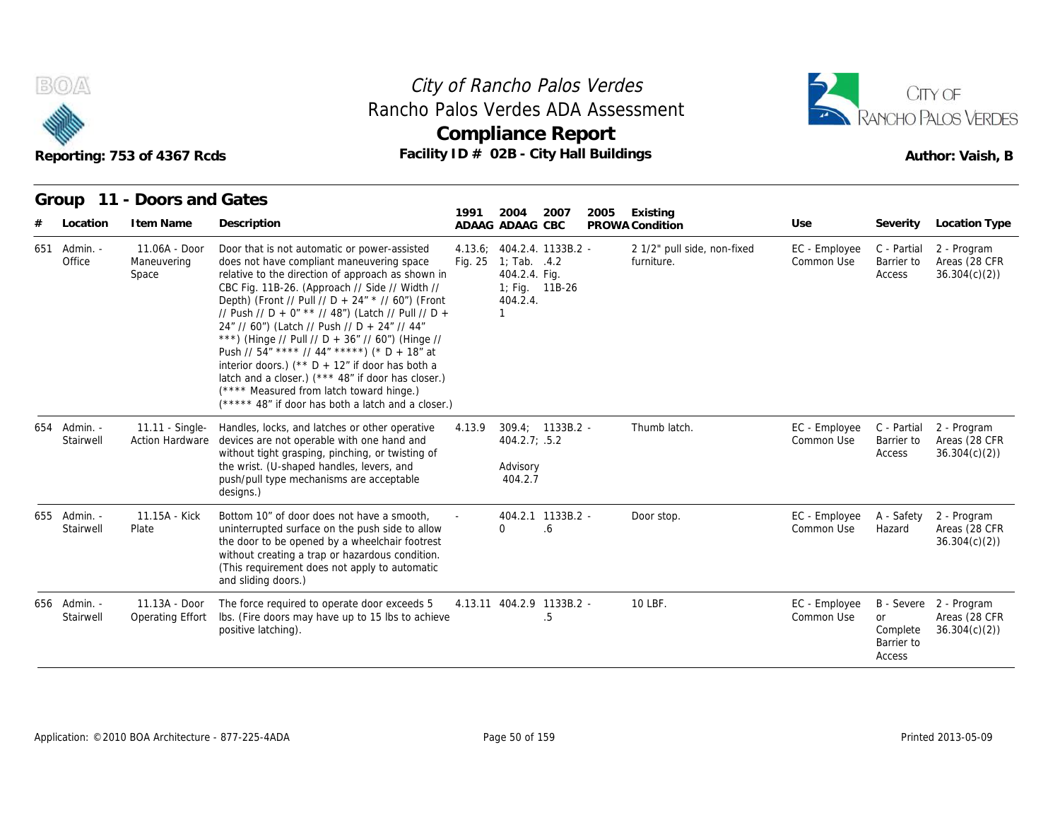



#### **Group 11 - Doors and Gates**

| B(0)                      | Reporting: 753 of 4367 Rcds               | Rancho Palos Verdes ADA Assessment<br>Facility ID # 02B - City Hall Buildings                                                                                                                                                                                                                                                                                                                                                                                                                                                                                                                                                                                                 |         | City of Rancho Palos Verdes<br><b>Compliance Report</b>                                                     |      |      |                                           |                             |                                               | CITY OF<br>RANCHO PALOS VERDES<br>Author: Vaish, B      |
|---------------------------|-------------------------------------------|-------------------------------------------------------------------------------------------------------------------------------------------------------------------------------------------------------------------------------------------------------------------------------------------------------------------------------------------------------------------------------------------------------------------------------------------------------------------------------------------------------------------------------------------------------------------------------------------------------------------------------------------------------------------------------|---------|-------------------------------------------------------------------------------------------------------------|------|------|-------------------------------------------|-----------------------------|-----------------------------------------------|---------------------------------------------------------|
| Group                     | 11 - Doors and Gates                      |                                                                                                                                                                                                                                                                                                                                                                                                                                                                                                                                                                                                                                                                               |         |                                                                                                             |      |      |                                           |                             |                                               |                                                         |
| Location                  | I tem Name                                | Description                                                                                                                                                                                                                                                                                                                                                                                                                                                                                                                                                                                                                                                                   | 1991    | 2004<br>ADAAG ADAAG CBC                                                                                     | 2007 | 2005 | Existing<br>PROWA Condition               | Use                         | Severity                                      | Location Type                                           |
| 651 Admin. -<br>Office    | 11.06A - Door<br>Maneuvering<br>Space     | Door that is not automatic or power-assisted<br>does not have compliant maneuvering space<br>relative to the direction of approach as shown in<br>CBC Fig. 11B-26. (Approach // Side // Width //<br>Depth) (Front // Pull // D + 24" * // 60") (Front<br>// Push // D + 0" ** // 48") (Latch // Pull // D +<br>24" // 60") (Latch // Push // D + 24" // 44"<br>***) (Hinge // Pull // D + 36" // 60") (Hinge //<br>Push // 54" **** // 44" *****) (* D + 18" at<br>interior doors.) (** $D + 12$ " if door has both a<br>latch and a closer.) (*** 48" if door has closer.)<br>(**** Measured from latch toward hinge.)<br>(***** 48" if door has both a latch and a closer.) | Fig. 25 | 4.13.6; 404.2.4. 1133B.2 -<br>1; Tab. $.4.2$<br>404.2.4. Fig.<br>1; Fig. 11B-26<br>404.2.4.<br>$\mathbf{1}$ |      |      | 2 1/2" pull side, non-fixed<br>furniture. | EC - Employee<br>Common Use | C - Partial<br>Barrier to<br>Access           | 2 - Program<br>Areas (28 CFR<br>36.304(c)(2)            |
| 654 Admin. -<br>Stairwell | 11.11 - Single-<br><b>Action Hardware</b> | Handles, locks, and latches or other operative<br>devices are not operable with one hand and<br>without tight grasping, pinching, or twisting of<br>the wrist. (U-shaped handles, levers, and<br>push/pull type mechanisms are acceptable<br>designs.)                                                                                                                                                                                                                                                                                                                                                                                                                        | 4.13.9  | 309.4; 1133B.2 -<br>404.2.7; .5.2<br>Advisory<br>404.2.7                                                    |      |      | Thumb latch.                              | EC - Employee<br>Common Use | C - Partial<br>Barrier to<br>Access           | 2 - Program<br>Areas (28 CFR<br>36.304(c)(2)            |
| 655 Admin. -<br>Stairwell | 11.15A - Kick<br>Plate                    | Bottom 10" of door does not have a smooth,<br>uninterrupted surface on the push side to allow<br>the door to be opened by a wheelchair footrest<br>without creating a trap or hazardous condition.<br>(This requirement does not apply to automatic<br>and sliding doors.)                                                                                                                                                                                                                                                                                                                                                                                                    |         | 404.2.1 1133B.2 -<br>$\Omega$                                                                               | 6.6  |      | Door stop.                                | EC - Employee<br>Common Use | A - Safety<br>Hazard                          | 2 - Program<br>Areas (28 CFR<br>36.304(c)(2)            |
| 656 Admin. -<br>Stairwell | 11.13A - Door<br>Operating Effort         | The force required to operate door exceeds 5<br>Ibs. (Fire doors may have up to 15 lbs to achieve<br>positive latching).                                                                                                                                                                                                                                                                                                                                                                                                                                                                                                                                                      |         | 4.13.11 404.2.9 1133B.2 -                                                                                   | .5   |      | 10 LBF.                                   | EC - Employee<br>Common Use | <b>or</b><br>Complete<br>Barrier to<br>Access | B - Severe 2 - Program<br>Areas (28 CFR<br>36.304(c)(2) |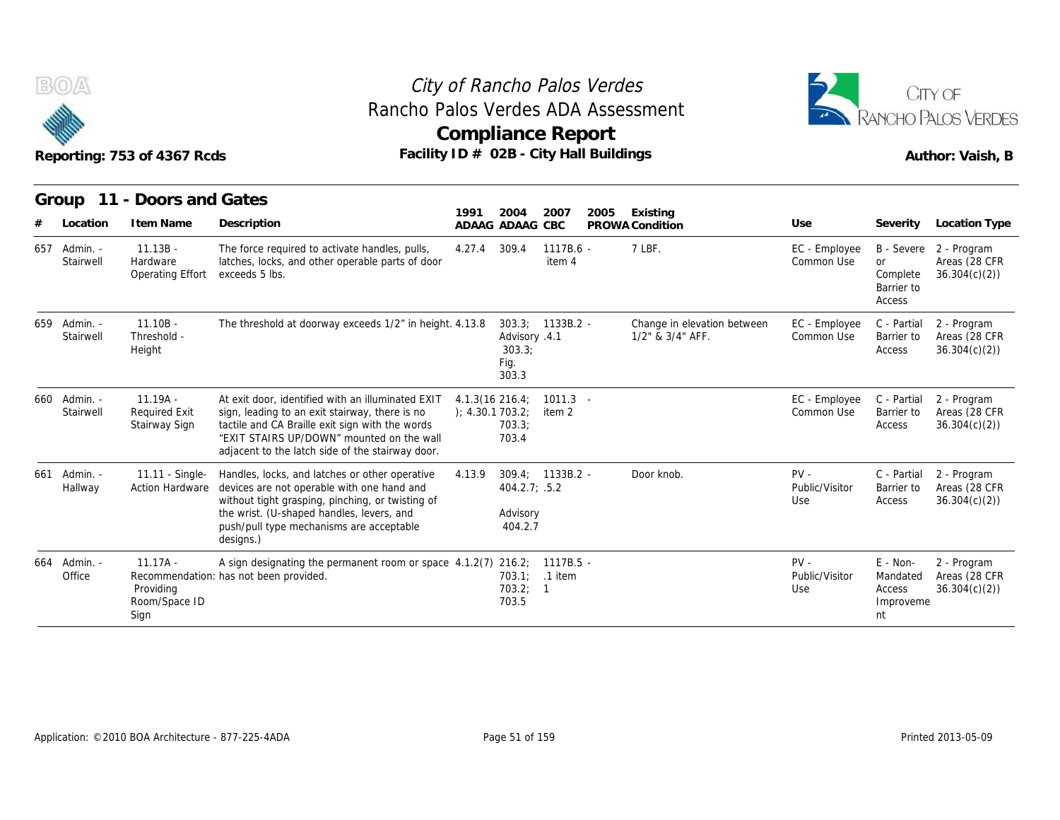



|                           | Reporting: 753 of 4367 Rcds                         | Rancho Palos Verdes ADA Assessment<br>Facility ID # 02B - City Hall Buildings                                                                                                                                                                           | City of Rancho Palos Verdes<br><b>Compliance Report</b> |                                          |                      |      |                                                 |                                 |                                                   | CITY OF<br>ANCHO PALOS VERDES<br>Author: Vaish, B       |
|---------------------------|-----------------------------------------------------|---------------------------------------------------------------------------------------------------------------------------------------------------------------------------------------------------------------------------------------------------------|---------------------------------------------------------|------------------------------------------|----------------------|------|-------------------------------------------------|---------------------------------|---------------------------------------------------|---------------------------------------------------------|
| 11<br>Group               | - Doors and Gates                                   |                                                                                                                                                                                                                                                         |                                                         |                                          |                      |      |                                                 |                                 |                                                   |                                                         |
| Location                  | I tem Name                                          | Description                                                                                                                                                                                                                                             | 1991                                                    | 2004<br>ADAAG ADAAG CBC                  | 2007                 | 2005 | Existing<br>PROWA Condition                     | Use                             | Severity                                          | Location Type                                           |
| 657 Admin. -<br>Stairwell | $11.13B -$<br>Hardware<br>Operating Effort          | The force required to activate handles, pulls,<br>latches, locks, and other operable parts of door<br>exceeds 5 lbs.                                                                                                                                    | 4.27.4                                                  | 309.4                                    | 1117B.6 -<br>item 4  |      | 7 LBF.                                          | EC - Employee<br>Common Use     | <b>or</b><br>Complete<br>Barrier to<br>Access     | B - Severe 2 - Program<br>Areas (28 CFR<br>36.304(c)(2) |
| 659 Admin. -<br>Stairwell | $11.10B -$<br>Threshold -<br>Height                 | The threshold at doorway exceeds 1/2" in height. 4.13.8                                                                                                                                                                                                 |                                                         | Advisory .4.1<br>303.3:<br>Fig.<br>303.3 | 303.3; 1133B.2 -     |      | Change in elevation between<br>1/2" & 3/4" AFF. | EC - Employee<br>Common Use     | C - Partial<br>Barrier to<br>Access               | 2 - Program<br>Areas (28 CFR<br>36.304(c)(2)            |
| 660 Admin. -<br>Stairwell | $11.19A -$<br><b>Required Exit</b><br>Stairway Sign | At exit door, identified with an illuminated EXIT<br>sign, leading to an exit stairway, there is no<br>tactile and CA Braille exit sign with the words<br>"EXIT STAIRS UP/DOWN" mounted on the wall<br>adjacent to the latch side of the stairway door. | $4.1.3(16\ 216.4)$<br>); 4.30.1703.2;                   | 703.3;<br>703.4                          | $1011.3 -$<br>item 2 |      |                                                 | EC - Employee<br>Common Use     | C - Partial<br>Barrier to<br>Access               | 2 - Program<br>Areas (28 CFR<br>36.304(c)(2)            |
| 661 Admin. -<br>Hallway   | 11.11 - Single-<br><b>Action Hardware</b>           | Handles, locks, and latches or other operative<br>devices are not operable with one hand and<br>without tight grasping, pinching, or twisting of<br>the wrist. (U-shaped handles, levers, and<br>push/pull type mechanisms are acceptable<br>designs.)  | 4.13.9                                                  | $404.2.7$ ; .5.2<br>Advisory<br>404.2.7  | 309.4; 1133B.2 -     |      | Door knob.                                      | $PV -$<br>Public/Visitor<br>Use | C - Partial<br>Barrier to<br>Access               | 2 - Program<br>Areas (28 CFR<br>36.304(c)(2)            |
| 664 Admin. -<br>Office    | $11.17A -$<br>Providing<br>Room/Space ID<br>Sign    | A sign designating the permanent room or space 4.1.2(7) 216.2; 1117B.5 -<br>Recommendation: has not been provided.                                                                                                                                      |                                                         | 703.2; 1<br>703.5                        | 703.1; .1 item       |      |                                                 | $PV -$<br>Public/Visitor<br>Use | E - Non-<br>Mandated<br>Access<br>Improveme<br>nt | 2 - Program<br>Areas (28 CFR<br>36.304(c)(2)            |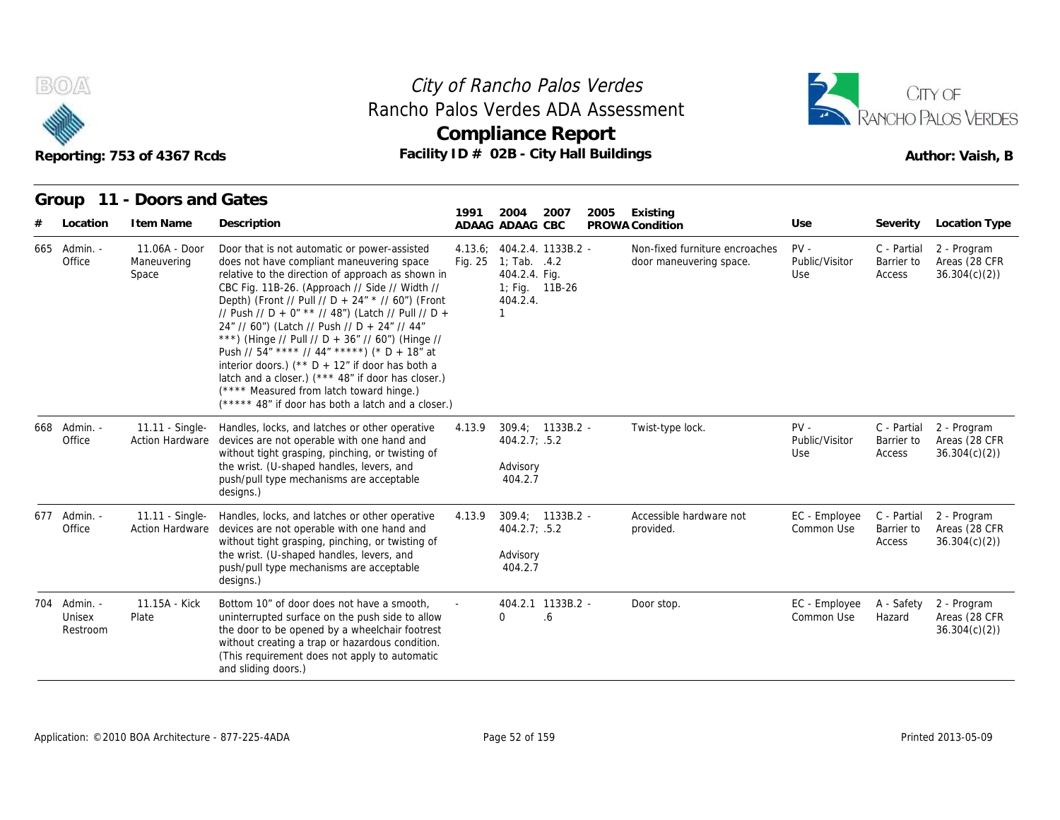



#### **Group 11 - Doors and Gates**

|                                    | Reporting: 753 of 4367 Rcds               | Rancho Palos Verdes ADA Assessment<br>Facility ID # 02B - City Hall Buildings                                                                                                                                                                                                                                                                                                                                                                                                                                                                                                                                                                                                 |                    | <b>Compliance Report</b>                                                                            |                         |      |                                                           |                                 |                                     | CITY OF<br>RANCHO PALOS VERDES<br>Author: Vaish, B       |
|------------------------------------|-------------------------------------------|-------------------------------------------------------------------------------------------------------------------------------------------------------------------------------------------------------------------------------------------------------------------------------------------------------------------------------------------------------------------------------------------------------------------------------------------------------------------------------------------------------------------------------------------------------------------------------------------------------------------------------------------------------------------------------|--------------------|-----------------------------------------------------------------------------------------------------|-------------------------|------|-----------------------------------------------------------|---------------------------------|-------------------------------------|----------------------------------------------------------|
|                                    | Group 11 - Doors and Gates                |                                                                                                                                                                                                                                                                                                                                                                                                                                                                                                                                                                                                                                                                               |                    |                                                                                                     |                         |      |                                                           |                                 |                                     |                                                          |
| Location                           | I tem Name                                | Description                                                                                                                                                                                                                                                                                                                                                                                                                                                                                                                                                                                                                                                                   | 1991               | 2004<br>ADAAG ADAAG CBC                                                                             | 2007                    | 2005 | Existing<br>PROWA Condition                               | Use                             | Severity                            | Location Type                                            |
| 665 Admin. -<br>Office             | 11.06A - Door<br>Maneuvering<br>Space     | Door that is not automatic or power-assisted<br>does not have compliant maneuvering space<br>relative to the direction of approach as shown in<br>CBC Fig. 11B-26. (Approach // Side // Width //<br>Depth) (Front // Pull // D + 24" * // 60") (Front<br>// Push // D + 0" ** // 48") (Latch // Pull // D +<br>24" // 60") (Latch // Push // D + 24" // 44"<br>***) (Hinge // Pull // D + 36" // 60") (Hinge //<br>Push // 54" **** // 44" *****) (* D + 18" at<br>interior doors.) (** $D + 12$ " if door has both a<br>latch and a closer.) (*** 48" if door has closer.)<br>(**** Measured from latch toward hinge.)<br>(***** 48" if door has both a latch and a closer.) | 4.13.6;<br>Fig. 25 | 404.2.4. 1133B.2 -<br>1; Tab. $.4.2$<br>404.2.4. Fig.<br>1; Fig. 11B-26<br>404.2.4.<br>$\mathbf{1}$ |                         |      | Non-fixed furniture encroaches<br>door maneuvering space. | $PV -$<br>Public/Visitor<br>Use | C - Partial<br>Barrier to<br>Access | 2 - Program<br>Areas (28 CFR<br>36.304(c)(2)             |
| 668 Admin. -<br>Office             | 11.11 - Single-<br><b>Action Hardware</b> | Handles, locks, and latches or other operative<br>devices are not operable with one hand and<br>without tight grasping, pinching, or twisting of<br>the wrist. (U-shaped handles, levers, and<br>push/pull type mechanisms are acceptable<br>designs.)                                                                                                                                                                                                                                                                                                                                                                                                                        | 4.13.9             | $309.4: 1133B.2 -$<br>404.2.7; .5.2<br>Advisory<br>404.2.7                                          |                         |      | Twist-type lock.                                          | $PV -$<br>Public/Visitor<br>Use | C - Partial<br>Barrier to<br>Access | 2 - Program<br>Areas (28 CFR<br>36.304(c)(2)             |
| 677 Admin. -<br>Office             | 11.11 - Single-<br><b>Action Hardware</b> | Handles, locks, and latches or other operative<br>devices are not operable with one hand and<br>without tight grasping, pinching, or twisting of<br>the wrist. (U-shaped handles, levers, and<br>push/pull type mechanisms are acceptable<br>designs.)                                                                                                                                                                                                                                                                                                                                                                                                                        | 4.13.9             | $309.4: 1133B.2 -$<br>404.2.7; .5.2<br>Advisory<br>404.2.7                                          |                         |      | Accessible hardware not<br>provided.                      | EC - Employee<br>Common Use     | Barrier to<br>Access                | C - Partial 2 - Program<br>Areas (28 CFR<br>36.304(c)(2) |
| 704 Admin. -<br>Unisex<br>Restroom | 11.15A - Kick<br>Plate                    | Bottom 10" of door does not have a smooth,<br>uninterrupted surface on the push side to allow<br>the door to be opened by a wheelchair footrest<br>without creating a trap or hazardous condition.<br>(This requirement does not apply to automatic<br>and sliding doors.)                                                                                                                                                                                                                                                                                                                                                                                                    |                    | $\Omega$                                                                                            | 404.2.1 1133B.2 -<br>.6 |      | Door stop.                                                | EC - Employee<br>Common Use     | A - Safety<br>Hazard                | 2 - Program<br>Areas (28 CFR<br>36.304(c)(2)             |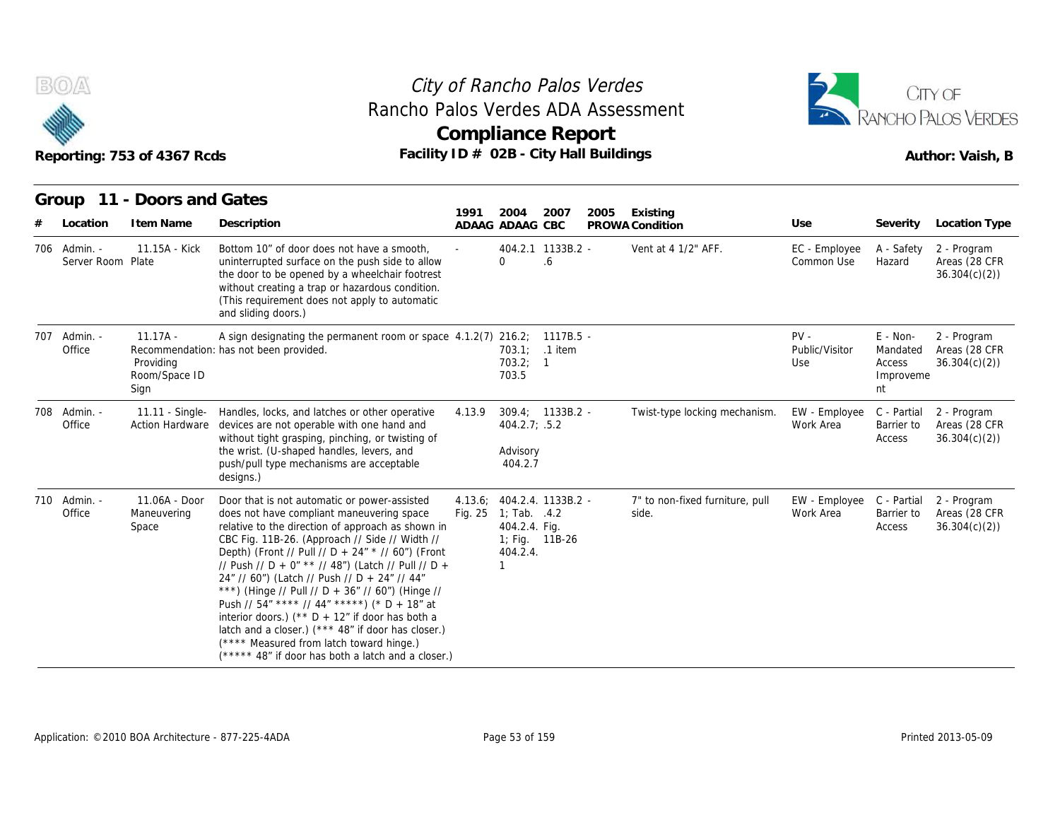



|                                   | Reporting: 753 of 4367 Rcds                      | Rancho Palos Verdes ADA Assessment<br>Facility ID # 02B - City Hall Buildings                                                                                                                                                                                                                                                                                                                                                                                                                                                                                                                                                                                                 |         | <b>Compliance Report</b>                                                      |                          |      |                                          |                                 |                                                   | CITY OF<br>RANCHO PALOS VERDES<br>Author: Vaish, B |
|-----------------------------------|--------------------------------------------------|-------------------------------------------------------------------------------------------------------------------------------------------------------------------------------------------------------------------------------------------------------------------------------------------------------------------------------------------------------------------------------------------------------------------------------------------------------------------------------------------------------------------------------------------------------------------------------------------------------------------------------------------------------------------------------|---------|-------------------------------------------------------------------------------|--------------------------|------|------------------------------------------|---------------------------------|---------------------------------------------------|----------------------------------------------------|
| Location                          | Group 11 - Doors and Gates<br>I tem Name         | Description                                                                                                                                                                                                                                                                                                                                                                                                                                                                                                                                                                                                                                                                   | 1991    | 2004                                                                          | 2007                     | 2005 | Existing                                 | Use                             | Severity                                          | <b>Location Type</b>                               |
| 706 Admin. -<br>Server Room Plate | 11.15A - Kick                                    | Bottom 10" of door does not have a smooth.<br>uninterrupted surface on the push side to allow<br>the door to be opened by a wheelchair footrest<br>without creating a trap or hazardous condition.<br>(This requirement does not apply to automatic<br>and sliding doors.)                                                                                                                                                                                                                                                                                                                                                                                                    |         | ADAAG ADAAG CBC<br>$\Omega$                                                   | 404.2.1 1133B.2 -<br>6.6 |      | PROWA Condition<br>Vent at 4 1/2" AFF.   | EC - Employee<br>Common Use     | A - Safety<br>Hazard                              | 2 - Program<br>Areas (28 CFR<br>36.304(c)(2)       |
| 707 Admin. -<br>Office            | $11.17A -$<br>Providing<br>Room/Space ID<br>Sign | A sign designating the permanent room or space 4.1.2(7) 216.2; 1117B.5 -<br>Recommendation: has not been provided.                                                                                                                                                                                                                                                                                                                                                                                                                                                                                                                                                            |         | 703.2; 1<br>703.5                                                             | 703.1; .1 item           |      |                                          | $PV -$<br>Public/Visitor<br>Use | E - Non-<br>Mandated<br>Access<br>Improveme<br>nt | 2 - Program<br>Areas (28 CFR<br>36.304(c)(2)       |
| 708 Admin. -<br>Office            | 11.11 - Single-<br><b>Action Hardware</b>        | Handles, locks, and latches or other operative<br>devices are not operable with one hand and<br>without tight grasping, pinching, or twisting of<br>the wrist. (U-shaped handles, levers, and<br>push/pull type mechanisms are acceptable<br>designs.)                                                                                                                                                                                                                                                                                                                                                                                                                        | 4.13.9  | $404.2.7$ ; .5.2<br>Advisory<br>404.2.7                                       | 309.4; 1133B.2 -         |      | Twist-type locking mechanism.            | EW - Employee<br>Work Area      | C - Partial<br>Barrier to<br>Access               | 2 - Program<br>Areas (28 CFR<br>36.304(c)(2)       |
| 710 Admin. -<br>Office            | 11.06A - Door<br>Maneuvering<br>Space            | Door that is not automatic or power-assisted<br>does not have compliant maneuvering space<br>relative to the direction of approach as shown in<br>CBC Fig. 11B-26. (Approach // Side // Width //<br>Depth) (Front // Pull // D + 24" * // 60") (Front<br>// Push // D + 0" ** // 48") (Latch // Pull // D +<br>24" // 60") (Latch // Push // D + 24" // 44"<br>***) (Hinge // Pull // D + 36" // 60") (Hinge //<br>Push // 54" **** // 44" *****) (* D + 18" at<br>interior doors.) (** $D + 12$ " if door has both a<br>latch and a closer.) (*** 48" if door has closer.)<br>(**** Measured from latch toward hinge.)<br>(***** 48" if door has both a latch and a closer.) | Fig. 25 | 4.13.6; 404.2.4. 1133B.2 -<br>1; Tab. .4.2<br>404.2.4. Fig.<br>404.2.4.<br>-1 | 1; Fig. 11B-26           |      | 7" to non-fixed furniture, pull<br>side. | EW - Employee<br>Work Area      | C - Partial<br>Barrier to<br>Access               | 2 - Program<br>Areas (28 CFR<br>36.304(c)(2)       |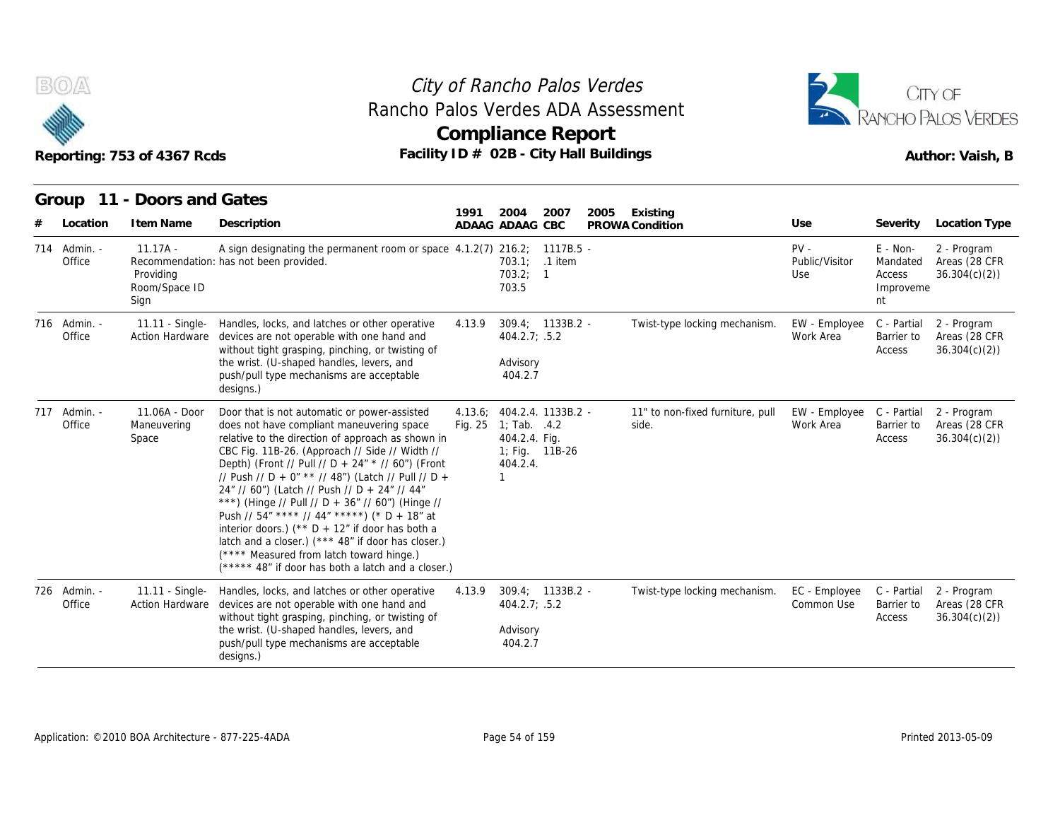



#### **Group 11 - Doors and Gates**

|                        | Reporting: 753 of 4367 Rcds                      | Rancho Palos Verdes ADA Assessment<br>Facility ID # 02B - City Hall Buildings                                                                                                                                                                                                                                                                                                                                                                                                                                                                                                                                                                                                  |                    | <b>Compliance Report</b>                                                                            |                    |      |                                           |                                 |                                                   | RANCHO PALOS VERDES<br>Author: Vaish, B      |
|------------------------|--------------------------------------------------|--------------------------------------------------------------------------------------------------------------------------------------------------------------------------------------------------------------------------------------------------------------------------------------------------------------------------------------------------------------------------------------------------------------------------------------------------------------------------------------------------------------------------------------------------------------------------------------------------------------------------------------------------------------------------------|--------------------|-----------------------------------------------------------------------------------------------------|--------------------|------|-------------------------------------------|---------------------------------|---------------------------------------------------|----------------------------------------------|
| Location               | Group 11 - Doors and Gates<br>I tem Name         | Description                                                                                                                                                                                                                                                                                                                                                                                                                                                                                                                                                                                                                                                                    | 1991               | 2004<br>ADAAG ADAAG CBC                                                                             | 2007               | 2005 | Existing<br>PROWA Condition               | Use                             | Severity                                          | Location Type                                |
| 714 Admin. -<br>Office | $11.17A -$<br>Providing<br>Room/Space ID<br>Sign | A sign designating the permanent room or space 4.1.2(7) 216.2; 1117B.5 -<br>Recommendation: has not been provided.                                                                                                                                                                                                                                                                                                                                                                                                                                                                                                                                                             |                    | 703.2; 1<br>703.5                                                                                   | 703.1; .1 item     |      |                                           | $PV -$<br>Public/Visitor<br>Use | E - Non-<br>Mandated<br>Access<br>Improveme<br>nt | 2 - Program<br>Areas (28 CFR<br>36.304(c)(2) |
| 716 Admin. -<br>Office | <b>Action Hardware</b>                           | 11.11 - Single- Handles, locks, and latches or other operative<br>devices are not operable with one hand and<br>without tight grasping, pinching, or twisting of<br>the wrist. (U-shaped handles, levers, and<br>push/pull type mechanisms are acceptable<br>designs.)                                                                                                                                                                                                                                                                                                                                                                                                         | 4.13.9             | 404.2.7; .5.2<br>Advisory<br>404.2.7                                                                | $309.4: 1133B.2 -$ |      | Twist-type locking mechanism.             | EW - Employee<br>Work Area      | C - Partial<br>Barrier to<br>Access               | 2 - Program<br>Areas (28 CFR<br>36.304(c)(2) |
| 717 Admin. -<br>Office | 11.06A - Door<br>Maneuvering<br>Space            | Door that is not automatic or power-assisted<br>does not have compliant maneuvering space<br>relative to the direction of approach as shown in<br>CBC Fig. 11B-26. (Approach // Side // Width //<br>Depth) (Front // Pull // D + 24" * // 60") (Front<br>// Push // D + 0" ** // 48") (Latch // Pull // D +<br>24" // 60") (Latch // Push // D + 24" // 44"<br>***) (Hinge // Pull // D + 36" // 60") (Hinge //<br>Push // 54" **** // 44" *****) (* D + 18" at<br>interior doors.) (** $D + 12$ " if door has both a<br>latch and a closer.) (*** 48" if door has closer.)<br>(**** Measured from latch toward hinge.)<br>$(****$ 48" if door has both a latch and a closer.) | 4.13.6;<br>Fig. 25 | 404.2.4. 1133B.2 -<br>1; Tab. $.4.2$<br>404.2.4. Fig.<br>1; Fig. 11B-26<br>404.2.4.<br>$\mathbf{1}$ |                    |      | 11" to non-fixed furniture, pull<br>side. | EW - Employee<br>Work Area      | C - Partial<br>Barrier to<br>Access               | 2 - Program<br>Areas (28 CFR<br>36.304(c)(2) |
| 726 Admin. -<br>Office | 11.11 - Single-<br>Action Hardware               | Handles, locks, and latches or other operative<br>devices are not operable with one hand and<br>without tight grasping, pinching, or twisting of<br>the wrist. (U-shaped handles, levers, and<br>push/pull type mechanisms are acceptable<br>designs.)                                                                                                                                                                                                                                                                                                                                                                                                                         | 4.13.9             | 404.2.7; .5.2<br>Advisory<br>404.2.7                                                                | $309.4; 1133B.2 -$ |      | Twist-type locking mechanism.             | EC - Employee<br>Common Use     | C - Partial<br>Barrier to<br>Access               | 2 - Program<br>Areas (28 CFR<br>36.304(c)(2) |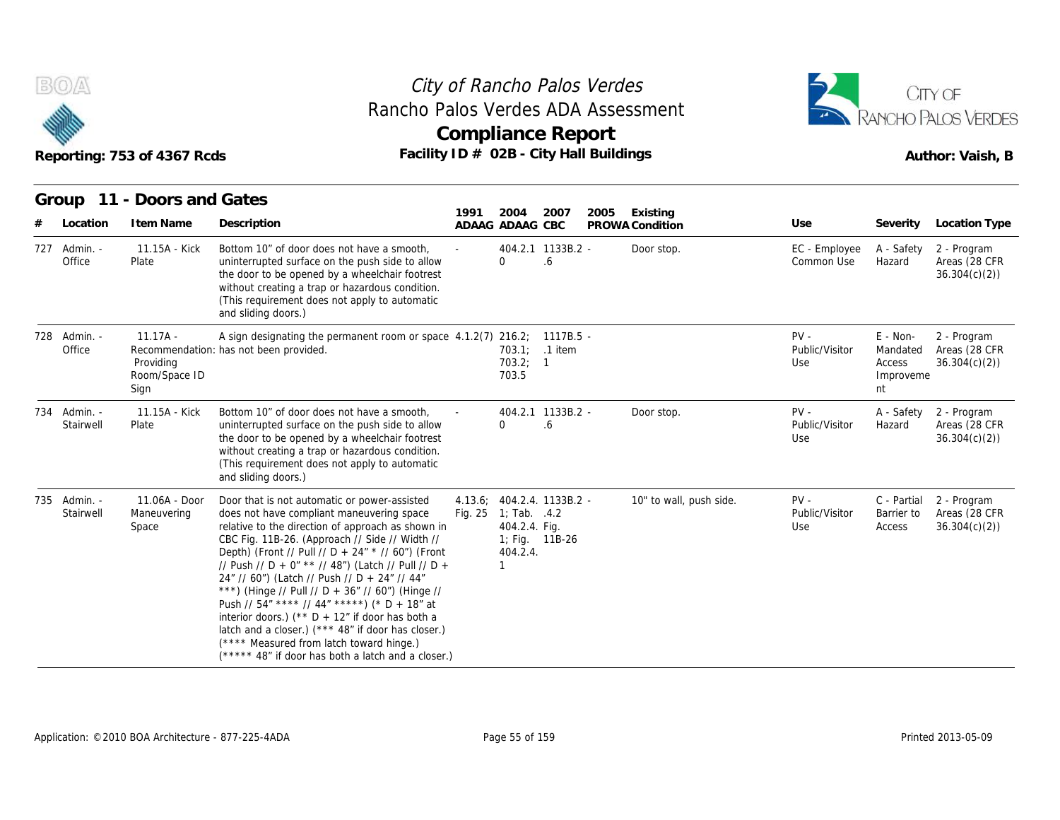



| B(0)/A                    | Reporting: 753 of 4367 Rcds                      | Rancho Palos Verdes ADA Assessment<br>Facility ID # 02B - City Hall Buildings                                                                                                                                                                                                                                                                                                                                                                                                                                                                                                                                                                                                 |      | City of Rancho Palos Verdes<br><b>Compliance Report</b>                         |                         |      |                             |                                 |                                                     | CITY OF<br><b>RANCHO PALOS VERDES</b><br>Author: Vaish, B |
|---------------------------|--------------------------------------------------|-------------------------------------------------------------------------------------------------------------------------------------------------------------------------------------------------------------------------------------------------------------------------------------------------------------------------------------------------------------------------------------------------------------------------------------------------------------------------------------------------------------------------------------------------------------------------------------------------------------------------------------------------------------------------------|------|---------------------------------------------------------------------------------|-------------------------|------|-----------------------------|---------------------------------|-----------------------------------------------------|-----------------------------------------------------------|
|                           | Group 11 - Doors and Gates                       |                                                                                                                                                                                                                                                                                                                                                                                                                                                                                                                                                                                                                                                                               |      |                                                                                 |                         |      |                             |                                 |                                                     |                                                           |
| Location<br>#             | I tem Name                                       | Description                                                                                                                                                                                                                                                                                                                                                                                                                                                                                                                                                                                                                                                                   | 1991 | 2004<br>ADAAG ADAAG CBC                                                         | 2007                    | 2005 | Existing<br>PROWA Condition | Use                             |                                                     | Severity Location Type                                    |
| 727 Admin. -<br>Office    | 11.15A - Kick<br>Plate                           | Bottom 10" of door does not have a smooth.<br>uninterrupted surface on the push side to allow<br>the door to be opened by a wheelchair footrest<br>without creating a trap or hazardous condition.<br>(This requirement does not apply to automatic<br>and sliding doors.)                                                                                                                                                                                                                                                                                                                                                                                                    |      | $\Omega$                                                                        | 404.2.1 1133B.2 -<br>.6 |      | Door stop.                  | EC - Employee<br>Common Use     | A - Safety<br>Hazard                                | 2 - Program<br>Areas (28 CFR<br>36.304(c)(2)              |
| 728 Admin. -<br>Office    | $11.17A -$<br>Providing<br>Room/Space ID<br>Sign | A sign designating the permanent room or space 4.1.2(7) 216.2; 1117B.5 -<br>Recommendation: has not been provided.                                                                                                                                                                                                                                                                                                                                                                                                                                                                                                                                                            |      | 703.2; 1<br>703.5                                                               | 703.1: .1 item          |      |                             | $PV -$<br>Public/Visitor<br>Use | $E - Non-$<br>Mandated<br>Access<br>Improveme<br>nt | 2 - Program<br>Areas (28 CFR<br>36.304(c)(2)              |
| 734 Admin. -<br>Stairwell | 11.15A - Kick<br>Plate                           | Bottom 10" of door does not have a smooth,<br>uninterrupted surface on the push side to allow<br>the door to be opened by a wheelchair footrest<br>without creating a trap or hazardous condition.<br>(This requirement does not apply to automatic<br>and sliding doors.)                                                                                                                                                                                                                                                                                                                                                                                                    |      | 0                                                                               | 404.2.1 1133B.2 -<br>.6 |      | Door stop.                  | $PV -$<br>Public/Visitor<br>Use | A - Safety<br>Hazard                                | 2 - Program<br>Areas (28 CFR<br>36.304(c)(2)              |
| 735 Admin. -<br>Stairwell | 11.06A - Door<br>Maneuvering<br>Space            | Door that is not automatic or power-assisted<br>does not have compliant maneuvering space<br>relative to the direction of approach as shown in<br>CBC Fig. 11B-26. (Approach // Side // Width //<br>Depth) (Front // Pull // D + 24" * // 60") (Front<br>// Push // D + 0" ** // 48") (Latch // Pull // D +<br>24" // 60") (Latch // Push // D + 24" // 44"<br>***) (Hinge // Pull // D + 36" // 60") (Hinge //<br>Push // 54" **** // 44" *****) (* D + 18" at<br>interior doors.) (** $D + 12$ " if door has both a<br>latch and a closer.) (*** 48" if door has closer.)<br>(**** Measured from latch toward hinge.)<br>(***** 48" if door has both a latch and a closer.) |      | 4.13.6; 404.2.4. 1133B.2 -<br>Fig. 25 1; Tab. .4.2<br>404.2.4. Fig.<br>404.2.4. | 1; Fig. 11B-26          |      | 10" to wall, push side.     | $PV -$<br>Public/Visitor<br>Use | C - Partial<br>Barrier to<br>Access                 | 2 - Program<br>Areas (28 CFR<br>36.304(c)(2)              |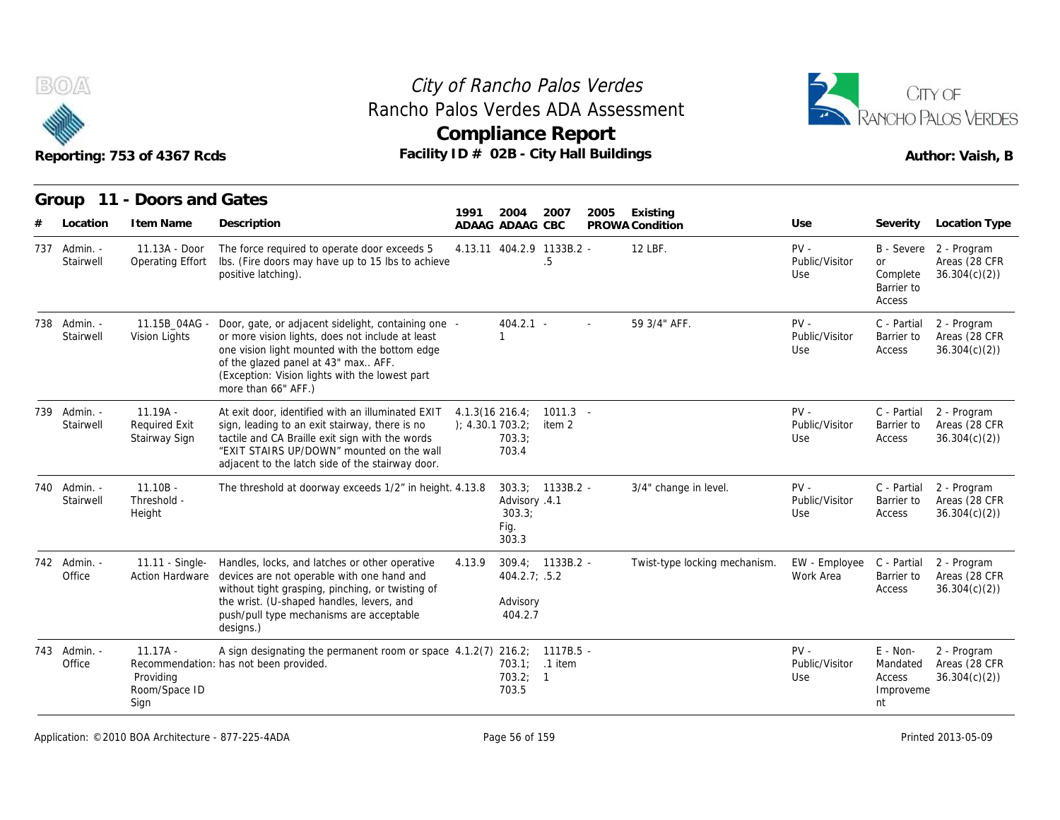



|   |                           | Reporting: 753 of 4367 Rcds                         | Facility ID # 02B - City Hall Buildings                                                                                                                                                                                                                                  |        |                                                          | <b>Compliance Report</b>        |      |                               |                                 |                                                     | <b>RANCHO PALOS VERDES</b><br>Author: Vaish, B          |
|---|---------------------------|-----------------------------------------------------|--------------------------------------------------------------------------------------------------------------------------------------------------------------------------------------------------------------------------------------------------------------------------|--------|----------------------------------------------------------|---------------------------------|------|-------------------------------|---------------------------------|-----------------------------------------------------|---------------------------------------------------------|
|   |                           | Group 11 - Doors and Gates                          |                                                                                                                                                                                                                                                                          | 1991   | 2004                                                     | 2007                            | 2005 | Existing                      |                                 |                                                     |                                                         |
| # | Location                  | I tem Name                                          | Description                                                                                                                                                                                                                                                              |        | ADAAG ADAAG CBC                                          |                                 |      | PROWA Condition               | Use                             | Severity                                            | Location Type                                           |
|   | 737 Admin. -<br>Stairwell | 11.13A - Door<br>Operating Effort                   | The force required to operate door exceeds 5<br>Ibs. (Fire doors may have up to 15 lbs to achieve<br>positive latching).                                                                                                                                                 |        |                                                          | 4.13.11 404.2.9 1133B.2 -<br>.5 |      | 12 LBF.                       | $PV -$<br>Public/Visitor<br>Use | <b>or</b><br>Complete<br>Barrier to<br>Access       | B - Severe 2 - Program<br>Areas (28 CFR<br>36.304(c)(2) |
|   | 738 Admin. -<br>Stairwell | 11.15B_04AG -<br>Vision Lights                      | Door, gate, or adjacent sidelight, containing one -<br>or more vision lights, does not include at least<br>one vision light mounted with the bottom edge<br>of the glazed panel at 43" max AFF.<br>(Exception: Vision lights with the lowest part<br>more than 66" AFF.) |        | 404.2.1 -<br>$\mathbf{1}$                                |                                 |      | 59 3/4" AFF.                  | $PV -$<br>Public/Visitor<br>Use | C - Partial<br>Barrier to<br>Access                 | 2 - Program<br>Areas (28 CFR<br>36.304(c)(2)            |
|   | 739 Admin. -<br>Stairwell | $11.19A -$<br><b>Required Exit</b><br>Stairway Sign | At exit door, identified with an illuminated EXIT<br>sign, leading to an exit stairway, there is no<br>tactile and CA Braille exit sign with the words<br>"EXIT STAIRS UP/DOWN" mounted on the wall<br>adjacent to the latch side of the stairway door.                  |        | $4.1.3(16\ 216.4)$<br>): 4.30.1703.2:<br>703.3;<br>703.4 | $1011.3 -$<br>item 2            |      |                               | $PV -$<br>Public/Visitor<br>Use | C - Partial<br>Barrier to<br>Access                 | 2 - Program<br>Areas (28 CFR<br>36.304(c)(2)            |
|   | 740 Admin. -<br>Stairwell | $11.10B -$<br>Threshold -<br>Height                 | The threshold at doorway exceeds 1/2" in height. 4.13.8                                                                                                                                                                                                                  |        | Advisory .4.1<br>303.3;<br>Fig.<br>303.3                 | $303.3; 1133B.2 -$              |      | 3/4" change in level.         | $PV -$<br>Public/Visitor<br>Use | C - Partial<br>Barrier to<br>Access                 | 2 - Program<br>Areas (28 CFR<br>36.304(c)(2)            |
|   | 742 Admin. -<br>Office    | Action Hardware                                     | 11.11 - Single- Handles, locks, and latches or other operative<br>devices are not operable with one hand and<br>without tight grasping, pinching, or twisting of<br>the wrist. (U-shaped handles, levers, and<br>push/pull type mechanisms are acceptable<br>designs.)   | 4.13.9 | $404.2.7$ ; .5.2<br>Advisory<br>404.2.7                  | $309.4; 1133B.2 -$              |      | Twist-type locking mechanism. | EW - Employee<br>Work Area      | C - Partial<br>Barrier to<br>Access                 | 2 - Program<br>Areas (28 CFR<br>36.304(c)(2)            |
|   | 743 Admin. -<br>Office    | $11.17A -$<br>Providing<br>Room/Space ID<br>Sign    | A sign designating the permanent room or space 4.1.2(7) 216.2; 1117B.5 -<br>Recommendation: has not been provided.                                                                                                                                                       |        | 703.2; 1<br>703.5                                        | 703.1; .1 item                  |      |                               | $PV -$<br>Public/Visitor<br>Use | $E - Non-$<br>Mandated<br>Access<br>Improveme<br>nt | 2 - Program<br>Areas (28 CFR<br>36.304(c)(2)            |

Application: ©2010 BOA Architecture - 877-225-4ADA Page 56 of 159 Printed 2013-05-09 Printed 2013-05-09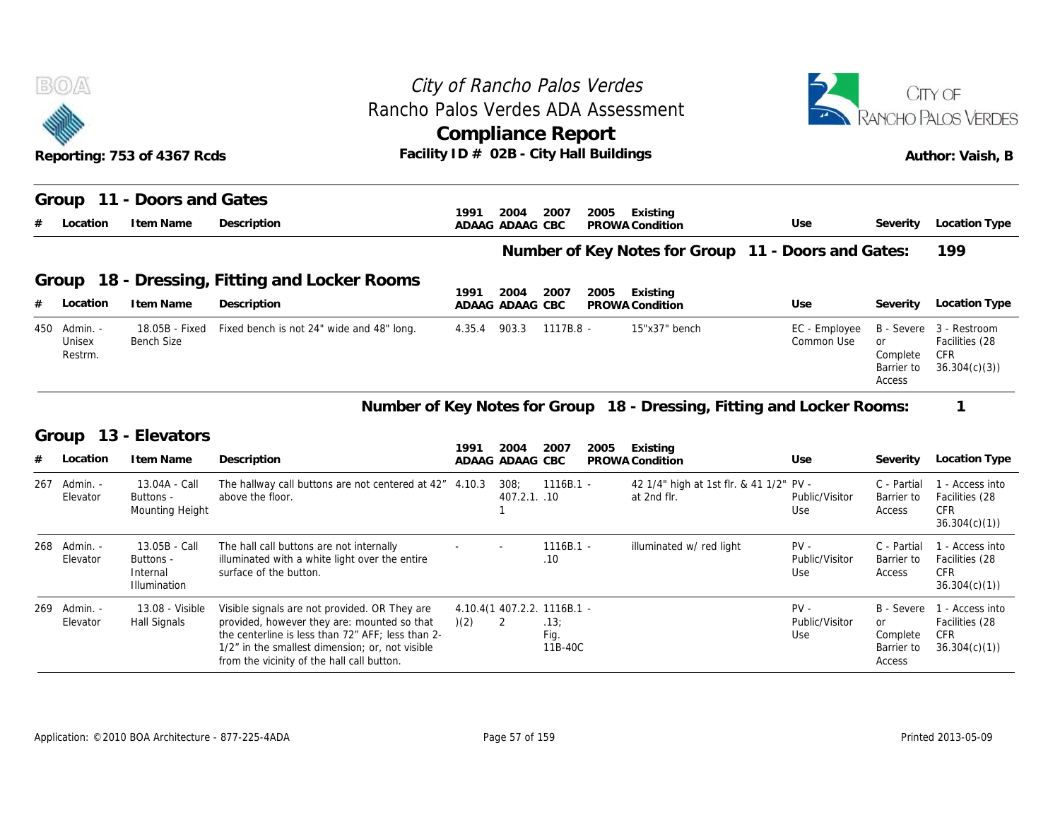|     | B(0)                          |                                                               | Rancho Palos Verdes ADA Assessment                                                                                   | City of Rancho Palos Verdes |                         |                    |      |                                                                        |                                 |                                                      | CITY OF<br>RANCHO PALOS VERDES                                  |
|-----|-------------------------------|---------------------------------------------------------------|----------------------------------------------------------------------------------------------------------------------|-----------------------------|-------------------------|--------------------|------|------------------------------------------------------------------------|---------------------------------|------------------------------------------------------|-----------------------------------------------------------------|
|     |                               | Reporting: 753 of 4367 Rcds                                   | Facility ID # 02B - City Hall Buildings                                                                              | <b>Compliance Report</b>    |                         |                    |      |                                                                        |                                 |                                                      | Author: Vaish, B                                                |
|     |                               | Group 11 - Doors and Gates                                    |                                                                                                                      |                             |                         |                    |      |                                                                        |                                 |                                                      |                                                                 |
|     | Location                      | I tem Name                                                    | Description                                                                                                          | 1991                        | 2004<br>ADAAG ADAAG CBC | 2007               | 2005 | Existing<br>PROWA Condition                                            | Use                             | Severity                                             | Location Type                                                   |
|     |                               |                                                               |                                                                                                                      |                             |                         |                    |      | Number of Key Notes for Group 11 - Doors and Gates:                    |                                 |                                                      | 199                                                             |
|     | Group                         |                                                               | 18 - Dressing, Fitting and Locker Rooms                                                                              |                             |                         |                    |      |                                                                        |                                 |                                                      |                                                                 |
|     | Location                      | I tem Name                                                    | Description                                                                                                          | 1991<br>ADAAG ADAAG CBC     | 2004                    | 2007               | 2005 | Existing<br>PROWA Condition                                            | Use                             | Severity                                             | Location Type                                                   |
| 450 | - Admin.<br>Unisex<br>Restrm. | 18.05B - Fixed<br><b>Bench Size</b>                           | Fixed bench is not 24" wide and 48" long.                                                                            | 4.35.4                      | 903.3                   | 1117B.8 -          |      | 15"x37" bench                                                          | EC - Employee<br>Common Use     | B - Severe<br>or<br>Complete<br>Barrier to<br>Access | 3 - Restroom<br>Facilities (28<br>CFR<br>36.304(c)(3)           |
|     |                               |                                                               |                                                                                                                      |                             |                         |                    |      | Number of Key Notes for Group 18 - Dressing, Fitting and Locker Rooms: |                                 |                                                      | 1                                                               |
|     | Group                         | 13 - Elevators                                                |                                                                                                                      | 1991                        | 2004                    | 2007               | 2005 | Existing                                                               |                                 |                                                      |                                                                 |
|     | Location                      | I tem Name                                                    | Description                                                                                                          |                             | ADAAG ADAAG CBC         |                    |      | PROWA Condition                                                        | Use                             | Severity                                             | Location Type                                                   |
| 267 | - Admin<br>Elevator           | 13.04A - Call<br>Buttons -<br>Mounting Height                 | The hallway call buttons are not centered at 42" 4.10.3<br>above the floor.                                          |                             | 308;<br>407.2.1. .10    | $1116B.1 -$        |      | 42 1/4" high at 1st flr. & 41 1/2" PV -<br>at 2nd flr.                 | Public/Visitor<br>Use           | C - Partial<br>Barrier to<br>Access                  | 1 - Access into<br>Facilities (28<br><b>CFR</b><br>36.304(c)(1) |
|     |                               |                                                               |                                                                                                                      |                             |                         |                    |      |                                                                        |                                 |                                                      |                                                                 |
| 268 | - Admin.<br>Elevator          | 13.05B - Call<br>Buttons -<br>Internal<br><b>Illumination</b> | The hall call buttons are not internally<br>illuminated with a white light over the entire<br>surface of the button. |                             |                         | $1116B.1 -$<br>.10 |      | illuminated w/ red light                                               | $PV -$<br>Public/Visitor<br>Use | C - Partial<br>Barrier to<br>Access                  | 1 - Access into<br>Facilities (28<br><b>CFR</b><br>36.304(c)(1) |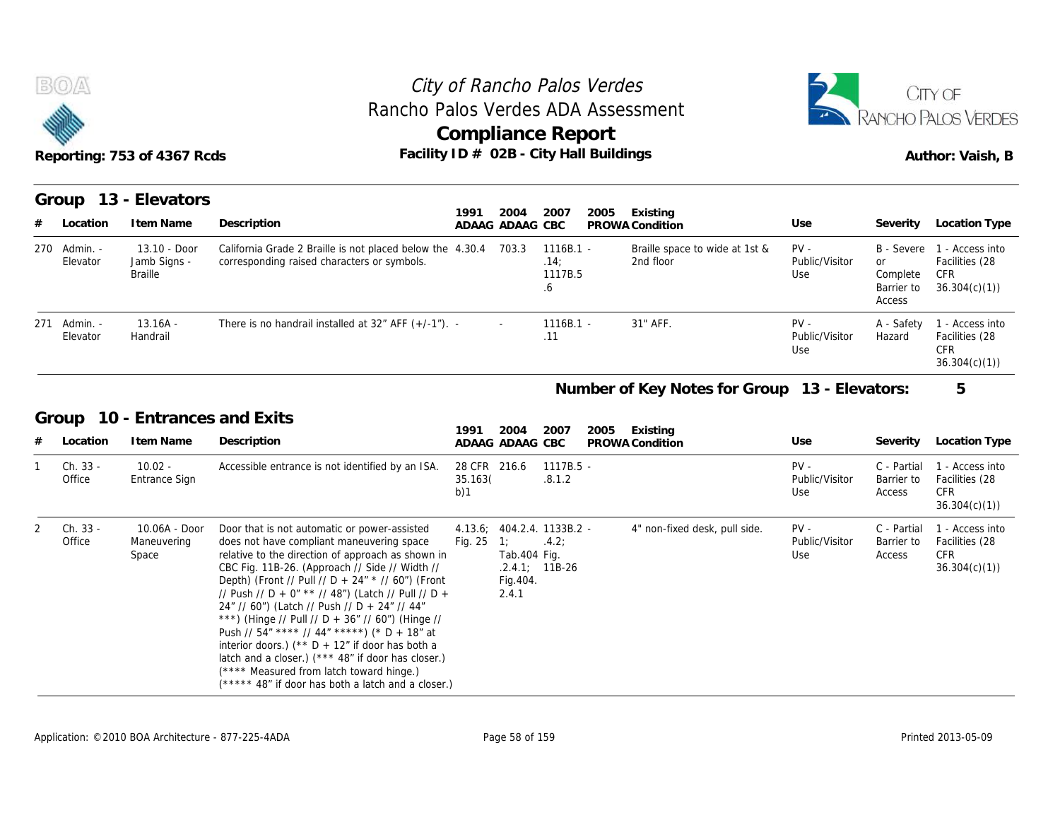



| <b>BOA</b><br>Reporting: 753 of 4367 Rcds |                                                |                                                                                                          |                                 | City of Rancho Palos Verdes<br>Rancho Palos Verdes ADA Assessment<br><b>Compliance Report</b><br>Facility ID # 02B - City Hall Buildings |                                             |                                 |                                                      | CITY OF<br>RANCHO PALOS VERDES<br>Author: Vaish, B              |
|-------------------------------------------|------------------------------------------------|----------------------------------------------------------------------------------------------------------|---------------------------------|------------------------------------------------------------------------------------------------------------------------------------------|---------------------------------------------|---------------------------------|------------------------------------------------------|-----------------------------------------------------------------|
| Group<br>Location                         | 13 - Elevators<br>I tem Name                   | Description                                                                                              | 1991<br>2004<br>ADAAG ADAAG CBC | 2007<br>2005                                                                                                                             | Existing<br>PROWA Condition                 | Use                             | Severity                                             | Location Type                                                   |
| Admin. -<br>270<br>Elevator               | 13.10 - Door<br>Jamb Signs -<br><b>Braille</b> | California Grade 2 Braille is not placed below the 4.30.4<br>corresponding raised characters or symbols. | 703.3                           | $1116B.1 -$<br>.14:<br>1117B.5<br>.6                                                                                                     | Braille space to wide at 1st &<br>2nd floor | $PV -$<br>Public/Visitor<br>Use | B - Severe<br>or<br>Complete<br>Barrier to<br>Access | 1 - Access into<br>Facilities (28<br><b>CFR</b><br>36.304(c)(1) |
| Admin. -<br>271<br>Elevator               | $13.16A -$<br>Handrail                         | There is no handrail installed at $32''$ AFF $(+/-1'')$ . -                                              |                                 | $1116B.1 -$<br>.11                                                                                                                       | 31" AFF.                                    | $PV -$<br>Public/Visitor<br>Use | A - Safety<br>Hazard                                 | 1 - Access into<br>Facilities (28<br><b>CFR</b><br>36.304(c)(1) |
|                                           |                                                |                                                                                                          |                                 |                                                                                                                                          | Number of Key Notes for Group               | 13 - Elevators:                 |                                                      | 5                                                               |
| Group                                     |                                                | 10 - Entrances and Exits                                                                                 | 2004<br>1991                    | 2007                                                                                                                                     |                                             |                                 |                                                      |                                                                 |
| Location                                  | I tem Name                                     | Description                                                                                              | ADAAG ADAAG CBC                 | 2005                                                                                                                                     | Existing<br>PROWA Condition                 | Use                             | Severity                                             | Location Type                                                   |
| Ch. 33 -<br>Office                        | $10.02 -$<br>Entrance Sign                     | Accessible entrance is not identified by an ISA.                                                         | 28 CFR 216.6<br>35 1630         | $1117B.5 -$<br>812                                                                                                                       |                                             | $PV -$<br>Public/Visitor        | C - Partial                                          | 1 - Access into<br>Barrier to Facilities (28                    |

#### **Number of Key Notes for Group 13 - Elevators: 5**

#### **Group 10 - Entrances and Exits**

|   |                          |                                       |                                                                                                                                                                                                                                                                                                                                                                                                                                                                                                                                                                                                                                                                              |                                |                                                              |                                     |      |                               |                                 | Access                              |                                                                 |
|---|--------------------------|---------------------------------------|------------------------------------------------------------------------------------------------------------------------------------------------------------------------------------------------------------------------------------------------------------------------------------------------------------------------------------------------------------------------------------------------------------------------------------------------------------------------------------------------------------------------------------------------------------------------------------------------------------------------------------------------------------------------------|--------------------------------|--------------------------------------------------------------|-------------------------------------|------|-------------------------------|---------------------------------|-------------------------------------|-----------------------------------------------------------------|
|   | 271 Admin. -<br>Elevator | $13.16A -$<br>Handrail                | There is no handrail installed at $32''$ AFF $(+/-1'')$ . -                                                                                                                                                                                                                                                                                                                                                                                                                                                                                                                                                                                                                  |                                |                                                              | $1116B.1 -$<br>.11                  |      | 31" AFF.                      | $PV -$<br>Public/Visitor<br>Use | A - Safety<br>Hazard                | 1 - Access into<br>Facilities (28<br><b>CFR</b><br>36.304(c)(1) |
|   |                          |                                       |                                                                                                                                                                                                                                                                                                                                                                                                                                                                                                                                                                                                                                                                              |                                |                                                              |                                     |      | Number of Key Notes for Group | 13 - Elevators:                 |                                     | 5                                                               |
|   | Group                    | 10 - Entrances and Exits              |                                                                                                                                                                                                                                                                                                                                                                                                                                                                                                                                                                                                                                                                              | 1991                           | 2004                                                         | 2007                                | 2005 | Existing                      |                                 |                                     |                                                                 |
| # | Location                 | I tem Name                            | Description                                                                                                                                                                                                                                                                                                                                                                                                                                                                                                                                                                                                                                                                  |                                | ADAAG ADAAG CBC                                              |                                     |      | PROWA Condition               | Use                             | Severity                            | Location Type                                                   |
|   | Ch. 33 -<br>Office       | $10.02 -$<br>Entrance Sign            | Accessible entrance is not identified by an ISA.                                                                                                                                                                                                                                                                                                                                                                                                                                                                                                                                                                                                                             | 28 CFR 216.6<br>35.163(<br>b)1 |                                                              | 1117B.5 -<br>.8.1.2                 |      |                               | $PV -$<br>Public/Visitor<br>Use | C - Partial<br>Barrier to<br>Access | 1 - Access into<br>Facilities (28<br><b>CFR</b><br>36.304(c)(1) |
|   | Ch. 33 -<br>Office       | 10.06A - Door<br>Maneuvering<br>Space | Door that is not automatic or power-assisted<br>does not have compliant maneuvering space<br>relative to the direction of approach as shown in<br>CBC Fig. 11B-26. (Approach // Side // Width //<br>Depth) (Front // Pull // D + 24" * // 60") (Front<br>// Push // D + 0" ** // 48") (Latch // Pull // D +<br>24" // 60") (Latch // Push // D + 24" // 44"<br>***) (Hinge // Pull // D + 36" // 60") (Hinge //<br>Push // 54" **** // 44" *****) (* D + 18" at<br>interior doors.) ( $*$ D + 12" if door has both a<br>latch and a closer.) (*** 48" if door has closer.)<br>(**** Measured from latch toward hinge.)<br>(***** 48" if door has both a latch and a closer.) | Fig. 25                        | 1:<br>Tab.404 Fig.<br>$.2.4.1; 11B-26$<br>Fig. 404.<br>2.4.1 | 4.13.6; 404.2.4. 1133B.2 -<br>.4.2: |      | 4" non-fixed desk, pull side. | $PV -$<br>Public/Visitor<br>Use | C - Partial<br>Barrier to<br>Access | 1 - Access into<br>Facilities (28<br>CFR.<br>36.304(c)(1)       |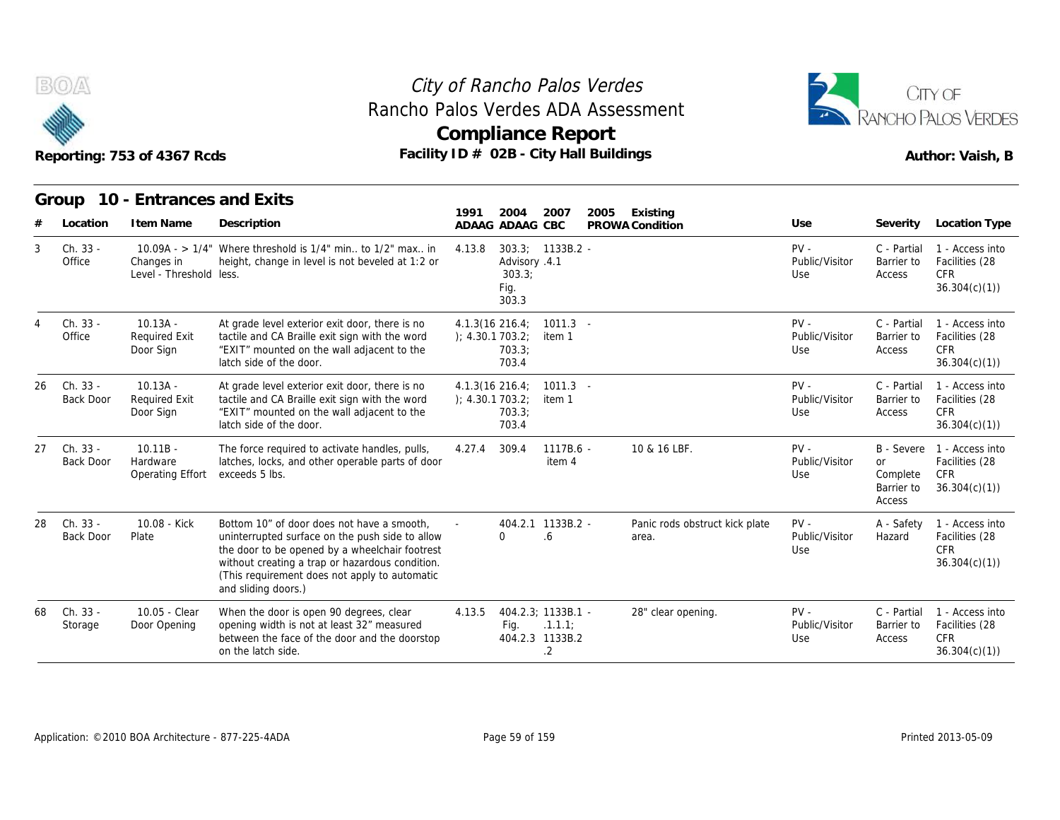



|                                    | Reporting: 753 of 4367 Rcds                     |                                                                                                                                                                                                                                                                            | Rancho Palos Verdes ADA Assessment<br><b>Compliance Report</b><br>Facility ID # 02B - City Hall Buildings |                                         |                                 |                                                             | RANCHO PALOS VERDES<br>Author: Vaish, B                         |
|------------------------------------|-------------------------------------------------|----------------------------------------------------------------------------------------------------------------------------------------------------------------------------------------------------------------------------------------------------------------------------|-----------------------------------------------------------------------------------------------------------|-----------------------------------------|---------------------------------|-------------------------------------------------------------|-----------------------------------------------------------------|
| Group<br>Location                  | 10 - Entrances and Exits<br>I tem Name          | Description                                                                                                                                                                                                                                                                | 1991<br>2004<br>2007<br>ADAAG ADAAG CBC                                                                   | 2005<br>Existing<br>PROWA Condition     | Use                             | Severity                                                    | Location Type                                                   |
| Ch. 33 -<br>3<br>Office            | Changes in<br>Level - Threshold less.           | 10.09A - > $1/4$ " Where threshold is $1/4$ " min to $1/2$ " max in<br>height, change in level is not beveled at 1:2 or                                                                                                                                                    | $303.3; 1133B.2 -$<br>4.13.8<br>Advisory .4.1<br>303.3;<br>Fig.<br>303.3                                  |                                         | $PV -$<br>Public/Visitor<br>Use | C - Partial<br>Barrier to<br>Access                         | 1 - Access into<br>Facilities (28<br><b>CFR</b><br>36.304(c)(1) |
| Ch. 33 -<br>Office                 | $10.13A -$<br><b>Required Exit</b><br>Door Sign | At grade level exterior exit door, there is no<br>tactile and CA Braille exit sign with the word<br>"EXIT" mounted on the wall adjacent to the<br>latch side of the door.                                                                                                  | $4.1.3(16\ 216.4)$<br>$1011.3 -$<br>); 4.30.1703.2;<br>item 1<br>703.3:<br>703.4                          |                                         | $PV -$<br>Public/Visitor<br>Use | C - Partial<br>Barrier to<br>Access                         | 1 - Access into<br>Facilities (28<br><b>CFR</b><br>36.304(c)(1) |
| Ch. 33 -<br>26<br><b>Back Door</b> | $10.13A -$<br><b>Required Exit</b><br>Door Sign | At grade level exterior exit door, there is no<br>tactile and CA Braille exit sign with the word<br>"EXIT" mounted on the wall adjacent to the<br>latch side of the door.                                                                                                  | $4.1.3(16\ 216.4)$<br>$1011.3 -$<br>); 4.30.1703.2;<br>item 1<br>703.3;<br>703.4                          |                                         | $PV -$<br>Public/Visitor<br>Use | C - Partial<br>Barrier to<br>Access                         | 1 - Access into<br>Facilities (28<br><b>CFR</b><br>36.304(c)(1) |
| Ch. 33 -<br>27<br><b>Back Door</b> | $10.11B -$<br>Hardware<br>Operating Effort      | The force required to activate handles, pulls,<br>latches, locks, and other operable parts of door<br>exceeds 5 lbs.                                                                                                                                                       | 309.4<br>$1117B.6 -$<br>4.27.4<br>item 4                                                                  | 10 & 16 LBF.                            | $PV -$<br>Public/Visitor<br>Use | B - Severe<br><b>or</b><br>Complete<br>Barrier to<br>Access | 1 - Access into<br>Facilities (28<br>CFR<br>36.304(c)(1)        |
| Ch. 33 -<br>28<br><b>Back Door</b> | 10.08 - Kick<br>Plate                           | Bottom 10" of door does not have a smooth,<br>uninterrupted surface on the push side to allow<br>the door to be opened by a wheelchair footrest<br>without creating a trap or hazardous condition.<br>(This requirement does not apply to automatic<br>and sliding doors.) | 404.2.1 1133B.2 -<br>6.6<br>0                                                                             | Panic rods obstruct kick plate<br>area. | $PV -$<br>Public/Visitor<br>Use | A - Safety<br>Hazard                                        | 1 - Access into<br>Facilities (28<br><b>CFR</b><br>36.304(c)(1) |
| Ch. 33 -<br>68<br>Storage          | 10.05 - Clear<br>Door Opening                   | When the door is open 90 degrees, clear<br>opening width is not at least 32" measured<br>between the face of the door and the doorstop<br>on the latch side.                                                                                                               | 404.2.3; 1133B.1 -<br>4.13.5<br>Fig.<br>.1.1.1<br>404.2.3 1133B.2<br>.2                                   | 28" clear opening.                      | $PV -$<br>Public/Visitor<br>Use | C - Partial<br>Barrier to<br>Access                         | 1 - Access into<br>Facilities (28<br><b>CFR</b><br>36.304(c)(1) |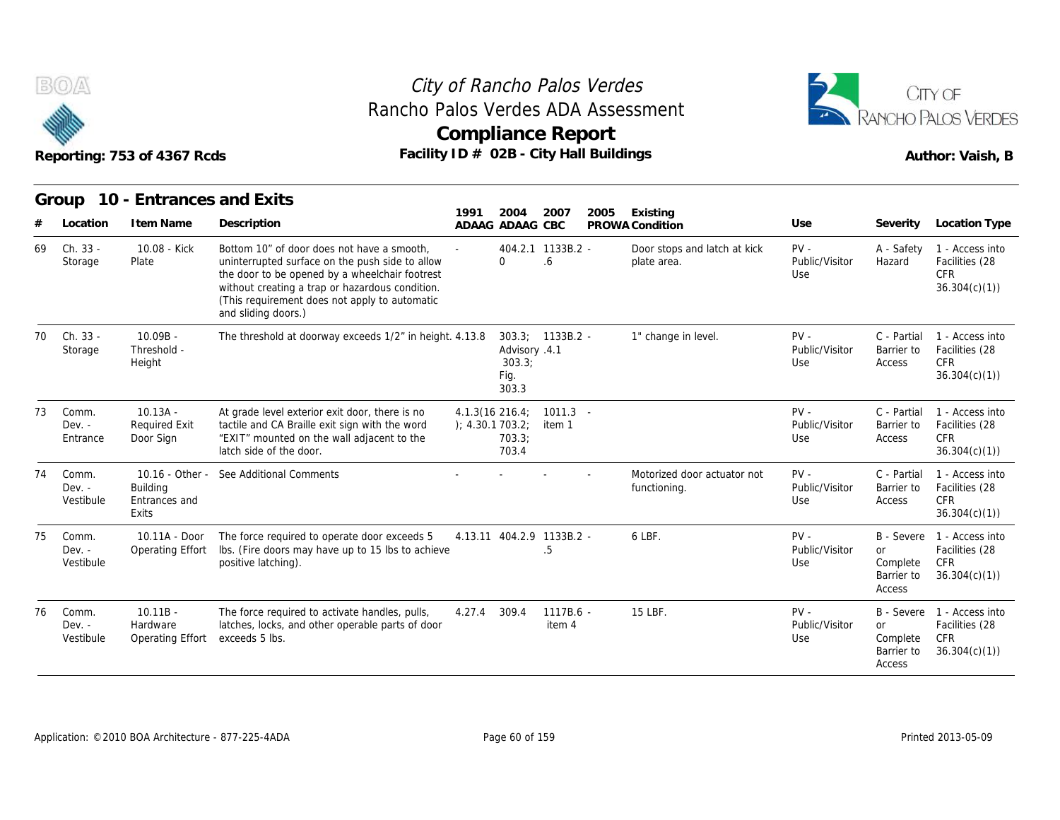



| Reporting: 753 of 4367 Rcds<br>10 - Entrances and Exits<br>Group |                                |                                                 | Facility ID # 02B - City Hall Buildings                                                                                                                                                                                                                                    |                                    | <b>Compliance Report</b>                 |                          |      |                                             |                                 | RANCHO PALOS VERDES<br>Author: Vaish, B                     |                                                                            |
|------------------------------------------------------------------|--------------------------------|-------------------------------------------------|----------------------------------------------------------------------------------------------------------------------------------------------------------------------------------------------------------------------------------------------------------------------------|------------------------------------|------------------------------------------|--------------------------|------|---------------------------------------------|---------------------------------|-------------------------------------------------------------|----------------------------------------------------------------------------|
|                                                                  |                                |                                                 |                                                                                                                                                                                                                                                                            | 1991                               | 2004                                     | 2007                     | 2005 | Existing                                    |                                 |                                                             |                                                                            |
|                                                                  | Location                       | I tem Name                                      | Description                                                                                                                                                                                                                                                                |                                    | ADAAG ADAAG CBC                          |                          |      | PROWA Condition                             | Use                             | Severity                                                    | Location Type                                                              |
| 69                                                               | Ch. 33 -<br>Storage            | 10.08 - Kick<br>Plate                           | Bottom 10" of door does not have a smooth,<br>uninterrupted surface on the push side to allow<br>the door to be opened by a wheelchair footrest<br>without creating a trap or hazardous condition.<br>(This requirement does not apply to automatic<br>and sliding doors.) |                                    | $\Omega$                                 | 404.2.1 1133B.2 -<br>6.6 |      | Door stops and latch at kick<br>plate area. | $PV -$<br>Public/Visitor<br>Use | A - Safety<br>Hazard                                        | 1 - Access into<br>Facilities (28<br><b>CFR</b><br>36.304(c)(1)            |
| 70                                                               | Ch. 33 -<br>Storage            | $10.09B -$<br>Threshold -<br>Height             | The threshold at doorway exceeds 1/2" in height. 4.13.8                                                                                                                                                                                                                    |                                    | Advisory .4.1<br>303.3:<br>Fig.<br>303.3 | $303.3$ ; $1133B.2$ -    |      | 1" change in level.                         | $PV -$<br>Public/Visitor<br>Use | C - Partial<br>Barrier to<br>Access                         | 1 - Access into<br>Facilities (28<br><b>CFR</b><br>36.304(c)(1)            |
| 73                                                               | Comm.<br>$Dev. -$<br>Entrance  | $10.13A -$<br><b>Required Exit</b><br>Door Sign | At grade level exterior exit door, there is no<br>tactile and CA Braille exit sign with the word<br>"EXIT" mounted on the wall adjacent to the<br>latch side of the door.                                                                                                  | 4.1.3(16 216.4;<br>); 4.30.1703.2; | 703.3;<br>703.4                          | $1011.3 -$<br>item 1     |      |                                             | $PV -$<br>Public/Visitor<br>Use | C - Partial<br>Barrier to<br>Access                         | 1 - Access into<br>Facilities (28<br><b>CFR</b><br>36.304(c)(1)            |
| 74                                                               | Comm.<br>$Dev. -$<br>Vestibule | <b>Building</b><br>Entrances and<br>Exits       | 10.16 - Other - See Additional Comments                                                                                                                                                                                                                                    |                                    |                                          |                          |      | Motorized door actuator not<br>functioning. | $PV -$<br>Public/Visitor<br>Use | C - Partial<br>Barrier to<br>Access                         | 1 - Access into<br>Facilities (28<br>CFR.<br>36.304(c)(1)                  |
| 75                                                               | Comm.<br>$Dev. -$<br>Vestibule | 10.11A - Door<br>Operating Effort               | The force required to operate door exceeds 5<br>Ibs. (Fire doors may have up to 15 lbs to achieve<br>positive latching).                                                                                                                                                   |                                    | 4.13.11 404.2.9 1133B.2 -                | .5                       |      | 6 LBF.                                      | $PV -$<br>Public/Visitor<br>Use | B - Severe<br><b>or</b><br>Complete<br>Barrier to<br>Access | 1 - Access into<br>Facilities (28<br><b>CFR</b><br>36.304(c)(1)            |
| 76                                                               | Comm.<br>$Dev. -$<br>Vestibule | $10.11B -$<br>Hardware<br>Operating Effort      | The force required to activate handles, pulls,<br>latches, locks, and other operable parts of door<br>exceeds 5 lbs.                                                                                                                                                       | 4.27.4                             | 309.4                                    | 1117B.6 -<br>item 4      |      | 15 LBF.                                     | $PV -$<br>Public/Visitor<br>Use | <b>or</b><br>Complete<br>Barrier to<br>Access               | B - Severe 1 - Access into<br>Facilities (28<br><b>CFR</b><br>36.304(c)(1) |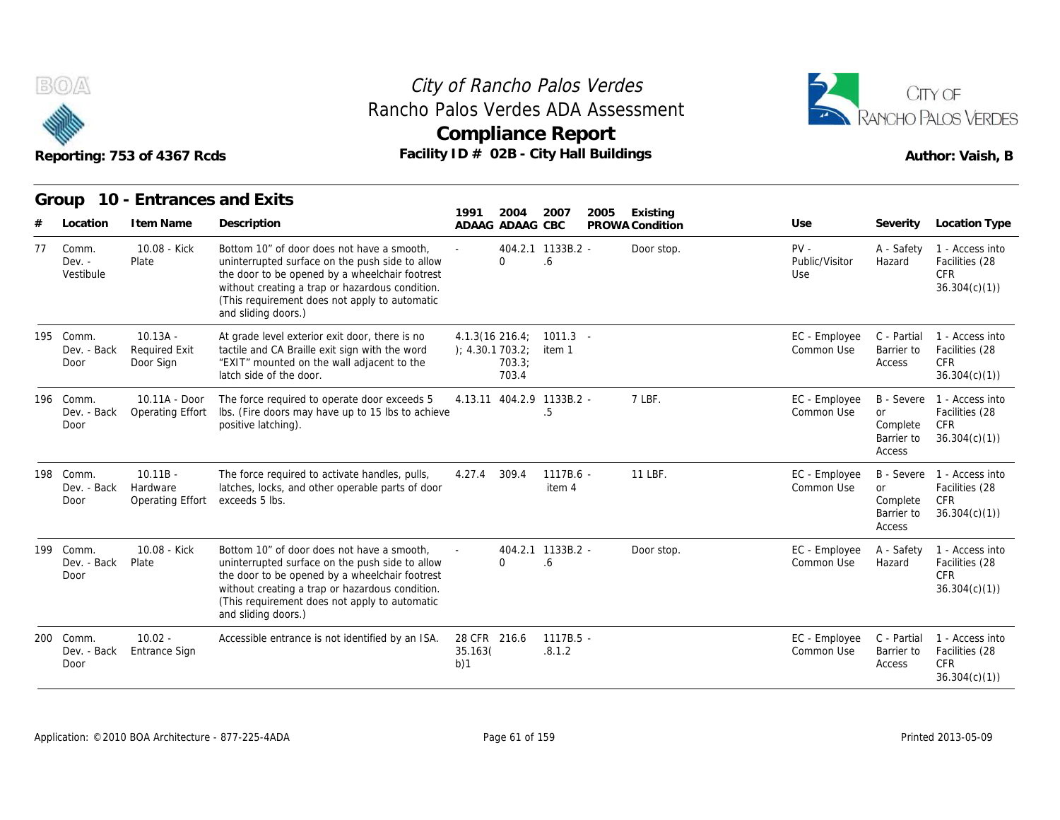



|     |                                  | Reporting: 753 of 4367 Rcds                       | Facility ID # 02B - City Hall Buildings                                                                                                                                                                                                                                    | <b>Compliance Report</b>           |                 |                         |      |                 |                                 |                                                             | Author: Vaish, B                                                |
|-----|----------------------------------|---------------------------------------------------|----------------------------------------------------------------------------------------------------------------------------------------------------------------------------------------------------------------------------------------------------------------------------|------------------------------------|-----------------|-------------------------|------|-----------------|---------------------------------|-------------------------------------------------------------|-----------------------------------------------------------------|
|     | Group                            | 10 - Entrances and Exits                          |                                                                                                                                                                                                                                                                            | 1991                               | 2004            | 2007                    | 2005 | Existing        |                                 |                                                             |                                                                 |
|     | Location                         | I tem Name                                        | Description                                                                                                                                                                                                                                                                |                                    | ADAAG ADAAG CBC |                         |      | PROWA Condition | Use                             | Severity                                                    | Location Type                                                   |
| 77  | Comm.<br>$Dev. -$<br>Vestibule   | 10.08 - Kick<br>Plate                             | Bottom 10" of door does not have a smooth,<br>uninterrupted surface on the push side to allow<br>the door to be opened by a wheelchair footrest<br>without creating a trap or hazardous condition.<br>(This requirement does not apply to automatic<br>and sliding doors.) |                                    | $\Omega$        | 404.2.1 1133B.2 -<br>.6 |      | Door stop.      | $PV -$<br>Public/Visitor<br>Use | A - Safety<br>Hazard                                        | 1 - Access into<br>Facilities (28<br><b>CFR</b><br>36.304(c)(1) |
|     | 195 Comm.<br>Dev. - Back<br>Door | $10.13A -$<br><b>Required Exit</b><br>Door Sign   | At grade level exterior exit door, there is no<br>tactile and CA Braille exit sign with the word<br>"EXIT" mounted on the wall adjacent to the<br>latch side of the door.                                                                                                  | 4.1.3(16.216.4)<br>); 4.30.1703.2; | 703.3;<br>703.4 | $1011.3 -$<br>item 1    |      |                 | EC - Employee<br>Common Use     | C - Partial<br>Barrier to<br>Access                         | 1 - Access into<br>Facilities (28<br><b>CFR</b><br>36.304(c)(1) |
| 196 | Comm.<br>Dev. - Back<br>Door     | 10.11A - Door<br>Operating Effort                 | The force required to operate door exceeds 5<br>Ibs. (Fire doors may have up to 15 lbs to achieve<br>positive latching).                                                                                                                                                   | 4.13.11 404.2.9 1133B.2 -          |                 | .5                      |      | 7 LBF.          | EC - Employee<br>Common Use     | <b>B</b> - Severe<br>or<br>Complete<br>Barrier to<br>Access | 1 - Access into<br>Facilities (28<br><b>CFR</b><br>36.304(c)(1) |
| 198 | Comm.<br>Dev. - Back<br>Door     | $10.11B -$<br>Hardware<br><b>Operating Effort</b> | The force required to activate handles, pulls,<br>latches, locks, and other operable parts of door<br>exceeds 5 lbs.                                                                                                                                                       | 4.27.4                             | 309.4           | 1117B.6 -<br>item 4     |      | 11 LBF.         | EC - Employee<br>Common Use     | B - Severe<br>or<br>Complete<br>Barrier to<br>Access        | 1 - Access into<br>Facilities (28<br><b>CFR</b><br>36.304(c)(1) |
| 199 | Comm.<br>Dev. - Back<br>Door     | 10.08 - Kick<br>Plate                             | Bottom 10" of door does not have a smooth.<br>uninterrupted surface on the push side to allow<br>the door to be opened by a wheelchair footrest<br>without creating a trap or hazardous condition.<br>(This requirement does not apply to automatic<br>and sliding doors.) |                                    | $\Omega$        | 404.2.1 1133B.2 -<br>.6 |      | Door stop.      | EC - Employee<br>Common Use     | A - Safety<br>Hazard                                        | 1 - Access into<br>Facilities (28<br><b>CFR</b><br>36.304(c)(1) |
| 200 | Comm.<br>Dev. - Back<br>Door     | $10.02 -$<br><b>Entrance Sign</b>                 | Accessible entrance is not identified by an ISA.                                                                                                                                                                                                                           | 28 CFR 216.6<br>35.163(<br>b)1     |                 | 1117B.5 -<br>.8.1.2     |      |                 | EC - Employee<br>Common Use     | C - Partial<br>Barrier to<br>Access                         | 1 - Access into<br>Facilities (28<br><b>CFR</b><br>36.304(c)(1) |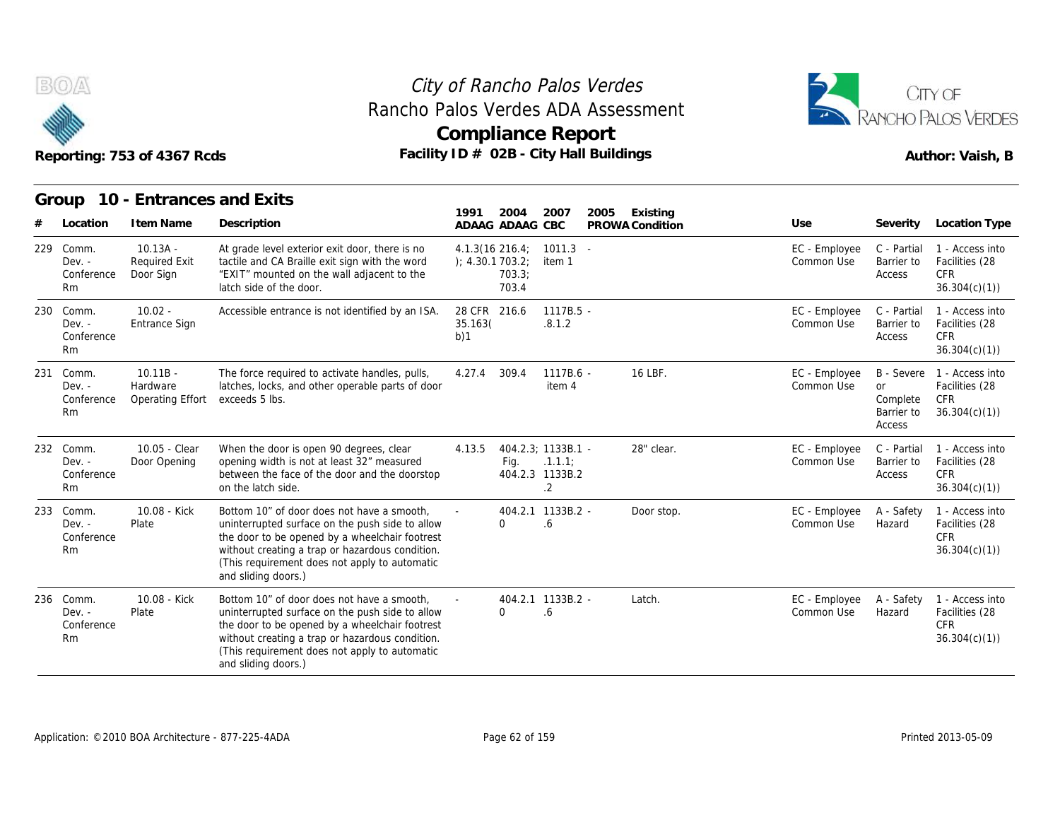



|     |                                                   | Reporting: 753 of 4367 Rcds                     | Rancho Palos Verdes ADA Assessment<br>Facility ID # 02B - City Hall Buildings                                                                                                                                                                                              | <b>Compliance Report</b>              |                            |                                 |      |                             |                             |                                        | RANCHO PALOS VERDES<br>Author: Vaish, B                                    |
|-----|---------------------------------------------------|-------------------------------------------------|----------------------------------------------------------------------------------------------------------------------------------------------------------------------------------------------------------------------------------------------------------------------------|---------------------------------------|----------------------------|---------------------------------|------|-----------------------------|-----------------------------|----------------------------------------|----------------------------------------------------------------------------|
|     | Group                                             | 10 - Entrances and Exits                        |                                                                                                                                                                                                                                                                            |                                       |                            |                                 |      |                             |                             |                                        |                                                                            |
|     | Location                                          | I tem Name                                      | Description                                                                                                                                                                                                                                                                | 1991                                  | 2004<br>ADAAG ADAAG CBC    | 2007                            | 2005 | Existing<br>PROWA Condition | Use                         | Severity                               | Location Type                                                              |
| 229 | Comm.<br>$Dev. -$<br>Conference<br><b>Rm</b>      | $10.13A -$<br><b>Required Exit</b><br>Door Sign | At grade level exterior exit door, there is no<br>tactile and CA Braille exit sign with the word<br>"EXIT" mounted on the wall adjacent to the<br>latch side of the door.                                                                                                  | $4.1.3(16\ 216.4)$<br>); 4.30.1703.2; | 703.3;<br>703.4            | $1011.3 -$<br>item 1            |      |                             | EC - Employee<br>Common Use | C - Partial<br>Barrier to<br>Access    | 1 - Access into<br>Facilities (28<br><b>CFR</b><br>36.304(c)(1)            |
|     | 230 Comm.<br>$Dev. -$<br>Conference<br>Rm         | $10.02 -$<br>Entrance Sign                      | Accessible entrance is not identified by an ISA.                                                                                                                                                                                                                           | 28 CFR 216.6<br>35.163(<br>b)1        |                            | $1117B.5 -$<br>.8.1.2           |      |                             | EC - Employee<br>Common Use | C - Partial<br>Barrier to<br>Access    | 1 - Access into<br>Facilities (28<br><b>CFR</b><br>36.304(c)(1)            |
| 231 | Comm.<br>$Dev. -$<br>Conference<br><b>Rm</b>      | $10.11B -$<br>Hardware<br>Operating Effort      | The force required to activate handles, pulls,<br>latches, locks, and other operable parts of door<br>exceeds 5 lbs.                                                                                                                                                       | 4.27.4                                | 309.4                      | $1117B.6 -$<br>item 4           |      | 16 LBF.                     | EC - Employee<br>Common Use | or<br>Complete<br>Barrier to<br>Access | B - Severe 1 - Access into<br>Facilities (28<br><b>CFR</b><br>36.304(c)(1) |
| 232 | Comm.<br>$Dev. -$<br>Conference<br>R <sub>m</sub> | 10.05 - Clear<br>Door Opening                   | When the door is open 90 degrees, clear<br>opening width is not at least 32" measured<br>between the face of the door and the doorstop<br>on the latch side.                                                                                                               | 4.13.5                                | 404.2.3; 1133B.1 -<br>Fig. | .1.1.1<br>404.2.3 1133B.2<br>.2 |      | 28" clear.                  | EC - Employee<br>Common Use | C - Partial<br>Barrier to<br>Access    | 1 - Access into<br>Facilities (28<br><b>CFR</b><br>36.304(c)(1)            |
| 233 | Comm.<br>$Dev. -$<br>Conference<br>Rm             | 10.08 - Kick<br>Plate                           | Bottom 10" of door does not have a smooth,<br>uninterrupted surface on the push side to allow<br>the door to be opened by a wheelchair footrest<br>without creating a trap or hazardous condition.<br>(This requirement does not apply to automatic<br>and sliding doors.) |                                       | $\Omega$                   | 404.2.1 1133B.2 -<br>.6         |      | Door stop.                  | EC - Employee<br>Common Use | A - Safety<br>Hazard                   | 1 - Access into<br>Facilities (28<br><b>CFR</b><br>36.304(c)(1)            |
|     | 236 Comm.<br>$Dev. -$<br>Conference<br><b>Rm</b>  | 10.08 - Kick<br>Plate                           | Bottom 10" of door does not have a smooth,<br>uninterrupted surface on the push side to allow<br>the door to be opened by a wheelchair footrest<br>without creating a trap or hazardous condition.<br>(This requirement does not apply to automatic<br>and sliding doors.) |                                       | $\Omega$                   | 404.2.1 1133B.2 -<br>.6         |      | Latch.                      | EC - Employee<br>Common Use | A - Safety<br>Hazard                   | 1 - Access into<br>Facilities (28<br><b>CFR</b><br>36.304(c)(1)            |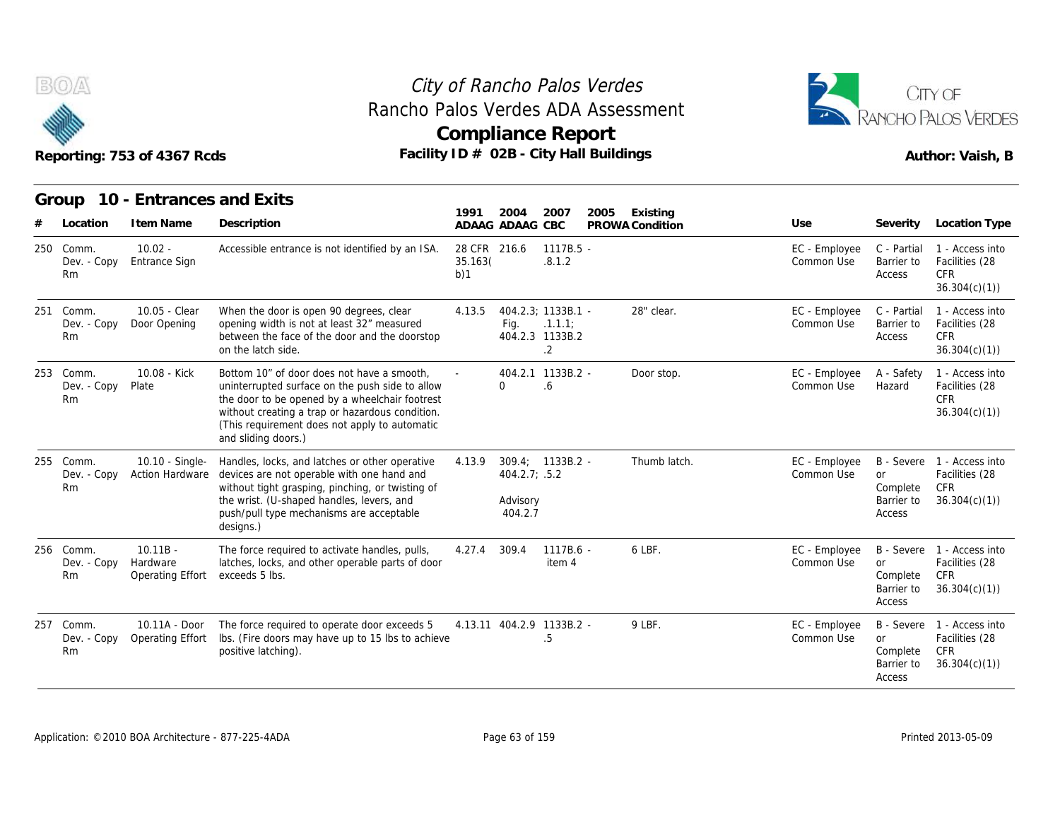



#### **Group 10 - Entrances and Exits**

| B(0)/2                                | Reporting: 753 of 4367 Rcds                |                                                                                                                                                                                                                                                                            |                                | <b>Compliance Report</b>             |                                                       | City of Rancho Palos Verdes<br>Rancho Palos Verdes ADA Assessment<br>Facility ID $#$ 02B - City Hall Buildings |                             |                                                      | CITY OF<br>ANCHO PALOS VERDES<br>Author: Vaish, B                          |
|---------------------------------------|--------------------------------------------|----------------------------------------------------------------------------------------------------------------------------------------------------------------------------------------------------------------------------------------------------------------------------|--------------------------------|--------------------------------------|-------------------------------------------------------|----------------------------------------------------------------------------------------------------------------|-----------------------------|------------------------------------------------------|----------------------------------------------------------------------------|
| Group<br>Location                     | 10 - Entrances and Exits<br>I tem Name     | Description                                                                                                                                                                                                                                                                | 1991                           | 2004<br>ADAAG ADAAG CBC              | 2007                                                  | 2005<br>Existing<br>PROWA Condition                                                                            | Use                         | Severity                                             | Location Type                                                              |
| 250 Comm.<br>Dev. - Copy<br>Rm        | $10.02 -$<br>Entrance Sign                 | Accessible entrance is not identified by an ISA.                                                                                                                                                                                                                           | 28 CFR 216.6<br>35.163(<br>b)1 |                                      | $1117B.5 -$<br>.8.1.2                                 |                                                                                                                | EC - Employee<br>Common Use | C - Partial<br>Barrier to<br>Access                  | 1 - Access into<br>Facilities (28<br><b>CFR</b><br>36.304(c)(1)            |
| 251 Comm.<br>Dev. - Copy<br><b>Rm</b> | 10.05 - Clear<br>Door Opening              | When the door is open 90 degrees, clear<br>opening width is not at least 32" measured<br>between the face of the door and the doorstop<br>on the latch side.                                                                                                               | 4.13.5                         | Fig.                                 | 404.2.3; 1133B.1 -<br>.1.1.1<br>404.2.3 1133B.2<br>.2 | 28" clear.                                                                                                     | EC - Employee<br>Common Use | C - Partial<br>Barrier to<br>Access                  | 1 - Access into<br>Facilities (28<br><b>CFR</b><br>36.304(c)(1)            |
| 253 Comm.<br>Dev. - Copy<br>Rm        | 10.08 - Kick<br>Plate                      | Bottom 10" of door does not have a smooth,<br>uninterrupted surface on the push side to allow<br>the door to be opened by a wheelchair footrest<br>without creating a trap or hazardous condition.<br>(This requirement does not apply to automatic<br>and sliding doors.) |                                | $\Omega$                             | 404.2.1 1133B.2 -<br>6.6                              | Door stop.                                                                                                     | EC - Employee<br>Common Use | A - Safety<br>Hazard                                 | 1 - Access into<br>Facilities (28<br><b>CFR</b><br>36.304(c)(1)            |
| 255 Comm.<br>Dev. - Copy<br>Rm        | 10.10 - Single-<br>Action Hardware         | Handles, locks, and latches or other operative<br>devices are not operable with one hand and<br>without tight grasping, pinching, or twisting of<br>the wrist. (U-shaped handles, levers, and<br>push/pull type mechanisms are acceptable<br>designs.)                     | 4.13.9                         | 404.2.7; .5.2<br>Advisory<br>404.2.7 | $309.4; 1133B.2 -$                                    | Thumb latch.                                                                                                   | EC - Employee<br>Common Use | B - Severe<br>or<br>Complete<br>Barrier to<br>Access | 1 - Access into<br>Facilities (28<br>CFR<br>36.304(c)(1)                   |
| 256 Comm.<br>Dev. - Copy<br><b>Rm</b> | $10.11B -$<br>Hardware<br>Operating Effort | The force required to activate handles, pulls,<br>latches, locks, and other operable parts of door<br>exceeds 5 lbs.                                                                                                                                                       | 4.27.4                         | 309.4                                | 1117B.6 -<br>item 4                                   | 6 LBF.                                                                                                         | EC - Employee<br>Common Use | <b>or</b><br>Complete<br>Barrier to<br>Access        | B - Severe 1 - Access into<br>Facilities (28<br><b>CFR</b><br>36.304(c)(1) |
| 257 Comm.<br>Dev. - Copy<br>Rm        | 10.11A - Door<br>Operating Effort          | The force required to operate door exceeds 5<br>Ibs. (Fire doors may have up to 15 lbs to achieve<br>positive latching).                                                                                                                                                   |                                | 4.13.11 404.2.9 1133B.2 -            | .5                                                    | 9 LBF.                                                                                                         | EC - Employee<br>Common Use | <b>or</b><br>Complete<br>Barrier to<br>Access        | B - Severe 1 - Access into<br>Facilities (28<br>CFR<br>36.304(c)(1)        |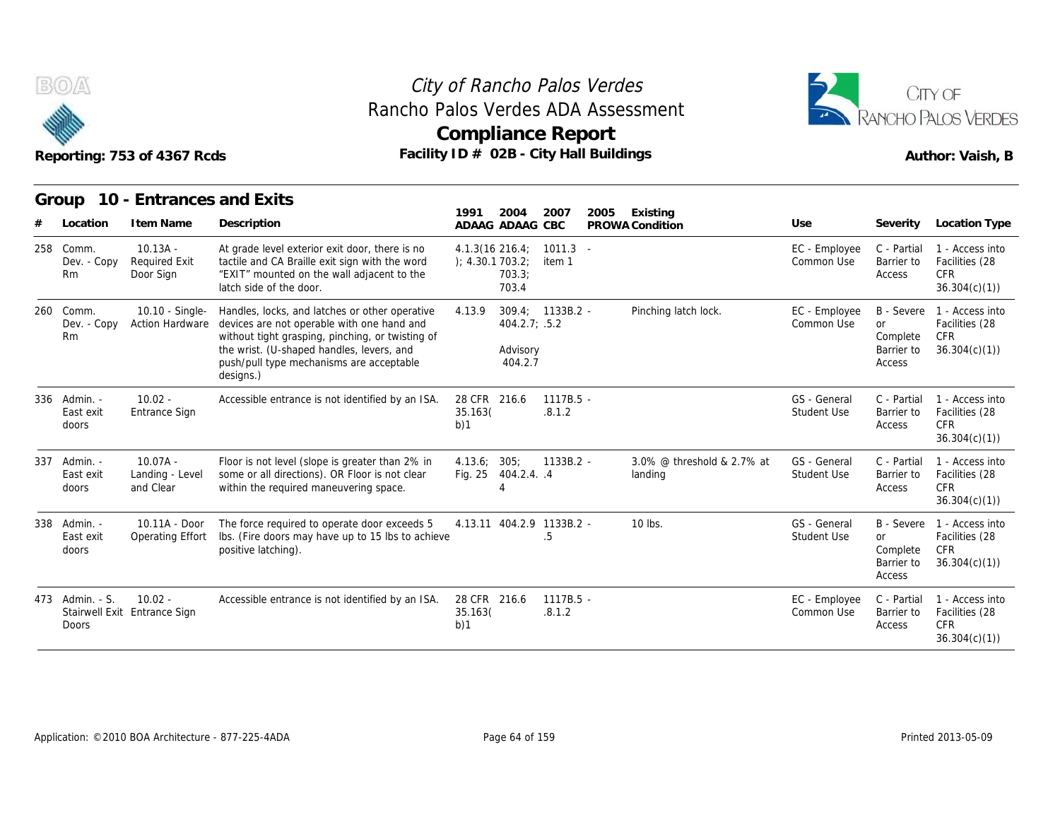



EC - Employee C - Partial Common Use Barrier to

Access

C - Partial 1 - Access into Barrier to Facilities (28

CFR 36.304(c)(1))

#### **Group 10 - Entrances and Exits Italy**<br> **Item Name Description**<br> **Item Name** Description<br> **IO.13A - At grade level exterior exit door, there is<br>
<b>IRequired Exit**<br> **Iterlie and CA Braille exit sign with the w 1991 ADAAG 2004 ADAAG CBC PROWA 2007 2005 Existing # Location Condition Use Severity Location Type** 10.13A - Required Exit Door Sign "EXIT" mounted on the wall adjacent to the At grade level exterior exit door, there is no tactile and CA Braille exit sign with the word latch side of the door. 4.1.3(16 ); 4.30.1 216.4; 1011.3 703.2; item 1 703.3; 703.4 BOA<br>
Reporting: 753 of 4<br>
Group 10 - Ent<br>
# Location Item I<br>
258 Comm. 10.13<br>
Dev. - Copy Require<br>
Rm Door S Dev. - Copy Rm Door Sign 10.10 - Single-Handles, locks, and latches or other operative Dev. - Copy Action Hardware devices are not operable with one hand and without tight grasping, pinching, or twisting of the wrist. (U-shaped handles, levers, and push/pull type mechanisms are acceptable 1991 2004 2007 20<br>
1991 2004 2007 20<br>
ADAAG ADAAG CBC PP<br>
4.1.3(16 216.4; 1011.3 -<br>
4.30.1 703.2; item 1<br>
703.3; 703.4<br>
4.13.9 309.4; 1133B.2 -<br>
404.2.7; .5.2 404.2.7; .5.2 Advisory 404.2.7 309.4; 1133B.2 - Pinching latch lock. Buildings<br>
2005 Existing<br>
PROWA Condition<br>
Lise Severity<br>
EC - Employee C - Partial<br>
Common Use Barrier to<br>
Access<br>
Pinching latch lock.<br>
EC - Employee B - Severe<br>
Common Use or<br>
Common Use or<br>
Common Use Severity<br>
Common Reporting: 753 of 4<br>
Group 10 - Ent<br>
# Location Item I<br>
258 Comm. 10.13<br>
Dev. - Copy Require<br>
Rm Door S<br>
260 Comm. 10.10<br>
Dev. - Copy Action<br>
Rm Rm without ADARG ADARG CE<br>
Accessible evel exterior exit door, there is no<br>  $4.1.3(16 \t216.4; 10 \t216.4; 10 \t216.4; 120 \t217"$  mounted on the wall adjacent to the<br>  $-703.3$ <br>
Handles, locks, and latches or other operative<br>  $-703.4$ <br>
H ADAAG CBC PROWA CONDITION<br>216.4; 1011.3 -<br>703.2; item 1<br>703.3;<br>309.4; 1133B.2 - Pinching latch<br>404.2.7; .5.2<br>Advisory<br>404.2.7<br>216.6 1117B.5 - .8.1.2 External Trem two<br>
258 Comm. 10.13A<br>
Dev. - Copy Required<br>
Rm Door Sig<br>
260 Comm. 10.10<br>
Dev. - Copy Action H<br>
Rm<br>
336 Admin. - 10.02<br>
East exit Entrance<br>
doors

|     |                                            |                                            | iqiuli siya vi tila yuvi .                                                                                                                                                                                                                             |                                | 700.4                                |                                 |                                       |                             |                                                                    | 30.304(6)(1)                                                    |
|-----|--------------------------------------------|--------------------------------------------|--------------------------------------------------------------------------------------------------------------------------------------------------------------------------------------------------------------------------------------------------------|--------------------------------|--------------------------------------|---------------------------------|---------------------------------------|-----------------------------|--------------------------------------------------------------------|-----------------------------------------------------------------|
|     | 260 Comm.<br>Dev. - Copy<br><b>Rm</b>      | 10.10 - Single-<br><b>Action Hardware</b>  | Handles, locks, and latches or other operative<br>devices are not operable with one hand and<br>without tight grasping, pinching, or twisting of<br>the wrist. (U-shaped handles, levers, and<br>push/pull type mechanisms are acceptable<br>designs.) | 4.13.9                         | 404.2.7; .5.2<br>Advisory<br>404.2.7 | 309.4; 1133B.2 -                | Pinching latch lock.                  | EC - Employee<br>Common Use | B - Severe<br><b>or</b><br>Complete<br>Barrier to<br>Access        | 1 - Access into<br>Facilities (28<br><b>CFR</b><br>36.304(c)(1) |
| 336 | Admin. -<br>East exit<br>doors             | $10.02 -$<br>Entrance Sign                 | Accessible entrance is not identified by an ISA.                                                                                                                                                                                                       | 28 CFR 216.6<br>35.163(<br>b)1 |                                      | $1117B.5 -$<br>.8.1.2           |                                       | GS - General<br>Student Use | C - Partial<br>Barrier to<br>Access                                | 1 - Access into<br>Facilities (28<br><b>CFR</b><br>36.304(c)(1) |
| 337 | Admin. -<br>East exit<br>doors             | $10.07A -$<br>Landing - Level<br>and Clear | Floor is not level (slope is greater than 2% in<br>some or all directions). OR Floor is not clear<br>within the required maneuvering space.                                                                                                            | 4.13.6;<br>Fig. 25             | 305;<br>404.2.4. .4                  | $1133B.2 -$                     | 3.0% @ threshold & 2.7% at<br>landing | GS - General<br>Student Use | C - Partial<br>Barrier to<br>Access                                | 1 - Access into<br>Facilities (28<br><b>CFR</b><br>36.304(c)(1) |
|     | 338 Admin. -<br>East exit<br>doors         | 10.11A - Door<br>Operating Effort          | The force required to operate door exceeds 5<br>Ibs. (Fire doors may have up to 15 lbs to achieve<br>positive latching).                                                                                                                               |                                |                                      | 4.13.11 404.2.9 1133B.2 -<br>.5 | 10 lbs.                               | GS - General<br>Student Use | <b>B</b> - Severe<br><b>or</b><br>Complete<br>Barrier to<br>Access | 1 - Access into<br>Facilities (28<br><b>CFR</b><br>36.304(c)(1) |
|     | 473 Admin. - S.<br>Stairwell Exit<br>Doors | $10.02 -$<br>Entrance Sign                 | Accessible entrance is not identified by an ISA.                                                                                                                                                                                                       | 28 CFR 216.6<br>35.163(<br>b)1 |                                      | $1117B.5 -$<br>.8.1.2           |                                       | EC - Employee<br>Common Use | C - Partial<br>Barrier to<br>Access                                | 1 - Access into<br>Facilities (28<br><b>CFR</b><br>36.304(c)(1) |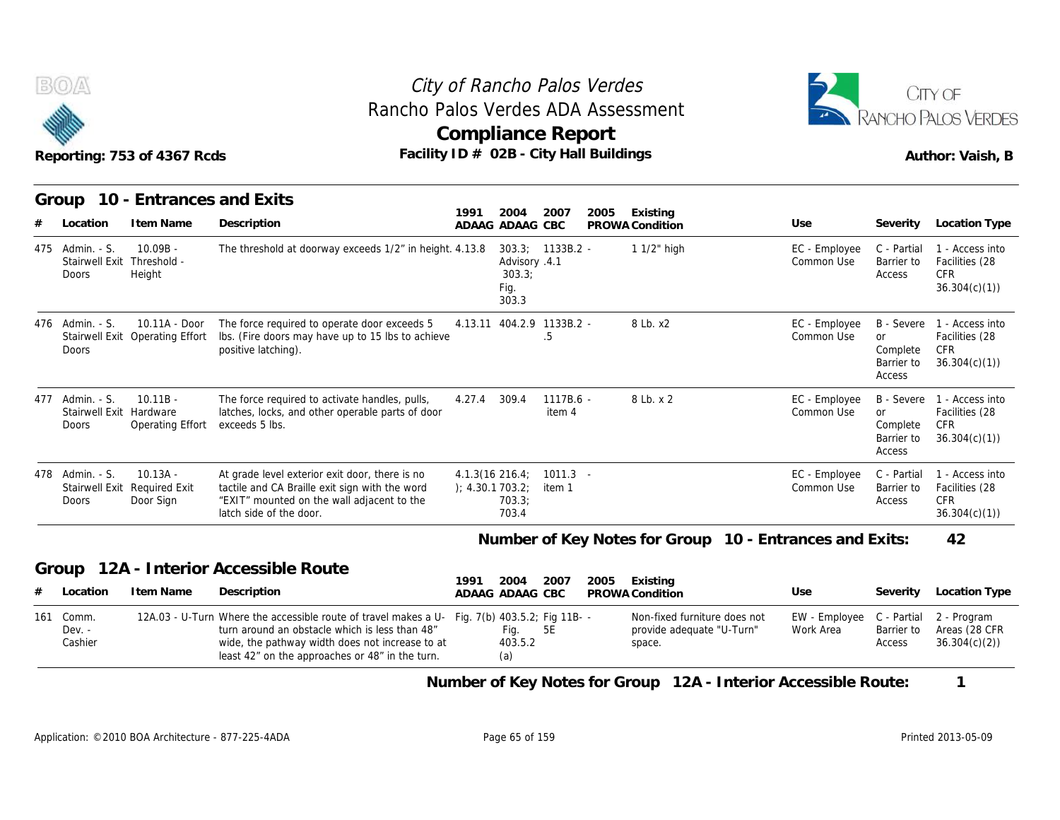



|     | B(0)                                                          | Reporting: 753 of 4367 Rcds                             | Rancho Palos Verdes ADA Assessment<br>Facility ID # 02B - City Hall Buildings                                                                                                                                                                         |                 |                                          | City of Rancho Palos Verdes<br><b>Compliance Report</b> |      |                                                                     |                             |           |                                                | CITY OF<br>RANCHO PALOS VERDES<br>Author: Vaish, B                  |
|-----|---------------------------------------------------------------|---------------------------------------------------------|-------------------------------------------------------------------------------------------------------------------------------------------------------------------------------------------------------------------------------------------------------|-----------------|------------------------------------------|---------------------------------------------------------|------|---------------------------------------------------------------------|-----------------------------|-----------|------------------------------------------------|---------------------------------------------------------------------|
|     |                                                               | Group 10 - Entrances and Exits                          |                                                                                                                                                                                                                                                       | 1991            | 2004                                     | 2007                                                    |      | Existing                                                            |                             |           |                                                |                                                                     |
|     | Location                                                      | I tem Name                                              | Description                                                                                                                                                                                                                                           | ADAAG ADAAG CBC |                                          |                                                         | 2005 | PROWA Condition                                                     | Use                         |           | Severity                                       | <b>Location Type</b>                                                |
|     | 475 Admin. - S.<br>Stairwell Exit Threshold -<br><b>Doors</b> | $10.09B -$<br>Height                                    | The threshold at doorway exceeds 1/2" in height. 4.13.8                                                                                                                                                                                               |                 | Advisory .4.1<br>303.3:<br>Fig.<br>303.3 | 303.3; 1133B.2 -                                        |      | 1 1/2" high                                                         | EC - Employee<br>Common Use |           | C - Partial<br>Barrier to<br>Access            | 1 - Access into<br>Facilities (28<br><b>CFR</b><br>36.304(c)(1)     |
|     | 476 Admin. - S.<br>Doors                                      | 10.11A - Door<br>Stairwell Exit Operating Effort        | The force required to operate door exceeds 5<br>Ibs. (Fire doors may have up to 15 lbs to achieve<br>positive latching).                                                                                                                              |                 |                                          | 4.13.11 404.2.9 1133B.2 -<br>.5                         |      | 8 Lb. x2                                                            | EC - Employee<br>Common Use | <b>or</b> | B - Severe<br>Complete<br>Barrier to<br>Access | 1 - Access into<br>Facilities (28<br>CFR<br>36.304(c)(1)            |
| 477 | Admin. - S.<br>Stairwell Exit Hardware<br>Doors               | $10.11B -$<br>Operating Effort                          | The force required to activate handles, pulls,<br>latches, locks, and other operable parts of door<br>exceeds 5 lbs.                                                                                                                                  | 4.27.4          | 309.4                                    | 1117B.6 -<br>item 4                                     |      | 8 Lb. x 2                                                           | EC - Employee<br>Common Use | or        | Complete<br>Barrier to<br>Access               | B - Severe 1 - Access into<br>Facilities (28<br>CFR<br>36.304(c)(1) |
|     | 478 Admin. - S.<br>Doors                                      | $10.13A -$<br>Stairwell Exit Required Exit<br>Door Sign | At grade level exterior exit door, there is no<br>tactile and CA Braille exit sign with the word<br>"EXIT" mounted on the wall adjacent to the<br>latch side of the door.                                                                             | ); 4.30.1703.2; | $4.1.3(16\ 216.4)$<br>703.3;<br>703.4    | $1011.3 -$<br>item 1                                    |      |                                                                     | EC - Employee<br>Common Use |           | C - Partial<br>Barrier to<br>Access            | 1 - Access into<br>Facilities (28<br><b>CFR</b><br>36.304(c)(1)     |
|     |                                                               |                                                         |                                                                                                                                                                                                                                                       |                 |                                          |                                                         |      | Number of Key Notes for Group 10 - Entrances and Exits:             |                             |           |                                                | 42                                                                  |
|     | Group                                                         |                                                         | 12A - Interior Accessible Route                                                                                                                                                                                                                       |                 |                                          |                                                         |      |                                                                     |                             |           |                                                |                                                                     |
|     | Location                                                      | I tem Name                                              | Description                                                                                                                                                                                                                                           | 1991            | 2004<br>ADAAG ADAAG CBC                  | 2007                                                    | 2005 | Existing<br>PROWA Condition                                         | Use                         |           | Severity                                       | <b>Location Type</b>                                                |
| 161 | Comm.<br>Dev. -<br>Cashier                                    |                                                         | 12A.03 - U-Turn Where the accessible route of travel makes a U- Fig. 7(b) 403.5.2; Fig 11B- -<br>turn around an obstacle which is less than 48"<br>wide, the pathway width does not increase to at<br>least 42" on the approaches or 48" in the turn. |                 | Fig.<br>403.5.2<br>(a)                   | 5E                                                      |      | Non-fixed furniture does not<br>provide adequate "U-Turn"<br>space. | EW - Employee<br>Work Area  |           | C - Partial<br>Barrier to<br>Access            | 2 - Program<br>Areas (28 CFR<br>36.304(c)(2)                        |

**Number of Key Notes for Group 12A - Interior Accessible Route: 1**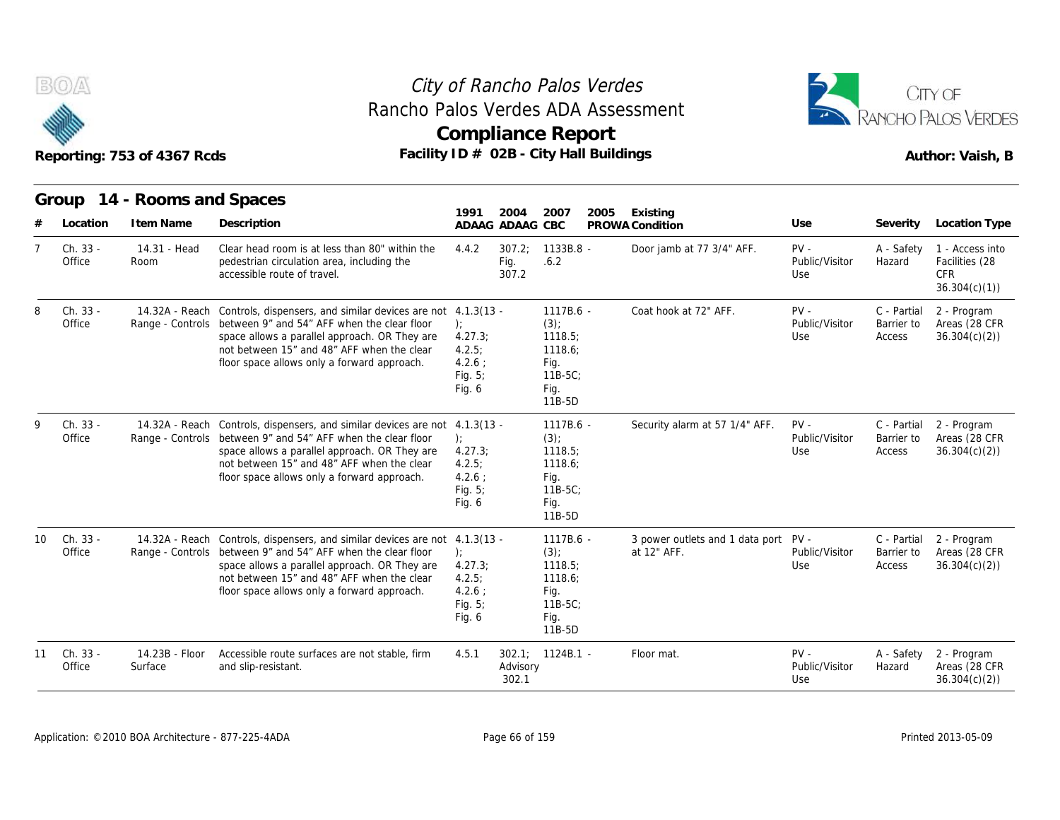



|    |                    | Reporting: 753 of 4367 Rcds         | Facility ID # 02B - City Hall Buildings                                                                                                                                                                                                                                                   | Compliance Report                                                |                         |                                                                                    |      |                                                |                                 |                                     | Author: Vaish, B                                                |
|----|--------------------|-------------------------------------|-------------------------------------------------------------------------------------------------------------------------------------------------------------------------------------------------------------------------------------------------------------------------------------------|------------------------------------------------------------------|-------------------------|------------------------------------------------------------------------------------|------|------------------------------------------------|---------------------------------|-------------------------------------|-----------------------------------------------------------------|
|    | Group<br>Location  | 14 - Rooms and Spaces<br>I tem Name | Description                                                                                                                                                                                                                                                                               | 1991                                                             | 2004<br>ADAAG ADAAG CBC | 2007                                                                               | 2005 | Existing<br>PROWA Condition                    | Use                             | Severity                            | Location Type                                                   |
|    | Ch. 33 -<br>Office | 14.31 - Head<br>Room                | Clear head room is at less than 80" within the<br>pedestrian circulation area, including the<br>accessible route of travel.                                                                                                                                                               | 4.4.2                                                            | 307.2:<br>Fig.<br>307.2 | $1133B.8 -$<br>.6.2                                                                |      | Door jamb at 77 3/4" AFF.                      | $PV -$<br>Public/Visitor<br>Use | A - Safety<br>Hazard                | 1 - Access into<br>Facilities (28<br><b>CFR</b><br>36.304(c)(1) |
| ጸ  | Ch. 33 -<br>Office | 14.32A - Reach<br>Range - Controls  | Controls, dispensers, and similar devices are not 4.1.3(13 -<br>between 9" and 54" AFF when the clear floor<br>space allows a parallel approach. OR They are<br>not between 15" and 48" AFF when the clear<br>floor space allows only a forward approach.                                 | $\cdot$<br>4.27.3;<br>4.2.5:<br>$4.2.6$ :<br>Fig. 5;<br>Fig. $6$ |                         | $1117B.6 -$<br>(3)<br>1118.5;<br>1118.6:<br>Fig.<br>$11B-5C$ :<br>Fig.<br>11B-5D   |      | Coat hook at 72" AFF.                          | $PV -$<br>Public/Visitor<br>Use | C - Partial<br>Barrier to<br>Access | 2 - Program<br>Areas (28 CFR<br>36.304(c)(2)                    |
| Q  | Ch. 33 -<br>Office | Range - Controls                    | 14.32A - Reach Controls, dispensers, and similar devices are not 4.1.3(13 -<br>between 9" and 54" AFF when the clear floor<br>space allows a parallel approach. OR They are<br>not between 15" and 48" AFF when the clear<br>floor space allows only a forward approach.                  | $\cdot$<br>4.27.3<br>4.2.5:<br>$4.2.6$ :<br>Fig. 5;<br>Fig. $6$  |                         | 1117B.6 -<br>$(3)$ ;<br>1118.5:<br>1118.6;<br>Fig.<br>$11B-5C$<br>Fig.<br>11B-5D   |      | Security alarm at 57 1/4" AFF.                 | $PV -$<br>Public/Visitor<br>Use | C - Partial<br>Barrier to<br>Access | 2 - Program<br>Areas (28 CFR<br>36.304(c)(2)                    |
| 10 | Ch. 33 -<br>Office |                                     | 14.32A - Reach Controls, dispensers, and similar devices are not 4.1.3(13 -<br>Range - Controls between 9" and 54" AFF when the clear floor<br>space allows a parallel approach. OR They are<br>not between 15" and 48" AFF when the clear<br>floor space allows only a forward approach. | $\cdot$<br>4.27.3<br>4.2.5:<br>$4.2.6$ ;<br>Fig. $5$ ;<br>Fig. 6 |                         | 1117B.6 -<br>$(3)$ ;<br>1118.5:<br>1118.6:<br>Fig.<br>$11B-5C$ ;<br>Fig.<br>11B-5D |      | 3 power outlets and 1 data port<br>at 12" AFF. | $PV -$<br>Public/Visitor<br>Use | C - Partial<br>Barrier to<br>Access | 2 - Program<br>Areas (28 CFR<br>36.304(c)(2)                    |
| 11 | Ch. 33 -<br>Office | 14.23B - Floor<br>Surface           | Accessible route surfaces are not stable, firm<br>and slip-resistant.                                                                                                                                                                                                                     | 4.5.1                                                            | Advisory<br>302.1       | $302.1$ ; $1124B.1$                                                                |      | Floor mat.                                     | $PV -$<br>Public/Visitor<br>Use | A - Safety<br>Hazard                | 2 - Program<br>Areas (28 CFR<br>36.304(c)(2)                    |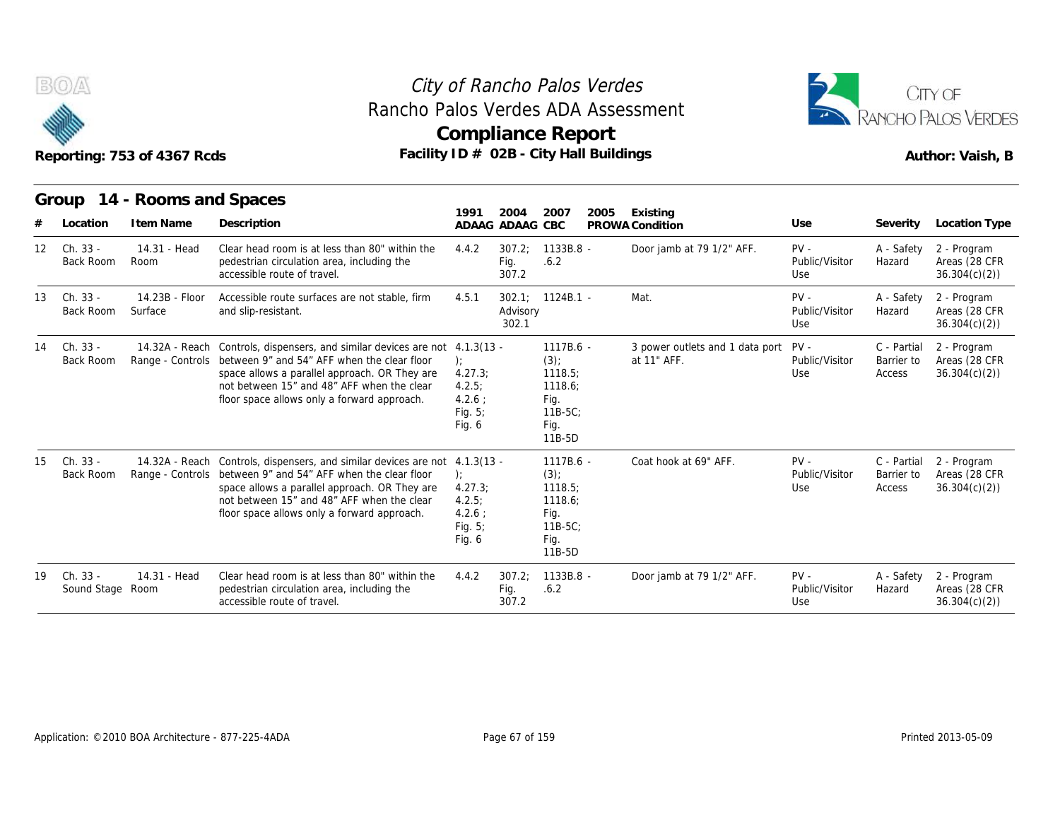



|                  |                              | Reporting: 753 of 4367 Rcds | Rancho Palos Verdes ADA Assessment<br>Facility ID # 02B - City Hall Buildings                                                                                                                                                                                                             | <b>Compliance Report</b>                                      |                            |                                                                                |      |                                                     |                                 |                                     | CITY OF<br>RANCHO PALOS VERDES<br>Author: Vaish, B |
|------------------|------------------------------|-----------------------------|-------------------------------------------------------------------------------------------------------------------------------------------------------------------------------------------------------------------------------------------------------------------------------------------|---------------------------------------------------------------|----------------------------|--------------------------------------------------------------------------------|------|-----------------------------------------------------|---------------------------------|-------------------------------------|----------------------------------------------------|
|                  |                              | Group 14 - Rooms and Spaces |                                                                                                                                                                                                                                                                                           | 1991                                                          | 2004                       | 2007                                                                           | 2005 | Existing                                            |                                 |                                     |                                                    |
|                  | Location                     | I tem Name                  | Description                                                                                                                                                                                                                                                                               |                                                               | ADAAG ADAAG CBC            |                                                                                |      | PROWA Condition                                     | Use                             | Severity                            | Location Type                                      |
| 12 <sup>12</sup> | Ch. 33 -<br>Back Room        | 14.31 - Head<br>Room        | Clear head room is at less than 80" within the<br>pedestrian circulation area, including the<br>accessible route of travel.                                                                                                                                                               | 4.4.2                                                         | 307.2:<br>Fig.<br>307.2    | $1133B.8 -$<br>.6.2                                                            |      | Door jamb at 79 1/2" AFF.                           | $PV -$<br>Public/Visitor<br>Use | A - Safety<br>Hazard                | 2 - Program<br>Areas (28 CFR<br>36.304(c)(2)       |
| 13               | Ch. 33 -<br>Back Room        | 14.23B - Floor<br>Surface   | Accessible route surfaces are not stable, firm<br>and slip-resistant.                                                                                                                                                                                                                     | 4.5.1                                                         | 302.1<br>Advisory<br>302.1 | $1124B.1 -$                                                                    |      | Mat.                                                | $PV -$<br>Public/Visitor<br>Use | A - Safety<br>Hazard                | 2 - Program<br>Areas (28 CFR<br>36.304(c)(2)       |
| 14               | Ch. 33 -<br><b>Back Room</b> |                             | 14.32A - Reach Controls, dispensers, and similar devices are not 4.1.3(13 -<br>Range - Controls between 9" and 54" AFF when the clear floor<br>space allows a parallel approach. OR They are<br>not between 15" and 48" AFF when the clear<br>floor space allows only a forward approach. | 4.27.3<br>4.2.5:<br>4.2.6:<br>Fig. $5$ ;<br>Fig. 6            |                            | $1117B.6 -$<br>(3)<br>1118.5:<br>1118.6;<br>Fig.<br>11B-5C;<br>Fig.<br>11B-5D  |      | 3 power outlets and 1 data port PV -<br>at 11" AFF. | Public/Visitor<br>Use           | C - Partial<br>Barrier to<br>Access | 2 - Program<br>Areas (28 CFR<br>36.304(c)(2)       |
| 15               | Ch. 33 -<br><b>Back Room</b> |                             | 14.32A - Reach Controls, dispensers, and similar devices are not 4.1.3(13 -<br>Range - Controls between 9" and 54" AFF when the clear floor<br>space allows a parallel approach. OR They are<br>not between 15" and 48" AFF when the clear<br>floor space allows only a forward approach. | $\cdot$<br>4.27.3<br>4.2.5:<br>4.2.6:<br>Fig. $5$ ;<br>Fig. 6 |                            | 1117B.6 -<br>$(3)$ ;<br>1118.5<br>1118.6:<br>Fig.<br>11B-5C;<br>Fig.<br>11B-5D |      | Coat hook at 69" AFF.                               | $PV -$<br>Public/Visitor<br>Use | C - Partial<br>Barrier to<br>Access | 2 - Program<br>Areas (28 CFR<br>36.304(c)(2)       |
| 19.              | Ch. 33 -<br>Sound Stage Room | 14.31 - Head                | Clear head room is at less than 80" within the<br>pedestrian circulation area, including the<br>accessible route of travel.                                                                                                                                                               | 4.4.2                                                         | 307.2:<br>Fig.<br>307.2    | 1133B.8 -<br>.6.2                                                              |      | Door jamb at 79 1/2" AFF.                           | $PV -$<br>Public/Visitor<br>Use | A - Safety<br>Hazard                | 2 - Program<br>Areas (28 CFR<br>36.304(c)(2)       |

| 19 | Ch. 33 -<br>Sound Stage Room | 14.31 - Head | Clear head room is at less than 80" within the<br>pedestrian circulation area, including the<br>accessible route of travel. | 4.4.2 | 307.2:<br>Fia.<br>307.2 | 1133B.8 -<br>.6.2 | Door jamb at 79 1/2" AFF. | $PV -$<br>Public/Visitor<br>Use | A - Safet<br>Hazard |
|----|------------------------------|--------------|-----------------------------------------------------------------------------------------------------------------------------|-------|-------------------------|-------------------|---------------------------|---------------------------------|---------------------|
|    |                              |              |                                                                                                                             |       |                         |                   |                           |                                 |                     |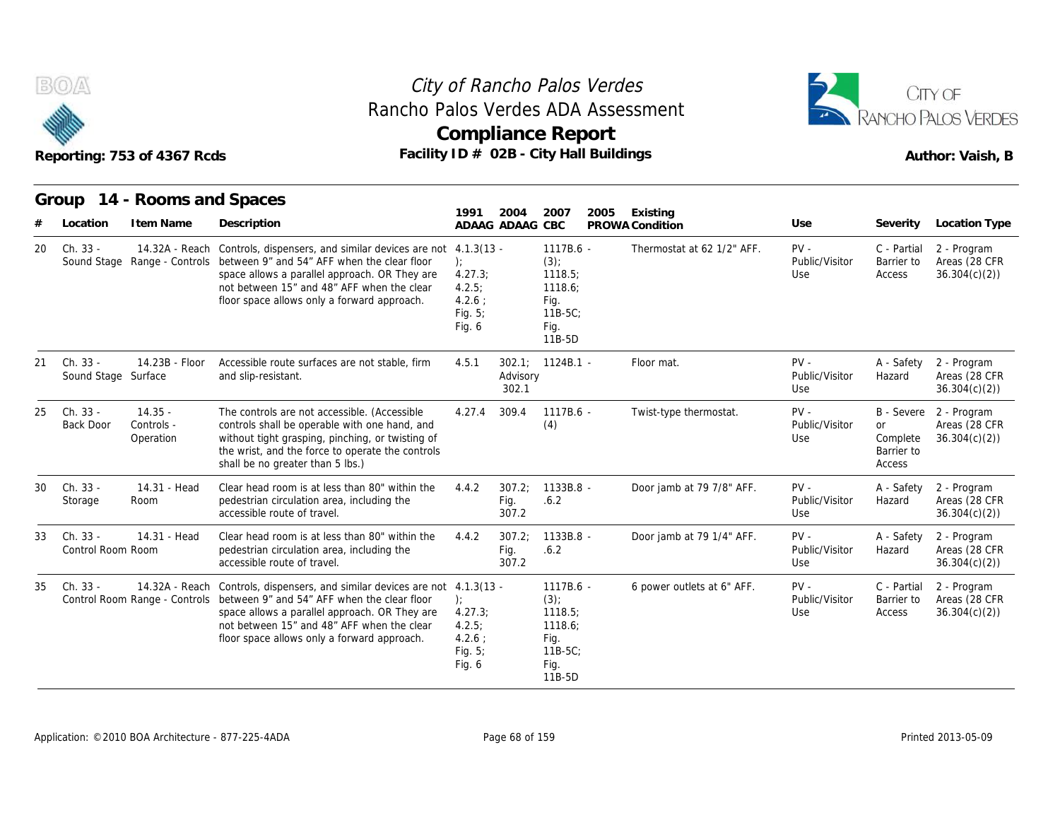



|    |                                 | Reporting: 753 of 4367 Rcds          | Facility ID # 02B - City Hall Buildings                                                                                                                                                                                                                                                   |                                                                    |                         | <b>Compliance Report</b>                                                         |      |                            |                                 |                                                             | RANCHO PALOS VERDES<br>Author: Vaish, B      |
|----|---------------------------------|--------------------------------------|-------------------------------------------------------------------------------------------------------------------------------------------------------------------------------------------------------------------------------------------------------------------------------------------|--------------------------------------------------------------------|-------------------------|----------------------------------------------------------------------------------|------|----------------------------|---------------------------------|-------------------------------------------------------------|----------------------------------------------|
|    |                                 | Group 14 - Rooms and Spaces          |                                                                                                                                                                                                                                                                                           | 1991                                                               | 2004                    | 2007                                                                             | 2005 | Existing                   |                                 |                                                             |                                              |
|    | Location                        | I tem Name                           | Description                                                                                                                                                                                                                                                                               |                                                                    | ADAAG ADAAG             | CBC                                                                              |      | PROWA Condition            | Use                             | Severity                                                    | Location Type                                |
| 20 | Ch. 33 -<br>Sound Stage         |                                      | 14.32A - Reach Controls, dispensers, and similar devices are not 4.1.3(13 -<br>Range - Controls between 9" and 54" AFF when the clear floor<br>space allows a parallel approach. OR They are<br>not between 15" and 48" AFF when the clear<br>floor space allows only a forward approach. | 4.27.3;<br>4.2.5:<br>4.2.6:<br>Fig. 5;<br>Fig. 6                   |                         | 1117B.6 -<br>$(3)$ ;<br>1118.5<br>1118.6;<br>Fig.<br>$11B-5C$<br>Fig.<br>11B-5D  |      | Thermostat at 62 1/2" AFF. | $PV -$<br>Public/Visitor<br>Use | C - Partial<br>Barrier to<br>Access                         | 2 - Program<br>Areas (28 CFR<br>36.304(c)(2) |
| 21 | Ch. 33 -<br>Sound Stage Surface | 14.23B - Floor                       | Accessible route surfaces are not stable, firm<br>and slip-resistant.                                                                                                                                                                                                                     | 4.5.1                                                              | Advisory<br>302.1       | $302.1$ ; $1124B.1$ -                                                            |      | Floor mat.                 | $PV -$<br>Public/Visitor<br>Use | A - Safety<br>Hazard                                        | 2 - Program<br>Areas (28 CFR<br>36.304(c)(2) |
| 25 | Ch. 33 -<br>Back Door           | $14.35 -$<br>Controls -<br>Operation | The controls are not accessible. (Accessible<br>controls shall be operable with one hand, and<br>without tight grasping, pinching, or twisting of<br>the wrist, and the force to operate the controls<br>shall be no greater than 5 lbs.)                                                 | 4.27.4                                                             | 309.4                   | 1117B.6 -<br>(4)                                                                 |      | Twist-type thermostat.     | $PV -$<br>Public/Visitor<br>Use | B - Severe<br><b>or</b><br>Complete<br>Barrier to<br>Access | 2 - Program<br>Areas (28 CFR<br>36.304(c)(2) |
| 30 | Ch. 33 -<br>Storage             | 14.31 - Head<br>Room                 | Clear head room is at less than 80" within the<br>pedestrian circulation area, including the<br>accessible route of travel.                                                                                                                                                               | 4.4.2                                                              | 307.2:<br>Fig.<br>307.2 | 1133B.8 -<br>.6.2                                                                |      | Door jamb at 79 7/8" AFF.  | $PV -$<br>Public/Visitor<br>Use | A - Safety<br>Hazard                                        | 2 - Program<br>Areas (28 CFR<br>36.304(c)(2) |
| 33 | Ch. 33 -<br>Control Room Room   | 14.31 - Head                         | Clear head room is at less than 80" within the<br>pedestrian circulation area, including the<br>accessible route of travel.                                                                                                                                                               | 4.4.2                                                              | 307.2;<br>Fig.<br>307.2 | $1133B.8 -$<br>.6.2                                                              |      | Door jamb at 79 1/4" AFF.  | $PV -$<br>Public/Visitor<br>Use | A - Safety<br>Hazard                                        | 2 - Program<br>Areas (28 CFR<br>36.304(c)(2) |
| 35 | Ch. 33 -                        | Control Room Range - Controls        | 14.32A - Reach Controls, dispensers, and similar devices are not 4.1.3(13 -<br>between 9" and 54" AFF when the clear floor<br>space allows a parallel approach. OR They are<br>not between 15" and 48" AFF when the clear<br>floor space allows only a forward approach.                  | $\cdot$<br>4.27.3<br>4.2.5:<br>$4.2.6$ :<br>Fig. $5$ ;<br>Fig. $6$ |                         | 1117B.6 -<br>$(3)$ ;<br>1118.5;<br>1118.6;<br>Fig.<br>$11B-5C$<br>Fig.<br>11B-5D |      | 6 power outlets at 6" AFF. | $PV -$<br>Public/Visitor<br>Use | C - Partial<br>Barrier to<br>Access                         | 2 - Program<br>Areas (28 CFR<br>36.304(c)(2) |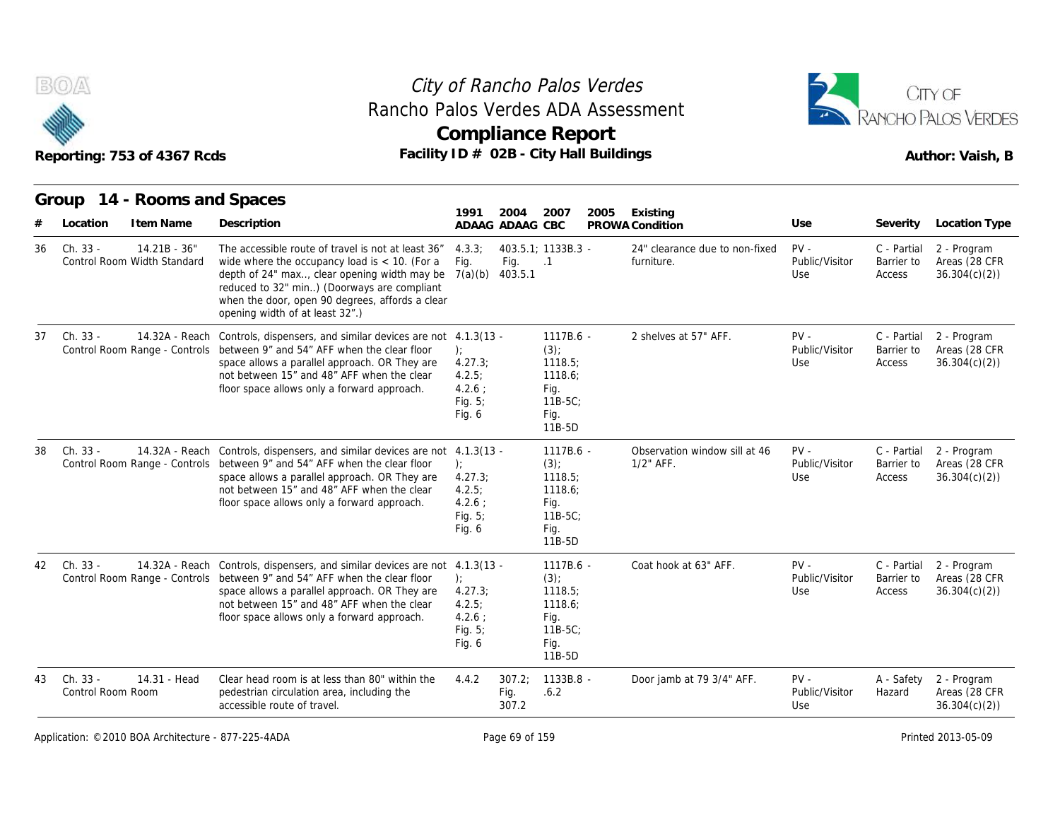



|    | Reporting: 753 of 4367 Rcds                               |                                                                                                                                                                                                                                                                                                        |                                                                   |                         | <b>Compliance Report</b><br>Facility ID # 02B - City Hall Buildings                |                                               |                                 |                                     | Author: Vaish, B                             |
|----|-----------------------------------------------------------|--------------------------------------------------------------------------------------------------------------------------------------------------------------------------------------------------------------------------------------------------------------------------------------------------------|-------------------------------------------------------------------|-------------------------|------------------------------------------------------------------------------------|-----------------------------------------------|---------------------------------|-------------------------------------|----------------------------------------------|
|    | Group 14 - Rooms and Spaces                               |                                                                                                                                                                                                                                                                                                        | 1991                                                              | 2004                    | 2007<br>2005                                                                       | Existing                                      |                                 |                                     |                                              |
|    | I tem Name<br>Location                                    | Description                                                                                                                                                                                                                                                                                            |                                                                   | ADAAG ADAAG CBC         |                                                                                    | PROWA Condition                               | Use                             | Severity                            | Location Type                                |
| 36 | Ch. 33 -<br>$14.21B - 36"$<br>Control Room Width Standard | The accessible route of travel is not at least 36"<br>wide where the occupancy load is $<$ 10. (For a<br>depth of 24" max, clear opening width may be $7(a)(b)$<br>reduced to 32" min) (Doorways are compliant<br>when the door, open 90 degrees, affords a clear<br>opening width of at least 32".)   | 4.3.3:<br>Fig.                                                    | Fig.<br>403.5.1         | 403.5.1: 1133B.3 -<br>$\cdot$ 1                                                    | 24" clearance due to non-fixed<br>furniture.  | $PV -$<br>Public/Visitor<br>Use | C - Partial<br>Barrier to<br>Access | 2 - Program<br>Areas (28 CFR<br>36.304(c)(2) |
| 37 | Ch. 33 -<br>14.32A - Reach                                | Controls, dispensers, and similar devices are not 4.1.3(13 -<br>Control Room Range - Controls between 9" and 54" AFF when the clear floor<br>space allows a parallel approach. OR They are<br>not between 15" and 48" AFF when the clear<br>floor space allows only a forward approach.                | $\cdot$<br>4.27.3;<br>4.2.5:<br>$4.2.6$ :<br>Fig. $5$ ;<br>Fig. 6 |                         | $1117B.6 -$<br>$(3)$ ;<br>1118.5;<br>1118.6:<br>Fig.<br>11B-5C:<br>Fig.<br>11B-5D  | 2 shelves at 57" AFF.                         | $PV -$<br>Public/Visitor<br>Use | C - Partial<br>Barrier to<br>Access | 2 - Program<br>Areas (28 CFR<br>36.304(c)(2) |
| 38 | Ch. 33 -                                                  | 14.32A - Reach Controls, dispensers, and similar devices are not 4.1.3(13 -<br>Control Room Range - Controls between 9" and 54" AFF when the clear floor<br>space allows a parallel approach. OR They are<br>not between 15" and 48" AFF when the clear<br>floor space allows only a forward approach. | $\cdot$<br>4.27.3;<br>4.2.5:<br>$4.2.6$ :<br>Fig. $5$ ;<br>Fig. 6 |                         | 1117B.6 -<br>$(3)$ ;<br>1118.5:<br>1118.6;<br>Fig.<br>$11B-5C$ :<br>Fig.<br>11B-5D | Observation window sill at 46<br>$1/2$ " AFF. | $PV -$<br>Public/Visitor<br>Use | C - Partial<br>Barrier to<br>Access | 2 - Program<br>Areas (28 CFR<br>36.304(c)(2) |
| 42 | Ch. 33 -                                                  | 14.32A - Reach Controls, dispensers, and similar devices are not 4.1.3(13 -<br>Control Room Range - Controls between 9" and 54" AFF when the clear floor<br>space allows a parallel approach. OR They are<br>not between 15" and 48" AFF when the clear<br>floor space allows only a forward approach. | ):<br>4.27.3;<br>4.2.5:<br>$4.2.6$ :<br>Fig. $5$ ;<br>Fig. 6      |                         | 1117B.6 -<br>(3)<br>1118.5:<br>1118.6;<br>Fig.<br>$11B-5C$ :<br>Fig.<br>11B-5D     | Coat hook at 63" AFF.                         | $PV -$<br>Public/Visitor<br>Use | C - Partial<br>Barrier to<br>Access | 2 - Program<br>Areas (28 CFR<br>36.304(c)(2) |
| 43 | Ch. 33 -<br>14.31 - Head<br>Control Room Room             | Clear head room is at less than 80" within the<br>pedestrian circulation area, including the<br>accessible route of travel.                                                                                                                                                                            | 4.4.2                                                             | 307.2:<br>Fig.<br>307.2 | 1133B.8 -<br>.6.2                                                                  | Door jamb at 79 3/4" AFF.                     | $PV -$<br>Public/Visitor<br>Use | A - Safety<br>Hazard                | 2 - Program<br>Areas (28 CFR<br>36.304(c)(2) |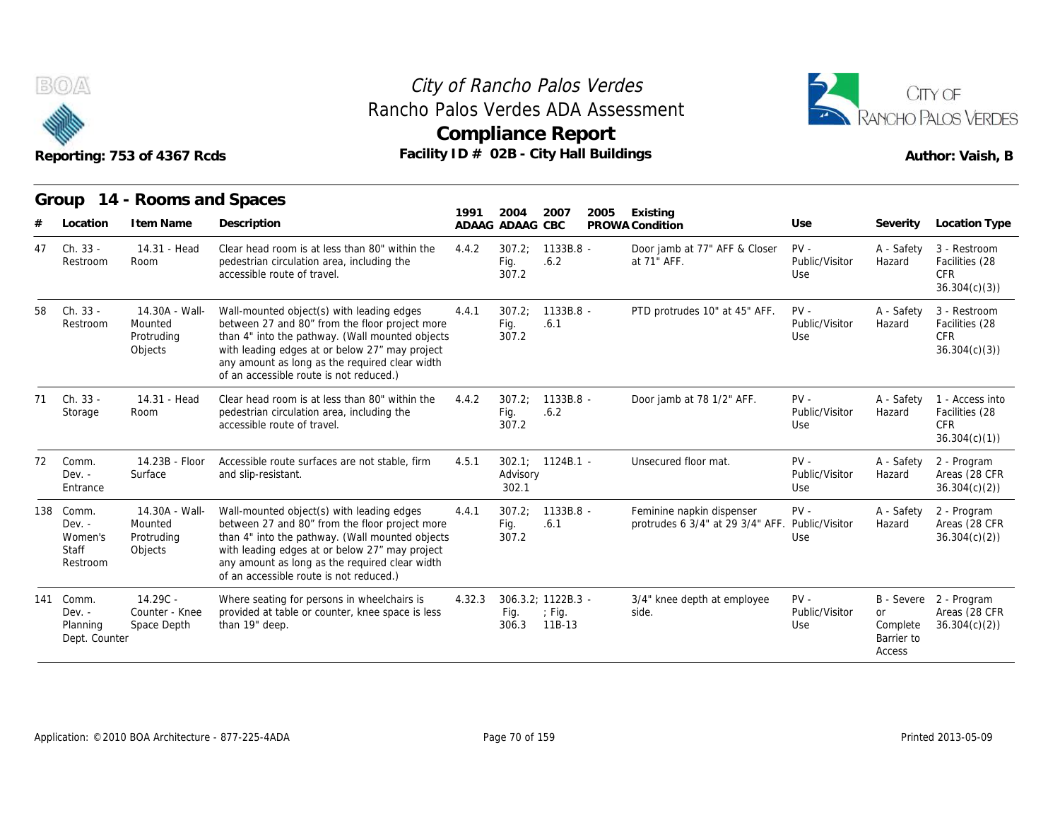



# Reporting: 753 of 4367 Rcds **Facility ID # 02B - City Hall Buildings** Reporting: 753 of 4367 Rcds Author: Vaish, B

|    | B(0)                                                  | Reporting: 753 of 4367 Rcds                        | Rancho Palos Verdes ADA Assessment                                                                                                                                                                                                                                                            |        |                         | City of Rancho Palos Verdes<br><b>Compliance Report</b><br>Facility ID $#$ 02B - City Hall Buildings |                                                               |                                 |                                               | CITY OF<br>RANCHO PALOS VERDES<br>Author: Vaish, B              |
|----|-------------------------------------------------------|----------------------------------------------------|-----------------------------------------------------------------------------------------------------------------------------------------------------------------------------------------------------------------------------------------------------------------------------------------------|--------|-------------------------|------------------------------------------------------------------------------------------------------|---------------------------------------------------------------|---------------------------------|-----------------------------------------------|-----------------------------------------------------------------|
|    | Group                                                 | 14 - Rooms and Spaces                              |                                                                                                                                                                                                                                                                                               |        |                         |                                                                                                      |                                                               |                                 |                                               |                                                                 |
|    | Location                                              | I tem Name                                         | Description                                                                                                                                                                                                                                                                                   | 1991   | 2004<br>ADAAG ADAAG CBC | 2007<br>2005                                                                                         | Existing<br>PROWA Condition                                   | Use                             | Severity                                      | <b>Location Type</b>                                            |
| 47 | Ch. 33 -<br>Restroom                                  | 14.31 - Head<br>Room                               | Clear head room is at less than 80" within the<br>pedestrian circulation area, including the<br>accessible route of travel.                                                                                                                                                                   | 4.4.2  | 307.2<br>Fig.<br>307.2  | 1133B.8 -<br>.6.2                                                                                    | Door jamb at 77" AFF & Closer<br>at 71" AFF.                  | $PV -$<br>Public/Visitor<br>Use | A - Safety<br>Hazard                          | 3 - Restroom<br>Facilities (28<br>CFR.<br>36.304(c)(3)          |
| 58 | Ch. 33 -<br>Restroom                                  | 14.30A - Wall-<br>Mounted<br>Protruding<br>Objects | Wall-mounted object(s) with leading edges<br>between 27 and 80" from the floor project more<br>than 4" into the pathway. (Wall mounted objects<br>with leading edges at or below 27" may project<br>any amount as long as the required clear width<br>of an accessible route is not reduced.) | 4.4.1  | 307.2:<br>Fig.<br>307.2 | $1133B.8 -$<br>.6.1                                                                                  | PTD protrudes 10" at 45" AFF.                                 | $PV -$<br>Public/Visitor<br>Use | A - Safety<br>Hazard                          | 3 - Restroom<br>Facilities (28<br><b>CFR</b><br>36.304(c)(3)    |
| 71 | Ch. 33 -<br>Storage                                   | 14.31 - Head<br>Room                               | Clear head room is at less than 80" within the<br>pedestrian circulation area, including the<br>accessible route of travel.                                                                                                                                                                   | 4.4.2  | 307.2<br>Fig.<br>307.2  | $1133B.8 -$<br>.6.2                                                                                  | Door jamb at 78 1/2" AFF.                                     | $PV -$<br>Public/Visitor<br>Use | A - Safety<br>Hazard                          | 1 - Access into<br>Facilities (28<br><b>CFR</b><br>36.304(c)(1) |
| 72 | Comm.<br>$Dev. -$<br>Entrance                         | 14.23B - Floor<br>Surface                          | Accessible route surfaces are not stable, firm<br>and slip-resistant.                                                                                                                                                                                                                         | 4.5.1  | Advisory<br>302.1       | $302.1: 1124B.1 -$                                                                                   | Unsecured floor mat.                                          | $PV -$<br>Public/Visitor<br>Use | A - Safety<br>Hazard                          | 2 - Program<br>Areas (28 CFR<br>36.304(c)(2)                    |
|    | 138 Comm.<br>$Dev. -$<br>Women's<br>Staff<br>Restroom | 14.30A - Wall-<br>Mounted<br>Protruding<br>Objects | Wall-mounted object(s) with leading edges<br>between 27 and 80" from the floor project more<br>than 4" into the pathway. (Wall mounted objects<br>with leading edges at or below 27" may project<br>any amount as long as the required clear width<br>of an accessible route is not reduced.) | 4.4.1  | 307.2;<br>Fig.<br>307.2 | 1133B.8 -<br>.6.1                                                                                    | Feminine napkin dispenser<br>protrudes 6 3/4" at 29 3/4" AFF. | $PV -$<br>Public/Visitor<br>Use | A - Safety<br>Hazard                          | 2 - Program<br>Areas (28 CFR<br>36.304(c)(2)                    |
|    | 141 Comm.<br>$Dev. -$<br>Planning<br>Dept. Counter    | 14.29C -<br>Counter - Knee<br>Space Depth          | Where seating for persons in wheelchairs is<br>provided at table or counter, knee space is less<br>than 19" deep.                                                                                                                                                                             | 4.32.3 | Fig.<br>306.3           | 306.3.2; 1122B.3 -<br>$\div$ Fig.<br>11B-13                                                          | 3/4" knee depth at employee<br>side.                          | $PV -$<br>Public/Visitor<br>Use | <b>or</b><br>Complete<br>Barrier to<br>Access | B - Severe 2 - Program<br>Areas (28 CFR<br>36.304(c)(2)         |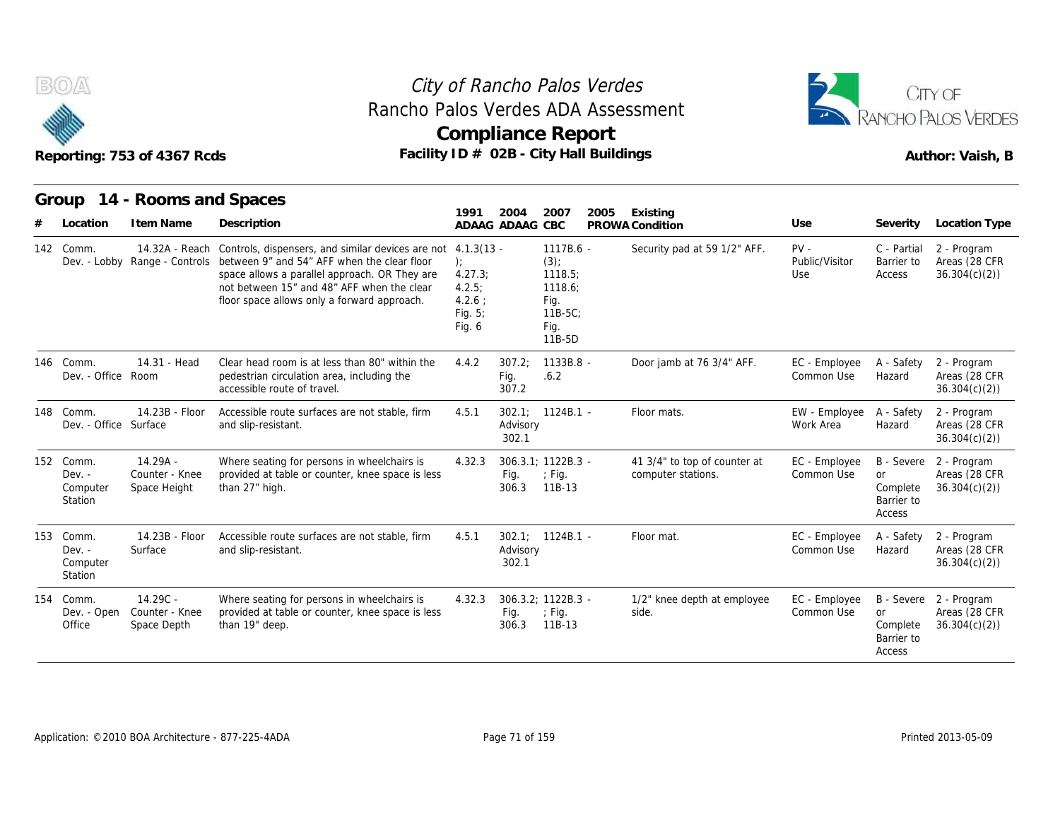



|     | Rancho Palos Verdes ADA Assessment<br>Facility ID # 02B - City Hall Buildings<br>Reporting: 753 of 4367 Rcds |                                              |                                                                                                                                                                                                                                                                                         |                                                            |                         | City of Rancho Palos Verdes<br><b>Compliance Report</b>                     |      |                                                    | CITY OF<br>RANCHO PALOS VERDES<br>Author: Vaish, B |                                                             |                                              |
|-----|--------------------------------------------------------------------------------------------------------------|----------------------------------------------|-----------------------------------------------------------------------------------------------------------------------------------------------------------------------------------------------------------------------------------------------------------------------------------------|------------------------------------------------------------|-------------------------|-----------------------------------------------------------------------------|------|----------------------------------------------------|----------------------------------------------------|-------------------------------------------------------------|----------------------------------------------|
|     | Group                                                                                                        | 14 - Rooms and Spaces                        |                                                                                                                                                                                                                                                                                         | 1991                                                       | 2004                    | 2007                                                                        | 2005 | Existing                                           |                                                    |                                                             |                                              |
|     | Location                                                                                                     | I tem Name                                   | Description                                                                                                                                                                                                                                                                             |                                                            | ADAAG ADAAG CBC         |                                                                             |      | PROWA Condition                                    | Use                                                | Severity                                                    | <b>Location Type</b>                         |
|     | 142 Comm.                                                                                                    | 14.32A - Reach                               | Controls, dispensers, and similar devices are not 4.1.3(13 -<br>Dev. - Lobby Range - Controls between 9" and 54" AFF when the clear floor<br>space allows a parallel approach. OR They are<br>not between 15" and 48" AFF when the clear<br>floor space allows only a forward approach. | $\cdot$<br>4.27.3;<br>4.2.5<br>4.2.6:<br>Fig. 5;<br>Fig. 6 |                         | 1117B.6 -<br>(3)<br>1118.5;<br>1118.6;<br>Fig.<br>11B-5C:<br>Fig.<br>11B-5D |      | Security pad at 59 1/2" AFF.                       | $PV -$<br>Public/Visitor<br>Use                    | C - Partial<br>Barrier to<br>Access                         | 2 - Program<br>Areas (28 CFR<br>36.304(c)(2) |
|     | 146 Comm.<br>Dev. - Office Room                                                                              | 14.31 - Head                                 | Clear head room is at less than 80" within the<br>pedestrian circulation area, including the<br>accessible route of travel.                                                                                                                                                             | 4.4.2                                                      | 307.2:<br>Fig.<br>307.2 | 1133B.8 -<br>.6.2                                                           |      | Door jamb at 76 3/4" AFF.                          | EC - Employee<br>Common Use                        | A - Safety<br>Hazard                                        | 2 - Program<br>Areas (28 CFR<br>36.304(c)(2) |
|     | 148 Comm.<br>Dev. - Office Surface                                                                           | 14.23B - Floor                               | Accessible route surfaces are not stable, firm<br>and slip-resistant.                                                                                                                                                                                                                   | 4.5.1                                                      | Advisory<br>302.1       | $302.1$ ; $1124B.1$ -                                                       |      | Floor mats.                                        | EW - Employee<br>Work Area                         | A - Safety<br>Hazard                                        | 2 - Program<br>Areas (28 CFR<br>36.304(c)(2) |
|     | 152 Comm.<br>$Dev. -$<br>Computer<br>Station                                                                 | $14.29A -$<br>Counter - Knee<br>Space Height | Where seating for persons in wheelchairs is<br>provided at table or counter, knee space is less<br>than 27" high.                                                                                                                                                                       | 4.32.3                                                     | Fig.<br>306.3           | 306.3.1: 1122B.3 -<br>$\div$ Fig.<br>11B-13                                 |      | 41 3/4" to top of counter at<br>computer stations. | EC - Employee<br>Common Use                        | <b>B</b> - Severe<br>or<br>Complete<br>Barrier to<br>Access | 2 - Program<br>Areas (28 CFR<br>36.304(c)(2) |
| 153 | Comm.<br>$Dev. -$<br>Computer<br>Station                                                                     | 14.23B - Floor<br>Surface                    | Accessible route surfaces are not stable, firm<br>and slip-resistant.                                                                                                                                                                                                                   | 4.5.1                                                      | Advisory<br>302.1       | $302.1: 1124B.1 -$                                                          |      | Floor mat.                                         | EC - Employee<br>Common Use                        | A - Safety<br>Hazard                                        | 2 - Program<br>Areas (28 CFR<br>36.304(c)(2) |
|     | 154 Comm.<br>Dev. - Open<br>Office                                                                           | $14.29C -$<br>Counter - Knee<br>Space Depth  | Where seating for persons in wheelchairs is<br>provided at table or counter, knee space is less<br>than 19" deep.                                                                                                                                                                       | 4.32.3                                                     | Fig.<br>306.3           | 306.3.2; 1122B.3 -<br>$\div$ Fig.<br>11B-13                                 |      | 1/2" knee depth at employee<br>side.               | EC - Employee<br>Common Use                        | B - Severe<br><b>or</b><br>Complete<br>Barrier to<br>Access | 2 - Program<br>Areas (28 CFR<br>36.304(c)(2) |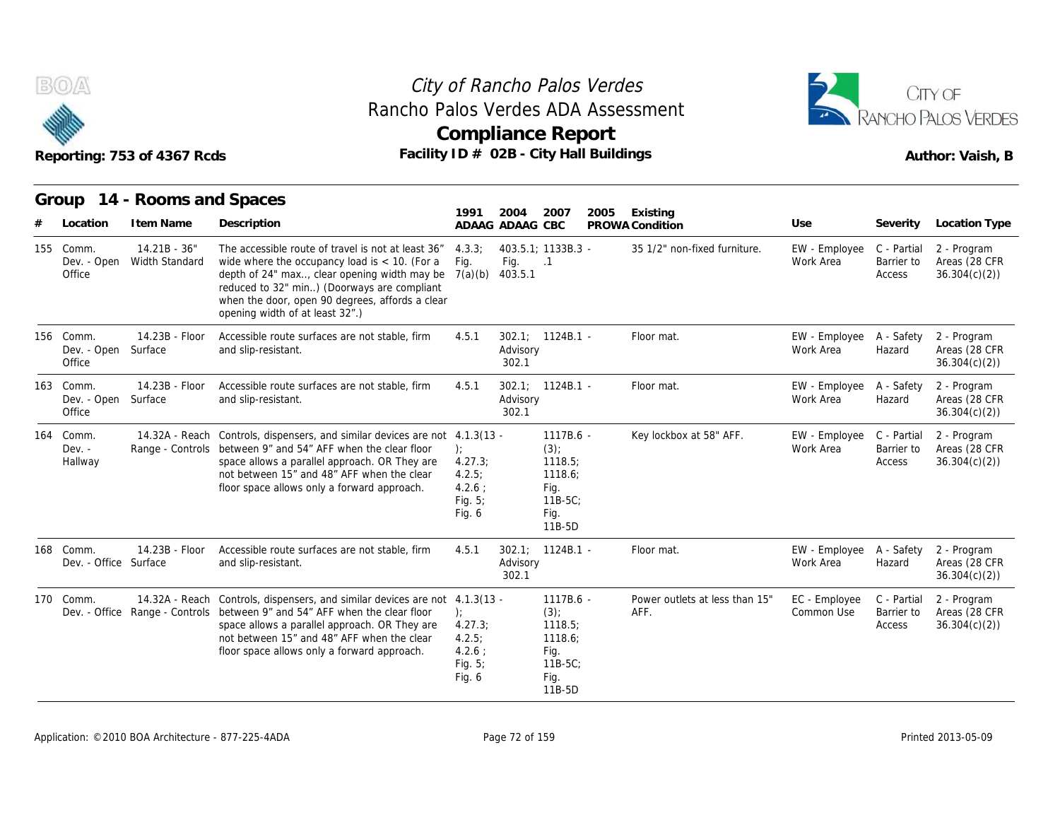



| Reporting: 753 of 4367 Rcds |                                            |                                     |                                                                                                                                                                                                                                                                                            |                                                                | <b>Compliance Report</b><br>Facility ID # 02B - City Hall Buildings |                                                                                  |      |                                        |                                        | Author: Vaish, B                    |                                              |  |  |
|-----------------------------|--------------------------------------------|-------------------------------------|--------------------------------------------------------------------------------------------------------------------------------------------------------------------------------------------------------------------------------------------------------------------------------------------|----------------------------------------------------------------|---------------------------------------------------------------------|----------------------------------------------------------------------------------|------|----------------------------------------|----------------------------------------|-------------------------------------|----------------------------------------------|--|--|
|                             | Group<br>Location                          | 14 - Rooms and Spaces<br>I tem Name | Description                                                                                                                                                                                                                                                                                | 1991                                                           | 2004<br>ADAAG ADAAG CBC                                             | 2007                                                                             | 2005 | Existing<br>PROWA Condition            | Use                                    | Severity                            | Location Type                                |  |  |
|                             | 155 Comm.<br>Dev. - Open<br>Office         | $14.21B - 36"$<br>Width Standard    | The accessible route of travel is not at least 36"<br>wide where the occupancy load is $<$ 10. (For a<br>depth of 24" max, clear opening width may be<br>reduced to 32" min) (Doorways are compliant<br>when the door, open 90 degrees, affords a clear<br>opening width of at least 32".) | 4.3.3:<br>Fig.<br>7(a)(b)                                      | Fig.<br>403.5.1                                                     | 403.5.1; 1133B.3 -<br>$\cdot$ 1                                                  |      | 35 1/2" non-fixed furniture.           | EW - Employee C - Partial<br>Work Area | Barrier to<br>Access                | 2 - Program<br>Areas (28 CFR<br>36.304(c)(2) |  |  |
|                             | 156 Comm.<br>Dev. - Open Surface<br>Office | 14.23B - Floor                      | Accessible route surfaces are not stable, firm<br>and slip-resistant.                                                                                                                                                                                                                      | 4.5.1                                                          | Advisory<br>302.1                                                   | $302.1$ ; $1124B.1$ -                                                            |      | Floor mat.                             | EW - Employee A - Safety<br>Work Area  | Hazard                              | 2 - Program<br>Areas (28 CFR<br>36.304(c)(2) |  |  |
|                             | 163 Comm.<br>Dev. - Open<br>Office         | 14.23B - Floor<br>Surface           | Accessible route surfaces are not stable, firm<br>and slip-resistant.                                                                                                                                                                                                                      | 4.5.1                                                          | Advisory<br>302.1                                                   | $302.1: 1124B.1 -$                                                               |      | Floor mat.                             | EW - Employee A - Safety<br>Work Area  | Hazard                              | 2 - Program<br>Areas (28 CFR<br>36.304(c)(2) |  |  |
| 164                         | Comm.<br>$Dev. -$<br>Hallway               | 14.32A - Reach                      | Controls, dispensers, and similar devices are not 4.1.3(13 -<br>Range - Controls between 9" and 54" AFF when the clear floor<br>space allows a parallel approach. OR They are<br>not between 15" and 48" AFF when the clear<br>floor space allows only a forward approach.                 | ):<br>4.27.3;<br>4.2.5:<br>$4.2.6$ :<br>Fig. $5$ ;<br>Fig. 6   |                                                                     | 1117B.6 -<br>(3)<br>1118.5:<br>1118.6:<br>Fig.<br>$11B-5C$ :<br>Fig.<br>11B-5D   |      | Key lockbox at 58" AFF.                | EW - Employee<br>Work Area             | C - Partial<br>Barrier to<br>Access | 2 - Program<br>Areas (28 CFR<br>36.304(c)(2) |  |  |
|                             | 168 Comm.<br>Dev. - Office Surface         | 14.23B - Floor                      | Accessible route surfaces are not stable, firm<br>and slip-resistant.                                                                                                                                                                                                                      | 4.5.1                                                          | Advisory<br>302.1                                                   | $302.1$ ; $1124B.1$ -                                                            |      | Floor mat.                             | EW - Employee A - Safety<br>Work Area  | Hazard                              | 2 - Program<br>Areas (28 CFR<br>36.304(c)(2) |  |  |
|                             | 170 Comm.                                  | Dev. - Office Range - Controls      | 14.32A - Reach Controls, dispensers, and similar devices are not 4.1.3(13 -<br>between 9" and 54" AFF when the clear floor<br>space allows a parallel approach. OR They are<br>not between 15" and 48" AFF when the clear<br>floor space allows only a forward approach.                   | $\cdot$<br>4.27.3;<br>4.2.5:<br>$4.2.6$ ;<br>Fig. 5;<br>Fig. 6 |                                                                     | 1117B.6 -<br>$(3)$ ;<br>1118.5:<br>1118.6;<br>Fig.<br>$11B-5C$<br>Fig.<br>11B-5D |      | Power outlets at less than 15"<br>AFF. | EC - Employee<br>Common Use            | C - Partial<br>Barrier to<br>Access | 2 - Program<br>Areas (28 CFR<br>36.304(c)(2) |  |  |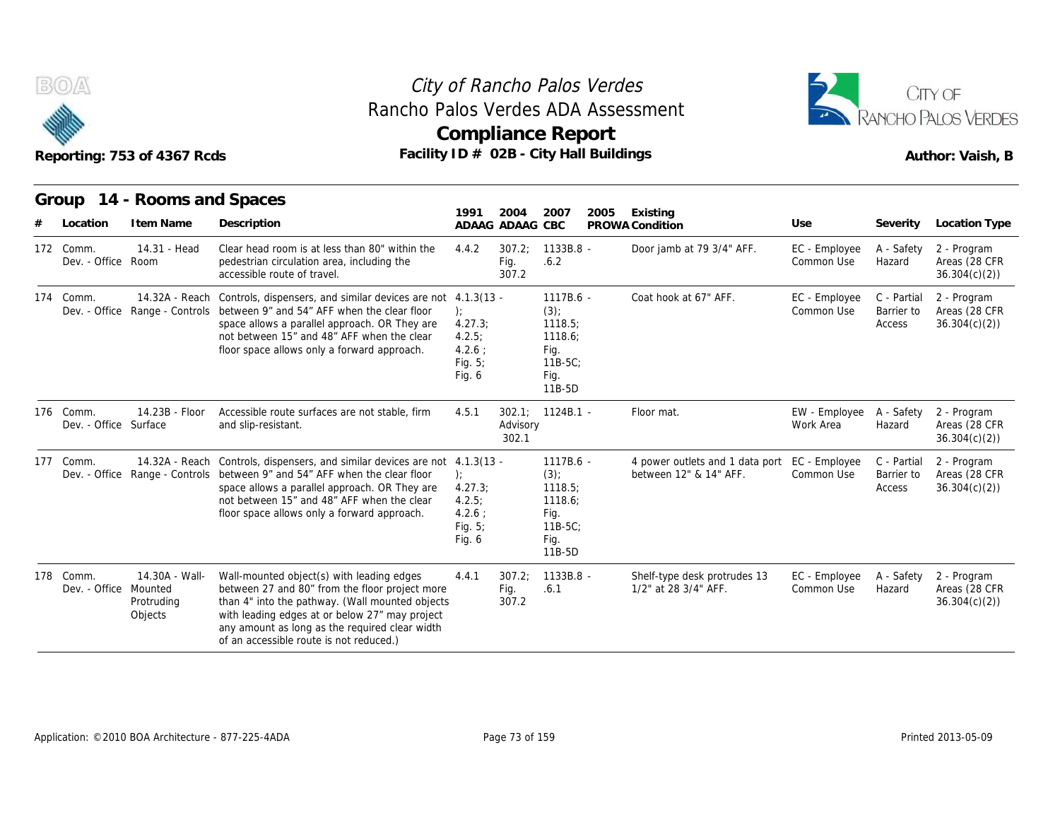



|                                             | Reporting: 753 of 4367 Rcds                        | Rancho Palos Verdes ADA Assessment<br>Facility $ID \# O2B - City Hall Buildings$                                                                                                                                                                                                                        |                                                                | <b>Compliance Report</b>                   |                                                                                  |      |                                                           | <b>RANCHO PALOS VERDES</b><br>Author: Vaish, B |                                     |                                                               |  |
|---------------------------------------------|----------------------------------------------------|---------------------------------------------------------------------------------------------------------------------------------------------------------------------------------------------------------------------------------------------------------------------------------------------------------|----------------------------------------------------------------|--------------------------------------------|----------------------------------------------------------------------------------|------|-----------------------------------------------------------|------------------------------------------------|-------------------------------------|---------------------------------------------------------------|--|
| Group                                       | 14 - Rooms and Spaces                              |                                                                                                                                                                                                                                                                                                         | 1991                                                           | 2004                                       | 2007                                                                             | 2005 | Existing                                                  |                                                |                                     |                                                               |  |
| Location<br>172 Comm.<br>Dev. - Office Room | I tem Name<br>14.31 - Head                         | Description<br>Clear head room is at less than 80" within the<br>pedestrian circulation area, including the<br>accessible route of travel.                                                                                                                                                              | 4.4.2                                                          | ADAAG ADAAG CBC<br>307.2;<br>Fig.<br>307.2 | $1133B.8 -$<br>.6.2                                                              |      | PROWA Condition<br>Door jamb at 79 3/4" AFF.              | Use<br>EC - Employee<br>Common Use             | Severity<br>A - Safety<br>Hazard    | Location Type<br>2 - Program<br>Areas (28 CFR<br>36.304(c)(2) |  |
| 174 Comm.                                   |                                                    | 14.32A - Reach Controls, dispensers, and similar devices are not 4.1.3(13 -<br>Dev. - Office Range - Controls between 9" and 54" AFF when the clear floor<br>space allows a parallel approach. OR They are<br>not between 15" and 48" AFF when the clear<br>floor space allows only a forward approach. | $\cdot$<br>4.27.3;<br>4.2.5:<br>4.2.6:<br>Fig. 5;<br>Fig. 6    |                                            | 1117B.6 -<br>(3)<br>1118.5;<br>1118.6;<br>Fig.<br>$11B-5C$<br>Fig.<br>11B-5D     |      | Coat hook at 67" AFF.                                     | EC - Employee<br>Common Use                    | C - Partial<br>Barrier to<br>Access | 2 - Program<br>Areas (28 CFR<br>36.304(c)(2)                  |  |
| 176 Comm.<br>Dev. - Office Surface          | 14.23B - Floor                                     | Accessible route surfaces are not stable, firm<br>and slip-resistant.                                                                                                                                                                                                                                   | 4.5.1                                                          | Advisory<br>302.1                          | $302.1$ ; $1124B.1$ -                                                            |      | Floor mat.                                                | EW - Employee<br>Work Area                     | A - Safety<br>Hazard                | 2 - Program<br>Areas (28 CFR<br>36.304(c)(2)                  |  |
| 177 Comm.                                   | 14.32A - Reach<br>Dev. - Office Range - Controls   | Controls, dispensers, and similar devices are not 4.1.3(13 -<br>between 9" and 54" AFF when the clear floor<br>space allows a parallel approach. OR They are<br>not between 15" and 48" AFF when the clear<br>floor space allows only a forward approach.                                               | $\cdot$<br>4.27.3;<br>4.2.5:<br>$4.2.6$ :<br>Fig. 5;<br>Fig. 6 |                                            | 1117B.6 -<br>$(3)$ ;<br>1118.5;<br>1118.6:<br>Fig.<br>$11B-5C$<br>Fig.<br>11B-5D |      | 4 power outlets and 1 data port<br>between 12" & 14" AFF. | EC - Employee<br>Common Use                    | C - Partial<br>Barrier to<br>Access | 2 - Program<br>Areas (28 CFR<br>36.304(c)(2)                  |  |
| 178 Comm.<br>Dev. - Office                  | 14.30A - Wall-<br>Mounted<br>Protruding<br>Objects | Wall-mounted object(s) with leading edges<br>between 27 and 80" from the floor project more<br>than 4" into the pathway. (Wall mounted objects<br>with leading edges at or below 27" may project<br>any amount as long as the required clear width<br>of an accessible route is not reduced.)           | 4.4.1                                                          | 307.2;<br>Fig.<br>307.2                    | 1133B.8 -<br>.6.1                                                                |      | Shelf-type desk protrudes 13<br>1/2" at 28 3/4" AFF.      | EC - Employee<br>Common Use                    | A - Safety<br>Hazard                | 2 - Program<br>Areas (28 CFR<br>36.304(c)(2)                  |  |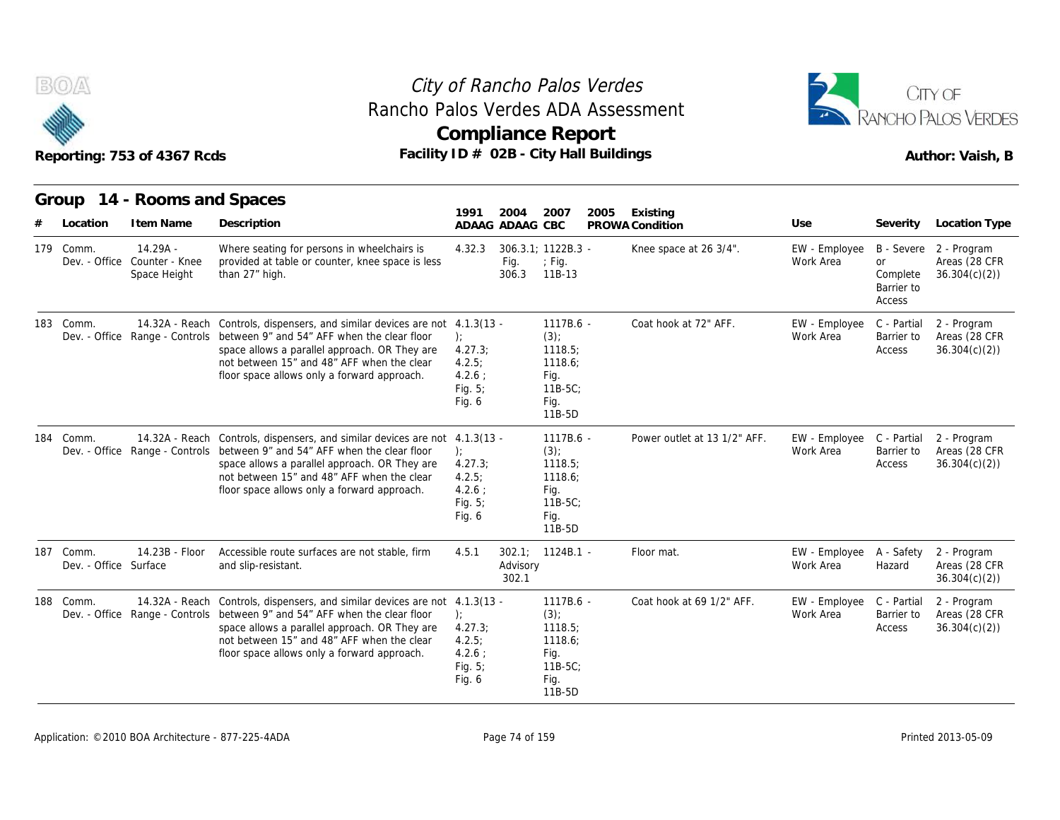



|     |                                    | Reporting: 753 of 4367 Rcds                  | Facility ID # 02B - City Hall Buildings                                                                                                                                                                                                                                                                 |                                                               |                         | <b>Compliance Report</b>                                                         |      |                              |                                        |                                               | Author: Vaish, B                                        |
|-----|------------------------------------|----------------------------------------------|---------------------------------------------------------------------------------------------------------------------------------------------------------------------------------------------------------------------------------------------------------------------------------------------------------|---------------------------------------------------------------|-------------------------|----------------------------------------------------------------------------------|------|------------------------------|----------------------------------------|-----------------------------------------------|---------------------------------------------------------|
|     | Location                           | Group 14 - Rooms and Spaces<br>I tem Name    | Description                                                                                                                                                                                                                                                                                             | 1991                                                          | 2004<br>ADAAG ADAAG CBC | 2007                                                                             | 2005 | Existing<br>PROWA Condition  | Use                                    | Severity                                      | Location Type                                           |
|     | 179 Comm.<br>Dev. - Office         | $14.29A -$<br>Counter - Knee<br>Space Height | Where seating for persons in wheelchairs is<br>provided at table or counter, knee space is less<br>than 27" high.                                                                                                                                                                                       | 4.32.3                                                        | Fig.<br>306.3           | 306.3.1; 1122B.3 -<br>$;$ Fig.<br>11B-13                                         |      | Knee space at 26 3/4".       | EW - Employee<br>Work Area             | <b>or</b><br>Complete<br>Barrier to<br>Access | B - Severe 2 - Program<br>Areas (28 CFR<br>36.304(c)(2) |
|     | 183 Comm.                          | Dev. - Office Range - Controls               | 14.32A - Reach Controls, dispensers, and similar devices are not 4.1.3(13 -<br>between 9" and 54" AFF when the clear floor<br>space allows a parallel approach. OR They are<br>not between 15" and 48" AFF when the clear<br>floor space allows only a forward approach.                                | 4.27.3;<br>4.2.5:<br>$4.2.6$ :<br>Fig. 5;<br>Fig. 6           |                         | 1117B.6 -<br>$(3)$ ;<br>1118.5;<br>1118.6;<br>Fig.<br>$11B-5C$<br>Fig.<br>11B-5D |      | Coat hook at 72" AFF.        | EW - Employee<br>Work Area             | C - Partial<br>Barrier to<br>Access           | 2 - Program<br>Areas (28 CFR<br>36.304(c)(2)            |
| 184 | Comm.                              |                                              | 14.32A - Reach Controls, dispensers, and similar devices are not 4.1.3(13 -<br>Dev. - Office Range - Controls between 9" and 54" AFF when the clear floor<br>space allows a parallel approach. OR They are<br>not between 15" and 48" AFF when the clear<br>floor space allows only a forward approach. | $\cdot$<br>4.27.3<br>4.2.5:<br>$4.2.6$ :<br>Fig. 5;<br>Fig. 6 |                         | 1117B.6 -<br>$(3)$ ;<br>1118.5:<br>1118.6:<br>Fig.<br>11B-5C;<br>Fig.<br>11B-5D  |      | Power outlet at 13 1/2" AFF. | EW - Employee C - Partial<br>Work Area | Barrier to<br>Access                          | 2 - Program<br>Areas (28 CFR<br>36.304(c)(2)            |
|     | 187 Comm.<br>Dev. - Office Surface | 14.23B - Floor                               | Accessible route surfaces are not stable, firm<br>and slip-resistant.                                                                                                                                                                                                                                   | 4.5.1                                                         | Advisory<br>302.1       | $302.1$ ; $1124B.1$ -                                                            |      | Floor mat.                   | EW - Employee<br>Work Area             | A - Safety<br>Hazard                          | 2 - Program<br>Areas (28 CFR<br>36.304(c)(2)            |
|     | 188 Comm.                          |                                              | 14.32A - Reach Controls, dispensers, and similar devices are not 4.1.3(13 -<br>Dev. - Office Range - Controls between 9" and 54" AFF when the clear floor<br>space allows a parallel approach. OR They are<br>not between 15" and 48" AFF when the clear<br>floor space allows only a forward approach. | $\cdot$<br>4.27.3<br>4.2.5:<br>$4.2.6$ :<br>Fig. 5;<br>Fig. 6 |                         | 1117B.6 -<br>$(3)$ ;<br>1118.5;<br>1118.6;<br>Fig.<br>$11B-5C$<br>Fig.<br>11B-5D |      | Coat hook at 69 1/2" AFF.    | EW - Employee C - Partial<br>Work Area | Barrier to<br>Access                          | 2 - Program<br>Areas (28 CFR<br>36.304(c)(2)            |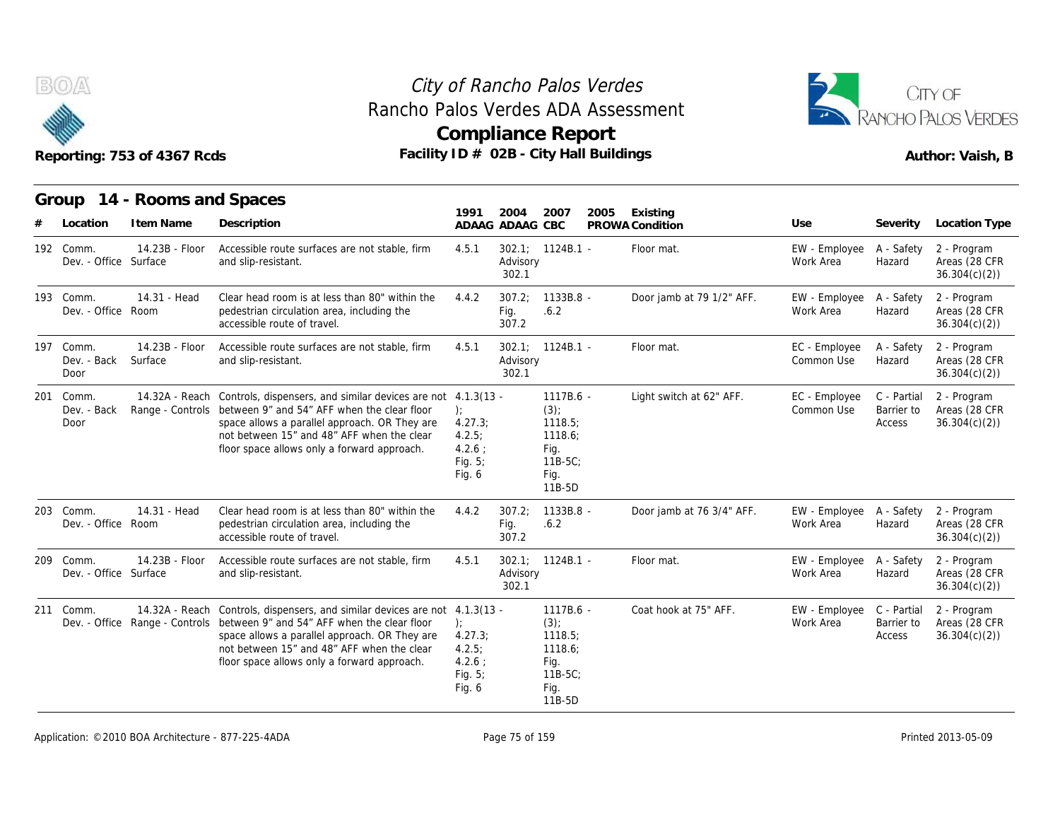



## Reporting: 753 of 4367 Rcds **Facility ID # 02B - City Hall Buildings** Reporting: 753 of 4367 Rcds Author: Vaish, B

**Group 14 - Rooms and Spaces Item Name State Search Control Control Control Control Control Control Control Control Control Control Control Control Control Control Control Control Control Control Control Control Control Control Control Control Contro 1991 ADAAG 2004 ADAAG CBC PROWA 2007 2005 Existing # Location Condition Use Severity Location Type** 14.23B - Floor Surface and slip-resistant. Accessible route surfaces are not stable, firm 4.5.1 of *Rancho Palos V*<br>
los Verdes ADA A<br>
pmpliance Repo<br>
D # 02B - City Hall B<br>
ADAAG ADAAG CBC PP<br>
ADAAG ADAAG CBC PP<br>
4.5.1 302.1; 1124B.1 - Advisory<br>
302.1 Advisory 302.1 **1124B.1 - Floor mat.**<br> **1124B.1 - Floor mat.**<br> **1124B.1 - Floor mat.**<br> **1124B.1 - Floor mat.**<br> **1124B.1 - Floor mat.**<br> **1124B.1 - Floor mat.**<br> **1124B.1 - Floor mat.**<br> **1124B.1 - Floor mat.**<br> **1124B.1 - Floor mat.**<br> **1124B** Work Area Hazard A - Safety 2 - Program Hazard Areas (28 CFR 36.304(c)(2)) Dev. - Office Surface 14.31 - Head Room pedestrian circulation area, including the Clear head room is at less than 80" within the  $4.4.2$  307.2; 1133B.8 accessible route of travel. 9 1991 2004 2007 2007<br>
4.5.1 2004 2007 2007<br>
4.5.1 302.1; 1124B.1<br>
4.4.2 307.2; 1133B.8<br>
516.2 307.2<br>
4.4.2 307.2; 1133B.8<br>
516.2 307.2 Fig. .6.2 307.2 Door jamb at 79 1/2" AFF. OT<br>
Buildings<br>
2005 Existing<br>
PROWA Condition<br>
- Floor mat.<br>
EW - Employee A - Safety<br>
Work Area<br>
- Door jamb at 79 1/2" AFF. EW - Employee A - Safety<br>
Work Area<br>
- Work Area<br>
- Work Area<br>
- Work Area<br>
- Mazard Work Area Hazard A - Safety 2 - Program Hazard Areas (28 CFR 36.304(c)(2)) Reporting: 753 of 4<br>
Group 14 - Roc<br>
# Location Item I<br>
192 Comm. 14.23<br>
Dev. - Office Surface<br>
193 Comm. 14.31<br>
Dev. - Office Room Dev. - Office Room 14.23B - Floor Surface and slip-resistant. Accessible route surfaces are not stable, firm  $4.5.1$  302.1; 1124B.1 -1991 2004 2007 20<br>
ADAAG ADAAG CBC PP<br>
4.5.1 302.1; 1124B.1<br>
Advisory<br>
302.1<br>
4.4.2 307.2; 1133B.8<br>
Fig. .6.2<br>
307.2<br>
4.5.1 302.1; 1124B.1<br>
Advisory<br>
302.1<br>
302.1; 1124B.1<br>
Advisory<br>
302.1 Advisory 302.1 2007 2005 Existing<br>
CBC PROWACondition Use Severity<br>
1124B.1 - Floor mat. EW - Employee A - Safety<br>
Work Area Hazard<br>
1133B.8 - Door jamb at 79 1/2" AFF. EW - Employee A - Safety<br>
1124B.1 - Floor mat. EC - Employee A - Saf Common Use A - Safety 2 - Program Hazard Areas (28 CFR 36.304(c)(2)) Group 14 - Roc<br>
# Location Item I<br>
192 Comm. 14.23<br>
Dev. - Office Surface<br>
193 Comm. 14.31<br>
Dev. - Office Room<br>
197 Comm. 14.23<br>
Dev. - Back Surface<br>
Door Dev. - Back Surface Door 14.32A - Reach Controls, dispensers, and similar devices are not 4.1.3(13 Dev. - Back Range - Controls between 9" and 54" AFF when the clear floor ); space allows a parallel approach. OR They are not between 15" and 48" AFF when the clear floor space allows only a forward approach. ); the contract of  $\mathbf{r}$ 4.27.3; 4.2.5; 4.2.6 ; Fig. 5; Fig. 6 ADAAG CBC PROWA Condition<br>
302.1; 1124B.1 - Floor mat.<br>
Advisory<br>
302.1<br>
307.2; 1133B.8 - Door jamb at<br>
Fig. .6.2<br>
307.2<br>
302.1; 1124B.1 - Floor mat.<br>
Advisory<br>
302.1<br>
- 1117B.6 - Light switch a<br>
(3);<br>
1118.5;<br>
1118.6 (3); 1118.5; 1118.6; Fig. 11B-5C; Fig. 11B-5D EXECTIVE<br>
Floor mat.<br>
EW - Employee A - Safety<br>
Work Area Hazard<br>
Door jamb at 79 1/2" AFF.<br>
EW - Employee A - Safety<br>
Work Area Hazard<br>
Hazard<br>
- Floor mat.<br>
EC - Employee A - Safety<br>
Common Use Hazard<br>
- Light switch at Common Use Barrier to C - Partial 2 - Program Barrier to Areas (28 CFR Access 36.304(c)(2)) 4 Location Term<br>
192 Comm. 14.23<br>
Dev. - Office Surface<br>
193 Comm. 14.31<br>
Dev. - Office Room<br>
197 Comm. 14.23<br>
Dev. - Back Surface<br>
Door<br>
201 Comm. 14.32<br>
Dev. - Back Range<br>
Door Door 14.31 - Head Room pedestrian circulation area, including the Clear head room is at less than 80" within the  $4.4.2$  307.2: 1133B.8 accessible route of travel. 4.5.1 302.1; 1124B.1<br>
Advisory<br>
302.1<br>
4.1.3(13 - 1117B.6 -<br>
3.3): 1118.5;<br>
4.27.3; 1118.5;<br>
4.2.5; 1118.6;<br>
4.2.6 ; Fig. 11B-5C;<br>
Fig. 6 Fig. 11B-5D<br>
4.4.2 307.2; 1133B.8 -<br>
Fig. 6.2<br>
307.2 Fig. .6.2 307.2 Door jamb at 76 3/4" AFF. - Floor mat. EC - Employee A - Safety<br>
Common Use Hazard<br>
- Light switch at 62" AFF. EC - Employee C - Partial<br>
Common Use Barrier to<br>
Access<br>
- Door jamb at 76 3/4" AFF. EW - Employee A - Safety<br>
Work Area Hazard Work Area Hazard A - Safety 2 - Program Hazard Areas (28 CFR 36.304(c)(2)) 197 Comm. 14.23<br>
Dev. - Back Surface<br>
Door<br>
201 Comm. 14.32<br>
Dev. - Back Range<br>
Door<br>
203 Comm. 14.31<br>
Dev. - Office Room Dev. - Office 14.23B - Floor Surface and slip-resistant. Accessible route surfaces are not stable, firm 4.5.1 302.1; 1124B.1 -4.1.3(13 - 1117B.6 -<br>
(3): (3): (3):<br>
4.27.3; 1118.5;<br>
4.2.6; 1118.6;<br>
Fig. 5; 1118-5C;<br>
Fig. 6 Fig. 11B-5D<br>
4.4.2 307.2; 1133B.8 -<br>
Fig. 6.2 307.2<br>
4.5.1 302.1; 1124B.1 -<br>
Advisory<br>
302.1 Advisory 302.1 1117B.6 - Light switch at 62" AFF. EC - Employee C - Partial<br>
1118.5; Common Use Barrier to<br>
1118.6; Access<br>
1118.6; Access<br>
1118.5C;<br>
1118-5C;<br>
1118-5C;<br>
1118-5C;<br>
1133B.8 - Door jamb at 76 3/4" AFF. EW - Employee A - Saf Work Area Hazard A - Safety 2 - Program Hazard Areas (28 CFR 36.304(c)(2)) 201 Comm. 14.32<br>
Dev. - Back Range<br>
Door<br>
203 Comm. 14.31<br>
Dev. - Office Room<br>
209 Comm. 14.23<br>
Dev. - Office Surface Dev. - Office Surface 14.32A - Reach Controls, dispensers, and similar devices are not 4.1.3(13 Dev. - Office Range - Controls between 9" and 54" AFF when the clear floor ); space allows a parallel approach. OR They are not between 15" and 48" AFF when the clear floor space allows only a forward approach. ); the contract of  $\mathbf{r}$ 4.27.3; 4.2.5; 4.2.6 ; Fig. 5; Fig. 6 Fig.<br>
Fig.<br>
11B-5C;<br>
Fig.<br>
11B-5D<br>
307.2;<br>
1133B.8 Door jamb at<br>
Fig. .6.2<br>
302.1;<br>
1124B.1 Floor mat.<br>
Advisory<br>
302.1<br>
1117B.6 Coat hook at<br>
(3);<br>
1117B.6 Coat hook at<br>
(3);<br>
1118.5;<br>
1118.5;<br>
1118.6;  $(3)$ ; 1118.5; 1118.6; Fig. 11B-5C; Fig. 11B-5D - Door jamb at 76 3/4" AFF. EW - Employee A - Safety<br>Work Area Hazard<br>- Floor mat. EW - Employee A - Safety<br>Work Area Hazard<br>- Coat hook at 75" AFF. EW - Employee C - Partial<br>Work Area Barrier to<br>Access Work Area Barrier to C - Partial 2 - Program Barrier to Areas (28 CFR Access 36.304(c)(2)) 203 Comm. 14.31<br>
Dev. - Office Room<br>
209 Comm. 14.23<br>
Dev. - Office Surface<br>
211 Comm. 14.32<br>
Dev. - Office Range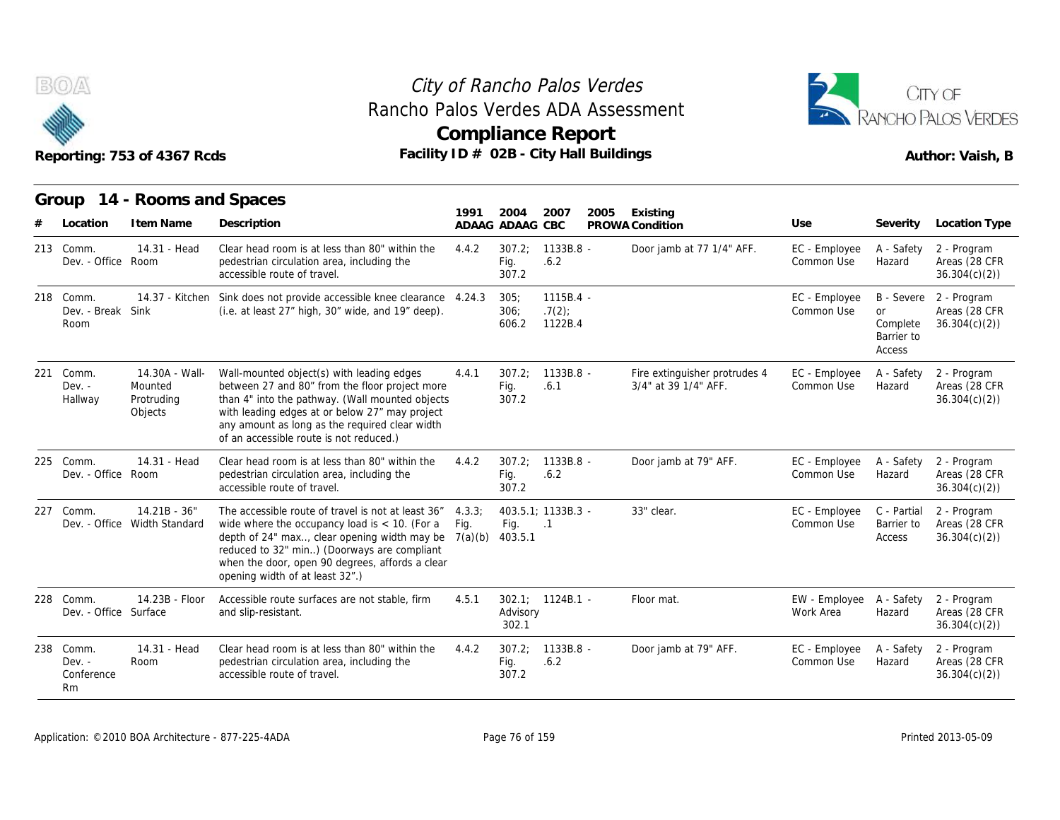

# Rancho Palos Verdes ADA Assessment



|                                           | Reporting: 753 of 4367 Rcds                        | Facility ID # 02B - City Hall Buildings                                                                                                                                                                                                                                                       |                           | <b>Compliance Report</b> |                                  |      |                                                       |                             |                                                             | Author: Vaish, B                             |
|-------------------------------------------|----------------------------------------------------|-----------------------------------------------------------------------------------------------------------------------------------------------------------------------------------------------------------------------------------------------------------------------------------------------|---------------------------|--------------------------|----------------------------------|------|-------------------------------------------------------|-----------------------------|-------------------------------------------------------------|----------------------------------------------|
| Group<br>Location                         | 14 - Rooms and Spaces<br>I tem Name                | Description                                                                                                                                                                                                                                                                                   | 1991                      | 2004<br>ADAAG ADAAG CBC  | 2007                             | 2005 | Existing<br>PROWA Condition                           | Use                         | Severity                                                    | Location Type                                |
| 213 Comm.<br>Dev. - Office Room           | 14.31 - Head                                       | Clear head room is at less than 80" within the<br>pedestrian circulation area, including the<br>accessible route of travel.                                                                                                                                                                   | 4.4.2                     | 307.2:<br>Fig.<br>307.2  | $1133B.8 -$<br>.6.2              |      | Door jamb at 77 1/4" AFF.                             | EC - Employee<br>Common Use | A - Safety<br>Hazard                                        | 2 - Program<br>Areas (28 CFR<br>36.304(c)(2) |
| 218 Comm.<br>Dev. - Break Sink<br>Room    | 14.37 - Kitchen                                    | Sink does not provide accessible knee clearance 4.24.3<br>(i.e. at least 27" high, 30" wide, and 19" deep).                                                                                                                                                                                   |                           | 305:<br>306:<br>606.2    | $1115B.4 -$<br>.7(2)<br>1122B.4  |      |                                                       | EC - Employee<br>Common Use | B - Severe<br><b>or</b><br>Complete<br>Barrier to<br>Access | 2 - Program<br>Areas (28 CFR<br>36.304(c)(2) |
| 221 Comm.<br>$Dev. -$<br>Hallway          | 14.30A - Wall-<br>Mounted<br>Protruding<br>Objects | Wall-mounted object(s) with leading edges<br>between 27 and 80" from the floor project more<br>than 4" into the pathway. (Wall mounted objects<br>with leading edges at or below 27" may project<br>any amount as long as the required clear width<br>of an accessible route is not reduced.) | 4.4.1                     | 307.2:<br>Fig.<br>307.2  | $1133B.8 -$<br>.6.1              |      | Fire extinguisher protrudes 4<br>3/4" at 39 1/4" AFF. | EC - Employee<br>Common Use | A - Safety<br>Hazard                                        | 2 - Program<br>Areas (28 CFR<br>36.304(c)(2) |
| 225 Comm.<br>Dev. - Office Room           | 14.31 - Head                                       | Clear head room is at less than 80" within the<br>pedestrian circulation area, including the<br>accessible route of travel.                                                                                                                                                                   | 4.4.2                     | 307.2:<br>Fig.<br>307.2  | 1133B.8 -<br>.6.2                |      | Door jamb at 79" AFF.                                 | EC - Employee<br>Common Use | A - Safety<br>Hazard                                        | 2 - Program<br>Areas (28 CFR<br>36.304(c)(2) |
| 227 Comm.                                 | $14.21B - 36"$<br>Dev. - Office Width Standard     | The accessible route of travel is not at least 36"<br>wide where the occupancy load is $<$ 10. (For a<br>depth of 24" max, clear opening width may be<br>reduced to 32" min) (Doorways are compliant<br>when the door, open 90 degrees, affords a clear<br>opening width of at least 32".)    | 4.3.3:<br>Fig.<br>7(a)(b) | Fig.<br>403.5.1          | 403.5.1; 1133B.3 -<br>$\cdot$ .1 |      | 33" clear.                                            | EC - Employee<br>Common Use | C - Partial<br>Barrier to<br>Access                         | 2 - Program<br>Areas (28 CFR<br>36.304(c)(2) |
| 228 Comm.<br>Dev. - Office Surface        | 14.23B - Floor                                     | Accessible route surfaces are not stable, firm<br>and slip-resistant.                                                                                                                                                                                                                         | 4.5.1                     | Advisory<br>302.1        | $302.1$ ; $1124B.1$ -            |      | Floor mat.                                            | EW - Employee<br>Work Area  | A - Safety<br>Hazard                                        | 2 - Program<br>Areas (28 CFR<br>36.304(c)(2) |
| 238 Comm.<br>$Dev. -$<br>Conference<br>Rm | 14.31 - Head<br>Room                               | Clear head room is at less than 80" within the<br>pedestrian circulation area, including the<br>accessible route of travel.                                                                                                                                                                   | 4.4.2                     | 307.2;<br>Fig.<br>307.2  | $1133B.8 -$<br>.6.2              |      | Door jamb at 79" AFF.                                 | EC - Employee<br>Common Use | A - Safety<br>Hazard                                        | 2 - Program<br>Areas (28 CFR<br>36.304(c)(2) |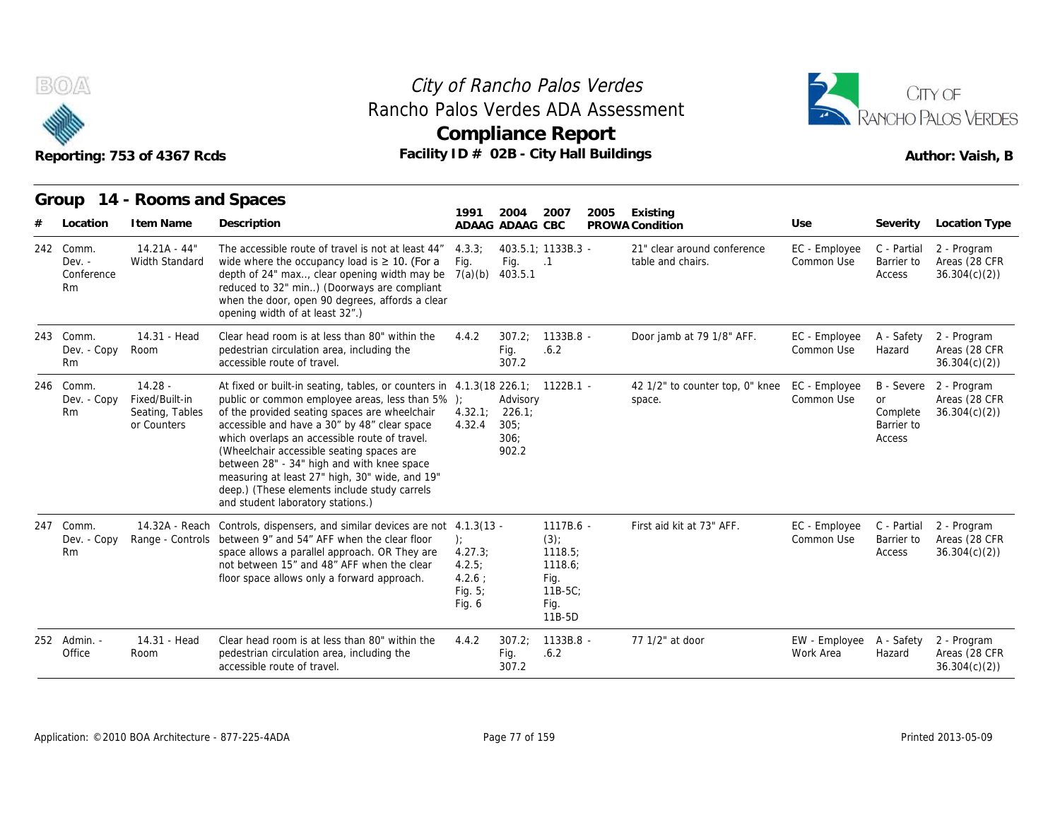

#### Reporting: 753 of 4367 Rcds **Facility ID # 02B - City Hall Buildings** Reporting: 753 of 4367 Rcds Author: Vaish, B City of Rancho Palos Verdes **Compliance Report** Rancho Palos Verdes ADA Assessment



|     |                                           | Reporting: 753 of 4367 Rcds                                   | Facility ID # 02B - City Hall Buildings                                                                                                                                                                                                                                                                                                                                                                                                                                                                               |                                                                   | <b>Compliance Report</b>                   |                                                                                  |      |                                                  |                             |                                               | Author: Vaish, B                                        |
|-----|-------------------------------------------|---------------------------------------------------------------|-----------------------------------------------------------------------------------------------------------------------------------------------------------------------------------------------------------------------------------------------------------------------------------------------------------------------------------------------------------------------------------------------------------------------------------------------------------------------------------------------------------------------|-------------------------------------------------------------------|--------------------------------------------|----------------------------------------------------------------------------------|------|--------------------------------------------------|-----------------------------|-----------------------------------------------|---------------------------------------------------------|
|     |                                           | Group 14 - Rooms and Spaces                                   |                                                                                                                                                                                                                                                                                                                                                                                                                                                                                                                       | 1991                                                              | 2004                                       | 2007                                                                             | 2005 | Existing                                         |                             |                                               |                                                         |
|     | Location                                  | I tem Name                                                    | Description                                                                                                                                                                                                                                                                                                                                                                                                                                                                                                           |                                                                   | ADAAG ADAAG CBC                            |                                                                                  |      | PROWA Condition                                  | Use                         | Severity                                      | Location Type                                           |
|     | 242 Comm.<br>$Dev. -$<br>Conference<br>Rm | $14.21A - 44"$<br>Width Standard                              | The accessible route of travel is not at least 44"<br>wide where the occupancy load is $\geq 10$ . (For a<br>depth of 24" max, clear opening width may be<br>reduced to 32" min) (Doorways are compliant<br>when the door, open 90 degrees, affords a clear<br>opening width of at least 32".)                                                                                                                                                                                                                        | 4.3.3:<br>Fig.<br>7(a)(b)                                         | Fig.<br>403.5.1                            | 403.5.1: 1133B.3 -<br>$\cdot$ 1                                                  |      | 21" clear around conference<br>table and chairs. | EC - Employee<br>Common Use | C - Partial<br>Barrier to<br>Access           | 2 - Program<br>Areas (28 CFR<br>36.304(c)(2)            |
|     | 243 Comm.<br>Dev. - Copy<br>Rm            | 14.31 - Head<br>Room                                          | Clear head room is at less than 80" within the<br>pedestrian circulation area, including the<br>accessible route of travel.                                                                                                                                                                                                                                                                                                                                                                                           | 4.4.2                                                             | 307.2;<br>Fig.<br>307.2                    | 1133B.8 -<br>.6.2                                                                |      | Door jamb at 79 1/8" AFF.                        | EC - Employee<br>Common Use | A - Safety<br>Hazard                          | 2 - Program<br>Areas (28 CFR<br>36.304(c)(2)            |
|     | 246 Comm.<br>Dev. - Copy<br>Rm            | $14.28 -$<br>Fixed/Built-in<br>Seating, Tables<br>or Counters | At fixed or built-in seating, tables, or counters in 4.1.3(18 226.1; 1122B.1 -<br>public or common employee areas, less than 5%);<br>of the provided seating spaces are wheelchair<br>accessible and have a 30" by 48" clear space<br>which overlaps an accessible route of travel.<br>(Wheelchair accessible seating spaces are<br>between 28" - 34" high and with knee space<br>measuring at least 27" high, 30" wide, and 19"<br>deep.) (These elements include study carrels<br>and student laboratory stations.) | 4.32.1;<br>4.32.4                                                 | Advisory<br>226.1<br>305:<br>306:<br>902.2 |                                                                                  |      | 42 1/2" to counter top, 0" knee<br>space.        | EC - Employee<br>Common Use | <b>or</b><br>Complete<br>Barrier to<br>Access | B - Severe 2 - Program<br>Areas (28 CFR<br>36.304(c)(2) |
| 247 | Comm.<br>Dev. - Copy<br>Rm                | 14.32A - Reach                                                | Controls, dispensers, and similar devices are not 4.1.3(13 -<br>Range - Controls between 9" and 54" AFF when the clear floor<br>space allows a parallel approach. OR They are<br>not between 15" and 48" AFF when the clear<br>floor space allows only a forward approach.                                                                                                                                                                                                                                            | $\cdot$<br>4.27.3;<br>4.2.5:<br>$4.2.6$ :<br>Fig. $5$ ;<br>Fig. 6 |                                            | 1117B.6 -<br>$(3)$ ;<br>1118.5;<br>1118.6;<br>Fig.<br>$11B-5C$<br>Fig.<br>11B-5D |      | First aid kit at 73" AFF.                        | EC - Employee<br>Common Use | C - Partial<br>Barrier to<br>Access           | 2 - Program<br>Areas (28 CFR<br>36.304(c)(2)            |
|     | 252 Admin. -<br>Office                    | 14.31 - Head<br>Room                                          | Clear head room is at less than 80" within the<br>pedestrian circulation area, including the<br>accessible route of travel.                                                                                                                                                                                                                                                                                                                                                                                           | 4.4.2                                                             | 307.2;<br>Fig.<br>307.2                    | 1133B.8 -<br>.6.2                                                                |      | 77 1/2" at door                                  | EW - Employee<br>Work Area  | A - Safety<br>Hazard                          | 2 - Program<br>Areas (28 CFR<br>36.304(c)(2)            |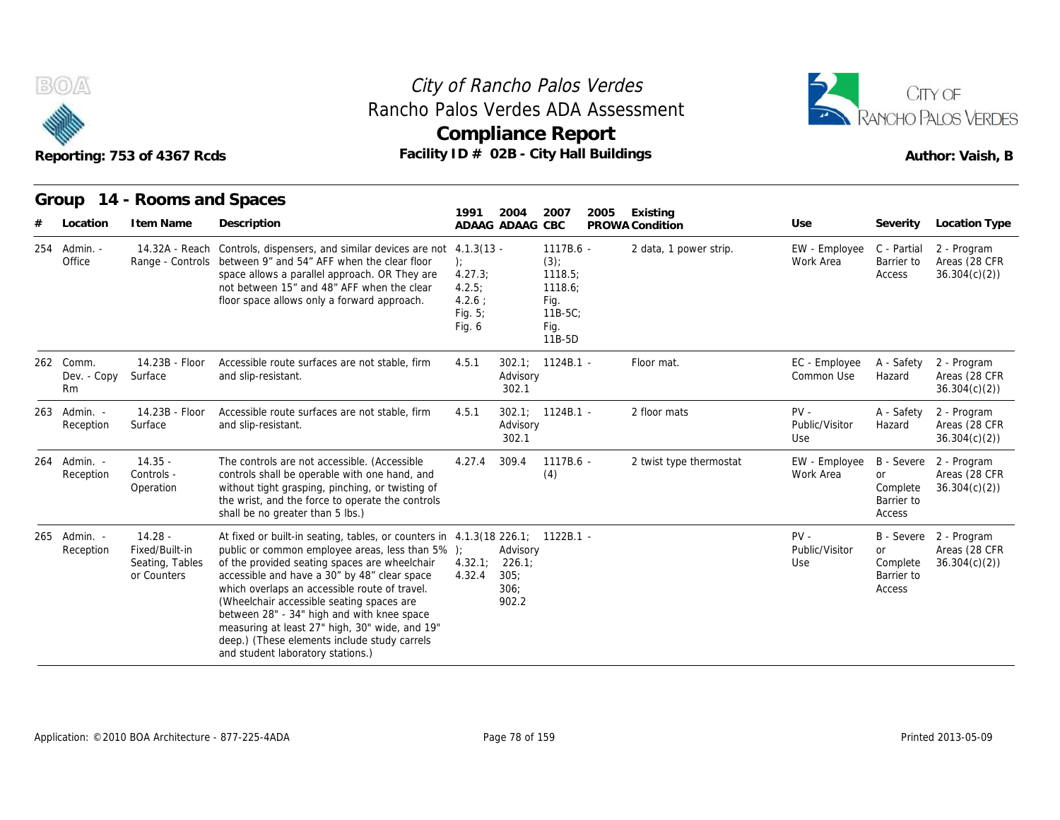



|     |                                |                                                               | Rancho Palos Verdes ADA Assessment<br><b>Compliance Report</b><br>Facility ID # 02B - City Hall Buildings<br>Reporting: 753 of 4367 Rcds                                                                                                                                                                                                                                                                                                                                                                               |                                                           |                                             |                                                                                  |      |                             |                                 |                                                      | CITY OF<br>RANCHO PALOS VERDES<br>Author: Vaish, B      |
|-----|--------------------------------|---------------------------------------------------------------|------------------------------------------------------------------------------------------------------------------------------------------------------------------------------------------------------------------------------------------------------------------------------------------------------------------------------------------------------------------------------------------------------------------------------------------------------------------------------------------------------------------------|-----------------------------------------------------------|---------------------------------------------|----------------------------------------------------------------------------------|------|-----------------------------|---------------------------------|------------------------------------------------------|---------------------------------------------------------|
|     | Location                       | Group 14 - Rooms and Spaces<br>I tem Name                     | Description                                                                                                                                                                                                                                                                                                                                                                                                                                                                                                            | 1991<br>ADAAG ADAAG CBC                                   | 2004                                        | 2007                                                                             | 2005 | Existing<br>PROWA Condition | Use                             | Severity                                             | <b>Location Type</b>                                    |
| 254 | Admin. -<br>Office             |                                                               | 14.32A - Reach Controls, dispensers, and similar devices are not 4.1.3(13 -<br>Range - Controls between 9" and 54" AFF when the clear floor<br>space allows a parallel approach. OR They are<br>not between 15" and 48" AFF when the clear<br>floor space allows only a forward approach.                                                                                                                                                                                                                              | ):<br>4.27.3;<br>4.2.5:<br>$4.2.6$ ;<br>Fig. 5;<br>Fig. 6 |                                             | $1117B.6 -$<br>(3)<br>1118.5;<br>1118.6;<br>Fig.<br>$11B-5C$<br>Fig.<br>$11B-5D$ |      | 2 data, 1 power strip.      | EW - Employee<br>Work Area      | C - Partial<br>Barrier to<br>Access                  | 2 - Program<br>Areas (28 CFR<br>36.304(c)(2)            |
|     | 262 Comm.<br>Dev. - Copy<br>Rm | 14.23B - Floor<br>Surface                                     | Accessible route surfaces are not stable, firm<br>and slip-resistant.                                                                                                                                                                                                                                                                                                                                                                                                                                                  | 4.5.1                                                     | Advisory<br>302.1                           | 302.1; 1124B.1 -                                                                 |      | Floor mat.                  | EC - Employee<br>Common Use     | A - Safety<br>Hazard                                 | 2 - Program<br>Areas (28 CFR<br>36.304(c)(2)            |
|     | 263 Admin. -<br>Reception      | 14.23B - Floor<br>Surface                                     | Accessible route surfaces are not stable, firm<br>and slip-resistant.                                                                                                                                                                                                                                                                                                                                                                                                                                                  | 4.5.1                                                     | Advisory<br>302.1                           | $302.1$ ; $1124B.1$ -                                                            |      | 2 floor mats                | $PV -$<br>Public/Visitor<br>Use | A - Safety<br>Hazard                                 | 2 - Program<br>Areas (28 CFR<br>36.304(c)(2)            |
| 264 | Admin. -<br>Reception          | $14.35 -$<br>Controls -<br>Operation                          | The controls are not accessible. (Accessible<br>controls shall be operable with one hand, and<br>without tight grasping, pinching, or twisting of<br>the wrist, and the force to operate the controls<br>shall be no greater than 5 lbs.)                                                                                                                                                                                                                                                                              | 4.27.4                                                    | 309.4                                       | 1117B.6 -<br>(4)                                                                 |      | 2 twist type thermostat     | EW - Employee<br>Work Area      | B - Severe<br>or<br>Complete<br>Barrier to<br>Access | 2 - Program<br>Areas (28 CFR<br>36.304(c)(2)            |
| 265 | Admin. -<br>Reception          | $14.28 -$<br>Fixed/Built-in<br>Seating, Tables<br>or Counters | At fixed or built-in seating, tables, or counters in 4.1.3(18 226.1; 1122B.1 -<br>public or common employee areas, less than 5% );<br>of the provided seating spaces are wheelchair<br>accessible and have a 30" by 48" clear space<br>which overlaps an accessible route of travel.<br>(Wheelchair accessible seating spaces are<br>between 28" - 34" high and with knee space<br>measuring at least 27" high, 30" wide, and 19"<br>deep.) (These elements include study carrels<br>and student laboratory stations.) | 4.32.1;<br>4.32.4                                         | Advisory<br>226.1;<br>305:<br>306;<br>902.2 |                                                                                  |      |                             | $PV -$<br>Public/Visitor<br>Use | or<br>Complete<br>Barrier to<br>Access               | B - Severe 2 - Program<br>Areas (28 CFR<br>36.304(c)(2) |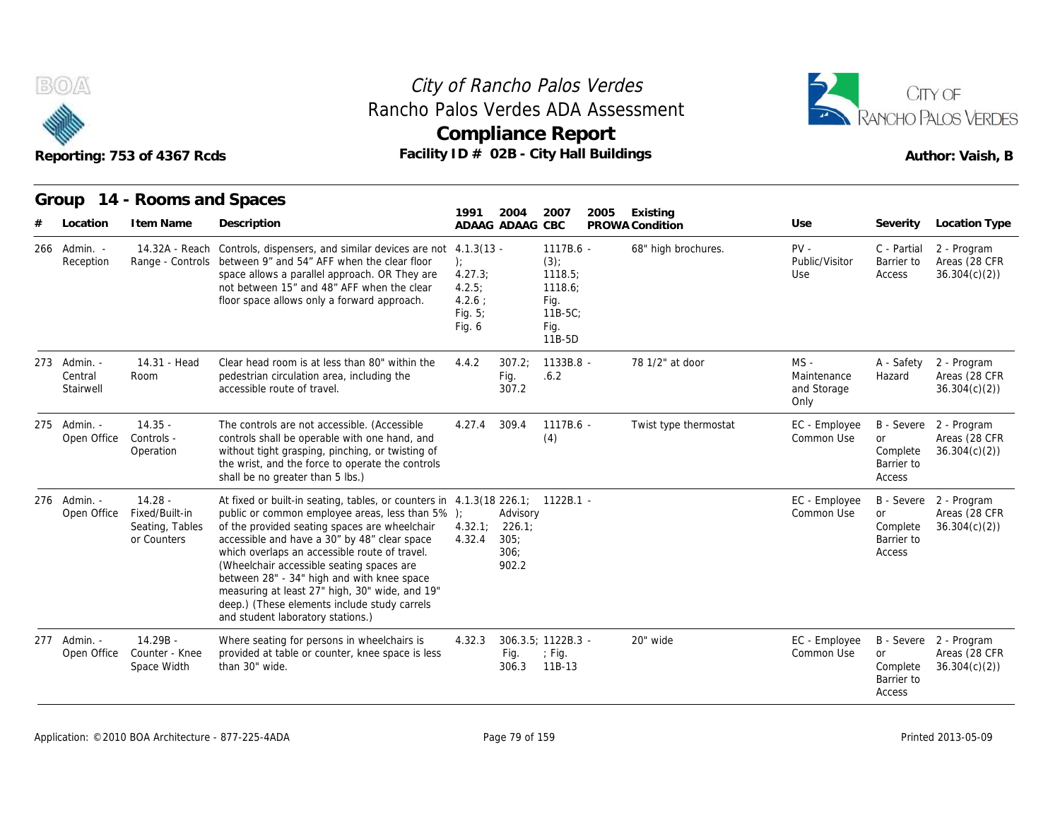



|                                      | Reporting: 753 of 4367 Rcds                                   |                                                                                                                                                                                                                                                                                                                                                                                                                                                                                                                        |                                                                |                                   | <b>Compliance Report</b><br>Facility ID # 02B - City Hall Buildings              |                             |                                              |                                                             | Author: Vaish, B                                        |
|--------------------------------------|---------------------------------------------------------------|------------------------------------------------------------------------------------------------------------------------------------------------------------------------------------------------------------------------------------------------------------------------------------------------------------------------------------------------------------------------------------------------------------------------------------------------------------------------------------------------------------------------|----------------------------------------------------------------|-----------------------------------|----------------------------------------------------------------------------------|-----------------------------|----------------------------------------------|-------------------------------------------------------------|---------------------------------------------------------|
| Group<br>Location                    | 14 - Rooms and Spaces<br>I tem Name                           | Description                                                                                                                                                                                                                                                                                                                                                                                                                                                                                                            | 1991<br>ADAAG ADAAG CBC                                        | 2004                              | 2007<br>2005                                                                     | Existing<br>PROWA Condition | Use                                          | Severity                                                    | Location Type                                           |
| 266 Admin. -<br>Reception            | Range - Controls                                              | 14.32A - Reach Controls, dispensers, and similar devices are not 4.1.3(13 -<br>between 9" and 54" AFF when the clear floor<br>space allows a parallel approach. OR They are<br>not between 15" and 48" AFF when the clear<br>floor space allows only a forward approach.                                                                                                                                                                                                                                               | $\cdot$<br>4.27.3;<br>4.2.5:<br>4.2.6:<br>Fig. $5$ ;<br>Fig. 6 |                                   | 1117B.6 -<br>$(3)$ ;<br>1118.5;<br>1118.6;<br>Fig.<br>$11B-5C$<br>Fig.<br>11B-5D | 68" high brochures.         | $PV -$<br>Public/Visitor<br>Use              | C - Partial<br>Barrier to<br>Access                         | 2 - Program<br>Areas (28 CFR<br>36.304(c)(2)            |
| 273 Admin. -<br>Central<br>Stairwell | 14.31 - Head<br>Room                                          | Clear head room is at less than 80" within the<br>pedestrian circulation area, including the<br>accessible route of travel.                                                                                                                                                                                                                                                                                                                                                                                            | 4.4.2                                                          | 307.2:<br>Fig.<br>307.2           | $1133B.8 -$<br>.6.2                                                              | 78 1/2" at door             | $MS -$<br>Maintenance<br>and Storage<br>Only | A - Safety<br>Hazard                                        | 2 - Program<br>Areas (28 CFR<br>36.304(c)(2)            |
| 275 Admin. -<br>Open Office          | $14.35 -$<br>Controls -<br>Operation                          | The controls are not accessible. (Accessible<br>controls shall be operable with one hand, and<br>without tight grasping, pinching, or twisting of<br>the wrist, and the force to operate the controls<br>shall be no greater than 5 lbs.)                                                                                                                                                                                                                                                                              | 4.27.4                                                         | 309.4                             | 1117B.6 -<br>(4)                                                                 | Twist type thermostat       | EC - Employee<br>Common Use                  | <b>B</b> - Severe<br>or<br>Complete<br>Barrier to<br>Access | 2 - Program<br>Areas (28 CFR<br>36.304(c)(2)            |
| 276 Admin. -<br>Open Office          | $14.28 -$<br>Fixed/Built-in<br>Seating, Tables<br>or Counters | At fixed or built-in seating, tables, or counters in 4.1.3(18 226.1; 1122B.1 -<br>public or common employee areas, less than 5% );<br>of the provided seating spaces are wheelchair<br>accessible and have a 30" by 48" clear space<br>which overlaps an accessible route of travel.<br>(Wheelchair accessible seating spaces are<br>between 28" - 34" high and with knee space<br>measuring at least 27" high, 30" wide, and 19"<br>deep.) (These elements include study carrels<br>and student laboratory stations.) | 4.32.1; 226.1;<br>4.32.4                                       | Advisory<br>305:<br>306:<br>902.2 |                                                                                  |                             | EC - Employee<br>Common Use                  | <b>or</b><br>Complete<br>Barrier to<br>Access               | B - Severe 2 - Program<br>Areas (28 CFR<br>36.304(c)(2) |
| 277 Admin. -<br>Open Office          | 14.29B -<br>Counter - Knee<br>Space Width                     | Where seating for persons in wheelchairs is<br>provided at table or counter, knee space is less<br>than 30" wide.                                                                                                                                                                                                                                                                                                                                                                                                      | 4.32.3                                                         | Fig.<br>306.3                     | 306.3.5; 1122B.3 -<br>$;$ Fig.<br>11B-13                                         | 20" wide                    | EC - Employee<br>Common Use                  | or<br>Complete<br>Barrier to<br>Access                      | B - Severe 2 - Program<br>Areas (28 CFR<br>36.304(c)(2) |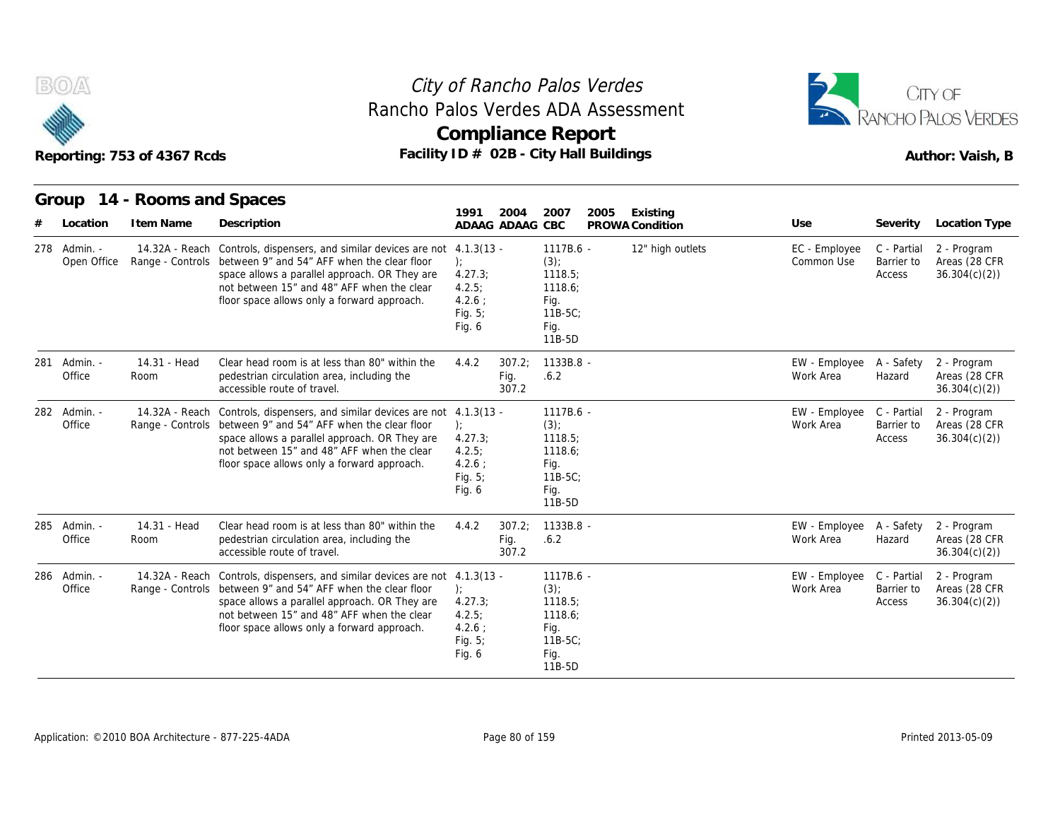



|     |                             | Reporting: 753 of 4367 Rcds | Rancho Palos Verdes ADA Assessment<br>Facility ID # 02B - City Hall Buildings                                                                                                                                                                                                             |                                                                                |                         | <b>Compliance Report</b>                                                        |      |                  |                                        |                                     | RANCHO PALOS VERDES<br>Author: Vaish, B      |
|-----|-----------------------------|-----------------------------|-------------------------------------------------------------------------------------------------------------------------------------------------------------------------------------------------------------------------------------------------------------------------------------------|--------------------------------------------------------------------------------|-------------------------|---------------------------------------------------------------------------------|------|------------------|----------------------------------------|-------------------------------------|----------------------------------------------|
|     |                             | Group 14 - Rooms and Spaces |                                                                                                                                                                                                                                                                                           | 1991                                                                           | 2004                    | 2007                                                                            | 2005 | Existing         |                                        |                                     |                                              |
|     | Location                    | I tem Name                  | Description                                                                                                                                                                                                                                                                               | ADAAG ADAAG CBC                                                                |                         |                                                                                 |      | PROWA Condition  | Use                                    | Severity                            | Location Type                                |
|     | 278 Admin. -<br>Open Office |                             | 14.32A - Reach Controls, dispensers, and similar devices are not<br>Range - Controls between 9" and 54" AFF when the clear floor<br>space allows a parallel approach. OR They are<br>not between 15" and 48" AFF when the clear<br>floor space allows only a forward approach.            | $4.1.3(13 -$<br>$\cdot$<br>4.27.3;<br>4.2.5:<br>4.2.6:<br>Fig. $5$ ;<br>Fig. 6 |                         | 1117B.6 -<br>$(3)$ ;<br>1118.5;<br>1118.6:<br>Fig.<br>11B-5C;<br>Fig.<br>11B-5D |      | 12" high outlets | EC - Employee<br>Common Use            | C - Partial<br>Barrier to<br>Access | 2 - Program<br>Areas (28 CFR<br>36.304(c)(2) |
| 281 | Admin. -<br>Office          | 14.31 - Head<br>Room        | Clear head room is at less than 80" within the<br>pedestrian circulation area, including the<br>accessible route of travel.                                                                                                                                                               | 4.4.2                                                                          | 307.2:<br>Fig.<br>307.2 | 1133B.8 -<br>.6.2                                                               |      |                  | EW - Employee A - Safety<br>Work Area  | Hazard                              | 2 - Program<br>Areas (28 CFR<br>36.304(c)(2) |
|     | 282 Admin. -<br>Office      |                             | 14.32A - Reach Controls, dispensers, and similar devices are not 4.1.3(13 -<br>Range - Controls between 9" and 54" AFF when the clear floor<br>space allows a parallel approach. OR They are<br>not between 15" and 48" AFF when the clear<br>floor space allows only a forward approach. | $\cdot$<br>4.27.3<br>4.2.5;<br>$4.2.6$ :<br>Fig. $5$ ;<br>Fig. 6               |                         | 1117B.6 -<br>(3)<br>1118.5<br>1118.6;<br>Fig.<br>11B-5C;<br>Fig.<br>11B-5D      |      |                  | EW - Employee C - Partial<br>Work Area | Barrier to<br>Access                | 2 - Program<br>Areas (28 CFR<br>36.304(c)(2) |
|     | 285 Admin. -<br>Office      | 14.31 - Head<br>Room        | Clear head room is at less than 80" within the<br>pedestrian circulation area, including the<br>accessible route of travel.                                                                                                                                                               | 4.4.2                                                                          | 307.2:<br>Fig.<br>307.2 | 1133B.8 -<br>.6.2                                                               |      |                  | EW - Employee<br>Work Area             | A - Safety<br>Hazard                | 2 - Program<br>Areas (28 CFR<br>36.304(c)(2) |
|     | 286 Admin. -<br>Office      |                             | 14.32A - Reach Controls, dispensers, and similar devices are not 4.1.3(13 -<br>Range - Controls between 9" and 54" AFF when the clear floor<br>space allows a parallel approach. OR They are<br>not between 15" and 48" AFF when the clear<br>floor space allows only a forward approach. | $\cdot$<br>4.27.3;<br>4.2.5:<br>$4.2.6$ :<br>Fig. 5;<br>Fig. 6                 |                         | 1117B.6 -<br>$(3)$ ;<br>1118.5;<br>1118.6;<br>Fig.<br>11B-5C;<br>Fig.<br>11B-5D |      |                  | EW - Employee<br>Work Area             | C - Partial<br>Barrier to<br>Access | 2 - Program<br>Areas (28 CFR<br>36.304(c)(2) |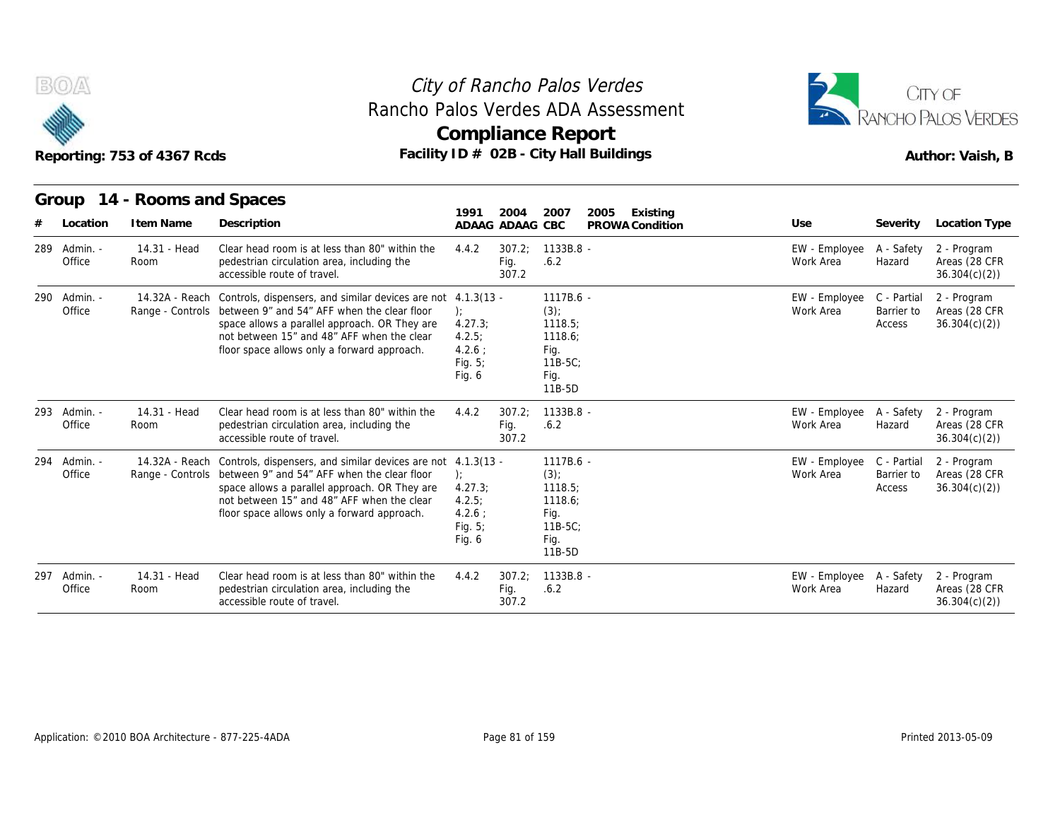



|     |                        | Reporting: 753 of 4367 Rcds |                                                                                                                                                                                                                                                                            |                                                                  |                         | <b>Compliance Report</b>                                                         | Rancho Palos Verdes ADA Assessment<br>Facility ID # 02B - City Hall Buildings |                                       |                                     | <b>RANCHO PALOS VERDES</b><br>Author: Vaish, B |
|-----|------------------------|-----------------------------|----------------------------------------------------------------------------------------------------------------------------------------------------------------------------------------------------------------------------------------------------------------------------|------------------------------------------------------------------|-------------------------|----------------------------------------------------------------------------------|-------------------------------------------------------------------------------|---------------------------------------|-------------------------------------|------------------------------------------------|
|     |                        | Group 14 - Rooms and Spaces |                                                                                                                                                                                                                                                                            | 1991                                                             | 2004                    | 2007                                                                             | 2005<br>Existing                                                              |                                       |                                     |                                                |
|     | Location               | I tem Name                  | Description                                                                                                                                                                                                                                                                | ADAAG ADAAG CBC                                                  |                         |                                                                                  | PROWA Condition                                                               | Use                                   | Severity                            | Location Type                                  |
| 289 | Admin. -<br>Office     | 14.31 - Head<br>Room        | Clear head room is at less than 80" within the<br>pedestrian circulation area, including the<br>accessible route of travel.                                                                                                                                                | 4.4.2                                                            | 307.2:<br>Fig.<br>307.2 | $1133B.8 -$<br>.6.2                                                              |                                                                               | EW - Employee<br>Work Area            | A - Safety<br>Hazard                | 2 - Program<br>Areas (28 CFR<br>36.304(c)(2)   |
| 290 | Admin. -<br>Office     | 14.32A - Reach              | Controls, dispensers, and similar devices are not 4.1.3(13 -<br>Range - Controls between 9" and 54" AFF when the clear floor<br>space allows a parallel approach. OR They are<br>not between 15" and 48" AFF when the clear<br>floor space allows only a forward approach. | $\cdot$<br>4.27.3<br>4.2.5<br>4.2.6:<br>Fig. 5;<br>Fig. 6        |                         | 1117B.6 -<br>$(3)$ ;<br>1118.5;<br>1118.6;<br>Fig.<br>$11B-5C$<br>Fig.<br>11B-5D |                                                                               | EW - Employee<br>Work Area            | C - Partial<br>Barrier to<br>Access | 2 - Program<br>Areas (28 CFR<br>36.304(c)(2)   |
|     | 293 Admin. -<br>Office | 14.31 - Head<br>Room        | Clear head room is at less than 80" within the<br>pedestrian circulation area, including the<br>accessible route of travel.                                                                                                                                                | 4.4.2                                                            | 307.2:<br>Fig.<br>307.2 | 1133B.8 -<br>.6.2                                                                |                                                                               | EW - Employee<br>Work Area            | A - Safety<br>Hazard                | 2 - Program<br>Areas (28 CFR<br>36.304(c)(2)   |
| 294 | Admin. -<br>Office     | 14.32A - Reach              | Controls, dispensers, and similar devices are not 4.1.3(13 -<br>Range - Controls between 9" and 54" AFF when the clear floor<br>space allows a parallel approach. OR They are<br>not between 15" and 48" AFF when the clear<br>floor space allows only a forward approach. | $\cdot$<br>4.27.3<br>4.2.5:<br>$4.2.6$ :<br>Fig. $5$ ;<br>Fig. 6 |                         | 1117B.6 -<br>$(3)$ ;<br>1118.5:<br>1118.6:<br>Fig.<br>$11B-5C$<br>Fig.<br>11B-5D |                                                                               | EW - Employee<br>Work Area            | C - Partial<br>Barrier to<br>Access | 2 - Program<br>Areas (28 CFR<br>36.304(c)(2)   |
| 297 | - Admin.<br>Office     | 14.31 - Head<br>Room        | Clear head room is at less than 80" within the<br>pedestrian circulation area, including the<br>accessible route of travel.                                                                                                                                                | 4.4.2                                                            | 307.2:<br>Fig.<br>307.2 | 1133B.8 -<br>.6.2                                                                |                                                                               | EW - Employee A - Safety<br>Work Area | Hazard                              | 2 - Program<br>Areas (28 CFR<br>36.304(c)(2)   |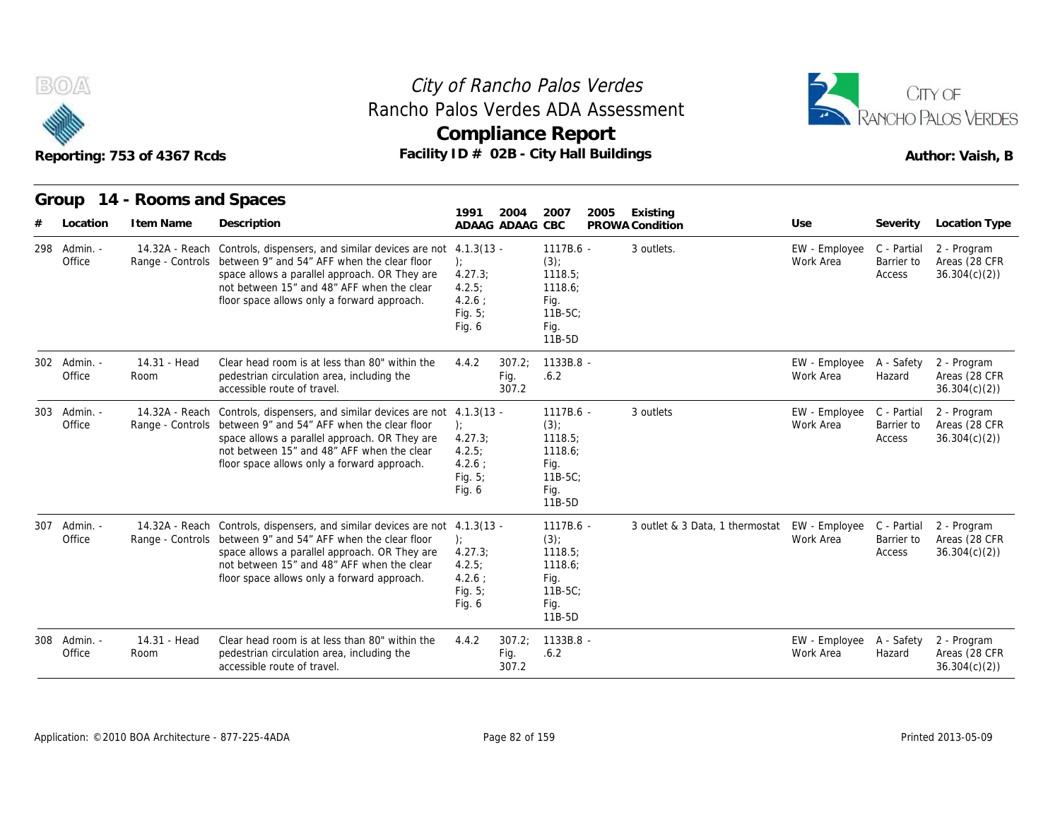



|     |                        | Reporting: 753 of 4367 Rcds | Facility ID # 02B - City Hall Buildings                                                                                                                                                                                                                                                   | <b>Compliance Report</b>                                          |                         |                                                                                  |      |                 |                                 |                                        |                                     | Author: Vaish, B                             |
|-----|------------------------|-----------------------------|-------------------------------------------------------------------------------------------------------------------------------------------------------------------------------------------------------------------------------------------------------------------------------------------|-------------------------------------------------------------------|-------------------------|----------------------------------------------------------------------------------|------|-----------------|---------------------------------|----------------------------------------|-------------------------------------|----------------------------------------------|
|     |                        | Group 14 - Rooms and Spaces |                                                                                                                                                                                                                                                                                           | 1991                                                              | 2004                    | 2007                                                                             | 2005 | Existing        |                                 |                                        |                                     |                                              |
|     | Location               | I tem Name                  | Description                                                                                                                                                                                                                                                                               | ADAAG ADAAG CBC                                                   |                         |                                                                                  |      | PROWA Condition |                                 | Use                                    | Severity                            | Location Type                                |
|     | 298 Admin. -<br>Office |                             | 14.32A - Reach Controls, dispensers, and similar devices are not 4.1.3(13 -<br>Range - Controls between 9" and 54" AFF when the clear floor<br>space allows a parallel approach. OR They are<br>not between 15" and 48" AFF when the clear<br>floor space allows only a forward approach. | $\cdot$<br>4.27.3<br>4.2.5:<br>$4.2.6$ :<br>Fig. 5;<br>Fig. 6     |                         | 1117B.6 -<br>$(3)$ ;<br>1118.5:<br>1118.6;<br>Fig.<br>$11B-5C$<br>Fig.<br>11B-5D |      | 3 outlets.      |                                 | EW - Employee<br>Work Area             | C - Partial<br>Barrier to<br>Access | 2 - Program<br>Areas (28 CFR<br>36.304(c)(2) |
|     | 302 Admin. -<br>Office | 14.31 - Head<br>Room        | Clear head room is at less than 80" within the<br>pedestrian circulation area, including the<br>accessible route of travel.                                                                                                                                                               | 4.4.2                                                             | 307.2:<br>Fig.<br>307.2 | 1133B.8 -<br>.6.2                                                                |      |                 |                                 | EW - Employee<br>Work Area             | A - Safety<br>Hazard                | 2 - Program<br>Areas (28 CFR<br>36.304(c)(2) |
| 303 | Admin. -<br>Office     |                             | 14.32A - Reach Controls, dispensers, and similar devices are not 4.1.3(13 -<br>Range - Controls between 9" and 54" AFF when the clear floor<br>space allows a parallel approach. OR They are<br>not between 15" and 48" AFF when the clear<br>floor space allows only a forward approach. | $\cdot$<br>4.27.3<br>4.2.5:<br>$4.2.6$ :<br>Fig. $5$ ;<br>Fig. 6  |                         | 1117B.6 -<br>$(3)$ ;<br>1118.5;<br>1118.6:<br>Fig.<br>$11B-5C$<br>Fig.<br>11B-5D |      | 3 outlets       |                                 | EW - Employee<br>Work Area             | C - Partial<br>Barrier to<br>Access | 2 - Program<br>Areas (28 CFR<br>36.304(c)(2) |
| 307 | Admin. -<br>Office     |                             | 14.32A - Reach Controls, dispensers, and similar devices are not 4.1.3(13 -<br>Range - Controls between 9" and 54" AFF when the clear floor<br>space allows a parallel approach. OR They are<br>not between 15" and 48" AFF when the clear<br>floor space allows only a forward approach. | $\cdot$<br>4.27.3;<br>4.2.5:<br>$4.2.6$ :<br>Fig. $5$ ;<br>Fig. 6 |                         | 1117B.6 -<br>$(3)$ ;<br>1118.5;<br>1118.6;<br>Fig.<br>$11B-5C$<br>Fig.<br>11B-5D |      |                 | 3 outlet & 3 Data, 1 thermostat | EW - Employee C - Partial<br>Work Area | Barrier to<br>Access                | 2 - Program<br>Areas (28 CFR<br>36.304(c)(2) |
|     | 308 Admin. -<br>Office | 14.31 - Head<br>Room        | Clear head room is at less than 80" within the<br>pedestrian circulation area, including the<br>accessible route of travel.                                                                                                                                                               | 4.4.2                                                             | 307.2;<br>Fig.<br>307.2 | 1133B.8 -<br>.6.2                                                                |      |                 |                                 | EW - Employee<br>Work Area             | A - Safety<br>Hazard                | 2 - Program<br>Areas (28 CFR<br>36.304(c)(2) |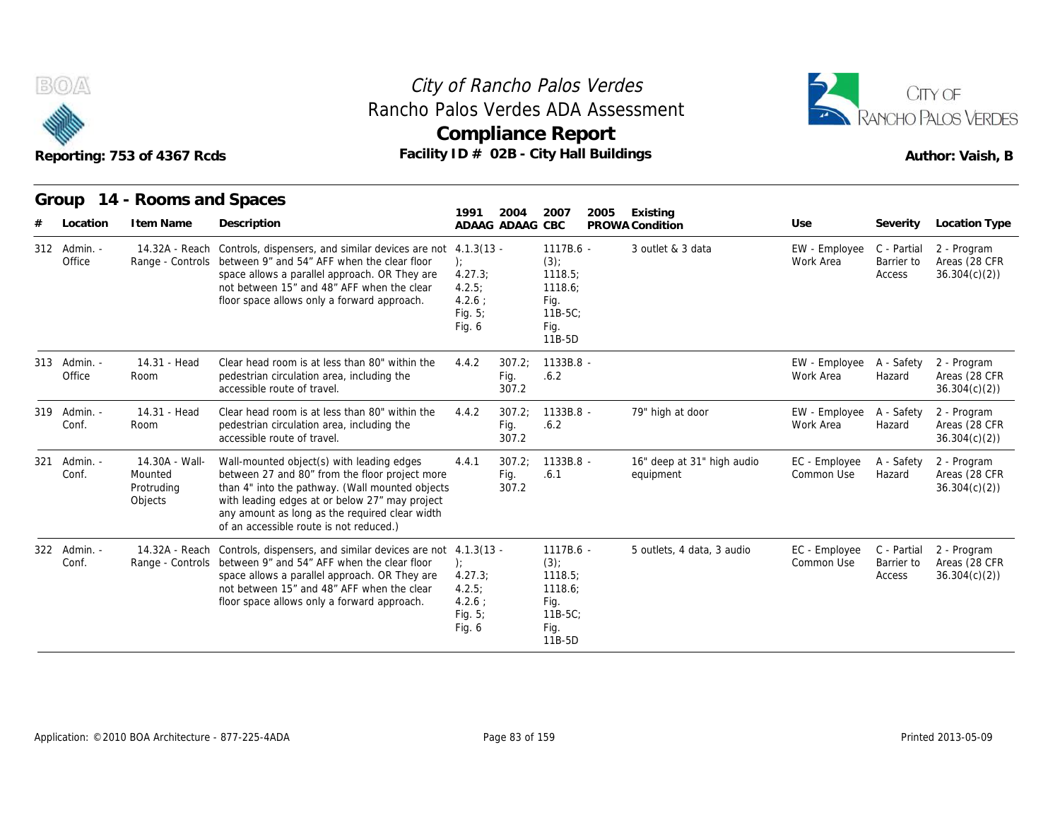



|     |                        | Reporting: 753 of 4367 Rcds                        | Rancho Palos Verdes ADA Assessment                                                                                                                                                                                                                                                            |                                                                 |                         | <b>Compliance Report</b><br>Facility $ID \# O2B - City Hall Buildings$             |                                         |                             |                                     | RANCHO PALOS VERDES<br>Author: Vaish, B      |
|-----|------------------------|----------------------------------------------------|-----------------------------------------------------------------------------------------------------------------------------------------------------------------------------------------------------------------------------------------------------------------------------------------------|-----------------------------------------------------------------|-------------------------|------------------------------------------------------------------------------------|-----------------------------------------|-----------------------------|-------------------------------------|----------------------------------------------|
|     | Group<br>Location      | 14 - Rooms and Spaces<br>I tem Name                | Description                                                                                                                                                                                                                                                                                   | 1991<br>ADAAG ADAAG CBC                                         | 2004                    | 2007<br>2005                                                                       | Existing<br>PROWA Condition             | Use                         | Severity                            | Location Type                                |
|     | 312 Admin. -<br>Office |                                                    | 14.32A - Reach Controls, dispensers, and similar devices are not 4.1.3(13 -<br>Range - Controls between 9" and 54" AFF when the clear floor<br>space allows a parallel approach. OR They are<br>not between 15" and 48" AFF when the clear<br>floor space allows only a forward approach.     | $\cdot$<br>4.27.3;<br>4.2.5:<br>4.2.6:<br>Fig. $5$ ;<br>Fig. 6  |                         | 1117B.6 -<br>$(3)$ ;<br>1118.5<br>1118.6;<br>Fig.<br>$11B-5C$<br>Fig.<br>11B-5D    | 3 outlet & 3 data                       | EW - Employee<br>Work Area  | C - Partial<br>Barrier to<br>Access | 2 - Program<br>Areas (28 CFR<br>36.304(c)(2) |
|     | 313 Admin. -<br>Office | 14.31 - Head<br>Room                               | Clear head room is at less than 80" within the<br>pedestrian circulation area, including the<br>accessible route of travel.                                                                                                                                                                   | 4.4.2                                                           | 307.2;<br>Fig.<br>307.2 | 1133B.8 -<br>.6.2                                                                  |                                         | EW - Employee<br>Work Area  | A - Safety<br>Hazard                | 2 - Program<br>Areas (28 CFR<br>36.304(c)(2) |
|     | 319 Admin. -<br>Conf.  | 14.31 - Head<br>Room                               | Clear head room is at less than 80" within the<br>pedestrian circulation area, including the<br>accessible route of travel.                                                                                                                                                                   | 4.4.2                                                           | 307.2:<br>Fig.<br>307.2 | 1133B.8 -<br>.6.2                                                                  | 79" high at door                        | EW - Employee<br>Work Area  | A - Safety<br>Hazard                | 2 - Program<br>Areas (28 CFR<br>36.304(c)(2) |
| 321 | Admin. -<br>Conf.      | 14.30A - Wall-<br>Mounted<br>Protruding<br>Objects | Wall-mounted object(s) with leading edges<br>between 27 and 80" from the floor project more<br>than 4" into the pathway. (Wall mounted objects<br>with leading edges at or below 27" may project<br>any amount as long as the required clear width<br>of an accessible route is not reduced.) | 4.4.1                                                           | 307.2<br>Fig.<br>307.2  | 1133B.8 -<br>.6.1                                                                  | 16" deep at 31" high audio<br>equipment | EC - Employee<br>Common Use | A - Safety<br>Hazard                | 2 - Program<br>Areas (28 CFR<br>36.304(c)(2) |
|     | 322 Admin. -<br>Conf.  |                                                    | 14.32A - Reach Controls, dispensers, and similar devices are not 4.1.3(13 -<br>Range - Controls between 9" and 54" AFF when the clear floor<br>space allows a parallel approach. OR They are<br>not between 15" and 48" AFF when the clear<br>floor space allows only a forward approach.     | $\cdot$<br>4.27.3<br>4.2.5;<br>$4.2.6$ :<br>Fig. 5;<br>Fig. $6$ |                         | $1117B.6 -$<br>$(3)$ ;<br>1118.5;<br>1118.6;<br>Fig.<br>$11B-5C$<br>Fig.<br>11B-5D | 5 outlets, 4 data, 3 audio              | EC - Employee<br>Common Use | C - Partial<br>Barrier to<br>Access | 2 - Program<br>Areas (28 CFR<br>36.304(c)(2) |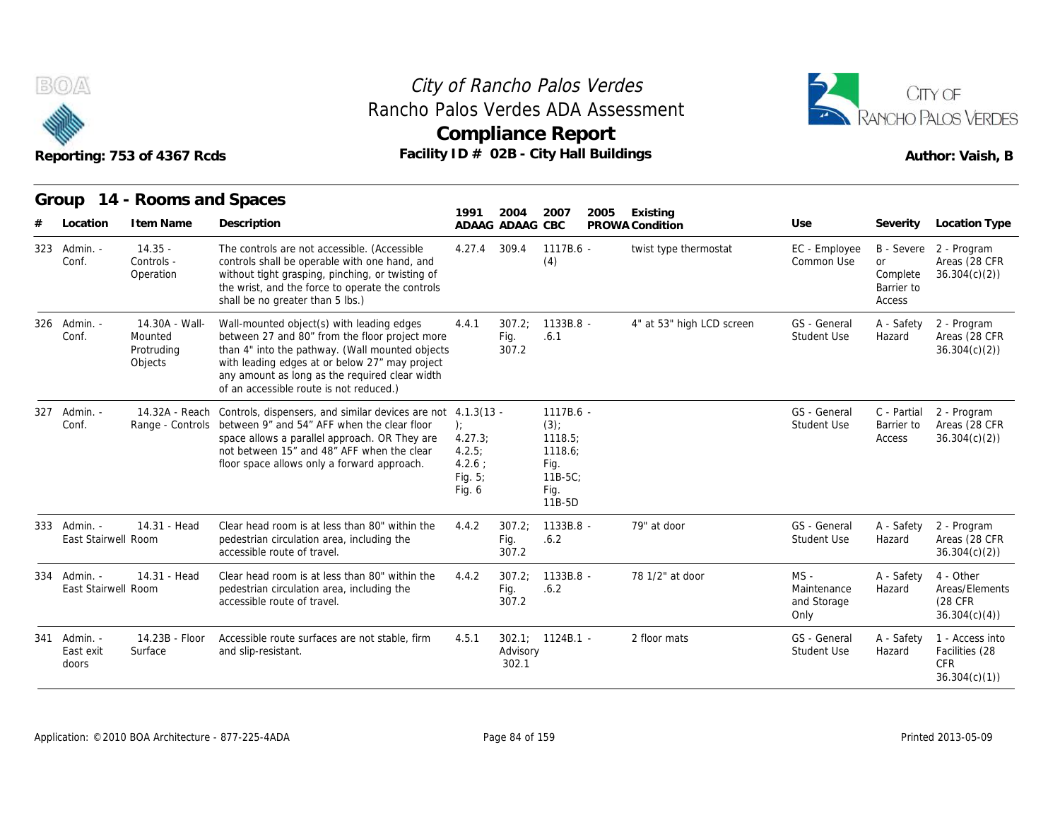



|     |                                     | Reporting: 753 of 4367 Rcds                        | Facility ID # 02B - City Hall Buildings                                                                                                                                                                                                                                                       |                                                                | <b>Compliance Report</b> |                                                                             |      |                           |                                              |                                               | Author: Vaish, B                                                |
|-----|-------------------------------------|----------------------------------------------------|-----------------------------------------------------------------------------------------------------------------------------------------------------------------------------------------------------------------------------------------------------------------------------------------------|----------------------------------------------------------------|--------------------------|-----------------------------------------------------------------------------|------|---------------------------|----------------------------------------------|-----------------------------------------------|-----------------------------------------------------------------|
|     |                                     | Group 14 - Rooms and Spaces                        |                                                                                                                                                                                                                                                                                               | 1991                                                           | 2004                     | 2007                                                                        | 2005 | Existing                  |                                              |                                               |                                                                 |
|     | Location                            | I tem Name                                         | Description                                                                                                                                                                                                                                                                                   |                                                                | ADAAG ADAAG CBC          |                                                                             |      | PROWA Condition           | Use                                          | Severity                                      | Location Type                                                   |
| 323 | Admin. -<br>Conf.                   | $14.35 -$<br>Controls -<br>Operation               | The controls are not accessible. (Accessible<br>controls shall be operable with one hand, and<br>without tight grasping, pinching, or twisting of<br>the wrist, and the force to operate the controls<br>shall be no greater than 5 lbs.)                                                     | 4.27.4                                                         | 309.4                    | 1117B.6 -<br>(4)                                                            |      | twist type thermostat     | EC - Employee<br>Common Use                  | <b>or</b><br>Complete<br>Barrier to<br>Access | B - Severe 2 - Program<br>Areas (28 CFR<br>36.304(c)(2)         |
|     | 326 Admin. -<br>Conf.               | 14.30A - Wall-<br>Mounted<br>Protruding<br>Objects | Wall-mounted object(s) with leading edges<br>between 27 and 80" from the floor project more<br>than 4" into the pathway. (Wall mounted objects<br>with leading edges at or below 27" may project<br>any amount as long as the required clear width<br>of an accessible route is not reduced.) | 4.4.1                                                          | 307.2:<br>Fig.<br>307.2  | 1133B.8 -<br>.6.1                                                           |      | 4" at 53" high LCD screen | GS - General<br><b>Student Use</b>           | A - Safety<br>Hazard                          | 2 - Program<br>Areas (28 CFR<br>36.304(c)(2)                    |
| 327 | Admin. -<br>Conf.                   | 14.32A - Reach                                     | Controls, dispensers, and similar devices are not 4.1.3(13 -<br>Range - Controls between 9" and 54" AFF when the clear floor<br>space allows a parallel approach. OR They are<br>not between 15" and 48" AFF when the clear<br>floor space allows only a forward approach.                    | $\cdot$<br>4.27.3;<br>4.2.5:<br>4.2.6:<br>Fig. $5$ ;<br>Fig. 6 |                          | 1117B.6 -<br>(3)<br>1118.5;<br>1118.6;<br>Fig.<br>11B-5C;<br>Fig.<br>11B-5D |      |                           | GS - General<br><b>Student Use</b>           | C - Partial<br>Barrier to<br>Access           | 2 - Program<br>Areas (28 CFR<br>36.304(c)(2)                    |
|     | 333 Admin. -<br>East Stairwell Room | 14.31 - Head                                       | Clear head room is at less than 80" within the<br>pedestrian circulation area, including the<br>accessible route of travel.                                                                                                                                                                   | 4.4.2                                                          | 307.2:<br>Fig.<br>307.2  | 1133B.8 -<br>.6.2                                                           |      | 79" at door               | GS - General<br>Student Use                  | A - Safety<br>Hazard                          | 2 - Program<br>Areas (28 CFR<br>36.304(c)(2)                    |
|     | 334 Admin. -<br>East Stairwell Room | 14.31 - Head                                       | Clear head room is at less than 80" within the<br>pedestrian circulation area, including the<br>accessible route of travel.                                                                                                                                                                   | 4.4.2                                                          | 307.2;<br>Fig.<br>307.2  | 1133B.8 -<br>.6.2                                                           |      | 78 1/2" at door           | $MS -$<br>Maintenance<br>and Storage<br>Only | A - Safety<br>Hazard                          | 4 - Other<br>Areas/Elements<br>(28 CFR)<br>36.304(c)(4)         |
| 341 | - Admin.<br>East exit<br>doors      | 14.23B - Floor<br>Surface                          | Accessible route surfaces are not stable, firm<br>and slip-resistant.                                                                                                                                                                                                                         | 4.5.1                                                          | Advisory<br>302.1        | $302.1: 1124B.1 -$                                                          |      | 2 floor mats              | GS - General<br>Student Use                  | A - Safety<br>Hazard                          | 1 - Access into<br>Facilities (28<br><b>CFR</b><br>36.304(c)(1) |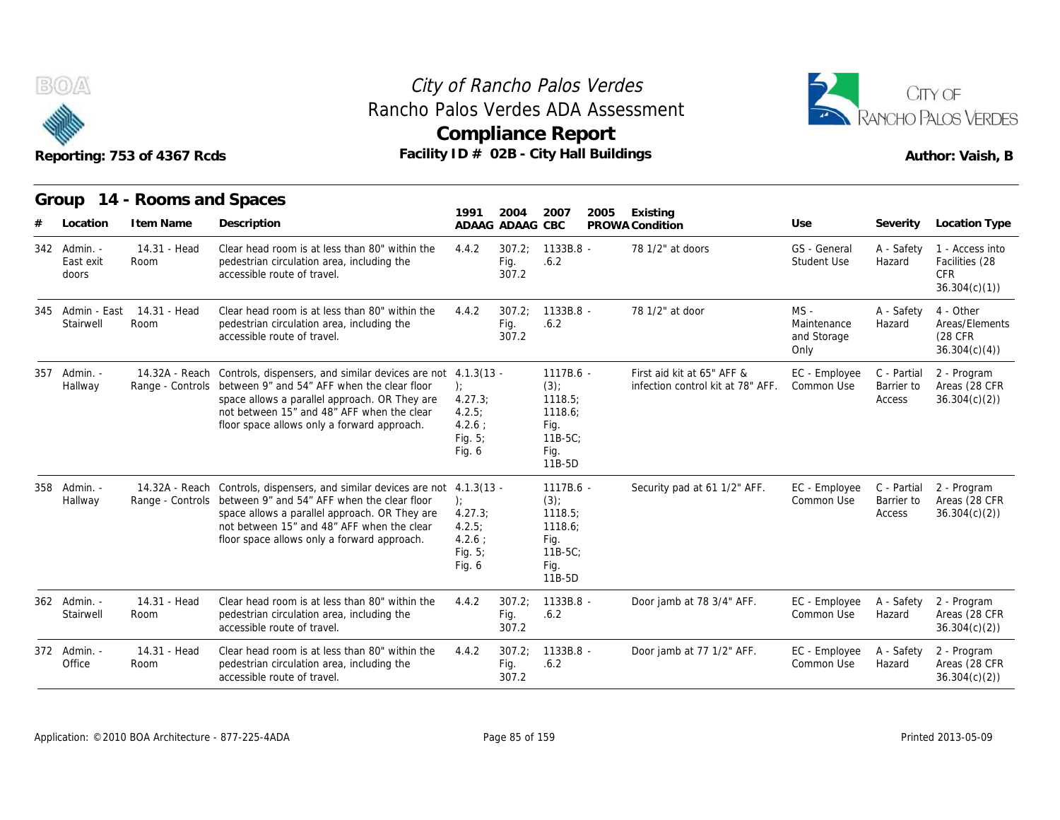

### **Compliance Report** Rancho Palos Verdes ADA Assessment



|                                    | Reporting: 753 of 4367 Rcds               |                                                                                                                                                                                                                                                                                           |                                                               |                         | Rancho Palos Verdes ADA Assessment<br><b>Compliance Report</b><br>Facility ID # 02B - City Hall Buildings |                                                                 |                                              |                                     | RANCHO PALOS VERDES<br>Author: Vaish, B                         |
|------------------------------------|-------------------------------------------|-------------------------------------------------------------------------------------------------------------------------------------------------------------------------------------------------------------------------------------------------------------------------------------------|---------------------------------------------------------------|-------------------------|-----------------------------------------------------------------------------------------------------------|-----------------------------------------------------------------|----------------------------------------------|-------------------------------------|-----------------------------------------------------------------|
| Location                           | Group 14 - Rooms and Spaces<br>I tem Name | Description                                                                                                                                                                                                                                                                               | 1991                                                          | 2004<br>ADAAG ADAAG CBC | 2007<br>2005                                                                                              | Existing<br>PROWA Condition                                     | Use                                          | Severity                            | Location Type                                                   |
| 342 Admin. -<br>East exit<br>doors | 14.31 - Head<br>Room                      | Clear head room is at less than 80" within the<br>pedestrian circulation area, including the<br>accessible route of travel.                                                                                                                                                               | 4.4.2                                                         | 307.2:<br>Fig.<br>307.2 | 1133B.8 -<br>.6.2                                                                                         | 78 1/2" at doors                                                | GS - General<br>Student Use                  | A - Safety<br>Hazard                | 1 - Access into<br>Facilities (28<br><b>CFR</b><br>36.304(c)(1) |
| 345 Admin - East<br>Stairwell      | 14.31 - Head<br>Room                      | Clear head room is at less than 80" within the<br>pedestrian circulation area, including the<br>accessible route of travel.                                                                                                                                                               | 4.4.2                                                         | 307.2:<br>Fig.<br>307.2 | $1133B.8 -$<br>.6.2                                                                                       | 78 1/2" at door                                                 | $MS -$<br>Maintenance<br>and Storage<br>Only | A - Safety<br>Hazard                | 4 - Other<br>Areas/Elements<br>(28 CFR)<br>36.304(c)(4)         |
| 357 Admin. -<br>Hallway            | Range - Controls                          | 14.32A - Reach Controls, dispensers, and similar devices are not 4.1.3(13 -<br>between 9" and 54" AFF when the clear floor<br>space allows a parallel approach. OR They are<br>not between 15" and 48" AFF when the clear<br>floor space allows only a forward approach.                  | $\cdot$<br>4.27.3<br>4.2.5:<br>4.2.6:<br>Fig. $5$ ;<br>Fig. 6 |                         | 1117B.6 -<br>$(3)$ ;<br>1118.5;<br>1118.6;<br>Fig.<br>$11B-5C$<br>Fig.<br>11B-5D                          | First aid kit at 65" AFF &<br>infection control kit at 78" AFF. | EC - Employee<br>Common Use                  | C - Partial<br>Barrier to<br>Access | 2 - Program<br>Areas (28 CFR<br>36.304(c)(2)                    |
| 358 Admin. -<br>Hallway            |                                           | 14.32A - Reach Controls, dispensers, and similar devices are not 4.1.3(13 -<br>Range - Controls between 9" and 54" AFF when the clear floor<br>space allows a parallel approach. OR They are<br>not between 15" and 48" AFF when the clear<br>floor space allows only a forward approach. | $\cdot$<br>4.27.3<br>4.2.5:<br>4.2.6:<br>Fig. $5$ ;<br>Fig. 6 |                         | $1117B.6 -$<br>(3)<br>1118.5;<br>1118.6;<br>Fig.<br>$11B-5C$<br>Fig.<br>11B-5D                            | Security pad at 61 1/2" AFF.                                    | EC - Employee<br>Common Use                  | C - Partial<br>Barrier to<br>Access | 2 - Program<br>Areas (28 CFR<br>36.304(c)(2)                    |
| 362 Admin. -<br>Stairwell          | 14.31 - Head<br>Room                      | Clear head room is at less than 80" within the<br>pedestrian circulation area, including the<br>accessible route of travel.                                                                                                                                                               | 4.4.2                                                         | 307.2;<br>Fig.<br>307.2 | $1133B.8 -$<br>.6.2                                                                                       | Door jamb at 78 3/4" AFF.                                       | EC - Employee<br>Common Use                  | A - Safety<br>Hazard                | 2 - Program<br>Areas (28 CFR<br>36.304(c)(2)                    |
| 372 Admin. -<br>Office             | 14.31 - Head<br>Room                      | Clear head room is at less than 80" within the<br>pedestrian circulation area, including the<br>accessible route of travel.                                                                                                                                                               | 4.4.2                                                         | 307.2;<br>Fig.<br>307.2 | $1133B.8 -$<br>.6.2                                                                                       | Door jamb at 77 1/2" AFF.                                       | EC - Employee<br>Common Use                  | A - Safety<br>Hazard                | 2 - Program<br>Areas (28 CFR<br>36.304(c)(2)                    |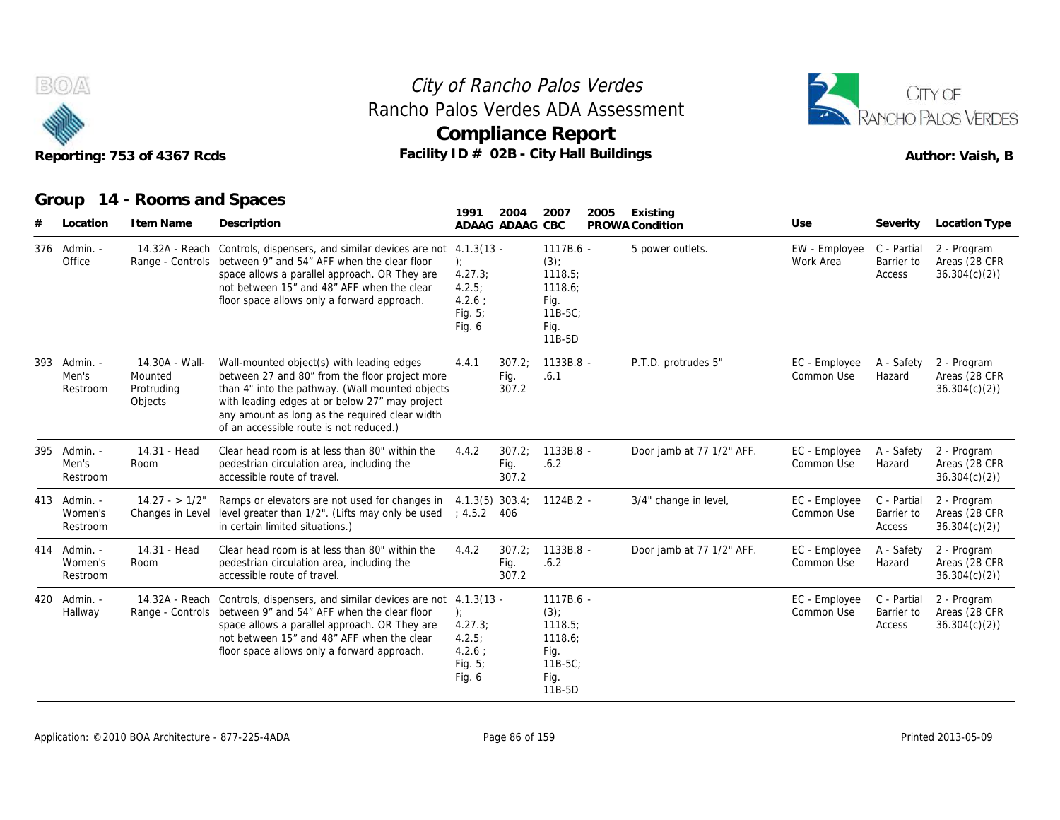



|     |                                     | Reporting: 753 of 4367 Rcds                        |                                                                                                                                                                                                                                                                                               |                                                                                  |                         | <b>Compliance Report</b><br>Facility ID # 02B - City Hall Buildings                |      |                             |                                        |                                     | Author: Vaish, B                             |
|-----|-------------------------------------|----------------------------------------------------|-----------------------------------------------------------------------------------------------------------------------------------------------------------------------------------------------------------------------------------------------------------------------------------------------|----------------------------------------------------------------------------------|-------------------------|------------------------------------------------------------------------------------|------|-----------------------------|----------------------------------------|-------------------------------------|----------------------------------------------|
|     | Group<br>Location                   | 14 - Rooms and Spaces<br>I tem Name                | Description                                                                                                                                                                                                                                                                                   | 1991                                                                             | 2004<br>ADAAG ADAAG CBC | 2007                                                                               | 2005 | Existing<br>PROWA Condition | Use                                    | Severity                            | <b>Location Type</b>                         |
|     | 376 Admin. -<br>Office              |                                                    | 14.32A - Reach Controls, dispensers, and similar devices are not 4.1.3(13 -<br>Range - Controls between 9" and 54" AFF when the clear floor<br>space allows a parallel approach. OR They are<br>not between 15" and 48" AFF when the clear<br>floor space allows only a forward approach.     | $\cdot$<br>4.27.3;<br>4.2.5:<br>4.2.6:<br>Fig. $5$ ;<br>Fig. 6                   |                         | 1117B.6 -<br>$(3)$ ;<br>1118.5;<br>1118.6;<br>Fig.<br>$11B-5C$ ;<br>Fig.<br>11B-5D |      | 5 power outlets.            | EW - Employee C - Partial<br>Work Area | Barrier to<br>Access                | 2 - Program<br>Areas (28 CFR<br>36.304(c)(2) |
| 393 | - Admin.<br>Men's<br>Restroom       | 14.30A - Wall-<br>Mounted<br>Protruding<br>Objects | Wall-mounted object(s) with leading edges<br>between 27 and 80" from the floor project more<br>than 4" into the pathway. (Wall mounted objects<br>with leading edges at or below 27" may project<br>any amount as long as the required clear width<br>of an accessible route is not reduced.) | 4.4.1                                                                            | 307.2:<br>Fig.<br>307.2 | 1133B.8 -<br>.6.1                                                                  |      | P.T.D. protrudes 5"         | EC - Employee<br>Common Use            | A - Safety<br>Hazard                | 2 - Program<br>Areas (28 CFR<br>36.304(c)(2) |
| 395 | Admin. -<br>Men's<br>Restroom       | 14.31 - Head<br>Room                               | Clear head room is at less than 80" within the<br>pedestrian circulation area, including the<br>accessible route of travel.                                                                                                                                                                   | 4.4.2                                                                            | 307.2:<br>Fig.<br>307.2 | 1133B.8 -<br>.6.2                                                                  |      | Door jamb at 77 1/2" AFF.   | EC - Employee<br>Common Use            | A - Safety<br>Hazard                | 2 - Program<br>Areas (28 CFR<br>36.304(c)(2) |
|     | 413 Admin. -<br>Women's<br>Restroom | $14.27 - 1/2"$<br>Changes in Level                 | Ramps or elevators are not used for changes in<br>level greater than 1/2". (Lifts may only be used<br>in certain limited situations.)                                                                                                                                                         | ; 4.5.2 406                                                                      |                         | $4.1.3(5)$ 303.4; 1124B.2 -                                                        |      | 3/4" change in level,       | EC - Employee<br>Common Use            | C - Partial<br>Barrier to<br>Access | 2 - Program<br>Areas (28 CFR<br>36.304(c)(2) |
|     | 414 Admin. -<br>Women's<br>Restroom | 14.31 - Head<br>Room                               | Clear head room is at less than 80" within the<br>pedestrian circulation area, including the<br>accessible route of travel.                                                                                                                                                                   | 4.4.2                                                                            | 307.2;<br>Fig.<br>307.2 | 1133B.8 -<br>.6.2                                                                  |      | Door jamb at 77 1/2" AFF.   | EC - Employee<br>Common Use            | A - Safety<br>Hazard                | 2 - Program<br>Areas (28 CFR<br>36.304(c)(2) |
|     | 420 Admin. -<br>Hallway             | 14.32A - Reach                                     | Controls, dispensers, and similar devices are not<br>Range - Controls between 9" and 54" AFF when the clear floor<br>space allows a parallel approach. OR They are<br>not between 15" and 48" AFF when the clear<br>floor space allows only a forward approach.                               | $4.1.3(13 -$<br>$\cdot$<br>4.27.3<br>4.2.5;<br>$4.2.6$ ;<br>Fig. $5$ ;<br>Fig. 6 |                         | 1117B.6 -<br>$(3)$ ;<br>1118.5;<br>1118.6;<br>Fig.<br>$11B-5C$<br>Fig.<br>$11B-5D$ |      |                             | EC - Employee<br>Common Use            | C - Partial<br>Barrier to<br>Access | 2 - Program<br>Areas (28 CFR<br>36.304(c)(2) |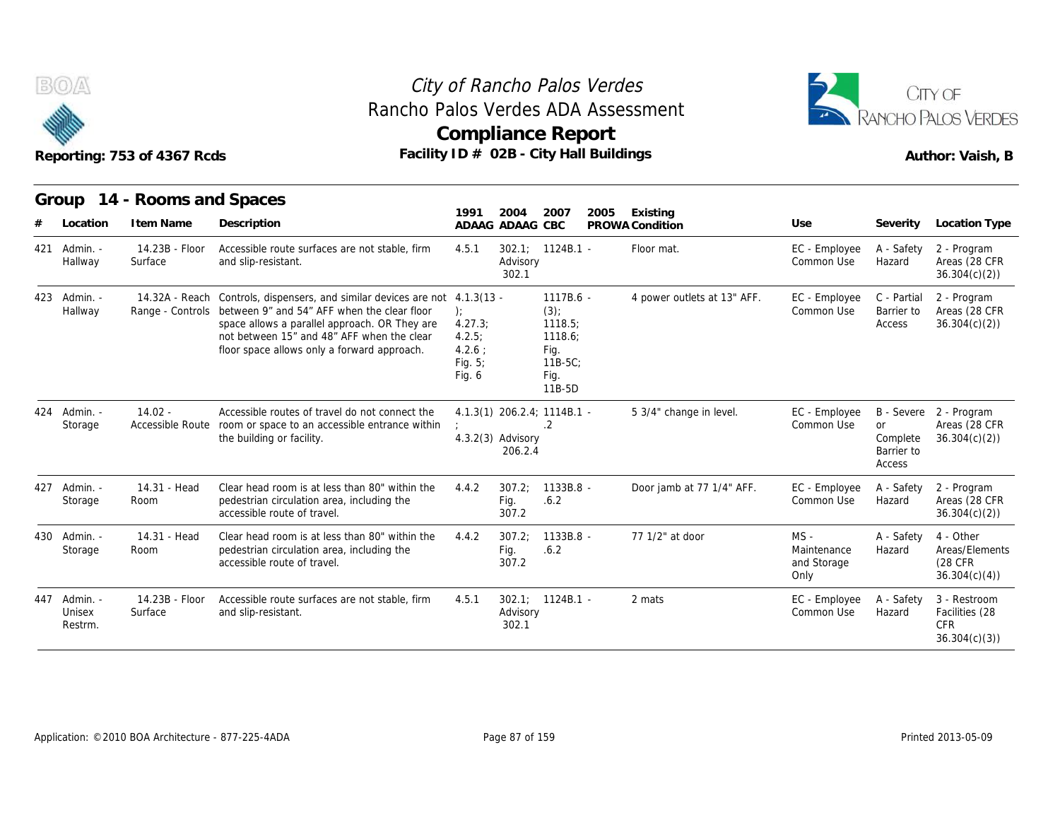



|     |                               | Reporting: 753 of 4367 Rcds         | Rancho Palos Verdes ADA Assessment                                                                                                                                                                                                                                                        |                                                                   |                                | <b>Compliance Report</b><br>Facility ID # 02B - City Hall Buildings             |      |                             |                                              |                                               | CITY OF<br>RANCHO PALOS VERDES<br>Author: Vaish, B           |
|-----|-------------------------------|-------------------------------------|-------------------------------------------------------------------------------------------------------------------------------------------------------------------------------------------------------------------------------------------------------------------------------------------|-------------------------------------------------------------------|--------------------------------|---------------------------------------------------------------------------------|------|-----------------------------|----------------------------------------------|-----------------------------------------------|--------------------------------------------------------------|
|     | Group<br>Location             | 14 - Rooms and Spaces<br>I tem Name | Description                                                                                                                                                                                                                                                                               | 1991                                                              | 2004<br>ADAAG ADAAG CBC        | 2007                                                                            | 2005 | Existing<br>PROWA Condition | Use                                          | Severity                                      | <b>Location Type</b>                                         |
|     | 421 Admin. -<br>Hallway       | 14.23B - Floor<br>Surface           | Accessible route surfaces are not stable, firm<br>and slip-resistant.                                                                                                                                                                                                                     | 4.5.1                                                             | Advisory<br>302.1              | $302.1$ ; $1124B.1$ -                                                           |      | Floor mat.                  | EC - Employee<br>Common Use                  | A - Safety<br>Hazard                          | 2 - Program<br>Areas (28 CFR<br>36.304(c)(2)                 |
|     | 423 Admin. -<br>Hallway       |                                     | 14.32A - Reach Controls, dispensers, and similar devices are not 4.1.3(13 -<br>Range - Controls between 9" and 54" AFF when the clear floor<br>space allows a parallel approach. OR They are<br>not between 15" and 48" AFF when the clear<br>floor space allows only a forward approach. | $\cdot$<br>4.27.3;<br>4.2.5:<br>$4.2.6$ ;<br>Fig. $5$ ;<br>Fig. 6 |                                | 1117B.6 -<br>$(3)$ ;<br>1118.5;<br>1118.6;<br>Fig.<br>11B-5C;<br>Fig.<br>11B-5D |      | 4 power outlets at 13" AFF. | EC - Employee<br>Common Use                  | C - Partial<br>Barrier to<br>Access           | 2 - Program<br>Areas (28 CFR<br>36.304(c)(2)                 |
|     | 424 Admin. -<br>Storage       | $14.02 -$<br>Accessible Route       | Accessible routes of travel do not connect the<br>room or space to an accessible entrance within<br>the building or facility.                                                                                                                                                             |                                                                   | $4.3.2(3)$ Advisory<br>206.2.4 | 4.1.3(1) 206.2.4; 1114B.1 -<br>.2                                               |      | 5 3/4" change in level.     | EC - Employee<br>Common Use                  | <b>or</b><br>Complete<br>Barrier to<br>Access | B - Severe 2 - Program<br>Areas (28 CFR<br>36.304(c)(2)      |
|     | 427 Admin. -<br>Storage       | 14.31 - Head<br>Room                | Clear head room is at less than 80" within the<br>pedestrian circulation area, including the<br>accessible route of travel.                                                                                                                                                               | 4.4.2                                                             | 307.2<br>Fig.<br>307.2         | 1133B.8 -<br>.6.2                                                               |      | Door jamb at 77 1/4" AFF.   | EC - Employee<br>Common Use                  | A - Safety<br>Hazard                          | 2 - Program<br>Areas (28 CFR<br>36.304(c)(2)                 |
|     | 430 Admin. -<br>Storage       | 14.31 - Head<br>Room                | Clear head room is at less than 80" within the<br>pedestrian circulation area, including the<br>accessible route of travel.                                                                                                                                                               | 4.4.2                                                             | 307.2<br>Fig.<br>307.2         | 1133B.8 -<br>.6.2                                                               |      | 77 1/2" at door             | $MS -$<br>Maintenance<br>and Storage<br>Only | A - Safety<br>Hazard                          | 4 - Other<br>Areas/Elements<br>(28 CFR)<br>36.304(c)(4)      |
| 447 | - Admin.<br>Unisex<br>Restrm. | 14.23B - Floor<br>Surface           | Accessible route surfaces are not stable, firm<br>and slip-resistant.                                                                                                                                                                                                                     | 4.5.1                                                             | Advisory<br>302.1              | $302.1: 1124B.1 -$                                                              |      | 2 mats                      | EC - Employee<br>Common Use                  | A - Safety<br>Hazard                          | 3 - Restroom<br>Facilities (28<br><b>CFR</b><br>36.301(c)(3) |

A - Safety 3 - Restroom Hazard Facilities (28 CFR 36.304(c)(3))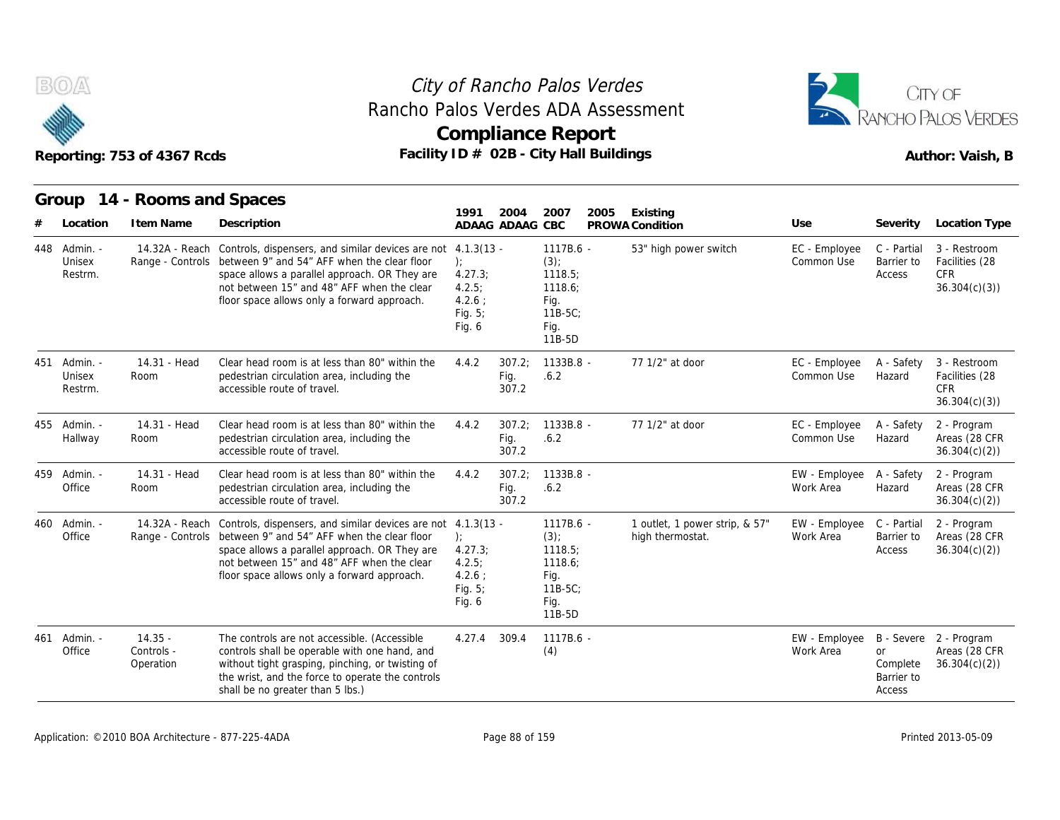



|     |                               | Reporting: 753 of 4367 Rcds          |                                                                                                                                                                                                                                                                            |                                                                                   |                         | <b>Compliance Report</b><br>Facility ID # 02B - City Hall Buildings                |      |                                                    |                             |                                               | Author: Vaish, B                                             |
|-----|-------------------------------|--------------------------------------|----------------------------------------------------------------------------------------------------------------------------------------------------------------------------------------------------------------------------------------------------------------------------|-----------------------------------------------------------------------------------|-------------------------|------------------------------------------------------------------------------------|------|----------------------------------------------------|-----------------------------|-----------------------------------------------|--------------------------------------------------------------|
|     | Group<br>Location             | 14 - Rooms and Spaces<br>I tem Name  | Description                                                                                                                                                                                                                                                                | 1991<br>ADAAG ADAAG CBC                                                           | 2004                    | 2007                                                                               | 2005 | Existing<br>PROWA Condition                        | Use                         | Severity                                      | Location Type                                                |
| 448 | Admin. -<br>Unisex<br>Restrm. | 14.32A - Reach                       | Controls, dispensers, and similar devices are not<br>Range - Controls between 9" and 54" AFF when the clear floor<br>space allows a parallel approach. OR They are<br>not between 15" and 48" AFF when the clear<br>floor space allows only a forward approach.            | $4.1.3(13 -$<br>$\cdot$<br>4.27.3;<br>4.2.5:<br>$4.2.6$ :<br>Fig. $5$ ;<br>Fig. 6 |                         | 1117B.6 -<br>$(3)$ ;<br>1118.5;<br>1118.6;<br>Fig.<br>$11B-5C$<br>Fig.<br>11B-5D   |      | 53" high power switch                              | EC - Employee<br>Common Use | C - Partial<br>Barrier to<br>Access           | 3 - Restroom<br>Facilities (28<br><b>CFR</b><br>36.304(c)(3) |
| 451 | - Admin.<br>Unisex<br>Restrm. | 14.31 - Head<br>Room                 | Clear head room is at less than 80" within the<br>pedestrian circulation area, including the<br>accessible route of travel.                                                                                                                                                | 4.4.2                                                                             | 307.2;<br>Fig.<br>307.2 | 1133B.8 -<br>.6.2                                                                  |      | 77 1/2" at door                                    | EC - Employee<br>Common Use | A - Safety<br>Hazard                          | 3 - Restroom<br>Facilities (28<br><b>CFR</b><br>36.304(c)(3) |
|     | 455 Admin. -<br>Hallway       | 14.31 - Head<br>Room                 | Clear head room is at less than 80" within the<br>pedestrian circulation area, including the<br>accessible route of travel.                                                                                                                                                | 4.4.2                                                                             | 307.2:<br>Fig.<br>307.2 | $1133B.8 -$<br>.6.2                                                                |      | 77 1/2" at door                                    | EC - Employee<br>Common Use | A - Safety<br>Hazard                          | 2 - Program<br>Areas (28 CFR<br>36.304(c)(2)                 |
| 459 | Admin. -<br>Office            | 14.31 - Head<br>Room                 | Clear head room is at less than 80" within the<br>pedestrian circulation area, including the<br>accessible route of travel.                                                                                                                                                | 4.4.2                                                                             | 307.2;<br>Fig.<br>307.2 | 1133B.8 -<br>.6.2                                                                  |      |                                                    | EW - Employee<br>Work Area  | A - Safety<br>Hazard                          | 2 - Program<br>Areas (28 CFR<br>36.304(c)(2)                 |
| 460 | - Admin.<br>Office            | 14.32A - Reach                       | Controls, dispensers, and similar devices are not 4.1.3(13 -<br>Range - Controls between 9" and 54" AFF when the clear floor<br>space allows a parallel approach. OR They are<br>not between 15" and 48" AFF when the clear<br>floor space allows only a forward approach. | $\cdot$<br>4.27.3;<br>4.2.5:<br>$4.2.6$ :<br>Fig. 5;<br>Fig. 6                    |                         | 1117B.6 -<br>$(3)$ ;<br>1118.5;<br>1118.6;<br>Fig.<br>$11B-5C$ ;<br>Fig.<br>11B-5D |      | 1 outlet, 1 power strip, & 57"<br>high thermostat. | EW - Employee<br>Work Area  | C - Partial<br>Barrier to<br>Access           | 2 - Program<br>Areas (28 CFR<br>36.304(c)(2)                 |
| 461 | Admin.<br>Office              | $14.35 -$<br>Controls -<br>Operation | The controls are not accessible. (Accessible<br>controls shall be operable with one hand, and<br>without tight grasping, pinching, or twisting of<br>the wrist, and the force to operate the controls<br>shall be no greater than 5 lbs.)                                  | 4.27.4                                                                            | 309.4                   | 1117B.6 -<br>(4)                                                                   |      |                                                    | EW - Employee<br>Work Area  | <b>or</b><br>Complete<br>Barrier to<br>Access | B - Severe 2 - Program<br>Areas (28 CFR<br>36.304(c)(2)      |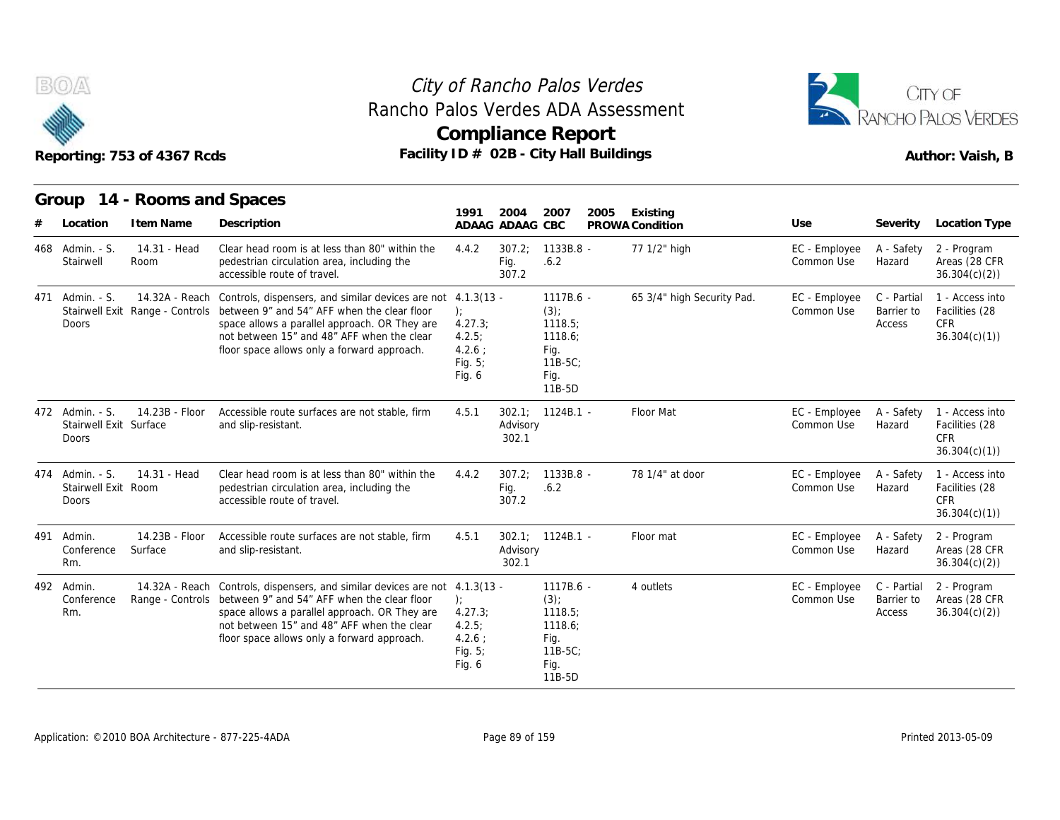



|     |                                                           | Reporting: 753 of 4367 Rcds | Facility ID # 02B - City Hall Buildings                                                                                                                                                                                                                                                                  |                                                                   |                         | <b>Compliance Report</b>                                                           |      |                            |                             |                                     | Author: Vaish, B                                                |
|-----|-----------------------------------------------------------|-----------------------------|----------------------------------------------------------------------------------------------------------------------------------------------------------------------------------------------------------------------------------------------------------------------------------------------------------|-------------------------------------------------------------------|-------------------------|------------------------------------------------------------------------------------|------|----------------------------|-----------------------------|-------------------------------------|-----------------------------------------------------------------|
|     |                                                           | Group 14 - Rooms and Spaces |                                                                                                                                                                                                                                                                                                          | 1991                                                              | 2004                    | 2007                                                                               | 2005 | Existing                   |                             |                                     |                                                                 |
|     | Location                                                  | I tem Name                  | Description                                                                                                                                                                                                                                                                                              | ADAAG ADAAG CBC                                                   |                         |                                                                                    |      | PROWA Condition            | Use                         | Severity                            | Location Type                                                   |
|     | 468 Admin. - S.<br>Stairwell                              | 14.31 - Head<br>Room        | Clear head room is at less than 80" within the<br>pedestrian circulation area, including the<br>accessible route of travel.                                                                                                                                                                              | 4.4.2                                                             | 307.2:<br>Fig.<br>307.2 | $1133B.8 -$<br>.6.2                                                                |      | 77 1/2" high               | EC - Employee<br>Common Use | A - Safety<br>Hazard                | 2 - Program<br>Areas (28 CFR<br>36.304(c)(2)                    |
| 471 | Admin. - S.<br>Doors                                      |                             | 14.32A - Reach Controls, dispensers, and similar devices are not 4.1.3(13 -<br>Stairwell Exit Range - Controls between 9" and 54" AFF when the clear floor<br>space allows a parallel approach. OR They are<br>not between 15" and 48" AFF when the clear<br>floor space allows only a forward approach. | $\cdot$<br>4.27.3;<br>4.2.5:<br>$4.2.6$ :<br>Fig. $5$ ;<br>Fig. 6 |                         | 1117B.6 -<br>$(3)$ ;<br>1118.5;<br>1118.6;<br>Fig.<br>$11B-5C$ ;<br>Fig.<br>11B-5D |      | 65 3/4" high Security Pad. | EC - Employee<br>Common Use | C - Partial<br>Barrier to<br>Access | 1 - Access into<br>Facilities (28<br><b>CFR</b><br>36.304(c)(1) |
|     | 472 Admin. - S.<br>Stairwell Exit Surface<br><b>Doors</b> | 14.23B - Floor              | Accessible route surfaces are not stable, firm<br>and slip-resistant.                                                                                                                                                                                                                                    | 4.5.1                                                             | Advisory<br>302.1       | 302.1; 1124B.1 -                                                                   |      | Floor Mat                  | EC - Employee<br>Common Use | A - Safety<br>Hazard                | 1 - Access into<br>Facilities (28<br><b>CFR</b><br>36.304(c)(1) |
|     | 474 Admin. - S.<br>Stairwell Exit Room<br>Doors           | 14.31 - Head                | Clear head room is at less than 80" within the<br>pedestrian circulation area, including the<br>accessible route of travel.                                                                                                                                                                              | 4.4.2                                                             | 307.2:<br>Fig.<br>307.2 | 1133B.8 -<br>.6.2                                                                  |      | 78 1/4" at door            | EC - Employee<br>Common Use | A - Safety<br>Hazard                | 1 - Access into<br>Facilities (28<br><b>CFR</b><br>36.304(c)(1) |
| 491 | Admin.<br>Conference<br>Rm.                               | 14.23B - Floor<br>Surface   | Accessible route surfaces are not stable, firm<br>and slip-resistant.                                                                                                                                                                                                                                    | 4.5.1                                                             | Advisory<br>302.1       | $302.1$ ; $1124B.1$ -                                                              |      | Floor mat                  | EC - Employee<br>Common Use | A - Safety<br>Hazard                | 2 - Program<br>Areas (28 CFR<br>36.304(c)(2)                    |
|     | 492 Admin.<br>Conference<br>Rm.                           | 14.32A - Reach              | Controls, dispensers, and similar devices are not 4.1.3(13 -<br>Range - Controls between 9" and 54" AFF when the clear floor<br>space allows a parallel approach. OR They are<br>not between 15" and 48" AFF when the clear<br>floor space allows only a forward approach.                               | $\cdot$<br>4.27.3;<br>4.2.5:<br>4.2.6:<br>Fig. $5$ ;<br>Fig. 6    |                         | 1117B.6 -<br>$(3)$ ;<br>1118.5;<br>1118.6;<br>Fig.<br>11B-5C;<br>Fig.<br>$11B-5D$  |      | 4 outlets                  | EC - Employee<br>Common Use | C - Partial<br>Barrier to<br>Access | 2 - Program<br>Areas (28 CFR<br>36.304(c)(2)                    |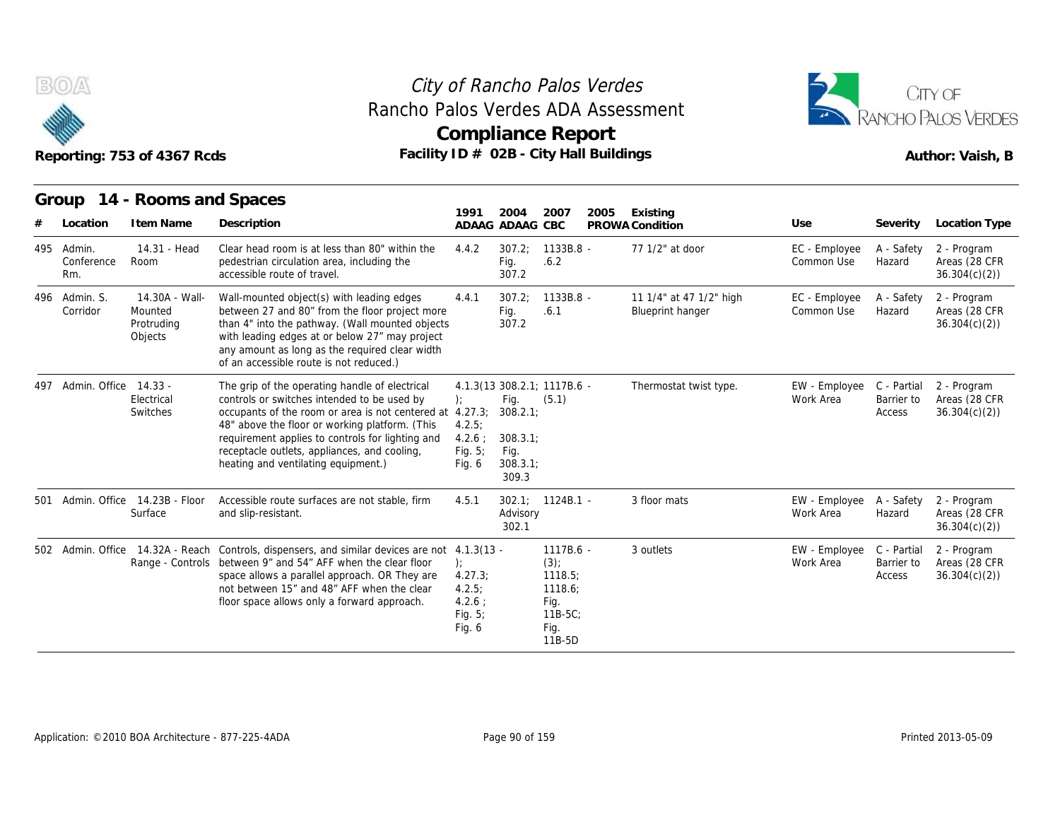

# Rancho Palos Verdes ADA Assessment



|                                 | Reporting: 753 of 4367 Rcds                        | Rancho Palos Verdes ADA Assessment                                                                                                                                                                                                                                                                                                                     |                                                               |                                                        | <b>Compliance Report</b><br>Facility ID # 02B - City Hall Buildings                |                                                    |                             | ANCHO PALOS VERDES<br>Author: Vaish, B |                                              |
|---------------------------------|----------------------------------------------------|--------------------------------------------------------------------------------------------------------------------------------------------------------------------------------------------------------------------------------------------------------------------------------------------------------------------------------------------------------|---------------------------------------------------------------|--------------------------------------------------------|------------------------------------------------------------------------------------|----------------------------------------------------|-----------------------------|----------------------------------------|----------------------------------------------|
| Group<br>Location               | 14 - Rooms and Spaces<br>I tem Name                | Description                                                                                                                                                                                                                                                                                                                                            | 1991                                                          | 2004<br>ADAAG ADAAG CBC                                | 2007<br>2005                                                                       | Existing<br>PROWA Condition                        | Use                         | Severity                               | <b>Location Type</b>                         |
| 495 Admin.<br>Conference<br>Rm. | 14.31 - Head<br>Room                               | Clear head room is at less than 80" within the<br>pedestrian circulation area, including the<br>accessible route of travel.                                                                                                                                                                                                                            | 4.4.2                                                         | 307.2:<br>Fig.<br>307.2                                | $1133B.8 -$<br>.6.2                                                                | 77 1/2" at door                                    | EC - Employee<br>Common Use | A - Safety<br>Hazard                   | 2 - Program<br>Areas (28 CFR<br>36.304(c)(2) |
| 496 Admin. S.<br>Corridor       | 14.30A - Wall-<br>Mounted<br>Protruding<br>Objects | Wall-mounted object(s) with leading edges<br>between 27 and 80" from the floor project more<br>than 4" into the pathway. (Wall mounted objects<br>with leading edges at or below 27" may project<br>any amount as long as the required clear width<br>of an accessible route is not reduced.)                                                          | 4.4.1                                                         | 307.2:<br>Fig.<br>307.2                                | $1133B.8 -$<br>.6.1                                                                | 11 1/4" at 47 1/2" high<br><b>Blueprint hanger</b> | EC - Employee<br>Common Use | A - Safety<br>Hazard                   | 2 - Program<br>Areas (28 CFR<br>36.304(c)(2) |
| 497 Admin. Office 14.33 -       | Electrical<br><b>Switches</b>                      | The grip of the operating handle of electrical<br>controls or switches intended to be used by<br>occupants of the room or area is not centered at 4.27.3;<br>48" above the floor or working platform. (This<br>requirement applies to controls for lighting and<br>receptacle outlets, appliances, and cooling,<br>heating and ventilating equipment.) | ):<br>4.2.5<br>$4.2.6$ ;<br>Fig. 5;<br>Fig. 6                 | Fig.<br>308.2.1<br>308.3.1<br>Fig.<br>308.3.1<br>309.3 | 4.1.3(13 308.2.1; 1117B.6 -<br>(5.1)                                               | Thermostat twist type.                             | EW - Employee<br>Work Area  | C - Partial<br>Barrier to<br>Access    | 2 - Program<br>Areas (28 CFR<br>36.304(c)(2) |
|                                 | 501 Admin. Office 14.23B - Floor<br>Surface        | Accessible route surfaces are not stable, firm<br>and slip-resistant.                                                                                                                                                                                                                                                                                  | 4.5.1                                                         | Advisory<br>302.1                                      | $302.1: 1124B.1 -$                                                                 | 3 floor mats                                       | EW - Employee<br>Work Area  | A - Safety<br>Hazard                   | 2 - Program<br>Areas (28 CFR<br>36.304(c)(2) |
|                                 |                                                    | 502 Admin. Office 14.32A - Reach Controls, dispensers, and similar devices are not 4.1.3(13 -<br>Range - Controls between 9" and 54" AFF when the clear floor<br>space allows a parallel approach. OR They are<br>not between 15" and 48" AFF when the clear<br>floor space allows only a forward approach.                                            | $\cdot$<br>4.27.3;<br>4.2.5<br>$4.2.6$ :<br>Fig. 5;<br>Fig. 6 |                                                        | $1117B.6 -$<br>$(3)$ ;<br>1118.5:<br>1118.6:<br>Fig.<br>$11B-5C$<br>Fig.<br>11B-5D | 3 outlets                                          | EW - Employee<br>Work Area  | C - Partial<br>Barrier to<br>Access    | 2 - Program<br>Areas (28 CFR<br>36.304(c)(2) |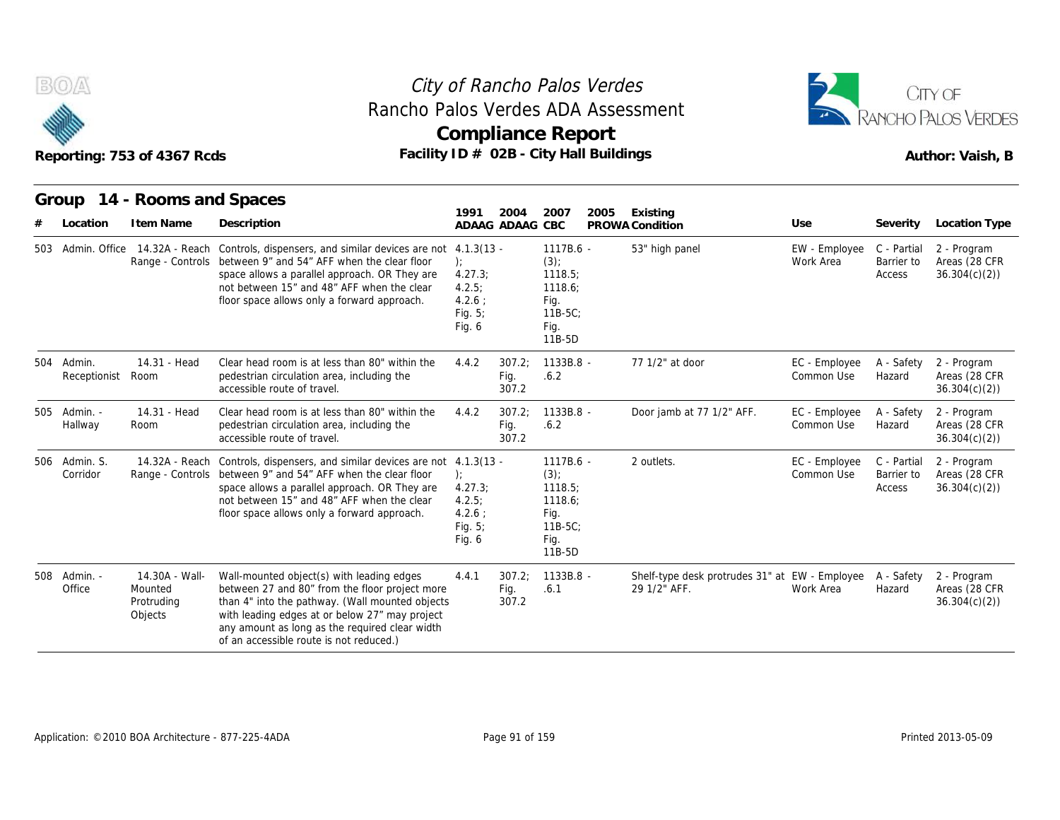



| Rancho Palos Verdes ADA Assessment<br>Reporting: 753 of 4367 Rcds |                                                    |                                                                                                                                                                                                                                                                                               |                                                                               |                         | City of Rancho Palos Verdes<br><b>Compliance Report</b><br>Facility ID # 02B - City Hall Buildings |      |                                                                | CITY OF<br>RANCHO PALOS VERDES<br>Author: Vaish, B |                                     |                                              |
|-------------------------------------------------------------------|----------------------------------------------------|-----------------------------------------------------------------------------------------------------------------------------------------------------------------------------------------------------------------------------------------------------------------------------------------------|-------------------------------------------------------------------------------|-------------------------|----------------------------------------------------------------------------------------------------|------|----------------------------------------------------------------|----------------------------------------------------|-------------------------------------|----------------------------------------------|
| Group<br>Location                                                 | 14 - Rooms and Spaces<br>I tem Name                | Description                                                                                                                                                                                                                                                                                   | 1991                                                                          | 2004<br>ADAAG ADAAG CBC | 2007                                                                                               | 2005 | Existing<br>PROWA Condition                                    | Use                                                | Severity                            | Location Type                                |
| 503 Admin, Office                                                 |                                                    | 14.32A - Reach Controls, dispensers, and similar devices are not<br>Range - Controls between 9" and 54" AFF when the clear floor<br>space allows a parallel approach. OR They are<br>not between 15" and 48" AFF when the clear<br>floor space allows only a forward approach.                | $4.1.3(13 -$<br>$\cdot$<br>4.27.3;<br>4.2.5<br>$4.2.6$ :<br>Fig. 5;<br>Fig. 6 |                         | 1117B.6 -<br>$(3)$ ;<br>1118.5;<br>1118.6:<br>Fig.<br>$11B-5C$<br>Fig.<br>11B-5D                   |      | 53" high panel                                                 | EW - Employee<br>Work Area                         | C - Partial<br>Barrier to<br>Access | 2 - Program<br>Areas (28 CFR<br>36.304(c)(2) |
| 504 Admin.<br>Receptionist                                        | 14.31 - Head<br>Room                               | Clear head room is at less than 80" within the<br>pedestrian circulation area, including the<br>accessible route of travel.                                                                                                                                                                   | 4.4.2                                                                         | 307.2:<br>Fig.<br>307.2 | $1133B.8 -$<br>.6.2                                                                                |      | 77 1/2" at door                                                | EC - Employee<br>Common Use                        | A - Safety<br>Hazard                | 2 - Program<br>Areas (28 CFR<br>36.304(c)(2) |
| 505 Admin. -<br>Hallway                                           | 14.31 - Head<br>Room                               | Clear head room is at less than 80" within the<br>pedestrian circulation area, including the<br>accessible route of travel.                                                                                                                                                                   | 4.4.2                                                                         | 307.2:<br>Fig.<br>307.2 | $1133B.8 -$<br>.6.2                                                                                |      | Door jamb at 77 1/2" AFF.                                      | EC - Employee<br>Common Use                        | A - Safety<br>Hazard                | 2 - Program<br>Areas (28 CFR<br>36.304(c)(2) |
| 506 Admin. S.<br>Corridor                                         | 14.32A - Reach                                     | Controls, dispensers, and similar devices are not 4.1.3(13 -<br>Range - Controls between 9" and 54" AFF when the clear floor<br>space allows a parallel approach. OR They are<br>not between 15" and 48" AFF when the clear<br>floor space allows only a forward approach.                    | ):<br>4.27.3<br>4.2.5<br>4.2.6:<br>Fig. $5$ ;<br>Fig. 6                       |                         | 1117B.6 -<br>$(3)$ ;<br>1118.5;<br>1118.6;<br>Fig.<br>$11B-5C$<br>Fig.<br>11B-5D                   |      | 2 outlets.                                                     | EC - Employee<br>Common Use                        | C - Partial<br>Barrier to<br>Access | 2 - Program<br>Areas (28 CFR<br>36.304(c)(2) |
| 508 Admin. -<br>Office                                            | 14.30A - Wall-<br>Mounted<br>Protruding<br>Objects | Wall-mounted object(s) with leading edges<br>between 27 and 80" from the floor project more<br>than 4" into the pathway. (Wall mounted objects<br>with leading edges at or below 27" may project<br>any amount as long as the required clear width<br>of an accessible route is not reduced.) | 4.4.1                                                                         | 307.2:<br>Fig.<br>307.2 | 1133B.8 -<br>.6.1                                                                                  |      | Shelf-type desk protrudes 31" at EW - Employee<br>29 1/2" AFF. | Work Area                                          | A - Safety<br>Hazard                | 2 - Program<br>Areas (28 CFR<br>36.304(c)(2) |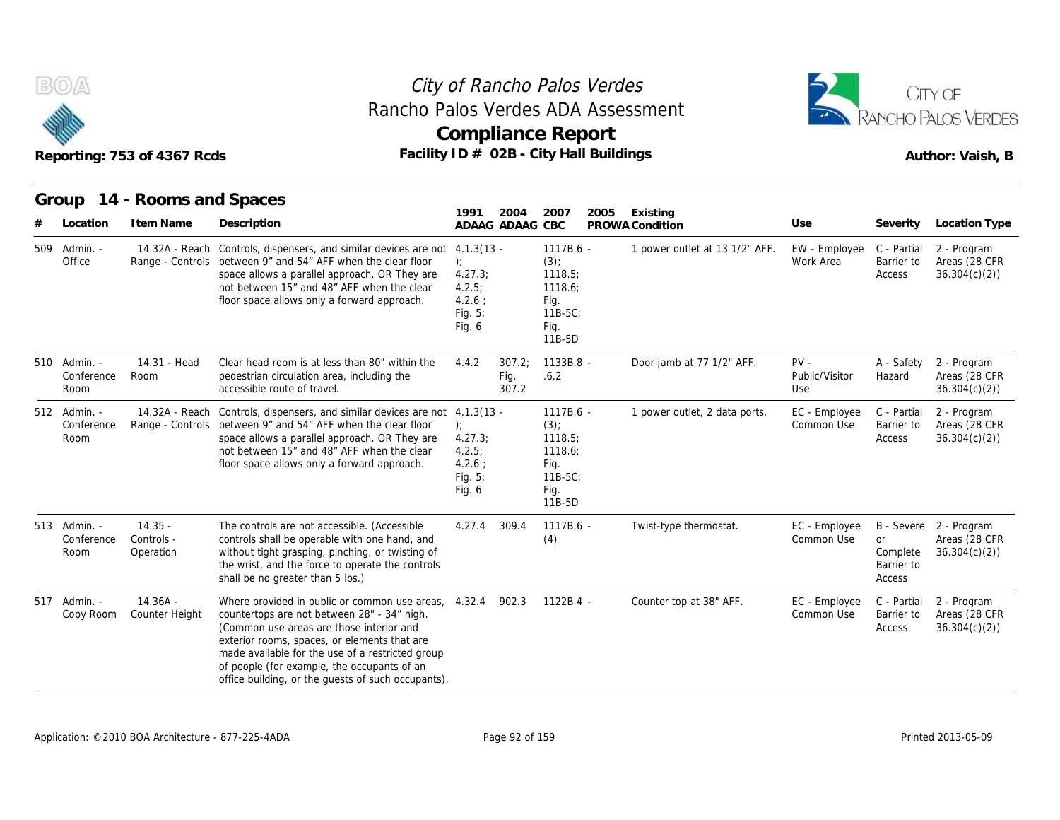



|                                    | Reporting: 753 of 4367 Rcds          | Facility ID # 02B - City Hall Buildings                                                                                                                                                                                                                                                                                                                  |                                                              |                         | <b>Compliance Report</b>                                                           |      |                                |                                 |                                               | Author: Vaish, B                                        |
|------------------------------------|--------------------------------------|----------------------------------------------------------------------------------------------------------------------------------------------------------------------------------------------------------------------------------------------------------------------------------------------------------------------------------------------------------|--------------------------------------------------------------|-------------------------|------------------------------------------------------------------------------------|------|--------------------------------|---------------------------------|-----------------------------------------------|---------------------------------------------------------|
|                                    | Group 14 - Rooms and Spaces          |                                                                                                                                                                                                                                                                                                                                                          | 1991                                                         | 2004                    | 2007                                                                               | 2005 | Existing                       |                                 |                                               |                                                         |
| Location                           | I tem Name                           | Description                                                                                                                                                                                                                                                                                                                                              |                                                              | ADAAG ADAAG CBC         |                                                                                    |      | PROWA Condition                | Use                             | Severity                                      | Location Type                                           |
| 509 Admin. -<br>Office             |                                      | 14.32A - Reach Controls, dispensers, and similar devices are not 4.1.3(13 -<br>Range - Controls between 9" and 54" AFF when the clear floor<br>space allows a parallel approach. OR They are<br>not between 15" and 48" AFF when the clear<br>floor space allows only a forward approach.                                                                | ):<br>4.27.3;<br>4.2.5;<br>$4.2.6$ :<br>Fig. $5$ ;<br>Fig. 6 |                         | 1117B.6 -<br>$(3)$ ;<br>1118.5;<br>1118.6;<br>Fig.<br>$11B-5C$ ;<br>Fig.<br>11B-5D |      | 1 power outlet at 13 1/2" AFF. | EW - Employee<br>Work Area      | C - Partial<br>Barrier to<br>Access           | 2 - Program<br>Areas (28 CFR<br>36.304(c)(2)            |
| 510 Admin. -<br>Conference<br>Room | 14.31 - Head<br>Room                 | Clear head room is at less than 80" within the<br>pedestrian circulation area, including the<br>accessible route of travel.                                                                                                                                                                                                                              | 4.4.2                                                        | 307.2;<br>Fig.<br>307.2 | 1133B.8 -<br>.6.2                                                                  |      | Door jamb at 77 1/2" AFF.      | $PV -$<br>Public/Visitor<br>Use | A - Safety<br>Hazard                          | 2 - Program<br>Areas (28 CFR<br>36.304(c)(2)            |
| 512 Admin. -<br>Conference<br>Room | 14.32A - Reach                       | Controls, dispensers, and similar devices are not 4.1.3(13 -<br>Range - Controls between 9" and 54" AFF when the clear floor<br>space allows a parallel approach. OR They are<br>not between 15" and 48" AFF when the clear<br>floor space allows only a forward approach.                                                                               | ):<br>4.27.3<br>4.2.5;<br>$4.2.6$ :<br>Fig. 5;<br>Fig. 6     |                         | 1117B.6 -<br>$(3)$ ;<br>1118.5;<br>1118.6;<br>Fig.<br>$11B-5C$ ;<br>Fig.<br>11B-5D |      | 1 power outlet, 2 data ports.  | EC - Employee<br>Common Use     | C - Partial<br>Barrier to<br>Access           | 2 - Program<br>Areas (28 CFR<br>36.304(c)(2)            |
| 513 Admin. -<br>Conference<br>Room | $14.35 -$<br>Controls -<br>Operation | The controls are not accessible. (Accessible<br>controls shall be operable with one hand, and<br>without tight grasping, pinching, or twisting of<br>the wrist, and the force to operate the controls<br>shall be no greater than 5 lbs.)                                                                                                                | 4.27.4                                                       | 309.4                   | 1117B.6 -<br>(4)                                                                   |      | Twist-type thermostat.         | EC - Employee<br>Common Use     | <b>or</b><br>Complete<br>Barrier to<br>Access | B - Severe 2 - Program<br>Areas (28 CFR<br>36.304(c)(2) |
| 517 Admin. -<br>Copy Room          | $14.36A -$<br>Counter Height         | Where provided in public or common use areas, 4.32.4<br>countertops are not between 28" - 34" high.<br>(Common use areas are those interior and<br>exterior rooms, spaces, or elements that are<br>made available for the use of a restricted group<br>of people (for example, the occupants of an<br>office building, or the guests of such occupants). |                                                              | 902.3                   | 1122B.4 -                                                                          |      | Counter top at 38" AFF.        | EC - Employee<br>Common Use     | C - Partial<br>Barrier to<br>Access           | 2 - Program<br>Areas (28 CFR<br>36.304(c)(2)            |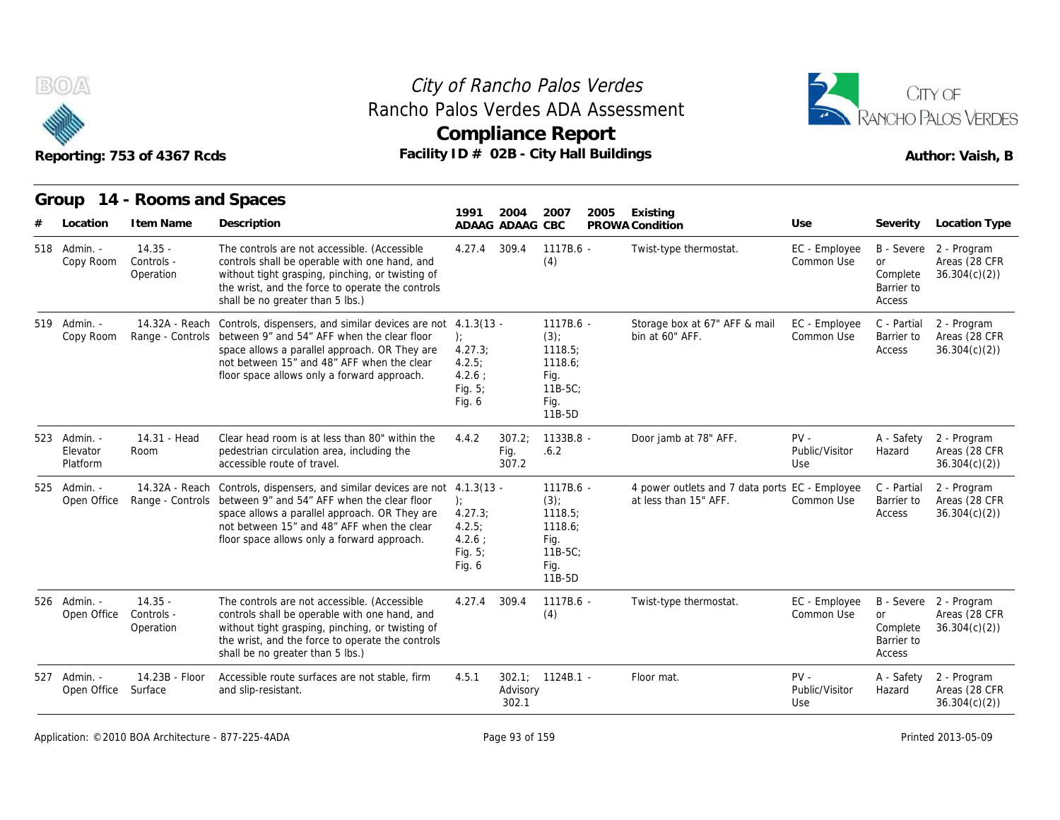



|                                       | Reporting: 753 of 4367 Rcds                        | Facility ID # 02B - City Hall Buildings                                                                                                                                                                                                                                                   |                                                                   |                          | <b>Compliance Report</b>                                                         |      |                                                                         |                                    |                                                    | RANCHO PALOS VERDES<br>Author: Vaish, B                                  |
|---------------------------------------|----------------------------------------------------|-------------------------------------------------------------------------------------------------------------------------------------------------------------------------------------------------------------------------------------------------------------------------------------------|-------------------------------------------------------------------|--------------------------|----------------------------------------------------------------------------------|------|-------------------------------------------------------------------------|------------------------------------|----------------------------------------------------|--------------------------------------------------------------------------|
|                                       | Group 14 - Rooms and Spaces                        |                                                                                                                                                                                                                                                                                           | 1991                                                              | 2004                     | 2007                                                                             | 2005 | Existing                                                                |                                    |                                                    |                                                                          |
| Location<br>518 Admin. -<br>Copy Room | I tem Name<br>$14.35 -$<br>Controls -<br>Operation | Description<br>The controls are not accessible. (Accessible<br>controls shall be operable with one hand, and<br>without tight grasping, pinching, or twisting of<br>the wrist, and the force to operate the controls<br>shall be no greater than 5 lbs.)                                  | 4.27.4                                                            | ADAAG ADAAG CBC<br>309.4 | 1117B.6 -<br>(4)                                                                 |      | PROWA Condition<br>Twist-type thermostat.                               | Use<br>EC - Employee<br>Common Use | Severity<br>or<br>Complete<br>Barrier to<br>Access | Location Type<br>B - Severe 2 - Program<br>Areas (28 CFR<br>36.304(c)(2) |
| 519 Admin. -<br>Copy Room             | 14.32A - Reach                                     | Controls, dispensers, and similar devices are not 4.1.3(13 -<br>Range - Controls between 9" and 54" AFF when the clear floor<br>space allows a parallel approach. OR They are<br>not between 15" and 48" AFF when the clear<br>floor space allows only a forward approach.                | $\cdot$<br>4.27.3;<br>4.2.5:<br>$4.2.6$ :<br>Fig. $5$ ;<br>Fig. 6 |                          | 1117B.6 -<br>$(3)$ ;<br>1118.5;<br>1118.6;<br>Fig.<br>$11B-5C$<br>Fig.<br>11B-5D |      | Storage box at 67" AFF & mail<br>bin at 60" AFF.                        | EC - Employee<br>Common Use        | C - Partial<br>Barrier to<br>Access                | 2 - Program<br>Areas (28 CFR<br>36.304(c)(2)                             |
| 523 Admin. -<br>Elevator<br>Platform  | 14.31 - Head<br>Room                               | Clear head room is at less than 80" within the<br>pedestrian circulation area, including the<br>accessible route of travel.                                                                                                                                                               | 4.4.2                                                             | 307.2;<br>Fig.<br>307.2  | 1133B.8 -<br>.6.2                                                                |      | Door jamb at 78" AFF.                                                   | $PV -$<br>Public/Visitor<br>Use    | A - Safety<br>Hazard                               | 2 - Program<br>Areas (28 CFR<br>36.304(c)(2)                             |
| 525 Admin. -<br>Open Office           |                                                    | 14.32A - Reach Controls, dispensers, and similar devices are not 4.1.3(13 -<br>Range - Controls between 9" and 54" AFF when the clear floor<br>space allows a parallel approach. OR They are<br>not between 15" and 48" AFF when the clear<br>floor space allows only a forward approach. | $\cdot$<br>4.27.3;<br>4.2.5:<br>$4.2.6$ ;<br>Fig. 5;<br>Fig. 6    |                          | 1117B.6 -<br>$(3)$ ;<br>1118.5;<br>1118.6;<br>Fig.<br>11B-5C:<br>Fig.<br>11B-5D  |      | 4 power outlets and 7 data ports EC - Employee<br>at less than 15" AFF. | Common Use                         | C - Partial<br>Barrier to<br>Access                | 2 - Program<br>Areas (28 CFR<br>36.304(c)(2)                             |
| 526 Admin. -<br>Open Office           | $14.35 -$<br>Controls -<br>Operation               | The controls are not accessible. (Accessible<br>controls shall be operable with one hand, and<br>without tight grasping, pinching, or twisting of<br>the wrist, and the force to operate the controls<br>shall be no greater than 5 lbs.)                                                 | 4.27.4                                                            | 309.4                    | 1117B.6 -<br>(4)                                                                 |      | Twist-type thermostat.                                                  | EC - Employee<br>Common Use        | or<br>Complete<br>Barrier to<br>Access             | B - Severe 2 - Program<br>Areas (28 CFR<br>36.304(c)(2)                  |
| 527 Admin. -<br>Open Office           | 14.23B - Floor<br>Surface                          | Accessible route surfaces are not stable, firm<br>and slip-resistant.                                                                                                                                                                                                                     | 4.5.1                                                             | Advisory<br>302.1        | $302.1: 1124B.1 -$                                                               |      | Floor mat.                                                              | $PV -$<br>Public/Visitor<br>Use    | A - Safety<br>Hazard                               | 2 - Program<br>Areas (28 CFR<br>36.304(c)(2)                             |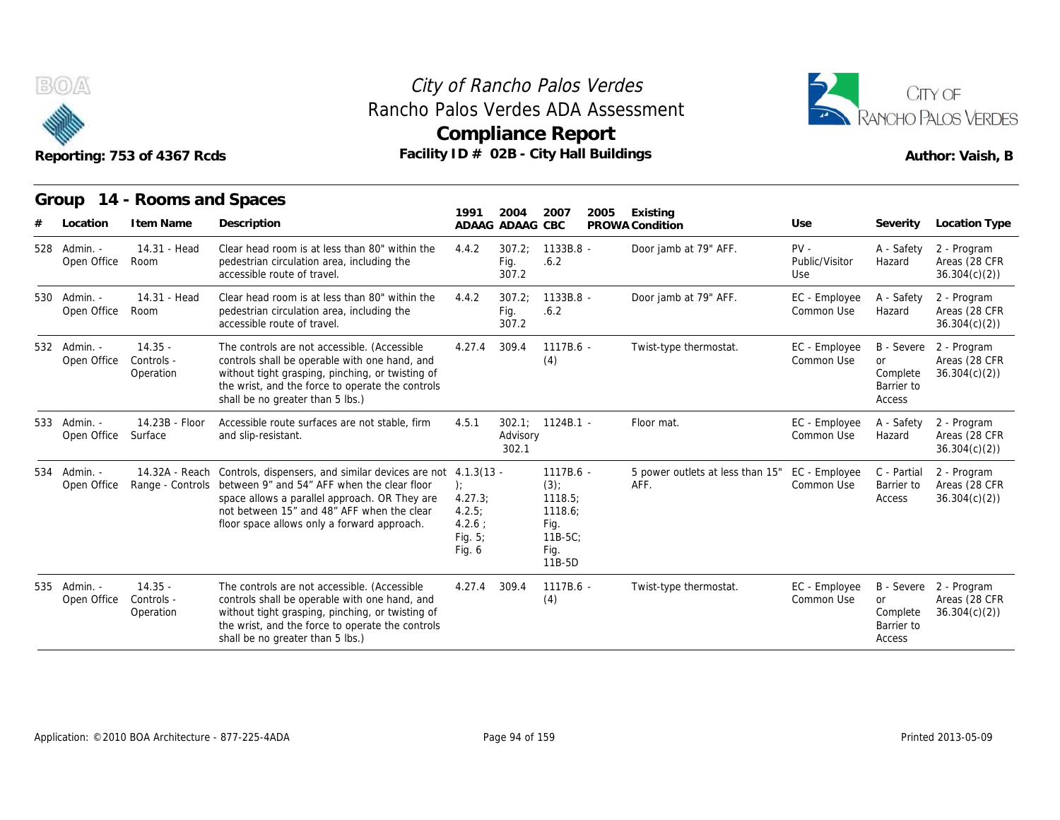

# Rancho Palos Verdes ADA Assessment



|                             | Reporting: 753 of 4367 Rcds          |                                                                                                                                                                                                                                                                                           | Rancho Palos Verdes ADA Assessment<br><b>Compliance Report</b><br>Facility ID # 02B - City Hall Buildings |                         |                                                                              |      |                                          |                                 |                                                             |                                                         |  |
|-----------------------------|--------------------------------------|-------------------------------------------------------------------------------------------------------------------------------------------------------------------------------------------------------------------------------------------------------------------------------------------|-----------------------------------------------------------------------------------------------------------|-------------------------|------------------------------------------------------------------------------|------|------------------------------------------|---------------------------------|-------------------------------------------------------------|---------------------------------------------------------|--|
| Group                       | 14 - Rooms and Spaces                |                                                                                                                                                                                                                                                                                           | 1991                                                                                                      |                         |                                                                              |      |                                          |                                 |                                                             |                                                         |  |
| Location                    | I tem Name                           | Description                                                                                                                                                                                                                                                                               | ADAAG ADAAG CBC                                                                                           | 2004                    | 2007                                                                         | 2005 | Existing<br>PROWA Condition              | Use                             | Severity                                                    | <b>Location Type</b>                                    |  |
| 528 Admin. -<br>Open Office | 14.31 - Head<br>Room                 | Clear head room is at less than 80" within the<br>pedestrian circulation area, including the<br>accessible route of travel.                                                                                                                                                               | 4.4.2                                                                                                     | 307.2;<br>Fig.<br>307.2 | 1133B.8 -<br>.6.2                                                            |      | Door jamb at 79" AFF.                    | $PV -$<br>Public/Visitor<br>Use | A - Safety<br>Hazard                                        | 2 - Program<br>Areas (28 CFR<br>36.304(c)(2)            |  |
| 530 Admin. -<br>Open Office | 14.31 - Head<br>Room                 | Clear head room is at less than 80" within the<br>pedestrian circulation area, including the<br>accessible route of travel.                                                                                                                                                               | 4.4.2                                                                                                     | 307.2<br>Fig.<br>307.2  | 1133B.8 -<br>.6.2                                                            |      | Door jamb at 79" AFF.                    | EC - Employee<br>Common Use     | A - Safety<br>Hazard                                        | 2 - Program<br>Areas (28 CFR<br>36.304(c)(2)            |  |
| 532 Admin. -<br>Open Office | $14.35 -$<br>Controls -<br>Operation | The controls are not accessible. (Accessible<br>controls shall be operable with one hand, and<br>without tight grasping, pinching, or twisting of<br>the wrist, and the force to operate the controls<br>shall be no greater than 5 lbs.)                                                 | 4.27.4                                                                                                    | 309.4                   | 1117B.6 -<br>(4)                                                             |      | Twist-type thermostat.                   | EC - Employee<br>Common Use     | <b>B</b> - Severe<br>or<br>Complete<br>Barrier to<br>Access | 2 - Program<br>Areas (28 CFR<br>36.304(c)(2)            |  |
| 533 Admin. -<br>Open Office | 14.23B - Floor<br>Surface            | Accessible route surfaces are not stable, firm<br>and slip-resistant.                                                                                                                                                                                                                     | 4.5.1                                                                                                     | Advisory<br>302.1       | $302.1$ ; $1124B.1$ -                                                        |      | Floor mat.                               | EC - Employee<br>Common Use     | A - Safety<br>Hazard                                        | 2 - Program<br>Areas (28 CFR<br>36.304(c)(2)            |  |
| 534 Admin. -<br>Open Office |                                      | 14.32A - Reach Controls, dispensers, and similar devices are not 4.1.3(13 -<br>Range - Controls between 9" and 54" AFF when the clear floor<br>space allows a parallel approach. OR They are<br>not between 15" and 48" AFF when the clear<br>floor space allows only a forward approach. | ):<br>4.27.3;<br>4.2.5:<br>$4.2.6$ :<br>Fig. 5;<br>Fig. 6                                                 |                         | 1117B.6 -<br>(3)<br>1118.5;<br>1118.6;<br>Fig.<br>$11B-5C$<br>Fig.<br>11B-5D |      | 5 power outlets at less than 15"<br>AFF. | EC - Employee<br>Common Use     | C - Partial<br>Barrier to<br>Access                         | 2 - Program<br>Areas (28 CFR<br>36.304(c)(2)            |  |
| 535 Admin. -<br>Open Office | $14.35 -$<br>Controls -<br>Operation | The controls are not accessible. (Accessible<br>controls shall be operable with one hand, and<br>without tight grasping, pinching, or twisting of<br>the wrist, and the force to operate the controls<br>shall be no greater than 5 lbs.)                                                 | 4.27.4                                                                                                    | 309.4                   | 1117B.6 -<br>(4)                                                             |      | Twist-type thermostat.                   | EC - Employee<br>Common Use     | <b>or</b><br>Complete<br>Barrier to<br>Access               | B - Severe 2 - Program<br>Areas (28 CFR<br>36.304(c)(2) |  |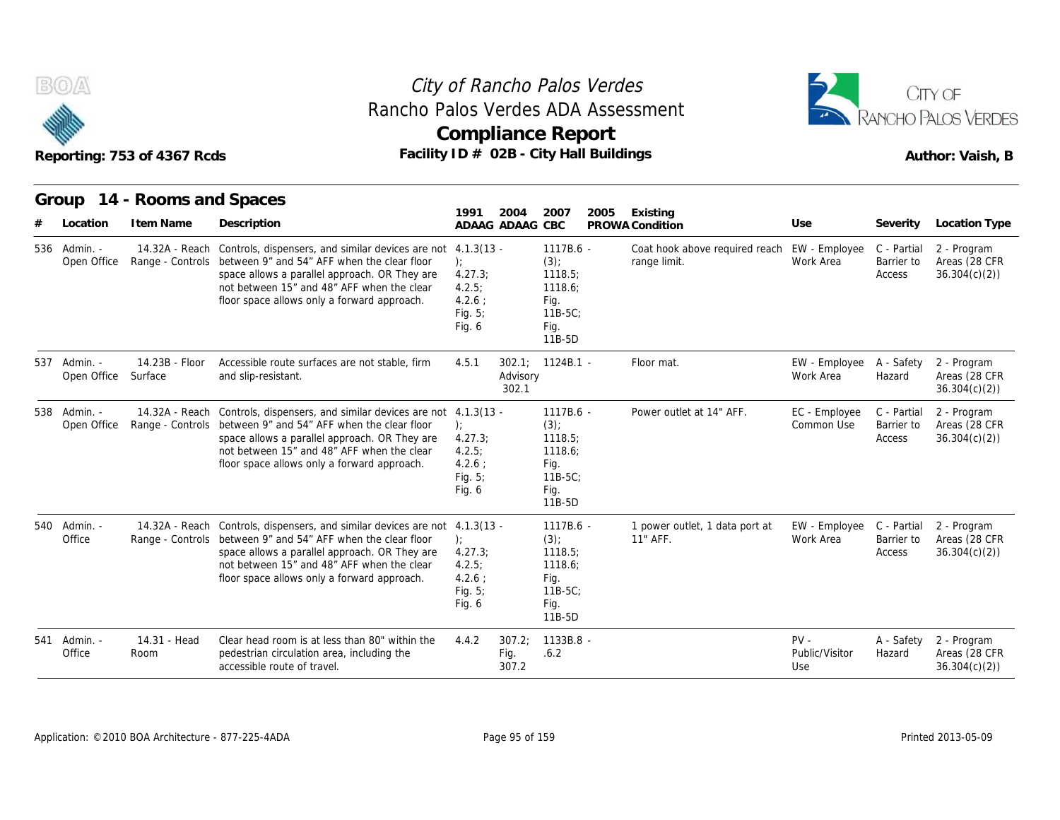



|     |                             | Reporting: 753 of 4367 Rcds               | Facility ID # 02B - City Hall Buildings                                                                                                                                                                                                                                                   |                                                               |                         | <b>Compliance Report</b>                                                           |      |                                                |                                 |                                     | Author: Vaish, B                             |
|-----|-----------------------------|-------------------------------------------|-------------------------------------------------------------------------------------------------------------------------------------------------------------------------------------------------------------------------------------------------------------------------------------------|---------------------------------------------------------------|-------------------------|------------------------------------------------------------------------------------|------|------------------------------------------------|---------------------------------|-------------------------------------|----------------------------------------------|
|     | Location                    | Group 14 - Rooms and Spaces<br>I tem Name | Description                                                                                                                                                                                                                                                                               | 1991                                                          | 2004<br>ADAAG ADAAG     | 2007<br>CBC                                                                        | 2005 | Existing<br>PROWA Condition                    | Use                             | Severity                            | Location Type                                |
|     | 536 Admin. -<br>Open Office |                                           | 14.32A - Reach Controls, dispensers, and similar devices are not 4.1.3(13 -<br>Range - Controls between 9" and 54" AFF when the clear floor<br>space allows a parallel approach. OR They are<br>not between 15" and 48" AFF when the clear<br>floor space allows only a forward approach. | ):<br>4.27.3<br>4.2.5;<br>$4.2.6$ :<br>Fig. 5;<br>Fig. 6      |                         | $1117B.6 -$<br>$(3)$ ;<br>1118.5;<br>1118.6;<br>Fig.<br>$11B-5C$<br>Fig.<br>11B-5D |      | Coat hook above required reach<br>range limit. | EW - Employee<br>Work Area      | C - Partial<br>Barrier to<br>Access | 2 - Program<br>Areas (28 CFR<br>36.304(c)(2) |
|     | 537 Admin. -<br>Open Office | 14.23B - Floor<br>Surface                 | Accessible route surfaces are not stable, firm<br>and slip-resistant.                                                                                                                                                                                                                     | 4.5.1                                                         | Advisory<br>302.1       | $302.1$ ; $1124B.1$ -                                                              |      | Floor mat.                                     | EW - Employee<br>Work Area      | A - Safety<br>Hazard                | 2 - Program<br>Areas (28 CFR<br>36.304(c)(2) |
|     | 538 Admin. -<br>Open Office |                                           | 14.32A - Reach Controls, dispensers, and similar devices are not 4.1.3(13 -<br>Range - Controls between 9" and 54" AFF when the clear floor<br>space allows a parallel approach. OR They are<br>not between 15" and 48" AFF when the clear<br>floor space allows only a forward approach. | ):<br>4.27.3<br>4.2.5<br>$4.2.6$ :<br>Fig. 5;<br>Fig. 6       |                         | 1117B.6 -<br>$(3)$ ;<br>1118.5;<br>1118.6:<br>Fig.<br>$11B-5C$ :<br>Fig.<br>11B-5D |      | Power outlet at 14" AFF.                       | EC - Employee<br>Common Use     | C - Partial<br>Barrier to<br>Access | 2 - Program<br>Areas (28 CFR<br>36.304(c)(2) |
|     | 540 Admin.<br>Office        |                                           | 14.32A - Reach Controls, dispensers, and similar devices are not 4.1.3(13 -<br>Range - Controls between 9" and 54" AFF when the clear floor<br>space allows a parallel approach. OR They are<br>not between 15" and 48" AFF when the clear<br>floor space allows only a forward approach. | $\cdot$<br>4.27.3;<br>4.2.5<br>$4.2.6$ :<br>Fig. 5;<br>Fig. 6 |                         | $1117B.6 -$<br>(3)<br>1118.5;<br>1118.6;<br>Fig.<br>$11B-5C$ ;<br>Fig.<br>11B-5D   |      | 1 power outlet, 1 data port at<br>11" AFF.     | EW - Employee<br>Work Area      | C - Partial<br>Barrier to<br>Access | 2 - Program<br>Areas (28 CFR<br>36.304(c)(2) |
| 541 | Admin.<br>Office            | 14.31 - Head<br>Room                      | Clear head room is at less than 80" within the<br>pedestrian circulation area, including the<br>accessible route of travel.                                                                                                                                                               | 4.4.2                                                         | 307.2:<br>Fig.<br>307.2 | 1133B.8 -<br>.6.2                                                                  |      |                                                | $PV -$<br>Public/Visitor<br>Use | A - Safety<br>Hazard                | 2 - Program<br>Areas (28 CFR<br>36.304(c)(2) |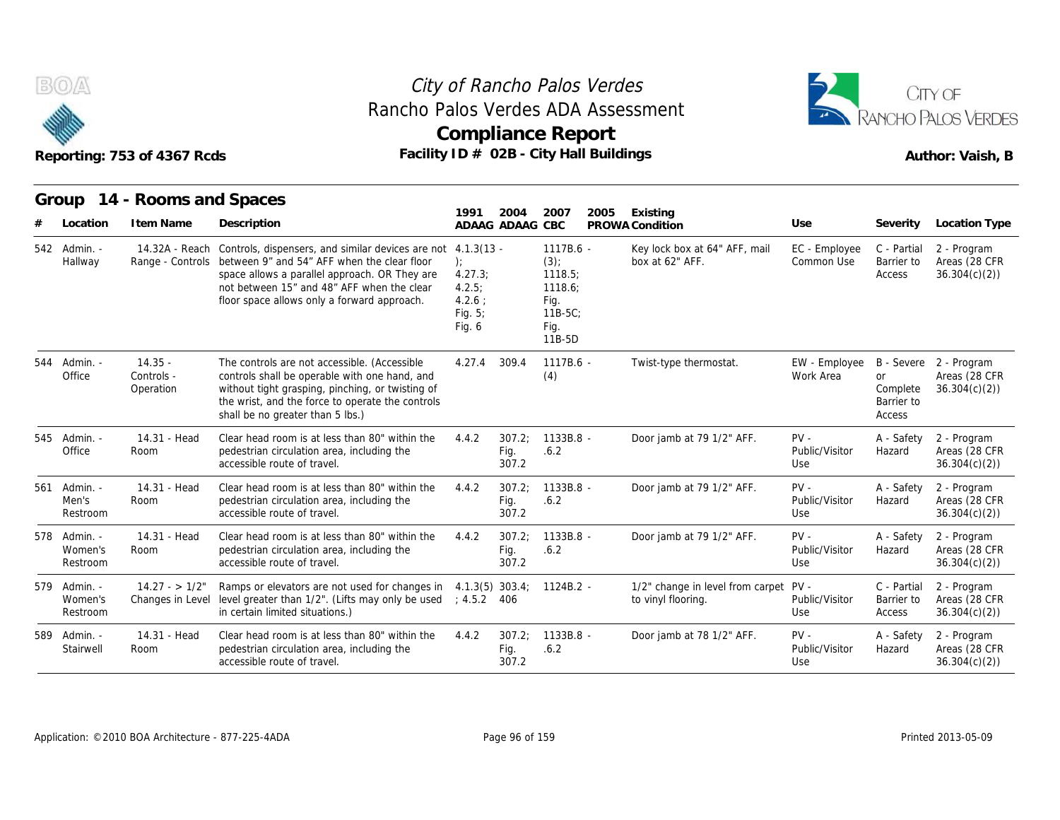



## Reporting: 753 of 4367 Rcds **Facility ID # 02B - City Hall Buildings** Reporting: 753 of 4367 Rcds Author: Vaish, B **Group 14 - Rooms and Spaces Item Name State Search State Search State State State State State State State State State State State State Controls, dispensers, and similar devices**<br> **Item Name Description**<br> **I4.32A - Reach Controls, dispensers, and si**

| B(0)                                | Reporting: 753 of 4367 Rcds          |                                                                                                                                                                                                                                                |                                                                              |                         | City of Rancho Palos Verdes<br>Rancho Palos Verdes ADA Assessment<br><b>Compliance Report</b><br>Facility ID # 02B - City Hall Buildings |                                                        |                                 | CITY OF<br><b>RANCHO PALOS VERDES</b><br>Author: Vaish, B |                                                         |  |
|-------------------------------------|--------------------------------------|------------------------------------------------------------------------------------------------------------------------------------------------------------------------------------------------------------------------------------------------|------------------------------------------------------------------------------|-------------------------|------------------------------------------------------------------------------------------------------------------------------------------|--------------------------------------------------------|---------------------------------|-----------------------------------------------------------|---------------------------------------------------------|--|
| Group                               | 14 - Rooms and Spaces                |                                                                                                                                                                                                                                                | 1991                                                                         | 2004                    | 2007<br>2005                                                                                                                             | Existing                                               |                                 |                                                           |                                                         |  |
| Location                            | I tem Name                           | Description                                                                                                                                                                                                                                    |                                                                              | ADAAG ADAAG CBC         |                                                                                                                                          | PROWA Condition                                        | Use                             | Severity                                                  | Location Type                                           |  |
| 542 Admin. -<br>Hallway             | 14.32A - Reach<br>Range - Controls   | Controls, dispensers, and similar devices are not<br>between 9" and 54" AFF when the clear floor<br>space allows a parallel approach. OR They are<br>not between 15" and 48" AFF when the clear<br>floor space allows only a forward approach. | $4.1.3(13 -$<br>):<br>4.27.3;<br>4.2.5;<br>$4.2.6$ :<br>Fig. $5$ ;<br>Fig. 6 |                         | $1117B.6 -$<br>$(3)$ ;<br>1118.5;<br>1118.6;<br>Fig.<br>$11B-5C$<br>Fig.<br>11B-5D                                                       | Key lock box at 64" AFF, mail<br>box at 62" AFF.       | EC - Employee<br>Common Use     | C - Partial<br>Barrier to<br>Access                       | 2 - Program<br>Areas (28 CFR<br>36.304(c)(2)            |  |
| 544 Admin. -<br>Office              | $14.35 -$<br>Controls -<br>Operation | The controls are not accessible. (Accessible<br>controls shall be operable with one hand, and<br>without tight grasping, pinching, or twisting of<br>the wrist, and the force to operate the controls<br>shall be no greater than 5 lbs.)      | 4.27.4                                                                       | 309.4                   | 1117B.6 -<br>(4)                                                                                                                         | Twist-type thermostat.                                 | EW - Employee<br>Work Area      | <b>or</b><br>Complete<br>Barrier to<br>Access             | B - Severe 2 - Program<br>Areas (28 CFR<br>36.304(c)(2) |  |
| 545 Admin. -<br>Office              | 14.31 - Head<br>Room                 | Clear head room is at less than 80" within the<br>pedestrian circulation area, including the<br>accessible route of travel.                                                                                                                    | 4.4.2                                                                        | 307.2:<br>Fig.<br>307.2 | 1133B.8 -<br>.6.2                                                                                                                        | Door jamb at 79 1/2" AFF.                              | $PV -$<br>Public/Visitor<br>Use | A - Safety<br>Hazard                                      | 2 - Program<br>Areas (28 CFR<br>36.304(c)(2)            |  |
| 561 Admin. -<br>Men's<br>Restroom   | 14.31 - Head<br>Room                 | Clear head room is at less than 80" within the<br>pedestrian circulation area, including the<br>accessible route of travel.                                                                                                                    | 4.4.2                                                                        | 307.2:<br>Fig.<br>307.2 | 1133B.8 -<br>.6.2                                                                                                                        | Door jamb at 79 1/2" AFF.                              | $PV -$<br>Public/Visitor<br>Use | A - Safety<br>Hazard                                      | 2 - Program<br>Areas (28 CFR<br>36.304(c)(2)            |  |
| 578 Admin. -<br>Women's<br>Restroom | 14.31 - Head<br>Room                 | Clear head room is at less than 80" within the<br>pedestrian circulation area, including the<br>accessible route of travel.                                                                                                                    | 4.4.2                                                                        | 307.2:<br>Fig.<br>307.2 | 1133B.8 -<br>.6.2                                                                                                                        | Door jamb at 79 1/2" AFF.                              | $PV -$<br>Public/Visitor<br>Use | A - Safety<br>Hazard                                      | 2 - Program<br>Areas (28 CFR<br>36.304(c)(2)            |  |
| 579 Admin. -<br>Women's<br>Restroom | $14.27 - 1/2"$<br>Changes in Level   | Ramps or elevators are not used for changes in<br>level greater than 1/2". (Lifts may only be used<br>in certain limited situations.)                                                                                                          | : 4.5.2 406                                                                  |                         | $4.1.3(5)$ 303.4; 1124B.2 -                                                                                                              | 1/2" change in level from carpet<br>to vinyl flooring. | $PV -$<br>Public/Visitor<br>Use | C - Partial<br>Barrier to<br>Access                       | 2 - Program<br>Areas (28 CFR<br>36.304(c)(2)            |  |
| 589 Admin. -<br>Stairwell           | 14.31 - Head<br>Room                 | Clear head room is at less than 80" within the<br>pedestrian circulation area, including the<br>accessible route of travel.                                                                                                                    | 4.4.2                                                                        | 307.2;<br>Fig.<br>307.2 | 1133B.8 -<br>.6.2                                                                                                                        | Door jamb at 78 1/2" AFF.                              | $PV -$<br>Public/Visitor<br>Use | A - Safety<br>Hazard                                      | 2 - Program<br>Areas (28 CFR<br>36.304(c)(2)            |  |
|                                     |                                      |                                                                                                                                                                                                                                                |                                                                              |                         |                                                                                                                                          |                                                        |                                 |                                                           |                                                         |  |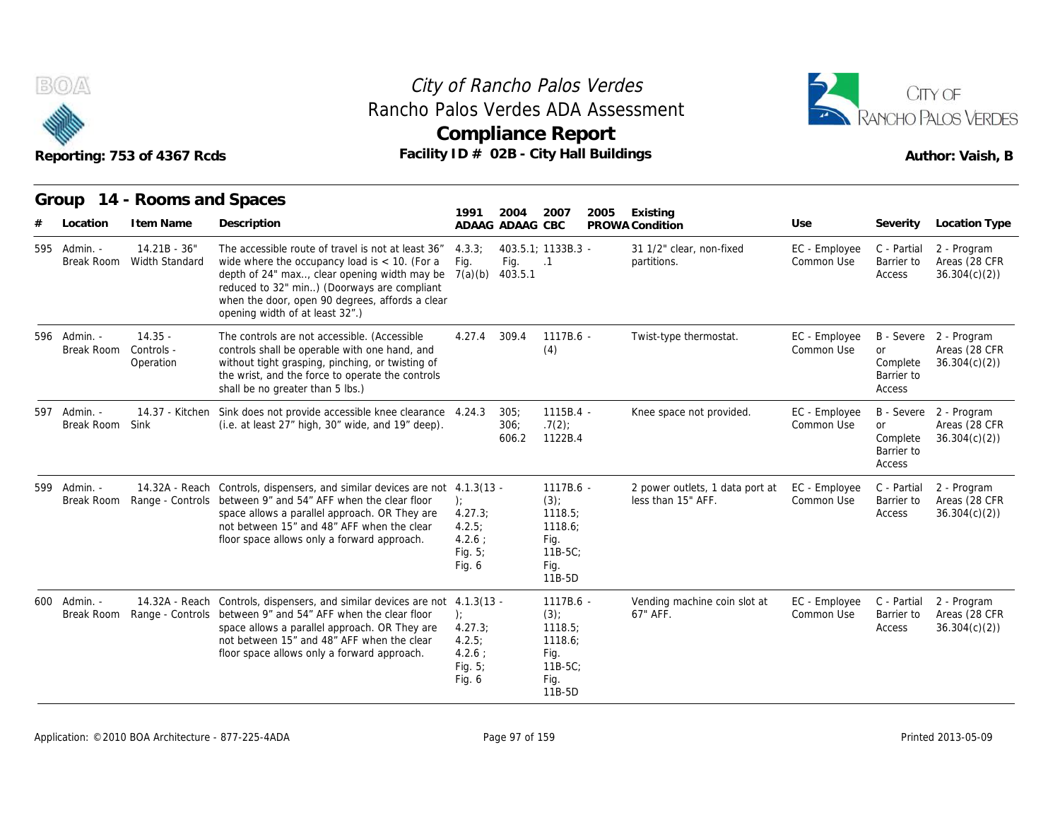

#### Reporting: 753 of 4367 Rcds **Facility ID # 02B - City Hall Buildings** Reporting: 753 of 4367 Rcds Author: Vaish, B City of Rancho Palos Verdes **Compliance Report** Rancho Palos Verdes ADA Assessment



|                            | Reporting: 753 of 4367 Rcds          |                                                                                                                                                                                                                                                                                            |                                                                |                         | <b>Compliance Report</b><br>Facility ID # 02B - City Hall Buildings                |                                                       |                             |                                               | Author: Vaish, B                                        |
|----------------------------|--------------------------------------|--------------------------------------------------------------------------------------------------------------------------------------------------------------------------------------------------------------------------------------------------------------------------------------------|----------------------------------------------------------------|-------------------------|------------------------------------------------------------------------------------|-------------------------------------------------------|-----------------------------|-----------------------------------------------|---------------------------------------------------------|
| Group<br>Location          | 14 - Rooms and Spaces<br>I tem Name  | Description                                                                                                                                                                                                                                                                                | 1991                                                           | 2004<br>ADAAG ADAAG CBC | 2007<br>2005                                                                       | Existing<br>PROWA Condition                           | Use                         | Severity                                      | Location Type                                           |
| 595 Admin. -<br>Break Room | $14.21B - 36"$<br>Width Standard     | The accessible route of travel is not at least 36"<br>wide where the occupancy load is $<$ 10. (For a<br>depth of 24" max, clear opening width may be<br>reduced to 32" min) (Doorways are compliant<br>when the door, open 90 degrees, affords a clear<br>opening width of at least 32".) | 4.3.3:<br>Fig.<br>7(a)(b)                                      | Fig.<br>403.5.1         | 403.5.1; 1133B.3 -<br>$\cdot$ .1                                                   | 31 1/2" clear, non-fixed<br>partitions.               | EC - Employee<br>Common Use | C - Partial<br>Barrier to<br>Access           | 2 - Program<br>Areas (28 CFR<br>36.304(c)(2)            |
| 596 Admin. -<br>Break Room | $14.35 -$<br>Controls -<br>Operation | The controls are not accessible. (Accessible<br>controls shall be operable with one hand, and<br>without tight grasping, pinching, or twisting of<br>the wrist, and the force to operate the controls<br>shall be no greater than 5 lbs.)                                                  | 4.27.4                                                         | 309.4                   | $1117B.6 -$<br>(4)                                                                 | Twist-type thermostat.                                | EC - Employee<br>Common Use | <b>or</b><br>Complete<br>Barrier to<br>Access | B - Severe 2 - Program<br>Areas (28 CFR<br>36.304(c)(2) |
| 597 Admin. -<br>Break Room | 14.37 - Kitchen<br>Sink              | Sink does not provide accessible knee clearance 4.24.3<br>(i.e. at least 27" high, 30" wide, and 19" deep).                                                                                                                                                                                |                                                                | 305:<br>306:<br>606.2   | $1115B.4 -$<br>.7(2)<br>1122B.4                                                    | Knee space not provided.                              | EC - Employee<br>Common Use | <b>or</b><br>Complete<br>Barrier to<br>Access | B - Severe 2 - Program<br>Areas (28 CFR<br>36.304(c)(2) |
| 599 Admin. -<br>Break Room |                                      | 14.32A - Reach Controls, dispensers, and similar devices are not 4.1.3(13 -<br>Range - Controls between 9" and 54" AFF when the clear floor<br>space allows a parallel approach. OR They are<br>not between 15" and 48" AFF when the clear<br>floor space allows only a forward approach.  | ):<br>4.27.3;<br>4.2.5:<br>$4.2.6$ :<br>Fig. $5$ ;<br>Fig. 6   |                         | 1117B.6 -<br>$(3)$ ;<br>1118.5;<br>1118.6:<br>Fig.<br>$11B-5C$ ;<br>Fig.<br>11B-5D | 2 power outlets, 1 data port at<br>less than 15" AFF. | EC - Employee<br>Common Use | C - Partial<br>Barrier to<br>Access           | 2 - Program<br>Areas (28 CFR<br>36.304(c)(2)            |
| 600 Admin. -<br>Break Room |                                      | 14.32A - Reach Controls, dispensers, and similar devices are not 4.1.3(13 -<br>Range - Controls between 9" and 54" AFF when the clear floor<br>space allows a parallel approach. OR They are<br>not between 15" and 48" AFF when the clear<br>floor space allows only a forward approach.  | $\cdot$<br>4.27.3;<br>4.2.5;<br>4.2.6:<br>Fig. $5$ ;<br>Fig. 6 |                         | $1117B.6 -$<br>$(3)$ ;<br>1118.5:<br>1118.6;<br>Fig.<br>11B-5C;<br>Fig.<br>11B-5D  | Vending machine coin slot at<br>67" AFF.              | EC - Employee<br>Common Use | C - Partial<br>Barrier to<br>Access           | 2 - Program<br>Areas (28 CFR<br>36.304(c)(2)            |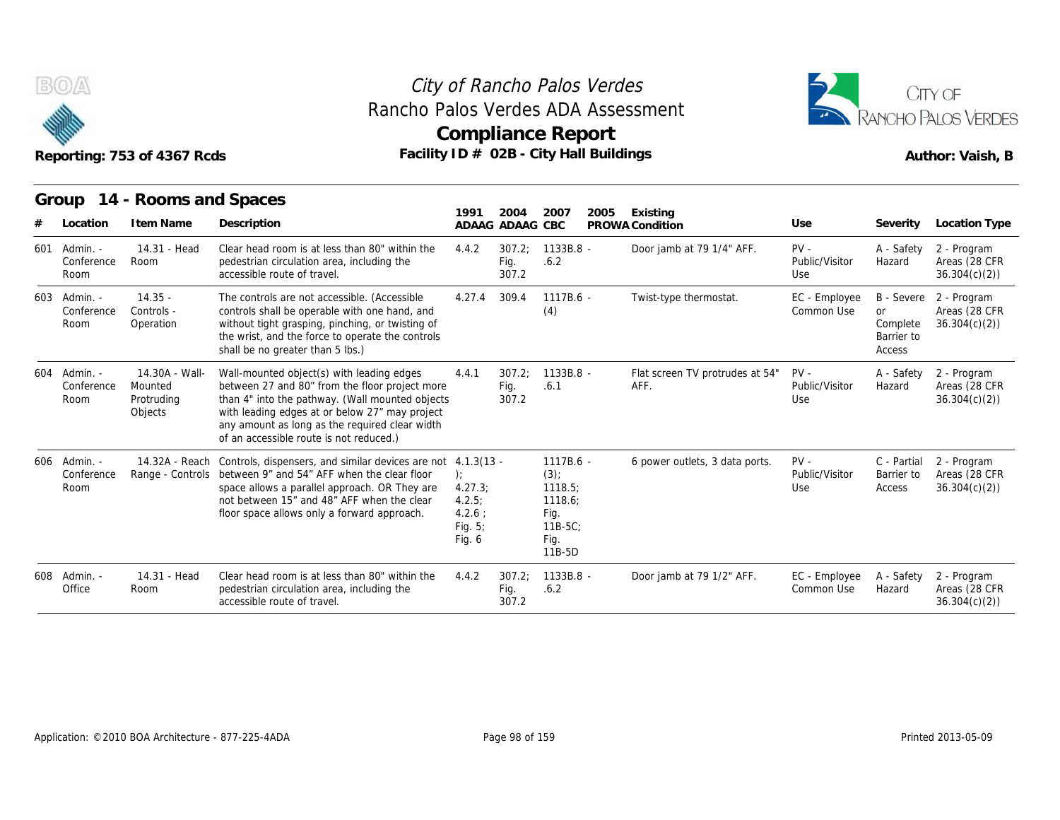

### **Compliance Report** Rancho Palos Verdes ADA Assessment



|     |                                    | Reporting: 753 of 4367 Rcds                        | Rancho Palos Verdes ADA Assessment<br>Facility ID # 02B - City Hall Buildings                                                                                                                                                                                                                 |                                                                  | <b>Compliance Report</b> |                                                                                 | City of Rancho Palos Verdes |                                         |                                 |                                                      | CITY OF<br><b>RANCHO PALOS VERDES</b><br>Author: Vaish, B |
|-----|------------------------------------|----------------------------------------------------|-----------------------------------------------------------------------------------------------------------------------------------------------------------------------------------------------------------------------------------------------------------------------------------------------|------------------------------------------------------------------|--------------------------|---------------------------------------------------------------------------------|-----------------------------|-----------------------------------------|---------------------------------|------------------------------------------------------|-----------------------------------------------------------|
|     |                                    | Group 14 - Rooms and Spaces                        |                                                                                                                                                                                                                                                                                               | 1991                                                             | 2004                     | 2007                                                                            | 2005                        | Existing                                |                                 |                                                      |                                                           |
|     | Location                           | I tem Name                                         | Description                                                                                                                                                                                                                                                                                   |                                                                  | ADAAG ADAAG CBC          |                                                                                 |                             | PROWA Condition                         | Use                             | Severity                                             | Location Type                                             |
| 601 | Admin. -<br>Conference<br>Room     | 14.31 - Head<br>Room                               | Clear head room is at less than 80" within the<br>pedestrian circulation area, including the<br>accessible route of travel.                                                                                                                                                                   | 4.4.2                                                            | 307.2:<br>Fig.<br>307.2  | 1133B.8 -<br>.6.2                                                               |                             | Door jamb at 79 1/4" AFF.               | $PV -$<br>Public/Visitor<br>Use | A - Safety<br>Hazard                                 | 2 - Program<br>Areas (28 CFR<br>36.304(c)(2)              |
| 603 | Admin. -<br>Conference<br>Room     | $14.35 -$<br>Controls -<br>Operation               | The controls are not accessible. (Accessible<br>controls shall be operable with one hand, and<br>without tight grasping, pinching, or twisting of<br>the wrist, and the force to operate the controls<br>shall be no greater than 5 lbs.)                                                     | 4.27.4                                                           | 309.4                    | $1117B.6 -$<br>(4)                                                              |                             | Twist-type thermostat.                  | EC - Employee<br>Common Use     | B - Severe<br>or<br>Complete<br>Barrier to<br>Access | 2 - Program<br>Areas (28 CFR<br>36.304(c)(2)              |
| 604 | Admin. -<br>Conference<br>Room     | 14.30A - Wall-<br>Mounted<br>Protruding<br>Objects | Wall-mounted object(s) with leading edges<br>between 27 and 80" from the floor project more<br>than 4" into the pathway. (Wall mounted objects<br>with leading edges at or below 27" may project<br>any amount as long as the required clear width<br>of an accessible route is not reduced.) | 4.4.1                                                            | 307.2:<br>Fig.<br>307.2  | 1133B.8 -<br>.6.1                                                               |                             | Flat screen TV protrudes at 54"<br>AFF. | $PV -$<br>Public/Visitor<br>Use | A - Safety<br>Hazard                                 | 2 - Program<br>Areas (28 CFR<br>36.304(c)(2)              |
|     | 606 Admin. -<br>Conference<br>Room | 14.32A - Reach                                     | Controls, dispensers, and similar devices are not 4.1.3(13 -<br>Range - Controls between 9" and 54" AFF when the clear floor<br>space allows a parallel approach. OR They are<br>not between 15" and 48" AFF when the clear<br>floor space allows only a forward approach.                    | $\cdot$<br>4.27.3<br>4.2.5:<br>$4.2.6$ :<br>Fig. $5$ ;<br>Fig. 6 |                          | 1117B.6 -<br>$(3)$ ;<br>1118.5<br>1118.6:<br>Fig.<br>$11B-5C$<br>Fig.<br>11B-5D |                             | 6 power outlets, 3 data ports.          | $PV -$<br>Public/Visitor<br>Use | C - Partial<br>Barrier to<br>Access                  | 2 - Program<br>Areas (28 CFR<br>36.304(c)(2)              |
|     | 608 Admin. -<br>Office             | 14.31 - Head<br>Room                               | Clear head room is at less than 80" within the<br>pedestrian circulation area, including the<br>accessible route of travel.                                                                                                                                                                   | 4.4.2                                                            | 307.2:<br>Fig.<br>307.2  | 1133B.8 -<br>.6.2                                                               |                             | Door jamb at 79 1/2" AFF.               | EC - Employee<br>Common Use     | A - Safety<br>Hazard                                 | 2 - Program<br>Areas (28 CFR<br>36.304(c)(2)              |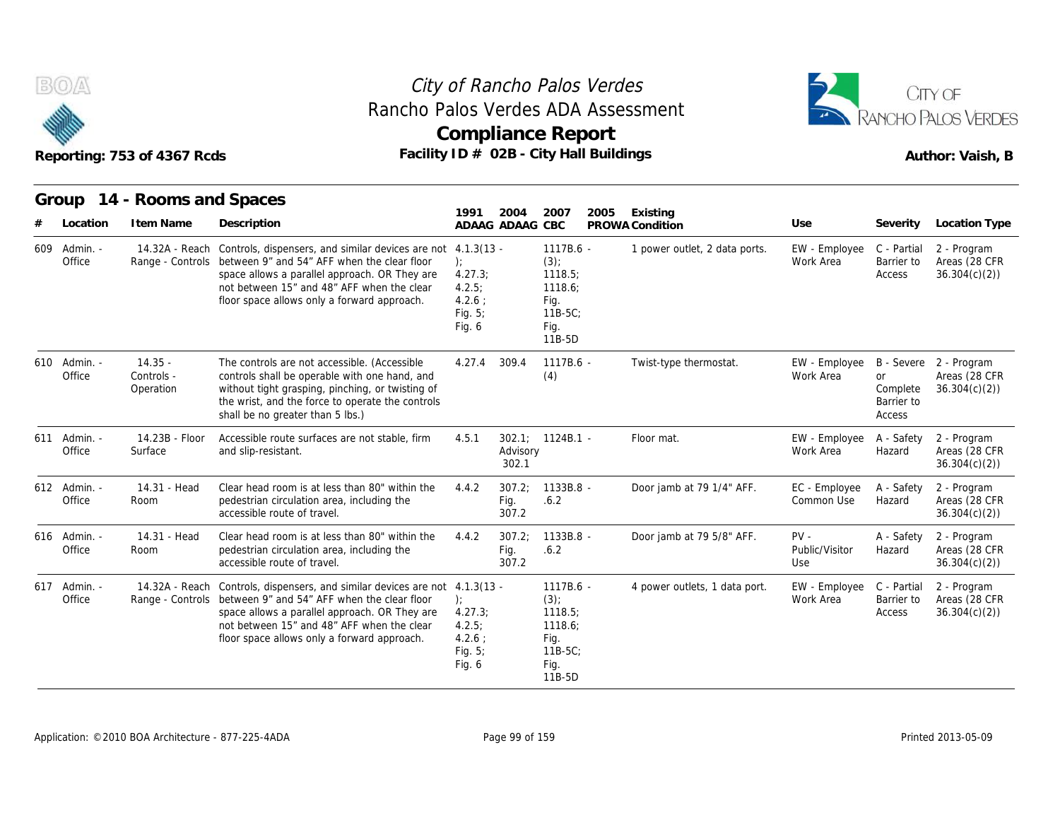



| B(0)                   |          | Reporting: 753 of 4367 Rcds          | Rancho Palos Verdes ADA Assessment<br>Facility ID # 02B - City Hall Buildings                                                                                                                                                                                 | City of Rancho Palos Verdes<br><b>Compliance Report</b>                     |                         |                                                                              | CITY OF<br>PANCHO PALOS VERDES<br>Author: Vaish, B |                                 |                                               |                                                         |
|------------------------|----------|--------------------------------------|---------------------------------------------------------------------------------------------------------------------------------------------------------------------------------------------------------------------------------------------------------------|-----------------------------------------------------------------------------|-------------------------|------------------------------------------------------------------------------|----------------------------------------------------|---------------------------------|-----------------------------------------------|---------------------------------------------------------|
|                        |          | Group 14 - Rooms and Spaces          |                                                                                                                                                                                                                                                               |                                                                             |                         |                                                                              |                                                    |                                 |                                               |                                                         |
|                        | Location | I tem Name                           | Description                                                                                                                                                                                                                                                   | 1991                                                                        | 2004<br>ADAAG ADAAG CBC | 2007<br>2005                                                                 | Existing<br>PROWA Condition                        | Use                             | Severity                                      | Location Type                                           |
| 609 Admin. -<br>Office |          | Range - Controls                     | 14.32A - Reach Controls, dispensers, and similar devices are not<br>between 9" and 54" AFF when the clear floor<br>space allows a parallel approach. OR They are<br>not between 15" and 48" AFF when the clear<br>floor space allows only a forward approach. | $4.1.3(13 -$<br>):<br>4.27.3;<br>4.2.5<br>$4.2.6$ :<br>Fig. $5$ ;<br>Fig. 6 |                         | 1117B.6 -<br>(3)<br>1118.5;<br>1118.6;<br>Fig.<br>$11B-5C$<br>Fig.<br>11B-5D | 1 power outlet, 2 data ports.                      | EW - Employee<br>Work Area      | C - Partial<br>Barrier to<br>Access           | 2 - Program<br>Areas (28 CFR<br>36.304(c)(2)            |
| 610 Admin. -<br>Office |          | $14.35 -$<br>Controls -<br>Operation | The controls are not accessible. (Accessible<br>controls shall be operable with one hand, and<br>without tight grasping, pinching, or twisting of<br>the wrist, and the force to operate the controls<br>shall be no greater than 5 lbs.)                     | 4.27.4                                                                      | 309.4                   | $1117B.6 -$<br>(4)                                                           | Twist-type thermostat.                             | EW - Employee<br>Work Area      | <b>or</b><br>Complete<br>Barrier to<br>Access | B - Severe 2 - Program<br>Areas (28 CFR<br>36.304(c)(2) |
| 611 Admin. -<br>Office |          | 14.23B - Floor<br>Surface            | Accessible route surfaces are not stable, firm<br>and slip-resistant.                                                                                                                                                                                         | 4.5.1                                                                       | Advisory<br>302.1       | 302.1; 1124B.1 -                                                             | Floor mat.                                         | EW - Employee<br>Work Area      | A - Safety<br>Hazard                          | 2 - Program<br>Areas (28 CFR<br>36.304(c)(2)            |
| 612 Admin. -<br>Office |          | 14.31 - Head<br>Room                 | Clear head room is at less than 80" within the<br>pedestrian circulation area, including the<br>accessible route of travel.                                                                                                                                   | 4.4.2                                                                       | 307.2<br>Fig.<br>307.2  | $1133B.8 -$<br>.6.2                                                          | Door jamb at 79 1/4" AFF.                          | EC - Employee<br>Common Use     | A - Safety<br>Hazard                          | 2 - Program<br>Areas (28 CFR<br>36.304(c)(2)            |
| 616 Admin. -<br>Office |          | 14.31 - Head<br>Room                 | Clear head room is at less than 80" within the<br>pedestrian circulation area, including the<br>accessible route of travel.                                                                                                                                   | 4.4.2                                                                       | 307.2;<br>Fig.<br>307.2 | 1133B.8 -<br>.6.2                                                            | Door jamb at 79 5/8" AFF.                          | $PV -$<br>Public/Visitor<br>Use | A - Safety<br>Hazard                          | 2 - Program<br>Areas (28 CFR<br>36.304(c)(2)            |
| 617 Admin. -<br>Office |          | 14.32A - Reach<br>Range - Controls   | Controls, dispensers, and similar devices are not 4.1.3(13 -<br>between 9" and 54" AFF when the clear floor<br>space allows a parallel approach. OR They are<br>not between 15" and 48" AFF when the clear<br>floor space allows only a forward approach.     | $\cdot$<br>4.27.3;<br>4.2.5:<br>$4.2.6$ :<br>Fig. $5$ ;<br>Fig. 6           |                         | $1117B.6 -$<br>$(3)$ ;<br>1118.5;<br>1118.6:<br>Fig.<br>11B-5C;<br>Fig.      | 4 power outlets, 1 data port.                      | EW - Employee<br>Work Area      | C - Partial<br>Barrier to<br>Access           | 2 - Program<br>Areas (28 CFR<br>36.304(c)(2)            |

11B-5D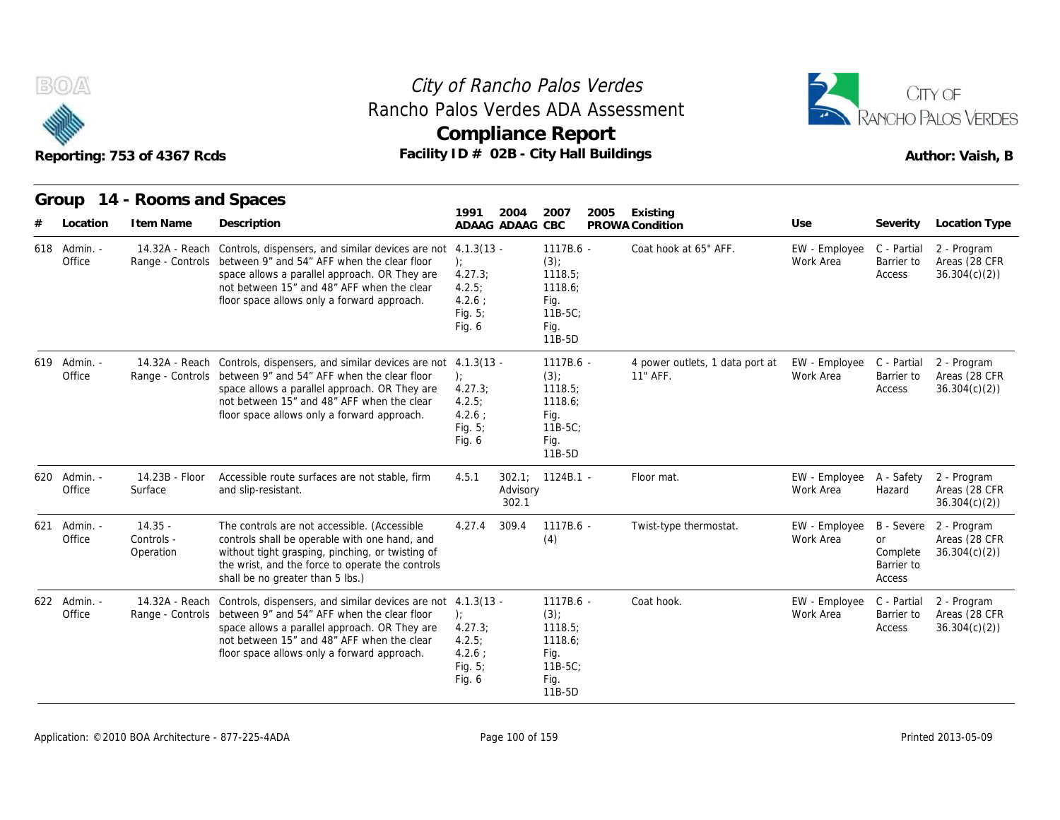



|     |                        | Reporting: 753 of 4367 Rcds          |                                                                                                                                                                                                                                                                                           | <b>Compliance Report</b><br>Facility ID # 02B - City Hall Buildings |                                                                                    |      |                                             | Author: Vaish, B                       |                                                      |                                              |  |
|-----|------------------------|--------------------------------------|-------------------------------------------------------------------------------------------------------------------------------------------------------------------------------------------------------------------------------------------------------------------------------------------|---------------------------------------------------------------------|------------------------------------------------------------------------------------|------|---------------------------------------------|----------------------------------------|------------------------------------------------------|----------------------------------------------|--|
|     |                        | Group 14 - Rooms and Spaces          |                                                                                                                                                                                                                                                                                           | 1991<br>2004                                                        | 2007                                                                               | 2005 | Existing                                    |                                        |                                                      |                                              |  |
|     | Location               | I tem Name                           | Description                                                                                                                                                                                                                                                                               | ADAAG ADAAG CBC                                                     |                                                                                    |      | PROWA Condition                             | Use                                    | Severity                                             | Location Type                                |  |
|     | 618 Admin. -<br>Office |                                      | 14.32A - Reach Controls, dispensers, and similar devices are not 4.1.3(13 -<br>Range - Controls between 9" and 54" AFF when the clear floor<br>space allows a parallel approach. OR They are<br>not between 15" and 48" AFF when the clear<br>floor space allows only a forward approach. | $\cdot$<br>4.27.3;<br>4.2.5:<br>4.2.6:<br>Fig. 5;<br>Fig. 6         | 1117B.6 -<br>$(3)$ ;<br>1118.5;<br>1118.6;<br>Fig.<br>$11B-5C$<br>Fig.<br>11B-5D   |      | Coat hook at 65" AFF.                       | EW - Employee<br>Work Area             | C - Partial<br>Barrier to<br>Access                  | 2 - Program<br>Areas (28 CFR<br>36.304(c)(2) |  |
| 619 | Admin. -<br>Office     |                                      | 14.32A - Reach Controls, dispensers, and similar devices are not 4.1.3(13 -<br>Range - Controls between 9" and 54" AFF when the clear floor<br>space allows a parallel approach. OR They are<br>not between 15" and 48" AFF when the clear<br>floor space allows only a forward approach. | $\cdot$<br>4.27.3;<br>4.2.5:<br>$4.2.6$ :<br>Fig. 5;<br>Fig. 6      | $1117B.6 -$<br>$(3)$ ;<br>1118.5;<br>1118.6;<br>Fig.<br>$11B-5C$<br>Fig.<br>11B-5D |      | 4 power outlets, 1 data port at<br>11" AFF. | EW - Employee C - Partial<br>Work Area | Barrier to<br>Access                                 | 2 - Program<br>Areas (28 CFR<br>36.304(c)(2) |  |
|     | 620 Admin. -<br>Office | 14.23B - Floor<br>Surface            | Accessible route surfaces are not stable, firm<br>and slip-resistant.                                                                                                                                                                                                                     | 4.5.1<br>Advisory<br>302.1                                          | $302.1: 1124B.1 -$                                                                 |      | Floor mat.                                  | EW - Employee<br>Work Area             | A - Safety<br>Hazard                                 | 2 - Program<br>Areas (28 CFR<br>36.304(c)(2) |  |
| 621 | Admin. -<br>Office     | $14.35 -$<br>Controls -<br>Operation | The controls are not accessible. (Accessible<br>controls shall be operable with one hand, and<br>without tight grasping, pinching, or twisting of<br>the wrist, and the force to operate the controls<br>shall be no greater than 5 lbs.)                                                 | 309.4<br>4.27.4                                                     | $1117B.6 -$<br>(4)                                                                 |      | Twist-type thermostat.                      | EW - Employee<br>Work Area             | B - Severe<br>or<br>Complete<br>Barrier to<br>Access | 2 - Program<br>Areas (28 CFR<br>36.304(c)(2) |  |
|     | 622 Admin. -<br>Office |                                      | 14.32A - Reach Controls, dispensers, and similar devices are not 4.1.3(13 -<br>Range - Controls between 9" and 54" AFF when the clear floor<br>space allows a parallel approach. OR They are<br>not between 15" and 48" AFF when the clear<br>floor space allows only a forward approach. | $\cdot$<br>4.27.3<br>4.2.5:<br>$4.2.6$ ;<br>Fig. $5$ ;<br>Fig. 6    | 1117B.6 -<br>(3)<br>1118.5;<br>1118.6:<br>Fig.<br>$11B-5C$<br>Fig.                 |      | Coat hook.                                  | EW - Employee<br>Work Area             | C - Partial<br>Barrier to<br>Access                  | 2 - Program<br>Areas (28 CFR<br>36.304(c)(2) |  |

11B-5D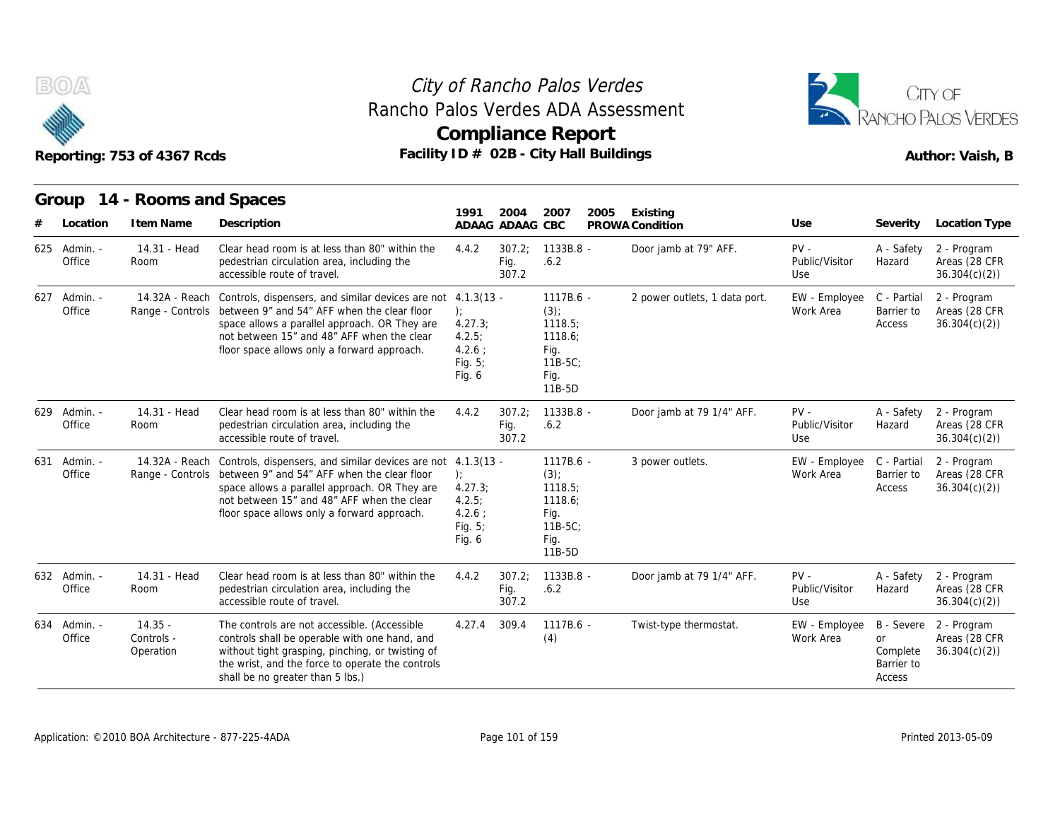

### **Compliance Report** Rancho Palos Verdes ADA Assessment



|                        | Reporting: 753 of 4367 Rcds          |                                                                                                                                                                                                                                                                            |                                                                              |                         | <b>Compliance Report</b><br>Facility ID # 02B - City Hall Buildings              | RANCHO PAI OS VERDES<br>Author: Vaish, B |                                 |                                        |                                                         |
|------------------------|--------------------------------------|----------------------------------------------------------------------------------------------------------------------------------------------------------------------------------------------------------------------------------------------------------------------------|------------------------------------------------------------------------------|-------------------------|----------------------------------------------------------------------------------|------------------------------------------|---------------------------------|----------------------------------------|---------------------------------------------------------|
| Group<br>Location      | 14 - Rooms and Spaces<br>I tem Name  | Description                                                                                                                                                                                                                                                                | 1991                                                                         | 2004<br>ADAAG ADAAG CBC | 2007<br>2005                                                                     | Existing<br>PROWA Condition              | Use                             | Severity                               | Location Type                                           |
| 625 Admin. -<br>Office | 14.31 - Head<br>Room                 | Clear head room is at less than 80" within the<br>pedestrian circulation area, including the<br>accessible route of travel.                                                                                                                                                | 4.4.2                                                                        | 307.2;<br>Fig.<br>307.2 | 1133B.8 -<br>.6.2                                                                | Door jamb at 79" AFF.                    | $PV -$<br>Public/Visitor<br>Use | A - Safety<br>Hazard                   | 2 - Program<br>Areas (28 CFR<br>36.304(c)(2)            |
| 627 Admin. -<br>Office | 14.32A - Reach                       | Controls, dispensers, and similar devices are not 4.1.3(13 -<br>Range - Controls between 9" and 54" AFF when the clear floor<br>space allows a parallel approach. OR They are<br>not between 15" and 48" AFF when the clear<br>floor space allows only a forward approach. | ):<br>4.27.3<br>4.2.5:<br>4.2.6:<br>Fig. $5$ ;<br>Fig. 6                     |                         | $1117B.6 -$<br>(3)<br>1118.5;<br>1118.6:<br>Fig.<br>$11B-5C$ ;<br>Fig.<br>11B-5D | 2 power outlets, 1 data port.            | EW - Employee<br>Work Area      | C - Partial<br>Barrier to<br>Access    | 2 - Program<br>Areas (28 CFR<br>36.304(c)(2)            |
| 629 Admin. -<br>Office | 14.31 - Head<br>Room                 | Clear head room is at less than 80" within the<br>pedestrian circulation area, including the<br>accessible route of travel.                                                                                                                                                | 4.4.2                                                                        | 307.2:<br>Fig.<br>307.2 | $1133B.8 -$<br>.6.2                                                              | Door jamb at 79 1/4" AFF.                | $PV -$<br>Public/Visitor<br>Use | A - Safety<br>Hazard                   | 2 - Program<br>Areas (28 CFR<br>36.304(c)(2)            |
| 631 Admin. -<br>Office | Range - Controls                     | 14.32A - Reach Controls, dispensers, and similar devices are not<br>between 9" and 54" AFF when the clear floor<br>space allows a parallel approach. OR They are<br>not between 15" and 48" AFF when the clear<br>floor space allows only a forward approach.              | $4.1.3(13 -$<br>):<br>4.27.3;<br>4.2.5:<br>$4.2.6$ :<br>Fig. $5$ ;<br>Fig. 6 |                         | 1117B.6 -<br>(3)<br>1118.5;<br>1118.6;<br>Fig.<br>$11B-5C$ :<br>Fig.<br>11B-5D   | 3 power outlets.                         | EW - Employee<br>Work Area      | C - Partial<br>Barrier to<br>Access    | 2 - Program<br>Areas (28 CFR<br>36.304(c)(2)            |
| 632 Admin. -<br>Office | 14.31 - Head<br>Room                 | Clear head room is at less than 80" within the<br>pedestrian circulation area, including the<br>accessible route of travel.                                                                                                                                                | 4.4.2                                                                        | 307.2<br>Fig.<br>307.2  | 1133B.8 -<br>.6.2                                                                | Door jamb at 79 1/4" AFF.                | $PV -$<br>Public/Visitor<br>Use | A - Safety<br>Hazard                   | 2 - Program<br>Areas (28 CFR<br>36.304(c)(2)            |
| 634 Admin. -<br>Office | $14.35 -$<br>Controls -<br>Operation | The controls are not accessible. (Accessible<br>controls shall be operable with one hand, and<br>without tight grasping, pinching, or twisting of<br>the wrist, and the force to operate the controls<br>shall be no greater than 5 lbs.)                                  | 4.27.4                                                                       | 309.4                   | 1117B.6 -<br>(4)                                                                 | Twist-type thermostat.                   | EW - Employee<br>Work Area      | or<br>Complete<br>Barrier to<br>Access | B - Severe 2 - Program<br>Areas (28 CFR<br>36.304(c)(2) |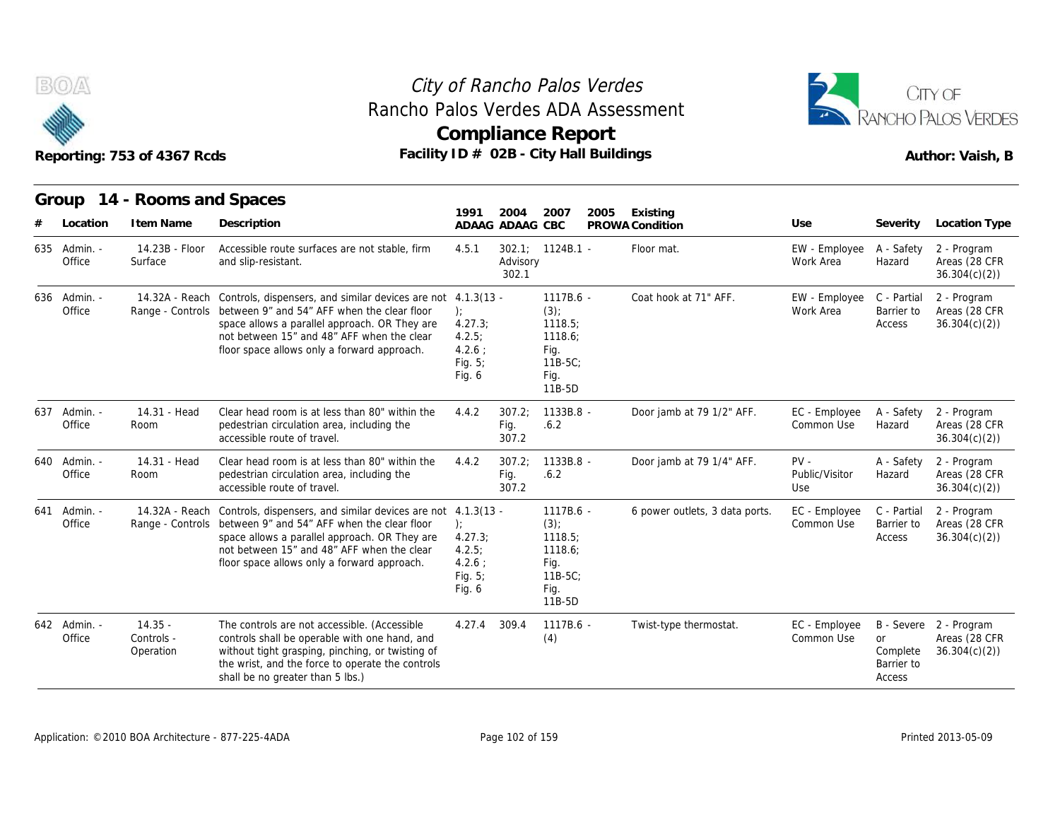

### **Compliance Report** Rancho Palos Verdes ADA Assessment



|                        | Reporting: 753 of 4367 Rcds          |                                                                                                                                                                                                                                                           |                                                               |                         | <b>Compliance Report</b><br>Facility ID # 02B - City Hall Buildings                  |                                | Author: Vaish, B                |                                               |                                                         |  |
|------------------------|--------------------------------------|-----------------------------------------------------------------------------------------------------------------------------------------------------------------------------------------------------------------------------------------------------------|---------------------------------------------------------------|-------------------------|--------------------------------------------------------------------------------------|--------------------------------|---------------------------------|-----------------------------------------------|---------------------------------------------------------|--|
| Group<br>Location      | 14 - Rooms and Spaces<br>I tem Name  | Description                                                                                                                                                                                                                                               | 1991                                                          | 2004<br>ADAAG ADAAG CBC | 2007<br>2005                                                                         | Existing<br>PROWA Condition    | Use                             | Severity                                      | Location Type                                           |  |
| 635 Admin. -<br>Office | 14.23B - Floor<br>Surface            | Accessible route surfaces are not stable, firm<br>and slip-resistant.                                                                                                                                                                                     | 4.5.1                                                         | Advisory<br>302.1       | $302.1$ ; $1124B.1$ -                                                                | Floor mat.                     | EW - Employee<br>Work Area      | A - Safety<br>Hazard                          | 2 - Program<br>Areas (28 CFR<br>36.304(c)(2)            |  |
| 636 Admin. -<br>Office | 14.32A - Reach<br>Range - Controls   | Controls, dispensers, and similar devices are not 4.1.3(13 -<br>between 9" and 54" AFF when the clear floor<br>space allows a parallel approach. OR They are<br>not between 15" and 48" AFF when the clear<br>floor space allows only a forward approach. | $\cdot$<br>4.27.3<br>4.2.5:<br>4.2.6:<br>Fig. $5$ ;<br>Fig. 6 |                         | $1117B.6 -$<br>$(3)$ ;<br>1118.5:<br>1118.6:<br>Fig.<br>$11B-5C$ ;<br>Fig.<br>11B-5D | Coat hook at 71" AFF.          | EW - Employee<br>Work Area      | C - Partial<br>Barrier to<br>Access           | 2 - Program<br>Areas (28 CFR<br>36.304(c)(2)            |  |
| 637 Admin. -<br>Office | 14.31 - Head<br>Room                 | Clear head room is at less than 80" within the<br>pedestrian circulation area, including the<br>accessible route of travel.                                                                                                                               | 4.4.2                                                         | 307.2:<br>Fig.<br>307.2 | $1133B.8 -$<br>.6.2                                                                  | Door jamb at 79 1/2" AFF.      | EC - Employee<br>Common Use     | A - Safety<br>Hazard                          | 2 - Program<br>Areas (28 CFR<br>36.304(c)(2)            |  |
| 640 Admin. -<br>Office | 14.31 - Head<br>Room                 | Clear head room is at less than 80" within the<br>pedestrian circulation area, including the<br>accessible route of travel.                                                                                                                               | 4.4.2                                                         | 307.2;<br>Fig.<br>307.2 | $1133B.8 -$<br>.6.2                                                                  | Door jamb at 79 1/4" AFF.      | $PV -$<br>Public/Visitor<br>Use | A - Safety<br>Hazard                          | 2 - Program<br>Areas (28 CFR<br>36.304(c)(2)            |  |
| 641 Admin. -<br>Office | 14.32A - Reach<br>Range - Controls   | Controls, dispensers, and similar devices are not 4.1.3(13 -<br>between 9" and 54" AFF when the clear floor<br>space allows a parallel approach. OR They are<br>not between 15" and 48" AFF when the clear<br>floor space allows only a forward approach. | $\cdot$<br>4.27.3<br>4.2.5:<br>4.2.6:<br>Fig. 5;<br>Fig. $6$  |                         | $1117B.6 -$<br>$(3)$ ;<br>1118.5;<br>1118.6;<br>Fig.<br>$11B-5C$<br>Fig.<br>11B-5D   | 6 power outlets, 3 data ports. | EC - Employee<br>Common Use     | C - Partial<br>Barrier to<br>Access           | 2 - Program<br>Areas (28 CFR<br>36.304(c)(2)            |  |
| 642 Admin. -<br>Office | $14.35 -$<br>Controls -<br>Operation | The controls are not accessible. (Accessible<br>controls shall be operable with one hand, and<br>without tight grasping, pinching, or twisting of<br>the wrist, and the force to operate the controls<br>shall be no greater than 5 lbs.)                 | 4.27.4 309.4                                                  |                         | 1117B.6 -<br>(4)                                                                     | Twist-type thermostat.         | EC - Employee<br>Common Use     | <b>or</b><br>Complete<br>Barrier to<br>Access | B - Severe 2 - Program<br>Areas (28 CFR<br>36.304(c)(2) |  |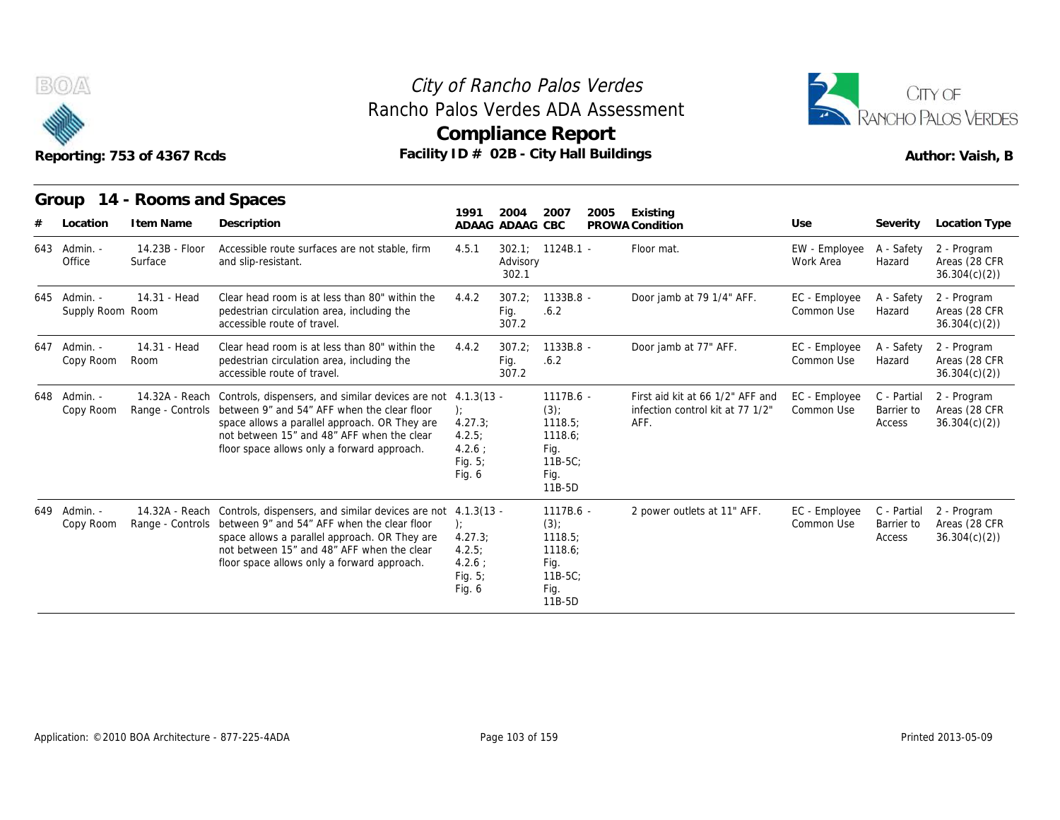

# Rancho Palos Verdes ADA Assessment



|                                  | Reporting: 753 of 4367 Rcds        | Rancho Palos Verdes ADA Assessment<br>Facility ID # 02B - City Hall Buildings                                                                                                                                                                             |                                                                            |                            | City of Rancho Palos Verdes<br>Compliance Report                                   |      | CITY OF<br>ANCHO PALOS VERDES<br>Author: Vaish, B                            |                             |                                     |                                              |
|----------------------------------|------------------------------------|-----------------------------------------------------------------------------------------------------------------------------------------------------------------------------------------------------------------------------------------------------------|----------------------------------------------------------------------------|----------------------------|------------------------------------------------------------------------------------|------|------------------------------------------------------------------------------|-----------------------------|-------------------------------------|----------------------------------------------|
| Group                            | 14 - Rooms and Spaces              |                                                                                                                                                                                                                                                           | 1991                                                                       | 2004                       | 2007                                                                               | 2005 | Existing                                                                     |                             |                                     |                                              |
| Location                         | I tem Name                         | Description                                                                                                                                                                                                                                               |                                                                            | ADAAG ADAAG CBC            |                                                                                    |      | PROWA Condition                                                              | Use                         | Severity                            | Location Type                                |
| 643 Admin. -<br>Office           | 14.23B - Floor<br>Surface          | Accessible route surfaces are not stable, firm<br>and slip-resistant.                                                                                                                                                                                     | 4.5.1                                                                      | 302.1<br>Advisory<br>302.1 | $1124B.1 -$                                                                        |      | Floor mat.                                                                   | EW - Employee<br>Work Area  | A - Safety<br>Hazard                | 2 - Program<br>Areas (28 CFR<br>36.304(c)(2) |
| 645 Admin. -<br>Supply Room Room | 14.31 - Head                       | Clear head room is at less than 80" within the<br>pedestrian circulation area, including the<br>accessible route of travel.                                                                                                                               | 4.4.2                                                                      | 307.2;<br>Fig.<br>307.2    | 1133B.8 -<br>.6.2                                                                  |      | Door jamb at 79 1/4" AFF.                                                    | EC - Employee<br>Common Use | A - Safety<br>Hazard                | 2 - Program<br>Areas (28 CFR<br>36.304(c)(2) |
| 647 Admin. -<br>Copy Room        | 14.31 - Head<br>Room               | Clear head room is at less than 80" within the<br>pedestrian circulation area, including the<br>accessible route of travel.                                                                                                                               | 4.4.2                                                                      | 307.2:<br>Fig.<br>307.2    | 1133B.8 -<br>.6.2                                                                  |      | Door jamb at 77" AFF.                                                        | EC - Employee<br>Common Use | A - Safety<br>Hazard                | 2 - Program<br>Areas (28 CFR<br>36.304(c)(2) |
| 648 Admin. -<br>Copy Room        | 14.32A - Reach<br>Range - Controls | Controls, dispensers, and similar devices are not 4.1.3(13 -<br>between 9" and 54" AFF when the clear floor<br>space allows a parallel approach. OR They are<br>not between 15" and 48" AFF when the clear<br>floor space allows only a forward approach. | $\mathcal{E}$<br>4.27.3:<br>4.2.5<br>$4.2.6$ :<br>Fig. $5$ ;<br>Fig. 6     |                            | $1117B.6 -$<br>$(3)$ ;<br>1118.5:<br>1118.6;<br>Fig.<br>$11B-5C$<br>Fig.<br>11B-5D |      | First aid kit at 66 1/2" AFF and<br>infection control kit at 77 1/2"<br>AFF. | EC - Employee<br>Common Use | C - Partial<br>Barrier to<br>Access | 2 - Program<br>Areas (28 CFR<br>36.304(c)(2) |
| 649 Admin. -<br>Copy Room        | 14.32A - Reach<br>Range - Controls | Controls, dispensers, and similar devices are not<br>between 9" and 54" AFF when the clear floor<br>space allows a parallel approach. OR They are<br>not between 15" and 48" AFF when the clear<br>floor space allows only a forward approach.            | $4.1.3(13 -$<br>):<br>4.27.3<br>4.2.5<br>$4.2.6$ :<br>Fig. $5$ ;<br>Fig. 6 |                            | 1117B.6 -<br>(3)<br>1118.5;<br>1118.6;<br>Fig.<br>$11B-5C$<br>Fig.<br>11B-5D       |      | 2 power outlets at 11" AFF.                                                  | EC - Employee<br>Common Use | C - Partial<br>Barrier to<br>Access | 2 - Program<br>Areas (28 CFR<br>36.304(c)(2) |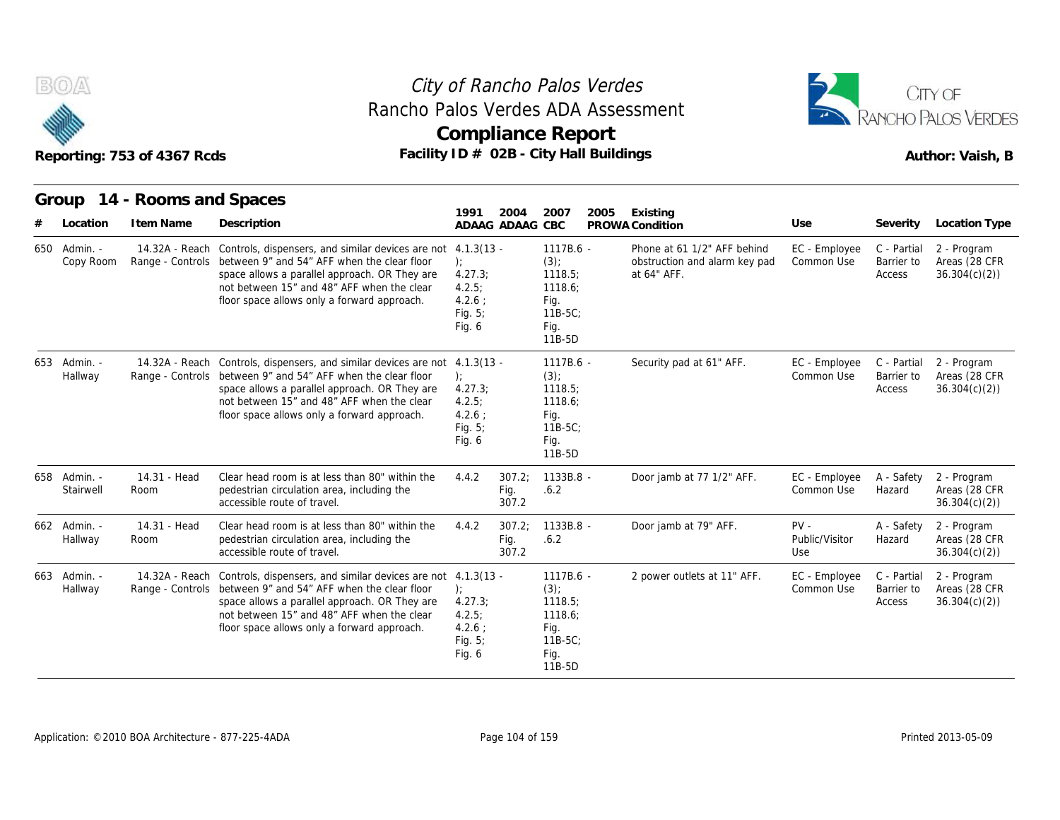



|     |                           | Reporting: 753 of 4367 Rcds        | Rancho Palos Verdes ADA Assessment<br>Facility ID # 02B - City Hall Buildings                                                                                                                                                                                            | <b>Compliance Report</b>                                          |                         |                                                                                   |      |                                                                             | RANCHO PALOS VERDES<br>Author: Vaish, B |                                     |                                              |  |
|-----|---------------------------|------------------------------------|--------------------------------------------------------------------------------------------------------------------------------------------------------------------------------------------------------------------------------------------------------------------------|-------------------------------------------------------------------|-------------------------|-----------------------------------------------------------------------------------|------|-----------------------------------------------------------------------------|-----------------------------------------|-------------------------------------|----------------------------------------------|--|
|     |                           | Group 14 - Rooms and Spaces        |                                                                                                                                                                                                                                                                          | 1991                                                              | 2004                    | 2007                                                                              | 2005 | Existing                                                                    |                                         |                                     |                                              |  |
|     | Location                  | I tem Name                         | Description                                                                                                                                                                                                                                                              |                                                                   | ADAAG ADAAG CBC         |                                                                                   |      | PROWA Condition                                                             | Use                                     | Severity                            | Location Type                                |  |
| 650 | - Admin.<br>Copy Room     | 14.32A - Reach<br>Range - Controls | Controls, dispensers, and similar devices are not 4.1.3(13 -<br>between 9" and 54" AFF when the clear floor<br>space allows a parallel approach. OR They are<br>not between 15" and 48" AFF when the clear<br>floor space allows only a forward approach.                | $\cdot$<br>4.27.3;<br>4.2.5:<br>$4.2.6$ :<br>Fig. $5$ ;<br>Fig. 6 |                         | 1117B.6 -<br>$(3)$ ;<br>1118.5:<br>1118.6:<br>Fig.<br>$11B-5C$<br>Fig.<br>11B-5D  |      | Phone at 61 1/2" AFF behind<br>obstruction and alarm key pad<br>at 64" AFF. | EC - Employee<br>Common Use             | C - Partial<br>Barrier to<br>Access | 2 - Program<br>Areas (28 CFR<br>36.304(c)(2) |  |
|     | 653 Admin. -<br>Hallway   | Range - Controls                   | 14.32A - Reach Controls, dispensers, and similar devices are not 4.1.3(13 -<br>between 9" and 54" AFF when the clear floor<br>space allows a parallel approach. OR They are<br>not between 15" and 48" AFF when the clear<br>floor space allows only a forward approach. | 4.27.3;<br>4.2.5:<br>4.2.6:<br>Fig. $5$ ;<br>Fig. 6               |                         | 1117B.6 -<br>$(3)$ ;<br>1118.5<br>1118.6:<br>Fig.<br>$11B-5C$ :<br>Fig.<br>11B-5D |      | Security pad at 61" AFF.                                                    | EC - Employee<br>Common Use             | C - Partial<br>Barrier to<br>Access | 2 - Program<br>Areas (28 CFR<br>36.304(c)(2) |  |
|     | 658 Admin. -<br>Stairwell | 14.31 - Head<br>Room               | Clear head room is at less than 80" within the<br>pedestrian circulation area, including the<br>accessible route of travel.                                                                                                                                              | 4.4.2                                                             | 307.2:<br>Fig.<br>307.2 | $1133B.8 -$<br>.6.2                                                               |      | Door jamb at 77 1/2" AFF.                                                   | EC - Employee<br>Common Use             | A - Safety<br>Hazard                | 2 - Program<br>Areas (28 CFR<br>36.304(c)(2) |  |
|     | 662 Admin. -<br>Hallway   | 14.31 - Head<br>Room               | Clear head room is at less than 80" within the<br>pedestrian circulation area, including the<br>accessible route of travel.                                                                                                                                              | 4.4.2                                                             | 307.2;<br>Fig.<br>307.2 | 1133B.8 -<br>.6.2                                                                 |      | Door jamb at 79" AFF.                                                       | $PV -$<br>Public/Visitor<br>Use         | A - Safety<br>Hazard                | 2 - Program<br>Areas (28 CFR<br>36.304(c)(2) |  |
|     | 663 Admin. -<br>Hallway   | Range - Controls                   | 14.32A - Reach Controls, dispensers, and similar devices are not 4.1.3(13 -<br>between 9" and 54" AFF when the clear floor<br>space allows a parallel approach. OR They are<br>not between 15" and 48" AFF when the clear<br>floor space allows only a forward approach. | $\cdot$<br>4.27.3<br>4.2.5:<br>4.2.6:<br>Fig. $5$ ;<br>Fig. 6     |                         | 1117B.6 -<br>$(3)$ ;<br>1118.5<br>1118.6;<br>Fig.<br>$11B-5C$<br>Fig.<br>11B-5D   |      | 2 power outlets at 11" AFF.                                                 | EC - Employee<br>Common Use             | C - Partial<br>Barrier to<br>Access | 2 - Program<br>Areas (28 CFR<br>36.304(c)(2) |  |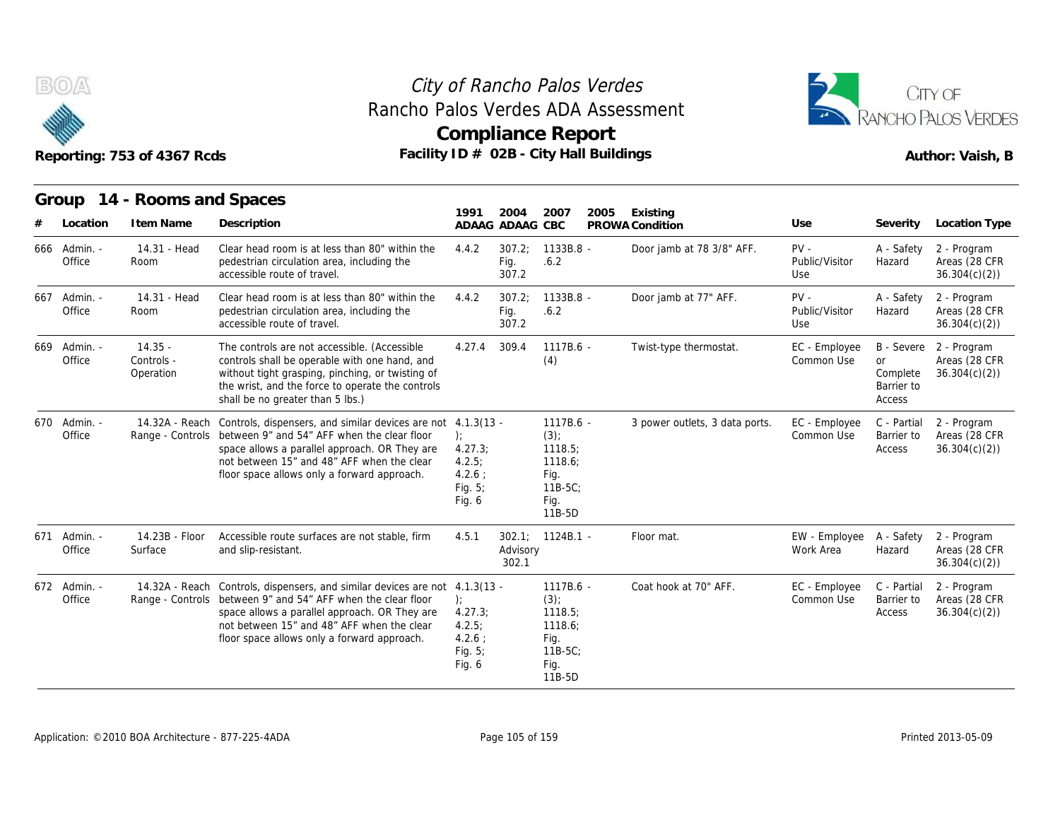



**Group 14 - Rooms and Spaces Item Name State Searce Searce State Search Search State Search Search Search Search Search Search Search Search Search Search Search Search Search Search Search Search Search Search Search Search Search Search Search Sear 1991 ADAAG 2004 ADAAG CBC PROWA 2007 2005 Existing # Location Condition Use Severity Location Type** 14.31 - Head Room pedestrian circulation area, including the Clear head room is at less than 80" within the  $4.4.2$  307.2: accessible route of travel. of *Rancho Palos V*<br>
los Verdes ADA A<br>
pmpliance Repo<br>
D # 02B - City Hall B<br>
ADAAG ADAAG CBC PP<br>
ADAAG ADAAG CBC PP<br>
4.4.2 307.2; 1133B.8 - Fig. .6.2<br>
307.2 Fig. .6.2 307.2 1133B.8 - Door jamb at 78 3/8" AFF. Verdes<br>
Assessment<br>
ort<br>
Buildings<br>
2005 Existing<br>
PROWA Condition<br>
Door jamb at 78 3/8" AFF. PV - Public/Visitor<br>
Use<br>
Door jamb at 78 3/8" AFF. PV - Public/Visitor Public/Visitor Use A - Safety 2 - Program Hazard Areas (28 CFR 36.304(c)(2)) Office Room 14.31 - Head Room pedestrian circulation area, including the Clear head room is at less than 80" within the  $4.4.2$  307.2; accessible route of travel. 9 1991 2004 2007 2007<br>
4.4.2 307.2; 1133B.8<br>
4.4.2 307.2; 1133B.8<br>
5ig. .6.2<br>
4.4.2 307.2; 1133B.8<br>
5ig. .6.2<br>
5ig. .6.2<br>
5ig. .6.2<br>
5ig. .6.2<br>
307.2 Fig. .6.2 307.2 1133B.8 - Door jamb at 77" AFF. OT<br>
Buildings<br>
2005 Existing<br>
PROWA Condition Use<br>
- Door jamb at 78 3/8" AFF. PV - Public/Visitor<br>
Use<br>
- Door jamb at 77" AFF. PV - Public/Visitor<br>
Use<br>
- Public/Visitor<br>
Use Public/Visitor Use A - Safety 2 - Program Hazard Areas (28 CFR 36.304(c)(2)) Reporting: 753 of 43<br>
Group 14 - Root<br>
# Location Item N<br>
666 Admin. - 14.31<br>
667 Admin. - 14.31<br>
667 Admin. - 14.31<br>
667 Admin. - 14.31<br>
667 Admin. - 14.31 Office Room 14.35 - Office Controls - contr Operation without tight grasping, pinching, or twisting of The controls are not accessible. (Accessible controls shall be operable with one hand, and the wrist, and the force to operate the controls shall be no greater than 5 lbs.) 1991 2004 2007 2005 Existing<br>
ADAAG ADAAG CBC PROWA Condition<br>
4.4.2 307.2; 1133B.8 Door jamb at<br>
Fig. 6.2<br>
4.4.2 307.2; 1133B.8 Door jamb at<br>
Fig. 6.2<br>
307.2<br>
4.27.4 309.4 1117B.6 Twist-type th<br>
(4) (4) 2005 Existing<br>
PROWA Condition<br>
- Door jamb at 78 3/8" AFF. PV - A - Safety<br>
- Door jamb at 77" AFF. PV - A - Safety<br>
- Door jamb at 77" AFF. PV - A - Safety<br>
- Twist-type thermostat. EC - Employee B - Severe<br>
- Twist-type Common Use B - Severe or Complete 36.304(c)(2)) Barrier to Access 2 - Program Areas (28 CFR Group 14 - Root<br>
# Location Item N<br>
666 Admin. - 14.31<br>
667 Admin. - 14.31<br>
667 Admin. - 14.31<br>
669 Admin. - 14.35<br>
669 Admin. - 14.35<br>
669 Admin. - 14.35<br>
669 Admin. - 14.35<br>
669 Admin. - 14.35<br>
669 Admin. - 14.35<br>
60 Der 14.32A - Reach Controls, dispensers, and similar devices are not 4.1.3(13 Office Sange - Controls between 9" and 54" AFF when the clear floor (b): space allows a parallel approach. OR They are not between 15" and 48" AFF when the clear floor space allows only a forward approach. ); 4.27.3; 4.2.5;  $4.2.6:$ Fig. 5; Fig. 6 Sol.2, 11356.6 - Door jamb at<br>Fig. 6.2<br>307.2<br>307.2 - 1133B.8 - Door jamb at<br>Fig. 6.2<br>307.2<br>309.4 - 1117B.6 - Twist-type th<br>(4)<br>- 1117B.6 - 3 power outle<br>(3);<br>118.5;<br>1118.6 - 3 power outle  $(3)$ ; 1118.5; 1118.6; Fig. 11B-5C; Fig. 11B-5D - Boor jamb at 76 376 AFF.<br>
Public/Visitor Hazard<br>
Use<br>
- Door jamb at 77" AFF.<br>
PV - A - Safety<br>
Public/Visitor Hazard<br>
Use<br>
- Twist-type thermostat. EC - Employee B - Severe<br>
Common Use or<br>
Complete<br>
Barrier to<br>
Access<br> Common Use Barrier to C - Partial 2 - Program Barrier to Areas (28 CFR Access 36.304(c)(2)) 667 Admin. - 14.31<br>
14.31<br>
667 Admin. - 14.31<br>
669 Admin. - 14.35<br>
669 Admin. - 14.35<br>
669 Admin. - 14.32<br>
670 Admin. - 14.32A<br>
670 Admin. - 14.32A<br>
670 Admin. - 14.32A<br>
670 Admin. - 14.32A 14.23B - Floor Surface and slip-resistant. Accessible route surfaces are not stable, firm 4.5.1 302.1; 1124B.1 -4.1.3(13 - 1117B.6 -<br>
(.)<br>
4.27.3; 1118.5;<br>
4.2.5; 1118.6;<br>
4.2.6 ; 1118.6;<br>
Fig. 5; 118-5C;<br>
Fig. 6 Fig. 118-5D<br>
4.5.1 302.1; 1124B.1 - Advisory<br>
302.1 Advisory 302.1 Community Complete<br>
Complete<br>
Barrier to<br>
1117B.6 - 3 power outlets, 3 data ports. EC - Employee C - Partial<br>
23):<br>
1118.5;<br>
1118.5;<br>
1118.6;<br>
Fig.<br>
1118.5C;<br>
Fig.<br>
1118.5C;<br>
Fig.<br>
1124B.1 - Floor mat. EW - Employee A - Sa Work Area Hazard A - Safety 2 - Program Hazard Areas (28 CFR 36.304(c)(2)) Some<br>
Speratic<br>
Operatic<br>
Operatic<br>
Operatic<br>
Office Range -<br>
Admin. - 14.23B<br>
Office Surface Office Surface 14.32A - Reach Controls, dispensers, and similar devices are not Office Sange - Controls between 9" and 54" AFF when the clear floor (b): space allows a parallel approach. OR They are not between 15" and 48" AFF when the clear floor space allows only a forward approach.  $1117B.6 -$ ); the contract of  $\mathbf{r}$ 4.27.3; 4.2.5;  $4.2.6:$ Fig. 5; Fig. 6 - 1117B.6 - 3 power outle<br>
(3);<br>
1118.5;<br>
1118.6;<br>
Fig. 11B-5C;<br>
Fig. 11B-5D<br>
302.1; 1124B.1 - Floor mat.<br>
Advisory<br>
302.1<br>
- 1117B.6 - Coat hook at<br>
(3);<br>
1118.5;<br>
1118.5;<br>
1118.5;  $(3)$ : 1118.5; 1118.6; Fig. 11B-5C; Fig. 11B-5D - 3 power outlets, 3 data ports. EC - Employee C - Partial<br>
Common Use Barrier to<br>
Access<br>
- Floor mat. EW - Employee A - Safety<br>
Work Area Hazard<br>
- Coat hook at 70" AFF. EC - Employee C - Partial<br>
Common Use Barrier to<br> Common Use Barrier to C - Partial 2 - Program Barrier to Areas (28 CFR Access 36.304(c)(2)) 14.324<br>
670 Admin. - 14.328<br>
671 Admin. - 14.238<br>
672 Admin. - 14.324<br>
672 Admin. - 14.324<br>
672 Admin. - 14.324<br>
676 Range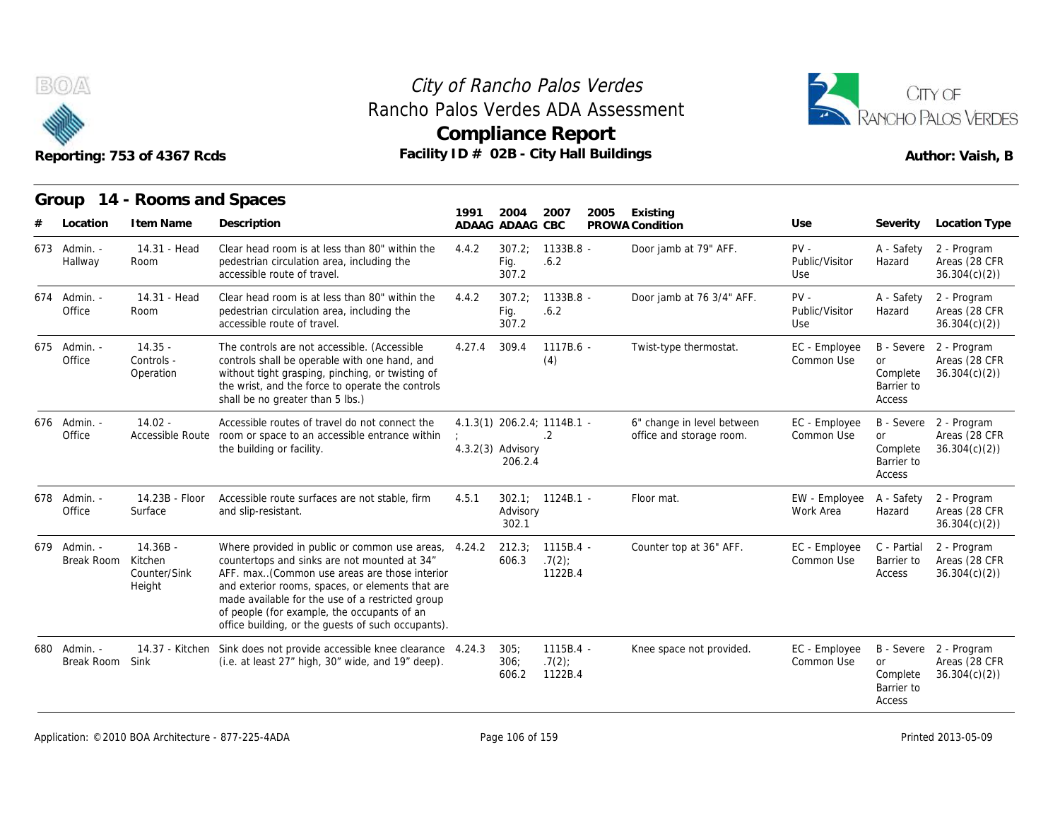

# Rancho Palos Verdes ADA Assessment



|                            | Reporting: 753 of 4367 Rcds                     |                                                                                                                                                                                                                                                                                                                                                                   |        |                                | <b>Compliance Report</b><br>Facility ID # 02B - City Hall Buildings | Author: Vaish, B                                       |                                 |                                                             |                                                         |
|----------------------------|-------------------------------------------------|-------------------------------------------------------------------------------------------------------------------------------------------------------------------------------------------------------------------------------------------------------------------------------------------------------------------------------------------------------------------|--------|--------------------------------|---------------------------------------------------------------------|--------------------------------------------------------|---------------------------------|-------------------------------------------------------------|---------------------------------------------------------|
| Group<br>Location          | 14 - Rooms and Spaces<br>I tem Name             | Description                                                                                                                                                                                                                                                                                                                                                       | 1991   | 2004<br>ADAAG ADAAG CBC        | 2007<br>2005                                                        | Existing<br>PROWA Condition                            | Use                             | Severity                                                    | Location Type                                           |
| 673 Admin. -<br>Hallway    | 14.31 - Head<br>Room                            | Clear head room is at less than 80" within the<br>pedestrian circulation area, including the<br>accessible route of travel.                                                                                                                                                                                                                                       | 4.4.2  | 307.2;<br>Fig.<br>307.2        | 1133B.8 -<br>.6.2                                                   | Door jamb at 79" AFF.                                  | $PV -$<br>Public/Visitor<br>Use | A - Safety<br>Hazard                                        | 2 - Program<br>Areas (28 CFR<br>36.304(c)(2)            |
| 674 Admin. -<br>Office     | 14.31 - Head<br>Room                            | Clear head room is at less than 80" within the<br>pedestrian circulation area, including the<br>accessible route of travel.                                                                                                                                                                                                                                       | 4.4.2  | 307.2;<br>Fig.<br>307.2        | 1133B.8 -<br>.6.2                                                   | Door jamb at 76 3/4" AFF.                              | $PV -$<br>Public/Visitor<br>Use | A - Safety<br>Hazard                                        | 2 - Program<br>Areas (28 CFR<br>36.304(c)(2)            |
| 675 Admin. -<br>Office     | $14.35 -$<br>Controls -<br>Operation            | The controls are not accessible. (Accessible<br>controls shall be operable with one hand, and<br>without tight grasping, pinching, or twisting of<br>the wrist, and the force to operate the controls<br>shall be no greater than 5 lbs.)                                                                                                                         | 4.27.4 | 309.4                          | 1117B.6 -<br>(4)                                                    | Twist-type thermostat.                                 | EC - Employee<br>Common Use     | or<br>Complete<br>Barrier to<br>Access                      | B - Severe 2 - Program<br>Areas (28 CFR<br>36.304(c)(2) |
| 676 Admin. -<br>Office     | $14.02 -$<br>Accessible Route                   | Accessible routes of travel do not connect the<br>room or space to an accessible entrance within<br>the building or facility.                                                                                                                                                                                                                                     |        | $4.3.2(3)$ Advisory<br>206.2.4 | 4.1.3(1) 206.2.4; 1114B.1 -<br>$\cdot$ 2                            | 6" change in level between<br>office and storage room. | EC - Employee<br>Common Use     | B - Severe<br><b>or</b><br>Complete<br>Barrier to<br>Access | 2 - Program<br>Areas (28 CFR<br>36.304(c)(2)            |
| 678 Admin. -<br>Office     | 14.23B - Floor<br>Surface                       | Accessible route surfaces are not stable, firm<br>and slip-resistant.                                                                                                                                                                                                                                                                                             | 4.5.1  | Advisory<br>302.1              | $302.1$ ; $1124B.1$ -                                               | Floor mat.                                             | EW - Employee<br>Work Area      | A - Safety<br>Hazard                                        | 2 - Program<br>Areas (28 CFR<br>36.304(c)(2)            |
| 679 Admin. -<br>Break Room | $14.36B -$<br>Kitchen<br>Counter/Sink<br>Height | Where provided in public or common use areas, 4.24.2<br>countertops and sinks are not mounted at 34"<br>AFF. max(Common use areas are those interior<br>and exterior rooms, spaces, or elements that are<br>made available for the use of a restricted group<br>of people (for example, the occupants of an<br>office building, or the quests of such occupants). |        | 212.3;<br>606.3                | $1115B.4 -$<br>.7(2)<br>1122B.4                                     | Counter top at 36" AFF.                                | EC - Employee<br>Common Use     | C - Partial<br>Barrier to<br>Access                         | 2 - Program<br>Areas (28 CFR<br>36.304(c)(2)            |
| 680 Admin. -<br>Break Room | 14.37 - Kitchen<br>Sink                         | Sink does not provide accessible knee clearance 4.24.3<br>(i.e. at least 27" high, 30" wide, and 19" deep).                                                                                                                                                                                                                                                       |        | 305:<br>306;<br>606.2          | $1115B.4 -$<br>.7(2)<br>1122B.4                                     | Knee space not provided.                               | EC - Employee<br>Common Use     | <b>or</b><br>Complete<br>Barrier to<br>Access               | B - Severe 2 - Program<br>Areas (28 CFR<br>36.304(c)(2) |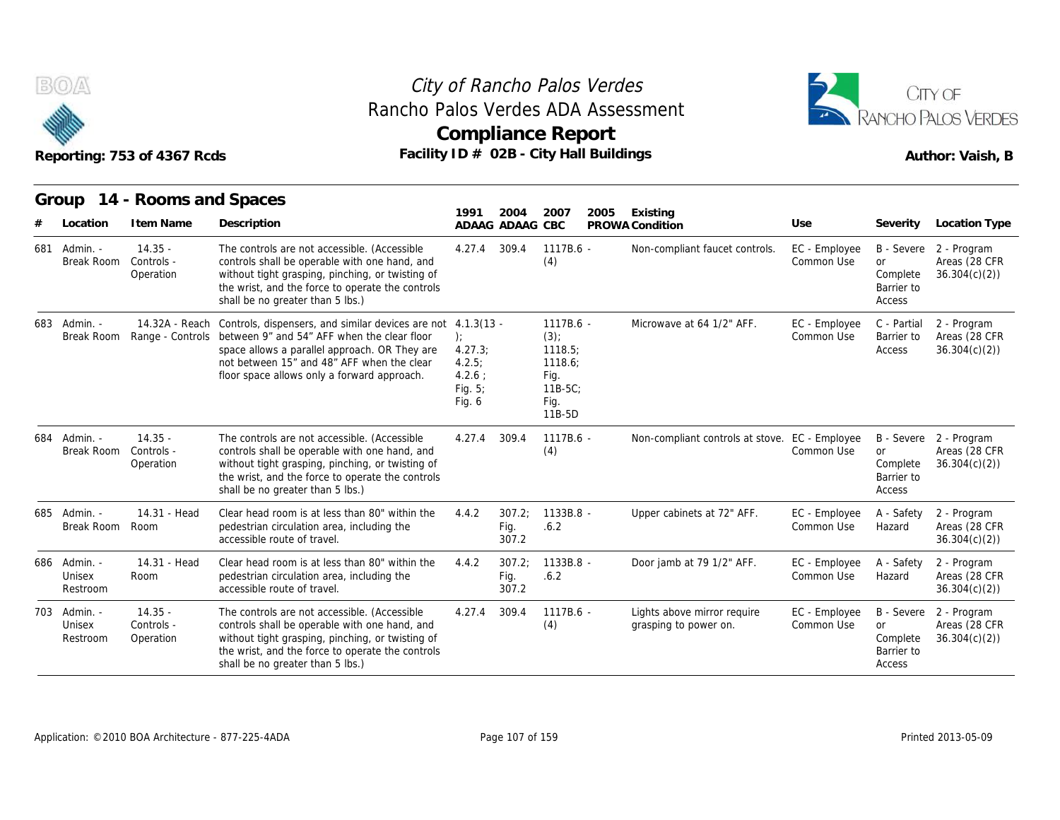



|     |                                    | Reporting: 753 of 4367 Rcds          | Rancho Palos Verdes ADA Assessment<br>Facility ID # 02B - City Hall Buildings                                                                                                                                                                                                             |                                                           | <b>Compliance Report</b> |                                                                                  | RANCHO PALOS VERDES<br>Author: Vaish, B |                                                      |                             |                                                      |                                                         |
|-----|------------------------------------|--------------------------------------|-------------------------------------------------------------------------------------------------------------------------------------------------------------------------------------------------------------------------------------------------------------------------------------------|-----------------------------------------------------------|--------------------------|----------------------------------------------------------------------------------|-----------------------------------------|------------------------------------------------------|-----------------------------|------------------------------------------------------|---------------------------------------------------------|
|     |                                    | Group 14 - Rooms and Spaces          |                                                                                                                                                                                                                                                                                           |                                                           |                          |                                                                                  |                                         |                                                      |                             |                                                      |                                                         |
|     | Location                           | I tem Name                           | Description                                                                                                                                                                                                                                                                               | 1991                                                      | 2004<br>ADAAG ADAAG CBC  | 2007                                                                             | 2005                                    | Existing<br>PROWA Condition                          | Use                         | Severity                                             | Location Type                                           |
| 681 | Admin. -<br>Break Room             | $14.35 -$<br>Controls -<br>Operation | The controls are not accessible. (Accessible<br>controls shall be operable with one hand, and<br>without tight grasping, pinching, or twisting of<br>the wrist, and the force to operate the controls<br>shall be no greater than 5 lbs.)                                                 | 4.27.4                                                    | 309.4                    | 1117B.6 -<br>(4)                                                                 |                                         | Non-compliant faucet controls.                       | EC - Employee<br>Common Use | or<br>Complete<br>Barrier to<br>Access               | B - Severe 2 - Program<br>Areas (28 CFR<br>36.304(c)(2) |
| 683 | - Admin.<br>Break Room             |                                      | 14.32A - Reach Controls, dispensers, and similar devices are not 4.1.3(13 -<br>Range - Controls between 9" and 54" AFF when the clear floor<br>space allows a parallel approach. OR They are<br>not between 15" and 48" AFF when the clear<br>floor space allows only a forward approach. | ):<br>4.27.3;<br>4.2.5:<br>$4.2.6$ :<br>Fig. 5;<br>Fig. 6 |                          | 1117B.6 -<br>$(3)$ ;<br>1118.5;<br>1118.6:<br>Fig.<br>$11B-5C$<br>Fig.<br>11B-5D |                                         | Microwave at 64 1/2" AFF.                            | EC - Employee<br>Common Use | C - Partial<br>Barrier to<br>Access                  | 2 - Program<br>Areas (28 CFR<br>36.304(c)(2)            |
| 684 | Admin. -<br>Break Room             | $14.35 -$<br>Controls -<br>Operation | The controls are not accessible. (Accessible<br>controls shall be operable with one hand, and<br>without tight grasping, pinching, or twisting of<br>the wrist, and the force to operate the controls<br>shall be no greater than 5 lbs.)                                                 | 4.27.4                                                    | 309.4                    | 1117B.6 -<br>(4)                                                                 |                                         | Non-compliant controls at stove. EC - Employee       | Common Use                  | <b>or</b><br>Complete<br>Barrier to<br>Access        | B - Severe 2 - Program<br>Areas (28 CFR<br>36.304(c)(2) |
|     | 685 Admin. -<br>Break Room         | 14.31 - Head<br>Room                 | Clear head room is at less than 80" within the<br>pedestrian circulation area, including the<br>accessible route of travel.                                                                                                                                                               | 4.4.2                                                     | 307.2;<br>Fig.<br>307.2  | $1133B.8 -$<br>.6.2                                                              |                                         | Upper cabinets at 72" AFF.                           | EC - Employee<br>Common Use | A - Safety<br>Hazard                                 | 2 - Program<br>Areas (28 CFR<br>36.304(c)(2)            |
|     | 686 Admin. -<br>Unisex<br>Restroom | 14.31 - Head<br>Room                 | Clear head room is at less than 80" within the<br>pedestrian circulation area, including the<br>accessible route of travel.                                                                                                                                                               | 4.4.2                                                     | 307.2:<br>Fig.<br>307.2  | 1133B.8 -<br>.6.2                                                                |                                         | Door jamb at 79 1/2" AFF.                            | EC - Employee<br>Common Use | A - Safety<br>Hazard                                 | 2 - Program<br>Areas (28 CFR<br>36.304(c)(2)            |
| 703 | - Admin.<br>Unisex<br>Restroom     | $14.35 -$<br>Controls -<br>Operation | The controls are not accessible. (Accessible<br>controls shall be operable with one hand, and<br>without tight grasping, pinching, or twisting of<br>the wrist, and the force to operate the controls<br>shall be no greater than 5 lbs.)                                                 | 4.27.4                                                    | 309.4                    | $1117B.6 -$<br>(4)                                                               |                                         | Lights above mirror require<br>grasping to power on. | EC - Employee<br>Common Use | B - Severe<br>or<br>Complete<br>Barrier to<br>Access | 2 - Program<br>Areas (28 CFR<br>36.304(c)(2)            |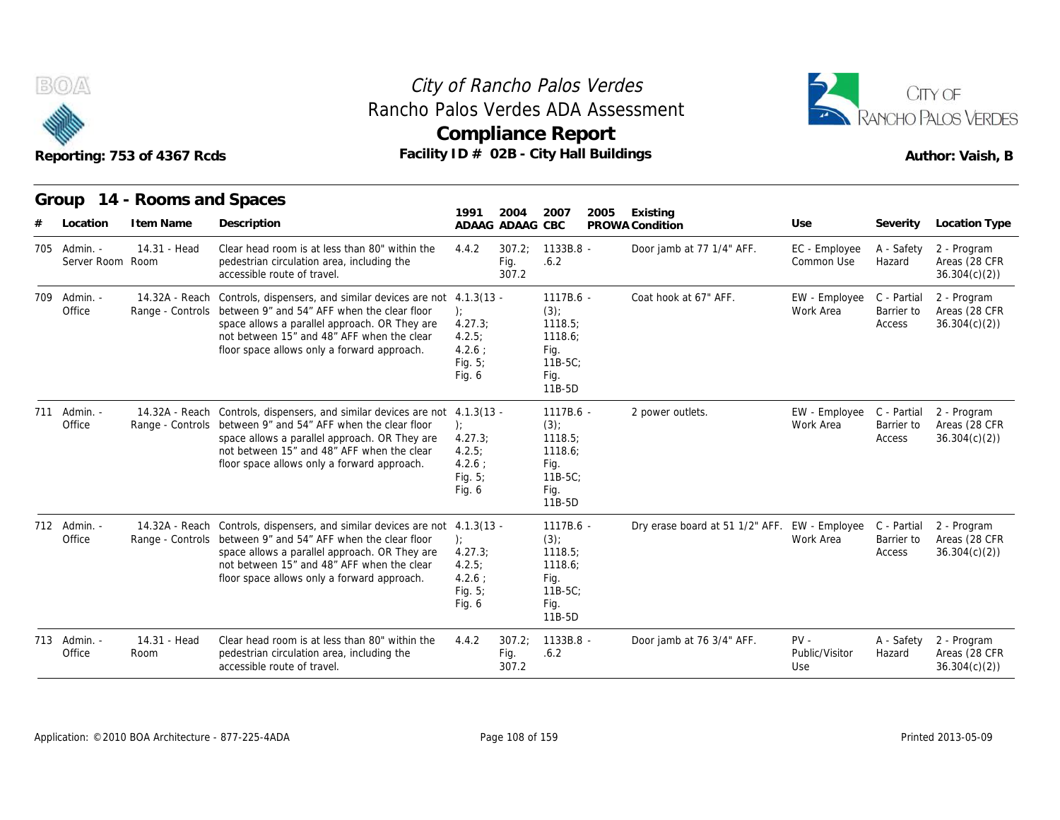

### **Compliance Report** Rancho Palos Verdes ADA Assessment



|       |                                  | Reporting: 753 of 4367 Rcds         | Rancho Palos Verdes ADA Assessment<br>Facility ID # 02B - City Hall Buildings                                                                                                                                                                                                             | <b>Compliance Report</b>                                            |                         |                                                                                  | RANCHO PALOS VERDES<br>Author: Vaish, B       |                                 |                                     |                                              |
|-------|----------------------------------|-------------------------------------|-------------------------------------------------------------------------------------------------------------------------------------------------------------------------------------------------------------------------------------------------------------------------------------------|---------------------------------------------------------------------|-------------------------|----------------------------------------------------------------------------------|-----------------------------------------------|---------------------------------|-------------------------------------|----------------------------------------------|
| Group | Location                         | 14 - Rooms and Spaces<br>I tem Name | Description                                                                                                                                                                                                                                                                               | 1991                                                                | 2004<br>ADAAG ADAAG CBC | 2007<br>2005                                                                     | Existing<br>PROWA Condition                   | Use                             | Severity                            | Location Type                                |
|       | 705 Admin. -<br>Server Room Room | 14.31 - Head                        | Clear head room is at less than 80" within the<br>pedestrian circulation area, including the<br>accessible route of travel                                                                                                                                                                | 4.4.2                                                               | 307.2:<br>Fig.<br>307.2 | $1133B.8 -$<br>.6.2                                                              | Door jamb at 77 1/4" AFF.                     | EC - Employee<br>Common Use     | A - Safety<br>Hazard                | 2 - Program<br>Areas (28 CFR<br>36.304(c)(2) |
|       | 709 Admin. -<br>Office           |                                     | 14.32A - Reach Controls, dispensers, and similar devices are not 4.1.3(13 -<br>Range - Controls between 9" and 54" AFF when the clear floor<br>space allows a parallel approach. OR They are<br>not between 15" and 48" AFF when the clear<br>floor space allows only a forward approach. | $\cdot$<br>4.27.3;<br>4.2.5:<br>$4.2.6$ :<br>Fig. $5$ ;<br>Fig. 6   |                         | 1117B.6 -<br>$(3)$ ;<br>1118.5;<br>1118.6;<br>Fig.<br>$11B-5C$<br>Fig.<br>11B-5D | Coat hook at 67" AFF.                         | EW - Employee<br>Work Area      | C - Partial<br>Barrier to<br>Access | 2 - Program<br>Areas (28 CFR<br>36.304(c)(2) |
|       | 711 Admin. -<br>Office           |                                     | 14.32A - Reach Controls, dispensers, and similar devices are not 4.1.3(13 -<br>Range - Controls between 9" and 54" AFF when the clear floor<br>space allows a parallel approach. OR They are<br>not between 15" and 48" AFF when the clear<br>floor space allows only a forward approach. | $\cdot$<br>4.27.3<br>4.2.5:<br>$4.2.6$ :<br>Fig. $5$ ;<br>Fig. $6$  |                         | 1117B.6 -<br>$(3)$ ;<br>1118.5<br>1118.6:<br>Fig.<br>$11B-5C$<br>Fig.<br>11B-5D  | 2 power outlets.                              | EW - Employee<br>Work Area      | C - Partial<br>Barrier to<br>Access | 2 - Program<br>Areas (28 CFR<br>36.304(c)(2) |
|       | 712 Admin. -<br>Office           |                                     | 14.32A - Reach Controls, dispensers, and similar devices are not 4.1.3(13 -<br>Range - Controls between 9" and 54" AFF when the clear floor<br>space allows a parallel approach. OR They are<br>not between 15" and 48" AFF when the clear<br>floor space allows only a forward approach. | $\cdot$<br>4.27.3;<br>4.2.5:<br>$4.2.6$ :<br>Fig. $5$ ;<br>Fig. $6$ |                         | $1117B.6 -$<br>(3)<br>1118.5<br>1118.6;<br>Fig.<br>$11B-5C$<br>Fig.<br>11B-5D    | Dry erase board at 51 1/2" AFF. EW - Employee | Work Area                       | C - Partial<br>Barrier to<br>Access | 2 - Program<br>Areas (28 CFR<br>36.304(c)(2) |
|       | 713 Admin. -<br>Office           | 14.31 - Head<br>Room                | Clear head room is at less than 80" within the<br>pedestrian circulation area, including the<br>accessible route of travel.                                                                                                                                                               | 4.4.2                                                               | 307.2;<br>Fig.<br>307.2 | $1133B.8 -$<br>.6.2                                                              | Door jamb at 76 3/4" AFF.                     | $PV -$<br>Public/Visitor<br>Use | A - Safety<br>Hazard                | 2 - Program<br>Areas (28 CFR<br>36.304(c)(2) |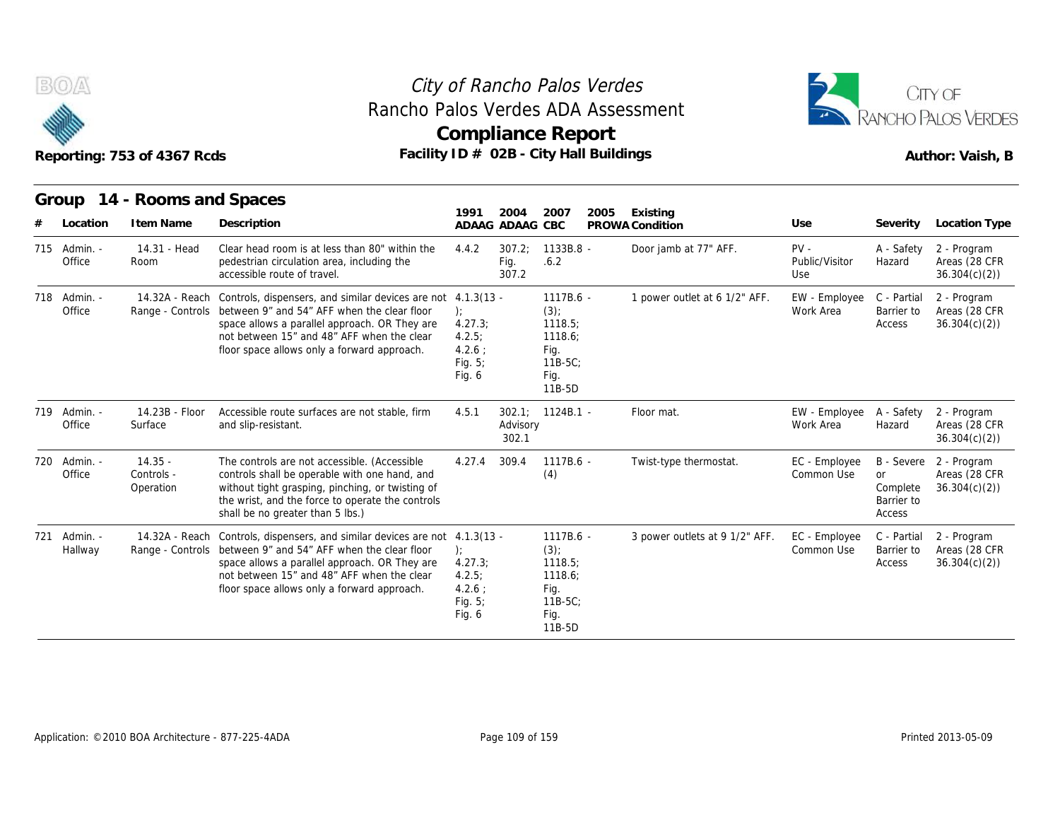

### **Compliance Report** Rancho Palos Verdes ADA Assessment



| RAILIU FAIUS VEI UES ADA ASSESSITIEI |  |
|--------------------------------------|--|
| Compliance Report                    |  |
| $F_{\alpha\alpha}$                   |  |

|     |                         | Reporting: 753 of 4367 Rcds          | Rancho Palos Verdes ADA Assessment<br>Facility $ID \# O2B - City Hall Buildings$                                                                                                                                                                                                          | <b>Compliance Report</b>                                              |                         |                                                                                 |      |                                |                                 |                                                             | CITY OF<br><b>RANCHO PALOS VERDES</b><br>Author: Vaish, B |
|-----|-------------------------|--------------------------------------|-------------------------------------------------------------------------------------------------------------------------------------------------------------------------------------------------------------------------------------------------------------------------------------------|-----------------------------------------------------------------------|-------------------------|---------------------------------------------------------------------------------|------|--------------------------------|---------------------------------|-------------------------------------------------------------|-----------------------------------------------------------|
|     | Group                   | 14 - Rooms and Spaces                |                                                                                                                                                                                                                                                                                           | 1991                                                                  | 2004                    | 2007                                                                            | 2005 | Existing                       |                                 |                                                             |                                                           |
|     | Location                | I tem Name                           | Description                                                                                                                                                                                                                                                                               |                                                                       | ADAAG ADAAG CBC         |                                                                                 |      | PROWA Condition                | Use                             | Severity                                                    | Location Type                                             |
|     | 715 Admin. -<br>Office  | 14.31 - Head<br>Room                 | Clear head room is at less than 80" within the<br>pedestrian circulation area, including the<br>accessible route of travel.                                                                                                                                                               | 4.4.2                                                                 | 307.2:<br>Fig.<br>307.2 | $1133B.8 -$<br>.6.2                                                             |      | Door jamb at 77" AFF.          | $PV -$<br>Public/Visitor<br>Use | A - Safety<br>Hazard                                        | 2 - Program<br>Areas (28 CFR<br>36.304(c)(2)              |
|     | 718 Admin. -<br>Office  |                                      | 14.32A - Reach Controls, dispensers, and similar devices are not 4.1.3(13 -<br>Range - Controls between 9" and 54" AFF when the clear floor<br>space allows a parallel approach. OR They are<br>not between 15" and 48" AFF when the clear<br>floor space allows only a forward approach. | $\mathcal{E}$<br>4.27.3<br>4.2.5:<br>$4.2.6$ ;<br>Fig. 5;<br>Fig. $6$ |                         | 1117B.6 -<br>$(3)$ ;<br>1118.5<br>1118.6;<br>Fig.<br>11B-5C:<br>Fig.<br>11B-5D  |      | 1 power outlet at 6 1/2" AFF.  | EW - Employee<br>Work Area      | C - Partial<br>Barrier to<br>Access                         | 2 - Program<br>Areas (28 CFR<br>36.304(c)(2)              |
|     | 719 Admin. -<br>Office  | 14.23B - Floor<br>Surface            | Accessible route surfaces are not stable, firm<br>and slip-resistant.                                                                                                                                                                                                                     | 4.5.1                                                                 | Advisory<br>302.1       | 302.1; 1124B.1 -                                                                |      | Floor mat.                     | EW - Employee<br>Work Area      | A - Safety<br>Hazard                                        | 2 - Program<br>Areas (28 CFR<br>36.304(c)(2)              |
| 720 | - Admin.<br>Office      | $14.35 -$<br>Controls -<br>Operation | The controls are not accessible. (Accessible<br>controls shall be operable with one hand, and<br>without tight grasping, pinching, or twisting of<br>the wrist, and the force to operate the controls<br>shall be no greater than 5 lbs.)                                                 | 4.27.4                                                                | 309.4                   | $1117B.6 -$<br>(4)                                                              |      | Twist-type thermostat.         | EC - Employee<br>Common Use     | <b>B</b> - Severe<br>or<br>Complete<br>Barrier to<br>Access | 2 - Program<br>Areas (28 CFR<br>36.304(c)(2)              |
|     | 721 Admin. -<br>Hallway | Range - Controls                     | 14.32A - Reach Controls, dispensers, and similar devices are not 4.1.3(13 -<br>between 9" and 54" AFF when the clear floor<br>space allows a parallel approach. OR They are<br>not between 15" and 48" AFF when the clear<br>floor space allows only a forward approach.                  | $\cdot$<br>4.27.3;<br>4.2.5:<br>$4.2.6$ ;<br>Fig. $5$ ;<br>Fig. 6     |                         | 1117B.6 -<br>$(3)$ ;<br>1118.5;<br>1118.6;<br>Fig.<br>11B-5C;<br>Fig.<br>11B-5D |      | 3 power outlets at 9 1/2" AFF. | EC - Employee<br>Common Use     | C - Partial<br>Barrier to<br>Access                         | 2 - Program<br>Areas (28 CFR<br>36.304(c)(2)              |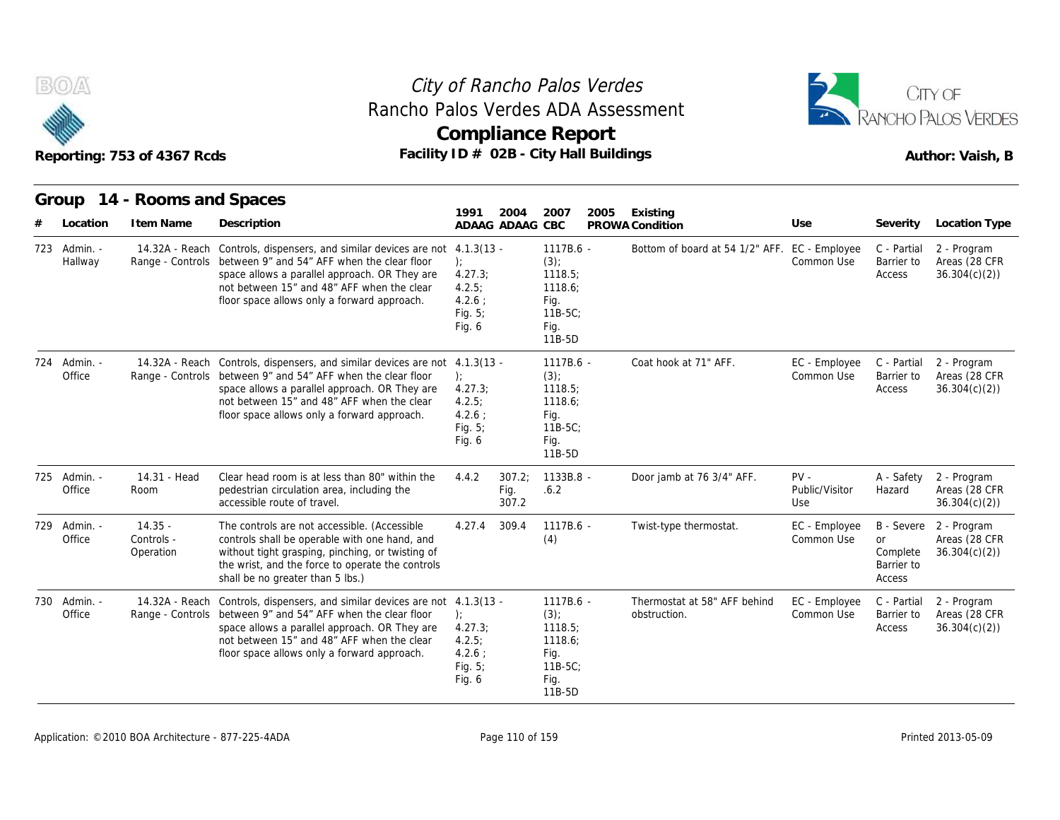



# Reporting: 753 of 4367 Rcds **Facility ID # 02B - City Hall Buildings** Reporting: 753 of 4367 Rcds Author: Vaish, B

**Group 14 - Rooms and Spaces Item Name State Search State Search State State State State State State State State State State State State Controls, dispensers, and similar devices**<br> **Item Name Description**<br> **I4.32A - Reach Controls, dispensers, and si 1991 ADAAG 2004 ADAAG CBC PROWA 2007 2005 Existing # Location Condition Use Severity Location Type** 14.32A - Reach Controls, dispensers, and similar devices are not 4.1.3(13 Hallway Range - Controls between 9" and 54" AFF when the clear floor ); space allows a parallel approach. OR They are not between 15" and 48" AFF when the clear floor space allows only a forward approach. ); 4.27.3; 4.2.5; 4.2.6 ; Fig. 5; Fig. 6 Cho Palos Verdes<br>
erdes ADA Assessment<br>
ance Report<br>
2B - City Hall Buildings<br>
2004 2007 2005 Existing<br>
ADAAG CBC PROWA Condition<br>
- 1117B.6 - Bottom of bo<br>
(3);<br>
1118.5;<br>
1118.6: (3); 1118.5; 1118.6; Fig. 11B-5C; Fig. 11B-5D Verdes<br>
Ort<br>
Drive Continuitings<br>
PROWA Condition<br>
- Bottom of board at 54 1/2" AFF. EC - Employee C - Partial<br>
Common Use Barrier to<br>
Access Common Use Barrier to C - Partial 2 - Program Barrier to Areas (28 CFR Access 36.304(c)(2)) 14.32A - Reach Controls, dispensers, and similar devices are not Office The Range - Controls between 9" and 54" AFF when the clear floor (b); space allows a parallel approach. OR They are not between 15" and 48" AFF when the clear floor space allows only a forward approach.  $1117B.6 -$ ); the contract of  $\mathbf{r}$ 4.27.3; 4.2.5; 4.2.6 ; Fig. 5; Fig. 6 2004 2007 2005 Existing<br>
ADAAG CBC PROWA Condition<br>
- 1117B.6 - Bottom of bo<br>
(3);<br>
1118.5;<br>
1118.6;<br>
Fig. 11B-5C;<br>
Fig. 11B-5D<br>
- 1117B.6 - Coat hook at<br>
(3);<br>
1118.5;<br>
1117B.6 - Coat hook at<br>
(3);<br>
1118.5;  $(3)$ : 1118.5; 1118.6; Fig. 11B-5C; Fig. 11B-5D 2005 Existing<br>
PROWA Condition Use Severity<br>
Bottom of board at 54 1/2" AFF. EC - Employee C - Partial<br>
Common Use Barrier to<br>
Access<br>
Coat hook at 71" AFF. EC - Employee C - Partial<br>
Common Use Barrier to<br>
Access Common Use Barrier to C - Partial 2 - Program Barrier to Areas (28 CFR Access 36.304(c)(2)) Group 14 - Root<br>
# Location Item N<br>
723 Admin. - 14.32A<br>
Hallway Range -<br>
724 Admin. - 14.32A<br>
Office Range - 14.31 - Head Room pedestrian circulation area, including the Clear head room is at less than 80" within the 4.4.2 307.2; accessible route of travel. Fig. 5;<br>
Fig. 5;<br>
118-5C;<br>
Fig. 6<br>
118-5D<br>
117B.6 -<br>
117B.6 -<br>
4.1.3(13 -<br>
1117B.6 -<br>
3);<br>
4.27.3;<br>
1118.5;<br>
1118.6;<br>
4.2.6 ;<br>
1118.6;<br>
Fig. 5;<br>
118.5C;<br>
Fig. 5;<br>
118.5C;<br>
Fig. 118.5C;<br>
Fig. 118-5C;<br>
Fig. 118-5D<br>
4.4.2 307 Fig. .6.2 307.2 1133B.8 - Door jamb at 76 3/4" AFF. - Coat hook at 71" AFF. EC - Employee<br>
Common Use<br>
Poor jamb at 76 3/4" AFF. PV - Public/Visitor<br>
Door jamb at 76 3/4" AFF. PV - Public/Visitor<br>
Use Public/Visitor Hazard Use A - Safety 2 - Program Hazard Areas (28 CFR 36.304(c)(2)) 724 Admin. - 14.324<br>
Office Range -<br>
725 Admin. - 14.31<br>
Office Room Office Room 14.35 - Office Controls - contr Operation without tight grasping, pinching, or twisting of The controls are not accessible. (Accessible controls shall be operable with one hand, and the wrist, and the force to operate the controls shall be no greater than 5 lbs.) 4.1.3(13 - 1117B.6 - Coat hook at<br>
(3):<br>
4.27.3; 1118.5;<br>
4.2.5; 1118.6;<br>
4.2.6; Fig.<br>
Fig. 6 Fig.<br>
11B-5C;<br>
Fig. 6 Fig.<br>
11B-5D<br>
4.4.2 307.2; 1133B.8 - Door jamb at<br>
Fig. 6.2<br>
307.2<br>
4.27.4 309.4 1117B.6 - Twist-type th<br> (4) - Coat hook at 71" AFF.<br>
EC - Employee C - Partial<br>
Common Use Barrier to<br>
Access<br>
- Door jamb at 76 3/4" AFF.<br>
PV - A - Safety<br>
Public/Visitor Hazard<br>
Use<br>
- Twist-type thermostat.<br>
EC - Employee B - Severe<br>
Common Use or Common Use B - Severe or Complete 2 - Program Barrier to Access Areas (28 CFR 36.304(c)(2)) 14.324<br>
Office Range -<br>
Office Range -<br>
725 Admin. - 14.31<br>
Office Room<br>
729 Admin. - 14.35<br>
Office Controls<br>
Operation 14.32A - Reach Controls, dispensers, and similar devices are not 4.1.3(13 Office The Range - Controls between 9" and 54" AFF when the clear floor (b); space allows a parallel approach. OR They are not between 15" and 48" AFF when the clear floor space allows only a forward approach. ); the contract of  $\mathbf{r}$ 4.27.3; 4.2.5; 4.2.6 ; Fig. 5; Fig. 6 Fig.<br>
Fig.<br>
118-5D<br>
307.2; 1133B.8 - Door jamb at<br>
Fig. .6.2<br>
309.4 1117B.6 - Twist-type th<br>
(4)<br>
- 1117B.6 - Thermostat a<br>
(3); 1118.6;<br>
1118.5;<br>
1118.6  $(3)$ : 1118.5; 1118.6; Fig. 11B-5C; Fig. 11B-5D - Door jamb at 76 3/4" AFF. PV - Public/Visi<br>Use<br>- Twist-type thermostat. EC - Emple<br>- Thermostat at 58" AFF behind EC - Emple<br>- Thermostat at 58" AFF behind EC - Emple<br>- Common L obstruction. EC - Employee Common Use Barrier to C - Partial 2 - Program Barrier to Areas (28 CFR Access 36.304(c)(2)) T25 Admin. - 14.31<br>
Office Room<br>
729 Admin. - 14.35<br>
Office Controls<br>
Operatic<br>
730 Admin. - 14.32A<br>
Office Range -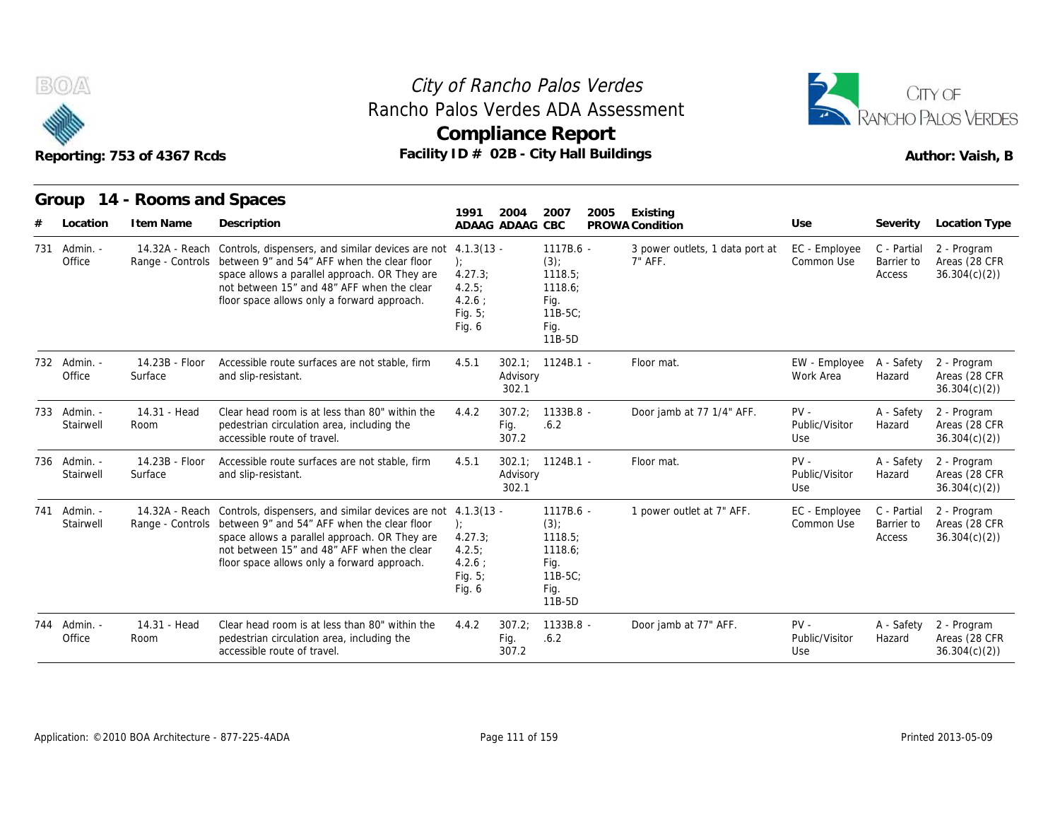



|     |                           | Reporting: 753 of 4367 Rcds               | Rancho Palos Verdes ADA Assessment<br>Facility ID # 02B - City Hall Buildings                                                                                                                                                                  |                                                                                  |                         | <b>Compliance Report</b>                                                          |      |                                            |                                 |                                     | CITY OF<br>PANCHO PALOS VERDES<br>Author: Vaish, B |
|-----|---------------------------|-------------------------------------------|------------------------------------------------------------------------------------------------------------------------------------------------------------------------------------------------------------------------------------------------|----------------------------------------------------------------------------------|-------------------------|-----------------------------------------------------------------------------------|------|--------------------------------------------|---------------------------------|-------------------------------------|----------------------------------------------------|
|     | Location                  | Group 14 - Rooms and Spaces<br>I tem Name | Description                                                                                                                                                                                                                                    | 1991                                                                             | 2004<br>ADAAG ADAAG CBC | 2007                                                                              | 2005 | Existing<br>PROWA Condition                | Use                             | Severity                            | Location Type                                      |
| 731 | Admin. -<br>Office        | 14.32A - Reach<br>Range - Controls        | Controls, dispensers, and similar devices are not<br>between 9" and 54" AFF when the clear floor<br>space allows a parallel approach. OR They are<br>not between 15" and 48" AFF when the clear<br>floor space allows only a forward approach. | $4.1.3(13 -$<br>$\cdot$<br>4.27.3;<br>4.2.5:<br>4.2.6:<br>Fig. $5$ ;<br>Fig. $6$ |                         | 1117B.6 -<br>$(3)$ ;<br>1118.5<br>1118.6;<br>Fig.<br>$11B-5C$ :<br>Fig.<br>11B-5D |      | 3 power outlets, 1 data port at<br>7" AFF. | EC - Employee<br>Common Use     | C - Partial<br>Barrier to<br>Access | 2 - Program<br>Areas (28 CFR<br>36.304(c)(2)       |
|     | 732 Admin. -<br>Office    | 14.23B - Floor<br>Surface                 | Accessible route surfaces are not stable, firm<br>and slip-resistant.                                                                                                                                                                          | 4.5.1                                                                            | Advisory<br>302.1       | 302.1: 1124B.1                                                                    |      | Floor mat.                                 | EW - Employee<br>Work Area      | A - Safety<br>Hazard                | 2 - Program<br>Areas (28 CFR<br>36.304(c)(2)       |
|     | 733 Admin. -<br>Stairwell | 14.31 - Head<br>Room                      | Clear head room is at less than 80" within the<br>pedestrian circulation area, including the<br>accessible route of travel.                                                                                                                    | 4.4.2                                                                            | 307.2:<br>Fig.<br>307.2 | 1133B.8 -<br>.6.2                                                                 |      | Door jamb at 77 1/4" AFF.                  | $PV -$<br>Public/Visitor<br>Use | A - Safety<br>Hazard                | 2 - Program<br>Areas (28 CFR<br>36.304(c)(2)       |
|     | 736 Admin. -<br>Stairwell | 14.23B - Floor<br>Surface                 | Accessible route surfaces are not stable, firm<br>and slip-resistant.                                                                                                                                                                          | 4.5.1                                                                            | Advisory<br>302.1       | $302.1$ ; $1124B.1$ -                                                             |      | Floor mat.                                 | $PV -$<br>Public/Visitor<br>Use | A - Safety<br>Hazard                | 2 - Program<br>Areas (28 CFR<br>36.304(c)(2)       |
| 741 | Admin. -<br>Stairwell     | 14.32A - Reach<br>Range - Controls        | Controls, dispensers, and similar devices are not<br>between 9" and 54" AFF when the clear floor<br>space allows a parallel approach. OR They are<br>not between 15" and 48" AFF when the clear<br>floor space allows only a forward approach. | $4.1.3(13 -$<br>$\cdot$<br>4.27.3;<br>4.2.5:<br>4.2.6:<br>Fig. $5$ ;<br>Fig. 6   |                         | 1117B.6 -<br>(3)<br>1118.5<br>1118.6;<br>Fig.<br>$11B-5C$<br>Fig.<br>11B-5D       |      | 1 power outlet at 7" AFF.                  | EC - Employee<br>Common Use     | C - Partial<br>Barrier to<br>Access | 2 - Program<br>Areas (28 CFR<br>36.304(c)(2)       |
|     | 744 Admin. -<br>Office    | 14.31 - Head<br>Room                      | Clear head room is at less than 80" within the<br>pedestrian circulation area, including the<br>accessible route of travel.                                                                                                                    | 4.4.2                                                                            | 307.2:<br>Fig.<br>307.2 | 1133B.8 -<br>.6.2                                                                 |      | Door jamb at 77" AFF.                      | $PV -$<br>Public/Visitor<br>Use | A - Safety<br>Hazard                | 2 - Program<br>Areas (28 CFR<br>36.304(c)(2)       |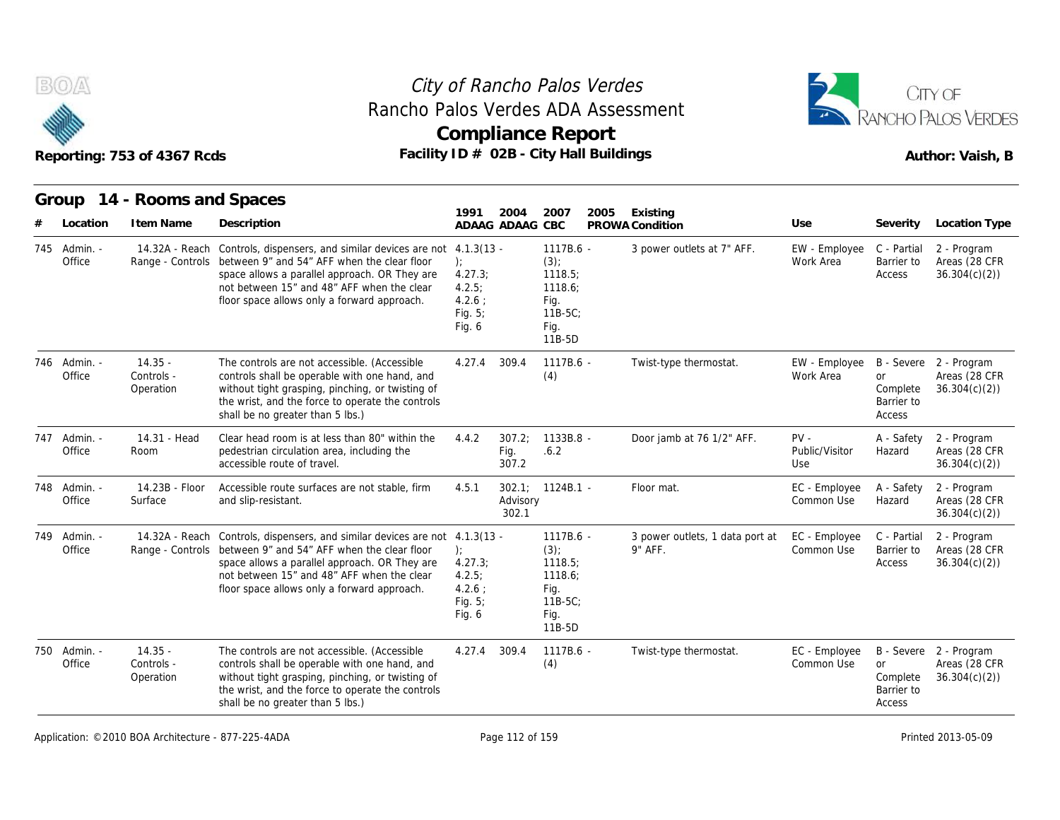



|     |                        | Reporting: 753 of 4367 Rcds          |                                                                                                                                                                                                                                                                            |                                                                |                         | <b>Compliance Report</b><br>Facility ID # 02B - City Hall Buildings                |                                            |                                 |                                        | Author: Vaish, B                                        |
|-----|------------------------|--------------------------------------|----------------------------------------------------------------------------------------------------------------------------------------------------------------------------------------------------------------------------------------------------------------------------|----------------------------------------------------------------|-------------------------|------------------------------------------------------------------------------------|--------------------------------------------|---------------------------------|----------------------------------------|---------------------------------------------------------|
|     | Group<br>Location      | 14 - Rooms and Spaces<br>I tem Name  | Description                                                                                                                                                                                                                                                                | 1991                                                           | 2004<br>ADAAG ADAAG CBC | 2007<br>2005                                                                       | Existing<br>PROWA Condition                | Use                             | Severity                               | Location Type                                           |
| 745 | - Admin.<br>Office     | 14.32A - Reach                       | Controls, dispensers, and similar devices are not 4.1.3(13 -<br>Range - Controls between 9" and 54" AFF when the clear floor<br>space allows a parallel approach. OR They are<br>not between 15" and 48" AFF when the clear<br>floor space allows only a forward approach. | $\cdot$<br>4.27.3;<br>4.2.5:<br>$4.2.6$ :<br>Fig. 5;<br>Fig. 6 |                         | 1117B.6 -<br>$(3)$ ;<br>1118.5;<br>1118.6;<br>Fig.<br>$11B-5C$ ;<br>Fig.<br>11B-5D | 3 power outlets at 7" AFF.                 | EW - Employee<br>Work Area      | C - Partial<br>Barrier to<br>Access    | 2 - Program<br>Areas (28 CFR<br>36.304(c)(2)            |
|     | 746 Admin. -<br>Office | $14.35 -$<br>Controls -<br>Operation | The controls are not accessible. (Accessible<br>controls shall be operable with one hand, and<br>without tight grasping, pinching, or twisting of<br>the wrist, and the force to operate the controls<br>shall be no greater than 5 lbs.)                                  | 4.27.4                                                         | 309.4                   | 1117B.6 -<br>(4)                                                                   | Twist-type thermostat.                     | EW - Employee<br>Work Area      | or<br>Complete<br>Barrier to<br>Access | B - Severe 2 - Program<br>Areas (28 CFR<br>36.304(c)(2) |
| 747 | - Admin.<br>Office     | 14.31 - Head<br>Room                 | Clear head room is at less than 80" within the<br>pedestrian circulation area, including the<br>accessible route of travel.                                                                                                                                                | 4.4.2                                                          | 307.2;<br>Fig.<br>307.2 | 1133B.8 -<br>.6.2                                                                  | Door jamb at 76 1/2" AFF.                  | $PV -$<br>Public/Visitor<br>Use | A - Safety<br>Hazard                   | 2 - Program<br>Areas (28 CFR<br>36.304(c)(2)            |
|     | 748 Admin. -<br>Office | 14.23B - Floor<br>Surface            | Accessible route surfaces are not stable, firm<br>and slip-resistant.                                                                                                                                                                                                      | 4.5.1                                                          | Advisory<br>302.1       | $302.1$ ; $1124B.1$ -                                                              | Floor mat.                                 | EC - Employee<br>Common Use     | A - Safety<br>Hazard                   | 2 - Program<br>Areas (28 CFR<br>36.304(c)(2)            |
| 749 | Admin. -<br>Office     | Range - Controls                     | 14.32A - Reach Controls, dispensers, and similar devices are not 4.1.3(13 -<br>between 9" and 54" AFF when the clear floor<br>space allows a parallel approach. OR They are<br>not between 15" and 48" AFF when the clear<br>floor space allows only a forward approach.   | $\cdot$<br>4.27.3;<br>4.2.5:<br>4.2.6:<br>Fig. $5$ ;<br>Fig. 6 |                         | 1117B.6 -<br>$(3)$ ;<br>1118.5;<br>1118.6;<br>Fig.<br>$11B-5C$<br>Fig.<br>11B-5D   | 3 power outlets, 1 data port at<br>9" AFF. | EC - Employee<br>Common Use     | C - Partial<br>Barrier to<br>Access    | 2 - Program<br>Areas (28 CFR<br>36.304(c)(2)            |
|     | 750 Admin. -<br>Office | $14.35 -$<br>Controls -<br>Operation | The controls are not accessible. (Accessible<br>controls shall be operable with one hand, and<br>without tight grasping, pinching, or twisting of<br>the wrist, and the force to operate the controls<br>shall be no greater than 5 lbs.)                                  | 4.27.4                                                         | 309.4                   | 1117B.6 -<br>(4)                                                                   | Twist-type thermostat.                     | EC - Employee<br>Common Use     | or<br>Complete<br>Barrier to<br>Access | B - Severe 2 - Program<br>Areas (28 CFR<br>36.304(c)(2) |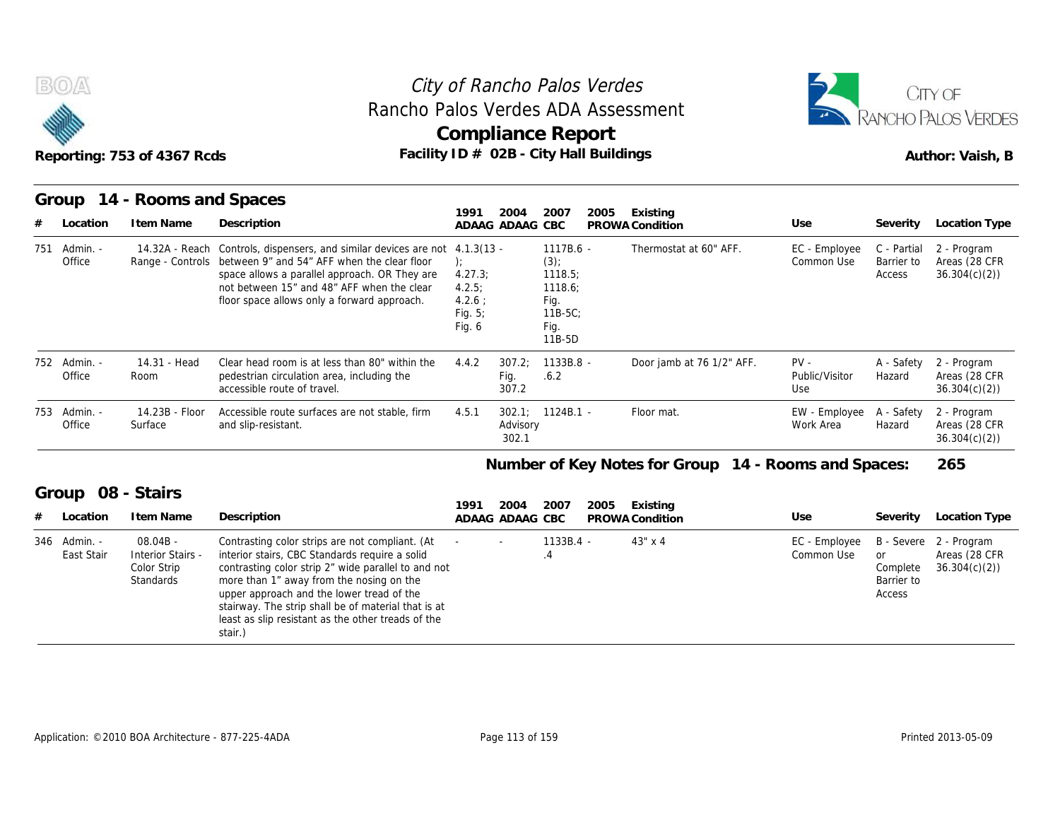



|                            | Reporting: 753 of 4367 Rcds                                        | Rancho Palos Verdes ADA Assessment<br>Facility ID # 02B - City Hall Buildings                                                                                                                                                                                                                                                                                             |                                                     |                         | City of Rancho Palos Verdes<br><b>Compliance Report</b>                            |      | CITY OF<br>RANCHO PALOS VERDES<br>Author: Vaish, B   |                                 |                                        |                                                         |
|----------------------------|--------------------------------------------------------------------|---------------------------------------------------------------------------------------------------------------------------------------------------------------------------------------------------------------------------------------------------------------------------------------------------------------------------------------------------------------------------|-----------------------------------------------------|-------------------------|------------------------------------------------------------------------------------|------|------------------------------------------------------|---------------------------------|----------------------------------------|---------------------------------------------------------|
| Group                      | 14 - Rooms and Spaces                                              |                                                                                                                                                                                                                                                                                                                                                                           | 1991                                                | 2004                    | 2007                                                                               | 2005 | Existing                                             |                                 |                                        |                                                         |
| Location                   | I tem Name                                                         | Description                                                                                                                                                                                                                                                                                                                                                               |                                                     | ADAAG ADAAG CBC         |                                                                                    |      | PROWA Condition                                      | Use                             | Severity                               | Location Type                                           |
| - Admin.<br>751<br>Office  |                                                                    | 14.32A - Reach Controls, dispensers, and similar devices are not 4.1.3(13 -<br>Range - Controls between 9" and 54" AFF when the clear floor<br>space allows a parallel approach. OR They are<br>not between 15" and 48" AFF when the clear<br>floor space allows only a forward approach.                                                                                 | 4.27.3;<br>4.2.5:<br>4.2.6:<br>Fig. $5$ ;<br>Fig. 6 |                         | $1117B.6 -$<br>$(3)$ ;<br>1118.5;<br>1118.6;<br>Fig.<br>$11B-5C$<br>Fig.<br>11B-5D |      | Thermostat at 60" AFF.                               | EC - Employee<br>Common Use     | C - Partial<br>Barrier to<br>Access    | 2 - Program<br>Areas (28 CFR<br>36.304(c)(2)            |
| 752 Admin. -<br>Office     | 14.31 - Head<br>Room                                               | Clear head room is at less than 80" within the<br>pedestrian circulation area, including the<br>accessible route of travel.                                                                                                                                                                                                                                               | 4.4.2                                               | 307.2<br>Fig.<br>307.2  | 1133B.8 -<br>.6.2                                                                  |      | Door jamb at 76 1/2" AFF.                            | $PV -$<br>Public/Visitor<br>Use | A - Safety<br>Hazard                   | 2 - Program<br>Areas (28 CFR<br>36.304(c)(2)            |
| 753 Admin. -<br>Office     | 14.23B - Floor<br>Surface                                          | Accessible route surfaces are not stable, firm<br>and slip-resistant.                                                                                                                                                                                                                                                                                                     | 4.5.1                                               | Advisory<br>302.1       | 302.1; 1124B.1 -                                                                   |      | Floor mat.                                           | EW - Employee<br>Work Area      | A - Safety<br>Hazard                   | 2 - Program<br>Areas (28 CFR<br>36.304(c)(2)            |
|                            |                                                                    |                                                                                                                                                                                                                                                                                                                                                                           |                                                     |                         |                                                                                    |      | Number of Key Notes for Group 14 - Rooms and Spaces: |                                 |                                        | 265                                                     |
| Group                      | 08 - Stairs                                                        |                                                                                                                                                                                                                                                                                                                                                                           |                                                     |                         |                                                                                    |      |                                                      |                                 |                                        |                                                         |
| Location                   | I tem Name                                                         | Description                                                                                                                                                                                                                                                                                                                                                               | 1991                                                | 2004<br>ADAAG ADAAG CBC | 2007                                                                               | 2005 | Existing<br>PROWA Condition                          | Use                             | Severity                               | <b>Location Type</b>                                    |
| 346 Admin. -<br>East Stair | $08.04B -$<br><b>Interior Stairs -</b><br>Color Strip<br>Standards | Contrasting color strips are not compliant. (At<br>interior stairs, CBC Standards require a solid<br>contrasting color strip 2" wide parallel to and not<br>more than 1" away from the nosing on the<br>upper approach and the lower tread of the<br>stairway. The strip shall be of material that is at<br>least as slip resistant as the other treads of the<br>stair.) |                                                     |                         | 1133B.4 -<br>.4                                                                    |      | 43" x 4                                              | EC - Employee<br>Common Use     | or<br>Complete<br>Barrier to<br>Access | B - Severe 2 - Program<br>Areas (28 CFR<br>36.304(c)(2) |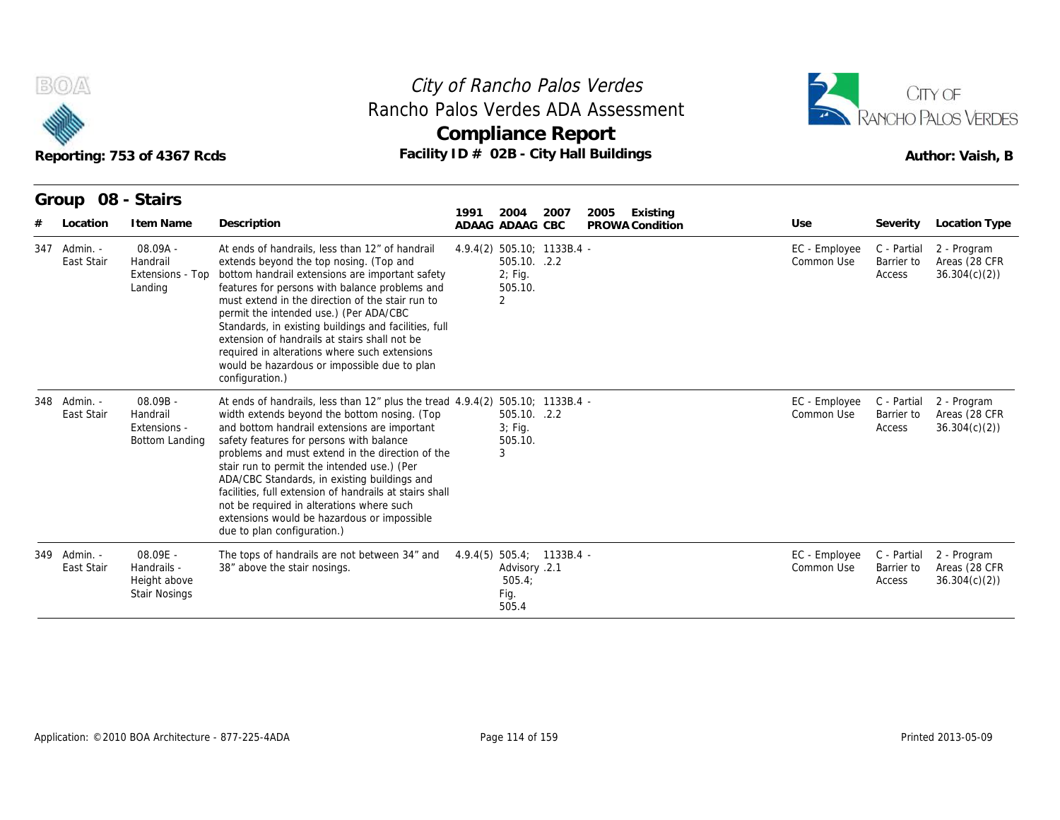

## **Compliance Report** Rancho Palos Verdes ADA Assessment



|                                        | Reporting: 753 of 4367 Rcds                                     |                                                                                                                                                                                                                                                                                                                                                                                                                                                                                                                                                                    | City of Rancho Palos Verdes<br>Rancho Palos Verdes ADA Assessment<br><b>Compliance Report</b><br>Facility ID # 02B - City Hall Buildings |                  |                             |                                     | CITY OF<br><b>RANCHO PALOS VERDES</b><br>Author: Vaish, B |
|----------------------------------------|-----------------------------------------------------------------|--------------------------------------------------------------------------------------------------------------------------------------------------------------------------------------------------------------------------------------------------------------------------------------------------------------------------------------------------------------------------------------------------------------------------------------------------------------------------------------------------------------------------------------------------------------------|------------------------------------------------------------------------------------------------------------------------------------------|------------------|-----------------------------|-------------------------------------|-----------------------------------------------------------|
| Group 08 - Stairs                      | I tem Name                                                      | Description                                                                                                                                                                                                                                                                                                                                                                                                                                                                                                                                                        | 2007<br>1991<br>2004                                                                                                                     | 2005<br>Existing | Use                         | Severity                            | Location Type                                             |
| Location<br>347 Admin. -<br>East Stair | 08.09A -<br>Handrail<br>Extensions - Top<br>Landing             | At ends of handrails, less than 12" of handrail<br>extends beyond the top nosing. (Top and<br>bottom handrail extensions are important safety<br>features for persons with balance problems and<br>must extend in the direction of the stair run to<br>permit the intended use.) (Per ADA/CBC<br>Standards, in existing buildings and facilities, full<br>extension of handrails at stairs shall not be<br>required in alterations where such extensions<br>would be hazardous or impossible due to plan<br>configuration.)                                        | ADAAG ADAAG CBC<br>4.9.4(2) 505.10; 1133B.4 -<br>505.10. .2.2<br>2; Fig.<br>505.10.<br>2                                                 | PROWA Condition  | EC - Employee<br>Common Use | C - Partial<br>Barrier to<br>Access | 2 - Program<br>Areas (28 CFR<br>36.304(c)(2)              |
| 348 Admin. -<br>East Stair             | 08.09B -<br>Handrail<br>Extensions -<br>Bottom Landing          | At ends of handrails, less than 12" plus the tread 4.9.4(2) 505.10; 1133B.4 -<br>width extends beyond the bottom nosing. (Top<br>and bottom handrail extensions are important<br>safety features for persons with balance<br>problems and must extend in the direction of the<br>stair run to permit the intended use.) (Per<br>ADA/CBC Standards, in existing buildings and<br>facilities, full extension of handrails at stairs shall<br>not be required in alterations where such<br>extensions would be hazardous or impossible<br>due to plan configuration.) | 505.10. .2.2<br>$3$ ; Fig.<br>505.10.<br>3                                                                                               |                  | EC - Employee<br>Common Use | C - Partial<br>Barrier to<br>Access | 2 - Program<br>Areas (28 CFR<br>36.304(c)(2)              |
| 349 Admin. -<br>East Stair             | 08.09E -<br>Handrails -<br>Height above<br><b>Stair Nosings</b> | The tops of handrails are not between 34" and<br>38" above the stair nosings.                                                                                                                                                                                                                                                                                                                                                                                                                                                                                      | 4.9.4(5) 505.4; 1133B.4 -<br>Advisory .2.1<br>505.4;<br>Fig.<br>505.4                                                                    |                  | EC - Employee<br>Common Use | C - Partial<br>Barrier to<br>Access | 2 - Program<br>Areas (28 CFR<br>36.304(c)(2)              |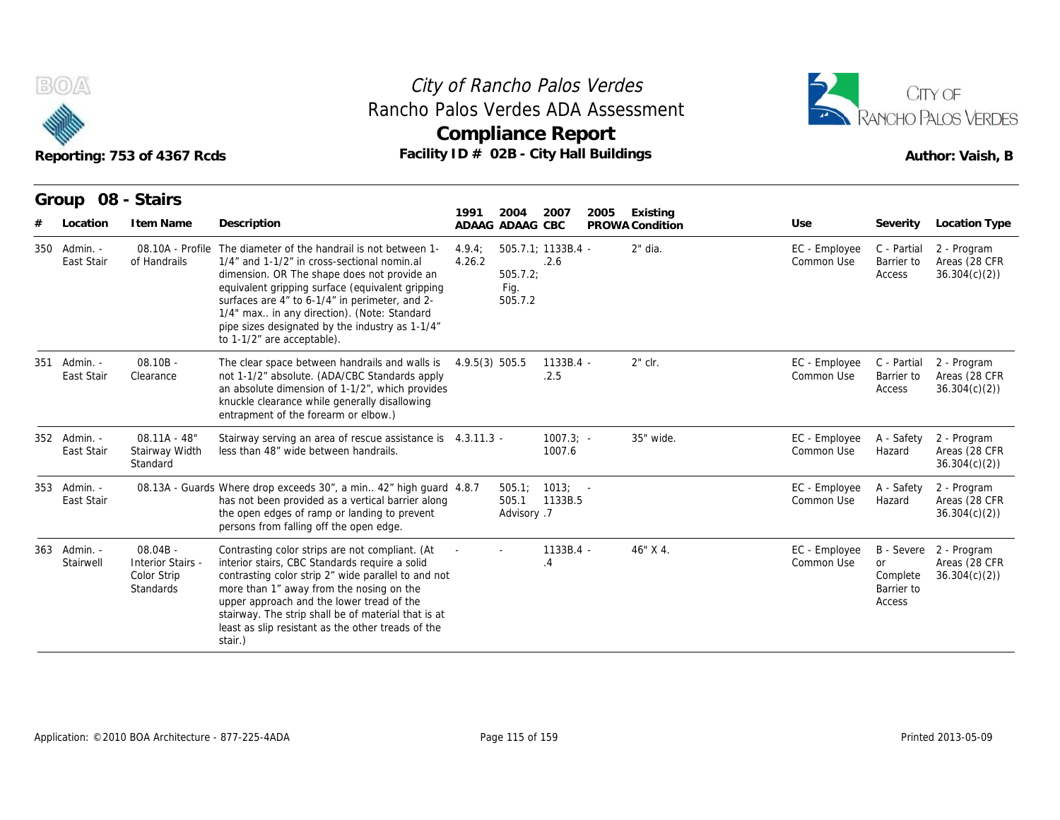



| B(0)/4 |                            | Reporting: 753 of 4367 Rcds                                        | Rancho Palos Verdes ADA Assessment<br>Facility ID # 02B - City Hall Buildings                                                                                                                                                                                                                                                                                                      | City of Rancho Palos Verdes<br><b>Compliance Report</b> |                                                    |                       |      |                             |                             |                                               | CITY OF<br>ANCHO PALOS VERDES<br>Author: Vaish, B       |
|--------|----------------------------|--------------------------------------------------------------------|------------------------------------------------------------------------------------------------------------------------------------------------------------------------------------------------------------------------------------------------------------------------------------------------------------------------------------------------------------------------------------|---------------------------------------------------------|----------------------------------------------------|-----------------------|------|-----------------------------|-----------------------------|-----------------------------------------------|---------------------------------------------------------|
|        | Group<br>Location          | 08 - Stairs<br>I tem Name                                          | Description                                                                                                                                                                                                                                                                                                                                                                        | 1991<br>ADAAG ADAAG CBC                                 | 2004                                               | 2007                  | 2005 | Existing<br>PROWA Condition | Use                         | Severity                                      | Location Type                                           |
|        | 350 Admin. -<br>East Stair | 08.10A - Profile<br>of Handrails                                   | The diameter of the handrail is not between 1-<br>1/4" and 1-1/2" in cross-sectional nomin.al<br>dimension. OR The shape does not provide an<br>equivalent gripping surface (equivalent gripping<br>surfaces are 4" to 6-1/4" in perimeter, and 2-<br>1/4" max in any direction). (Note: Standard<br>pipe sizes designated by the industry as 1-1/4"<br>to 1-1/2" are acceptable). | 4.9.4:<br>4.26.2                                        | $505.7.1: 1133B.4 -$<br>505.7.2<br>Fig.<br>505.7.2 | .2.6                  |      | 2" dia.                     | EC - Employee<br>Common Use | C - Partial<br>Barrier to<br>Access           | 2 - Program<br>Areas (28 CFR<br>36.304(c)(2)            |
|        | 351 Admin. -<br>East Stair | $08.10B -$<br>Clearance                                            | The clear space between handrails and walls is<br>not 1-1/2" absolute. (ADA/CBC Standards apply<br>an absolute dimension of 1-1/2", which provides<br>knuckle clearance while generally disallowing<br>entrapment of the forearm or elbow.)                                                                                                                                        | 4.9.5(3) 505.5                                          |                                                    | 1133B.4 -<br>.2.5     |      | 2" clr.                     | EC - Employee<br>Common Use | C - Partial<br>Barrier to<br>Access           | 2 - Program<br>Areas (28 CFR<br>36.304(c)(2)            |
|        | 352 Admin. -<br>East Stair | $08.11A - 48"$<br>Stairway Width<br>Standard                       | Stairway serving an area of rescue assistance is 4.3.11.3 -<br>less than 48" wide between handrails.                                                                                                                                                                                                                                                                               |                                                         |                                                    | $1007.3: -$<br>1007.6 |      | 35" wide.                   | EC - Employee<br>Common Use | A - Safety<br>Hazard                          | 2 - Program<br>Areas (28 CFR<br>36.304(c)(2)            |
|        | 353 Admin. -<br>East Stair |                                                                    | 08.13A - Guards Where drop exceeds 30", a min 42" high guard 4.8.7<br>has not been provided as a vertical barrier along<br>the open edges of ramp or landing to prevent<br>persons from falling off the open edge.                                                                                                                                                                 |                                                         | 505.1<br>505.1<br>Advisory .7                      | $1013: -$<br>1133B.5  |      |                             | EC - Employee<br>Common Use | A - Safety<br>Hazard                          | 2 - Program<br>Areas (28 CFR<br>36.304(c)(2)            |
|        | 363 Admin. -<br>Stairwell  | $08.04B -$<br><b>Interior Stairs -</b><br>Color Strip<br>Standards | Contrasting color strips are not compliant. (At<br>interior stairs, CBC Standards require a solid<br>contrasting color strip 2" wide parallel to and not<br>more than 1" away from the nosing on the<br>upper approach and the lower tread of the<br>stairway. The strip shall be of material that is at<br>least as slip resistant as the other treads of the<br>stair.)          |                                                         |                                                    | $1133B.4 -$<br>4.4    |      | 46" X 4.                    | EC - Employee<br>Common Use | <b>or</b><br>Complete<br>Barrier to<br>Access | B - Severe 2 - Program<br>Areas (28 CFR<br>36.304(c)(2) |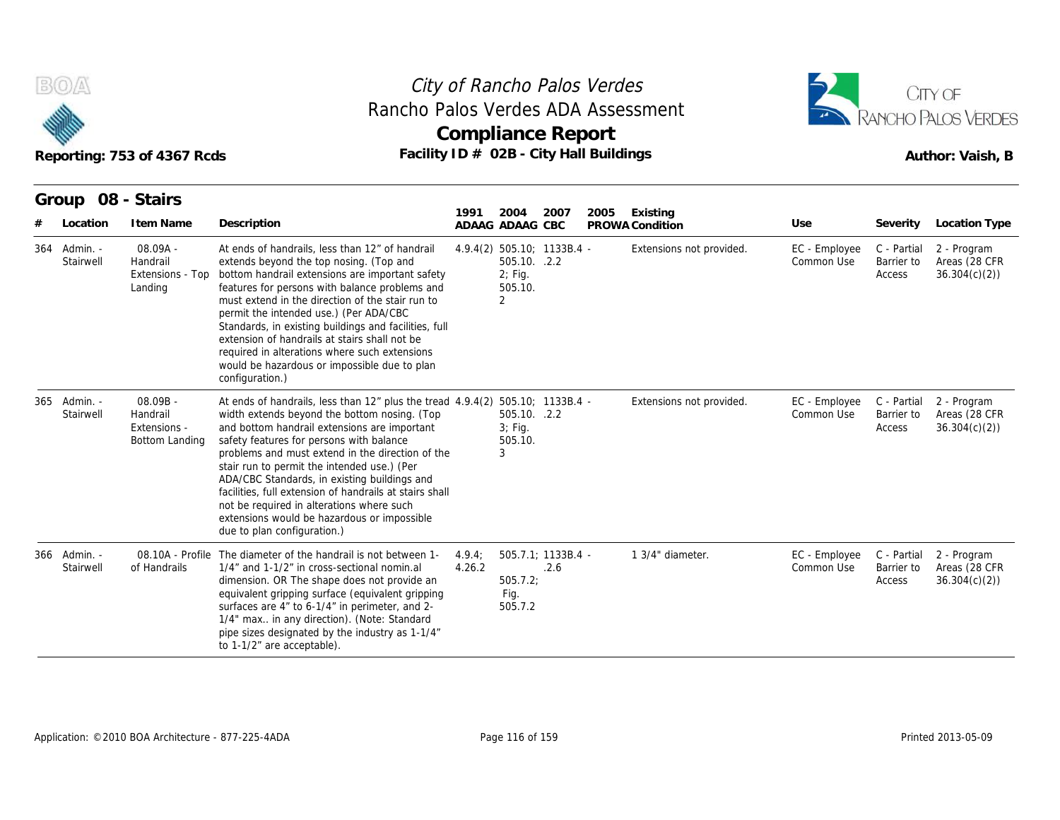

## **Compliance Report** Rancho Palos Verdes ADA Assessment



|     |                       | Reporting: 753 of 4367 Rcds                              | Facility ID # 02B - City Hall Buildings                                                                                                                                                                                                                                                                                                                                                                                                                                                                                                                            |                  | <b>Compliance Report</b>                                                |                            |      |                             | RANCHO PALOS VERDES         | Author: Vaish, B                    |                                              |
|-----|-----------------------|----------------------------------------------------------|--------------------------------------------------------------------------------------------------------------------------------------------------------------------------------------------------------------------------------------------------------------------------------------------------------------------------------------------------------------------------------------------------------------------------------------------------------------------------------------------------------------------------------------------------------------------|------------------|-------------------------------------------------------------------------|----------------------------|------|-----------------------------|-----------------------------|-------------------------------------|----------------------------------------------|
|     | Group<br>Location     | 08 - Stairs<br>I tem Name                                | Description                                                                                                                                                                                                                                                                                                                                                                                                                                                                                                                                                        | 1991             | 2004<br>ADAAG ADAAG CBC                                                 | 2007                       | 2005 | Existing<br>PROWA Condition | Use                         | Severity                            | Location Type                                |
| 364 | - Admin.<br>Stairwell | 08.09A -<br>Handrail<br>Extensions - Top<br>Landing      | At ends of handrails, less than 12" of handrail<br>extends beyond the top nosing. (Top and<br>bottom handrail extensions are important safety<br>features for persons with balance problems and<br>must extend in the direction of the stair run to<br>permit the intended use.) (Per ADA/CBC<br>Standards, in existing buildings and facilities, full<br>extension of handrails at stairs shall not be<br>required in alterations where such extensions<br>would be hazardous or impossible due to plan<br>configuration.)                                        |                  | 4.9.4(2) 505.10; 1133B.4 -<br>505.10. .2.2<br>$2;$ Fig.<br>505.10.<br>2 |                            |      | Extensions not provided.    | EC - Employee<br>Common Use | C - Partial<br>Barrier to<br>Access | 2 - Program<br>Areas (28 CFR<br>36.304(c)(2) |
| 365 | Admin. -<br>Stairwell | $08.09B -$<br>Handrail<br>Extensions -<br>Bottom Landing | At ends of handrails, less than 12" plus the tread 4.9.4(2) 505.10; 1133B.4 -<br>width extends beyond the bottom nosing. (Top<br>and bottom handrail extensions are important<br>safety features for persons with balance<br>problems and must extend in the direction of the<br>stair run to permit the intended use.) (Per<br>ADA/CBC Standards, in existing buildings and<br>facilities, full extension of handrails at stairs shall<br>not be required in alterations where such<br>extensions would be hazardous or impossible<br>due to plan configuration.) |                  | 505.10. .2.2<br>$3$ ; Fig.<br>505.10.<br>3                              |                            |      | Extensions not provided.    | EC - Employee<br>Common Use | C - Partial<br>Barrier to<br>Access | 2 - Program<br>Areas (28 CFR<br>36.304(c)(2) |
| 366 | Admin. -<br>Stairwell | 08.10A - Profile<br>of Handrails                         | The diameter of the handrail is not between 1-<br>1/4" and 1-1/2" in cross-sectional nomin.al<br>dimension. OR The shape does not provide an<br>equivalent gripping surface (equivalent gripping<br>surfaces are 4" to 6-1/4" in perimeter, and 2-<br>1/4" max in any direction). (Note: Standard<br>pipe sizes designated by the industry as 1-1/4"<br>to 1-1/2" are acceptable).                                                                                                                                                                                 | 4.9.4:<br>4.26.2 | 505.7.2<br>Fig.<br>505.7.2                                              | 505.7.1: 1133B.4 -<br>.2.6 |      | 1 3/4" diameter.            | EC - Employee<br>Common Use | C - Partial<br>Barrier to<br>Access | 2 - Program<br>Areas (28 CFR<br>36.304(c)(2) |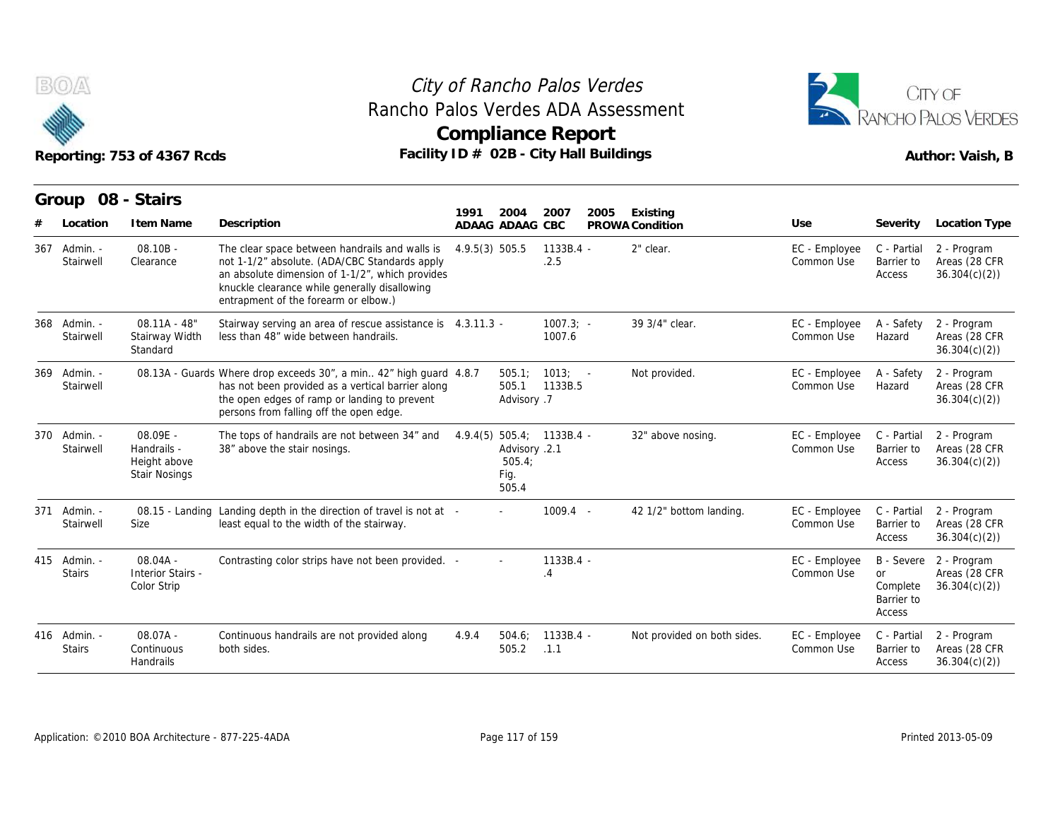



|     |                               | Reporting: 753 of 4367 Rcds                                     | Rancho Palos Verdes ADA Assessment<br>Facility ID # 02B - City Hall Buildings                                                                                                                                                               |                | <b>Compliance Report</b>                                              |                        |      |                              |                             |                                        | RANCHO PALOS VERDES<br>Author: Vaish, B                 |
|-----|-------------------------------|-----------------------------------------------------------------|---------------------------------------------------------------------------------------------------------------------------------------------------------------------------------------------------------------------------------------------|----------------|-----------------------------------------------------------------------|------------------------|------|------------------------------|-----------------------------|----------------------------------------|---------------------------------------------------------|
|     | Group 08 - Stairs<br>Location | I tem Name                                                      | Description                                                                                                                                                                                                                                 | 1991           | 2004<br>ADAAG ADAAG CBC                                               | 2007                   | 2005 | Existing                     | Use                         | Severity                               | Location Type                                           |
| 367 | Admin. -<br>Stairwell         | $08.10B -$<br>Clearance                                         | The clear space between handrails and walls is<br>not 1-1/2" absolute. (ADA/CBC Standards apply<br>an absolute dimension of 1-1/2", which provides<br>knuckle clearance while generally disallowing<br>entrapment of the forearm or elbow.) | 4.9.5(3) 505.5 |                                                                       | 1133B.4 -<br>.2.5      |      | PROWA Condition<br>2" clear. | EC - Employee<br>Common Use | C - Partial<br>Barrier to<br>Access    | 2 - Program<br>Areas (28 CFR<br>36.304(c)(2)            |
| 368 | - Admin.<br>Stairwell         | $08.11A - 48'$<br>Stairway Width<br>Standard                    | Stairway serving an area of rescue assistance is 4.3.11.3 -<br>less than 48" wide between handrails.                                                                                                                                        |                |                                                                       | $1007.3$ ; -<br>1007.6 |      | 39 3/4" clear.               | EC - Employee<br>Common Use | A - Safety<br>Hazard                   | 2 - Program<br>Areas (28 CFR<br>36.304(c)(2)            |
| 369 | Admin. -<br>Stairwell         |                                                                 | 08.13A - Guards Where drop exceeds 30", a min 42" high guard 4.8.7<br>has not been provided as a vertical barrier along<br>the open edges of ramp or landing to prevent<br>persons from falling off the open edge.                          |                | 505.1<br>505.1<br>Advisory .7                                         | $1013: -$<br>1133B.5   |      | Not provided.                | EC - Employee<br>Common Use | A - Safety<br>Hazard                   | 2 - Program<br>Areas (28 CFR<br>36.304(c)(2)            |
|     | 370 Admin. -<br>Stairwell     | 08.09E -<br>Handrails -<br>Height above<br><b>Stair Nosings</b> | The tops of handrails are not between 34" and<br>38" above the stair nosings.                                                                                                                                                               |                | 4.9.4(5) 505.4; 1133B.4 -<br>Advisory .2.1<br>505.4;<br>Fig.<br>505.4 |                        |      | 32" above nosing.            | EC - Employee<br>Common Use | C - Partial<br>Barrier to<br>Access    | 2 - Program<br>Areas (28 CFR<br>36.304(c)(2)            |
|     | 371 Admin. -<br>Stairwell     | Size                                                            | 08.15 - Landing Landing depth in the direction of travel is not at -<br>least equal to the width of the stairway.                                                                                                                           |                |                                                                       | $1009.4 -$             |      | 42 1/2" bottom landing.      | EC - Employee<br>Common Use | C - Partial<br>Barrier to<br>Access    | 2 - Program<br>Areas (28 CFR<br>36.304(c)(2)            |
|     | 415 Admin. -<br><b>Stairs</b> | $08.04A -$<br><b>Interior Stairs -</b><br>Color Strip           | Contrasting color strips have not been provided. -                                                                                                                                                                                          |                |                                                                       | 1133B.4 -<br>.4        |      |                              | EC - Employee<br>Common Use | or<br>Complete<br>Barrier to<br>Access | B - Severe 2 - Program<br>Areas (28 CFR<br>36.304(c)(2) |
|     | 416 Admin. -<br><b>Stairs</b> | $08.07A -$<br>Continuous<br>Handrails                           | Continuous handrails are not provided along<br>both sides.                                                                                                                                                                                  | 4.9.4          | 504.6:<br>505.2                                                       | $1133B.4 -$<br>.1.1    |      | Not provided on both sides.  | EC - Employee<br>Common Use | C - Partial<br>Barrier to<br>Access    | 2 - Program<br>Areas (28 CFR<br>36.304(c)(2)            |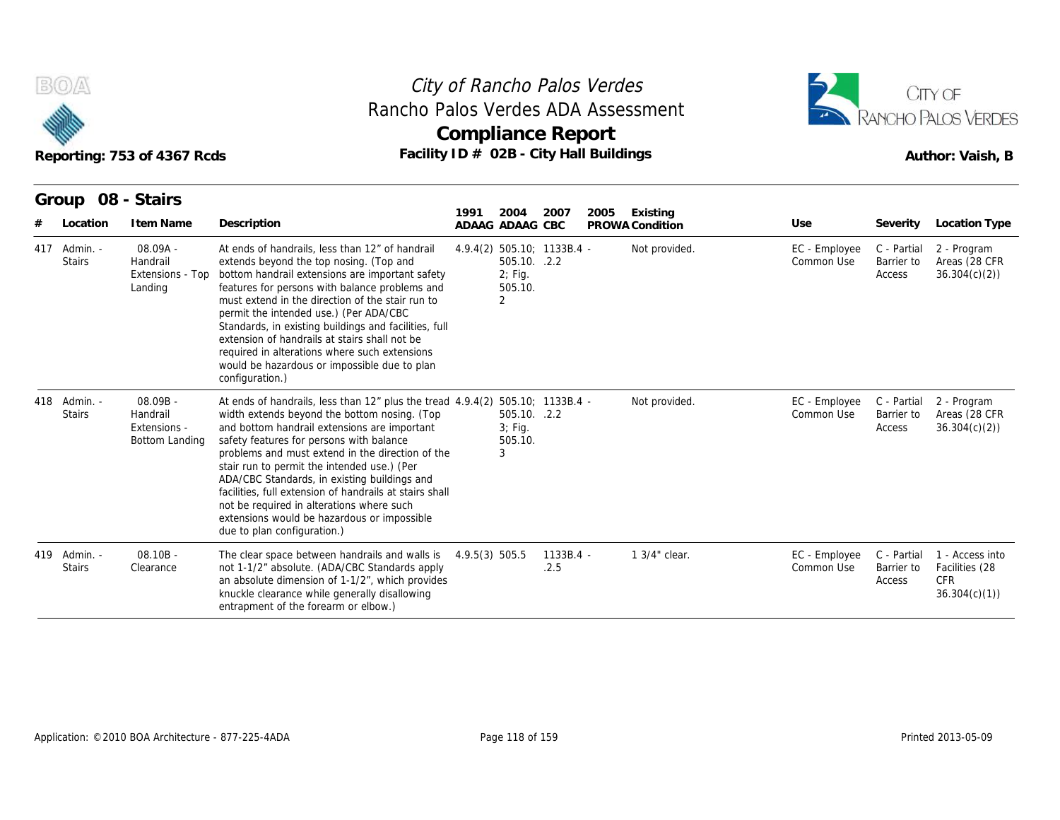

## **Compliance Report** Rancho Palos Verdes ADA Assessment



|     |                               | Reporting: 753 of 4367 Rcds                            | Rancho Palos Verdes ADA Assessment                                                                                                                                                                                                                                                                                                                                                                                                                                                                                                                                     | Compliance Report<br>Facility ID # 02B - City Hall Buildings |                                      |                   |      |                             |                             |                                     | RANCHO PALOS VERDES<br>Author: Vaish, B                   |
|-----|-------------------------------|--------------------------------------------------------|------------------------------------------------------------------------------------------------------------------------------------------------------------------------------------------------------------------------------------------------------------------------------------------------------------------------------------------------------------------------------------------------------------------------------------------------------------------------------------------------------------------------------------------------------------------------|--------------------------------------------------------------|--------------------------------------|-------------------|------|-----------------------------|-----------------------------|-------------------------------------|-----------------------------------------------------------|
|     | Group 08 - Stairs<br>Location | I tem Name                                             | Description                                                                                                                                                                                                                                                                                                                                                                                                                                                                                                                                                            | 1991<br>ADAAG ADAAG CBC                                      | 2004                                 | 2007              | 2005 | Existing<br>PROWA Condition | Use                         | Severity                            | Location Type                                             |
|     | 417 Admin. -<br><b>Stairs</b> | 08.09A -<br>Handrail<br>Extensions - Top<br>Landing    | At ends of handrails, less than 12" of handrail<br>extends beyond the top nosing. (Top and<br>bottom handrail extensions are important safety<br>features for persons with balance problems and<br>must extend in the direction of the stair run to<br>permit the intended use.) (Per ADA/CBC<br>Standards, in existing buildings and facilities, full<br>extension of handrails at stairs shall not be<br>required in alterations where such extensions<br>would be hazardous or impossible due to plan<br>configuration.)                                            | 4.9.4(2) 505.10; 1133B.4 -<br>2                              | 505.10. .2.2<br>$2;$ Fig.<br>505.10. |                   |      | Not provided.               | EC - Employee<br>Common Use | C - Partial<br>Barrier to<br>Access | 2 - Program<br>Areas (28 CFR<br>36.304(c)(2)              |
|     | 418 Admin. -<br><b>Stairs</b> | 08.09B -<br>Handrail<br>Extensions -<br>Bottom Landing | At ends of handrails, less than $12r$ plus the tread $4.9.4(2)$ 505.10; 1133B.4 -<br>width extends beyond the bottom nosing. (Top<br>and bottom handrail extensions are important<br>safety features for persons with balance<br>problems and must extend in the direction of the<br>stair run to permit the intended use.) (Per<br>ADA/CBC Standards, in existing buildings and<br>facilities, full extension of handrails at stairs shall<br>not be required in alterations where such<br>extensions would be hazardous or impossible<br>due to plan configuration.) | 3                                                            | 505.10. .2.2<br>$3;$ Fig.<br>505.10. |                   |      | Not provided.               | EC - Employee<br>Common Use | C - Partial<br>Barrier to<br>Access | 2 - Program<br>Areas (28 CFR<br>36.304(c)(2)              |
| 419 | Admin. -<br><b>Stairs</b>     | $08.10B -$<br>Clearance                                | The clear space between handrails and walls is<br>not 1-1/2" absolute. (ADA/CBC Standards apply<br>an absolute dimension of 1-1/2", which provides<br>knuckle clearance while generally disallowing<br>entrapment of the forearm or elbow.)                                                                                                                                                                                                                                                                                                                            | 4.9.5(3) 505.5                                               |                                      | 1133B.4 -<br>.2.5 |      | 1 3/4" clear.               | EC - Employee<br>Common Use | C - Partial<br>Barrier to<br>Access | 1 - Access into<br>Facilities (28<br>CFR.<br>36.304(c)(1) |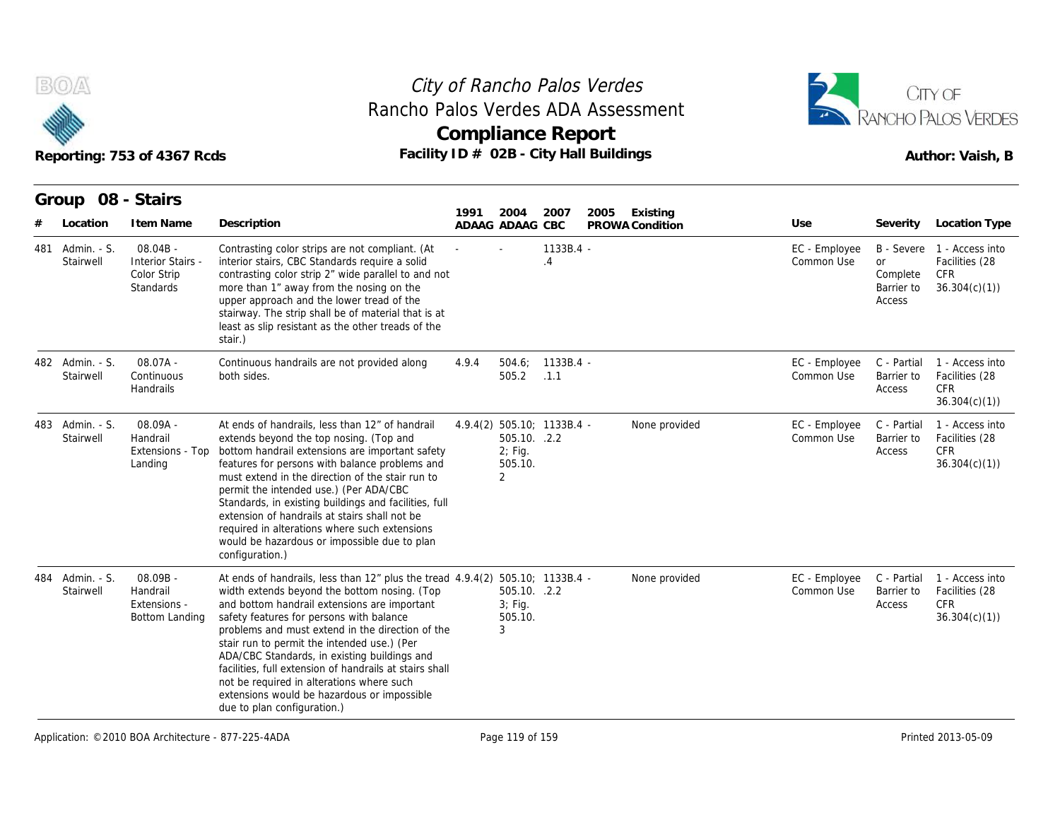



|     |                              | Reporting: 753 of 4367 Rcds                                        | Rancho Palos Verdes ADA Assessment<br>Facility ID # 02B - City Hall Buildings                                                                                                                                                                                                                                                                                                                                                                                                                                                                                          |       |                                                        | <b>Compliance Report</b>   |      |                             |                             |                                        | RANCHO PALOS VERDES<br>Author: Vaish, B                             |
|-----|------------------------------|--------------------------------------------------------------------|------------------------------------------------------------------------------------------------------------------------------------------------------------------------------------------------------------------------------------------------------------------------------------------------------------------------------------------------------------------------------------------------------------------------------------------------------------------------------------------------------------------------------------------------------------------------|-------|--------------------------------------------------------|----------------------------|------|-----------------------------|-----------------------------|----------------------------------------|---------------------------------------------------------------------|
|     | Group<br>Location            | 08 - Stairs<br>I tem Name                                          | Description                                                                                                                                                                                                                                                                                                                                                                                                                                                                                                                                                            | 1991  | 2004<br>ADAAG ADAAG CBC                                | 2007                       | 2005 | Existing<br>PROWA Condition | Use                         | Severity                               | Location Type                                                       |
| 481 | Admin. - S.<br>Stairwell     | $08.04B -$<br><b>Interior Stairs -</b><br>Color Strip<br>Standards | Contrasting color strips are not compliant. (At<br>interior stairs, CBC Standards require a solid<br>contrasting color strip 2" wide parallel to and not<br>more than 1" away from the nosing on the<br>upper approach and the lower tread of the<br>stairway. The strip shall be of material that is at<br>least as slip resistant as the other treads of the<br>stair.)                                                                                                                                                                                              |       |                                                        | 1133B.4 -<br>.4            |      |                             | EC - Employee<br>Common Use | or<br>Complete<br>Barrier to<br>Access | B - Severe 1 - Access into<br>Facilities (28<br>CFR<br>36.304(c)(1) |
|     | 482 Admin. - S.<br>Stairwell | 08.07A -<br>Continuous<br>Handrails                                | Continuous handrails are not provided along<br>both sides.                                                                                                                                                                                                                                                                                                                                                                                                                                                                                                             | 4.9.4 | 504.6:<br>505.2                                        | 1133B.4 -<br>.1.1          |      |                             | EC - Employee<br>Common Use | C - Partial<br>Barrier to<br>Access    | 1 - Access into<br>Facilities (28<br><b>CFR</b><br>36.304(c)(1)     |
|     | 483 Admin. - S.<br>Stairwell | $08.09A -$<br>Handrail<br>Extensions - Top<br>Landing              | At ends of handrails, less than 12" of handrail<br>extends beyond the top nosing. (Top and<br>bottom handrail extensions are important safety<br>features for persons with balance problems and<br>must extend in the direction of the stair run to<br>permit the intended use.) (Per ADA/CBC<br>Standards, in existing buildings and facilities, full<br>extension of handrails at stairs shall not be<br>required in alterations where such extensions<br>would be hazardous or impossible due to plan<br>configuration.)                                            |       | 505.10. .2.2<br>$2;$ Fig.<br>505.10.<br>$\overline{2}$ | 4.9.4(2) 505.10; 1133B.4 - |      | None provided               | EC - Employee<br>Common Use | C - Partial<br>Barrier to<br>Access    | 1 - Access into<br>Facilities (28<br><b>CFR</b><br>36.304(c)(1)     |
| 484 | Admin. - S.<br>Stairwell     | 08.09B -<br>Handrail<br>Extensions -<br>Bottom Landing             | At ends of handrails, less than $12r$ plus the tread $4.9.4(2)$ 505.10; 1133B.4 -<br>width extends beyond the bottom nosing. (Top<br>and bottom handrail extensions are important<br>safety features for persons with balance<br>problems and must extend in the direction of the<br>stair run to permit the intended use.) (Per<br>ADA/CBC Standards, in existing buildings and<br>facilities, full extension of handrails at stairs shall<br>not be required in alterations where such<br>extensions would be hazardous or impossible<br>due to plan configuration.) |       | 505.10. .2.2<br>$3$ ; Fig.<br>505.10.<br>3             |                            |      | None provided               | EC - Employee<br>Common Use | C - Partial<br>Barrier to<br>Access    | 1 - Access into<br>Facilities (28<br><b>CFR</b><br>36.304(c)(1)     |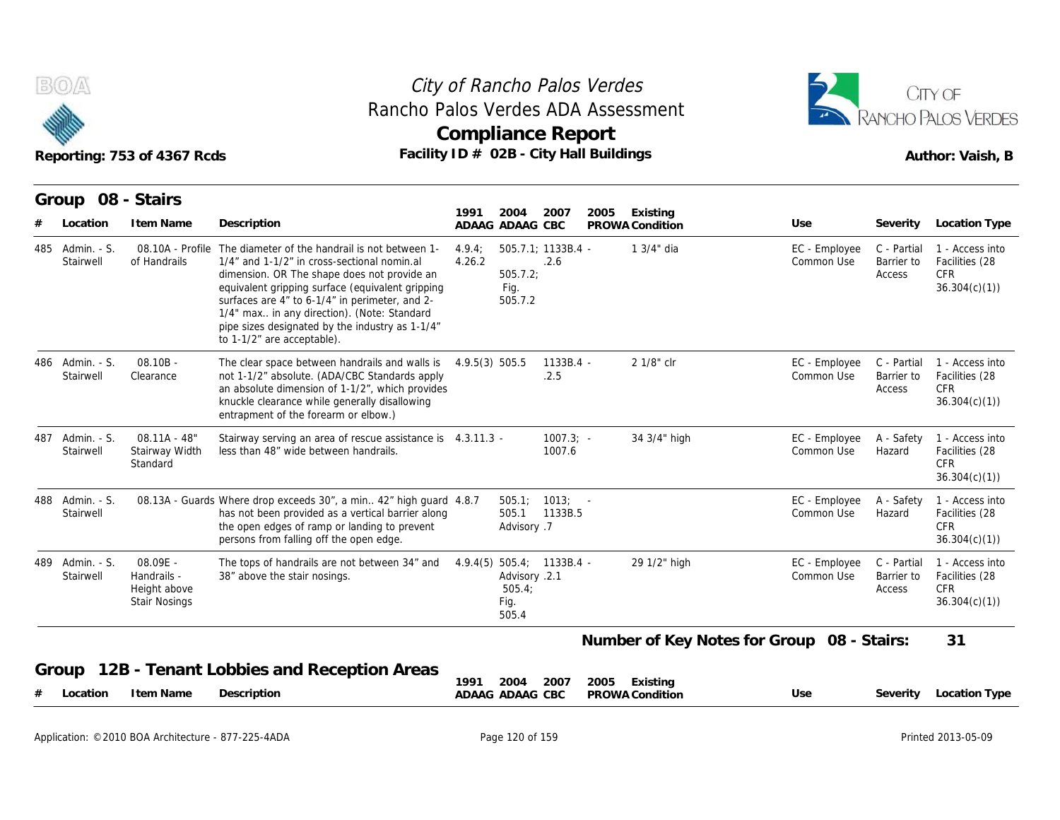



|     | B(0)/4                       | Reporting: 753 of 4367 Rcds                                     | Rancho Palos Verdes ADA Assessment<br>Facility ID # 02B - City Hall Buildings                                                                                                                                                                                                                                                                                                      |                 | City of Rancho Palos Verdes<br><b>Compliance Report</b>                 |                        |      |                             |                                            |                                     | CITY OF<br>RANCHO PALOS VERDES<br>Author: Vaish, B              |
|-----|------------------------------|-----------------------------------------------------------------|------------------------------------------------------------------------------------------------------------------------------------------------------------------------------------------------------------------------------------------------------------------------------------------------------------------------------------------------------------------------------------|-----------------|-------------------------------------------------------------------------|------------------------|------|-----------------------------|--------------------------------------------|-------------------------------------|-----------------------------------------------------------------|
|     | Group                        | 08 - Stairs                                                     |                                                                                                                                                                                                                                                                                                                                                                                    |                 |                                                                         |                        |      |                             |                                            |                                     |                                                                 |
|     | Location                     | I tem Name                                                      | Description                                                                                                                                                                                                                                                                                                                                                                        | 1991            | 2004<br>ADAAG ADAAG CBC                                                 | 2007                   | 2005 | Existing<br>PROWA Condition | Use                                        | Severity                            | Location Type                                                   |
|     | 485 Admin. - S.<br>Stairwell | 08.10A - Profile<br>of Handrails                                | The diameter of the handrail is not between 1-<br>1/4" and 1-1/2" in cross-sectional nomin.al<br>dimension. OR The shape does not provide an<br>equivalent gripping surface (equivalent gripping<br>surfaces are 4" to 6-1/4" in perimeter, and 2-<br>1/4" max in any direction). (Note: Standard<br>pipe sizes designated by the industry as 1-1/4"<br>to 1-1/2" are acceptable). | 4.9.4<br>4.26.2 | $505.7.1; 1133B.4 -$<br>505.7.2<br>Fig.<br>505.7.2                      | .2.6                   |      | 1 3/4" dia                  | EC - Employee<br>Common Use                | C - Partial<br>Barrier to<br>Access | 1 - Access into<br>Facilities (28<br><b>CFR</b><br>36.304(c)(1) |
|     | 486 Admin. - S.<br>Stairwell | $08.10B -$<br>Clearance                                         | The clear space between handrails and walls is $4.9.5(3)$ 505.5<br>not 1-1/2" absolute. (ADA/CBC Standards apply<br>an absolute dimension of 1-1/2", which provides<br>knuckle clearance while generally disallowing<br>entrapment of the forearm or elbow.)                                                                                                                       |                 |                                                                         | $1133B.4 -$<br>.2.5    |      | 2 1/8" clr                  | EC - Employee<br>Common Use                | C - Partial<br>Barrier to<br>Access | 1 - Access into<br>Facilities (28<br><b>CFR</b><br>36.304(c)(1) |
| 487 | Admin. - S.<br>Stairwell     | $08.11A - 48"$<br>Stairway Width<br>Standard                    | Stairway serving an area of rescue assistance is 4.3.11.3 -<br>less than 48" wide between handrails.                                                                                                                                                                                                                                                                               |                 |                                                                         | $1007.3$ ; -<br>1007.6 |      | 34 3/4" high                | EC - Employee<br>Common Use                | A - Safety<br>Hazard                | 1 - Access into<br>Facilities (28<br><b>CFR</b><br>36.304(c)(1) |
|     | 488 Admin. - S.<br>Stairwell |                                                                 | 08.13A - Guards Where drop exceeds 30", a min 42" high quard 4.8.7<br>has not been provided as a vertical barrier along<br>the open edges of ramp or landing to prevent<br>persons from falling off the open edge.                                                                                                                                                                 |                 | $505.1$ ; $1013$ ; -<br>505.1<br>Advisory .7                            | 1133B.5                |      |                             | EC - Employee<br>Common Use                | A - Safety<br>Hazard                | 1 - Access into<br>Facilities (28<br><b>CFR</b><br>36.304(c)(1) |
|     | 489 Admin. - S.<br>Stairwell | 08.09E -<br>Handrails -<br>Height above<br><b>Stair Nosings</b> | The tops of handrails are not between 34" and<br>38" above the stair nosings.                                                                                                                                                                                                                                                                                                      |                 | $4.9.4(5)$ 505.4; 1133B.4 -<br>Advisory .2.1<br>505.4;<br>Fig.<br>505.4 |                        |      | 29 1/2" high                | EC - Employee<br>Common Use                | C - Partial<br>Barrier to<br>Access | 1 - Access into<br>Facilities (28<br><b>CFR</b><br>36.304(c)(1) |
|     |                              |                                                                 |                                                                                                                                                                                                                                                                                                                                                                                    |                 |                                                                         |                        |      |                             | Number of Key Notes for Group 08 - Stairs: |                                     | 31                                                              |
|     | Group                        |                                                                 | 12B - Tenant Lobbies and Reception Areas                                                                                                                                                                                                                                                                                                                                           | 1991            | 2004                                                                    | 2007                   | 2005 | Existing                    |                                            |                                     |                                                                 |
|     | Location                     | I tem Name                                                      | Description                                                                                                                                                                                                                                                                                                                                                                        |                 | ADAAG ADAAG CBC                                                         |                        |      | PROWA Condition             | Use                                        | Severity                            | Location Type                                                   |

| UUU ID<br>TZB - Teriant Lobbles and Reception Areas | 2005<br>2004 2007<br>Existing<br>1991 |     |                        |
|-----------------------------------------------------|---------------------------------------|-----|------------------------|
| Description<br>I tem Name<br># Location             | ADAAG ADAAG CBC<br>PROWA Condition    | Use | Severity Location Type |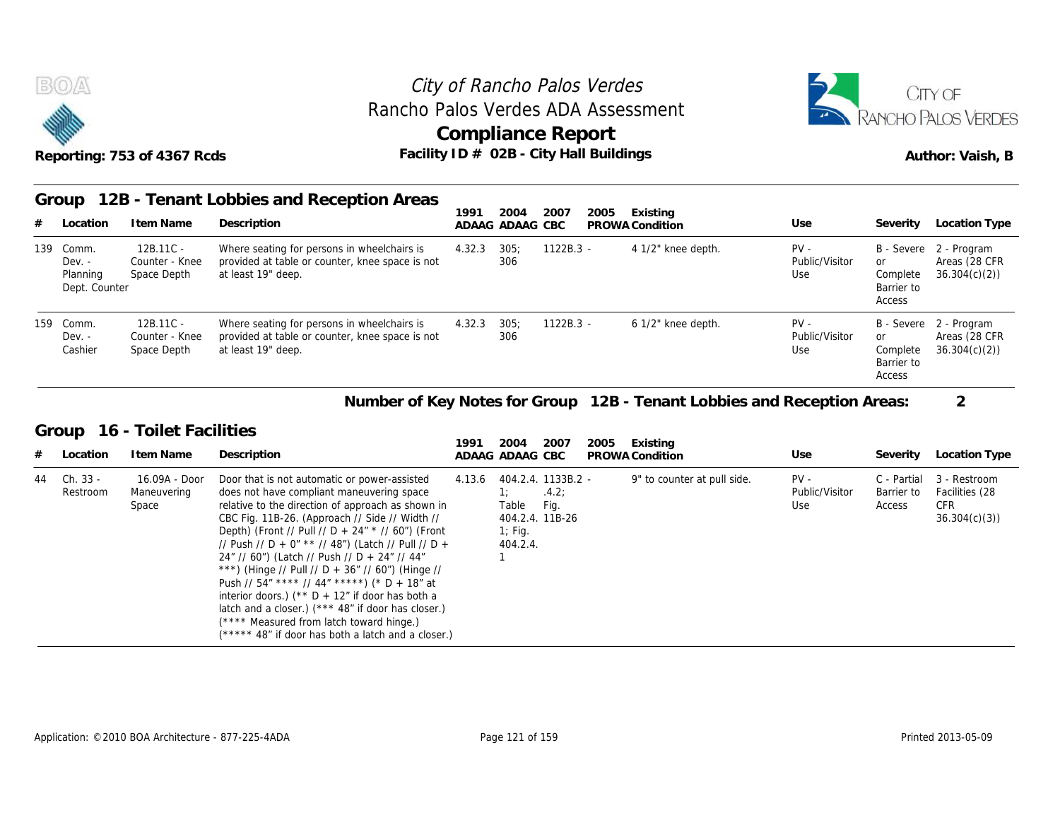

#### Reporting: 753 of 4367 Rcds **Facility ID # 02B - City Hall Buildings** Reporting: 753 of 4367 Rcds Author: Vaish, B City of Rancho Palos Verdes **Compliance Report** Rancho Palos Verdes ADA Assessment



#### **Group 12B - Tenant Lobbies and Reception Areas Item Name State Section**<br> **Item Name Description**<br> **ITEM Name Description**<br> **ITEM Name Description**<br> **ITEM Name Description**<br> **ITEM Name State Space Space Space Space Space Space Space Space Space Space Space Space Space 1991 ADAAG 2004 ADAAG CBC PROWA 2007 2005 Existing # Location Condition Use Severity Location Type** 12B.11C - Dev. - Counter - Knee provided a Space Depth at least 19" deep. Where seating for persons in wheelchairs is 4.32.3 provided at table or counter, knee space is not of *Rancho Palos*<br>
los Verdes ADA<br>
ompliance Rep<br>
D # 02B - City Hall<br>
<u>1991 - 2004 - 2007</u><br>
ADAAG ADAAG CBC<br>
4.32.3 - 305; - 1122B.3<br>
306 306 Palos Verdes<br>
ADA Assessment<br>
PRAN Report<br>
Existing<br>
CBC PROWA Condition<br>
PROWA Condition<br>
PV - Public/Visitor<br>
PROWA Condition<br>
PV - Public/Visitor<br>
Use Public/Visitor Use Complete B - Severe or Complete 36.304(c)(2)) Barrier to Access 2 - Program Areas (28 CFR BOA<br>
Reporting: 753 of 4<br>
Group 12B - Te<br>  $\frac{4}{139}$  Comm. 12B.1<br>
Dev. - Counte<br>
Planning Space Planning Space Depth Dept. Counter 12B.11C - Counter - Knee Space Depth at least 19" deep. Where seating for persons in wheelchairs is 4.32.3 provided at table or counter, knee space is not D # 02B - City Hall<br>
1991 2004 2007<br>
ADAAG ADAAG CBC<br>
4.32.3 305; 1122B.3<br>
306<br>
4.32.3 305; 1122B.3<br>
306<br>
306 306 1122B.3 - 6 1/2" knee depth.<br>
1122B.3 - 6 1/2" knee depth.<br>
1122B.3 - 6 1/2" knee depth.<br>
PV - Public/Visitor<br>
PV - Public/Visitor<br>
PV - Public/Visitor<br>
PV - Public/Visitor<br>
Use Public/Visitor or Use Complete B - Severe or Complete 2 - Program Barrier to Access Areas (28 CFR 36.304(c)(2)) Reporting: 753 of 4<br>
Group 12B - Te<br>  $\frac{\text{4}}{\text{139} \text{ Comm.}}$  12B.1<br>
Dev. - Counte<br>
Planning Space<br>
Dept. Counter<br>
159 Comm. 12B.1<br>
Dev. - Counte<br>
Cashier Space Dev. - Cashier Space Depth 12B.11C - Where seating for persons in wheelchairs<br>
Counter - Knee provided at table or counter, knee space<br>
Space Depth at least 19" deep.<br> **Item Name** Description<br>
16.09A - Door Door that is not automatic or power-assi<br>

#### **Number of Key Notes for Group 12B - Tenant Lobbies and Reception Areas: 2**

#### **Group 16 - Toilet Facilities**

| 159 | Comm.<br>$Dev. -$<br>Cashier | 12B.11C -<br>Counter - Knee<br>Space Depth | Where seating for persons in wheelchairs is<br>provided at table or counter, knee space is not<br>at least 19" deep.                                                                                                                                                                                                                                                                                                                                                                                                                                                                                                                                                         | 4.32.3 | 305:<br>306                     | $1122B.3 -$                                            |      | 6 1/2" knee depth.                                                      | $PV -$<br>Public/Visitor<br>Use | <b>or</b><br>Complete<br>Barrier to<br>Access | B - Severe 2 - Program<br>Areas (28 CFR<br>36.304(c)(2)      |
|-----|------------------------------|--------------------------------------------|------------------------------------------------------------------------------------------------------------------------------------------------------------------------------------------------------------------------------------------------------------------------------------------------------------------------------------------------------------------------------------------------------------------------------------------------------------------------------------------------------------------------------------------------------------------------------------------------------------------------------------------------------------------------------|--------|---------------------------------|--------------------------------------------------------|------|-------------------------------------------------------------------------|---------------------------------|-----------------------------------------------|--------------------------------------------------------------|
|     |                              |                                            |                                                                                                                                                                                                                                                                                                                                                                                                                                                                                                                                                                                                                                                                              |        |                                 |                                                        |      | Number of Key Notes for Group 12B - Tenant Lobbies and Reception Areas: |                                 |                                               | $\overline{2}$                                               |
|     | Group                        | 16 - Toilet Facilities                     |                                                                                                                                                                                                                                                                                                                                                                                                                                                                                                                                                                                                                                                                              | 1991   | 2004                            | 2007                                                   | 2005 | Existing                                                                |                                 |                                               |                                                              |
| #   | Location                     | I tem Name                                 | Description                                                                                                                                                                                                                                                                                                                                                                                                                                                                                                                                                                                                                                                                  |        | ADAAG ADAAG CBC                 |                                                        |      | PROWA Condition                                                         | Use                             | Severity                                      | Location Type                                                |
| 44  | Ch. 33 -<br>Restroom         | 16.09A - Door<br>Maneuvering<br>Space      | Door that is not automatic or power-assisted<br>does not have compliant maneuvering space<br>relative to the direction of approach as shown in<br>CBC Fig. 11B-26. (Approach // Side // Width //<br>Depth) (Front // Pull // D + 24" * // 60") (Front<br>// Push // D + 0" ** // 48") (Latch // Pull // D +<br>24" // 60") (Latch // Push // D + 24" // 44"<br>***) (Hinge // Pull // D + 36" // 60") (Hinge //<br>Push // 54" **** // 44" *****) (* D + 18" at<br>interior doors.) ( $*$ D + 12" if door has both a<br>latch and a closer.) (*** 48" if door has closer.)<br>(**** Measured from latch toward hinge.)<br>(***** 48" if door has both a latch and a closer.) | 4.13.6 | Table<br>$1$ ; Fig.<br>404.2.4. | 404.2.4. 1133B.2 -<br>.4.2:<br>Fig.<br>404.2.4. 11B-26 |      | 9" to counter at pull side.                                             | $PV -$<br>Public/Visitor<br>Use | C - Partial<br>Barrier to<br>Access           | 3 - Restroom<br>Facilities (28<br><b>CFR</b><br>36.304(c)(3) |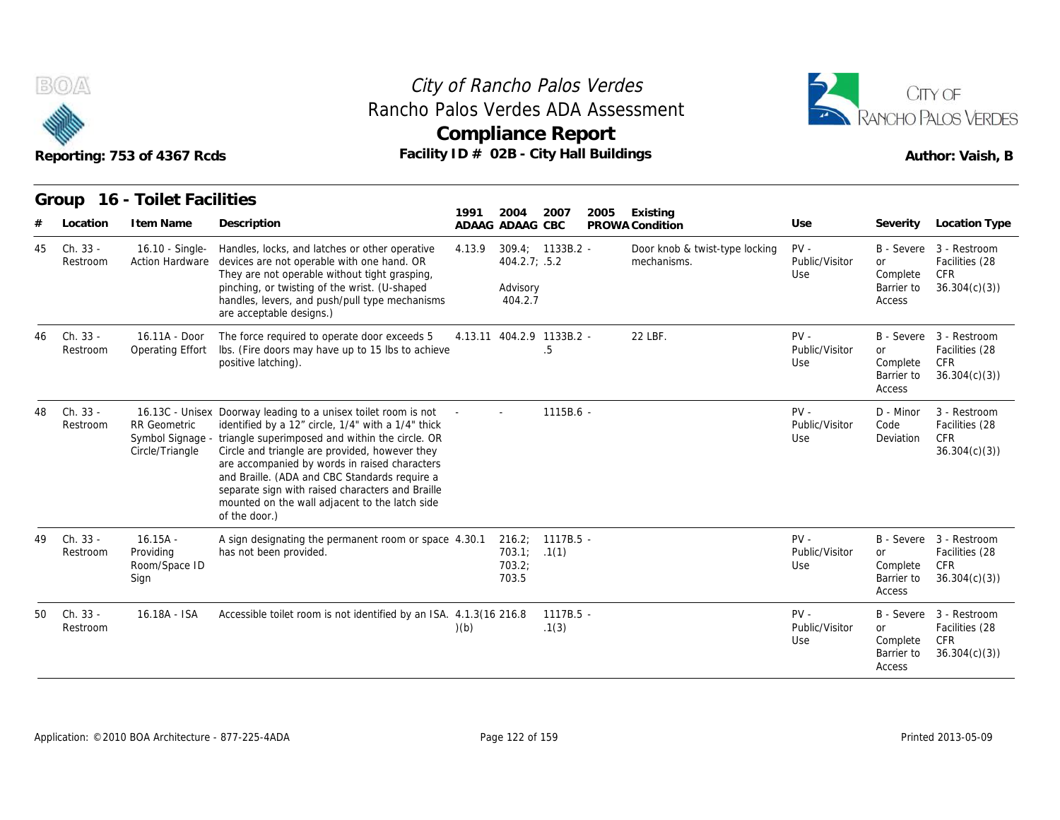

## **Compliance Report** Rancho Palos Verdes ADA Assessment



|    |                      | Reporting: 753 of 4367 Rcds                      | Facility ID # 02B - City Hall Buildings                                                                                                                                                                                                                                                                                                                                                                                                                             |        | <b>Compliance Report</b>                  |                      |      |                                               |                                 |                                               | Author: Vaish, B                                                  |
|----|----------------------|--------------------------------------------------|---------------------------------------------------------------------------------------------------------------------------------------------------------------------------------------------------------------------------------------------------------------------------------------------------------------------------------------------------------------------------------------------------------------------------------------------------------------------|--------|-------------------------------------------|----------------------|------|-----------------------------------------------|---------------------------------|-----------------------------------------------|-------------------------------------------------------------------|
|    |                      | Group 16 - Toilet Facilities                     |                                                                                                                                                                                                                                                                                                                                                                                                                                                                     | 1991   | 2004                                      | 2007                 | 2005 | Existing                                      |                                 |                                               |                                                                   |
|    | Location             | I tem Name                                       | Description                                                                                                                                                                                                                                                                                                                                                                                                                                                         |        | ADAAG ADAAG CBC                           |                      |      | PROWA Condition                               | Use                             | Severity                                      | Location Type                                                     |
| 45 | Ch. 33 -<br>Restroom | 16.10 - Single-<br><b>Action Hardware</b>        | Handles, locks, and latches or other operative<br>devices are not operable with one hand. OR<br>They are not operable without tight grasping,<br>pinching, or twisting of the wrist. (U-shaped<br>handles, levers, and push/pull type mechanisms<br>are acceptable designs.)                                                                                                                                                                                        | 4.13.9 | 404.2.7; .5.2<br>Advisory<br>404.2.7      | $309.4; 1133B.2 -$   |      | Door knob & twist-type locking<br>mechanisms. | $PV -$<br>Public/Visitor<br>Use | <b>or</b><br>Complete<br>Barrier to<br>Access | B - Severe 3 - Restroom<br>Facilities (28<br>CFR<br>36.304(c)(3)  |
| 46 | Ch. 33 -<br>Restroom | 16.11A - Door<br>Operating Effort                | The force required to operate door exceeds 5<br>Ibs. (Fire doors may have up to 15 lbs to achieve<br>positive latching).                                                                                                                                                                                                                                                                                                                                            |        | 4.13.11 404.2.9 1133B.2 -                 | .5                   |      | 22 LBF.                                       | $PV -$<br>Public/Visitor<br>Use | <b>or</b><br>Complete<br>Barrier to<br>Access | B - Severe 3 - Restroom<br>Facilities (28<br>CFR.<br>36.304(c)(3) |
| 48 | Ch. 33 -<br>Restroom | <b>RR Geometric</b><br>Circle/Triangle           | 16.13C - Unisex Doorway leading to a unisex toilet room is not<br>identified by a 12" circle, 1/4" with a 1/4" thick<br>Symbol Signage - triangle superimposed and within the circle. OR<br>Circle and triangle are provided, however they<br>are accompanied by words in raised characters<br>and Braille. (ADA and CBC Standards require a<br>separate sign with raised characters and Braille<br>mounted on the wall adjacent to the latch side<br>of the door.) |        |                                           | $1115B.6 -$          |      |                                               | $PV -$<br>Public/Visitor<br>Use | D - Minor<br>Code<br>Deviation                | 3 - Restroom<br>Facilities (28<br><b>CFR</b><br>36.304(c)(3)      |
| 49 | Ch. 33 -<br>Restroom | $16.15A -$<br>Providing<br>Room/Space ID<br>Sign | A sign designating the permanent room or space 4.30.1<br>has not been provided.                                                                                                                                                                                                                                                                                                                                                                                     |        | 216.2;<br>703.1; .1(1)<br>703.2;<br>703.5 | 1117B.5 -            |      |                                               | $PV -$<br>Public/Visitor<br>Use | or<br>Complete<br>Barrier to<br>Access        | B - Severe 3 - Restroom<br>Facilities (28<br>CFR<br>36.304(c)(3)  |
| 50 | Ch. 33 -<br>Restroom | 16.18A - ISA                                     | Accessible toilet room is not identified by an ISA. 4.1.3(16 216.8                                                                                                                                                                                                                                                                                                                                                                                                  | (b)    |                                           | $1117B.5 -$<br>.1(3) |      |                                               | $PV -$<br>Public/Visitor<br>Use | <b>or</b><br>Complete<br>Barrier to<br>Access | B - Severe 3 - Restroom<br>Facilities (28<br>CFR<br>36.304(c)(3)  |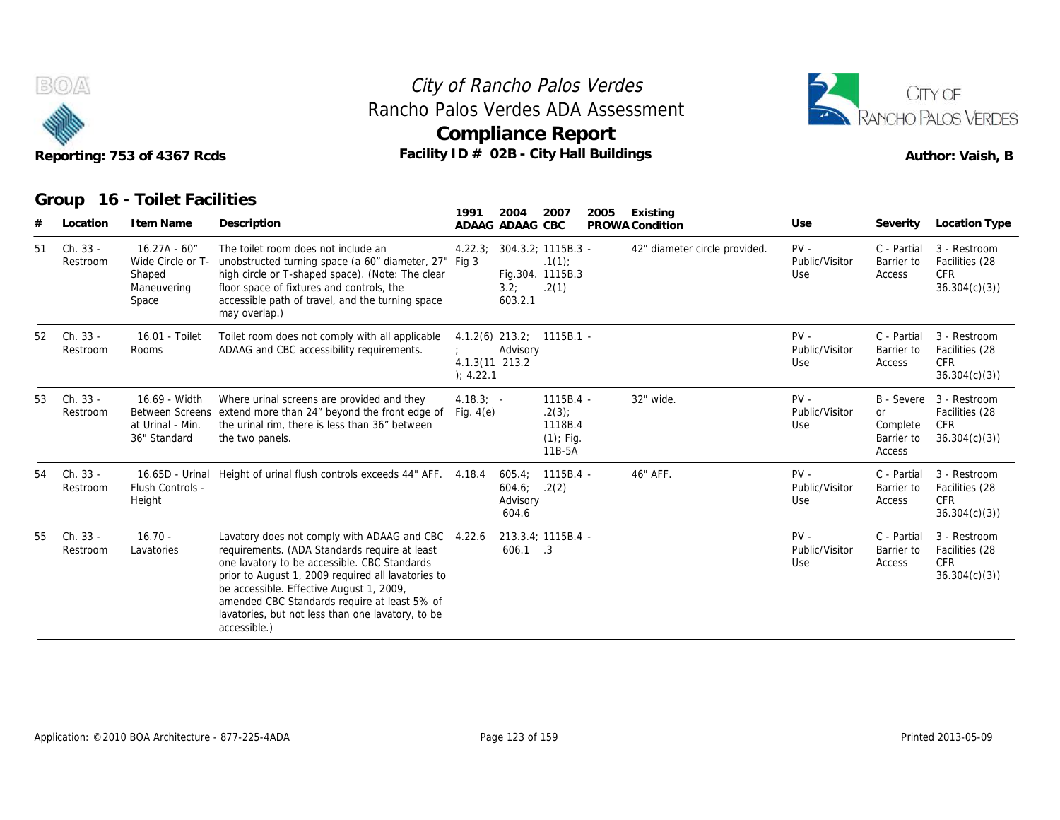



|    |                      | Reporting: 753 of 4367 Rcds                                            | Rancho Palos Verdes ADA Assessment<br>Facility ID # 02B - City Hall Buildings                                                                                                                                                                                                                                                                                              | City of Rancho Palos Verdes<br><b>Compliance Report</b>    |                                                           |                                                         |      |                               |                                 |                                               | CITY OF<br><b>RANCHO PALOS VERDES</b><br>Author: Vaish, B               |
|----|----------------------|------------------------------------------------------------------------|----------------------------------------------------------------------------------------------------------------------------------------------------------------------------------------------------------------------------------------------------------------------------------------------------------------------------------------------------------------------------|------------------------------------------------------------|-----------------------------------------------------------|---------------------------------------------------------|------|-------------------------------|---------------------------------|-----------------------------------------------|-------------------------------------------------------------------------|
|    | Group                | 16 - Toilet Facilities                                                 |                                                                                                                                                                                                                                                                                                                                                                            | 1991                                                       | 2004                                                      | 2007                                                    | 2005 | Existing                      |                                 |                                               |                                                                         |
| #  | Location             | I tem Name                                                             | Description                                                                                                                                                                                                                                                                                                                                                                | ADAAG ADAAG CBC                                            |                                                           |                                                         |      | PROWA Condition               | Use                             | Severity                                      | <b>Location Type</b>                                                    |
| 51 | Ch. 33 -<br>Restroom | $16.27A - 60''$<br>Wide Circle or T-<br>Shaped<br>Maneuvering<br>Space | The toilet room does not include an<br>unobstructed turning space (a 60" diameter, 27" Fig 3<br>high circle or T-shaped space). (Note: The clear<br>floor space of fixtures and controls, the<br>accessible path of travel, and the turning space<br>may overlap.)                                                                                                         | 4.22.3;                                                    | 304.3.2; 1115B.3 -<br>Fig.304. 1115B.3<br>3.2;<br>603.2.1 | .1(1)<br>.2(1)                                          |      | 42" diameter circle provided. | $PV -$<br>Public/Visitor<br>Use | C - Partial<br>Barrier to<br>Access           | 3 - Restroom<br>Facilities (28<br><b>CFR</b><br>36.304(c)(3)            |
| 52 | Ch. 33 -<br>Restroom | 16.01 - Toilet<br>Rooms                                                | Toilet room does not comply with all applicable<br>ADAAG and CBC accessibility requirements.                                                                                                                                                                                                                                                                               | $4.1.2(6)$ 213.2; 1115B.1 -<br>4.1.3(11 213.2<br>); 4.22.1 | Advisory                                                  |                                                         |      |                               | $PV -$<br>Public/Visitor<br>Use | C - Partial<br>Barrier to<br>Access           | 3 - Restroom<br>Facilities (28<br><b>CFR</b><br>36.304(c)(3)            |
| 53 | Ch. 33 -<br>Restroom | 16.69 - Width<br>at Urinal - Min.<br>36" Standard                      | Where urinal screens are provided and they<br>Between Screens extend more than 24" beyond the front edge of<br>the urinal rim, there is less than 36" between<br>the two panels.                                                                                                                                                                                           | $4.18.3$ ; -<br>Fig. $4(e)$                                |                                                           | 1115B.4 -<br>.2(3)<br>1118B.4<br>$(1)$ ; Fig.<br>11B-5A |      | 32" wide.                     | $PV -$<br>Public/Visitor<br>Use | <b>or</b><br>Complete<br>Barrier to<br>Access | B - Severe 3 - Restroom<br>Facilities (28<br><b>CFR</b><br>36.304(c)(3) |
| 54 | Ch. 33 -<br>Restroom | 16.65D - Urinal<br>Flush Controls -<br>Height                          | Height of urinal flush controls exceeds 44" AFF. 4.18.4                                                                                                                                                                                                                                                                                                                    |                                                            | 605.4;<br>604.6;<br>Advisory<br>604.6                     | $1115B.4 -$<br>.2(2)                                    |      | 46" AFF.                      | $PV -$<br>Public/Visitor<br>Use | C - Partial<br>Barrier to<br>Access           | 3 - Restroom<br>Facilities (28<br><b>CFR</b><br>36.304(c)(3)            |
| 55 | Ch. 33 -<br>Restroom | $16.70 -$<br>Lavatories                                                | Lavatory does not comply with ADAAG and CBC 4.22.6<br>requirements. (ADA Standards require at least<br>one lavatory to be accessible. CBC Standards<br>prior to August 1, 2009 required all lavatories to<br>be accessible. Effective August 1, 2009,<br>amended CBC Standards require at least 5% of<br>lavatories, but not less than one lavatory, to be<br>accessible.) |                                                            | 213.3.4; 1115B.4 -<br>606.1 .3                            |                                                         |      |                               | $PV -$<br>Public/Visitor<br>Use | C - Partial<br>Barrier to<br>Access           | 3 - Restroom<br>Facilities (28<br><b>CFR</b><br>36.304(c)(3)            |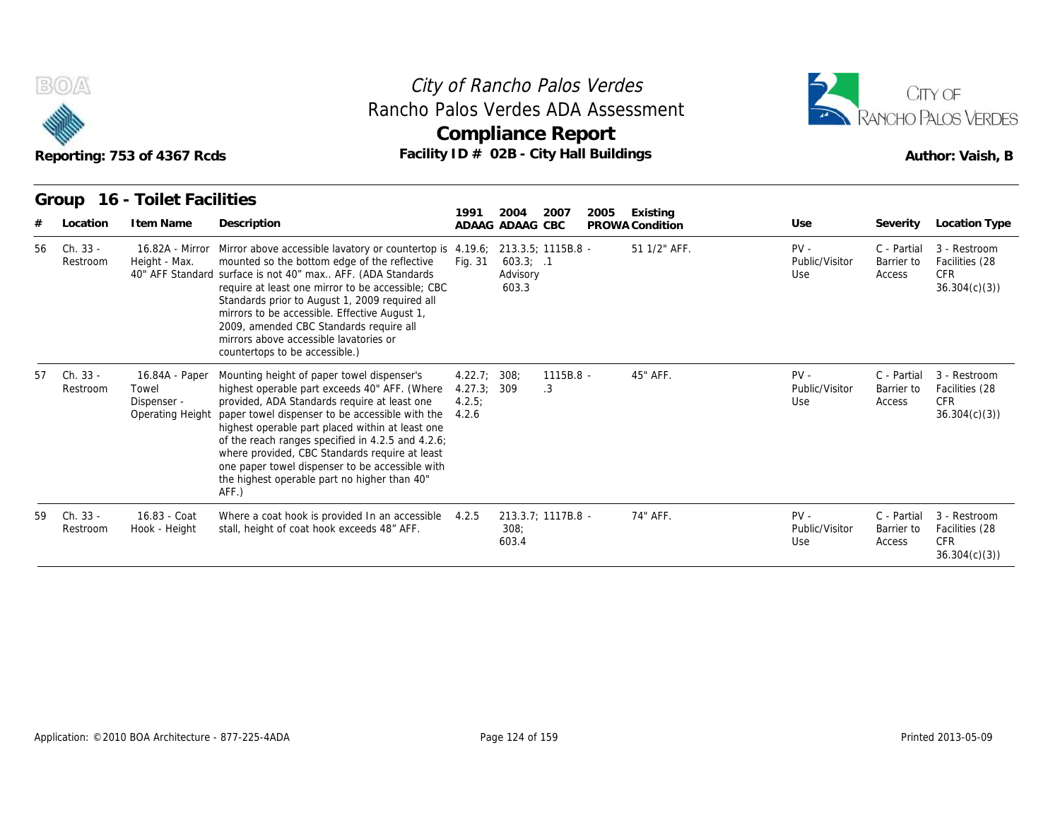



| B(0)                       | Reporting: 753 of 4367 Rcds                                | Rancho Palos Verdes ADA Assessment<br>Facility ID # 02B - City Hall Buildings                                                                                                                                                                                                                                                                                                                                                                                            |                                     | City of Rancho Palos Verdes<br>Compliance Report     |                    |      |                             |                                 |                                     | CITY OF<br>RANCHO PALOS VERDES<br>Author: Vaish, B           |
|----------------------------|------------------------------------------------------------|--------------------------------------------------------------------------------------------------------------------------------------------------------------------------------------------------------------------------------------------------------------------------------------------------------------------------------------------------------------------------------------------------------------------------------------------------------------------------|-------------------------------------|------------------------------------------------------|--------------------|------|-----------------------------|---------------------------------|-------------------------------------|--------------------------------------------------------------|
| Group<br>Location          | 16 - Toilet Facilities<br>I tem Name                       | Description                                                                                                                                                                                                                                                                                                                                                                                                                                                              | 1991                                | 2004<br>ADAAG ADAAG CBC                              | 2007               | 2005 | Existing<br>PROWA Condition | Use                             | Severity                            | Location Type                                                |
| Ch. 33 -<br>56<br>Restroom | 16.82A - Mirror<br>Height - Max.                           | Mirror above accessible lavatory or countertop is 4.19.6;<br>mounted so the bottom edge of the reflective<br>40" AFF Standard surface is not 40" max AFF. (ADA Standards<br>require at least one mirror to be accessible; CBC<br>Standards prior to August 1, 2009 required all<br>mirrors to be accessible. Effective August 1,<br>2009, amended CBC Standards require all<br>mirrors above accessible lavatories or<br>countertops to be accessible.)                  | Fig. 31                             | 213.3.5; 1115B.8 -<br>603.3; .1<br>Advisory<br>603.3 |                    |      | 51 1/2" AFF.                | $PV -$<br>Public/Visitor<br>Use | C - Partial<br>Barrier to<br>Access | 3 - Restroom<br>Facilities (28<br><b>CFR</b><br>36.304(c)(3) |
| Ch. 33 -<br>57<br>Restroom | 16.84A - Paper<br>Towel<br>Dispenser -<br>Operating Height | Mounting height of paper towel dispenser's<br>highest operable part exceeds 40" AFF. (Where<br>provided, ADA Standards require at least one<br>paper towel dispenser to be accessible with the<br>highest operable part placed within at least one<br>of the reach ranges specified in 4.2.5 and 4.2.6;<br>where provided, CBC Standards require at least<br>one paper towel dispenser to be accessible with<br>the highest operable part no higher than 40"<br>$AFF.$ ) | 4.22.7<br>4.27.3;<br>4.2.5<br>4.2.6 | 308:<br>309                                          | 1115B.8 -<br>.3    |      | 45" AFF.                    | $PV -$<br>Public/Visitor<br>Use | C - Partial<br>Barrier to<br>Access | 3 - Restroom<br>Facilities (28<br><b>CFR</b><br>36.304(c)(3) |
| Ch. 33 -<br>59<br>Restroom | 16.83 - Coat<br>Hook - Height                              | Where a coat hook is provided In an accessible<br>stall, height of coat hook exceeds 48" AFF.                                                                                                                                                                                                                                                                                                                                                                            | 4.2.5                               | 308:<br>603.4                                        | 213.3.7; 1117B.8 - |      | 74" AFF.                    | $PV -$<br>Public/Visitor<br>Use | C - Partial<br>Barrier to<br>Access | 3 - Restroom<br>Facilities (28<br><b>CFR</b><br>36.304(c)(3) |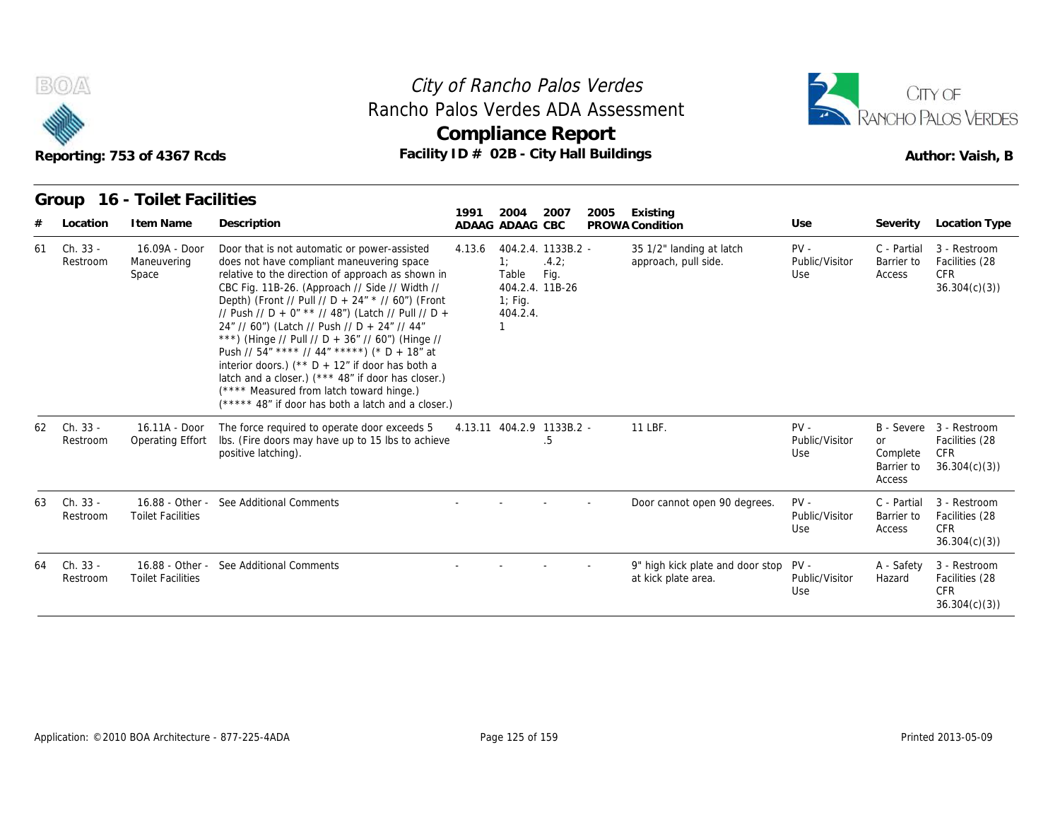

## **Compliance Report** Rancho Palos Verdes ADA Assessment



|    |                      | Reporting: 753 of 4367 Rcds                 | Rancho Palos Verdes ADA Assessment<br>Facility ID # 02B - City Hall Buildings                                                                                                                                                                                                                                                                                                                                                                                                                                                                                                                                                                                                       |        | <b>Compliance Report</b>                                                       |               | City of Rancho Palos Verdes |                                                              |                                 |                                        | CITY OF<br>RANCHO PALOS VERDES<br>Author: Vaish, B                      |
|----|----------------------|---------------------------------------------|-------------------------------------------------------------------------------------------------------------------------------------------------------------------------------------------------------------------------------------------------------------------------------------------------------------------------------------------------------------------------------------------------------------------------------------------------------------------------------------------------------------------------------------------------------------------------------------------------------------------------------------------------------------------------------------|--------|--------------------------------------------------------------------------------|---------------|-----------------------------|--------------------------------------------------------------|---------------------------------|----------------------------------------|-------------------------------------------------------------------------|
|    | Group                | 16 - Toilet Facilities                      |                                                                                                                                                                                                                                                                                                                                                                                                                                                                                                                                                                                                                                                                                     | 1991   | 2004                                                                           | 2007          | 2005                        | Existing                                                     |                                 |                                        |                                                                         |
|    | Location             | I tem Name                                  | Description                                                                                                                                                                                                                                                                                                                                                                                                                                                                                                                                                                                                                                                                         |        | ADAAG ADAAG CBC                                                                |               |                             | PROWA Condition                                              | Use                             | Severity                               | Location Type                                                           |
| 61 | Ch. 33 -<br>Restroom | 16.09A - Door<br>Maneuvering<br>Space       | Door that is not automatic or power-assisted<br>does not have compliant maneuvering space<br>relative to the direction of approach as shown in<br>CBC Fig. 11B-26. (Approach // Side // Width //<br>Depth) (Front // Pull // D + 24" * // 60") (Front<br>// Push // D + 0" ** // 48") (Latch // Pull // D +<br>24" // 60") (Latch // Push // D + 24" // 44"<br>***) (Hinge // Pull // D + 36" // 60") (Hinge //<br>Push // $54''$ **** // $44''$ *****) (* D + 18" at<br>interior doors.) (** $D + 12$ " if door has both a<br>latch and a closer.) (*** 48" if door has closer.)<br>(**** Measured from latch toward hinge.)<br>(***** 48" if door has both a latch and a closer.) | 4.13.6 | 404.2.4. 1133B.2 -<br>1:<br>Table<br>404.2.4. 11B-26<br>$1$ ; Fig.<br>404.2.4. | .4.2:<br>Fig. |                             | 35 1/2" landing at latch<br>approach, pull side.             | $PV -$<br>Public/Visitor<br>Use | C - Partial<br>Barrier to<br>Access    | 3 - Restroom<br>Facilities (28<br><b>CFR</b><br>36.304(c)(3)            |
| 62 | Ch. 33 -<br>Restroom | 16.11A - Door<br>Operating Effort           | The force required to operate door exceeds 5<br>Ibs. (Fire doors may have up to 15 lbs to achieve<br>positive latching).                                                                                                                                                                                                                                                                                                                                                                                                                                                                                                                                                            |        | 4.13.11 404.2.9 1133B.2 -                                                      | .5            |                             | 11 LBF.                                                      | $PV -$<br>Public/Visitor<br>Use | or<br>Complete<br>Barrier to<br>Access | B - Severe 3 - Restroom<br>Facilities (28<br><b>CFR</b><br>36.304(c)(3) |
| 63 | Ch. 33 -<br>Restroom | <b>Toilet Facilities</b>                    | 16.88 - Other - See Additional Comments                                                                                                                                                                                                                                                                                                                                                                                                                                                                                                                                                                                                                                             |        |                                                                                |               |                             | Door cannot open 90 degrees.                                 | $PV -$<br>Public/Visitor<br>Use | C - Partial<br>Barrier to<br>Access    | 3 - Restroom<br>Facilities (28<br><b>CFR</b><br>36.304(c)(3)            |
| 64 | Ch. 33 -<br>Restroom | 16.88 - Other -<br><b>Toilet Facilities</b> | See Additional Comments                                                                                                                                                                                                                                                                                                                                                                                                                                                                                                                                                                                                                                                             |        |                                                                                |               |                             | 9" high kick plate and door stop PV -<br>at kick plate area. | Public/Visitor<br>Use           | A - Safety<br>Hazard                   | 3 - Restroom<br>Facilities (28<br><b>CFR</b><br>36.304(c)(3)            |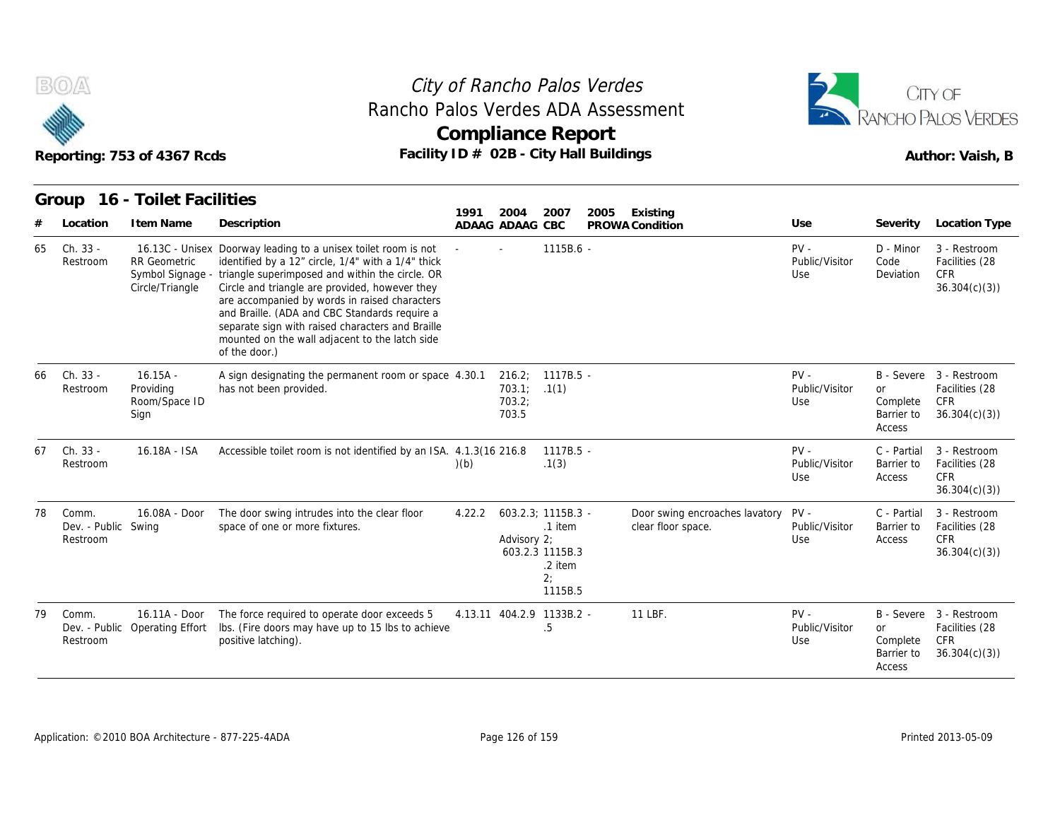

#### Reporting: 753 of 4367 Rcds **Facility ID # 02B - City Hall Buildings** Reporting: 753 of 4367 Rcds Author: Vaish, B City of Rancho Palos Verdes **Compliance Report** Rancho Palos Verdes ADA Assessment



|    |                                          | Reporting: 753 of 4367 Rcds                      | Rancho Palos Verdes ADA Assessment                                                                                                                                                                                                                                                                                                                                                                                                                                  |        | <b>Compliance Report</b><br>Facility ID # 02B - City Hall Buildings |                                                                              |      |                                                      |                                 |                                               | CITY OF<br>RANCHO PALOS VERDES<br>Author: Vaish, B                      |
|----|------------------------------------------|--------------------------------------------------|---------------------------------------------------------------------------------------------------------------------------------------------------------------------------------------------------------------------------------------------------------------------------------------------------------------------------------------------------------------------------------------------------------------------------------------------------------------------|--------|---------------------------------------------------------------------|------------------------------------------------------------------------------|------|------------------------------------------------------|---------------------------------|-----------------------------------------------|-------------------------------------------------------------------------|
|    | Group                                    | 16 - Toilet Facilities                           |                                                                                                                                                                                                                                                                                                                                                                                                                                                                     |        |                                                                     |                                                                              |      |                                                      |                                 |                                               |                                                                         |
|    | Location                                 | I tem Name                                       | Description                                                                                                                                                                                                                                                                                                                                                                                                                                                         | 1991   | 2004<br>ADAAG ADAAG CBC                                             | 2007                                                                         | 2005 | Existing<br>PROWA Condition                          | Use                             | Severity                                      | Location Type                                                           |
| 65 | Ch. 33 -<br>Restroom                     | <b>RR</b> Geometric<br>Circle/Triangle           | 16.13C - Unisex Doorway leading to a unisex toilet room is not<br>identified by a 12" circle, 1/4" with a 1/4" thick<br>Symbol Signage - triangle superimposed and within the circle. OR<br>Circle and triangle are provided, however they<br>are accompanied by words in raised characters<br>and Braille. (ADA and CBC Standards require a<br>separate sign with raised characters and Braille<br>mounted on the wall adjacent to the latch side<br>of the door.) |        |                                                                     | 1115B.6 -                                                                    |      |                                                      | $PV -$<br>Public/Visitor<br>Use | D - Minor<br>Code<br>Deviation                | 3 - Restroom<br>Facilities (28<br><b>CFR</b><br>36.304(c)(3)            |
| 66 | Ch. 33 -<br>Restroom                     | $16.15A -$<br>Providing<br>Room/Space ID<br>Sign | A sign designating the permanent room or space 4.30.1<br>has not been provided.                                                                                                                                                                                                                                                                                                                                                                                     |        | 703.1;<br>703.2;<br>703.5                                           | 216.2; 1117B.5 -<br>.1(1)                                                    |      |                                                      | $PV -$<br>Public/Visitor<br>Use | <b>or</b><br>Complete<br>Barrier to<br>Access | B - Severe 3 - Restroom<br>Facilities (28<br><b>CFR</b><br>36.304(c)(3) |
| 67 | Ch. 33 -<br>Restroom                     | 16.18A - ISA                                     | Accessible toilet room is not identified by an ISA. 4.1.3(16 216.8                                                                                                                                                                                                                                                                                                                                                                                                  | (b)    |                                                                     | 1117B.5 -<br>.1(3)                                                           |      |                                                      | $PV -$<br>Public/Visitor<br>Use | C - Partial<br>Barrier to<br>Access           | 3 - Restroom<br>Facilities (28<br><b>CFR</b><br>36.304(c)(3)            |
| 78 | Comm.<br>Dev. - Public Swing<br>Restroom | 16.08A - Door                                    | The door swing intrudes into the clear floor<br>space of one or more fixtures.                                                                                                                                                                                                                                                                                                                                                                                      | 4.22.2 | Advisory 2;                                                         | 603.2.3: 1115B.3 -<br>.1 item<br>603.2.3 1115B.3<br>.2 item<br>2:<br>1115B.5 |      | Door swing encroaches lavatory<br>clear floor space. | $PV -$<br>Public/Visitor<br>Use | C - Partial<br>Barrier to<br>Access           | 3 - Restroom<br>Facilities (28<br><b>CFR</b><br>36.304(c)(3)            |
| 79 | Comm.<br>Restroom                        | 16.11A - Door<br>Dev. - Public Operating Effort  | The force required to operate door exceeds 5<br>Ibs. (Fire doors may have up to 15 lbs to achieve<br>positive latching).                                                                                                                                                                                                                                                                                                                                            |        | 4.13.11 404.2.9 1133B.2 -                                           | .5                                                                           |      | 11 LBF.                                              | $PV -$<br>Public/Visitor<br>Use | <b>or</b><br>Complete<br>Barrier to<br>Access | B - Severe 3 - Restroom<br>Facilities (28<br><b>CFR</b><br>36.304(c)(3) |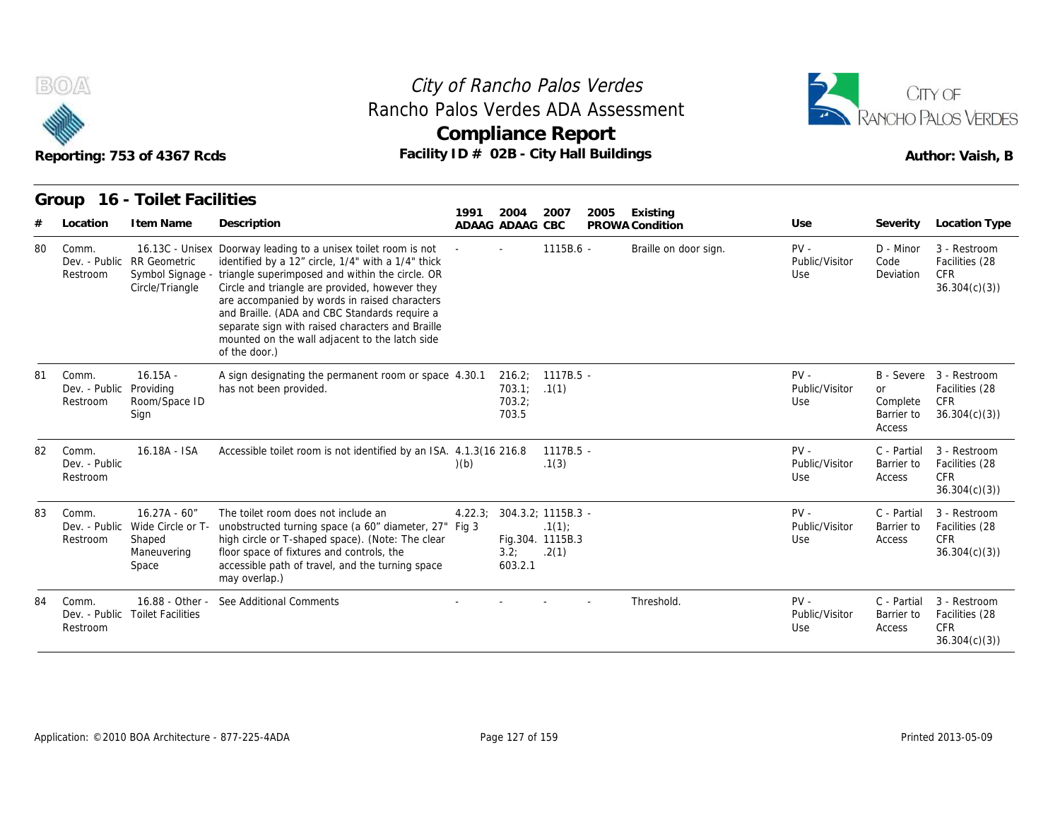

#### Reporting: 753 of 4367 Rcds **Facility ID # 02B - City Hall Buildings** Reporting: 753 of 4367 Rcds Author: Vaish, B City of Rancho Palos Verdes **Compliance Report** Rancho Palos Verdes ADA Assessment



|    |                                              | Reporting: 753 of 4367 Rcds                                                         | Rancho Palos Verdes ADA Assessment<br>Facility ID # 02B - City Hall Buildings                                                                                                                                                                                                                                                                                                                                                                      | <b>Compliance Report</b> |                           |                                                          |      |                             |                                 |                                        | <b>RANCHO PALOS VERDES</b><br>Author: Vaish, B                          |
|----|----------------------------------------------|-------------------------------------------------------------------------------------|----------------------------------------------------------------------------------------------------------------------------------------------------------------------------------------------------------------------------------------------------------------------------------------------------------------------------------------------------------------------------------------------------------------------------------------------------|--------------------------|---------------------------|----------------------------------------------------------|------|-----------------------------|---------------------------------|----------------------------------------|-------------------------------------------------------------------------|
|    | Group<br>Location                            | 16 - Toilet Facilities<br>I tem Name                                                | Description                                                                                                                                                                                                                                                                                                                                                                                                                                        | 1991                     | 2004<br>ADAAG ADAAG CBC   | 2007                                                     | 2005 | Existing<br>PROWA Condition | Use                             | Severity                               | Location Type                                                           |
| 80 | Comm.<br>Restroom                            | Dev. - Public RR Geometric<br>Symbol Signage -<br>Circle/Triangle                   | 16.13C - Unisex Doorway leading to a unisex toilet room is not<br>identified by a 12" circle, 1/4" with a 1/4" thick<br>triangle superimposed and within the circle. OR<br>Circle and triangle are provided, however they<br>are accompanied by words in raised characters<br>and Braille. (ADA and CBC Standards require a<br>separate sign with raised characters and Braille<br>mounted on the wall adjacent to the latch side<br>of the door.) |                          |                           | 1115B.6 -                                                |      | Braille on door sign.       | $PV -$<br>Public/Visitor<br>Use | D - Minor<br>Code<br>Deviation         | 3 - Restroom<br>Facilities (28<br><b>CFR</b><br>36.304(c)(3)            |
| 81 | Comm.<br>Dev. - Public Providing<br>Restroom | $16.15A -$<br>Room/Space ID<br>Sign                                                 | A sign designating the permanent room or space 4.30.1<br>has not been provided.                                                                                                                                                                                                                                                                                                                                                                    |                          | 703.1:<br>703.2;<br>703.5 | 216.2; 1117B.5 -<br>.1(1)                                |      |                             | $PV -$<br>Public/Visitor<br>Use | or<br>Complete<br>Barrier to<br>Access | B - Severe 3 - Restroom<br>Facilities (28<br><b>CFR</b><br>36.304(c)(3) |
| 82 | Comm.<br>Dev. - Public<br>Restroom           | 16.18A - ISA                                                                        | Accessible toilet room is not identified by an ISA. 4.1.3(16 216.8)                                                                                                                                                                                                                                                                                                                                                                                | (b)                      |                           | $1117B.5 -$<br>.1(3)                                     |      |                             | $PV -$<br>Public/Visitor<br>Use | C - Partial<br>Barrier to<br>Access    | 3 - Restroom<br>Facilities (28<br><b>CFR</b><br>36.304(c)(3)            |
| 83 | Comm.<br>Restroom                            | $16.27A - 60'$<br>Dev. - Public Wide Circle or T-<br>Shaped<br>Maneuvering<br>Space | The toilet room does not include an<br>unobstructed turning space (a 60" diameter, 27" Fig 3<br>high circle or T-shaped space). (Note: The clear<br>floor space of fixtures and controls, the<br>accessible path of travel, and the turning space<br>may overlap.)                                                                                                                                                                                 | 4.22.3;                  | 3.2;<br>603.2.1           | 304.3.2; 1115B.3 -<br>.1(1)<br>Fig.304. 1115B.3<br>.2(1) |      |                             | $PV -$<br>Public/Visitor<br>Use | C - Partial<br>Barrier to<br>Access    | 3 - Restroom<br>Facilities (28<br><b>CFR</b><br>36.304(c)(3)            |
| 84 | Comm.<br>Restroom                            | 16.88 - Other -<br>Dev. - Public Toilet Facilities                                  | See Additional Comments                                                                                                                                                                                                                                                                                                                                                                                                                            |                          |                           |                                                          |      | Threshold.                  | $PV -$<br>Public/Visitor<br>Use | C - Partial<br>Barrier to<br>Access    | 3 - Restroom<br>Facilities (28<br><b>CFR</b><br>36.304(c)(3)            |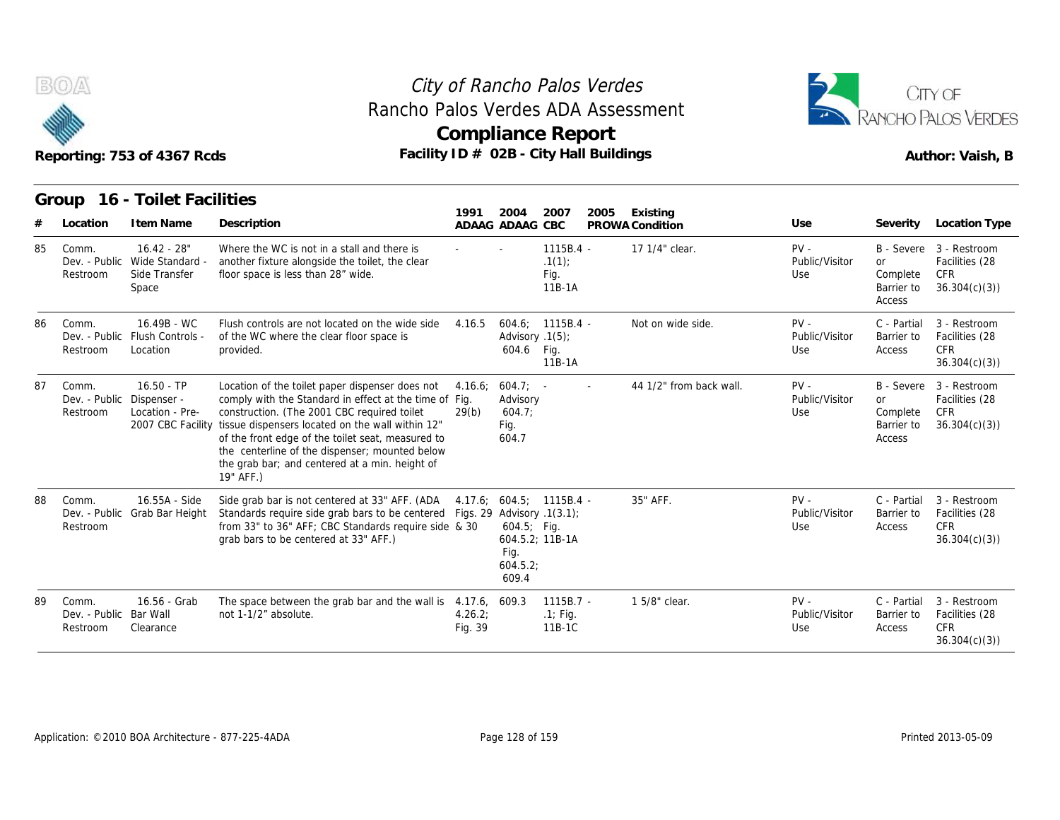



|    |                                    | Reporting: 753 of 4367 Rcds                                | Rancho Palos Verdes ADA Assessment<br>Facility ID # 02B - City Hall Buildings                                                                                                                                                                                                                                                                                                                        |                    | <b>Compliance Report</b>                           |                                        |      |                             |                                 |                                               | RANCHO PALOS VERDES<br>Author: Vaish, B                                 |
|----|------------------------------------|------------------------------------------------------------|------------------------------------------------------------------------------------------------------------------------------------------------------------------------------------------------------------------------------------------------------------------------------------------------------------------------------------------------------------------------------------------------------|--------------------|----------------------------------------------------|----------------------------------------|------|-----------------------------|---------------------------------|-----------------------------------------------|-------------------------------------------------------------------------|
| #  | Location                           | Group 16 - Toilet Facilities<br>I tem Name                 | Description                                                                                                                                                                                                                                                                                                                                                                                          | 1991               | 2004<br>ADAAG ADAAG CBC                            | 2007                                   | 2005 | Existing<br>PROWA Condition | Use                             | Severity                                      | Location Type                                                           |
| 85 | Comm.<br>Dev. - Public<br>Restroom | $16.42 - 28"$<br>Wide Standard -<br>Side Transfer<br>Space | Where the WC is not in a stall and there is<br>another fixture alongside the toilet, the clear<br>floor space is less than 28" wide.                                                                                                                                                                                                                                                                 |                    |                                                    | $1115B.4 -$<br>.1(1)<br>Fig.<br>11B-1A |      | 17 1/4" clear.              | $PV -$<br>Public/Visitor<br>Use | <b>or</b><br>Complete<br>Barrier to<br>Access | B - Severe 3 - Restroom<br>Facilities (28<br>CFR<br>36.304(c)(3)        |
| 86 | Comm.<br>Restroom                  | 16.49B - WC<br>Dev. - Public Flush Controls -<br>Location  | Flush controls are not located on the wide side<br>of the WC where the clear floor space is<br>provided.                                                                                                                                                                                                                                                                                             | 4.16.5             | Advisory .1(5);<br>604.6 Fig.                      | $604.6: 1115B.4 -$<br>11B-1A           |      | Not on wide side.           | $PV -$<br>Public/Visitor<br>Use | C - Partial<br>Barrier to<br>Access           | 3 - Restroom<br>Facilities (28<br><b>CFR</b><br>36.304(c)(3)            |
| 87 | Comm.<br>Dev. - Public<br>Restroom | $16.50 - TP$<br>Dispenser -<br>Location - Pre-             | Location of the toilet paper dispenser does not<br>comply with the Standard in effect at the time of Fig.<br>construction. (The 2001 CBC required toilet<br>2007 CBC Facility tissue dispensers located on the wall within 12"<br>of the front edge of the toilet seat, measured to<br>the centerline of the dispenser; mounted below<br>the grab bar; and centered at a min. height of<br>19" AFF.) | 4.16.6:<br>29(b)   | $604.7$ ; -<br>Advisory<br>604.7:<br>Fig.<br>604.7 |                                        |      | 44 1/2" from back wall.     | $PV -$<br>Public/Visitor<br>Use | <b>or</b><br>Complete<br>Barrier to<br>Access | B - Severe 3 - Restroom<br>Facilities (28<br><b>CFR</b><br>36.304(c)(3) |
| 88 | Comm.<br>Dev. - Public<br>Restroom | 16.55A - Side<br>Grab Bar Height                           | Side grab bar is not centered at 33" AFF. (ADA 4.17.6; 604.5; 1115B.4 -<br>Standards require side grab bars to be centered Figs. 29 Advisory .1(3.1);<br>from 33" to 36" AFF; CBC Standards require side & 30<br>grab bars to be centered at 33" AFF.)                                                                                                                                               |                    | $604.5$ ; Fig.<br>Fig.<br>604.5.2<br>609.4         | 604.5.2; 11B-1A                        |      | 35" AFF.                    | $PV -$<br>Public/Visitor<br>Use | C - Partial<br>Barrier to<br>Access           | 3 - Restroom<br>Facilities (28<br><b>CFR</b><br>36.304(c)(3)            |
| 89 | Comm.<br>Dev. - Public<br>Restroom | 16.56 - Grab<br>Bar Wall<br>Clearance                      | The space between the grab bar and the wall is 4.17.6, 609.3<br>not 1-1/2" absolute.                                                                                                                                                                                                                                                                                                                 | 4.26.2;<br>Fig. 39 |                                                    | $1115B.7 -$<br>$.1$ ; Fig.<br>11B-1C   |      | 1 5/8" clear.               | $PV -$<br>Public/Visitor<br>Use | C - Partial<br>Barrier to<br>Access           | 3 - Restroom<br>Facilities (28<br><b>CFR</b><br>36.304(c)(3)            |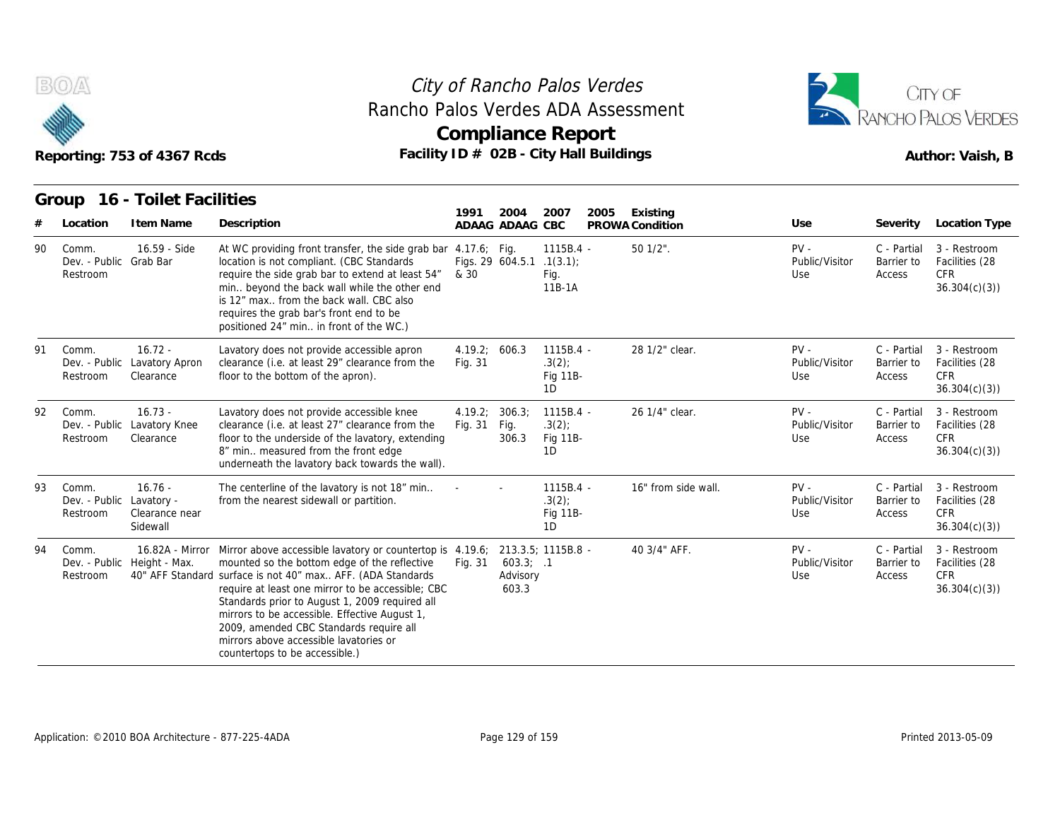



|     |                                               | Reporting: 753 of 4367 Rcds              |                                                                                                                                                                                                                                                                                                                                                                                                                                                                                            |                          |                                | Rancho Palos Verdes ADA Assessment<br><b>Compliance Report</b><br>Facility ID # 02B - City Hall Buildings |                             |                                 |                                     | RANCHO PALOS VERDES<br>Author: Vaish, B                      |
|-----|-----------------------------------------------|------------------------------------------|--------------------------------------------------------------------------------------------------------------------------------------------------------------------------------------------------------------------------------------------------------------------------------------------------------------------------------------------------------------------------------------------------------------------------------------------------------------------------------------------|--------------------------|--------------------------------|-----------------------------------------------------------------------------------------------------------|-----------------------------|---------------------------------|-------------------------------------|--------------------------------------------------------------|
|     | Group<br>Location                             | 16 - Toilet Facilities<br>I tem Name     | Description                                                                                                                                                                                                                                                                                                                                                                                                                                                                                | 1991                     | 2004<br>ADAAG ADAAG CBC        | 2007<br>2005                                                                                              | Existing<br>PROWA Condition | Use                             | Severity                            | <b>Location Type</b>                                         |
| 90  | Comm.<br>Dev. - Public Grab Bar<br>Restroom   | 16.59 - Side                             | At WC providing front transfer, the side grab bar 4.17.6; Fig.<br>location is not compliant. (CBC Standards<br>require the side grab bar to extend at least 54"<br>min beyond the back wall while the other end<br>is 12" max from the back wall. CBC also<br>requires the grab bar's front end to be<br>positioned 24" min in front of the WC.)                                                                                                                                           | & 30                     | Figs. 29 604.5.1 .1(3.1);      | 1115B.4 -<br>Fig.<br>11B-1A                                                                               | 50 1/2".                    | $PV -$<br>Public/Visitor<br>Use | C - Partial<br>Barrier to<br>Access | 3 - Restroom<br>Facilities (28<br><b>CFR</b><br>36.304(c)(3) |
| 91  | Comm.<br>Dev. - Public<br>Restroom            | $16.72 -$<br>Lavatory Apron<br>Clearance | Lavatory does not provide accessible apron<br>clearance (i.e. at least 29" clearance from the<br>floor to the bottom of the apron).                                                                                                                                                                                                                                                                                                                                                        | 4.19.2: 606.3<br>Fig. 31 |                                | $1115B.4 -$<br>.3(2)<br>Fig 11B-<br>1D                                                                    | 28 1/2" clear.              | $PV -$<br>Public/Visitor<br>Use | C - Partial<br>Barrier to<br>Access | 3 - Restroom<br>Facilities (28<br><b>CFR</b><br>36.304(c)(3) |
| 92. | Comm.<br>Dev. - Public<br>Restroom            | $16.73 -$<br>Lavatory Knee<br>Clearance  | Lavatory does not provide accessible knee<br>clearance (i.e. at least 27" clearance from the<br>floor to the underside of the lavatory, extending<br>8" min measured from the front edge<br>underneath the lavatory back towards the wall).                                                                                                                                                                                                                                                | 4.19.2;<br>Fig. 31       | 306.3;<br>Fig.<br>306.3        | $1115B.4 -$<br>$.3(2)$ ;<br>Fig 11B-<br>1D                                                                | 26 1/4" clear.              | $PV -$<br>Public/Visitor<br>Use | C - Partial<br>Barrier to<br>Access | 3 - Restroom<br>Facilities (28<br><b>CFR</b><br>36.304(c)(3) |
| 93  | Comm.<br>Dev. - Public Lavatory -<br>Restroom | $16.76 -$<br>Clearance near<br>Sidewall  | The centerline of the lavatory is not 18" min<br>from the nearest sidewall or partition.                                                                                                                                                                                                                                                                                                                                                                                                   |                          |                                | 1115B.4 -<br>.3(2)<br>Fig 11B-<br>1D                                                                      | 16" from side wall.         | $PV -$<br>Public/Visitor<br>Use | C - Partial<br>Barrier to<br>Access | 3 - Restroom<br>Facilities (28<br>CFR<br>36.304(c)(3)        |
| 94  | Comm.<br>Restroom                             | Dev. - Public Height - Max.              | 16.82A - Mirror Mirror above accessible lavatory or countertop is 4.19.6; 213.3.5; 1115B.8 -<br>mounted so the bottom edge of the reflective<br>40" AFF Standard surface is not 40" max AFF. (ADA Standards<br>require at least one mirror to be accessible; CBC<br>Standards prior to August 1, 2009 required all<br>mirrors to be accessible. Effective August 1,<br>2009, amended CBC Standards require all<br>mirrors above accessible lavatories or<br>countertops to be accessible.) | Fig. 31                  | 603.3; .1<br>Advisory<br>603.3 |                                                                                                           | 40 3/4" AFF.                | $PV -$<br>Public/Visitor<br>Use | C - Partial<br>Barrier to<br>Access | 3 - Restroom<br>Facilities (28<br><b>CFR</b><br>36.304(c)(3) |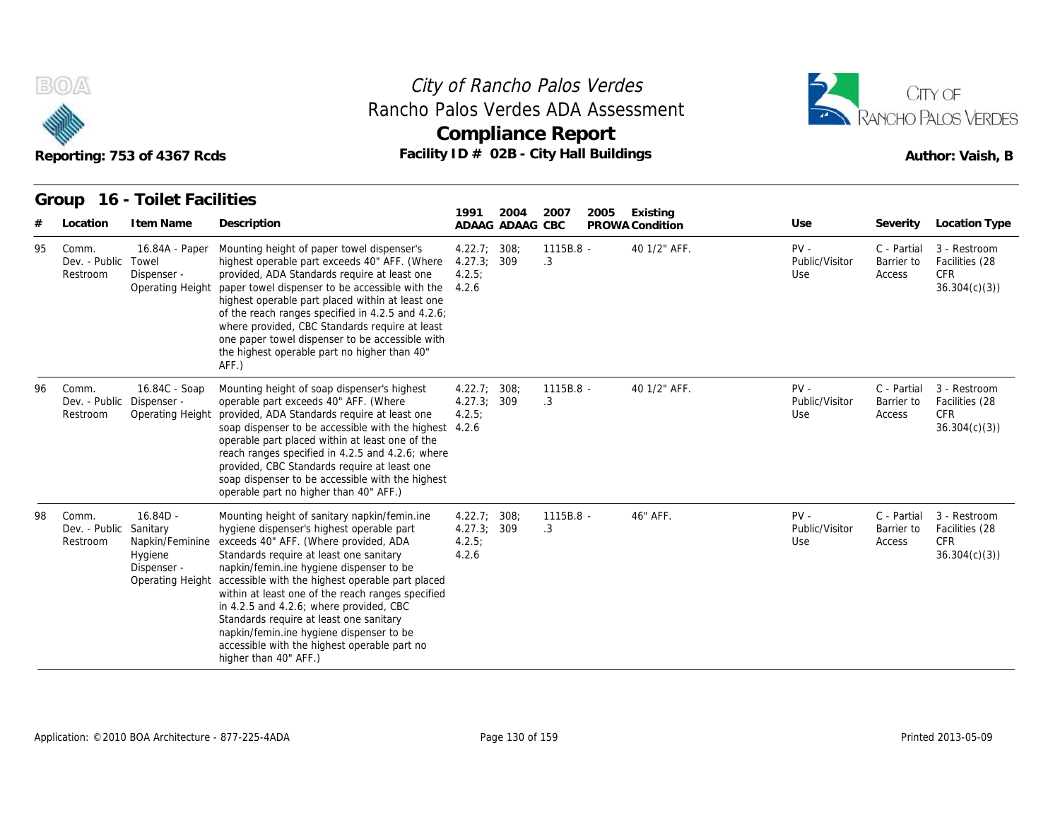



|    |                                    | Reporting: 753 of 4367 Rcds<br>16 - Toilet Facilities                                   | Facility ID # 02B - City Hall Buildings                                                                                                                                                                                                                                                                                                                                                                                                                                                                                                       |                                               |                         | <b>Compliance Report</b> |      |                             |                                 |                                     | RANCHO PALOS VERDES<br>Author: Vaish, B                      |
|----|------------------------------------|-----------------------------------------------------------------------------------------|-----------------------------------------------------------------------------------------------------------------------------------------------------------------------------------------------------------------------------------------------------------------------------------------------------------------------------------------------------------------------------------------------------------------------------------------------------------------------------------------------------------------------------------------------|-----------------------------------------------|-------------------------|--------------------------|------|-----------------------------|---------------------------------|-------------------------------------|--------------------------------------------------------------|
|    | Group<br>Location                  | I tem Name                                                                              | Description                                                                                                                                                                                                                                                                                                                                                                                                                                                                                                                                   | 1991                                          | 2004<br>ADAAG ADAAG CBC | 2007                     | 2005 | Existing<br>PROWA Condition | Use                             | Severity                            | <b>Location Type</b>                                         |
| 95 | Comm.<br>Dev. - Public<br>Restroom | 16.84A - Paper<br>Towel<br>Dispenser -<br>Operating Height                              | Mounting height of paper towel dispenser's<br>highest operable part exceeds 40" AFF. (Where<br>provided, ADA Standards require at least one<br>paper towel dispenser to be accessible with the<br>highest operable part placed within at least one<br>of the reach ranges specified in 4.2.5 and 4.2.6;<br>where provided, CBC Standards require at least<br>one paper towel dispenser to be accessible with<br>the highest operable part no higher than 40"<br>AFF.)                                                                         | 4.22.7; 308;<br>4.27.3<br>4.2.5:<br>4.2.6     | 309                     | 1115B.8 -<br>.3          |      | 40 1/2" AFF.                | $PV -$<br>Public/Visitor<br>Use | C - Partial<br>Barrier to<br>Access | 3 - Restroom<br>Facilities (28<br><b>CFR</b><br>36.304(c)(3) |
| 96 | Comm.<br>Dev. - Public<br>Restroom | 16.84C - Soap<br>Dispenser -<br>Operating Height                                        | Mounting height of soap dispenser's highest<br>operable part exceeds 40" AFF. (Where<br>provided, ADA Standards require at least one<br>soap dispenser to be accessible with the highest 4.2.6<br>operable part placed within at least one of the<br>reach ranges specified in 4.2.5 and 4.2.6; where<br>provided, CBC Standards require at least one<br>soap dispenser to be accessible with the highest<br>operable part no higher than 40" AFF.)                                                                                           | 4.22.7:308;<br>4.27.3; 309<br>4.2.5:          |                         | $1115B.8 -$<br>.3        |      | 40 1/2" AFF.                | $PV -$<br>Public/Visitor<br>Use | C - Partial<br>Barrier to<br>Access | 3 - Restroom<br>Facilities (28<br><b>CFR</b><br>36.304(c)(3) |
| 98 | Comm.<br>Dev. - Public<br>Restroom | $16.84D -$<br>Sanitary<br>Napkin/Feminine<br>Hygiene<br>Dispenser -<br>Operating Height | Mounting height of sanitary napkin/femin.ine<br>hygiene dispenser's highest operable part<br>exceeds 40" AFF. (Where provided, ADA<br>Standards require at least one sanitary<br>napkin/femin.ine hygiene dispenser to be<br>accessible with the highest operable part placed<br>within at least one of the reach ranges specified<br>in 4.2.5 and 4.2.6; where provided, CBC<br>Standards require at least one sanitary<br>napkin/femin.ine hygiene dispenser to be<br>accessible with the highest operable part no<br>higher than 40" AFF.) | 4.22.7:308;<br>4.27.3; 309<br>4.2.5:<br>4.2.6 |                         | 1115B.8 -<br>.3          |      | 46" AFF.                    | PV -<br>Public/Visitor<br>Use   | C - Partial<br>Barrier to<br>Access | 3 - Restroom<br>Facilities (28<br><b>CFR</b><br>36.304(c)(3) |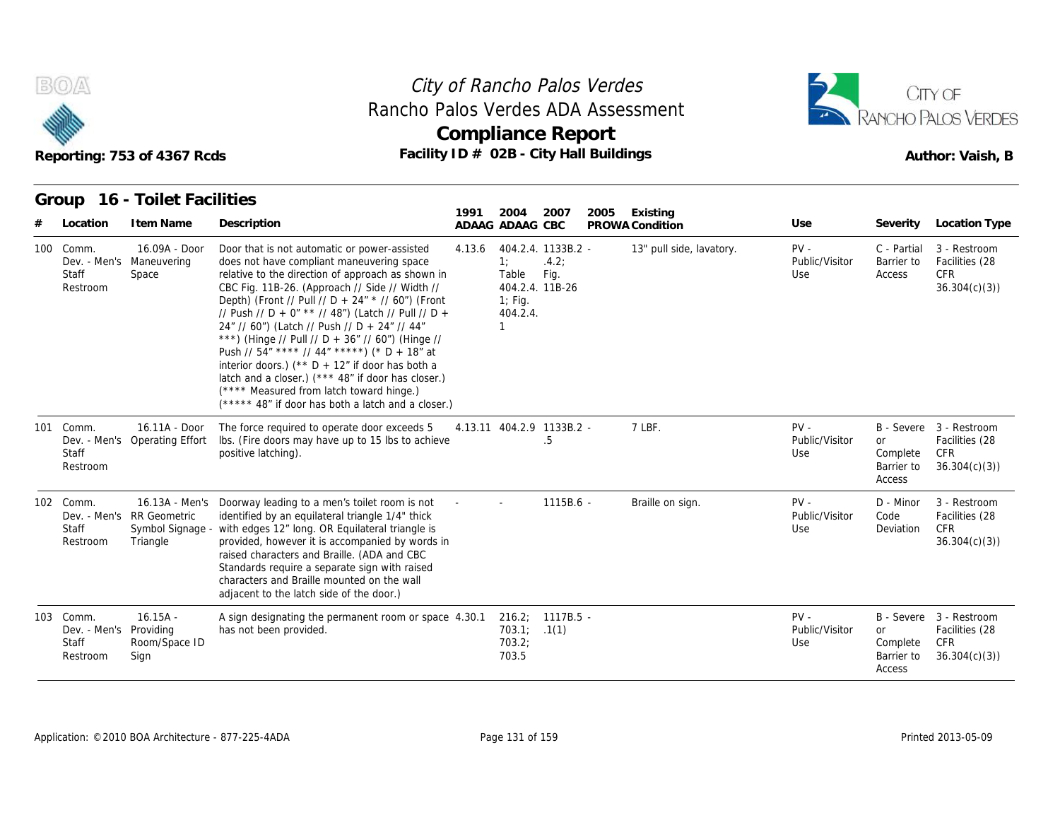

## **Compliance Report** Rancho Palos Verdes ADA Assessment



#### **Group 16 - Toilet Facilities**

|                                                | Reporting: 753 of 4367 Rcds                               | Rancho Palos Verdes ADA Assessment<br>Facility ID # 02B - City Hall Buildings                                                                                                                                                                                                                                                                                                                                                                                                                                                                                                                                                                                                      |        | <b>Compliance Report</b>                   |                                                        |      |                             |                                 |                                               | RANCHO PALOS VERDES<br>Author: Vaish, B                          |
|------------------------------------------------|-----------------------------------------------------------|------------------------------------------------------------------------------------------------------------------------------------------------------------------------------------------------------------------------------------------------------------------------------------------------------------------------------------------------------------------------------------------------------------------------------------------------------------------------------------------------------------------------------------------------------------------------------------------------------------------------------------------------------------------------------------|--------|--------------------------------------------|--------------------------------------------------------|------|-----------------------------|---------------------------------|-----------------------------------------------|------------------------------------------------------------------|
|                                                | Group 16 - Toilet Facilities                              |                                                                                                                                                                                                                                                                                                                                                                                                                                                                                                                                                                                                                                                                                    | 1991   |                                            |                                                        |      |                             |                                 |                                               |                                                                  |
| Location                                       | I tem Name                                                | Description                                                                                                                                                                                                                                                                                                                                                                                                                                                                                                                                                                                                                                                                        |        | 2004<br>ADAAG ADAAG CBC                    | 2007                                                   | 2005 | Existing<br>PROWA Condition | Use                             | Severity                                      | <b>Location Type</b>                                             |
| 100 Comm.<br>Staff<br>Restroom                 | 16.09A - Door<br>Dev. - Men's Maneuvering<br>Space        | Door that is not automatic or power-assisted<br>does not have compliant maneuvering space<br>relative to the direction of approach as shown in<br>CBC Fig. 11B-26. (Approach // Side // Width //<br>Depth) (Front // Pull // D + 24" * // 60") (Front<br>// Push // D + 0" ** // 48") (Latch // Pull // D +<br>24" // 60") (Latch // Push // D + 24" // 44"<br>***) (Hinge // Pull // D + 36" // 60") (Hinge //<br>Push // $54''$ **** // $44''$ *****) (* D + 18" at<br>interior doors.) ( $*$ D + 12" if door has both a<br>latch and a closer.) (*** 48" if door has closer.)<br>(**** Measured from latch toward hinge.)<br>(***** 48" if door has both a latch and a closer.) | 4.13.6 | 1:<br>Table<br>$1$ ; Fig.<br>404.2.4.<br>1 | 404.2.4. 1133B.2 -<br>.4.2;<br>Fig.<br>404.2.4. 11B-26 |      | 13" pull side, lavatory.    | $PV -$<br>Public/Visitor<br>Use | C - Partial<br>Barrier to<br>Access           | 3 - Restroom<br>Facilities (28<br><b>CFR</b><br>36.304(c)(3)     |
| 101 Comm.<br>Dev. - Men's<br>Staff<br>Restroom | 16.11A - Door<br><b>Operating Effort</b>                  | The force required to operate door exceeds 5<br>Ibs. (Fire doors may have up to 15 lbs to achieve<br>positive latching).                                                                                                                                                                                                                                                                                                                                                                                                                                                                                                                                                           |        | 4.13.11 404.2.9 1133B.2 -                  | .5                                                     |      | 7 LBF.                      | $PV -$<br>Public/Visitor<br>Use | <b>or</b><br>Complete<br>Barrier to<br>Access | B - Severe 3 - Restroom<br>Facilities (28<br>CFR<br>36.304(c)(3) |
| 102 Comm.<br>Staff<br>Restroom                 | Dev. - Men's RR Geometric<br>Symbol Signage -<br>Triangle | 16.13A - Men's Doorway leading to a men's toilet room is not<br>identified by an equilateral triangle 1/4" thick<br>with edges 12" long. OR Equilateral triangle is<br>provided, however it is accompanied by words in<br>raised characters and Braille. (ADA and CBC<br>Standards require a separate sign with raised<br>characters and Braille mounted on the wall<br>adjacent to the latch side of the door.)                                                                                                                                                                                                                                                                   |        |                                            | 1115B.6 -                                              |      | Braille on sign.            | $PV -$<br>Public/Visitor<br>Use | D - Minor<br>Code<br>Deviation                | 3 - Restroom<br>Facilities (28<br>CFR<br>36.304(c)(3)            |
| 103 Comm.<br>Dev. - Men's<br>Staff<br>Restroom | $16.15A -$<br>Providing<br>Room/Space ID<br>Sign          | A sign designating the permanent room or space 4.30.1<br>has not been provided.                                                                                                                                                                                                                                                                                                                                                                                                                                                                                                                                                                                                    |        | 703.1; 1(1)<br>703.2;<br>703.5             | $216.2$ ; $1117B.5$ -                                  |      |                             | $PV -$<br>Public/Visitor<br>Use | or<br>Complete<br>Barrier to<br>Access        | B - Severe 3 - Restroom<br>Facilities (28<br>CFR<br>36.304(c)(3) |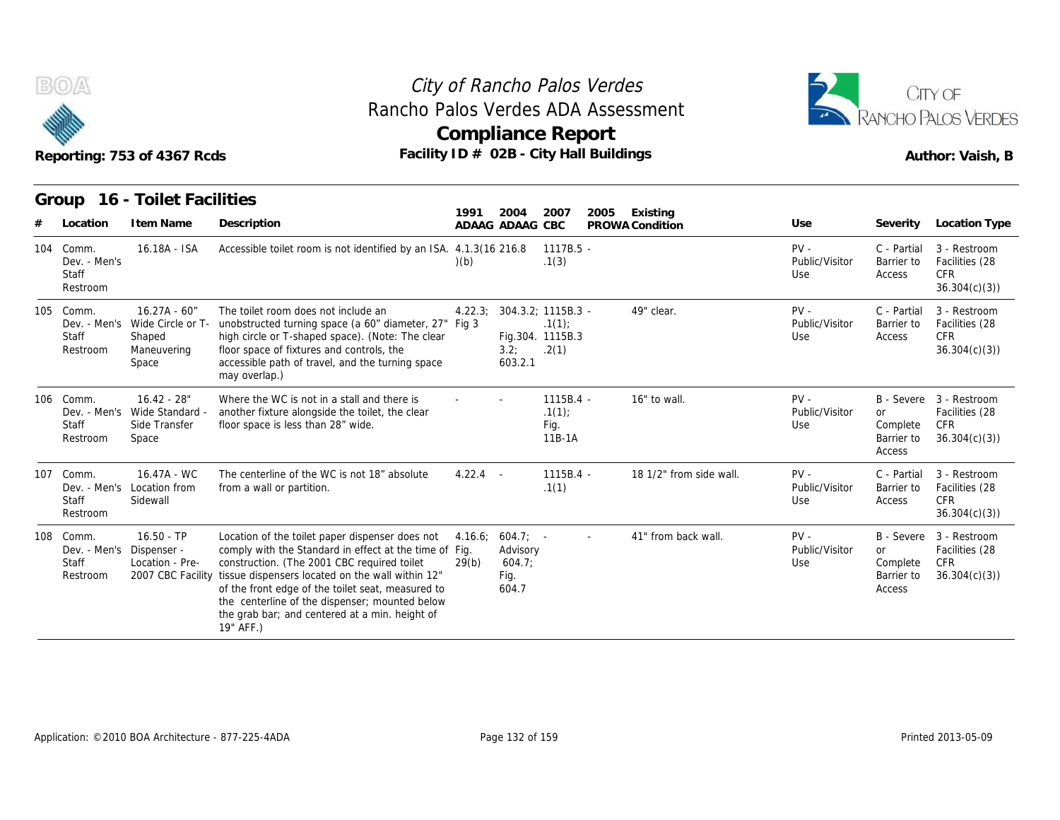



| eporting: 753 01 4367 RCQS. |  |  |
|-----------------------------|--|--|
|                             |  |  |

|   | Reporting: 753 of 4367 Rcds<br>16 - Toilet Facilities<br>Group |                                                                        | Rancho Palos Verdes ADA Assessment<br>Facility ID # 02B - City Hall Buildings                                                                                                                                                                                                                                                                                                      |                  | <b>Compliance Report</b>                         |                                        | City of Rancho Palos Verdes |                         |                                 |                                               | CITY OF<br>RANCHO PALOS VERDES<br>Author: Vaish, B                      |
|---|----------------------------------------------------------------|------------------------------------------------------------------------|------------------------------------------------------------------------------------------------------------------------------------------------------------------------------------------------------------------------------------------------------------------------------------------------------------------------------------------------------------------------------------|------------------|--------------------------------------------------|----------------------------------------|-----------------------------|-------------------------|---------------------------------|-----------------------------------------------|-------------------------------------------------------------------------|
|   |                                                                |                                                                        |                                                                                                                                                                                                                                                                                                                                                                                    | 1991             | 2004                                             | 2007                                   | 2005                        | Existing                |                                 |                                               |                                                                         |
| # | Location                                                       | I tem Name                                                             | Description                                                                                                                                                                                                                                                                                                                                                                        |                  | ADAAG ADAAG CBC                                  |                                        |                             | PROWA Condition         | Use                             | Severity                                      | Location Type                                                           |
|   | 104 Comm.<br>Dev. - Men's<br>Staff<br>Restroom                 | 16.18A - ISA                                                           | Accessible toilet room is not identified by an ISA. 4.1.3(16 216.8                                                                                                                                                                                                                                                                                                                 | (b)              |                                                  | 1117B.5 -<br>.1(3)                     |                             |                         | $PV -$<br>Public/Visitor<br>Use | C - Partial<br>Barrier to<br>Access           | 3 - Restroom<br>Facilities (28<br><b>CFR</b><br>36.304(c)(3)            |
|   | 105 Comm.<br>Dev. - Men's<br><b>Staff</b><br>Restroom          | $16.27A - 60''$<br>Wide Circle or T-<br>Shaped<br>Maneuvering<br>Space | The toilet room does not include an<br>unobstructed turning space (a 60" diameter, 27" Fig 3<br>high circle or T-shaped space). (Note: The clear<br>floor space of fixtures and controls, the<br>accessible path of travel, and the turning space<br>may overlap.)                                                                                                                 | 4.22.3:          | 304.3.2: 1115B.3 -<br>3.2;<br>603.2.1            | .1(1)<br>Fig.304. 1115B.3<br>.2(1)     |                             | 49" clear.              | $PV -$<br>Public/Visitor<br>Use | C - Partial<br>Barrier to<br>Access           | 3 - Restroom<br>Facilities (28<br><b>CFR</b><br>36.304(c)(3)            |
|   | 106 Comm.<br>Dev. - Men's<br>Staff<br>Restroom                 | $16.42 - 28"$<br>Wide Standard -<br>Side Transfer<br>Space             | Where the WC is not in a stall and there is<br>another fixture alongside the toilet, the clear<br>floor space is less than 28" wide.                                                                                                                                                                                                                                               |                  |                                                  | $1115B.4 -$<br>.1(1)<br>Fig.<br>11B-1A |                             | 16" to wall.            | $PV -$<br>Public/Visitor<br>Use | or<br>Complete<br>Barrier to<br>Access        | B - Severe 3 - Restroom<br>Facilities (28<br>CFR.<br>36.304(c)(3)       |
|   | 107 Comm.<br>Staff<br>Restroom                                 | 16.47A - WC<br>Dev. - Men's Location from<br>Sidewall                  | The centerline of the WC is not 18" absolute<br>from a wall or partition.                                                                                                                                                                                                                                                                                                          | $4.22.4 -$       |                                                  | 1115B.4 -<br>.1(1)                     |                             | 18 1/2" from side wall. | $PV -$<br>Public/Visitor<br>Use | C - Partial<br>Barrier to<br>Access           | 3 - Restroom<br>Facilities (28<br><b>CFR</b><br>36.304(c)(3)            |
|   | 108 Comm.<br>Dev. - Men's Dispenser -<br>Staff<br>Restroom     | $16.50 - TP$<br>Location - Pre-<br>2007 CBC Facility                   | Location of the toilet paper dispenser does not<br>comply with the Standard in effect at the time of Fig.<br>construction. (The 2001 CBC required toilet<br>tissue dispensers located on the wall within 12"<br>of the front edge of the toilet seat, measured to<br>the centerline of the dispenser; mounted below<br>the grab bar; and centered at a min. height of<br>19" AFF.) | 4.16.6;<br>29(b) | $604.7: -$<br>Advisory<br>604.7<br>Fig.<br>604.7 |                                        | $\sim$                      | 41" from back wall.     | $PV -$<br>Public/Visitor<br>Use | <b>or</b><br>Complete<br>Barrier to<br>Access | B - Severe 3 - Restroom<br>Facilities (28<br><b>CFR</b><br>36.304(c)(3) |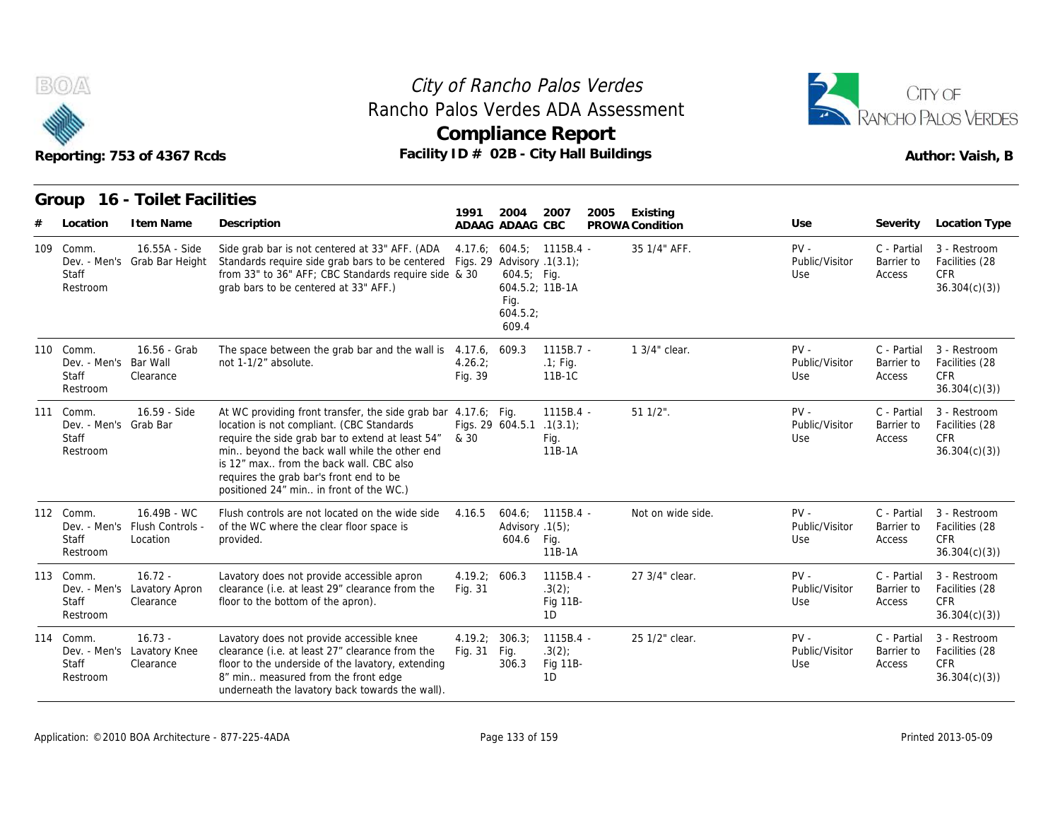



|                                                                | Reporting: 753 of 4367 Rcds                              | Facility ID # 02B - City Hall Buildings                                                                                                                                                                                                                                                                                                          |                           |                                             | <b>Compliance Report</b>                    |      |                             |                                 |                                     | Author: Vaish, B                                             |
|----------------------------------------------------------------|----------------------------------------------------------|--------------------------------------------------------------------------------------------------------------------------------------------------------------------------------------------------------------------------------------------------------------------------------------------------------------------------------------------------|---------------------------|---------------------------------------------|---------------------------------------------|------|-----------------------------|---------------------------------|-------------------------------------|--------------------------------------------------------------|
| Group<br>Location                                              | 16 - Toilet Facilities<br>I tem Name                     | Description                                                                                                                                                                                                                                                                                                                                      | 1991                      | 2004<br>ADAAG ADAAG CBC                     | 2007                                        | 2005 | Existing<br>PROWA Condition | Use                             | Severity                            | Location Type                                                |
| 109 Comm.<br>Staff<br>Restroom                                 | 16.55A - Side<br>Dev. - Men's Grab Bar Height            | Side grab bar is not centered at 33" AFF. (ADA<br>Standards require side grab bars to be centered Figs. 29 Advisory .1(3.1);<br>from 33" to 36" AFF; CBC Standards require side & 30<br>grab bars to be centered at 33" AFF.)                                                                                                                    |                           | $604.5$ ; Fig.<br>Fig.<br>604.5.2;<br>609.4 | 4.17.6; 604.5; 1115B.4 -<br>604.5.2; 11B-1A |      | 35 1/4" AFF.                | $PV -$<br>Public/Visitor<br>Use | C - Partial<br>Barrier to<br>Access | 3 - Restroom<br>Facilities (28<br>CFR.<br>36.304(c)(3)       |
| 110 Comm.<br>Dev. - Men's Bar Wall<br><b>Staff</b><br>Restroom | 16.56 - Grab<br>Clearance                                | The space between the grab bar and the wall is 4.17.6,<br>not 1-1/2" absolute.                                                                                                                                                                                                                                                                   | 4.26.2;<br>Fig. 39        | 609.3                                       | $1115B.7 -$<br>$.1$ ; Fig.<br>11B-1C        |      | 1 3/4" clear.               | $PV -$<br>Public/Visitor<br>Use | C - Partial<br>Barrier to<br>Access | 3 - Restroom<br>Facilities (28<br><b>CFR</b><br>36.304(c)(3) |
| 111 Comm.<br>Dev. - Men's Grab Bar<br>Staff<br>Restroom        | 16.59 - Side                                             | At WC providing front transfer, the side grab bar 4.17.6; Fig.<br>location is not compliant. (CBC Standards<br>require the side grab bar to extend at least 54"<br>min beyond the back wall while the other end<br>is 12" max from the back wall. CBC also<br>requires the grab bar's front end to be<br>positioned 24" min in front of the WC.) | & 30                      | Figs. 29 604.5.1 .1(3.1);                   | $1115B.4 -$<br>Fig.<br>11B-1A               |      | $511/2$ ".                  | $PV -$<br>Public/Visitor<br>Use | C - Partial<br>Barrier to<br>Access | 3 - Restroom<br>Facilities (28<br><b>CFR</b><br>36.304(c)(3) |
| 112 Comm.<br>Staff<br>Restroom                                 | 16.49B - WC<br>Dev. - Men's Flush Controls -<br>Location | Flush controls are not located on the wide side<br>of the WC where the clear floor space is<br>provided.                                                                                                                                                                                                                                         | 4.16.5                    | Advisory .1(5);<br>604.6 Fig.               | $604.6; 1115B.4 -$<br>11B-1A                |      | Not on wide side.           | $PV -$<br>Public/Visitor<br>Use | C - Partial<br>Barrier to<br>Access | 3 - Restroom<br>Facilities (28<br><b>CFR</b><br>36.304(c)(3) |
| 113 Comm.<br>Dev. - Men's<br>Staff<br>Restroom                 | $16.72 -$<br>Lavatory Apron<br>Clearance                 | Lavatory does not provide accessible apron<br>clearance (i.e. at least 29" clearance from the<br>floor to the bottom of the apron).                                                                                                                                                                                                              | 4.19.2; 606.3<br>Fig. 31  |                                             | 1115B.4 -<br>.3(2)<br>Fig 11B-<br>1D        |      | 27 3/4" clear.              | $PV -$<br>Public/Visitor<br>Use | C - Partial<br>Barrier to<br>Access | 3 - Restroom<br>Facilities (28<br><b>CFR</b><br>36.304(c)(3) |
| 114 Comm.<br>Dev. - Men's<br>Staff<br>Restroom                 | $16.73 -$<br>Lavatory Knee<br>Clearance                  | Lavatory does not provide accessible knee<br>clearance (i.e. at least 27" clearance from the<br>floor to the underside of the lavatory, extending<br>8" min measured from the front edge<br>underneath the lavatory back towards the wall).                                                                                                      | 4.19.2; 306.3;<br>Fig. 31 | Fig.<br>306.3                               | 1115B.4 -<br>.3(2)<br><b>Fig 11B-</b><br>1D |      | 25 1/2" clear.              | $PV -$<br>Public/Visitor<br>Use | C - Partial<br>Barrier to<br>Access | 3 - Restroom<br>Facilities (28<br>CFR.<br>36.304(c)(3)       |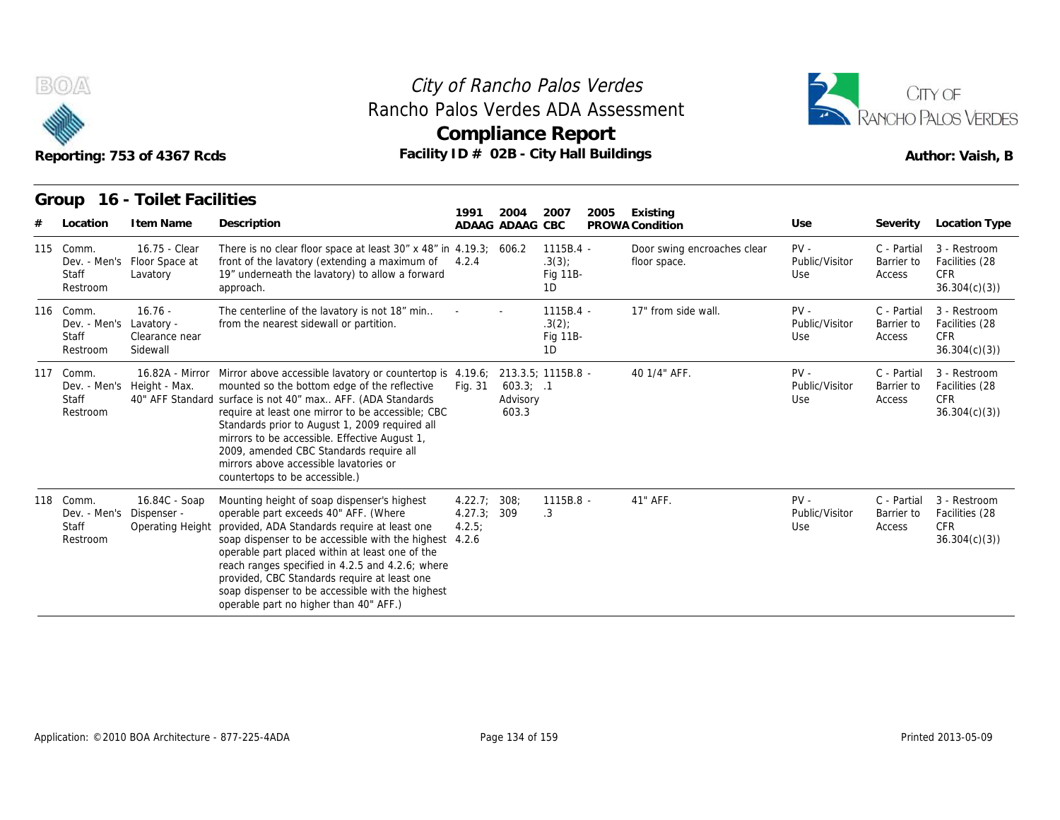



| Reporting: 753 of 4367 Rcds |                                                        |                                                          |                                                                                                                                                                                                                                                                                                                                                                                                                                                                         |                                 |                                | City of Rancho Palos Verdes<br>Rancho Palos Verdes ADA Assessment<br><b>Compliance Report</b><br>Facility ID # 02B - City Hall Buildings |                                             |                                 |                                     | CITY OF<br><b>RANCHO PALOS VERDES</b><br>Author: Vaish, B    |
|-----------------------------|--------------------------------------------------------|----------------------------------------------------------|-------------------------------------------------------------------------------------------------------------------------------------------------------------------------------------------------------------------------------------------------------------------------------------------------------------------------------------------------------------------------------------------------------------------------------------------------------------------------|---------------------------------|--------------------------------|------------------------------------------------------------------------------------------------------------------------------------------|---------------------------------------------|---------------------------------|-------------------------------------|--------------------------------------------------------------|
| #                           | Group<br>Location                                      | 16 - Toilet Facilities<br>I tem Name                     | Description                                                                                                                                                                                                                                                                                                                                                                                                                                                             | 1991                            | 2004<br>ADAAG ADAAG CBC        | 2007<br>2005                                                                                                                             | Existing<br>PROWA Condition                 | Use                             | Severity                            | Location Type                                                |
|                             | 115 Comm.<br>Staff<br>Restroom                         | 16.75 - Clear<br>Dev. - Men's Floor Space at<br>Lavatory | There is no clear floor space at least $30''$ x 48" in 4.19.3; 606.2<br>front of the lavatory (extending a maximum of 4.2.4<br>19" underneath the lavatory) to allow a forward<br>approach.                                                                                                                                                                                                                                                                             |                                 |                                | $1115B.4 -$<br>.3(3)<br>Fig 11B-<br>1D                                                                                                   | Door swing encroaches clear<br>floor space. | $PV -$<br>Public/Visitor<br>Use | C - Partial<br>Barrier to<br>Access | 3 - Restroom<br>Facilities (28<br><b>CFR</b><br>36.304(c)(3) |
|                             | 116 Comm.<br>Dev. - Men's<br><b>Staff</b><br>Restroom  | $16.76 -$<br>Lavatory -<br>Clearance near<br>Sidewall    | The centerline of the lavatory is not 18" min<br>from the nearest sidewall or partition.                                                                                                                                                                                                                                                                                                                                                                                |                                 |                                | $1115B.4 -$<br>.3(2)<br>Fig 11B-<br>1D                                                                                                   | 17" from side wall.                         | $PV -$<br>Public/Visitor<br>Use | C - Partial<br>Barrier to<br>Access | 3 - Restroom<br>Facilities (28<br>CFR.<br>36.304(c)(3)       |
|                             | 117 Comm.<br>Staff<br>Restroom                         | Dev. - Men's Height - Max.                               | 16.82A - Mirror Mirror above accessible lavatory or countertop is 4.19.6;<br>mounted so the bottom edge of the reflective<br>40" AFF Standard surface is not 40" max AFF. (ADA Standards<br>require at least one mirror to be accessible; CBC<br>Standards prior to August 1, 2009 required all<br>mirrors to be accessible. Effective August 1,<br>2009, amended CBC Standards require all<br>mirrors above accessible lavatories or<br>countertops to be accessible.) | Fig. 31                         | 603.3; .1<br>Advisory<br>603.3 | 213.3.5; 1115B.8 -                                                                                                                       | 40 1/4" AFF.                                | $PV -$<br>Public/Visitor<br>Use | C - Partial<br>Barrier to<br>Access | 3 - Restroom<br>Facilities (28<br><b>CFR</b><br>36.304(c)(3) |
| 118                         | Comm.<br>Dev. - Men's Dispenser -<br>Staff<br>Restroom | 16.84C - Soap<br>Operating Height                        | Mounting height of soap dispenser's highest<br>operable part exceeds 40" AFF. (Where<br>provided, ADA Standards require at least one<br>soap dispenser to be accessible with the highest 4.2.6<br>operable part placed within at least one of the<br>reach ranges specified in 4.2.5 and 4.2.6; where<br>provided, CBC Standards require at least one<br>soap dispenser to be accessible with the highest<br>operable part no higher than 40" AFF.)                     | 4.22.7;<br>4.27.3; 309<br>4.2.5 | 308:                           | 1115B.8 -<br>.3                                                                                                                          | 41" AFF.                                    | $PV -$<br>Public/Visitor<br>Use | C - Partial<br>Barrier to<br>Access | 3 - Restroom<br>Facilities (28<br><b>CFR</b><br>36.304(c)(3) |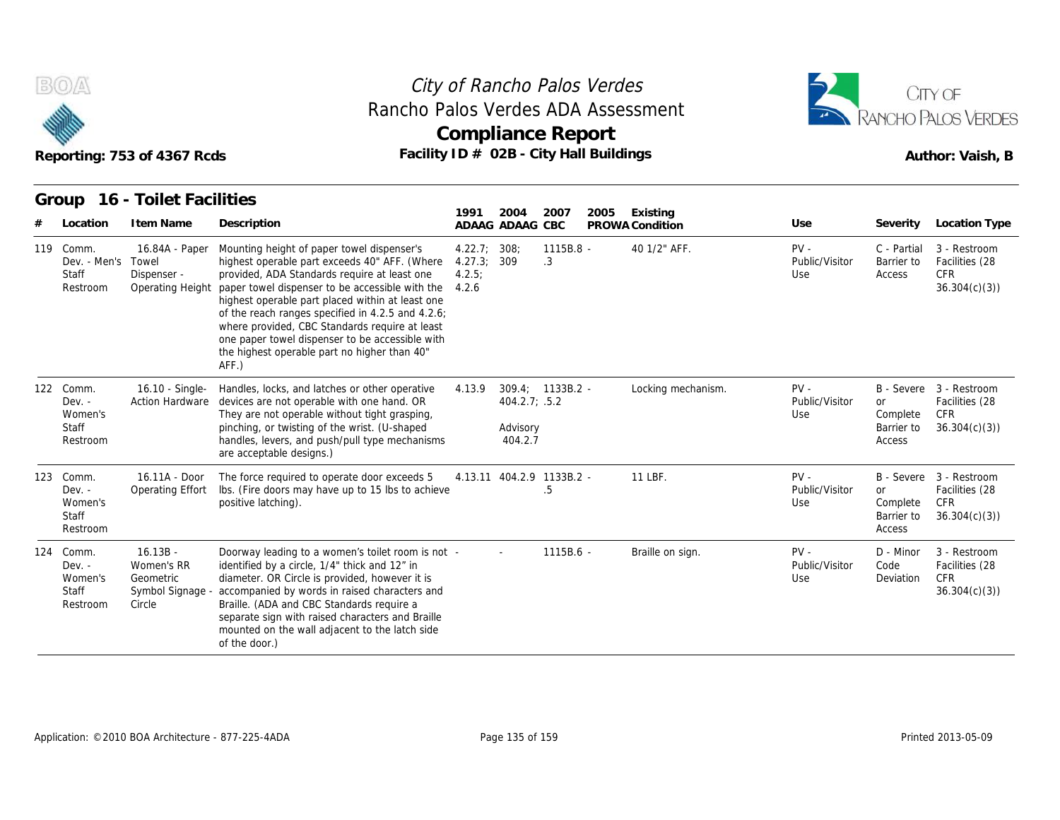



|                                                       | Reporting: 753 of 4367 Rcds                                         | Rancho Palos Verdes ADA Assessment<br>Facility ID # 02B - City Hall Buildings                                                                                                                                                                                                                                                                                                                                                                                         |                                      | <b>Compliance Report</b>                                 |                 |      |                             |                                 |                                               | RANCHO PALOS VERDES<br>Author: Vaish, B                                 |
|-------------------------------------------------------|---------------------------------------------------------------------|-----------------------------------------------------------------------------------------------------------------------------------------------------------------------------------------------------------------------------------------------------------------------------------------------------------------------------------------------------------------------------------------------------------------------------------------------------------------------|--------------------------------------|----------------------------------------------------------|-----------------|------|-----------------------------|---------------------------------|-----------------------------------------------|-------------------------------------------------------------------------|
| Group<br>Location                                     | 16 - Toilet Facilities<br>I tem Name                                | Description                                                                                                                                                                                                                                                                                                                                                                                                                                                           | 1991                                 | 2004<br>ADAAG ADAAG CBC                                  | 2007            | 2005 | Existing<br>PROWA Condition | Use                             | Severity                                      | <b>Location Type</b>                                                    |
| 119 Comm.<br>Dev. - Men's Towel<br>Staff<br>Restroom  | 16.84A - Paper<br>Dispenser -<br><b>Operating Height</b>            | Mounting height of paper towel dispenser's<br>highest operable part exceeds 40" AFF. (Where<br>provided, ADA Standards require at least one<br>paper towel dispenser to be accessible with the<br>highest operable part placed within at least one<br>of the reach ranges specified in 4.2.5 and 4.2.6;<br>where provided, CBC Standards require at least<br>one paper towel dispenser to be accessible with<br>the highest operable part no higher than 40"<br>AFF.) | 4.22.7;<br>4.27.3;<br>4.2.5<br>4.2.6 | 308:<br>309                                              | 1115B.8 -<br>.3 |      | 40 1/2" AFF.                | $PV -$<br>Public/Visitor<br>Use | C - Partial<br>Barrier to<br>Access           | 3 - Restroom<br>Facilities (28<br><b>CFR</b><br>36.304(c)(3)            |
| 122 Comm.<br>$Dev. -$<br>Women's<br>Staff<br>Restroom | 16.10 - Single-<br><b>Action Hardware</b>                           | Handles, locks, and latches or other operative<br>devices are not operable with one hand. OR<br>They are not operable without tight grasping,<br>pinching, or twisting of the wrist. (U-shaped<br>handles, levers, and push/pull type mechanisms<br>are acceptable designs.)                                                                                                                                                                                          | 4.13.9                               | 309.4; 1133B.2 -<br>404.2.7; .5.2<br>Advisory<br>404.2.7 |                 |      | Locking mechanism.          | $PV -$<br>Public/Visitor<br>Use | or<br>Complete<br>Barrier to<br>Access        | B - Severe 3 - Restroom<br>Facilities (28<br><b>CFR</b><br>36.304(c)(3) |
| 123 Comm.<br>$Dev. -$<br>Women's<br>Staff<br>Restroom | 16.11A - Door<br>Operating Effort                                   | The force required to operate door exceeds 5<br>Ibs. (Fire doors may have up to 15 lbs to achieve<br>positive latching).                                                                                                                                                                                                                                                                                                                                              |                                      | 4.13.11 404.2.9 1133B.2 -                                | .5              |      | 11 LBF.                     | $PV -$<br>Public/Visitor<br>Use | <b>or</b><br>Complete<br>Barrier to<br>Access | B - Severe 3 - Restroom<br>Facilities (28<br>CFR<br>36.304(c)(3)        |
| 124 Comm.<br>Dev. -<br>Women's<br>Staff<br>Restroom   | $16.13B -$<br>Women's RR<br>Geometric<br>Symbol Signage -<br>Circle | Doorway leading to a women's toilet room is not -<br>identified by a circle, 1/4" thick and 12" in<br>diameter. OR Circle is provided, however it is<br>accompanied by words in raised characters and<br>Braille. (ADA and CBC Standards require a<br>separate sign with raised characters and Braille<br>mounted on the wall adjacent to the latch side<br>of the door.)                                                                                             |                                      |                                                          | $1115B.6 -$     |      | Braille on sign.            | $PV -$<br>Public/Visitor<br>Use | D - Minor<br>Code<br>Deviation                | 3 - Restroom<br>Facilities (28<br>CFR<br>36.304(c)(3)                   |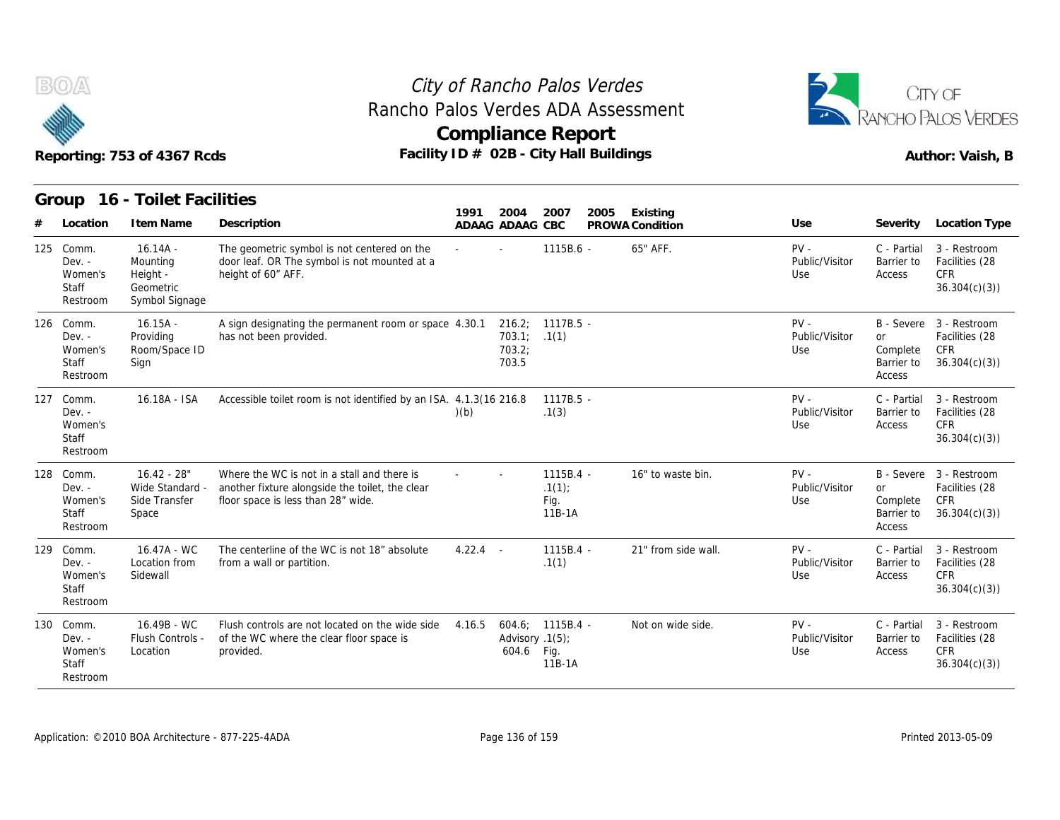



|     |                                                          | Reporting: 753 of 4367 Rcds                                       | Facility ID # 02B - City Hall Buildings                                                                                              | <b>Compliance Report</b> |                                           |                                      |      |                     |                                 |                                        | Author: Vaish, B                                                        |
|-----|----------------------------------------------------------|-------------------------------------------------------------------|--------------------------------------------------------------------------------------------------------------------------------------|--------------------------|-------------------------------------------|--------------------------------------|------|---------------------|---------------------------------|----------------------------------------|-------------------------------------------------------------------------|
|     |                                                          | Group 16 - Toilet Facilities                                      |                                                                                                                                      | 1991                     | 2004                                      | 2007                                 | 2005 | Existing            |                                 |                                        |                                                                         |
|     | Location                                                 | I tem Name                                                        | Description                                                                                                                          |                          | ADAAG ADAAG CBC                           |                                      |      | PROWA Condition     | Use                             | Severity                               | Location Type                                                           |
| 125 | Comm.<br>$Dev. -$<br>Women's<br><b>Staff</b><br>Restroom | $16.14A -$<br>Mounting<br>Height -<br>Geometric<br>Symbol Signage | The geometric symbol is not centered on the<br>door leaf. OR The symbol is not mounted at a<br>height of 60" AFF.                    |                          |                                           | 1115B.6 -                            |      | 65" AFF.            | $PV -$<br>Public/Visitor<br>Use | C - Partial<br>Barrier to<br>Access    | 3 - Restroom<br>Facilities (28<br><b>CFR</b><br>36.304(c)(3)            |
|     | 126 Comm.<br>$Dev. -$<br>Women's<br>Staff<br>Restroom    | $16.15A -$<br>Providing<br>Room/Space ID<br>Sign                  | A sign designating the permanent room or space 4.30.1<br>has not been provided.                                                      |                          | 216.2;<br>703.1; .1(1)<br>703.2;<br>703.5 | $1117B.5 -$                          |      |                     | $PV -$<br>Public/Visitor<br>Use | or<br>Complete<br>Barrier to<br>Access | B - Severe 3 - Restroom<br>Facilities (28<br>CFR<br>36.304(c)(3)        |
|     | 127 Comm.<br>Dev. -<br>Women's<br>Staff<br>Restroom      | 16.18A - ISA                                                      | Accessible toilet room is not identified by an ISA. 4.1.3(16 216.8)                                                                  | (b)                      |                                           | $1117B.5 -$<br>.1(3)                 |      |                     | $PV -$<br>Public/Visitor<br>Use | C - Partial<br>Barrier to<br>Access    | 3 - Restroom<br>Facilities (28<br><b>CFR</b><br>36.304(c)(3)            |
| 128 | Comm.<br>$Dev. -$<br>Women's<br><b>Staff</b><br>Restroom | $16.42 - 28"$<br>Wide Standard -<br>Side Transfer<br>Space        | Where the WC is not in a stall and there is<br>another fixture alongside the toilet, the clear<br>floor space is less than 28" wide. |                          |                                           | 1115B.4 -<br>.1(1)<br>Fig.<br>11B-1A |      | 16" to waste bin.   | $PV -$<br>Public/Visitor<br>Use | or<br>Complete<br>Barrier to<br>Access | B - Severe 3 - Restroom<br>Facilities (28<br><b>CFR</b><br>36.304(c)(3) |
| 129 | Comm.<br>$Dev. -$<br>Women's<br>Staff<br>Restroom        | 16.47A - WC<br>Location from<br>Sidewall                          | The centerline of the WC is not 18" absolute<br>from a wall or partition.                                                            | $4.22.4 -$               |                                           | 1115B.4 -<br>.1(1)                   |      | 21" from side wall. | $PV -$<br>Public/Visitor<br>Use | C - Partial<br>Barrier to<br>Access    | 3 - Restroom<br>Facilities (28<br><b>CFR</b><br>36.304(c)(3)            |
|     | 130 Comm.<br>$Dev. -$<br>Women's<br>Staff<br>Restroom    | 16.49B - WC<br>Flush Controls -<br>Location                       | Flush controls are not located on the wide side<br>of the WC where the clear floor space is<br>provided.                             | 4.16.5                   | Advisory .1(5);<br>604.6 Fig.             | $604.6: 1115B.4 -$<br>11B-1A         |      | Not on wide side.   | $PV -$<br>Public/Visitor<br>Use | C - Partial<br>Barrier to<br>Access    | 3 - Restroom<br>Facilities (28<br><b>CFR</b><br>36.304(c)(3)            |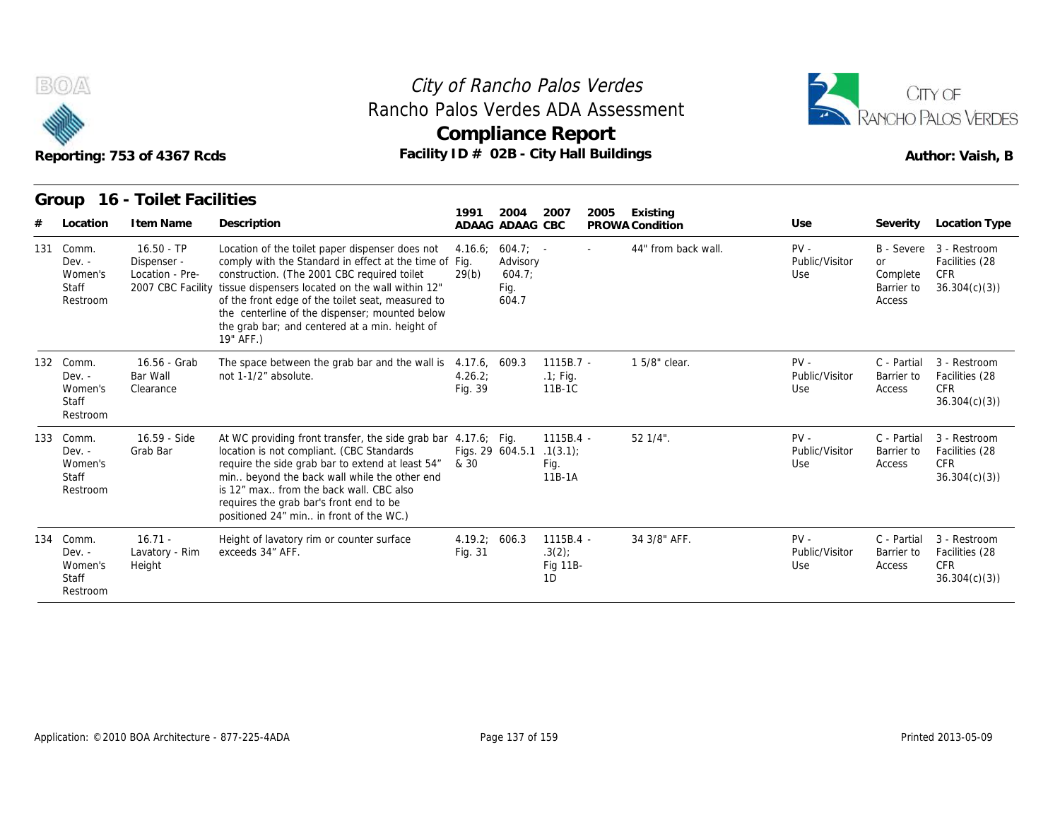



|     |                                                       | Reporting: 753 of 4367 Rcds                    | Rancho Palos Verdes ADA Assessment<br>Facility ID # 02B - City Hall Buildings                                                                                                                                                                                                                                                                                                                        |                          | <b>Compliance Report</b>                          |                                          |        |                             |                                 |                                               | RANCHO PALOS VERDES<br>Author: Vaish, B                           |
|-----|-------------------------------------------------------|------------------------------------------------|------------------------------------------------------------------------------------------------------------------------------------------------------------------------------------------------------------------------------------------------------------------------------------------------------------------------------------------------------------------------------------------------------|--------------------------|---------------------------------------------------|------------------------------------------|--------|-----------------------------|---------------------------------|-----------------------------------------------|-------------------------------------------------------------------|
|     | Group<br>Location                                     | 16 - Toilet Facilities<br>I tem Name           | Description                                                                                                                                                                                                                                                                                                                                                                                          | 1991                     | 2004<br>ADAAG ADAAG CBC                           | 2007                                     | 2005   | Existing<br>PROWA Condition | Use                             | Severity                                      | Location Type                                                     |
| 131 | Comm.<br>Dev. -<br>Women's<br>Staff<br>Restroom       | $16.50 - TP$<br>Dispenser -<br>Location - Pre- | Location of the toilet paper dispenser does not<br>comply with the Standard in effect at the time of Fig.<br>construction. (The 2001 CBC required toilet<br>2007 CBC Facility tissue dispensers located on the wall within 12"<br>of the front edge of the toilet seat, measured to<br>the centerline of the dispenser; mounted below<br>the grab bar; and centered at a min. height of<br>19" AFF.) | 4.16.6:<br>29(b)         | $604.7: -$<br>Advisory<br>604.7;<br>Fig.<br>604.7 |                                          | $\sim$ | 44" from back wall.         | $PV -$<br>Public/Visitor<br>Use | <b>or</b><br>Complete<br>Barrier to<br>Access | B - Severe 3 - Restroom<br>Facilities (28<br>CFR.<br>36.304(c)(3) |
|     | 132 Comm.<br>$Dev. -$<br>Women's<br>Staff<br>Restroom | 16.56 - Grab<br>Bar Wall<br>Clearance          | The space between the grab bar and the wall is 4.17.6, 609.3<br>not 1-1/2" absolute.                                                                                                                                                                                                                                                                                                                 | 4.26.2;<br>Fig. 39       |                                                   | $1115B.7 -$<br>$.1$ ; Fig.<br>11B-1C     |        | 1 5/8" clear.               | $PV -$<br>Public/Visitor<br>Use | C - Partial<br>Barrier to<br>Access           | 3 - Restroom<br>Facilities (28<br><b>CFR</b><br>36.304(c)(3)      |
|     | 133 Comm.<br>$Dev. -$<br>Women's<br>Staff<br>Restroom | 16.59 - Side<br>Grab Bar                       | At WC providing front transfer, the side grab bar 4.17.6; Fig.<br>location is not compliant. (CBC Standards<br>require the side grab bar to extend at least 54"<br>min beyond the back wall while the other end<br>is 12" max from the back wall. CBC also<br>requires the grab bar's front end to be<br>positioned 24" min in front of the WC.)                                                     | & 30                     | Figs. 29 604.5.1                                  | 1115B.4 -<br>.1(3.1)<br>Fig.<br>11B-1A   |        | $521/4$ ".                  | $PV -$<br>Public/Visitor<br>Use | C - Partial<br>Barrier to<br>Access           | 3 - Restroom<br>Facilities (28<br><b>CFR</b><br>36.304(c)(3)      |
|     | 134 Comm.<br>$Dev. -$<br>Women's<br>Staff<br>Restroom | $16.71 -$<br>Lavatory - Rim<br>Height          | Height of lavatory rim or counter surface<br>exceeds 34" AFF.                                                                                                                                                                                                                                                                                                                                        | 4.19.2; 606.3<br>Fig. 31 |                                                   | 1115B.4 -<br>$.3(2)$ ;<br>Fig 11B-<br>1D |        | 34 3/8" AFF.                | $PV -$<br>Public/Visitor<br>Use | C - Partial<br>Barrier to<br>Access           | 3 - Restroom<br>Facilities (28<br><b>CFR</b><br>36.304(c)(3)      |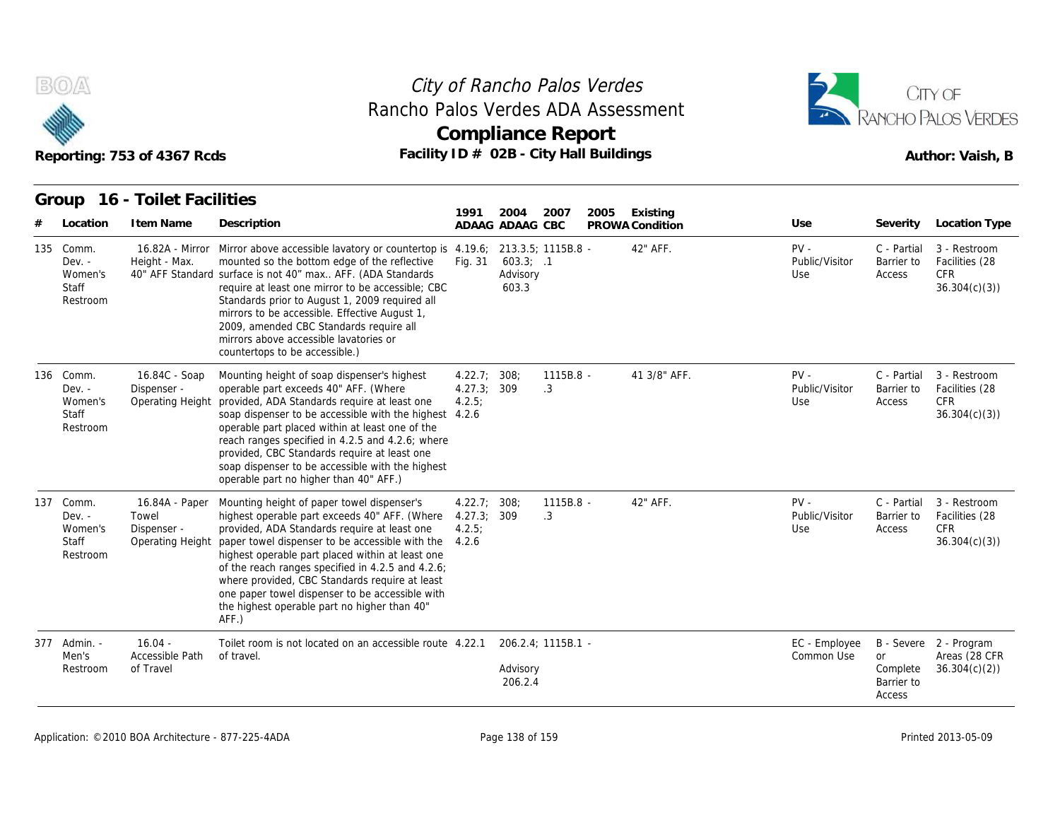



|     |                                                          | Reporting: 753 of 4367 Rcds                                | Rancho Palos Verdes ADA Assessment<br>Facility ID # 02B - City Hall Buildings                                                                                                                                                                                                                                                                                                                                                                                            |                                               |                                   | <b>Compliance Report</b> |      |                             |                                 |                                        | RANCHO PALOS VERDES<br>Author: Vaish, B                      |
|-----|----------------------------------------------------------|------------------------------------------------------------|--------------------------------------------------------------------------------------------------------------------------------------------------------------------------------------------------------------------------------------------------------------------------------------------------------------------------------------------------------------------------------------------------------------------------------------------------------------------------|-----------------------------------------------|-----------------------------------|--------------------------|------|-----------------------------|---------------------------------|----------------------------------------|--------------------------------------------------------------|
| #   | Group<br>Location                                        | 16 - Toilet Facilities<br>I tem Name                       | Description                                                                                                                                                                                                                                                                                                                                                                                                                                                              | 1991                                          | 2004<br>ADAAG ADAAG CBC           | 2007                     | 2005 | Existing<br>PROWA Condition | Use                             | Severity                               | Location Type                                                |
| 135 | Comm.<br>$Dev. -$<br>Women's<br>Staff<br>Restroom        | Height - Max.                                              | 16.82A - Mirror Mirror above accessible lavatory or countertop is 4.19.6;<br>mounted so the bottom edge of the reflective<br>40" AFF Standard surface is not 40" max AFF. (ADA Standards<br>require at least one mirror to be accessible; CBC<br>Standards prior to August 1, 2009 required all<br>mirrors to be accessible. Effective August 1,<br>2009, amended CBC Standards require all<br>mirrors above accessible lavatories or<br>countertops to be accessible.)  | Fig. 31                                       | $603.3$ ; .1<br>Advisory<br>603.3 | 213.3.5; 1115B.8 -       |      | 42" AFF.                    | $PV -$<br>Public/Visitor<br>Use | C - Partial<br>Barrier to<br>Access    | 3 - Restroom<br>Facilities (28<br><b>CFR</b><br>36.304(c)(3) |
|     | 136 Comm.<br>$Dev. -$<br>Women's<br>Staff<br>Restroom    | 16.84C - Soap<br>Dispenser -<br>Operating Height           | Mounting height of soap dispenser's highest<br>operable part exceeds 40" AFF. (Where<br>provided, ADA Standards require at least one<br>soap dispenser to be accessible with the highest 4.2.6<br>operable part placed within at least one of the<br>reach ranges specified in 4.2.5 and 4.2.6; where<br>provided, CBC Standards require at least one<br>soap dispenser to be accessible with the highest<br>operable part no higher than 40" AFF.)                      | 4.22.7; 308;<br>4.27.3; 309<br>4.2.5          |                                   | 1115B.8 -<br>.3          |      | 41 3/8" AFF.                | $PV -$<br>Public/Visitor<br>Use | C - Partial<br>Barrier to<br>Access    | 3 - Restroom<br>Facilities (28<br><b>CFR</b><br>36.304(c)(3) |
| 137 | Comm.<br>$Dev. -$<br>Women's<br><b>Staff</b><br>Restroom | 16.84A - Paper<br>Towel<br>Dispenser -<br>Operating Height | Mounting height of paper towel dispenser's<br>highest operable part exceeds 40" AFF. (Where<br>provided, ADA Standards require at least one<br>paper towel dispenser to be accessible with the<br>highest operable part placed within at least one<br>of the reach ranges specified in 4.2.5 and 4.2.6;<br>where provided, CBC Standards require at least<br>one paper towel dispenser to be accessible with<br>the highest operable part no higher than 40"<br>$AFF.$ ) | 4.22.7; 308;<br>4.27.3:309<br>4.2.5:<br>4.2.6 |                                   | 1115B.8 -<br>.3          |      | 42" AFF.                    | $PV -$<br>Public/Visitor<br>Use | C - Partial<br>Barrier to<br>Access    | 3 - Restroom<br>Facilities (28<br><b>CFR</b><br>36.304(c)(3) |
|     | 377 Admin. -<br>Men's<br>Restroom                        | $16.04 -$<br>Accessible Path<br>of Travel                  | Toilet room is not located on an accessible route 4.22.1<br>of travel.                                                                                                                                                                                                                                                                                                                                                                                                   |                                               | Advisory<br>206.2.4               | 206.2.4; 1115B.1 -       |      |                             | EC - Employee<br>Common Use     | or<br>Complete<br>Barrier to<br>Access | B - Severe 2 - Program<br>Areas (28 CFR<br>36.304(c)(2)      |

#### Application: ©2010 BOA Architecture - 877-225-4ADA Page 138 of 159 Printed 2013-05-09 Printed 2013-05-09 Printed 2013-05-09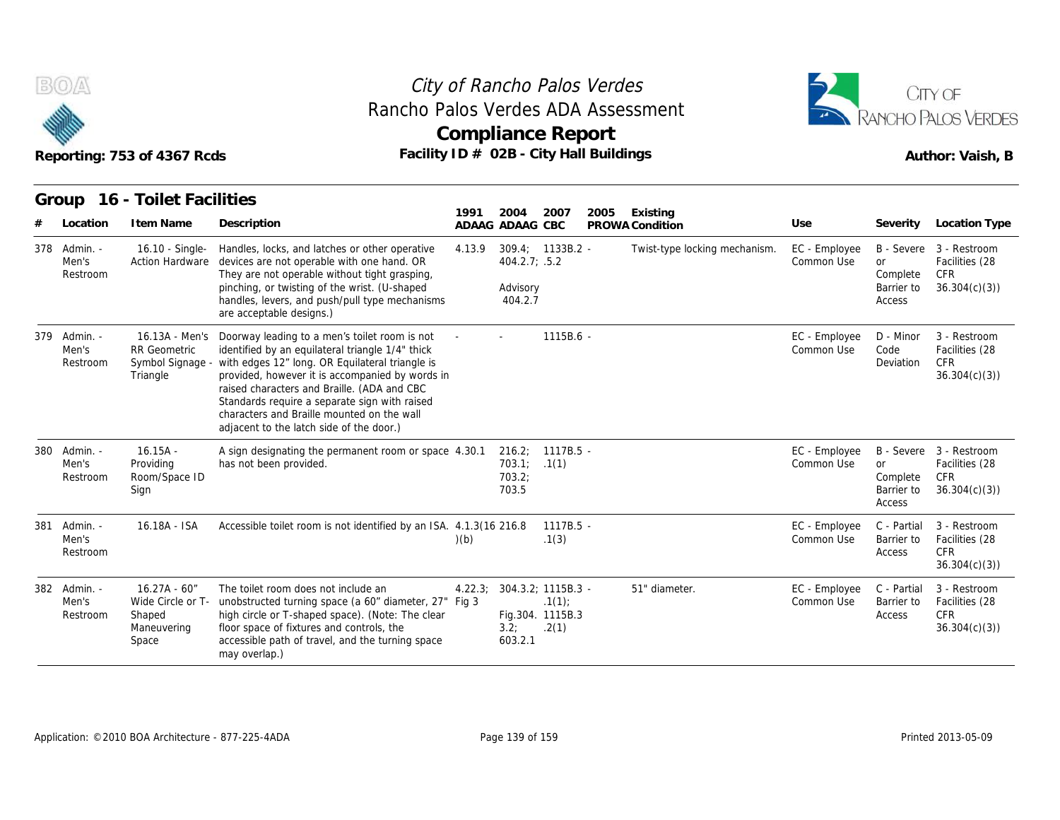

### Reporting: 753 of 4367 Rcds **Facility ID # 02B - City Hall Buildings** Reporting: 753 of 4367 Rcds Author: Vaish, B **Compliance Report** Rancho Palos Verdes ADA Assessment



|     |                                   | Reporting: 753 of 4367 Rcds                                            | Facility ID # 02B - City Hall Buildings                                                                                                                                                                                                                                                                                                                                                           |        |                                      | <b>Compliance Report</b>                                 |      |                               |                             |                                               | RANCHO PALOS VERDES<br>Author: Vaish, B                                 |
|-----|-----------------------------------|------------------------------------------------------------------------|---------------------------------------------------------------------------------------------------------------------------------------------------------------------------------------------------------------------------------------------------------------------------------------------------------------------------------------------------------------------------------------------------|--------|--------------------------------------|----------------------------------------------------------|------|-------------------------------|-----------------------------|-----------------------------------------------|-------------------------------------------------------------------------|
|     | Group<br>Location                 | 16 - Toilet Facilities<br>I tem Name                                   | Description                                                                                                                                                                                                                                                                                                                                                                                       | 1991   | 2004<br>ADAAG ADAAG CBC              | 2007                                                     | 2005 | Existing<br>PROWA Condition   | Use                         | Severity                                      | Location Type                                                           |
|     | 378 Admin. -<br>Men's<br>Restroom | 16.10 - Single-<br><b>Action Hardware</b>                              | Handles, locks, and latches or other operative<br>devices are not operable with one hand. OR<br>They are not operable without tight grasping,<br>pinching, or twisting of the wrist. (U-shaped<br>handles, levers, and push/pull type mechanisms<br>are acceptable designs.)                                                                                                                      | 4.13.9 | 404.2.7; .5.2<br>Advisory<br>404.2.7 | $309.4; 1133B.2 -$                                       |      | Twist-type locking mechanism. | EC - Employee<br>Common Use | <b>or</b><br>Complete<br>Barrier to<br>Access | B - Severe 3 - Restroom<br>Facilities (28<br><b>CFR</b><br>36.304(c)(3) |
| 379 | Admin. -<br>Men's<br>Restroom     | 16.13A - Men's<br><b>RR</b> Geometric<br>Symbol Signage -<br>Triangle  | Doorway leading to a men's toilet room is not<br>identified by an equilateral triangle 1/4" thick<br>with edges 12" long. OR Equilateral triangle is<br>provided, however it is accompanied by words in<br>raised characters and Braille. (ADA and CBC<br>Standards require a separate sign with raised<br>characters and Braille mounted on the wall<br>adjacent to the latch side of the door.) |        |                                      | 1115B.6 -                                                |      |                               | EC - Employee<br>Common Use | D - Minor<br>Code<br>Deviation                | 3 - Restroom<br>Facilities (28<br><b>CFR</b><br>36.304(c)(3)            |
| 380 | Admin. -<br>Men's<br>Restroom     | $16.15A -$<br>Providing<br>Room/Space ID<br>Sign                       | A sign designating the permanent room or space 4.30.1<br>has not been provided.                                                                                                                                                                                                                                                                                                                   |        | 703.1; .1(1)<br>703.2;<br>703.5      | 216.2; 1117B.5 -                                         |      |                               | EC - Employee<br>Common Use | <b>or</b><br>Complete<br>Barrier to<br>Access | B - Severe 3 - Restroom<br>Facilities (28<br><b>CFR</b><br>36.304(c)(3) |
| 381 | Admin. -<br>Men's<br>Restroom     | 16.18A - ISA                                                           | Accessible toilet room is not identified by an ISA. 4.1.3(16 216.8)                                                                                                                                                                                                                                                                                                                               | (b)    |                                      | $1117B.5 -$<br>.1(3)                                     |      |                               | EC - Employee<br>Common Use | C - Partial<br>Barrier to<br>Access           | 3 - Restroom<br>Facilities (28<br><b>CFR</b><br>36.304(c)(3)            |
| 382 | - Admin.<br>Men's<br>Restroom     | $16.27A - 60''$<br>Wide Circle or T-<br>Shaped<br>Maneuvering<br>Space | The toilet room does not include an<br>unobstructed turning space (a 60" diameter, 27" Fig 3<br>high circle or T-shaped space). (Note: The clear<br>floor space of fixtures and controls, the<br>accessible path of travel, and the turning space<br>may overlap.)                                                                                                                                | 4.22.3 | 3.2;<br>603.2.1                      | 304.3.2; 1115B.3 -<br>.1(1)<br>Fig.304. 1115B.3<br>.2(1) |      | 51" diameter.                 | EC - Employee<br>Common Use | C - Partial<br>Barrier to<br>Access           | 3 - Restroom<br>Facilities (28<br><b>CFR</b><br>36.304(c)(3)            |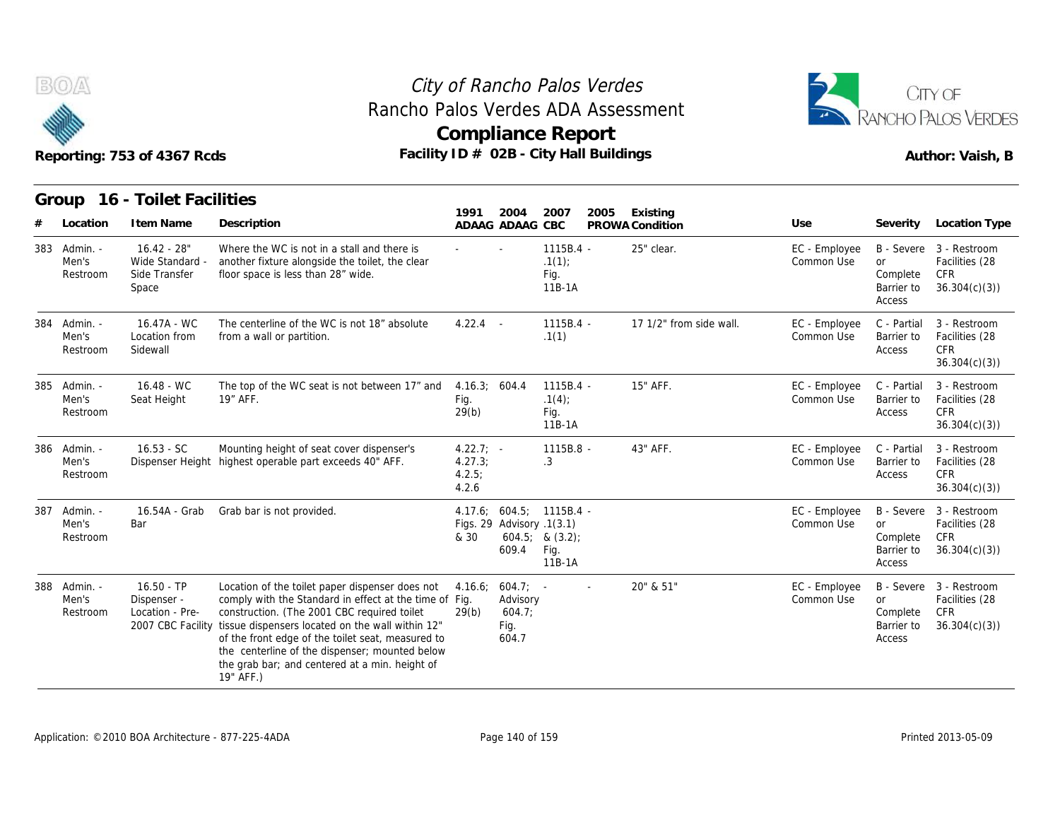



|     |                               | Reporting: 753 of 4367 Rcds                                         |                                                                                                                                                                                                                                                                                                                                                                                    |                                           |                                                    | <b>Compliance Report</b><br>Facility ID # 02B - City Hall Buildings |                         |                             |                                                                    | RANCHO PALOS VERDES<br>Author: Vaish, B                          |
|-----|-------------------------------|---------------------------------------------------------------------|------------------------------------------------------------------------------------------------------------------------------------------------------------------------------------------------------------------------------------------------------------------------------------------------------------------------------------------------------------------------------------|-------------------------------------------|----------------------------------------------------|---------------------------------------------------------------------|-------------------------|-----------------------------|--------------------------------------------------------------------|------------------------------------------------------------------|
|     |                               | Group 16 - Toilet Facilities                                        |                                                                                                                                                                                                                                                                                                                                                                                    | 1991                                      | 2004                                               | 2007<br>2005                                                        | Existing                |                             |                                                                    |                                                                  |
|     | Location                      | I tem Name                                                          | Description                                                                                                                                                                                                                                                                                                                                                                        |                                           | ADAAG ADAAG CBC                                    |                                                                     | PROWA Condition         | Use                         | Severity                                                           | Location Type                                                    |
| 383 | Admin. -<br>Men's<br>Restroom | $16.42 - 28"$<br>Wide Standard -<br>Side Transfer<br>Space          | Where the WC is not in a stall and there is<br>another fixture alongside the toilet, the clear<br>floor space is less than 28" wide.                                                                                                                                                                                                                                               |                                           |                                                    | $1115B.4 -$<br>.1(1)<br>Fig.<br>11B-1A                              | 25" clear.              | EC - Employee<br>Common Use | or<br>Complete<br>Barrier to<br>Access                             | B - Severe 3 - Restroom<br>Facilities (28<br>CFR<br>36.304(c)(3) |
| 384 | Admin. -<br>Men's<br>Restroom | 16.47A - WC<br>Location from<br>Sidewall                            | The centerline of the WC is not 18" absolute<br>from a wall or partition.                                                                                                                                                                                                                                                                                                          | $4.22.4 -$                                |                                                    | 1115B.4 -<br>.1(1)                                                  | 17 1/2" from side wall. | EC - Employee<br>Common Use | C - Partial<br>Barrier to<br>Access                                | 3 - Restroom<br>Facilities (28<br><b>CFR</b><br>36.304(c)(3)     |
| 385 | - Admin.<br>Men's<br>Restroom | $16.48 - WC$<br>Seat Height                                         | The top of the WC seat is not between 17" and<br>19" AFF.                                                                                                                                                                                                                                                                                                                          | 4.16.3; 604.4<br>Fig.<br>29(b)            |                                                    | $1115B.4 -$<br>.1(4)<br>Fig.<br>11B-1A                              | 15" AFF.                | EC - Employee<br>Common Use | C - Partial<br>Barrier to<br>Access                                | 3 - Restroom<br>Facilities (28<br><b>CFR</b><br>36.304(c)(3)     |
| 386 | - Admin.<br>Men's<br>Restroom | $16.53 - SC$                                                        | Mounting height of seat cover dispenser's<br>Dispenser Height highest operable part exceeds 40" AFF.                                                                                                                                                                                                                                                                               | $4.22.7; -$<br>4.27.3;<br>4.2.5;<br>4.2.6 |                                                    | 1115B.8 -<br>.3                                                     | 43" AFF.                | EC - Employee<br>Common Use | C - Partial<br>Barrier to<br>Access                                | 3 - Restroom<br>Facilities (28<br>CFR<br>36.304(c)(3)            |
| 387 | Admin. -<br>Men's<br>Restroom | 16.54A - Grab<br>Bar                                                | Grab bar is not provided.                                                                                                                                                                                                                                                                                                                                                          | & 30                                      | Figs. 29 Advisory .1(3.1)<br>609.4                 | 4.17.6: 604.5: 1115B.4 -<br>$604.5;$ & $(3.2);$<br>Fig.<br>11B-1A   |                         | EC - Employee<br>Common Use | <b>B</b> - Severe<br><b>or</b><br>Complete<br>Barrier to<br>Access | 3 - Restroom<br>Facilities (28<br>CFR<br>36.304(c)(3)            |
| 388 | - Admin.<br>Men's<br>Restroom | $16.50 - TP$<br>Dispenser -<br>Location - Pre-<br>2007 CBC Facility | Location of the toilet paper dispenser does not<br>comply with the Standard in effect at the time of Fig.<br>construction. (The 2001 CBC required toilet<br>tissue dispensers located on the wall within 12"<br>of the front edge of the toilet seat, measured to<br>the centerline of the dispenser; mounted below<br>the grab bar; and centered at a min. height of<br>19" AFF.) | 4.16.6;<br>29(b)                          | $604.7$ ; -<br>Advisory<br>604.7;<br>Fig.<br>604.7 |                                                                     | 20" & 51"               | EC - Employee<br>Common Use | or<br>Complete<br>Barrier to<br>Access                             | B - Severe 3 - Restroom<br>Facilities (28<br>CFR<br>36.304(c)(3) |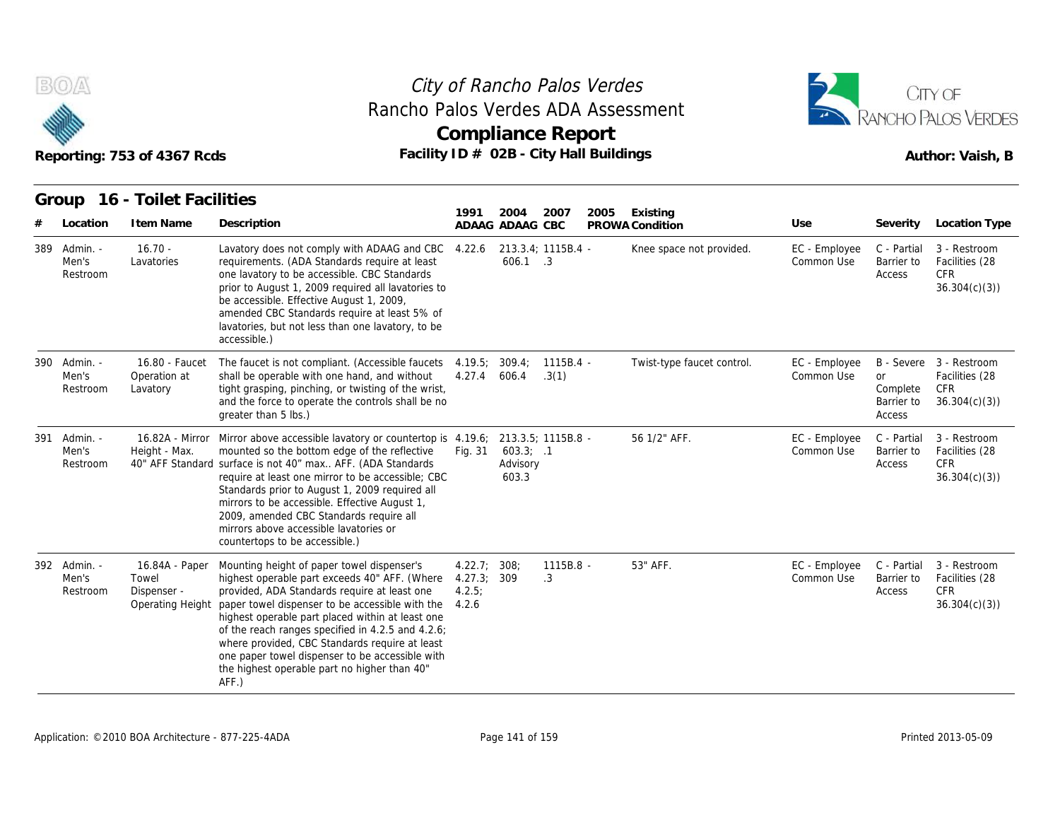

### Reporting: 753 of 4367 Rcds **Facility ID # 02B - City Hall Buildings** Reporting: 753 of 4367 Rcds Author: Vaish, B **Compliance Report** Rancho Palos Verdes ADA Assessment



|                                               | Reporting: 753 of 4367 Rcds                                |                                                                                                                                                                                                                                                                                                                                                                                                                                                                          |                                      | <b>Compliance Report</b>       |                      | Facility ID # 02B - City Hall Buildings     |                                    |                                                 | Author: Vaish, B                                                              |
|-----------------------------------------------|------------------------------------------------------------|--------------------------------------------------------------------------------------------------------------------------------------------------------------------------------------------------------------------------------------------------------------------------------------------------------------------------------------------------------------------------------------------------------------------------------------------------------------------------|--------------------------------------|--------------------------------|----------------------|---------------------------------------------|------------------------------------|-------------------------------------------------|-------------------------------------------------------------------------------|
| Group                                         | 16 - Toilet Facilities                                     |                                                                                                                                                                                                                                                                                                                                                                                                                                                                          | 1991                                 | 2004                           | 2007                 | 2005<br>Existing                            |                                    |                                                 |                                                                               |
| Location<br>389 Admin. -<br>Men's<br>Restroom | I tem Name<br>$16.70 -$<br>Lavatories                      | Description<br>Lavatory does not comply with ADAAG and CBC<br>requirements. (ADA Standards require at least<br>one lavatory to be accessible. CBC Standards<br>prior to August 1, 2009 required all lavatories to<br>be accessible. Effective August 1, 2009,<br>amended CBC Standards require at least 5% of<br>lavatories, but not less than one lavatory, to be<br>accessible.)                                                                                       | 4.22.6                               | ADAAG ADAAG CBC<br>606.1 .3    | 213.3.4; 1115B.4 -   | PROWA Condition<br>Knee space not provided. | Use<br>EC - Employee<br>Common Use | Severity<br>C - Partial<br>Barrier to<br>Access | Location Type<br>3 - Restroom<br>Facilities (28<br><b>CFR</b><br>36.304(c)(3) |
| 390 Admin. -<br>Men's<br>Restroom             | 16.80 - Faucet<br>Operation at<br>Lavatory                 | The faucet is not compliant. (Accessible faucets<br>shall be operable with one hand, and without<br>tight grasping, pinching, or twisting of the wrist,<br>and the force to operate the controls shall be no<br>greater than 5 lbs.)                                                                                                                                                                                                                                     | 4.19.5<br>4.27.4                     | 309.4<br>606.4                 | $1115B.4 -$<br>.3(1) | Twist-type faucet control.                  | EC - Employee<br>Common Use        | <b>or</b><br>Complete<br>Barrier to<br>Access   | B - Severe 3 - Restroom<br>Facilities (28<br><b>CFR</b><br>36.304(c)(3)       |
| 391 Admin. -<br>Men's<br>Restroom             | Height - Max.                                              | 16.82A - Mirror Mirror above accessible lavatory or countertop is 4.19.6;<br>mounted so the bottom edge of the reflective<br>40" AFF Standard surface is not 40" max AFF. (ADA Standards<br>require at least one mirror to be accessible; CBC<br>Standards prior to August 1, 2009 required all<br>mirrors to be accessible. Effective August 1,<br>2009, amended CBC Standards require all<br>mirrors above accessible lavatories or<br>countertops to be accessible.)  | Fig. 31                              | 603.3; .1<br>Advisory<br>603.3 | 213.3.5; 1115B.8 -   | 56 1/2" AFF.                                | EC - Employee<br>Common Use        | C - Partial<br>Barrier to<br>Access             | 3 - Restroom<br>Facilities (28<br><b>CFR</b><br>36.304(c)(3)                  |
| 392 Admin. -<br>Men's<br>Restroom             | 16.84A - Paper<br>Towel<br>Dispenser -<br>Operating Height | Mounting height of paper towel dispenser's<br>highest operable part exceeds 40" AFF. (Where<br>provided, ADA Standards require at least one<br>paper towel dispenser to be accessible with the<br>highest operable part placed within at least one<br>of the reach ranges specified in 4.2.5 and 4.2.6;<br>where provided, CBC Standards require at least<br>one paper towel dispenser to be accessible with<br>the highest operable part no higher than 40"<br>$AFF.$ ) | 4.22.7<br>4.27.3;<br>4.2.5:<br>4.2.6 | 308 <sub>2</sub><br>309        | $1115B.8 -$<br>.3    | 53" AFF.                                    | EC - Employee<br>Common Use        | C - Partial<br>Barrier to<br>Access             | 3 - Restroom<br>Facilities (28<br><b>CFR</b><br>36.304(c)(3)                  |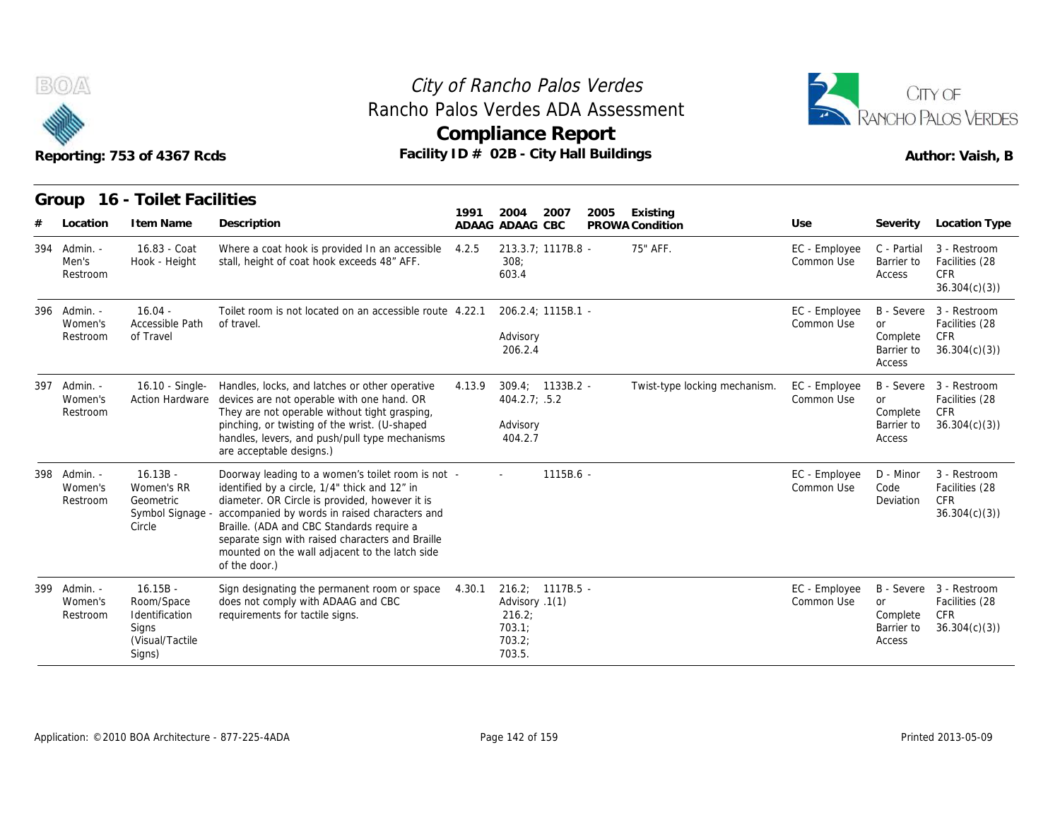



|     |                                     | Reporting: 753 of 4367 Rcds                                                      |                                                                                                                                                                                                                                                                                                                                                                           |        | Rancho Palos Verdes ADA Assessment<br><b>Compliance Report</b><br>Facility ID # 02B - City Hall Buildings |      |                               |                             |                                               | RANCHO PALOS VERDES<br>Author: Vaish, B                                 |
|-----|-------------------------------------|----------------------------------------------------------------------------------|---------------------------------------------------------------------------------------------------------------------------------------------------------------------------------------------------------------------------------------------------------------------------------------------------------------------------------------------------------------------------|--------|-----------------------------------------------------------------------------------------------------------|------|-------------------------------|-----------------------------|-----------------------------------------------|-------------------------------------------------------------------------|
|     | Group<br>Location                   | 16 - Toilet Facilities<br>I tem Name                                             | Description                                                                                                                                                                                                                                                                                                                                                               | 1991   | 2004<br>2007<br>ADAAG ADAAG CBC                                                                           | 2005 | Existing<br>PROWA Condition   | Use                         | Severity                                      | <b>Location Type</b>                                                    |
| 394 | Admin. -<br>Men's<br>Restroom       | 16.83 - Coat<br>Hook - Height                                                    | Where a coat hook is provided In an accessible<br>stall, height of coat hook exceeds 48" AFF.                                                                                                                                                                                                                                                                             | 4.2.5  | 213.3.7; 1117B.8 -<br>308:<br>603.4                                                                       |      | 75" AFF.                      | EC - Employee<br>Common Use | C - Partial<br>Barrier to<br>Access           | 3 - Restroom<br>Facilities (28<br><b>CFR</b><br>36.304(c)(3)            |
|     | 396 Admin. -<br>Women's<br>Restroom | $16.04 -$<br>Accessible Path<br>of Travel                                        | Toilet room is not located on an accessible route 4.22.1<br>of travel.                                                                                                                                                                                                                                                                                                    |        | 206.2.4; 1115B.1 -<br>Advisory<br>206.2.4                                                                 |      |                               | EC - Employee<br>Common Use | or<br>Complete<br>Barrier to<br>Access        | B - Severe 3 - Restroom<br>Facilities (28<br><b>CFR</b><br>36.304(c)(3) |
|     | 397 Admin. -<br>Women's<br>Restroom | <b>Action Hardware</b>                                                           | 16.10 - Single- Handles, locks, and latches or other operative<br>devices are not operable with one hand. OR<br>They are not operable without tight grasping,<br>pinching, or twisting of the wrist. (U-shaped<br>handles, levers, and push/pull type mechanisms<br>are acceptable designs.)                                                                              | 4.13.9 | $309.4: 1133B.2 -$<br>404.2.7; .5.2<br>Advisory<br>404.2.7                                                |      | Twist-type locking mechanism. | EC - Employee<br>Common Use | or<br>Complete<br>Barrier to<br>Access        | B - Severe 3 - Restroom<br>Facilities (28<br>CFR<br>36.304(c)(3)        |
| 398 | Admin. -<br>Women's<br>Restroom     | $16.13B -$<br>Women's RR<br>Geometric<br>Symbol Signage -<br>Circle              | Doorway leading to a women's toilet room is not -<br>identified by a circle, 1/4" thick and 12" in<br>diameter. OR Circle is provided, however it is<br>accompanied by words in raised characters and<br>Braille. (ADA and CBC Standards require a<br>separate sign with raised characters and Braille<br>mounted on the wall adjacent to the latch side<br>of the door.) |        | 1115B.6 -                                                                                                 |      |                               | EC - Employee<br>Common Use | D - Minor<br>Code<br>Deviation                | 3 - Restroom<br>Facilities (28<br><b>CFR</b><br>36.304(c)(3)            |
| 399 | Admin. -<br>Women's<br>Restroom     | $16.15B -$<br>Room/Space<br>Identification<br>Signs<br>(Visual/Tactile<br>Signs) | Sign designating the permanent room or space<br>does not comply with ADAAG and CBC<br>requirements for tactile signs.                                                                                                                                                                                                                                                     | 4.30.1 | 216.2; 1117B.5 -<br>Advisory .1(1)<br>216.2;<br>703.1;<br>703.2;<br>703.5.                                |      |                               | EC - Employee<br>Common Use | <b>or</b><br>Complete<br>Barrier to<br>Access | B - Severe 3 - Restroom<br>Facilities (28<br>CFR<br>36.304(c)(3)        |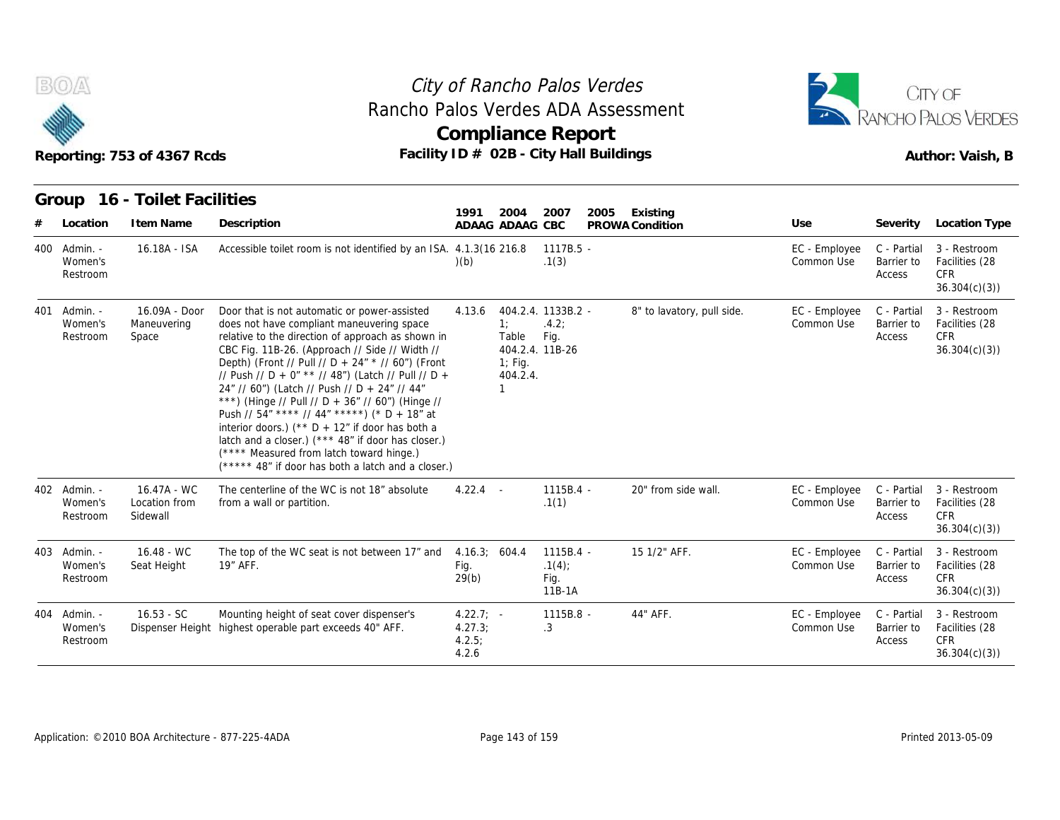



| B(0)<br>Reporting: 753 of 4367 Rcds |                                     |                                          |                                                                                                                                                                                                                                                                                                                                                                                                                                                                                                                                                                                                                                                                               |                                           | City of Rancho Palos Verdes<br><b>Compliance Report</b> | Rancho Palos Verdes ADA Assessment<br>Facility ID # 02B - City Hall Buildings | CITY OF<br>RANCHO PALOS VERDES<br>Author: Vaish, B |                             |                                     |                                                              |
|-------------------------------------|-------------------------------------|------------------------------------------|-------------------------------------------------------------------------------------------------------------------------------------------------------------------------------------------------------------------------------------------------------------------------------------------------------------------------------------------------------------------------------------------------------------------------------------------------------------------------------------------------------------------------------------------------------------------------------------------------------------------------------------------------------------------------------|-------------------------------------------|---------------------------------------------------------|-------------------------------------------------------------------------------|----------------------------------------------------|-----------------------------|-------------------------------------|--------------------------------------------------------------|
|                                     |                                     | Group 16 - Toilet Facilities             |                                                                                                                                                                                                                                                                                                                                                                                                                                                                                                                                                                                                                                                                               |                                           |                                                         |                                                                               |                                                    |                             |                                     |                                                              |
| #                                   | Location                            | I tem Name                               | Description                                                                                                                                                                                                                                                                                                                                                                                                                                                                                                                                                                                                                                                                   | 1991                                      | 2004<br>ADAAG ADAAG CBC                                 | 2007                                                                          | 2005<br>Existing<br>PROWA Condition                | Use                         | Severity                            | Location Type                                                |
| 400                                 | - Admin.<br>Women's<br>Restroom     | 16.18A - ISA                             | Accessible toilet room is not identified by an ISA. 4.1.3(16 216.8)                                                                                                                                                                                                                                                                                                                                                                                                                                                                                                                                                                                                           | (b)                                       |                                                         | $1117B.5 -$<br>.1(3)                                                          |                                                    | EC - Employee<br>Common Use | C - Partial<br>Barrier to<br>Access | 3 - Restroom<br>Facilities (28<br><b>CFR</b><br>36.304(c)(3) |
| 401                                 | - Admin.<br>Women's<br>Restroom     | 16.09A - Door<br>Maneuvering<br>Space    | Door that is not automatic or power-assisted<br>does not have compliant maneuvering space<br>relative to the direction of approach as shown in<br>CBC Fig. 11B-26. (Approach // Side // Width //<br>Depth) (Front // Pull // D + 24" * // 60") (Front<br>// Push // D + 0" ** // 48") (Latch // Pull // D +<br>24" // 60") (Latch // Push // D + 24" // 44"<br>***) (Hinge // Pull // D + 36" // 60") (Hinge //<br>Push // 54" **** // 44" *****) (* D + 18" at<br>interior doors.) (** $D + 12$ " if door has both a<br>latch and a closer.) (*** 48" if door has closer.)<br>(**** Measured from latch toward hinge.)<br>(***** 48" if door has both a latch and a closer.) | 4.13.6                                    | 1:<br>Table<br>$1$ ; Fig.<br>404.2.4.                   | 404.2.4. 1133B.2 -<br>.4.2:<br>Fig.<br>404.2.4. 11B-26                        | 8" to lavatory, pull side.                         | EC - Employee<br>Common Use | C - Partial<br>Barrier to<br>Access | 3 - Restroom<br>Facilities (28<br><b>CFR</b><br>36.304(c)(3) |
|                                     | 402 Admin. -<br>Women's<br>Restroom | 16.47A - WC<br>Location from<br>Sidewall | The centerline of the WC is not 18" absolute<br>from a wall or partition.                                                                                                                                                                                                                                                                                                                                                                                                                                                                                                                                                                                                     | $4.22.4 -$                                |                                                         | 1115B.4 -<br>.1(1)                                                            | 20" from side wall.                                | EC - Employee<br>Common Use | C - Partial<br>Barrier to<br>Access | 3 - Restroom<br>Facilities (28<br><b>CFR</b><br>36.304(c)(3) |
|                                     | 403 Admin. -<br>Women's<br>Restroom | $16.48 - WC$<br>Seat Height              | The top of the WC seat is not between 17" and<br>19" AFF.                                                                                                                                                                                                                                                                                                                                                                                                                                                                                                                                                                                                                     | 4.16.3; 604.4<br>Fig.<br>29(b)            |                                                         | $1115B.4 -$<br>.1(4)<br>Fig.<br>11B-1A                                        | 15 1/2" AFF.                                       | EC - Employee<br>Common Use | C - Partial<br>Barrier to<br>Access | 3 - Restroom<br>Facilities (28<br><b>CFR</b><br>36.304(c)(3) |
|                                     | 404 Admin. -<br>Women's<br>Restroom | $16.53 - SC$                             | Mounting height of seat cover dispenser's<br>Dispenser Height highest operable part exceeds 40" AFF.                                                                                                                                                                                                                                                                                                                                                                                                                                                                                                                                                                          | $4.22.7: -$<br>4.27.3;<br>4.2.5:<br>4.2.6 |                                                         | 1115B.8 -<br>.3                                                               | 44" AFF.                                           | EC - Employee<br>Common Use | C - Partial<br>Barrier to<br>Access | 3 - Restroom<br>Facilities (28<br><b>CFR</b><br>36.304(c)(3) |

Application: ©2010 BOA Architecture - 877-225-4ADA Page 143 of 159 Printed 2013-05-09 Printed 2013-05-09 Printed 2013-05-09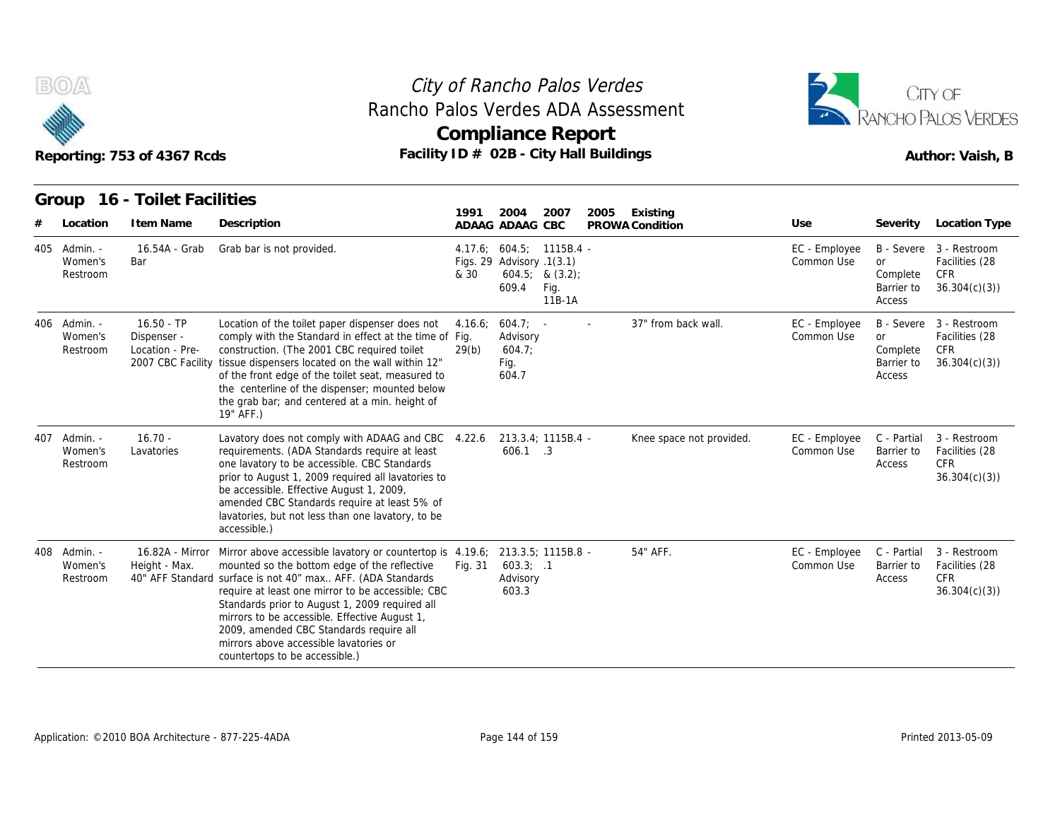



#### **Group 16 - Toilet Facilities**

|     |                                     | Reporting: 753 of 4367 Rcds                    |                                                                                                                                                                                                                                                                                                                                                                                                                                                                            | Rancho Palos Verdes ADA Assessment<br><b>Compliance Report</b><br>Facility ID # 02B - City Hall Buildings |                                                                |                                  |      |                             | RANCHO PALOS VERDES<br>Author: Vaish, B |                                               |                                                                   |
|-----|-------------------------------------|------------------------------------------------|----------------------------------------------------------------------------------------------------------------------------------------------------------------------------------------------------------------------------------------------------------------------------------------------------------------------------------------------------------------------------------------------------------------------------------------------------------------------------|-----------------------------------------------------------------------------------------------------------|----------------------------------------------------------------|----------------------------------|------|-----------------------------|-----------------------------------------|-----------------------------------------------|-------------------------------------------------------------------|
|     | Location                            | Group 16 - Toilet Facilities<br>I tem Name     | Description                                                                                                                                                                                                                                                                                                                                                                                                                                                                | 1991                                                                                                      | 2004<br>ADAAG ADAAG CBC                                        | 2007                             | 2005 | Existing<br>PROWA Condition | Use                                     | Severity                                      | Location Type                                                     |
| 405 | - Admin.<br>Women's<br>Restroom     | 16.54A - Grab<br>Bar                           | Grab bar is not provided.                                                                                                                                                                                                                                                                                                                                                                                                                                                  | & 30                                                                                                      | 4.17.6; 604.5; 1115B.4 -<br>Figs. 29 Advisory .1(3.1)<br>609.4 | 604.5; 8(3.2);<br>Fig.<br>11B-1A |      |                             | EC - Employee<br>Common Use             | <b>or</b><br>Complete<br>Barrier to<br>Access | B - Severe 3 - Restroom<br>Facilities (28<br>CFR.<br>36.304(c)(3) |
|     | 406 Admin. -<br>Women's<br>Restroom | $16.50 - TP$<br>Dispenser -<br>Location - Pre- | Location of the toilet paper dispenser does not<br>comply with the Standard in effect at the time of Fig.<br>construction. (The 2001 CBC required toilet<br>2007 CBC Facility tissue dispensers located on the wall within 12"<br>of the front edge of the toilet seat, measured to<br>the centerline of the dispenser; mounted below<br>the grab bar; and centered at a min. height of<br>19" AFF.)                                                                       | 4.16.6;<br>29(b)                                                                                          | $604.7: -$<br>Advisory<br>604.7<br>Fig.<br>604.7               |                                  |      | 37" from back wall.         | EC - Employee<br>Common Use             | <b>or</b><br>Complete<br>Barrier to<br>Access | B - Severe 3 - Restroom<br>Facilities (28<br>CFR<br>36.304(c)(3)  |
| 407 | - Admin.<br>Women's<br>Restroom     | $16.70 -$<br>Lavatories                        | Lavatory does not comply with ADAAG and CBC<br>requirements. (ADA Standards require at least<br>one lavatory to be accessible. CBC Standards<br>prior to August 1, 2009 required all lavatories to<br>be accessible. Effective August 1, 2009,<br>amended CBC Standards require at least 5% of<br>lavatories, but not less than one lavatory, to be<br>accessible.)                                                                                                        | 4.22.6                                                                                                    | $606.1$ .3                                                     | 213.3.4; 1115B.4 -               |      | Knee space not provided.    | EC - Employee<br>Common Use             | C - Partial<br>Barrier to<br>Access           | 3 - Restroom<br>Facilities (28<br><b>CFR</b><br>36.304(c)(3)      |
|     | 408 Admin. -<br>Women's<br>Restroom | 16.82A - Mirror<br>Height - Max.               | Mirror above accessible lavatory or countertop is 4.19.6; 213.3.5; 1115B.8 -<br>mounted so the bottom edge of the reflective<br>40" AFF Standard surface is not 40" max AFF. (ADA Standards<br>require at least one mirror to be accessible; CBC<br>Standards prior to August 1, 2009 required all<br>mirrors to be accessible. Effective August 1,<br>2009, amended CBC Standards require all<br>mirrors above accessible lavatories or<br>countertops to be accessible.) | Fig. 31                                                                                                   | 603.3; .1<br>Advisory<br>603.3                                 |                                  |      | 54" AFF.                    | EC - Employee<br>Common Use             | C - Partial<br>Barrier to<br>Access           | 3 - Restroom<br>Facilities (28<br><b>CFR</b><br>36.304(c)(3)      |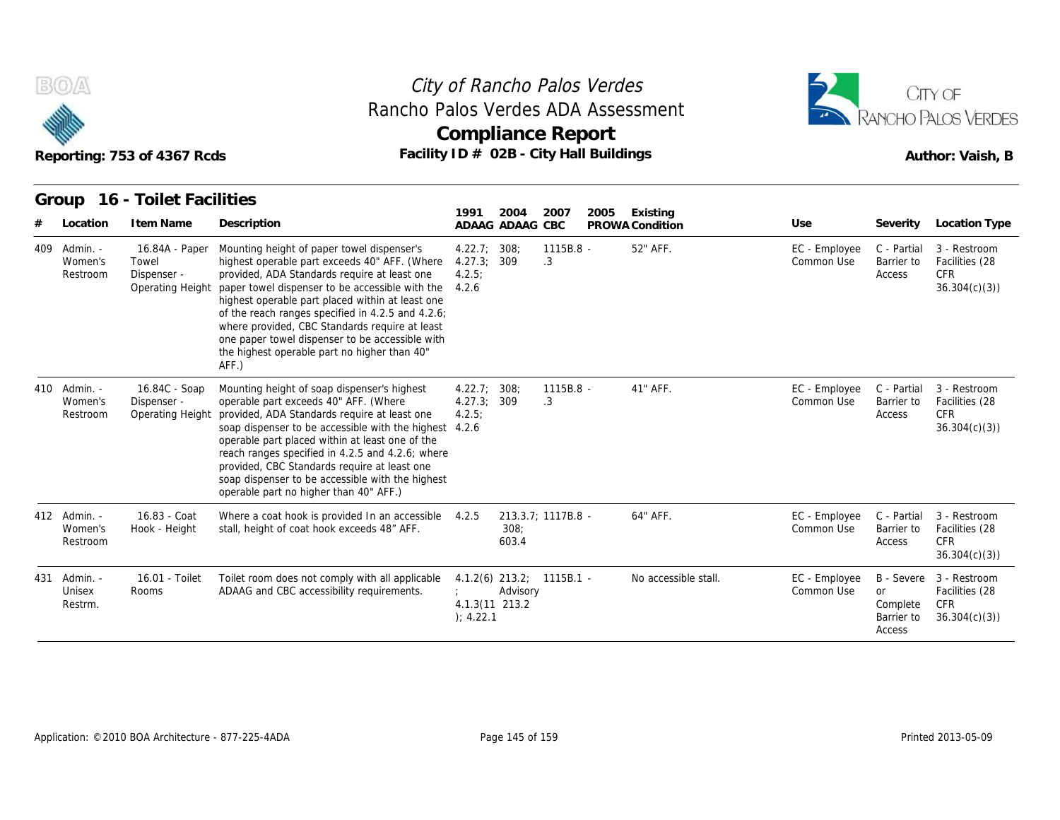



|     |                                     | Reporting: 753 of 4367 Rcds                                | Rancho Palos Verdes ADA Assessment<br>Facility ID # 02B - City Hall Buildings                                                                                                                                                                                                                                                                                                                                                                                         | <b>Compliance Report</b>                         |                         |                    |      |                             |                             | RANCHO PALOS VERDES<br>Author: Vaish, B               |                                                              |
|-----|-------------------------------------|------------------------------------------------------------|-----------------------------------------------------------------------------------------------------------------------------------------------------------------------------------------------------------------------------------------------------------------------------------------------------------------------------------------------------------------------------------------------------------------------------------------------------------------------|--------------------------------------------------|-------------------------|--------------------|------|-----------------------------|-----------------------------|-------------------------------------------------------|--------------------------------------------------------------|
|     | Group<br>Location                   | 16 - Toilet Facilities<br>I tem Name                       | Description                                                                                                                                                                                                                                                                                                                                                                                                                                                           | 1991                                             | 2004<br>ADAAG ADAAG CBC | 2007               | 2005 | Existing<br>PROWA Condition | Use                         | Severity                                              | Location Type                                                |
| 409 | Admin. -<br>Women's<br>Restroom     | 16.84A - Paper<br>Towel<br>Dispenser -<br>Operating Height | Mounting height of paper towel dispenser's<br>highest operable part exceeds 40" AFF. (Where<br>provided, ADA Standards require at least one<br>paper towel dispenser to be accessible with the<br>highest operable part placed within at least one<br>of the reach ranges specified in 4.2.5 and 4.2.6;<br>where provided, CBC Standards require at least<br>one paper towel dispenser to be accessible with<br>the highest operable part no higher than 40"<br>AFF.) | 4.22.7<br>4.27.3; 309<br>4.2.5:<br>4.2.6         | 308:                    | 1115B.8 -<br>.3    |      | 52" AFF.                    | EC - Employee<br>Common Use | C - Partial<br>Barrier to<br>Access                   | 3 - Restroom<br>Facilities (28<br>CFR.<br>36.304(c)(3)       |
|     | 410 Admin. -<br>Women's<br>Restroom | 16.84C - Soap<br>Dispenser -<br>Operating Height           | Mounting height of soap dispenser's highest<br>operable part exceeds 40" AFF. (Where<br>provided, ADA Standards require at least one<br>soap dispenser to be accessible with the highest 4.2.6<br>operable part placed within at least one of the<br>reach ranges specified in 4.2.5 and 4.2.6; where<br>provided, CBC Standards require at least one<br>soap dispenser to be accessible with the highest<br>operable part no higher than 40" AFF.)                   | 4.22.7; 308;<br>4.27.3; 309<br>4.2.5:            |                         | 1115B.8 -<br>.3    |      | 41" AFF.                    | EC - Employee<br>Common Use | C - Partial<br>Barrier to<br>Access                   | 3 - Restroom<br>Facilities (28<br>CFR.<br>36.304(c)(3)       |
|     | 412 Admin. -<br>Women's<br>Restroom | 16.83 - Coat<br>Hook - Height                              | Where a coat hook is provided In an accessible 4.2.5<br>stall, height of coat hook exceeds 48" AFF.                                                                                                                                                                                                                                                                                                                                                                   |                                                  | 308:<br>603.4           | 213.3.7; 1117B.8 - |      | 64" AFF.                    | EC - Employee<br>Common Use | C - Partial<br>Barrier to<br>Access                   | 3 - Restroom<br>Facilities (28<br>CFR.<br>36.304(c)(3)       |
| 431 | Admin. -<br>Unisex<br>Restrm.       | 16.01 - Toilet<br>Rooms                                    | Toilet room does not comply with all applicable<br>ADAAG and CBC accessibility requirements.                                                                                                                                                                                                                                                                                                                                                                          | $4.1.2(6)$ 213.2;<br>4.1.3(11 213.2<br>); 4.22.1 | Advisory                | $1115B.1 -$        |      | No accessible stall.        | EC - Employee<br>Common Use | B - Severe<br>or<br>Complete<br>Barrier to<br>Access. | 3 - Restroom<br>Facilities (28<br><b>CFR</b><br>36.304(c)(3) |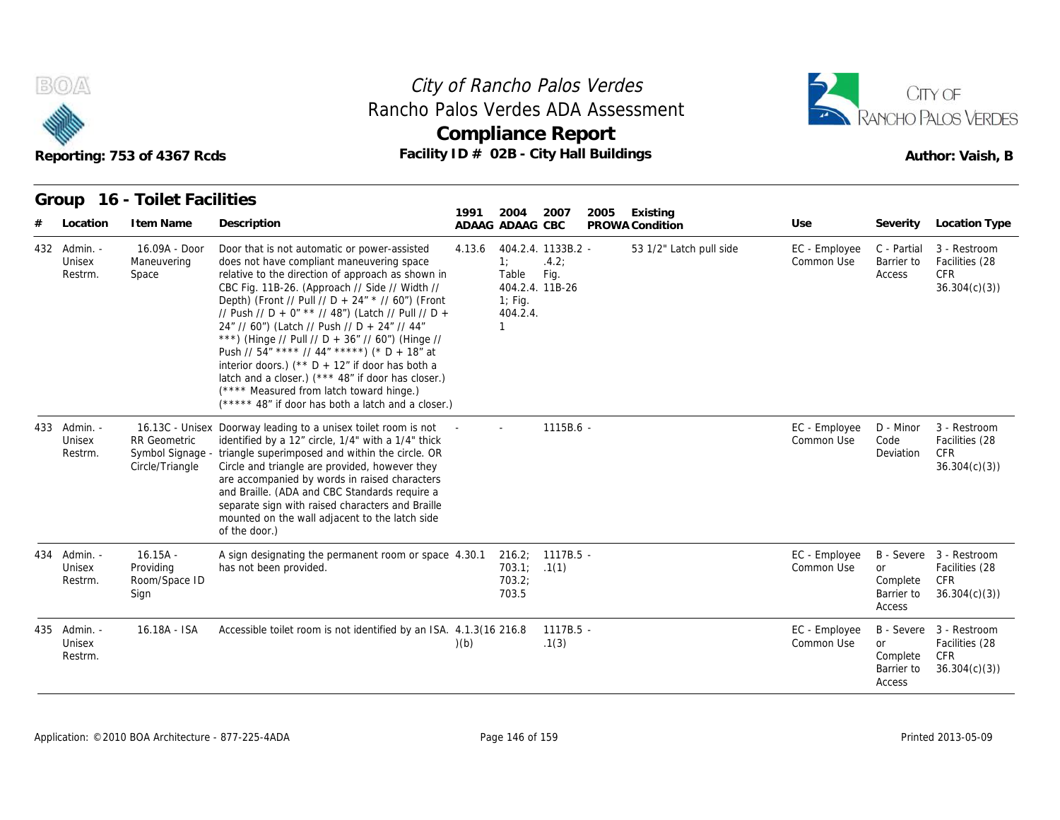



#### **Group 16 - Toilet Facilities**

|                                   | Reporting: 753 of 4367 Rcds                                |                                                                                                                                                                                                                                                                                                                                                                                                                                                                                                                                                                                                                                                                                      | <b>Compliance Report</b><br>Facility ID # 02B - City Hall Buildings |                                            |                                                        |      |                             |                             |                                               | Author: Vaish, B                                                        |
|-----------------------------------|------------------------------------------------------------|--------------------------------------------------------------------------------------------------------------------------------------------------------------------------------------------------------------------------------------------------------------------------------------------------------------------------------------------------------------------------------------------------------------------------------------------------------------------------------------------------------------------------------------------------------------------------------------------------------------------------------------------------------------------------------------|---------------------------------------------------------------------|--------------------------------------------|--------------------------------------------------------|------|-----------------------------|-----------------------------|-----------------------------------------------|-------------------------------------------------------------------------|
| Group<br>Location                 | 16 - Toilet Facilities<br>I tem Name                       | Description                                                                                                                                                                                                                                                                                                                                                                                                                                                                                                                                                                                                                                                                          | 1991<br>ADAAG ADAAG CBC                                             | 2004                                       | 2007                                                   | 2005 | Existing<br>PROWA Condition | Use                         | Severity                                      | Location Type                                                           |
| 432 Admin. -<br>Unisex<br>Restrm. | 16.09A - Door<br>Maneuvering<br>Space                      | Door that is not automatic or power-assisted<br>does not have compliant maneuvering space<br>relative to the direction of approach as shown in<br>CBC Fig. 11B-26. (Approach // Side // Width //<br>Depth) (Front // Pull // D + 24" * // 60") (Front<br>// Push // D + 0" ** // 48") (Latch // Pull // D +<br>24" // 60") (Latch // Push // D + 24" // 44"<br>***) (Hinge // Pull // D + 36" // 60") (Hinge //<br>Push // $54''$ **** // $44''$ *****) (* D + 18" at<br>interior doors.) (** $D + 12$ " if door has both a<br>latch and a closer.) (*** 48" if door has closer.)<br>(**** Measured from latch toward hinge.)<br>$(****$ 48" if door has both a latch and a closer.) | 4.13.6                                                              | 1:<br>Table<br>$1$ ; Fig.<br>404.2.4.<br>1 | 404.2.4. 1133B.2 -<br>.4.2:<br>Fig.<br>404.2.4. 11B-26 |      | 53 1/2" Latch pull side     | EC - Employee<br>Common Use | C - Partial<br>Barrier to<br>Access           | 3 - Restroom<br>Facilities (28<br><b>CFR</b><br>36.304(c)(3)            |
| 433 Admin. -<br>Unisex<br>Restrm. | <b>RR</b> Geometric<br>Symbol Signage -<br>Circle/Triangle | 16.13C - Unisex Doorway leading to a unisex toilet room is not<br>identified by a 12" circle, 1/4" with a 1/4" thick<br>triangle superimposed and within the circle. OR<br>Circle and triangle are provided, however they<br>are accompanied by words in raised characters<br>and Braille. (ADA and CBC Standards require a<br>separate sign with raised characters and Braille<br>mounted on the wall adjacent to the latch side<br>of the door.)                                                                                                                                                                                                                                   |                                                                     |                                            | $1115B.6 -$                                            |      |                             | EC - Employee<br>Common Use | D - Minor<br>Code<br>Deviation                | 3 - Restroom<br>Facilities (28<br><b>CFR</b><br>36.304(c)(3)            |
| 434 Admin. -<br>Unisex<br>Restrm. | $16.15A -$<br>Providing<br>Room/Space ID<br>Sign           | A sign designating the permanent room or space 4.30.1<br>has not been provided.                                                                                                                                                                                                                                                                                                                                                                                                                                                                                                                                                                                                      |                                                                     | 216.2;<br>703.1;<br>703.2;<br>703.5        | $1117B.5 -$<br>.1(1)                                   |      |                             | EC - Employee<br>Common Use | or<br>Complete<br>Barrier to<br>Access        | B - Severe 3 - Restroom<br>Facilities (28<br><b>CFR</b><br>36.304(c)(3) |
| 435 Admin. -<br>Unisex<br>Restrm. | 16.18A - ISA                                               | Accessible toilet room is not identified by an ISA. 4.1.3(16 216.8)                                                                                                                                                                                                                                                                                                                                                                                                                                                                                                                                                                                                                  | (b)                                                                 |                                            | $1117B.5 -$<br>.1(3)                                   |      |                             | EC - Employee<br>Common Use | <b>or</b><br>Complete<br>Barrier to<br>Access | B - Severe 3 - Restroom<br>Facilities (28<br>CFR<br>36.304(c)(3)        |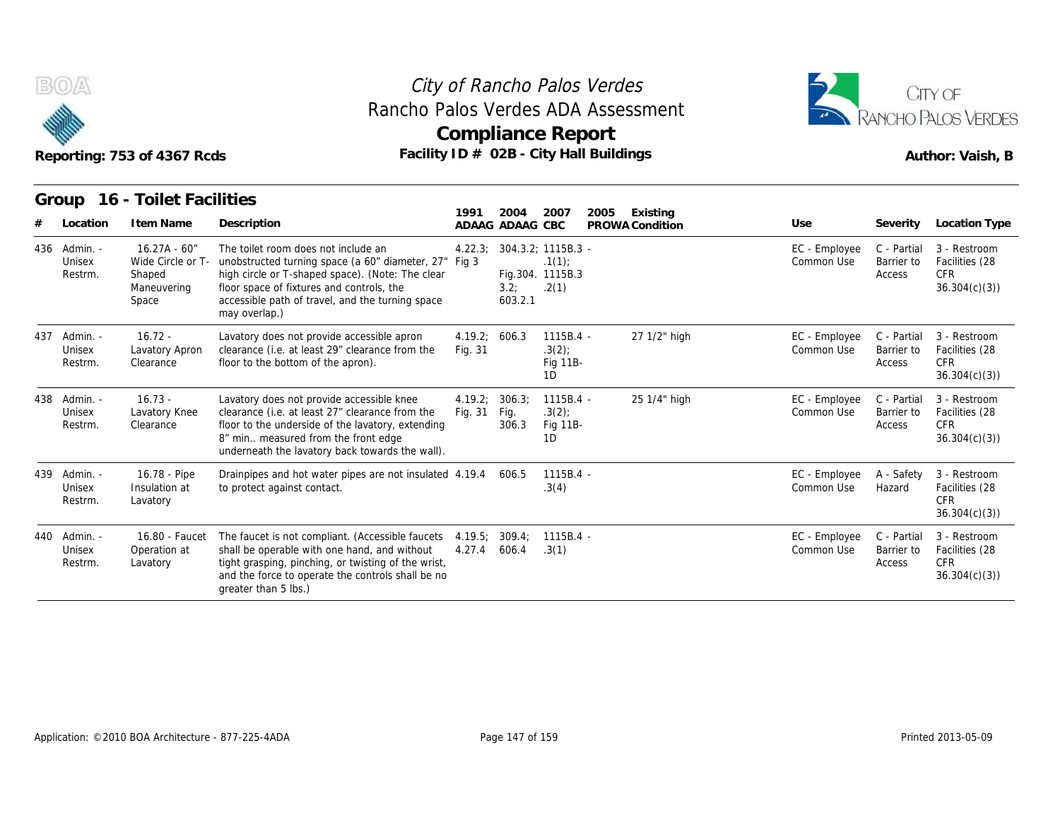



# Reporting: 753 of 4367 Rcds **Facility ID # 02B - City Hall Buildings** Reporting: 753 of 4367 Rcds Author: Vaish, B

| Reporting: 753 of 4367 Rcds       |                                                                        |                                                                                                                                                                                                                                                                    |                          | City of Rancho Palos Verdes<br>Compliance Report<br>Facility ID # 02B - City Hall Buildings |                                            |      | Rancho Palos Verdes ADA Assessment |                             | CITY OF<br>RANCHO PALOS VERDES<br>Author: Vaish, B |                                                              |  |  |
|-----------------------------------|------------------------------------------------------------------------|--------------------------------------------------------------------------------------------------------------------------------------------------------------------------------------------------------------------------------------------------------------------|--------------------------|---------------------------------------------------------------------------------------------|--------------------------------------------|------|------------------------------------|-----------------------------|----------------------------------------------------|--------------------------------------------------------------|--|--|
| Group                             | 16 - Toilet Facilities                                                 |                                                                                                                                                                                                                                                                    | 1991                     | 2004                                                                                        | 2007                                       | 2005 | Existing                           |                             |                                                    |                                                              |  |  |
| Location                          | I tem Name                                                             | Description                                                                                                                                                                                                                                                        |                          | ADAAG ADAAG CBC                                                                             |                                            |      | PROWA Condition                    | Use                         | Severity                                           | Location Type                                                |  |  |
| 436 Admin. -<br>Unisex<br>Restrm. | $16.27A - 60''$<br>Wide Circle or T-<br>Shaped<br>Maneuvering<br>Space | The toilet room does not include an<br>unobstructed turning space (a 60" diameter, 27" Fig 3<br>high circle or T-shaped space). (Note: The clear<br>floor space of fixtures and controls, the<br>accessible path of travel, and the turning space<br>may overlap.) | 4.22.3:                  | 304.3.2: 1115B.3 -<br>3.2:<br>603.2.1                                                       | .1(1)<br>Fig.304. 1115B.3<br>.2(1)         |      |                                    | EC - Employee<br>Common Use | C - Partial<br>Barrier to<br>Access                | 3 - Restroom<br>Facilities (28<br><b>CFR</b><br>36.304(c)(3) |  |  |
| 437 Admin. -<br>Unisex<br>Restrm. | $16.72 -$<br>Lavatory Apron<br>Clearance                               | Lavatory does not provide accessible apron<br>clearance (i.e. at least 29" clearance from the<br>floor to the bottom of the apron).                                                                                                                                | 4.19.2; 606.3<br>Fig. 31 |                                                                                             | $1115B.4 -$<br>$.3(2)$ ;<br>Fig 11B-<br>1D |      | 27 1/2" high                       | EC - Employee<br>Common Use | C - Partial<br>Barrier to<br>Access                | 3 - Restroom<br>Facilities (28<br><b>CFR</b><br>36.304(c)(3) |  |  |
| 438 Admin. -<br>Unisex<br>Restrm. | $16.73 -$<br>Lavatory Knee<br>Clearance                                | Lavatory does not provide accessible knee<br>clearance (i.e. at least 27" clearance from the<br>floor to the underside of the lavatory, extending<br>8" min measured from the front edge<br>underneath the lavatory back towards the wall).                        | 4.19.2;<br>Fig. 31       | 306.3;<br>Fig.<br>306.3                                                                     | $1115B.4 -$<br>.3(2)<br>Fig 11B-<br>1D     |      | 25 1/4" high                       | EC - Employee<br>Common Use | C - Partial<br>Barrier to<br>Access                | 3 - Restroom<br>Facilities (28<br>CFR.<br>36.304(c)(3)       |  |  |
| 439 Admin. -<br>Unisex<br>Restrm. | 16.78 - Pipe<br>Insulation at<br>Lavatory                              | Drainpipes and hot water pipes are not insulated 4.19.4<br>to protect against contact.                                                                                                                                                                             |                          | 606.5                                                                                       | $1115B.4 -$<br>.3(4)                       |      |                                    | EC - Employee<br>Common Use | A - Safety<br>Hazard                               | 3 - Restroom<br>Facilities (28<br><b>CFR</b><br>36.304(c)(3) |  |  |
| 440 Admin. -<br>Unisex<br>Restrm. | 16.80 - Faucet<br>Operation at<br>Lavatory                             | The faucet is not compliant. (Accessible faucets<br>shall be operable with one hand, and without<br>tight grasping, pinching, or twisting of the wrist,<br>and the force to operate the controls shall be no<br>greater than 5 lbs.)                               | 4.19.5;<br>4.27.4        | 309.4;<br>606.4                                                                             | $1115B.4 -$<br>.3(1)                       |      |                                    | EC - Employee<br>Common Use | C - Partial<br>Barrier to<br>Access                | 3 - Restroom<br>Facilities (28<br><b>CFR</b><br>36.304(c)(3) |  |  |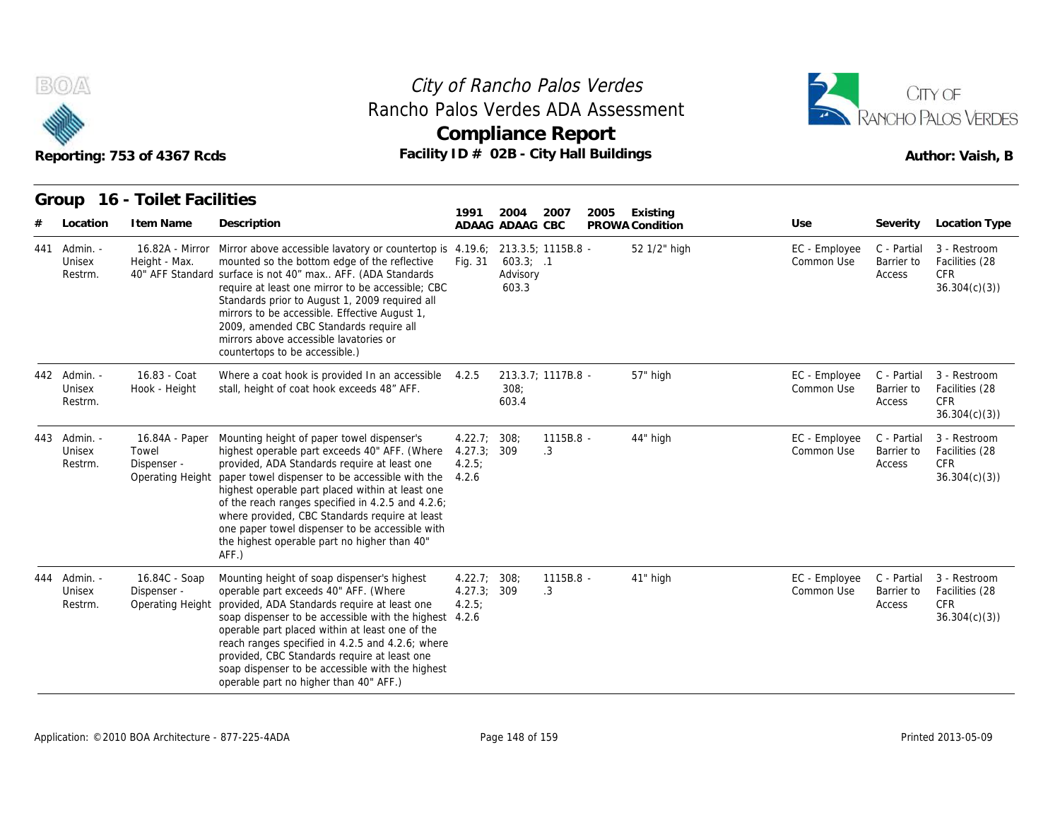



|     |                               | Reporting: 753 of 4367 Rcds                                |                                                                                                                                                                                                                                                                                                                                                                                                                                                                             |                                      | <b>Compliance Report</b><br>Facility ID # 02B - City Hall Buildings |                 |      |                 | Author: Vaish, B            |                                     |                                                              |  |
|-----|-------------------------------|------------------------------------------------------------|-----------------------------------------------------------------------------------------------------------------------------------------------------------------------------------------------------------------------------------------------------------------------------------------------------------------------------------------------------------------------------------------------------------------------------------------------------------------------------|--------------------------------------|---------------------------------------------------------------------|-----------------|------|-----------------|-----------------------------|-------------------------------------|--------------------------------------------------------------|--|
|     | Group                         | 16 - Toilet Facilities                                     |                                                                                                                                                                                                                                                                                                                                                                                                                                                                             | 1991                                 | 2004                                                                | 2007            | 2005 | Existing        |                             |                                     |                                                              |  |
|     | Location                      | I tem Name                                                 | Description                                                                                                                                                                                                                                                                                                                                                                                                                                                                 |                                      | ADAAG ADAAG CBC                                                     |                 |      | PROWA Condition | Use                         | Severity                            | Location Type                                                |  |
| 441 | Admin. -<br>Unisex<br>Restrm. | Height - Max.                                              | 16.82A - Mirror Mirror above accessible lavatory or countertop is 4.19.6;<br>mounted so the bottom edge of the reflective<br>40" AFF Standard surface is not 40" max AFF. (ADA Standards<br>require at least one mirror to be accessible; CBC<br>Standards prior to August 1, 2009 required all<br>mirrors to be accessible. Effective August 1,<br>2009, amended CBC Standards require all<br>mirrors above accessible lavatories or<br>countertops to be accessible.)     | Fig. 31                              | 213.3.5; 1115B.8 -<br>$603.3$ ; .1<br>Advisory<br>603.3             |                 |      | 52 1/2" high    | EC - Employee<br>Common Use | C - Partial<br>Barrier to<br>Access | 3 - Restroom<br>Facilities (28<br><b>CFR</b><br>36.304(c)(3) |  |
| 442 | - Admin.<br>Unisex<br>Restrm. | 16.83 - Coat<br>Hook - Height                              | Where a coat hook is provided In an accessible 4.2.5<br>stall, height of coat hook exceeds 48" AFF.                                                                                                                                                                                                                                                                                                                                                                         |                                      | 213.3.7; 1117B.8 -<br>308:<br>603.4                                 |                 |      | 57" high        | EC - Employee<br>Common Use | C - Partial<br>Barrier to<br>Access | 3 - Restroom<br>Facilities (28<br>CFR<br>36.304(c)(3)        |  |
| 443 | - Admin.<br>Unisex<br>Restrm. | 16.84A - Paper<br>Towel<br>Dispenser -<br>Operating Height | Mounting height of paper towel dispenser's<br>highest operable part exceeds 40" AFF. (Where<br>provided, ADA Standards require at least one<br>paper towel dispenser to be accessible with the 4.2.6<br>highest operable part placed within at least one<br>of the reach ranges specified in 4.2.5 and 4.2.6;<br>where provided, CBC Standards require at least<br>one paper towel dispenser to be accessible with<br>the highest operable part no higher than 40"<br>AFF.) | 4.22.7:308;<br>4.27.3; 309<br>4.2.5: |                                                                     | 1115B.8 -<br>.3 |      | 44" high        | EC - Employee<br>Common Use | C - Partial<br>Barrier to<br>Access | 3 - Restroom<br>Facilities (28<br><b>CFR</b><br>36.304(c)(3) |  |
| 444 | - Admin.<br>Unisex<br>Restrm. | 16.84C - Soap<br>Dispenser -<br>Operating Height           | Mounting height of soap dispenser's highest<br>operable part exceeds 40" AFF. (Where<br>provided, ADA Standards require at least one<br>soap dispenser to be accessible with the highest 4.2.6<br>operable part placed within at least one of the<br>reach ranges specified in 4.2.5 and 4.2.6; where<br>provided, CBC Standards require at least one<br>soap dispenser to be accessible with the highest<br>operable part no higher than 40" AFF.)                         | 4.22.7; 308;<br>4.27.3;<br>4.2.5;    | 309                                                                 | 1115B.8 -<br>.3 |      | 41" high        | EC - Employee<br>Common Use | C - Partial<br>Barrier to<br>Access | 3 - Restroom<br>Facilities (28<br>CFR<br>36.304(c)(3)        |  |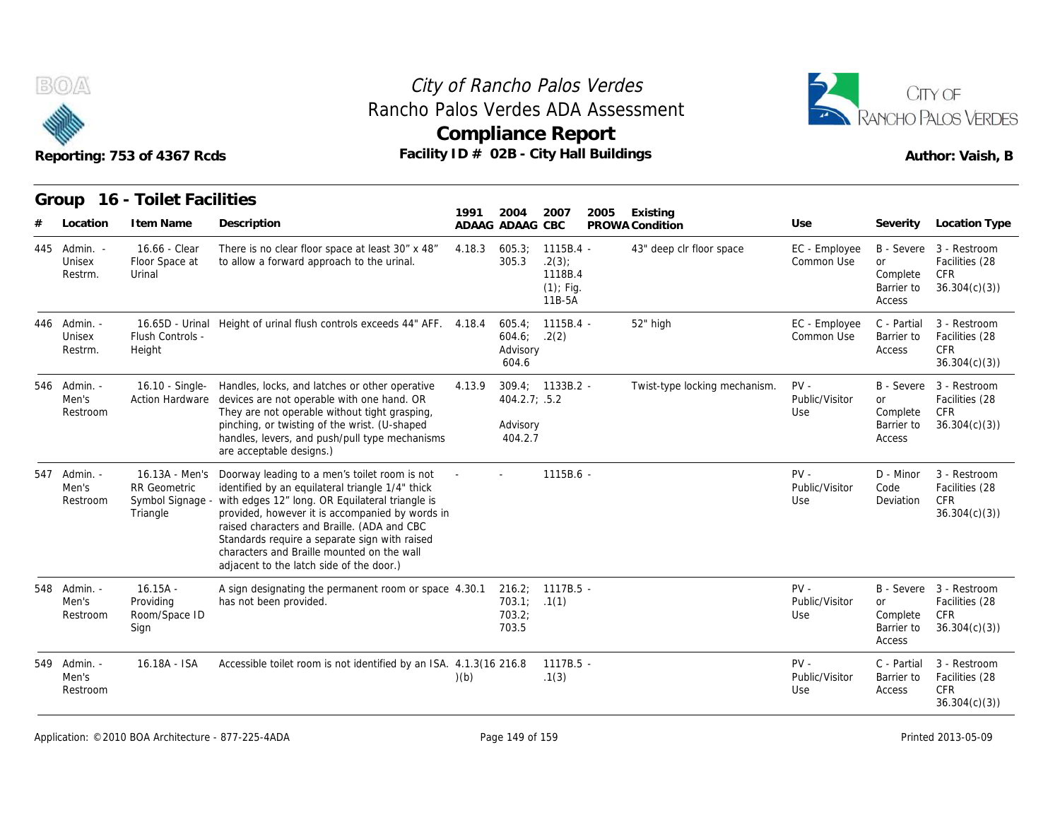

# **Compliance Report** Rancho Palos Verdes ADA Assessment



|                                   | Reporting: 753 of 4367 Rcds                                           |                                                                                                                                                                                                                                                                                                                                                                                                   |        |                                       | <b>Compliance Report</b><br>Facility ID # 02B - City Hall Buildings |                               | Author: Vaish, B                |                                               |                                                                         |  |  |
|-----------------------------------|-----------------------------------------------------------------------|---------------------------------------------------------------------------------------------------------------------------------------------------------------------------------------------------------------------------------------------------------------------------------------------------------------------------------------------------------------------------------------------------|--------|---------------------------------------|---------------------------------------------------------------------|-------------------------------|---------------------------------|-----------------------------------------------|-------------------------------------------------------------------------|--|--|
| Group                             | 16 - Toilet Facilities                                                |                                                                                                                                                                                                                                                                                                                                                                                                   | 1991   | 2004                                  | 2007<br>2005                                                        | Existing                      |                                 |                                               |                                                                         |  |  |
| Location                          | I tem Name                                                            | Description                                                                                                                                                                                                                                                                                                                                                                                       |        | ADAAG ADAAG CBC                       |                                                                     | PROWA Condition               | Use                             | Severity                                      | Location Type                                                           |  |  |
| 445 Admin. -<br>Unisex<br>Restrm. | 16.66 - Clear<br>Floor Space at<br>Urinal                             | There is no clear floor space at least 30" x 48"<br>to allow a forward approach to the urinal.                                                                                                                                                                                                                                                                                                    | 4.18.3 | 605.3:<br>305.3                       | $1115B.4 -$<br>.2(3)<br>1118B.4<br>$(1)$ ; Fig.<br>11B-5A           | 43" deep clr floor space      | EC - Employee<br>Common Use     | <b>or</b><br>Complete<br>Barrier to<br>Access | B - Severe 3 - Restroom<br>Facilities (28<br><b>CFR</b><br>36.304(c)(3) |  |  |
| 446 Admin. -<br>Unisex<br>Restrm. | Flush Controls -<br>Height                                            | 16.65D - Urinal Height of urinal flush controls exceeds 44" AFF. 4.18.4                                                                                                                                                                                                                                                                                                                           |        | 605.4:<br>604.6;<br>Advisory<br>604.6 | $1115B.4 -$<br>.2(2)                                                | 52" high                      | EC - Employee<br>Common Use     | C - Partial<br>Barrier to<br>Access           | 3 - Restroom<br>Facilities (28<br><b>CFR</b><br>36.304(c)(3)            |  |  |
| 546 Admin. -<br>Men's<br>Restroom | 16.10 - Single-<br><b>Action Hardware</b>                             | Handles, locks, and latches or other operative<br>devices are not operable with one hand. OR<br>They are not operable without tight grasping,<br>pinching, or twisting of the wrist. (U-shaped<br>handles, levers, and push/pull type mechanisms<br>are acceptable designs.)                                                                                                                      | 4.13.9 | 404.2.7; .5.2<br>Advisory<br>404.2.7  | $309.4: 1133B.2 -$                                                  | Twist-type locking mechanism. | $PV -$<br>Public/Visitor<br>Use | or<br>Complete<br>Barrier to<br>Access        | B - Severe 3 - Restroom<br>Facilities (28<br><b>CFR</b><br>36.304(c)(3) |  |  |
| 547 Admin. -<br>Men's<br>Restroom | 16.13A - Men's<br><b>RR</b> Geometric<br>Symbol Signage -<br>Triangle | Doorway leading to a men's toilet room is not<br>identified by an equilateral triangle 1/4" thick<br>with edges 12" long. OR Equilateral triangle is<br>provided, however it is accompanied by words in<br>raised characters and Braille. (ADA and CBC<br>Standards require a separate sign with raised<br>characters and Braille mounted on the wall<br>adjacent to the latch side of the door.) |        |                                       | 1115B.6 -                                                           |                               | $PV -$<br>Public/Visitor<br>Use | D - Minor<br>Code<br>Deviation                | 3 - Restroom<br>Facilities (28<br><b>CFR</b><br>36.304(c)(3)            |  |  |
| 548 Admin. -<br>Men's<br>Restroom | $16.15A -$<br>Providing<br>Room/Space ID<br>Sign                      | A sign designating the permanent room or space 4.30.1<br>has not been provided.                                                                                                                                                                                                                                                                                                                   |        | 703.1:<br>703.2:<br>703.5             | 216.2; 1117B.5 -<br>.1(1)                                           |                               | $PV -$<br>Public/Visitor<br>Use | <b>or</b><br>Complete<br>Barrier to<br>Access | B - Severe 3 - Restroom<br>Facilities (28<br><b>CFR</b><br>36.304(c)(3) |  |  |
| 549 Admin. -<br>Men's<br>Restroom | 16.18A - ISA                                                          | Accessible toilet room is not identified by an ISA. 4.1.3(16 216.8)                                                                                                                                                                                                                                                                                                                               | (b)    |                                       | $1117B.5 -$<br>.1(3)                                                |                               | $PV -$<br>Public/Visitor<br>Use | C - Partial<br>Barrier to<br>Access           | 3 - Restroom<br>Facilities (28<br><b>CFR</b><br>36.304(c)(3)            |  |  |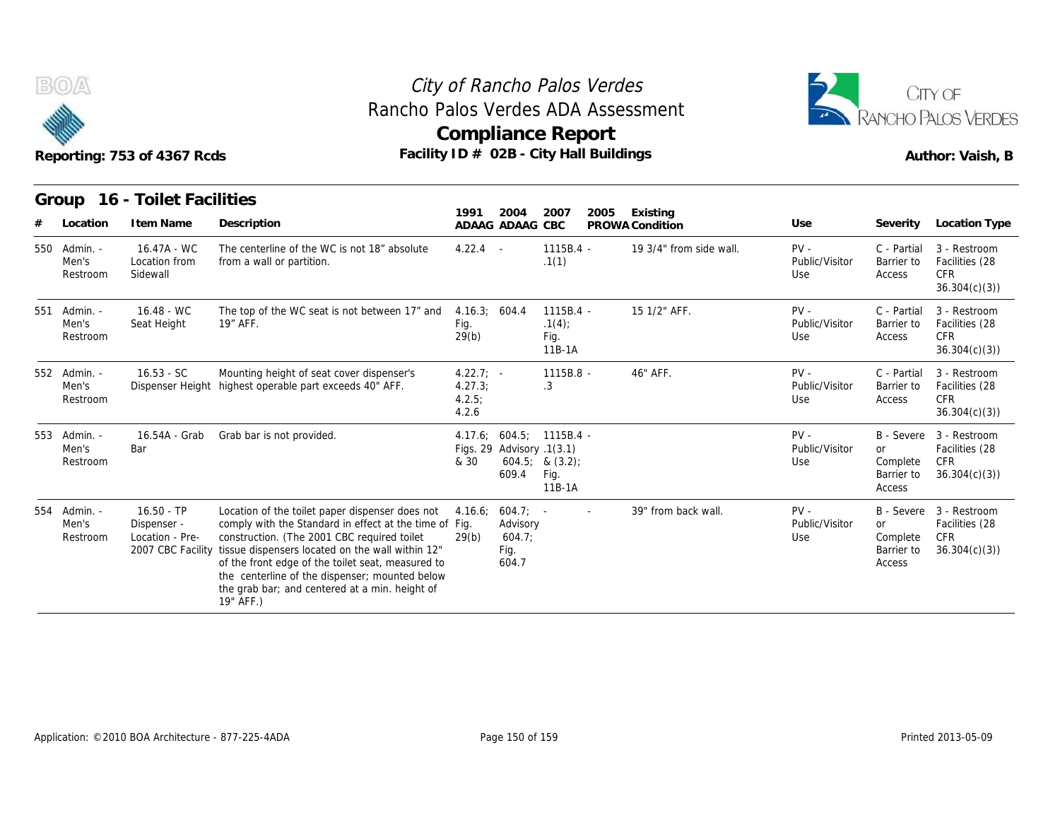



| 400                         | Compliance Report                          | <b>EXAMPLE DE NORTH ALOS VERDES</b> |
|-----------------------------|--------------------------------------------|-------------------------------------|
| Reporting: 753 of 4367 Rcds | Facility $ID \# O2B$ - City Hall Buildings | Author: Vaish, B                    |

|   | B(0)<br>Reporting: 753 of 4367 Rcds |                                                                     |                                                                                                                                                                                                                                                                                                                                                                                    |                                          |                                             | City of Rancho Palos Verdes<br>Rancho Palos Verdes ADA Assessment<br><b>Compliance Report</b><br>Facility ID # 02B - City Hall Buildings |                             | CITY OF<br><b>RANCHO PALOS VERDES</b><br>Author: Vaish, B |                                        |                                                                         |
|---|-------------------------------------|---------------------------------------------------------------------|------------------------------------------------------------------------------------------------------------------------------------------------------------------------------------------------------------------------------------------------------------------------------------------------------------------------------------------------------------------------------------|------------------------------------------|---------------------------------------------|------------------------------------------------------------------------------------------------------------------------------------------|-----------------------------|-----------------------------------------------------------|----------------------------------------|-------------------------------------------------------------------------|
| # | Group<br>Location                   | 16 - Toilet Facilities<br>I tem Name                                | Description                                                                                                                                                                                                                                                                                                                                                                        | 1991                                     | 2004<br>ADAAG ADAAG CBC                     | 2007<br>2005                                                                                                                             | Existing<br>PROWA Condition | Use                                                       | Severity<br>Location Type              |                                                                         |
|   | 550 Admin. -<br>Men's<br>Restroom   | 16.47A - WC<br>Location from<br>Sidewall                            | The centerline of the WC is not 18" absolute<br>from a wall or partition.                                                                                                                                                                                                                                                                                                          | $4.22.4 -$                               |                                             | $1115B.4 -$<br>.1(1)                                                                                                                     | 19 3/4" from side wall.     | $PV -$<br>Public/Visitor<br>Use                           | C - Partial<br>Barrier to<br>Access    | 3 - Restroom<br>Facilities (28<br><b>CFR</b><br>36.304(c)(3)            |
|   | 551 Admin. -<br>Men's<br>Restroom   | 16.48 - WC<br>Seat Height                                           | The top of the WC seat is not between 17" and<br>19" AFF.                                                                                                                                                                                                                                                                                                                          | 4.16.3; 604.4<br>Fig.<br>29(b)           |                                             | 1115B.4 -<br>.1(4)<br>Fig.<br>11B-1A                                                                                                     | 15 1/2" AFF.                | $PV -$<br>Public/Visitor<br>Use                           | C - Partial<br>Barrier to<br>Access    | 3 - Restroom<br>Facilities (28<br><b>CFR</b><br>36.304(c)(3)            |
|   | 552 Admin. -<br>Men's<br>Restroom   | $16.53 - SC$<br>Dispenser Height                                    | Mounting height of seat cover dispenser's<br>highest operable part exceeds 40" AFF.                                                                                                                                                                                                                                                                                                | $4.22.7; -$<br>4.27.3;<br>4.2.5<br>4.2.6 |                                             | 1115B.8 -<br>$\cdot$ 3                                                                                                                   | 46" AFF.                    | $PV -$<br>Public/Visitor<br>Use                           | C - Partial<br>Barrier to<br>Access    | 3 - Restroom<br>Facilities (28<br><b>CFR</b><br>36.304(c)(3)            |
|   | 553 Admin. -<br>Men's<br>Restroom   | 16.54A - Grab<br>Bar                                                | Grab bar is not provided.                                                                                                                                                                                                                                                                                                                                                          | & 30                                     | Figs. 29 Advisory .1(3.1)<br>609.4          | 4.17.6: 604.5: 1115B.4 -<br>$604.5;$ & $(3.2);$<br>Fig.<br>11B-1A                                                                        |                             | $PV -$<br>Public/Visitor<br>Use                           | or<br>Complete<br>Barrier to<br>Access | B - Severe 3 - Restroom<br>Facilities (28<br><b>CFR</b><br>36.304(c)(3) |
|   | 554 Admin. -<br>Men's<br>Restroom   | $16.50 - TP$<br>Dispenser -<br>Location - Pre-<br>2007 CBC Facility | Location of the toilet paper dispenser does not<br>comply with the Standard in effect at the time of Fig.<br>construction. (The 2001 CBC required toilet<br>tissue dispensers located on the wall within 12"<br>of the front edge of the toilet seat, measured to<br>the centerline of the dispenser; mounted below<br>the grab bar; and centered at a min. height of<br>19" AFF.) | 4.16.6;<br>29(b)                         | 604.7<br>Advisory<br>604.7<br>Fig.<br>604.7 |                                                                                                                                          | 39" from back wall.         | $PV -$<br>Public/Visitor<br>Use                           | or<br>Complete<br>Barrier to<br>Access | B - Severe 3 - Restroom<br>Facilities (28<br><b>CFR</b><br>36.304(c)(3) |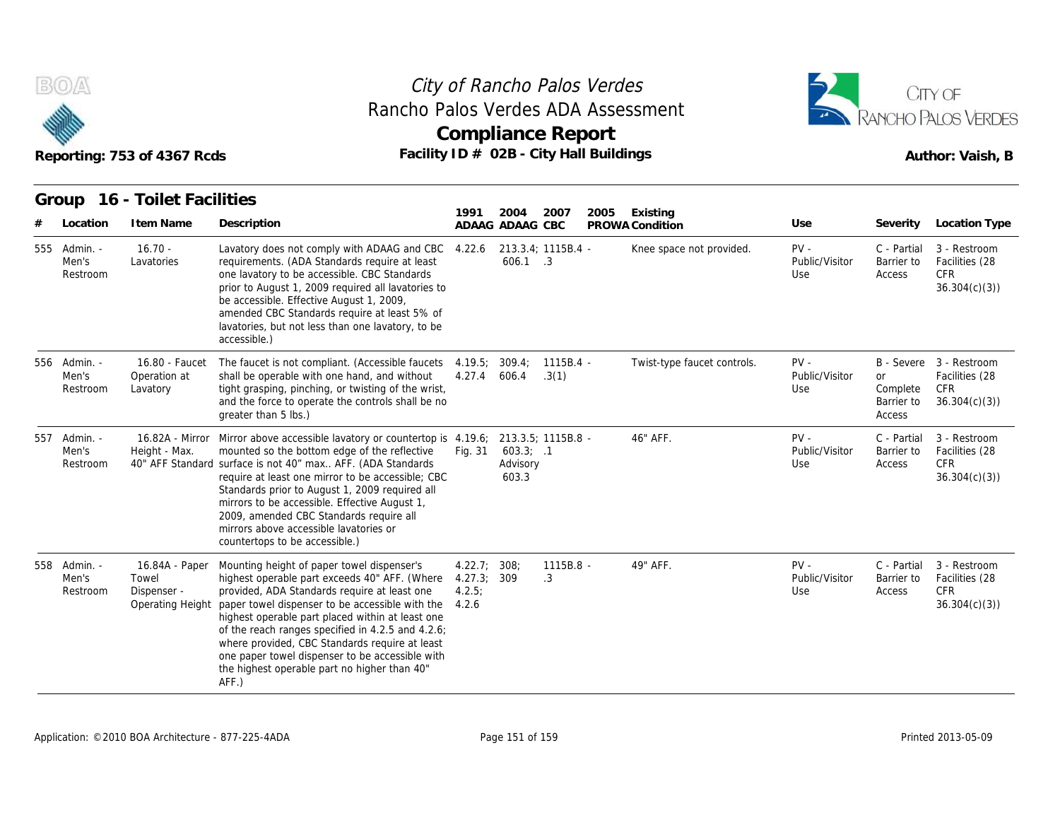



|   |                                   | Reporting: 753 of 4367 Rcds                                | Facility ID # 02B - City Hall Buildings                                                                                                                                                                                                                                                                                                                                                                                                                                                    |                                     | <b>Compliance Report</b>          |                      |                             | Author: Vaish, B                |                                               |                                                                         |
|---|-----------------------------------|------------------------------------------------------------|--------------------------------------------------------------------------------------------------------------------------------------------------------------------------------------------------------------------------------------------------------------------------------------------------------------------------------------------------------------------------------------------------------------------------------------------------------------------------------------------|-------------------------------------|-----------------------------------|----------------------|-----------------------------|---------------------------------|-----------------------------------------------|-------------------------------------------------------------------------|
|   |                                   | Group 16 - Toilet Facilities                               |                                                                                                                                                                                                                                                                                                                                                                                                                                                                                            | 1991                                | 2004                              | 2007                 | 2005<br>Existing            |                                 |                                               |                                                                         |
| # | Location                          | I tem Name                                                 | Description                                                                                                                                                                                                                                                                                                                                                                                                                                                                                |                                     | ADAAG ADAAG CBC                   |                      | PROWA Condition             | Use                             | Severity                                      | Location Type                                                           |
|   | 555 Admin. -<br>Men's<br>Restroom | $16.70 -$<br>Lavatories                                    | Lavatory does not comply with ADAAG and CBC<br>requirements. (ADA Standards require at least<br>one lavatory to be accessible. CBC Standards<br>prior to August 1, 2009 required all lavatories to<br>be accessible. Effective August 1, 2009,<br>amended CBC Standards require at least 5% of<br>lavatories, but not less than one lavatory, to be<br>accessible.)                                                                                                                        | 4.22.6                              | 606.1 .3                          | 213.3.4; 1115B.4 -   | Knee space not provided.    | $PV -$<br>Public/Visitor<br>Use | C - Partial<br>Barrier to<br>Access           | 3 - Restroom<br>Facilities (28<br><b>CFR</b><br>36.304(c)(3)            |
|   | 556 Admin. -<br>Men's<br>Restroom | 16.80 - Faucet<br>Operation at<br>Lavatory                 | The faucet is not compliant. (Accessible faucets<br>shall be operable with one hand, and without<br>tight grasping, pinching, or twisting of the wrist,<br>and the force to operate the controls shall be no<br>greater than 5 lbs.)                                                                                                                                                                                                                                                       | 4.19.5<br>4.27.4                    | 309.4;<br>606.4                   | $1115B.4 -$<br>.3(1) | Twist-type faucet controls. | $PV -$<br>Public/Visitor<br>Use | <b>or</b><br>Complete<br>Barrier to<br>Access | B - Severe 3 - Restroom<br>Facilities (28<br><b>CFR</b><br>36.304(c)(3) |
|   | 557 Admin. -<br>Men's<br>Restroom | Height - Max.                                              | 16.82A - Mirror Mirror above accessible lavatory or countertop is 4.19.6; 213.3.5; 1115B.8 -<br>mounted so the bottom edge of the reflective<br>40" AFF Standard surface is not 40" max AFF. (ADA Standards<br>require at least one mirror to be accessible; CBC<br>Standards prior to August 1, 2009 required all<br>mirrors to be accessible. Effective August 1,<br>2009, amended CBC Standards require all<br>mirrors above accessible lavatories or<br>countertops to be accessible.) | Fig. 31                             | $603.3$ ; .1<br>Advisory<br>603.3 |                      | 46" AFF.                    | $PV -$<br>Public/Visitor<br>Use | C - Partial<br>Barrier to<br>Access           | 3 - Restroom<br>Facilities (28<br><b>CFR</b><br>36.304(c)(3)            |
|   | 558 Admin. -<br>Men's<br>Restroom | 16.84A - Paper<br>Towel<br>Dispenser -<br>Operating Height | Mounting height of paper towel dispenser's<br>highest operable part exceeds 40" AFF. (Where<br>provided, ADA Standards require at least one<br>paper towel dispenser to be accessible with the<br>highest operable part placed within at least one<br>of the reach ranges specified in 4.2.5 and 4.2.6;<br>where provided, CBC Standards require at least<br>one paper towel dispenser to be accessible with<br>the highest operable part no higher than 40"<br>AFF.)                      | 4.22.7<br>4.27.3;<br>4.2.5<br>4.2.6 | 308:<br>309                       | 1115B.8 -<br>.3      | 49" AFF.                    | $PV -$<br>Public/Visitor<br>Use | C - Partial<br>Barrier to<br>Access           | 3 - Restroom<br>Facilities (28<br><b>CFR</b><br>36.304(c)(3)            |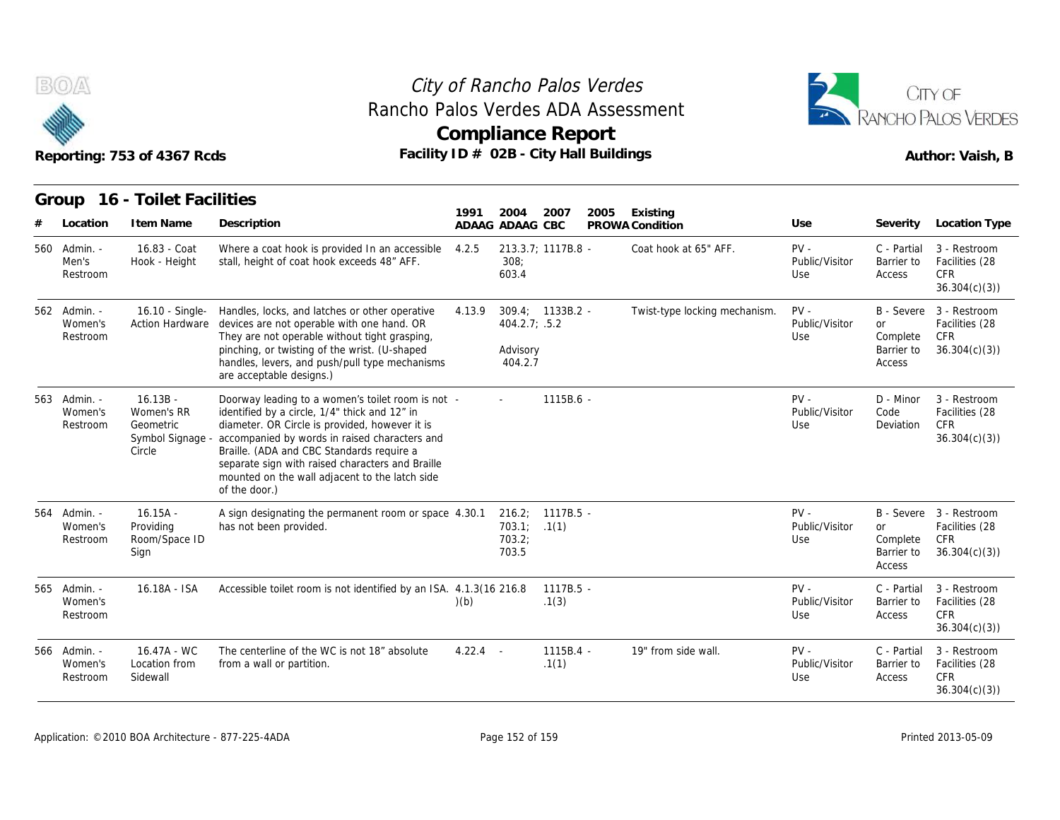

# **Compliance Report** Rancho Palos Verdes ADA Assessment



|     |                                     | Reporting: 753 of 4367 Rcds                                         | Facility ID # 02B - City Hall Buildings                                                                                                                                                                                                                                                                                                                                   | Compliance Report |                                      |                      |      | Author: Vaish, B              |                                 |                                               |                                                                         |
|-----|-------------------------------------|---------------------------------------------------------------------|---------------------------------------------------------------------------------------------------------------------------------------------------------------------------------------------------------------------------------------------------------------------------------------------------------------------------------------------------------------------------|-------------------|--------------------------------------|----------------------|------|-------------------------------|---------------------------------|-----------------------------------------------|-------------------------------------------------------------------------|
|     | Group<br>Location                   | 16 - Toilet Facilities<br>I tem Name                                | Description                                                                                                                                                                                                                                                                                                                                                               | 1991              | 2004<br>ADAAG ADAAG CBC              | 2007                 | 2005 | Existing<br>PROWA Condition   | Use                             | Severity                                      | Location Type                                                           |
| 560 | - Admin.<br>Men's<br>Restroom       | 16.83 - Coat<br>Hook - Height                                       | Where a coat hook is provided In an accessible<br>stall, height of coat hook exceeds 48" AFF.                                                                                                                                                                                                                                                                             | 4.2.5             | 308:<br>603.4                        | 213.3.7; 1117B.8 -   |      | Coat hook at 65" AFF.         | $PV -$<br>Public/Visitor<br>Use | C - Partial<br>Barrier to<br>Access           | 3 - Restroom<br>Facilities (28<br><b>CFR</b><br>36.304(c)(3)            |
|     | 562 Admin. -<br>Women's<br>Restroom | 16.10 - Single-<br><b>Action Hardware</b>                           | Handles, locks, and latches or other operative<br>devices are not operable with one hand. OR<br>They are not operable without tight grasping,<br>pinching, or twisting of the wrist. (U-shaped<br>handles, levers, and push/pull type mechanisms<br>are acceptable designs.)                                                                                              | 4.13.9            | 404.2.7: .5.2<br>Advisory<br>404.2.7 | 309.4; 1133B.2 -     |      | Twist-type locking mechanism. | $PV -$<br>Public/Visitor<br>Use | or<br>Complete<br>Barrier to<br>Access        | B - Severe 3 - Restroom<br>Facilities (28<br><b>CFR</b><br>36.304(c)(3) |
|     | 563 Admin. -<br>Women's<br>Restroom | $16.13B -$<br>Women's RR<br>Geometric<br>Symbol Signage -<br>Circle | Doorway leading to a women's toilet room is not -<br>identified by a circle, 1/4" thick and 12" in<br>diameter. OR Circle is provided, however it is<br>accompanied by words in raised characters and<br>Braille. (ADA and CBC Standards require a<br>separate sign with raised characters and Braille<br>mounted on the wall adjacent to the latch side<br>of the door.) |                   |                                      | 1115B.6 -            |      |                               | $PV -$<br>Public/Visitor<br>Use | D - Minor<br>Code<br>Deviation                | 3 - Restroom<br>Facilities (28<br><b>CFR</b><br>36.304(c)(3)            |
| 564 | - Admin.<br>Women's<br>Restroom     | $16.15A -$<br>Providing<br>Room/Space ID<br>Sign                    | A sign designating the permanent room or space 4.30.1<br>has not been provided.                                                                                                                                                                                                                                                                                           |                   | 703.1; 1(1)<br>703.2:<br>703.5       | 216.2; 1117B.5 -     |      |                               | $PV -$<br>Public/Visitor<br>Use | <b>or</b><br>Complete<br>Barrier to<br>Access | B - Severe 3 - Restroom<br>Facilities (28<br>CFR<br>36.304(c)(3)        |
|     | 565 Admin. -<br>Women's<br>Restroom | 16.18A - ISA                                                        | Accessible toilet room is not identified by an ISA. 4.1.3(16 216.8)                                                                                                                                                                                                                                                                                                       | (b)               |                                      | $1117B.5 -$<br>.1(3) |      |                               | $PV -$<br>Public/Visitor<br>Use | C - Partial<br>Barrier to<br>Access           | 3 - Restroom<br>Facilities (28<br>CFR<br>36.304(c)(3)                   |
|     | 566 Admin. -<br>Women's<br>Restroom | 16.47A - WC<br>Location from<br>Sidewall                            | The centerline of the WC is not 18" absolute<br>from a wall or partition.                                                                                                                                                                                                                                                                                                 | $4.22.4 -$        |                                      | $1115B.4 -$<br>.1(1) |      | 19" from side wall.           | $PV -$<br>Public/Visitor<br>Use | C - Partial<br>Barrier to<br>Access           | 3 - Restroom<br>Facilities (28<br><b>CFR</b><br>36.304(c)(3)            |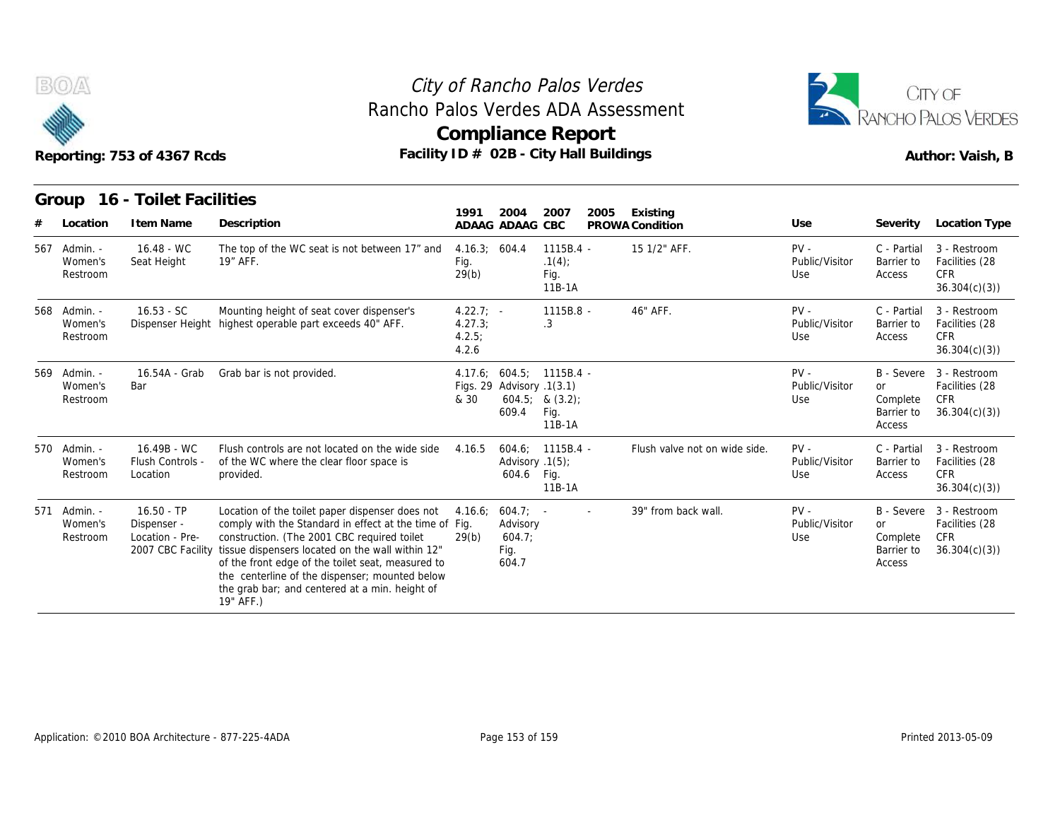



| Reporting: 753 of 4367 Rcds |  |  |
|-----------------------------|--|--|

|                                     | Reporting: 753 of 4367 Rcds                                         |                                                                                                                                                                                                                                                                                                                                                                                    |                                         |                                                   | City of Rancho Palos Verdes<br>Rancho Palos Verdes ADA Assessment<br><b>Compliance Report</b><br>Facility ID # 02B - City Hall Buildings |                               | CITY OF<br>ANCHO PALOS VERDES<br>Author: Vaish, B |                                               |                                                                         |
|-------------------------------------|---------------------------------------------------------------------|------------------------------------------------------------------------------------------------------------------------------------------------------------------------------------------------------------------------------------------------------------------------------------------------------------------------------------------------------------------------------------|-----------------------------------------|---------------------------------------------------|------------------------------------------------------------------------------------------------------------------------------------------|-------------------------------|---------------------------------------------------|-----------------------------------------------|-------------------------------------------------------------------------|
| Group<br>Location                   | 16 - Toilet Facilities<br>I tem Name                                | Description                                                                                                                                                                                                                                                                                                                                                                        | 1991                                    | 2004<br>ADAAG ADAAG CBC                           | 2007<br>2005                                                                                                                             | Existing<br>PROWA Condition   | Use                                               | Severity                                      | <b>Location Type</b>                                                    |
| 567 Admin. -<br>Women's<br>Restroom | $16.48 - WC$<br>Seat Height                                         | The top of the WC seat is not between 17" and<br>19" AFF.                                                                                                                                                                                                                                                                                                                          | 4.16.3; 604.4<br>Fig.<br>29(b)          |                                                   | $1115B.4 -$<br>.1(4)<br>Fig.<br>11B-1A                                                                                                   | 15 1/2" AFF.                  | $PV -$<br>Public/Visitor<br>Use                   | C - Partial<br>Barrier to<br>Access           | 3 - Restroom<br>Facilities (28<br><b>CFR</b><br>36.304(c)(3)            |
| 568 Admin. -<br>Women's<br>Restroom | $16.53 - SC$                                                        | Mounting height of seat cover dispenser's<br>Dispenser Height highest operable part exceeds 40" AFF.                                                                                                                                                                                                                                                                               | $4.22.7: -$<br>4.27.3<br>4.2.5<br>4.2.6 |                                                   | 1115B.8 -<br>.3                                                                                                                          | 46" AFF.                      | $PV -$<br>Public/Visitor<br>Use                   | C - Partial<br>Barrier to<br>Access           | 3 - Restroom<br>Facilities (28<br><b>CFR</b><br>36.304(c)(3)            |
| 569 Admin. -<br>Women's<br>Restroom | 16.54A - Grab<br>Bar                                                | Grab bar is not provided.                                                                                                                                                                                                                                                                                                                                                          | & 30                                    | Figs. 29 Advisory .1(3.1)<br>609.4                | 4.17.6; 604.5; 1115B.4 -<br>$604.5$ ; & $(3.2)$ ;<br>Fig.<br>11B-1A                                                                      |                               | $PV -$<br>Public/Visitor<br>Use                   | <b>or</b><br>Complete<br>Barrier to<br>Access | B - Severe 3 - Restroom<br>Facilities (28<br><b>CFR</b><br>36.304(c)(3) |
| 570 Admin. -<br>Women's<br>Restroom | 16.49B - WC<br>Flush Controls -<br>Location                         | Flush controls are not located on the wide side<br>of the WC where the clear floor space is<br>provided.                                                                                                                                                                                                                                                                           | 4.16.5                                  | Advisory .1(5);<br>604.6                          | 604.6; 1115B.4 -<br>Fig.<br>11B-1A                                                                                                       | Flush valve not on wide side. | $PV -$<br>Public/Visitor<br>Use                   | C - Partial<br>Barrier to<br>Access           | 3 - Restroom<br>Facilities (28<br><b>CFR</b><br>36.304(c)(3)            |
| 571 Admin. -<br>Women's<br>Restroom | $16.50 - TP$<br>Dispenser -<br>Location - Pre-<br>2007 CBC Facility | Location of the toilet paper dispenser does not<br>comply with the Standard in effect at the time of Fig.<br>construction. (The 2001 CBC required toilet<br>tissue dispensers located on the wall within 12"<br>of the front edge of the toilet seat, measured to<br>the centerline of the dispenser; mounted below<br>the grab bar; and centered at a min. height of<br>19" AFF.) | 4.16.6;<br>29(b)                        | $604.7$ ; -<br>Advisory<br>604.7<br>Fig.<br>604.7 | $\sim$                                                                                                                                   | 39" from back wall.           | $PV -$<br>Public/Visitor<br>Use                   | <b>or</b><br>Complete<br>Barrier to<br>Access | B - Severe 3 - Restroom<br>Facilities (28<br><b>CFR</b><br>36.304(c)(3) |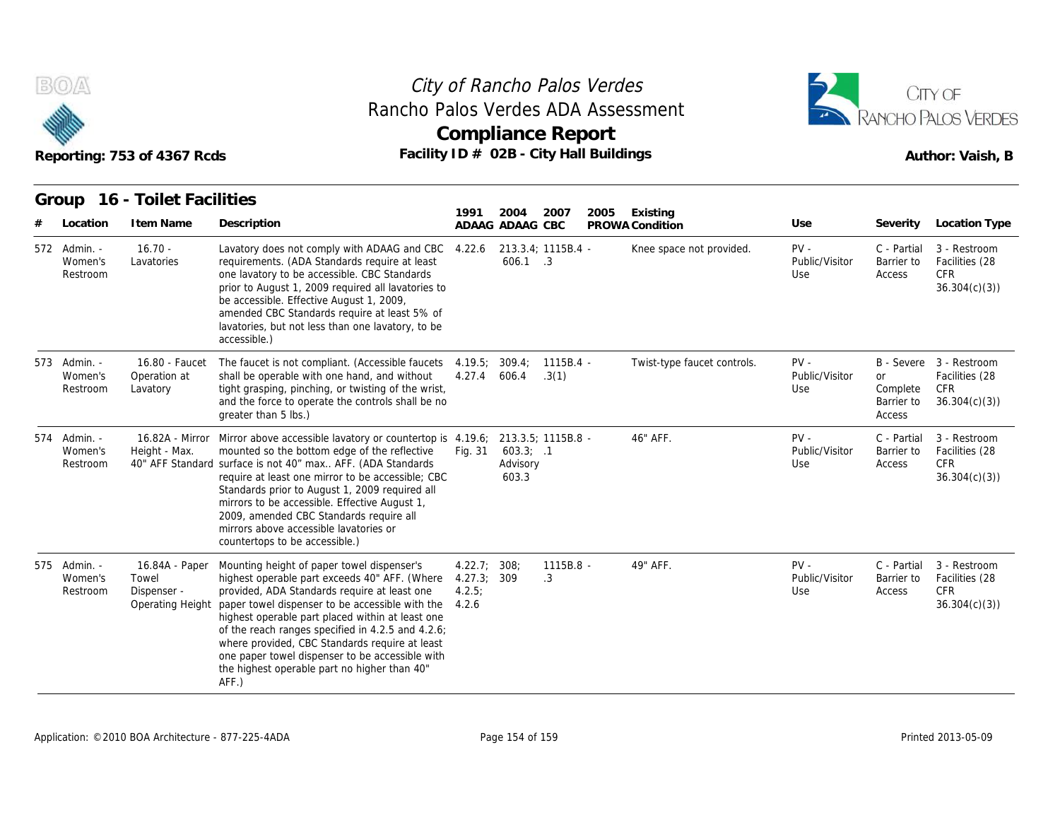



| Reporting: 753 of 4367 Rcds |                                     |                                                            | Facility ID # 02B - City Hall Buildings                                                                                                                                                                                                                                                                                                                                                                                                                                 |                                      | <b>Compliance Report</b>       |                      |      | Author: Vaish, B            |                                 |                                               |                                                                         |
|-----------------------------|-------------------------------------|------------------------------------------------------------|-------------------------------------------------------------------------------------------------------------------------------------------------------------------------------------------------------------------------------------------------------------------------------------------------------------------------------------------------------------------------------------------------------------------------------------------------------------------------|--------------------------------------|--------------------------------|----------------------|------|-----------------------------|---------------------------------|-----------------------------------------------|-------------------------------------------------------------------------|
|                             | Group                               | 16 - Toilet Facilities                                     |                                                                                                                                                                                                                                                                                                                                                                                                                                                                         | 1991                                 | 2004                           | 2007                 | 2005 | Existing                    |                                 |                                               |                                                                         |
|                             | Location                            | I tem Name                                                 | Description                                                                                                                                                                                                                                                                                                                                                                                                                                                             |                                      | ADAAG ADAAG CBC                |                      |      | PROWA Condition             | Use                             | Severity                                      | Location Type                                                           |
|                             | 572 Admin. -<br>Women's<br>Restroom | $16.70 -$<br>Lavatories                                    | Lavatory does not comply with ADAAG and CBC<br>requirements. (ADA Standards require at least<br>one lavatory to be accessible. CBC Standards<br>prior to August 1, 2009 required all lavatories to<br>be accessible. Effective August 1, 2009,<br>amended CBC Standards require at least 5% of<br>lavatories, but not less than one lavatory, to be<br>accessible.)                                                                                                     | 4.22.6                               | 606.1 .3                       | 213.3.4; 1115B.4 -   |      | Knee space not provided.    | $PV -$<br>Public/Visitor<br>Use | C - Partial<br>Barrier to<br>Access           | 3 - Restroom<br>Facilities (28<br><b>CFR</b><br>36.304(c)(3)            |
|                             | 573 Admin. -<br>Women's<br>Restroom | 16.80 - Faucet<br>Operation at<br>Lavatory                 | The faucet is not compliant. (Accessible faucets<br>shall be operable with one hand, and without<br>tight grasping, pinching, or twisting of the wrist,<br>and the force to operate the controls shall be no<br>greater than 5 lbs.)                                                                                                                                                                                                                                    | 4.19.5<br>4.27.4                     | 309.4;<br>606.4                | $1115B.4 -$<br>.3(1) |      | Twist-type faucet controls. | $PV -$<br>Public/Visitor<br>Use | <b>or</b><br>Complete<br>Barrier to<br>Access | B - Severe 3 - Restroom<br>Facilities (28<br><b>CFR</b><br>36.304(c)(3) |
|                             | 574 Admin. -<br>Women's<br>Restroom | Height - Max.                                              | 16.82A - Mirror Mirror above accessible lavatory or countertop is 4.19.6;<br>mounted so the bottom edge of the reflective<br>40" AFF Standard surface is not 40" max AFF. (ADA Standards<br>require at least one mirror to be accessible; CBC<br>Standards prior to August 1, 2009 required all<br>mirrors to be accessible. Effective August 1,<br>2009, amended CBC Standards require all<br>mirrors above accessible lavatories or<br>countertops to be accessible.) | Fig. 31                              | 603.3; .1<br>Advisory<br>603.3 | 213.3.5; 1115B.8 -   |      | 46" AFF.                    | $PV -$<br>Public/Visitor<br>Use | C - Partial<br>Barrier to<br>Access           | 3 - Restroom<br>Facilities (28<br><b>CFR</b><br>36.304(c)(3)            |
|                             | 575 Admin. -<br>Women's<br>Restroom | 16.84A - Paper<br>Towel<br>Dispenser -<br>Operating Height | Mounting height of paper towel dispenser's<br>highest operable part exceeds 40" AFF. (Where<br>provided, ADA Standards require at least one<br>paper towel dispenser to be accessible with the<br>highest operable part placed within at least one<br>of the reach ranges specified in 4.2.5 and 4.2.6;<br>where provided, CBC Standards require at least<br>one paper towel dispenser to be accessible with<br>the highest operable part no higher than 40"<br>AFF.)   | 4.22.7;<br>4.27.3<br>4.2.5;<br>4.2.6 | 308 <sub>2</sub><br>309        | $1115B.8 -$<br>.3    |      | 49" AFF.                    | $PV -$<br>Public/Visitor<br>Use | C - Partial<br>Barrier to<br>Access           | 3 - Restroom<br>Facilities (28<br><b>CFR</b><br>36.304(c)(3)            |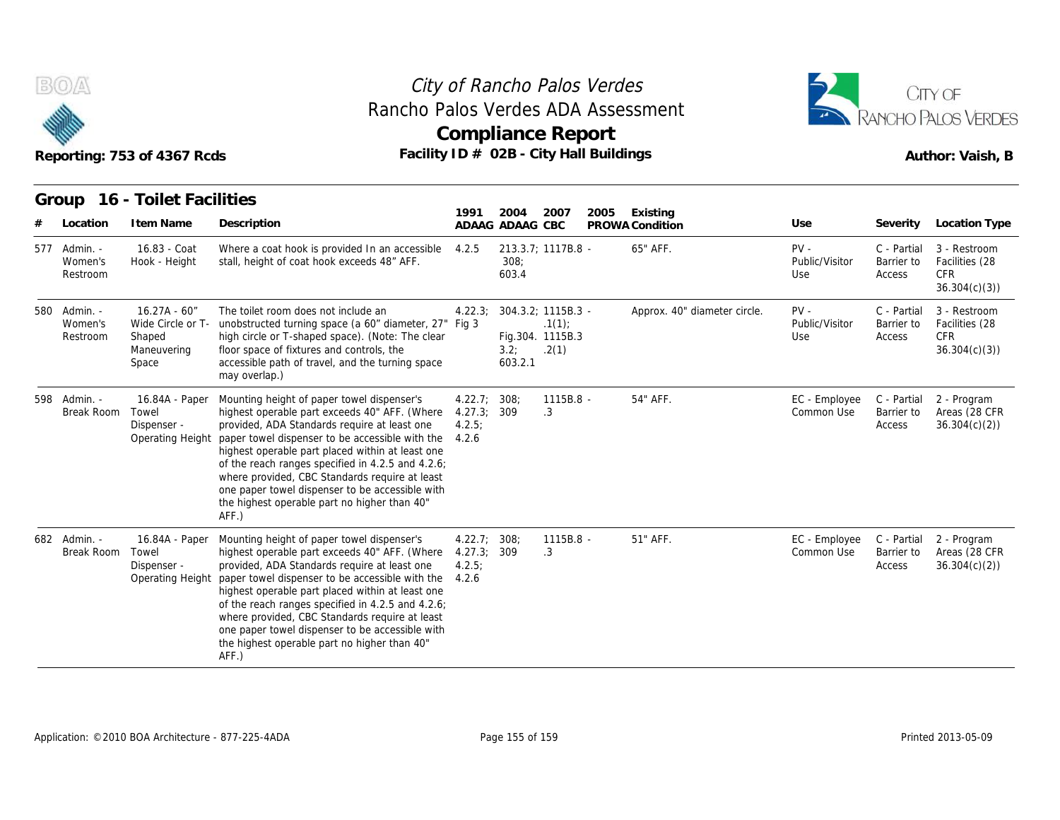



| Reporting: 753 of 4367 Rcds |                                     |                                                                        | Rancho Palos Verdes ADA Assessment<br>Facility ID # 02B - City Hall Buildings                                                                                                                                                                                                                                                                                                                                                                                         |                                                |                         | <b>Compliance Report</b>                                 | RANCHO PALOS VERDES<br>Author: Vaish, B |                              |                                 |                                     |                                                              |
|-----------------------------|-------------------------------------|------------------------------------------------------------------------|-----------------------------------------------------------------------------------------------------------------------------------------------------------------------------------------------------------------------------------------------------------------------------------------------------------------------------------------------------------------------------------------------------------------------------------------------------------------------|------------------------------------------------|-------------------------|----------------------------------------------------------|-----------------------------------------|------------------------------|---------------------------------|-------------------------------------|--------------------------------------------------------------|
|                             | Group<br>Location                   | 16 - Toilet Facilities<br>I tem Name                                   | Description                                                                                                                                                                                                                                                                                                                                                                                                                                                           | 1991                                           | 2004<br>ADAAG ADAAG CBC | 2007                                                     | 2005                                    | Existing<br>PROWA Condition  | Use                             | Severity                            | Location Type                                                |
|                             | 577 Admin. -<br>Women's<br>Restroom | 16.83 - Coat<br>Hook - Height                                          | Where a coat hook is provided In an accessible 4.2.5<br>stall, height of coat hook exceeds 48" AFF.                                                                                                                                                                                                                                                                                                                                                                   |                                                | 308:<br>603.4           | 213.3.7; 1117B.8 -                                       |                                         | 65" AFF.                     | $PV -$<br>Public/Visitor<br>Use | C - Partial<br>Barrier to<br>Access | 3 - Restroom<br>Facilities (28<br><b>CFR</b><br>36.304(c)(3) |
| 580                         | - Admin.<br>Women's<br>Restroom     | $16.27A - 60''$<br>Wide Circle or T-<br>Shaped<br>Maneuvering<br>Space | The toilet room does not include an<br>unobstructed turning space (a 60" diameter, 27" Fig 3<br>high circle or T-shaped space). (Note: The clear<br>floor space of fixtures and controls, the<br>accessible path of travel, and the turning space<br>may overlap.)                                                                                                                                                                                                    | 4.22.3                                         | 3.2;<br>603.2.1         | 304.3.2; 1115B.3 -<br>.1(1)<br>Fig.304. 1115B.3<br>.2(1) |                                         | Approx. 40" diameter circle. | PV -<br>Public/Visitor<br>Use   | C - Partial<br>Barrier to<br>Access | 3 - Restroom<br>Facilities (28<br><b>CFR</b><br>36.304(c)(3) |
|                             | 598 Admin. -<br>Break Room          | 16.84A - Paper<br>Towel<br>Dispenser -<br>Operating Height             | Mounting height of paper towel dispenser's<br>highest operable part exceeds 40" AFF. (Where<br>provided, ADA Standards require at least one<br>paper towel dispenser to be accessible with the<br>highest operable part placed within at least one<br>of the reach ranges specified in 4.2.5 and 4.2.6;<br>where provided, CBC Standards require at least<br>one paper towel dispenser to be accessible with<br>the highest operable part no higher than 40"<br>AFF.) | 4.22.7; 308;<br>4.27.3; 309<br>4.2.5:<br>4.2.6 |                         | 1115B.8 -<br>.3                                          |                                         | 54" AFF.                     | EC - Employee<br>Common Use     | C - Partial<br>Barrier to<br>Access | 2 - Program<br>Areas (28 CFR<br>36.304(c)(2)                 |
|                             | 682 Admin. -<br>Break Room          | 16.84A - Paper<br>Towel<br>Dispenser -<br>Operating Height             | Mounting height of paper towel dispenser's<br>highest operable part exceeds 40" AFF. (Where<br>provided, ADA Standards require at least one<br>paper towel dispenser to be accessible with the<br>highest operable part placed within at least one<br>of the reach ranges specified in 4.2.5 and 4.2.6;<br>where provided, CBC Standards require at least<br>one paper towel dispenser to be accessible with<br>the highest operable part no higher than 40"<br>AFF.) | 4.22.7; 308;<br>4.27.3<br>4.2.5;<br>4.2.6      | 309                     | 1115B.8 -<br>.3                                          |                                         | 51" AFF.                     | EC - Employee<br>Common Use     | C - Partial<br>Barrier to<br>Access | 2 - Program<br>Areas (28 CFR<br>36.304(c)(2)                 |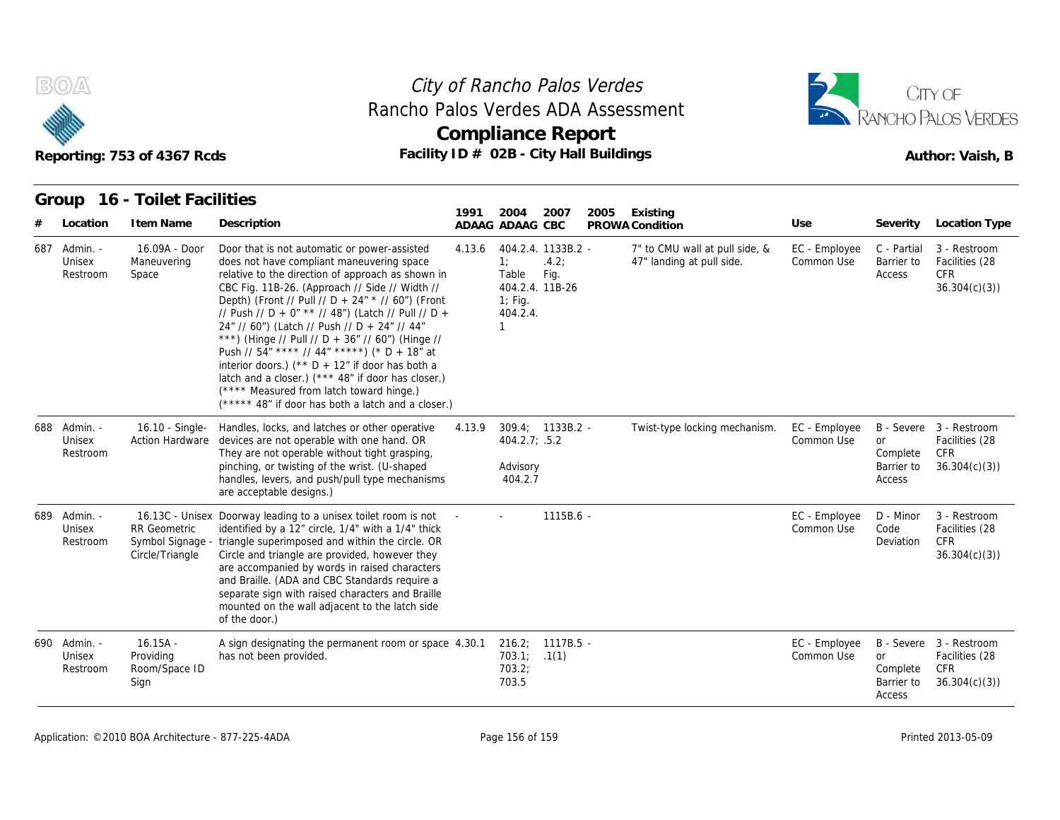



#### **Group 16 - Toilet Facilities**

|                                    | Reporting: 753 of 4367 Rcds                                |                                                                                                                                                                                                                                                                                                                                                                                                                                                                                                                                                                                                                                                                              | City of Rancho Palos Verdes<br>Rancho Palos Verdes ADA Assessment<br><b>Compliance Report</b><br>Facility ID # 02B - City Hall Buildings |                                                               |                                     |      |                                                             |                             |                                               | CITY OF<br>RANCHO PALOS VERDES<br>Author: Vaish, B                      |  |  |  |
|------------------------------------|------------------------------------------------------------|------------------------------------------------------------------------------------------------------------------------------------------------------------------------------------------------------------------------------------------------------------------------------------------------------------------------------------------------------------------------------------------------------------------------------------------------------------------------------------------------------------------------------------------------------------------------------------------------------------------------------------------------------------------------------|------------------------------------------------------------------------------------------------------------------------------------------|---------------------------------------------------------------|-------------------------------------|------|-------------------------------------------------------------|-----------------------------|-----------------------------------------------|-------------------------------------------------------------------------|--|--|--|
|                                    | Group 16 - Toilet Facilities                               |                                                                                                                                                                                                                                                                                                                                                                                                                                                                                                                                                                                                                                                                              | 1991                                                                                                                                     | 2004                                                          | 2007                                | 2005 | Existing                                                    |                             |                                               |                                                                         |  |  |  |
| Location                           | I tem Name                                                 | Description                                                                                                                                                                                                                                                                                                                                                                                                                                                                                                                                                                                                                                                                  |                                                                                                                                          | ADAAG ADAAG CBC                                               |                                     |      | PROWA Condition                                             | Use                         | Severity                                      | Location Type                                                           |  |  |  |
| 687 Admin. -<br>Unisex<br>Restroom | 16.09A - Door<br>Maneuvering<br>Space                      | Door that is not automatic or power-assisted<br>does not have compliant maneuvering space<br>relative to the direction of approach as shown in<br>CBC Fig. 11B-26. (Approach // Side // Width //<br>Depth) (Front // Pull // D + 24" * // 60") (Front<br>// Push // D + 0" ** // 48") (Latch // Pull // D +<br>24" // 60") (Latch // Push // D + 24" // 44"<br>***) (Hinge // Pull // D + 36" // 60") (Hinge //<br>Push // 54" **** // 44" *****) (* D + 18" at<br>interior doors.) ( $*$ D + 12" if door has both a<br>latch and a closer.) (*** 48" if door has closer.)<br>(**** Measured from latch toward hinge.)<br>(***** 48" if door has both a latch and a closer.) | 4.13.6                                                                                                                                   | 1:<br>Table<br>404.2.4. 11B-26<br>$1$ ; Fig.<br>404.2.4.<br>1 | 404.2.4. 1133B.2 -<br>.4.2:<br>Fig. |      | 7" to CMU wall at pull side, &<br>47" landing at pull side. | EC - Employee<br>Common Use | C - Partial<br>Barrier to<br>Access           | 3 - Restroom<br>Facilities (28<br><b>CFR</b><br>36.304(c)(3)            |  |  |  |
| 688 Admin. -<br>Unisex<br>Restroom | 16.10 - Single-<br><b>Action Hardware</b>                  | Handles, locks, and latches or other operative<br>devices are not operable with one hand. OR<br>They are not operable without tight grasping,<br>pinching, or twisting of the wrist. (U-shaped<br>handles, levers, and push/pull type mechanisms<br>are acceptable designs.)                                                                                                                                                                                                                                                                                                                                                                                                 | 4.13.9                                                                                                                                   | 404.2.7: .5.2<br>Advisory<br>404.2.7                          | $309.4; 1133B.2 -$                  |      | Twist-type locking mechanism.                               | EC - Employee<br>Common Use | <b>or</b><br>Complete<br>Barrier to<br>Access | B - Severe 3 - Restroom<br>Facilities (28<br><b>CFR</b><br>36.304(c)(3) |  |  |  |
| 689 Admin. -<br>Unisex<br>Restroom | <b>RR</b> Geometric<br>Symbol Signage -<br>Circle/Triangle | 16.13C - Unisex Doorway leading to a unisex toilet room is not<br>identified by a 12" circle, 1/4" with a 1/4" thick<br>triangle superimposed and within the circle. OR<br>Circle and triangle are provided, however they<br>are accompanied by words in raised characters<br>and Braille. (ADA and CBC Standards require a<br>separate sign with raised characters and Braille<br>mounted on the wall adjacent to the latch side<br>of the door.)                                                                                                                                                                                                                           |                                                                                                                                          |                                                               | $1115B.6 -$                         |      |                                                             | EC - Employee<br>Common Use | D - Minor<br>Code<br>Deviation                | 3 - Restroom<br>Facilities (28<br>CFR<br>36.304(c)(3)                   |  |  |  |
| 690 Admin. -<br>Unisex<br>Restroom | $16.15A -$<br>Providing<br>Room/Space ID<br>Sign           | A sign designating the permanent room or space 4.30.1<br>has not been provided.                                                                                                                                                                                                                                                                                                                                                                                                                                                                                                                                                                                              |                                                                                                                                          | 703.1; .1(1)<br>703.2;<br>703.5                               | $216.2; 1117B.5 -$                  |      |                                                             | EC - Employee<br>Common Use | <b>or</b><br>Complete<br>Barrier to<br>Access | B - Severe 3 - Restroom<br>Facilities (28<br><b>CFR</b><br>36.304(c)(3) |  |  |  |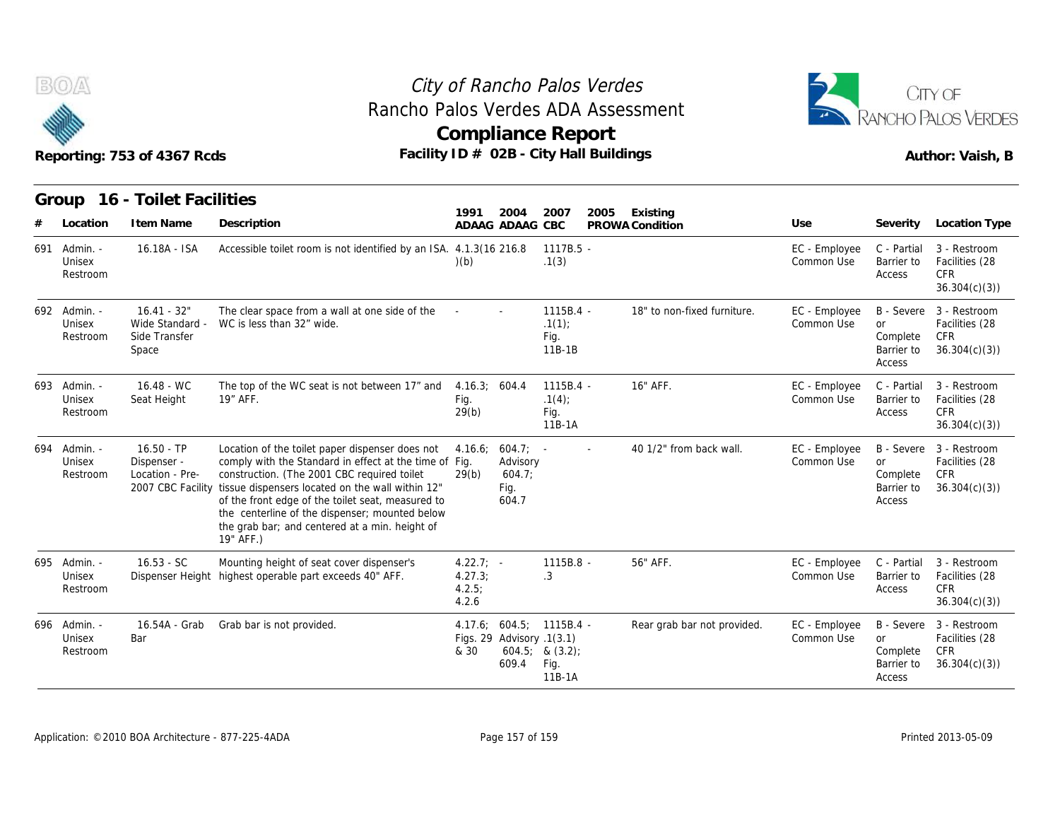



|     |                                    | Reporting: 753 of 4367 Rcds                                         | Rancho Palos Verdes ADA Assessment<br>Facility ID # 02B - City Hall Buildings                                                                                                                                                                                                                                                                                                      |                                           |                                                    | <b>Compliance Report</b>                                          | RANCHO PALOS VERDES<br>Author: Vaish, B |                             |                             |                                                                    |                                                                  |
|-----|------------------------------------|---------------------------------------------------------------------|------------------------------------------------------------------------------------------------------------------------------------------------------------------------------------------------------------------------------------------------------------------------------------------------------------------------------------------------------------------------------------|-------------------------------------------|----------------------------------------------------|-------------------------------------------------------------------|-----------------------------------------|-----------------------------|-----------------------------|--------------------------------------------------------------------|------------------------------------------------------------------|
|     |                                    | Group 16 - Toilet Facilities                                        |                                                                                                                                                                                                                                                                                                                                                                                    |                                           |                                                    |                                                                   |                                         |                             |                             |                                                                    |                                                                  |
|     | Location                           | I tem Name                                                          | Description                                                                                                                                                                                                                                                                                                                                                                        | 1991                                      | 2004<br>ADAAG ADAAG CBC                            | 2007                                                              | 2005                                    | Existing<br>PROWA Condition | Use                         | Severity                                                           | Location Type                                                    |
|     | 691 Admin. -<br>Unisex<br>Restroom | 16.18A - ISA                                                        | Accessible toilet room is not identified by an ISA. 4.1.3(16 216.8                                                                                                                                                                                                                                                                                                                 | (b)                                       |                                                    | $1117B.5 -$<br>.1(3)                                              |                                         |                             | EC - Employee<br>Common Use | C - Partial<br>Barrier to<br>Access                                | 3 - Restroom<br>Facilities (28<br><b>CFR</b><br>36.304(c)(3)     |
|     | 692 Admin. -<br>Unisex<br>Restroom | $16.41 - 32"$<br>Wide Standard -<br>Side Transfer<br>Space          | The clear space from a wall at one side of the<br>WC is less than 32" wide.                                                                                                                                                                                                                                                                                                        |                                           |                                                    | $1115B.4 -$<br>.1(1)<br>Fig.<br>$11B-1B$                          |                                         | 18" to non-fixed furniture. | EC - Employee<br>Common Use | <b>B</b> - Severe<br><b>or</b><br>Complete<br>Barrier to<br>Access | 3 - Restroom<br>Facilities (28<br><b>CFR</b><br>36.304(c)(3)     |
|     | 693 Admin. -<br>Unisex<br>Restroom | $16.48 - WC$<br>Seat Height                                         | The top of the WC seat is not between 17" and<br>19" AFF.                                                                                                                                                                                                                                                                                                                          | 4.16.3; 604.4<br>Fig.<br>29(b)            |                                                    | 1115B.4 -<br>.1(4)<br>Fig.<br>$11B-1A$                            |                                         | 16" AFF.                    | EC - Employee<br>Common Use | C - Partial<br>Barrier to<br>Access                                | 3 - Restroom<br>Facilities (28<br><b>CFR</b><br>36.304(c)(3)     |
| 694 | Admin. -<br>Unisex<br>Restroom     | $16.50 - TP$<br>Dispenser -<br>Location - Pre-<br>2007 CBC Facility | Location of the toilet paper dispenser does not<br>comply with the Standard in effect at the time of Fig.<br>construction. (The 2001 CBC required toilet<br>tissue dispensers located on the wall within 12"<br>of the front edge of the toilet seat, measured to<br>the centerline of the dispenser; mounted below<br>the grab bar; and centered at a min. height of<br>19" AFF.) | 4.16.6;<br>29(b)                          | $604.7$ ; -<br>Advisory<br>604.7;<br>Fig.<br>604.7 |                                                                   |                                         | 40 1/2" from back wall.     | EC - Employee<br>Common Use | or<br>Complete<br>Barrier to<br>Access                             | B - Severe 3 - Restroom<br>Facilities (28<br>CFR<br>36.304(c)(3) |
|     | 695 Admin. -<br>Unisex<br>Restroom | $16.53 - SC$                                                        | Mounting height of seat cover dispenser's<br>Dispenser Height highest operable part exceeds 40" AFF.                                                                                                                                                                                                                                                                               | $4.22.7$ ; -<br>4.27.3;<br>4.2.5<br>4.2.6 |                                                    | 1115B.8 -<br>.3                                                   |                                         | 56" AFF.                    | EC - Employee<br>Common Use | C - Partial<br>Barrier to<br>Access                                | 3 - Restroom<br>Facilities (28<br><b>CFR</b><br>36.304(c)(3)     |
|     | 696 Admin. -<br>Unisex<br>Restroom | 16.54A - Grab<br>Bar                                                | Grab bar is not provided.                                                                                                                                                                                                                                                                                                                                                          | & 30                                      | Figs. 29 Advisory .1(3.1)<br>609.4                 | 4.17.6; 604.5; 1115B.4 -<br>$604.5;$ & $(3.2);$<br>Fig.<br>11B-1A |                                         | Rear grab bar not provided. | EC - Employee<br>Common Use | <b>or</b><br>Complete<br>Barrier to<br>Access                      | B - Severe 3 - Restroom<br>Facilities (28<br>CFR<br>36.304(c)(3) |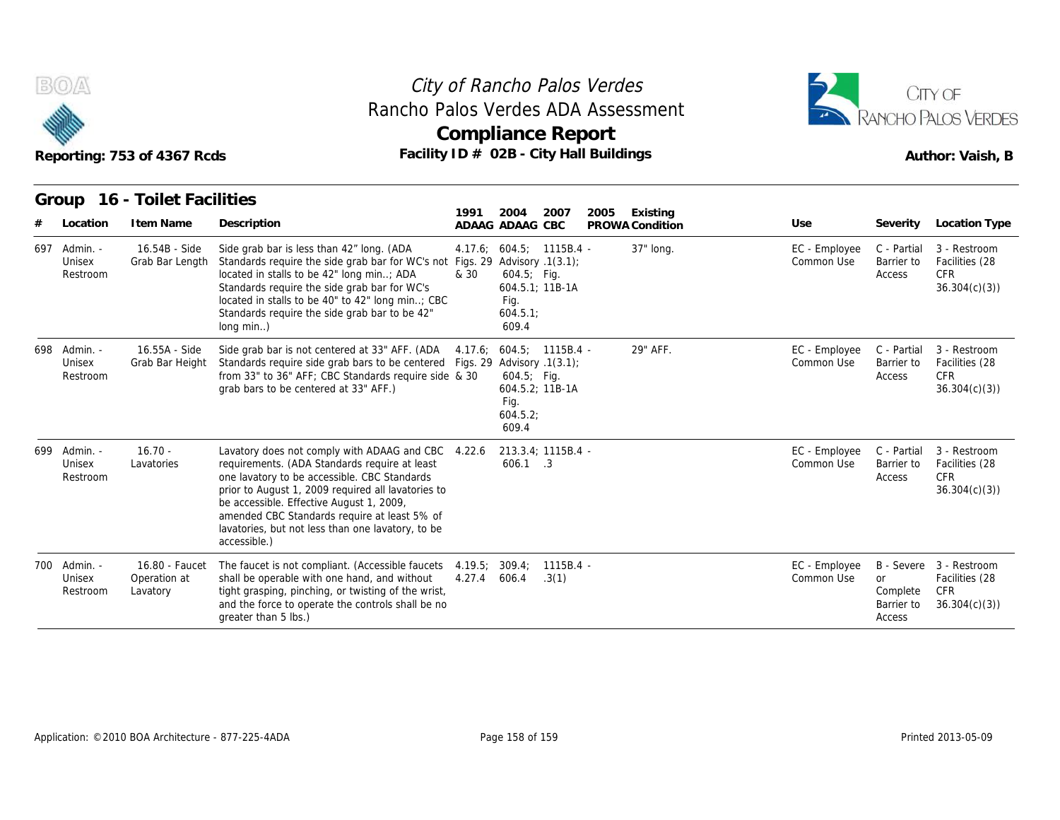



| Reporting: 753 of 4367 Rcds |                                |                                            |                                                                                                                                                                                                                                                                                                                                                                            | Rancho Palos Verdes ADA Assessment<br><b>Compliance Report</b><br>Facility ID # 02B - City Hall Buildings |                                                                        |                    |      |                 |                             |                                        |                                                                         |
|-----------------------------|--------------------------------|--------------------------------------------|----------------------------------------------------------------------------------------------------------------------------------------------------------------------------------------------------------------------------------------------------------------------------------------------------------------------------------------------------------------------------|-----------------------------------------------------------------------------------------------------------|------------------------------------------------------------------------|--------------------|------|-----------------|-----------------------------|----------------------------------------|-------------------------------------------------------------------------|
|                             | Group                          | 16 - Toilet Facilities                     |                                                                                                                                                                                                                                                                                                                                                                            | 1991                                                                                                      | 2004                                                                   | 2007               | 2005 | Existing        |                             |                                        |                                                                         |
|                             | Location                       | I tem Name                                 | Description                                                                                                                                                                                                                                                                                                                                                                |                                                                                                           | ADAAG ADAAG CBC                                                        |                    |      | PROWA Condition | Use                         | Severity                               | Location Type                                                           |
| 697                         | Admin. -<br>Unisex<br>Restroom | 16.54B - Side<br>Grab Bar Length           | Side grab bar is less than 42" long. (ADA<br>Standards require the side grab bar for WC's not Figs. 29 Advisory .1(3.1);<br>located in stalls to be 42" long min; ADA<br>Standards require the side grab bar for WC's<br>located in stalls to be 40" to 42" long min; CBC<br>Standards require the side grab bar to be 42"<br>long min)                                    | & 30                                                                                                      | 4.17.6; 604.5; 1115B.4 -<br>$604.5$ ; Fig.<br>Fig.<br>604.5.1<br>609.4 | 604.5.1; 11B-1A    |      | 37" long.       | EC - Employee<br>Common Use | C - Partial<br>Barrier to<br>Access    | 3 - Restroom<br>Facilities (28<br><b>CFR</b><br>36.304(c)(3)            |
| 698                         | Admin. -<br>Unisex<br>Restroom | 16.55A - Side<br>Grab Bar Height           | Side grab bar is not centered at 33" AFF. (ADA<br>Standards require side grab bars to be centered Figs. 29 Advisory .1(3.1);<br>from 33" to 36" AFF; CBC Standards require side & 30<br>grab bars to be centered at 33" AFF.)                                                                                                                                              |                                                                                                           | 4.17.6; 604.5; 1115B.4 -<br>$604.5$ ; Fig.<br>Fig.<br>604.5.2<br>609.4 | 604.5.2: 11B-1A    |      | 29" AFF.        | EC - Employee<br>Common Use | C - Partial<br>Barrier to<br>Access    | 3 - Restroom<br>Facilities (28<br><b>CFR</b><br>36.304(c)(3)            |
| 699                         | Admin. -<br>Unisex<br>Restroom | $16.70 -$<br>Lavatories                    | Lavatory does not comply with ADAAG and CBC 4.22.6<br>requirements. (ADA Standards require at least<br>one lavatory to be accessible. CBC Standards<br>prior to August 1, 2009 required all lavatories to<br>be accessible. Effective August 1, 2009,<br>amended CBC Standards require at least 5% of<br>lavatories, but not less than one lavatory, to be<br>accessible.) |                                                                                                           | 213.3.4; 1115B.4 -<br>606.1 .3                                         |                    |      |                 | EC - Employee<br>Common Use | C - Partial<br>Barrier to<br>Access    | 3 - Restroom<br>Facilities (28<br><b>CFR</b><br>36.304(c)(3)            |
| 700                         | Admin. -<br>Unisex<br>Restroom | 16.80 - Faucet<br>Operation at<br>Lavatory | The faucet is not compliant. (Accessible faucets 4.19.5;<br>shall be operable with one hand, and without<br>tight grasping, pinching, or twisting of the wrist,<br>and the force to operate the controls shall be no<br>greater than 5 lbs.)                                                                                                                               | 4.27.4                                                                                                    | 309.4;<br>606.4                                                        | 1115B.4 -<br>.3(1) |      |                 | EC - Employee<br>Common Use | or<br>Complete<br>Barrier to<br>Access | B - Severe 3 - Restroom<br>Facilities (28<br><b>CFR</b><br>36.304(c)(3) |